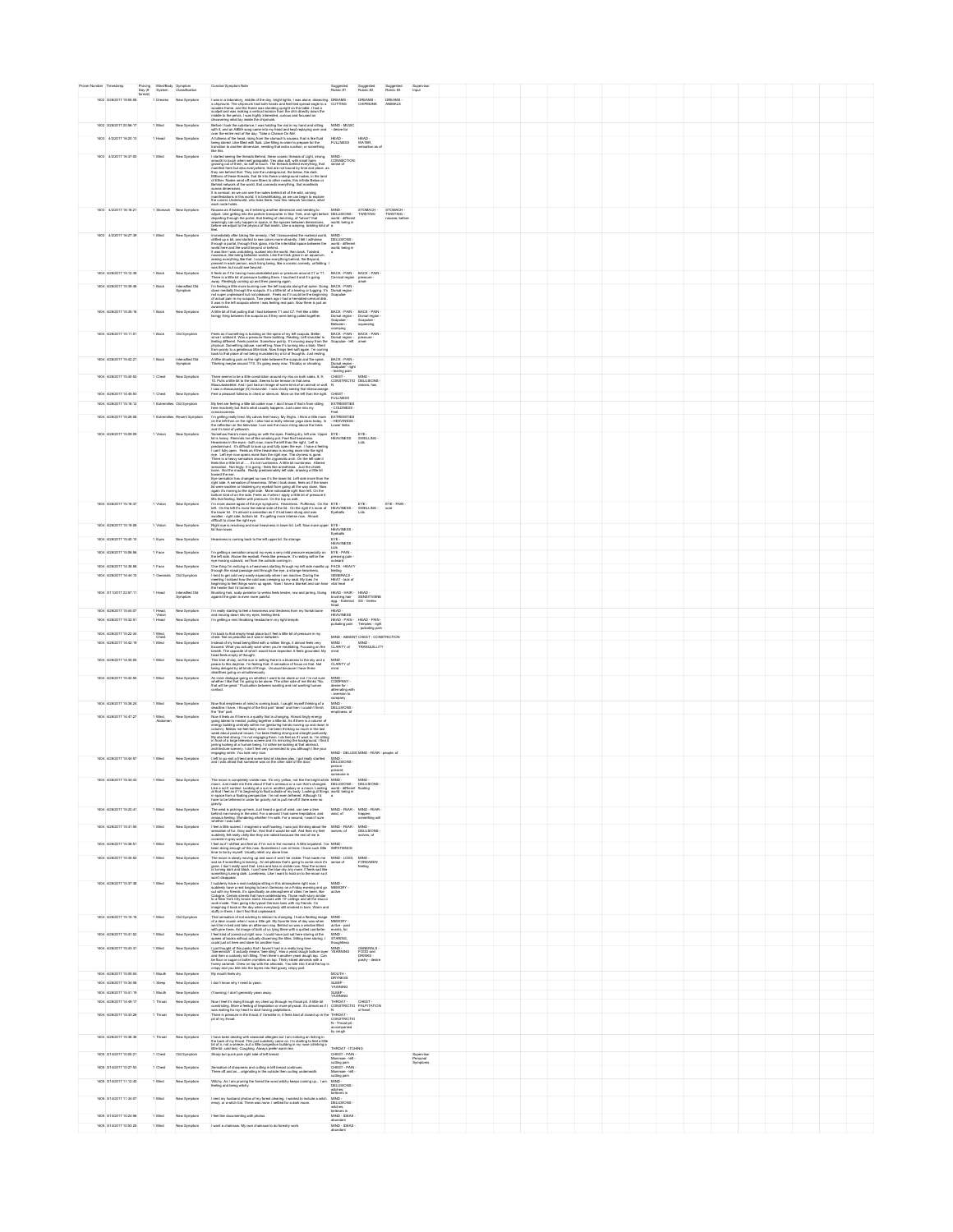| $\begin{tabular}{lcccccc} Prover Number & Theinstance & Proving & Methody & Syreptem \\ & Day (6 & System & Classification \\ & Science & Science \\ \end{tabular}$ |                              |                                   | Concise Symptom Note                                                                                                                                                                                                                          | Suppasted<br>Rubric #1                                                                                                 | Suggested Suggested Supervisor<br>Rubric #2 Rubric #3 Input |                     |                                    |  |
|---------------------------------------------------------------------------------------------------------------------------------------------------------------------|------------------------------|-----------------------------------|-----------------------------------------------------------------------------------------------------------------------------------------------------------------------------------------------------------------------------------------------|------------------------------------------------------------------------------------------------------------------------|-------------------------------------------------------------|---------------------|------------------------------------|--|
| 1402 3/26/2017 19:55:08                                                                                                                                             |                              | 1 Dreams New Symptom              |                                                                                                                                                                                                                                               |                                                                                                                        | DREAMS -<br>CHIPMUNK                                        | DREAMS<br>ANIMALS   |                                    |  |
|                                                                                                                                                                     |                              |                                   | I was in a laboratory, middle of the day, bright lights, I was alone, dissecting $\sqrt{2}$ DREAMS - Contain the set of the firm was standing condition and the same of the set of the set of the set of the set of the set of t              |                                                                                                                        |                                                             |                     |                                    |  |
|                                                                                                                                                                     |                              |                                   |                                                                                                                                                                                                                                               |                                                                                                                        |                                                             |                     |                                    |  |
| 1402 5/28/2017 20:56:17                                                                                                                                             |                              | 1 Mind New Symptom                | uses/were the schedule of the state of the state of the state and and sitting MIND - MUSIC<br>Before I took the substance, I was holding the vial in my hand and sitting MIND - MUSIC<br>with it, and an ABBA song came into my head          |                                                                                                                        |                                                             |                     |                                    |  |
| 1403 4/2/2017 16:20:13                                                                                                                                              | 1 Head                       | New Symptom                       |                                                                                                                                                                                                                                               |                                                                                                                        |                                                             |                     |                                    |  |
|                                                                                                                                                                     |                              |                                   | A fullness of the head, rising from the stornech's nausea, that is like fluid HEAD - HEAD - Relations that this distributed in the match of the state of the FULLNESS transition to another dimension, meeting that extra cust                |                                                                                                                        | HEAD -<br>WATER,                                            |                     |                                    |  |
| 1403 4/2/2017 16:37:00                                                                                                                                              | 1 Mind                       | New Symptom                       |                                                                                                                                                                                                                                               |                                                                                                                        |                                                             |                     |                                    |  |
|                                                                                                                                                                     |                              |                                   | ille Bink.<br>The Markov and Bink and School These contrict threads of Light, attorn.<br>In the School School and School Compatible, This also soft, with small fasts. The<br>Internal to fact the state of graphicals. This are no           |                                                                                                                        |                                                             |                     |                                    |  |
|                                                                                                                                                                     |                              |                                   |                                                                                                                                                                                                                                               |                                                                                                                        |                                                             |                     |                                    |  |
|                                                                                                                                                                     |                              |                                   | Minors of these fines<br>absolute the finite into these incredings and reduce, in the later of<br>$\alpha$ of Einst. Nodes send off more than to other modes, this in<br>the file of the contraction of the world, that connects every<br>fir |                                                                                                                        |                                                             |                     |                                    |  |
|                                                                                                                                                                     |                              |                                   |                                                                                                                                                                                                                                               |                                                                                                                        |                                                             |                     |                                    |  |
|                                                                                                                                                                     |                              |                                   |                                                                                                                                                                                                                                               |                                                                                                                        |                                                             |                     |                                    |  |
| 1403 4/2/2017 16:16:21                                                                                                                                              |                              | 1 Stomach New Sympton             |                                                                                                                                                                                                                                               |                                                                                                                        |                                                             | STOMACH<br>TWISTING |                                    |  |
|                                                                                                                                                                     |                              |                                   | each noch toda.<br>Maxes as if teleding, as if estering another dimension and needing to<br>individual Libs agetting the the particle term posterin than the specified between DELUSCHOC-<br>Departing tensoryth the points that leasi        |                                                                                                                        |                                                             | nausea: before      |                                    |  |
|                                                                                                                                                                     |                              |                                   |                                                                                                                                                                                                                                               |                                                                                                                        |                                                             |                     |                                    |  |
| 1403 4/2/2017 16:27:39                                                                                                                                              | 1 Mind                       | New Sympton                       |                                                                                                                                                                                                                                               |                                                                                                                        |                                                             |                     |                                    |  |
|                                                                                                                                                                     |                              |                                   |                                                                                                                                                                                                                                               |                                                                                                                        |                                                             |                     |                                    |  |
|                                                                                                                                                                     |                              |                                   |                                                                                                                                                                                                                                               |                                                                                                                        |                                                             |                     |                                    |  |
|                                                                                                                                                                     |                              |                                   |                                                                                                                                                                                                                                               |                                                                                                                        |                                                             |                     |                                    |  |
| 1404 4/26/2017 15:12:38                                                                                                                                             | 1 Back                       | New Symptom                       | be a simple photon in the state of the interaction is a state of the control of the state of the state of the state of the state of the state of the state of the state of the state of the state of the state of the state o                 |                                                                                                                        |                                                             |                     |                                    |  |
| 1404 4/26/2017 15:39:46                                                                                                                                             | 1 Back                       |                                   |                                                                                                                                                                                                                                               |                                                                                                                        |                                                             |                     |                                    |  |
|                                                                                                                                                                     |                              | <b>Intersified Old</b><br>Symptom | www.r resempt commany as well ment peasant agency as a common product of the spin control of the common control of the state of the state of the state of the state of the state of the state of the state of the state of the                |                                                                                                                        |                                                             |                     |                                    |  |
|                                                                                                                                                                     |                              |                                   |                                                                                                                                                                                                                                               |                                                                                                                        |                                                             |                     |                                    |  |
| 1404 4/26/2017 15:35:16                                                                                                                                             | 1 Back                       | New Symptom                       | A little bit of that pulling that I had between T1 and C7. Felt like a little twingy thing between the scapula as if they were being pulled together.                                                                                         |                                                                                                                        |                                                             |                     |                                    |  |
|                                                                                                                                                                     |                              |                                   |                                                                                                                                                                                                                                               | BACK - PAIN - BACK - PAIN<br>Dorsal region - Dorsal region -<br>Scapulae - Scapulae - Scapulae - Squeezing<br>cramping |                                                             |                     |                                    |  |
| 1404 4/26/2017 15:11:01                                                                                                                                             | 1 Back                       | Old Symptom                       |                                                                                                                                                                                                                                               | BACK - PAIN - BACK - PAIN                                                                                              |                                                             |                     |                                    |  |
|                                                                                                                                                                     |                              |                                   | Feats as if a<br>constraintly is building an the spiral of my left scapials. Better<br>$\frac{1}{2}$ (heating different Feats points), constraints pointly a policy<br>for the point of the spiral of the spiral of the spiral of the spir    |                                                                                                                        |                                                             |                     |                                    |  |
|                                                                                                                                                                     |                              |                                   |                                                                                                                                                                                                                                               |                                                                                                                        |                                                             |                     |                                    |  |
| 1404 4/26/2017 15:42:21                                                                                                                                             | 1 Back                       | <b>Intersified Old</b><br>Symptom |                                                                                                                                                                                                                                               |                                                                                                                        |                                                             |                     |                                    |  |
|                                                                                                                                                                     |                              |                                   |                                                                                                                                                                                                                                               | BACK - PAIN -<br>Dorsal region -<br>Scapulae - right<br>- tearing pain                                                 |                                                             |                     |                                    |  |
| 1404 4/26/2017 15:40:52                                                                                                                                             |                              | 1 Chest New Symptom               | There seems to be a little constriction around my ribs on both sides, 8, 9, CHEST - MIND - 10. Pulse a little bit to the back. Seems to be tension in that area. CONSTRUCTIO DELUSIO<br>Macrobisekelal, And I just had an image o             |                                                                                                                        |                                                             |                     |                                    |  |
|                                                                                                                                                                     |                              |                                   |                                                                                                                                                                                                                                               |                                                                                                                        |                                                             |                     |                                    |  |
| 1404 4/26/2017 14:45:53                                                                                                                                             |                              | 1 Chest New Symptom               | Feel a pleasant fullness in chest or stemum. More on the left than the right. CHEST -                                                                                                                                                         |                                                                                                                        |                                                             |                     |                                    |  |
| 1404 4/26/2017 15:18:12                                                                                                                                             |                              | 1 Extremities Old Symptom         | My feet are feeling a little bit colder now. I don't know if that's from sitting EXTREMITIES<br>here inactively but that's what usually happens. Just came into my - COLDNESS-<br>consciousness.                                              |                                                                                                                        |                                                             |                     |                                    |  |
| 1404 4/26/2017 15:28:08                                                                                                                                             |                              | 1 Extremities Recent Symptom      | Transfer methy final My calves feel heavy. My thights. I think a little month. If you<br>can relate that may be the state of the state of the state of the state<br>of the state of the state of the state of the state of the state          |                                                                                                                        |                                                             |                     |                                    |  |
|                                                                                                                                                                     |                              |                                   |                                                                                                                                                                                                                                               |                                                                                                                        |                                                             |                     |                                    |  |
| 1404 4/26/2017 15:09:09                                                                                                                                             |                              | 1 Vision New Symptom              |                                                                                                                                                                                                                                               |                                                                                                                        |                                                             |                     |                                    |  |
|                                                                                                                                                                     |                              |                                   |                                                                                                                                                                                                                                               |                                                                                                                        |                                                             |                     |                                    |  |
|                                                                                                                                                                     |                              |                                   |                                                                                                                                                                                                                                               |                                                                                                                        |                                                             |                     |                                    |  |
|                                                                                                                                                                     |                              |                                   |                                                                                                                                                                                                                                               |                                                                                                                        |                                                             |                     |                                    |  |
|                                                                                                                                                                     |                              |                                   | and China and Symbolic space of the form of the<br>space of the space of the space of the space of the space of the space of<br>the space of the space of the space of the space of the space of<br>$\mathcal{L}_0$ . In this case, we can co |                                                                                                                        |                                                             |                     |                                    |  |
|                                                                                                                                                                     |                              |                                   | Itoward the east.<br>To see the case of the state of the following that the state more than the<br>right side. A sensation of the started more than the state of the lower<br>$\frac{1}{2}$ is the state of the state of the state of t       |                                                                                                                        |                                                             |                     |                                    |  |
|                                                                                                                                                                     |                              |                                   |                                                                                                                                                                                                                                               |                                                                                                                        |                                                             |                     |                                    |  |
|                                                                                                                                                                     |                              |                                   |                                                                                                                                                                                                                                               |                                                                                                                        |                                                             |                     |                                    |  |
| 1404 4/26/2017 15:16:37                                                                                                                                             | 1 Vision                     | New Symptom                       |                                                                                                                                                                                                                                               |                                                                                                                        |                                                             | EYE - PAIN          |                                    |  |
|                                                                                                                                                                     |                              |                                   |                                                                                                                                                                                                                                               |                                                                                                                        |                                                             |                     |                                    |  |
| 1404 4/26/2017 15:19:08                                                                                                                                             |                              | 1 Vision New Symptom              | Right eye is resolving and now heaviness in lower lid. Left. Now more upper EYE is then lower.                                                                                                                                                |                                                                                                                        |                                                             |                     |                                    |  |
| 1404 4/26/2017 15:40:10                                                                                                                                             | 1 Eyes                       | New Symptom                       | Heaviness is coming back to the left upper lid. So strange.                                                                                                                                                                                   | EYE<br>HEAVINESS<br>Eyetails<br>EYE<br>HEAVINESS                                                                       |                                                             |                     |                                    |  |
|                                                                                                                                                                     |                              |                                   |                                                                                                                                                                                                                                               |                                                                                                                        |                                                             |                     |                                    |  |
| 1404 4/26/2017 15:08:56                                                                                                                                             | 1 Face                       | New Symptom                       | I'm getting a sensation around my eyes a very mild pressure especially on EYE - PAIN -<br>the left side. Above the eyeball. Feels like pressure. It's resting within the pressing pain -<br>eye moving outward, not from the outside          |                                                                                                                        |                                                             |                     |                                    |  |
| 1404 4/26/2017 14:38:58                                                                                                                                             | 1 Face                       | New Symptom                       | One thing I'm noticing is a heaviness starting through my left side mexilla up FACE - HEAVY<br>through the nasel passage and through the eye, a strange heaviness. Seeling                                                                    |                                                                                                                        |                                                             |                     |                                    |  |
| 1404 4/26/2017 14:44:10                                                                                                                                             |                              | 1 Generals Old Symptom            |                                                                                                                                                                                                                                               |                                                                                                                        |                                                             |                     |                                    |  |
|                                                                                                                                                                     |                              |                                   |                                                                                                                                                                                                                                               |                                                                                                                        |                                                             |                     |                                    |  |
| 1404 3/11/2017 22:57:11                                                                                                                                             | 1 Head                       | <b>Intersified Old</b><br>Symptom |                                                                                                                                                                                                                                               |                                                                                                                        |                                                             |                     |                                    |  |
|                                                                                                                                                                     |                              |                                   |                                                                                                                                                                                                                                               | brushing hair<br>agg. - External 88 - Vertex<br>head                                                                   |                                                             |                     |                                    |  |
| 1404 4/26/2017 15:44:07                                                                                                                                             | 1 Head,<br>Vision            | New Symptom                       | I'm really starting to feel a heaviness and tiredness from my frontal bone HEAD - HEAVINESS and moving down into my eyes, feeling tired. NEAVINESS                                                                                            |                                                                                                                        |                                                             |                     |                                    |  |
| 1404 4/26/2017 15:32:51                                                                                                                                             | 1 Head                       | New Symptom                       | I'm getting a mini throbbing headache in my right temple.                                                                                                                                                                                     | HEAD - PAIN - HEAD - PAIN -<br>pulsating pain - Temples - right<br>- pulsating pain -                                  |                                                             |                     |                                    |  |
| 1404 4/26/2017 15:22:34                                                                                                                                             |                              | New Symptom                       |                                                                                                                                                                                                                                               |                                                                                                                        |                                                             |                     |                                    |  |
| 1404 4/26/2017 14:42:19                                                                                                                                             | $1$ Mind,<br>Chest<br>1 Mind | New Symptom                       | Tm back to that empty head place but I feel a little bit of pressure in my MIND - ABSENTICHEST - CONSTRICTION chest. Not as peaceful as it was in between.                                                                                    |                                                                                                                        |                                                             |                     |                                    |  |
|                                                                                                                                                                     |                              |                                   | MIND - ABSENTICHEST - CONST<br>Interact of my head being filled with a million things, it almost feels way<br>Cocased Why you sclassify work when you're mediating. Focusing on the CLARITY of MIND - LARN<br>Design The Capital of Min       |                                                                                                                        |                                                             |                     |                                    |  |
| 1404 4/26/2017 14:45:05                                                                                                                                             | 1 Mind                       | New Symptom                       |                                                                                                                                                                                                                                               | MND -<br>CLARITY of                                                                                                    |                                                             |                     |                                    |  |
|                                                                                                                                                                     |                              |                                   | This time of day, as the sun is setting there is a blueness to the sky and a<br>peace to this dayline. The fieldng that. A sensation of focus on that. Not<br>being delayed by all kinds of things. Unusual because I have three<br>dea       |                                                                                                                        |                                                             |                     |                                    |  |
| 1404 4/26/2017 15:42:55                                                                                                                                             | 1 Mind                       | New Symptom                       |                                                                                                                                                                                                                                               |                                                                                                                        |                                                             |                     |                                    |  |
|                                                                                                                                                                     |                              |                                   | An inner dialogue going on whether I want to be alone or not. I'm not sure whether I like that I'm going to be alone. The other side of me thinks 'TAo, that will be great." Fluctuation between wanting and not wenting human                | MIND<br>COMPANY<br>desire for -<br>alternating with<br>- aversion to                                                   |                                                             |                     |                                    |  |
|                                                                                                                                                                     |                              |                                   |                                                                                                                                                                                                                                               | emplany                                                                                                                |                                                             |                     |                                    |  |
| 1404 4/26/2017 15:38:24                                                                                                                                             | 1 Mind                       | New Symptom                       | Now that emptiness of mind is coming back. I caught myself thinking of a deadline I have. I thought of the first part "dead" and then I couldn't finish the "line" part.                                                                      | MND-<br>DELUSIONS                                                                                                      |                                                             |                     |                                    |  |
| 1404 4/26/2017 14:47:27                                                                                                                                             | 1 Mind.<br>Ahdrenan          | New Symptom                       |                                                                                                                                                                                                                                               |                                                                                                                        |                                                             |                     |                                    |  |
|                                                                                                                                                                     |                              |                                   |                                                                                                                                                                                                                                               |                                                                                                                        |                                                             |                     |                                    |  |
|                                                                                                                                                                     |                              |                                   |                                                                                                                                                                                                                                               |                                                                                                                        |                                                             |                     |                                    |  |
|                                                                                                                                                                     |                              |                                   |                                                                                                                                                                                                                                               |                                                                                                                        |                                                             |                     |                                    |  |
|                                                                                                                                                                     |                              |                                   | The Tarte pair, is equivalent that changing Amend they every prevent of the U.S. The U.S. of the U.S. of the U.S. of the U.S. of the U.S. of the U.S. of the U.S. of the U.S. of the U.S. of the U.S. of the U.S. of the U.S.                 |                                                                                                                        |                                                             |                     |                                    |  |
| 1404 4/26/2017 15:44:57                                                                                                                                             | 1 Mind                       | New Symptom                       | I left to go visit a friend and some kind of shadow play, I got really startied MIND -<br>and I was afraid that someone was on the other side of the door. DELUSIONS -                                                                        |                                                                                                                        |                                                             |                     |                                    |  |
|                                                                                                                                                                     |                              |                                   |                                                                                                                                                                                                                                               |                                                                                                                        |                                                             |                     |                                    |  |
|                                                                                                                                                                     |                              |                                   | 1604 - Child New Symptom The moon is completely value loss it's very police, not like the trajection and the Child New Symptom Control of the United News 2002.<br>Lake a selection of the United News 2003 and the United News               |                                                                                                                        |                                                             |                     |                                    |  |
|                                                                                                                                                                     |                              |                                   |                                                                                                                                                                                                                                               |                                                                                                                        |                                                             |                     |                                    |  |
|                                                                                                                                                                     |                              |                                   |                                                                                                                                                                                                                                               |                                                                                                                        |                                                             |                     |                                    |  |
| 1404 4/26/2017 15:20:41                                                                                                                                             | 1 Mind                       | New Sympton                       | grantly.<br>The wind is picking up here. Just heard a gust of wind, can see a tree MMVD - FEAR - MMVD - FEAR - batterior manner of the second I had some terpoloin, amound if or a second I had some terpoloin, and wind, of happ             |                                                                                                                        |                                                             |                     |                                    |  |
| 1404 4/26/2017 15:31:55                                                                                                                                             |                              | 1 Mind New Symptom                |                                                                                                                                                                                                                                               |                                                                                                                        |                                                             |                     |                                    |  |
|                                                                                                                                                                     |                              |                                   |                                                                                                                                                                                                                                               |                                                                                                                        |                                                             |                     |                                    |  |
| 1404 4/26/2017 15:38:51                                                                                                                                             | 1 Mind                       | New Symptom                       |                                                                                                                                                                                                                                               |                                                                                                                        |                                                             |                     |                                    |  |
|                                                                                                                                                                     |                              |                                   | There is from a mean through the and the<br>original particle in the particle in the control of the control of the<br>standard of the Corp work the And that it excells because the uncertainty<br>of the standard of the control of t        |                                                                                                                        |                                                             |                     |                                    |  |
| 1404 4/26/2017 15:35:52                                                                                                                                             | 1 Mind                       | New Symptom                       |                                                                                                                                                                                                                                               |                                                                                                                        | FORSAKEN                                                    |                     |                                    |  |
|                                                                                                                                                                     |                              |                                   | urve us one y myself. Usiaally related point of selections and the selection of the mass in the selection of the matter of the selection of the selection of the selection of the selection of the selection of the selection                 |                                                                                                                        |                                                             |                     |                                    |  |
| 1404 4/26/2017 15:37:38                                                                                                                                             |                              | 1 Mind New Symptom                |                                                                                                                                                                                                                                               |                                                                                                                        |                                                             |                     |                                    |  |
|                                                                                                                                                                     |                              |                                   | worth disappeake.<br>"In controlling in this atmosphere right now. I model to the controlling in the solution of the state of the<br>"And the Controlling" in the Controlling in the control of the controlling<br>Colleges are con           |                                                                                                                        |                                                             |                     |                                    |  |
|                                                                                                                                                                     |                              |                                   |                                                                                                                                                                                                                                               |                                                                                                                        |                                                             |                     |                                    |  |
|                                                                                                                                                                     |                              |                                   |                                                                                                                                                                                                                                               |                                                                                                                        |                                                             |                     |                                    |  |
| 1404 4/26/2017 15:15:18                                                                                                                                             | 1 Mind                       | Old Symptom                       |                                                                                                                                                                                                                                               |                                                                                                                        |                                                             |                     |                                    |  |
|                                                                                                                                                                     |                              |                                   | That sensation of not wanting to interact is changing. I had a fleeting image $\,$ MIND - of a dear cocosin when I was a little girl. My favorite time of day was a little of $\,$ with $\,$ and a latter out of the sensatio                 |                                                                                                                        |                                                             |                     |                                    |  |
| 1404 4/26/2017 15:41:52                                                                                                                                             | 1 Mind                       | New Symptom                       | I feel kind of zoned out right now. I could have just sat here staring at the MIND-<br>spirals of books without actually discerning the titles. Sitting here staring. I STARING,<br>could just sit here and stare for enother hour.           |                                                                                                                        |                                                             |                     |                                    |  |
| 1404 4/26/2017 15:43:31                                                                                                                                             |                              | 1 Mind New Symptom                |                                                                                                                                                                                                                                               |                                                                                                                        | <b>GENERALS</b>                                             |                     |                                    |  |
|                                                                                                                                                                     |                              |                                   |                                                                                                                                                                                                                                               |                                                                                                                        | FOOD and<br>DRINKS -                                        |                     |                                    |  |
|                                                                                                                                                                     |                              |                                   | It put through of this paper that is barrely that is a range lang is the construction of the control of the paper of the constraints of the constraints of the constraints of the constraints of the constraints of the const                 |                                                                                                                        | pastry - desire                                             |                     |                                    |  |
| 1404 4/26/2017 15:05:04                                                                                                                                             |                              | 1 Mouth New Symptom               |                                                                                                                                                                                                                                               | MOUTH -                                                                                                                |                                                             |                     |                                    |  |
| 1404 4/26/2017 15:34:06                                                                                                                                             |                              | 1 Sleep New Symptom               | I don't know why I need to yawn.                                                                                                                                                                                                              | SLEEP -<br>YAWNING                                                                                                     |                                                             |                     |                                    |  |
| 1404 4/26/2017 15:41:19                                                                                                                                             |                              | 1 Mouth New Symptom               | (Yawning) I don't generally yawn away.                                                                                                                                                                                                        | SLEEP -<br>YAWNING                                                                                                     |                                                             |                     |                                    |  |
| 1404 4/26/2017 14:49:17                                                                                                                                             |                              | 1 Throat New Symptom              |                                                                                                                                                                                                                                               |                                                                                                                        |                                                             |                     |                                    |  |
|                                                                                                                                                                     |                              |                                   | Now I feel it's rising through my cheat up through my throat pit. A little bit. TheROAT-C-CHEST<br>constituting, Move a feeling of texted about more physical: It's almost as if I CONSTROCITO - DALPITATION<br>was validing for my           |                                                                                                                        |                                                             |                     |                                    |  |
| 1404 4/26/2017 15:33:26                                                                                                                                             |                              | 1 Throat New Symptom              |                                                                                                                                                                                                                                               | CONSTRICT<br>N - Throat-pi                                                                                             |                                                             |                     |                                    |  |
|                                                                                                                                                                     |                              |                                   |                                                                                                                                                                                                                                               | accompanied<br>by cough                                                                                                |                                                             |                     |                                    |  |
| 1404 4/26/2017 15:36:36                                                                                                                                             |                              | 1 Throat New Symptom              | I have been dealing with seasonal allergies but I am noticing an itching in<br>the back of my throat. This just suddenly came on. I'm starting to feel a little<br>bit of a, not a sneaze, but a little congestion building in my no          |                                                                                                                        |                                                             |                     |                                    |  |
|                                                                                                                                                                     |                              |                                   |                                                                                                                                                                                                                                               | THROAT - ITCHING                                                                                                       |                                                             |                     |                                    |  |
| 1405 3/14/2017 10:00:21                                                                                                                                             |                              | 1 Chest Old Symptom               | Sharp but quick pain right side of left breast.                                                                                                                                                                                               | CHEST - PAIN<br>Mammae - left -<br>cutting pain                                                                        |                                                             |                     | Supervisor<br>Personal<br>Symptoms |  |
| 1405 3/14/2017 10:27:53                                                                                                                                             |                              | 1 Chest New Symptom               | Sensation of sharpness and cutting in left breast continues.<br>There off and on originating in the outside then curting underneath.                                                                                                          | CHEST - PAIN                                                                                                           |                                                             |                     |                                    |  |
| 1405 3/14/2017 11:12:40                                                                                                                                             | 1 Mind                       | New Symptom                       |                                                                                                                                                                                                                                               | Mammae - left -<br>cutting pain                                                                                        |                                                             |                     |                                    |  |
|                                                                                                                                                                     |                              |                                   | Witchy. As I am pruning the forest the word witchy keeps coming up I am MIND.<br>feeling and being witchy.                                                                                                                                    |                                                                                                                        |                                                             |                     |                                    |  |
| 1405 3/14/2017 11:34:07                                                                                                                                             |                              | 1 Mind New Symptom                | I sent my husband photos of my forest clearing. I wanted to include a witch emoji, or a witch hat. There was none. I settled for a dark moon.                                                                                                 | witches;<br>believes in<br>MND-<br>DELUSIONS-                                                                          |                                                             |                     |                                    |  |
|                                                                                                                                                                     |                              |                                   |                                                                                                                                                                                                                                               | witches;<br>believes in                                                                                                |                                                             |                     |                                    |  |
| 1405 3/14/2017 10:24:56                                                                                                                                             |                              |                                   | 1 Mind New Symptom I feel like documenting with photos.                                                                                                                                                                                       | MND - IDEAS -                                                                                                          |                                                             |                     |                                    |  |
| 1405 3/14/2017 10:53:25                                                                                                                                             | 1 Mind                       | New Symptom                       | I want a chainsaw. My own chainsaw to do forestry work.                                                                                                                                                                                       | MND-IDEAS-                                                                                                             |                                                             |                     |                                    |  |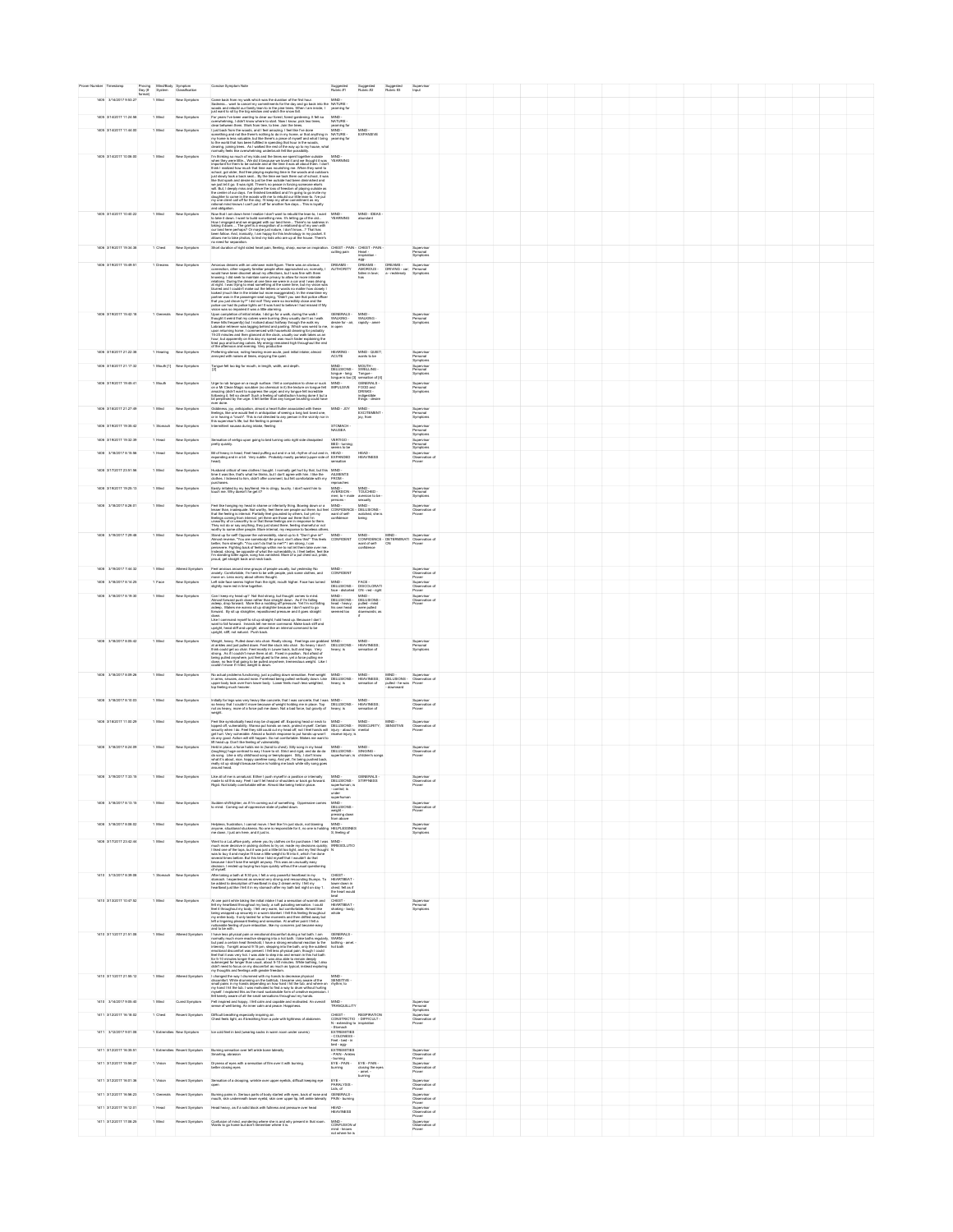| Prover Number Timestamp |          | Proving Mind/Body Symptom<br>Day (# System Classification<br>format) | Concise Symptom Note                                                                                                                                                                                                                                                                                                                                                                                                                                                                                                                                                                                                                                                                                    |                                                                                                     | Suggested Suggested Suggested Supervisor<br>Rubric #1 Rubric #2 Rubric #3 Input |                                                        |                                                                                                            |  |  |  |  |  |  |  |
|-------------------------|----------|----------------------------------------------------------------------|---------------------------------------------------------------------------------------------------------------------------------------------------------------------------------------------------------------------------------------------------------------------------------------------------------------------------------------------------------------------------------------------------------------------------------------------------------------------------------------------------------------------------------------------------------------------------------------------------------------------------------------------------------------------------------------------------------|-----------------------------------------------------------------------------------------------------|---------------------------------------------------------------------------------|--------------------------------------------------------|------------------------------------------------------------------------------------------------------------|--|--|--|--|--|--|--|
| 1405 3/14/2017 9:53:27  |          | 1 Mind New Symptom                                                   | Canne back from my walk which was the duration of the first hour. MIND - Sachness  want to cancel my commitments for the day and go back into the NATURE - woods and rebuild our family learn-to in the given these. When                                                                                                                                                                                                                                                                                                                                                                                                                                                                               |                                                                                                     |                                                                                 |                                                        |                                                                                                            |  |  |  |  |  |  |  |
| 1405 3/14/2017 11:24:58 |          | 1 Mind New Symptom                                                   |                                                                                                                                                                                                                                                                                                                                                                                                                                                                                                                                                                                                                                                                                                         |                                                                                                     |                                                                                 |                                                        |                                                                                                            |  |  |  |  |  |  |  |
|                         |          |                                                                      | For years I've been wanting to clear our forest, forest gardening. It felt so overwhelming, I didn't know where to start. Now I know, pick two trees, clear between them. Work from tree, to tree, Join the trees.                                                                                                                                                                                                                                                                                                                                                                                                                                                                                      | MIND -<br>NATURE -<br>yearning for                                                                  |                                                                                 |                                                        |                                                                                                            |  |  |  |  |  |  |  |
| 1405 3/14/2017 11:44:00 |          | 1 Mind New Symptom                                                   |                                                                                                                                                                                                                                                                                                                                                                                                                                                                                                                                                                                                                                                                                                         |                                                                                                     | MND -<br>EXPANSIVE                                                              |                                                        |                                                                                                            |  |  |  |  |  |  |  |
|                         |          |                                                                      |                                                                                                                                                                                                                                                                                                                                                                                                                                                                                                                                                                                                                                                                                                         |                                                                                                     |                                                                                 |                                                        |                                                                                                            |  |  |  |  |  |  |  |
| 1405 3/14/2017 10:06:00 | 1 Mind   | New Symptom                                                          |                                                                                                                                                                                                                                                                                                                                                                                                                                                                                                                                                                                                                                                                                                         |                                                                                                     |                                                                                 |                                                        |                                                                                                            |  |  |  |  |  |  |  |
|                         |          |                                                                      |                                                                                                                                                                                                                                                                                                                                                                                                                                                                                                                                                                                                                                                                                                         |                                                                                                     |                                                                                 |                                                        |                                                                                                            |  |  |  |  |  |  |  |
|                         |          |                                                                      |                                                                                                                                                                                                                                                                                                                                                                                                                                                                                                                                                                                                                                                                                                         |                                                                                                     |                                                                                 |                                                        |                                                                                                            |  |  |  |  |  |  |  |
|                         |          |                                                                      |                                                                                                                                                                                                                                                                                                                                                                                                                                                                                                                                                                                                                                                                                                         |                                                                                                     |                                                                                 |                                                        |                                                                                                            |  |  |  |  |  |  |  |
| 1405 3/14/2017 10:40:22 | 1 Mind   | New Sympton                                                          |                                                                                                                                                                                                                                                                                                                                                                                                                                                                                                                                                                                                                                                                                                         |                                                                                                     |                                                                                 |                                                        |                                                                                                            |  |  |  |  |  |  |  |
|                         |          |                                                                      |                                                                                                                                                                                                                                                                                                                                                                                                                                                                                                                                                                                                                                                                                                         |                                                                                                     |                                                                                 |                                                        |                                                                                                            |  |  |  |  |  |  |  |
|                         |          |                                                                      | and diffusion. In<br>constraints the main control of the state of the state of the state<br>of the state of the state in the state of the state of the state of the<br>state of the state of the state of the state of the state of th                                                                                                                                                                                                                                                                                                                                                                                                                                                                  |                                                                                                     |                                                                                 |                                                        |                                                                                                            |  |  |  |  |  |  |  |
| 1406 3/19/2017 19:34:38 |          | 1 Chest New Symptom                                                  | Short duration of right sided heart pain, fleeting, sharp, worse on inspiration. CHEST - PAIN - CHEST - PAIN                                                                                                                                                                                                                                                                                                                                                                                                                                                                                                                                                                                            | cutting pain                                                                                        |                                                                                 |                                                        | Superviso<br>Personal<br>Symptoms                                                                          |  |  |  |  |  |  |  |
| 1406 3/19/2017 15:49:51 |          | 1 Dreams New Symptom                                                 |                                                                                                                                                                                                                                                                                                                                                                                                                                                                                                                                                                                                                                                                                                         |                                                                                                     | Heart -<br>inspiration -<br>DREAMS -<br>AMOROUS -                               |                                                        |                                                                                                            |  |  |  |  |  |  |  |
|                         |          |                                                                      | Amorous dreams with an unknown male figure. There was an obvious [DREAMS - connection, other vaguely familiar people often in ground that we are well as a well of the well of the well of the well of the well of the well of                                                                                                                                                                                                                                                                                                                                                                                                                                                                          |                                                                                                     | fallen in love;<br>has                                                          | DREAMS -<br>DRIVING - car;<br>a - recklessly           |                                                                                                            |  |  |  |  |  |  |  |
|                         |          |                                                                      |                                                                                                                                                                                                                                                                                                                                                                                                                                                                                                                                                                                                                                                                                                         |                                                                                                     |                                                                                 |                                                        |                                                                                                            |  |  |  |  |  |  |  |
|                         |          |                                                                      |                                                                                                                                                                                                                                                                                                                                                                                                                                                                                                                                                                                                                                                                                                         |                                                                                                     |                                                                                 |                                                        |                                                                                                            |  |  |  |  |  |  |  |
| 1406 3/19/2017 15:42:18 |          | 1 Generals New Symptom                                               |                                                                                                                                                                                                                                                                                                                                                                                                                                                                                                                                                                                                                                                                                                         |                                                                                                     |                                                                                 |                                                        |                                                                                                            |  |  |  |  |  |  |  |
|                         |          |                                                                      |                                                                                                                                                                                                                                                                                                                                                                                                                                                                                                                                                                                                                                                                                                         |                                                                                                     |                                                                                 |                                                        | Personal<br>Symptoms                                                                                       |  |  |  |  |  |  |  |
|                         |          |                                                                      | considerable and advantage of the state of the state of the state of the state of the state of the state of the state of the state of the state of the state of the state of the state of the state of the state of the state                                                                                                                                                                                                                                                                                                                                                                                                                                                                           |                                                                                                     |                                                                                 |                                                        |                                                                                                            |  |  |  |  |  |  |  |
| 1406 3/18/2017 21:22:38 |          | 1 Hearing New Symptom                                                | Preferring allence, noting hearing more acute, post initial intake; almost<br>annoyed with noises at times, enjoying the quiet.                                                                                                                                                                                                                                                                                                                                                                                                                                                                                                                                                                         | HEARING -<br>ACUTE                                                                                  | MND - QUIET;<br>warfs to be                                                     |                                                        |                                                                                                            |  |  |  |  |  |  |  |
| 1406 3/18/2017 21:17:32 |          | 1 Mouth [1] New Symptom                                              | Tongue felt too big for mouth, in length, width, and depth.<br>[2]                                                                                                                                                                                                                                                                                                                                                                                                                                                                                                                                                                                                                                      | MND.<br>DELUSIONS -                                                                                 | MOUTH -<br>SWELLING -                                                           |                                                        | Superviso<br>Personal<br>Symptom<br>Superviso<br>Personal<br>Symptom                                       |  |  |  |  |  |  |  |
| 1406 3/19/2017 19:45:41 |          | 1 Mouth New Symptom                                                  |                                                                                                                                                                                                                                                                                                                                                                                                                                                                                                                                                                                                                                                                                                         |                                                                                                     | tongue - long; Tongue -<br>tongue is too [3] sensation of [4]                   |                                                        |                                                                                                            |  |  |  |  |  |  |  |
|                         |          |                                                                      | Urge to rub torgue on a rough surface. I felt a computation to chew or suck. MIND-<br>on a Mc Class Magic scrubber (no chemical in 10 the lasture on tongue felt   MIND-<br>amazing (didn't want to suppress the urge) and my tongue                                                                                                                                                                                                                                                                                                                                                                                                                                                                    |                                                                                                     | GENERALS<br>FOOD and<br>DRINKS<br>Indgestible<br>things - desire                |                                                        | Superviso<br>Personal                                                                                      |  |  |  |  |  |  |  |
| 1406 3/18/2017 21:27:49 | 1 Mind   | New Symptom                                                          | rer done.                                                                                                                                                                                                                                                                                                                                                                                                                                                                                                                                                                                                                                                                                               |                                                                                                     |                                                                                 |                                                        |                                                                                                            |  |  |  |  |  |  |  |
|                         |          |                                                                      |                                                                                                                                                                                                                                                                                                                                                                                                                                                                                                                                                                                                                                                                                                         |                                                                                                     | MIND -<br>EXCITEMENT -<br>joy, from                                             |                                                        | Supervisor<br>Personal<br>Symptoms                                                                         |  |  |  |  |  |  |  |
| 1406 3/19/2017 19:35:42 |          | 1 Stomach New Symptom                                                | Intermittent nausea during intake, fleeting                                                                                                                                                                                                                                                                                                                                                                                                                                                                                                                                                                                                                                                             | STOMACH-<br>NAUSEA                                                                                  |                                                                                 |                                                        | Supervisor<br>Personal<br>Symptoms                                                                         |  |  |  |  |  |  |  |
| 1406 3/19/2017 19:32:39 |          | 1 Head New Symptom                                                   | Sensation of vertigo upon going to bed turning onto right side dissipated $\begin{array}{r} \text{VERTIGO} - \text{pently quickly} \end{array}$                                                                                                                                                                                                                                                                                                                                                                                                                                                                                                                                                         |                                                                                                     |                                                                                 |                                                        | Supervisor<br>Personal<br>Symptoms                                                                         |  |  |  |  |  |  |  |
| 1408 3/18/2017 8:15:56  | 1 Head   | New Symptom                                                          | Bit of heavy in head, Feel head puffing out and in a bit, rhythm of out and in, HEAD -<br>expanding and in a bit. Very subtle. Probably mostly parentel (upper side of EXPANDED<br>head).                                                                                                                                                                                                                                                                                                                                                                                                                                                                                                               |                                                                                                     | HEAD -<br>HEAVINESS                                                             |                                                        | Supervisor<br>Observation of                                                                               |  |  |  |  |  |  |  |
| 1408 3/17/2017 23:51:56 | 1 Mind   | New Symptom                                                          |                                                                                                                                                                                                                                                                                                                                                                                                                                                                                                                                                                                                                                                                                                         |                                                                                                     |                                                                                 |                                                        |                                                                                                            |  |  |  |  |  |  |  |
| 1408 3/19/2017 19:25:13 | 1 Mind   | New Symptom                                                          | Husband critical of new clothes I bought. I normally get hurt by that, but this $\,$ MIND - linns it was like, that's what he thinks, but I don't agree with him. I like the $\,$ ALMENTS clothes. I liakend to him, didn't o<br>$\label{eq:2.1} \begin{array}{ll} \text{c-wark} & \text{c-wark} \\ \text{c-wark} & \text{c-wark} \\ \text{c-wark} & \text{c-wark} \\ \text{c-wark} & \text{c-wark} \\ \text{c-wark} & \text{c-wark} \\ \text{c-wark} & \text{c-wark} \\ \text{c-wark} & \text{c-wark} \\ \text{c-wark} & \text{c-wark} \\ \text{c-wark} & \text{c-wark} \\ \text{c-wark} & \text{c-wark} \\ \text{c-wark} & \text{c-wark} \\ \text{c-wark} & \text{c-wark} \\ \text{c-wark} & \text{c$ |                                                                                                     |                                                                                 |                                                        |                                                                                                            |  |  |  |  |  |  |  |
|                         |          |                                                                      |                                                                                                                                                                                                                                                                                                                                                                                                                                                                                                                                                                                                                                                                                                         |                                                                                                     |                                                                                 |                                                        | Superviso<br>Personal<br>Symptoms                                                                          |  |  |  |  |  |  |  |
| 1408 3/18/2017 8:26:01  | 1 Mind   | New Symptom                                                          |                                                                                                                                                                                                                                                                                                                                                                                                                                                                                                                                                                                                                                                                                                         |                                                                                                     |                                                                                 |                                                        | Supervisor<br>Observation of<br>Prover                                                                     |  |  |  |  |  |  |  |
|                         |          |                                                                      |                                                                                                                                                                                                                                                                                                                                                                                                                                                                                                                                                                                                                                                                                                         |                                                                                                     |                                                                                 |                                                        |                                                                                                            |  |  |  |  |  |  |  |
| 1408 3/19/2017 7:29:48  | 1 Mind   | New Symptom                                                          |                                                                                                                                                                                                                                                                                                                                                                                                                                                                                                                                                                                                                                                                                                         |                                                                                                     |                                                                                 |                                                        |                                                                                                            |  |  |  |  |  |  |  |
|                         |          |                                                                      | wormy to similar project with the region to interest once. Hence, the control of the similar project of the similar projection of the similar projection of the similar projection of the similar projection of the similar p                                                                                                                                                                                                                                                                                                                                                                                                                                                                           |                                                                                                     |                                                                                 |                                                        |                                                                                                            |  |  |  |  |  |  |  |
|                         |          |                                                                      |                                                                                                                                                                                                                                                                                                                                                                                                                                                                                                                                                                                                                                                                                                         |                                                                                                     |                                                                                 |                                                        |                                                                                                            |  |  |  |  |  |  |  |
| 1408 3/19/2017 7:44:32  | 1 Mind   | Altered Symptom                                                      | Feel arcocus around new groups of people usually, but yesterday No MIND -<br>ansiety. Comfortable, I'm have to be with people, pick some clothes, and CONFIDENT<br>move on. Less wony about others thought.                                                                                                                                                                                                                                                                                                                                                                                                                                                                                             |                                                                                                     |                                                                                 |                                                        | Supervisor<br>Observation of<br>Prover                                                                     |  |  |  |  |  |  |  |
| 1408 3/18/2017 8:14:25  | 1 Face   | New Symptom                                                          | mové on. Less worry about others thought.<br>Left side face seems higher than the right, mouth higher. Face has turned MIND - DISCOLORATION CORPORT - DISCOLORATI<br>Slightly more red in time together.                                                                                                                                                                                                                                                                                                                                                                                                                                                                                                |                                                                                                     |                                                                                 |                                                        | Supervisor<br>Observation of<br>Prover                                                                     |  |  |  |  |  |  |  |
| 1408 3/18/2017 8:19:30  | 1 Mind   | New Symptom                                                          |                                                                                                                                                                                                                                                                                                                                                                                                                                                                                                                                                                                                                                                                                                         |                                                                                                     |                                                                                 |                                                        | Supervisor<br>Observation of                                                                               |  |  |  |  |  |  |  |
|                         |          |                                                                      |                                                                                                                                                                                                                                                                                                                                                                                                                                                                                                                                                                                                                                                                                                         |                                                                                                     |                                                                                 |                                                        |                                                                                                            |  |  |  |  |  |  |  |
|                         |          |                                                                      | clown.<br>Like I command myself to sit up straight, hold head up. Because I don't<br>ward to fall forward. Imarchs tell me-insert command. Make back stiff and<br>upright, stiff, noad stiff and upright, almost like an internal comma                                                                                                                                                                                                                                                                                                                                                                                                                                                                 |                                                                                                     |                                                                                 |                                                        |                                                                                                            |  |  |  |  |  |  |  |
| 1408 3/18/2017 8:05:42  | 1 Mind   | New Symptom                                                          |                                                                                                                                                                                                                                                                                                                                                                                                                                                                                                                                                                                                                                                                                                         |                                                                                                     |                                                                                 |                                                        |                                                                                                            |  |  |  |  |  |  |  |
|                         |          |                                                                      | Which theory Publish down the chair Real Value of Features and problem LMRC. INDEX and the state of the state of the state of the state of the state of the state of the state of the state of the state of the state of the                                                                                                                                                                                                                                                                                                                                                                                                                                                                            |                                                                                                     |                                                                                 |                                                        | Superman<br>Personal<br>Symptoms                                                                           |  |  |  |  |  |  |  |
|                         |          |                                                                      |                                                                                                                                                                                                                                                                                                                                                                                                                                                                                                                                                                                                                                                                                                         |                                                                                                     |                                                                                 |                                                        |                                                                                                            |  |  |  |  |  |  |  |
| 1408 3/18/2017 8:09:26  | 1 Mind   | New Symptom                                                          | No actual problems functioning, just a pulling down sensation. Feel weight MIND - MIND - MIND - In ames, sincess, anound nose. Forelread being pulled vertically down. Like<br>upper body took over from lower body. Lower feels                                                                                                                                                                                                                                                                                                                                                                                                                                                                        |                                                                                                     |                                                                                 | MIND -<br>DELUSIONS -<br>pulled - he was<br>- downward | Supervisor<br>Observation of<br>Prover                                                                     |  |  |  |  |  |  |  |
|                         |          |                                                                      |                                                                                                                                                                                                                                                                                                                                                                                                                                                                                                                                                                                                                                                                                                         |                                                                                                     |                                                                                 |                                                        |                                                                                                            |  |  |  |  |  |  |  |
| 1408 3/18/2017 8:10:03  | 1 Mind   | New Symptom                                                          | Initially for lega was very heavy like concrete, that I was concrete, that I was MIND - MIND - MIND - MIND - Couldn't move because of weight holding me in place. Top 0ELUSONS - HEAVINESS;<br>so have year of a force pull me do                                                                                                                                                                                                                                                                                                                                                                                                                                                                       |                                                                                                     |                                                                                 |                                                        | Supervisor<br>Observation of                                                                               |  |  |  |  |  |  |  |
| 1408 3/18/2017 11:00:29 | 1 Mind   | New Symptom                                                          |                                                                                                                                                                                                                                                                                                                                                                                                                                                                                                                                                                                                                                                                                                         |                                                                                                     |                                                                                 |                                                        |                                                                                                            |  |  |  |  |  |  |  |
|                         |          |                                                                      |                                                                                                                                                                                                                                                                                                                                                                                                                                                                                                                                                                                                                                                                                                         |                                                                                                     |                                                                                 |                                                        | Observation of                                                                                             |  |  |  |  |  |  |  |
| 1408 3/18/2017 8:24:09  | 1 Mind   | New Symptom                                                          |                                                                                                                                                                                                                                                                                                                                                                                                                                                                                                                                                                                                                                                                                                         |                                                                                                     |                                                                                 |                                                        |                                                                                                            |  |  |  |  |  |  |  |
|                         |          |                                                                      | im mass up. uost 104 hierargi of vuonasitatis.<br>1946 – Halál pálsoz, a force holdá mai (hand to chest). Silly song in my head<br>1949/1949) hago contract to way Theoria bat Shrid and right, and da di ea. Dict.<br>1950/1949 (hand                                                                                                                                                                                                                                                                                                                                                                                                                                                                  |                                                                                                     |                                                                                 |                                                        | Observation of                                                                                             |  |  |  |  |  |  |  |
|                         |          |                                                                      |                                                                                                                                                                                                                                                                                                                                                                                                                                                                                                                                                                                                                                                                                                         |                                                                                                     |                                                                                 |                                                        |                                                                                                            |  |  |  |  |  |  |  |
| 1408 3/19/2017 7:33:15  | 1 Mind   | New Symptom                                                          |                                                                                                                                                                                                                                                                                                                                                                                                                                                                                                                                                                                                                                                                                                         |                                                                                                     | GENERALS-<br>STIFFNESS                                                          |                                                        | Superviso<br><b>Observation of</b><br>Prover                                                               |  |  |  |  |  |  |  |
| 1408 3/18/2017 8:13:15  | 1 Mind   | New Symptom                                                          |                                                                                                                                                                                                                                                                                                                                                                                                                                                                                                                                                                                                                                                                                                         |                                                                                                     |                                                                                 |                                                        |                                                                                                            |  |  |  |  |  |  |  |
|                         |          |                                                                      | Sudden shift-lighter, as if I'm coming out of something. Oppressive comes MIND - to mind. Coming out of oppressive state of pulled down. DELUSIONS -                                                                                                                                                                                                                                                                                                                                                                                                                                                                                                                                                    | weight -<br>pressing down<br>from above                                                             |                                                                                 |                                                        | Supervisor<br>Observation of<br>Prover                                                                     |  |  |  |  |  |  |  |
| 1408 3/18/2017 8:08:02  | 1 Mind   | New Symptom                                                          | Helpless, frustration, I cannot move. I feel like I'm just stuck, not blaming MIND.<br>anyone, situational stuckness. No one is responsible for it, no one is holding HELP/LESSNES<br>me down, I just am here, and it just is.                                                                                                                                                                                                                                                                                                                                                                                                                                                                          |                                                                                                     |                                                                                 |                                                        | Superviso<br>Personal<br>Symptoms                                                                          |  |  |  |  |  |  |  |
| 1408 3/17/2017 23:42:44 | 1 Mind   | New Symptom                                                          |                                                                                                                                                                                                                                                                                                                                                                                                                                                                                                                                                                                                                                                                                                         |                                                                                                     |                                                                                 |                                                        |                                                                                                            |  |  |  |  |  |  |  |
|                         |          |                                                                      |                                                                                                                                                                                                                                                                                                                                                                                                                                                                                                                                                                                                                                                                                                         |                                                                                                     |                                                                                 |                                                        |                                                                                                            |  |  |  |  |  |  |  |
|                         |          |                                                                      | Went to a Lui, allows apply, where you by dother on for purchase. Het I was ARND-<br>transformed model on postage dother as to you made the probability defined in the state of the state and poster<br>was to boy if and maybe IT                                                                                                                                                                                                                                                                                                                                                                                                                                                                      |                                                                                                     |                                                                                 |                                                        |                                                                                                            |  |  |  |  |  |  |  |
| 1410 3/13/2017 8:39:08  |          | 1 Stomach New Symptom                                                | of myself.<br>After taking a bath at 9:30 pm, 1 felt a very powerful heartbeat in my<br>stormach: i experienced as several way strong and resourching through. To interact the present<br>be added to description of heartbeat in day 2                                                                                                                                                                                                                                                                                                                                                                                                                                                                 |                                                                                                     |                                                                                 |                                                        |                                                                                                            |  |  |  |  |  |  |  |
|                         |          |                                                                      |                                                                                                                                                                                                                                                                                                                                                                                                                                                                                                                                                                                                                                                                                                         | the heart would                                                                                     |                                                                                 |                                                        |                                                                                                            |  |  |  |  |  |  |  |
| 1410 3/13/2017 10:47:52 | 1 Mind   | New Symptom                                                          | At come point which<br>also the visible trials a trust a securitor of such a section of<br>$\sim 0.0000$ MeV. The section of the section of the section of<br>$\sim 0.00000$ MeV. The section of the section of the section of<br>$\sim 0.00000$                                                                                                                                                                                                                                                                                                                                                                                                                                                        |                                                                                                     |                                                                                 |                                                        | Superviso<br>Personal<br>Symptoms                                                                          |  |  |  |  |  |  |  |
|                         |          |                                                                      |                                                                                                                                                                                                                                                                                                                                                                                                                                                                                                                                                                                                                                                                                                         |                                                                                                     |                                                                                 |                                                        |                                                                                                            |  |  |  |  |  |  |  |
| 1410 3/11/2017 21:51:08 | 1 Mind   | Altered Sympton                                                      | and to be with.                                                                                                                                                                                                                                                                                                                                                                                                                                                                                                                                                                                                                                                                                         |                                                                                                     |                                                                                 |                                                        |                                                                                                            |  |  |  |  |  |  |  |
|                         |          |                                                                      |                                                                                                                                                                                                                                                                                                                                                                                                                                                                                                                                                                                                                                                                                                         |                                                                                                     |                                                                                 |                                                        |                                                                                                            |  |  |  |  |  |  |  |
|                         |          |                                                                      |                                                                                                                                                                                                                                                                                                                                                                                                                                                                                                                                                                                                                                                                                                         |                                                                                                     |                                                                                 |                                                        |                                                                                                            |  |  |  |  |  |  |  |
| 1410 3/11/2017 21:55:12 | 1 Mind   | Altered Symptom                                                      |                                                                                                                                                                                                                                                                                                                                                                                                                                                                                                                                                                                                                                                                                                         |                                                                                                     |                                                                                 |                                                        |                                                                                                            |  |  |  |  |  |  |  |
|                         |          |                                                                      | my Boughts and beaming with geatest tweedom.<br>I changed that way in channel with my hands to decrease physical of the control of the control of the channel of the control of the channel of the control of the control of th                                                                                                                                                                                                                                                                                                                                                                                                                                                                         |                                                                                                     |                                                                                 |                                                        |                                                                                                            |  |  |  |  |  |  |  |
| 1410 3/14/2017 9:05:40  | 1 Mind   | Cured Symptom                                                        | Felt inspired and happy. I felt calm and capable and motivated. An overall sense of well being. An inner calm and peace. Happiness.                                                                                                                                                                                                                                                                                                                                                                                                                                                                                                                                                                     | MIND -<br>TRANQUILLITY                                                                              |                                                                                 |                                                        |                                                                                                            |  |  |  |  |  |  |  |
| 1411 3/12/2017 16:18:02 | 1 Chest  | Recent Symptom                                                       | Difficult breathing especially inspiring air.<br>Chest feels tight, as if breathing from a pole with tightness of abdomen.                                                                                                                                                                                                                                                                                                                                                                                                                                                                                                                                                                              |                                                                                                     |                                                                                 |                                                        | Supervisor<br>Personal<br>Symptoms                                                                         |  |  |  |  |  |  |  |
|                         |          |                                                                      |                                                                                                                                                                                                                                                                                                                                                                                                                                                                                                                                                                                                                                                                                                         | CHEST - RESPIRATION<br>CONSTRUCTIO - DIFFICULT -<br>N - extending to inspiration<br>- Stomach       |                                                                                 |                                                        | Supervisor<br>Observation<br>Prover                                                                        |  |  |  |  |  |  |  |
| 1411 3/12/2017 9:01:08  |          | 1 Extremities New Symptom                                            | loe cold feet in bed (wearing socks in warm room under covers)                                                                                                                                                                                                                                                                                                                                                                                                                                                                                                                                                                                                                                          | EXTREMITIES<br>- COLDNESS<br>Feet - bed - in<br>bed - agg-                                          |                                                                                 |                                                        |                                                                                                            |  |  |  |  |  |  |  |
| 1411 3/12/2017 16:35:51 |          | 1 Extremities Recent Symptom                                         | Burning sensation over left ankle bone laterally<br>Smarting, abrasion                                                                                                                                                                                                                                                                                                                                                                                                                                                                                                                                                                                                                                  | EXTREMITIES<br>- PAIN - Ankles                                                                      |                                                                                 |                                                        | Supervisor<br>Observation<br>Prover                                                                        |  |  |  |  |  |  |  |
| 1411 3/12/2017 15:58:27 | 1 Vision | Recent Symptom                                                       | Drymess of eyes with a sensation of film over it with burning.<br>better closing eyes                                                                                                                                                                                                                                                                                                                                                                                                                                                                                                                                                                                                                   | - burning<br>EYE - PAIN - EYE - PAIN -<br>burning - dosing the eyes<br>- amal. - amal. -<br>burning |                                                                                 |                                                        | Supervisor<br>Observation of<br>Prover                                                                     |  |  |  |  |  |  |  |
| 1411 3/12/2017 16:01:36 | 1 Vision | Recent Symptom                                                       | Sensation of a dropping, wrinkle over upper eyelids, difficult keeping eye                                                                                                                                                                                                                                                                                                                                                                                                                                                                                                                                                                                                                              | EYE -<br>PARALYSIS -<br>Lids, of                                                                    |                                                                                 |                                                        | Supervisor<br>Observation of<br>Prover                                                                     |  |  |  |  |  |  |  |
| 1411 3/12/2017 16:56:23 |          | 1 Generals Recent Symptom                                            | Burning pains in. Serious parts of body started with eyes, back of nose and GENERALS - mouth, skin underneath lower eyelid, skin over upper lip, left ankle laterally PAIN - burning                                                                                                                                                                                                                                                                                                                                                                                                                                                                                                                    |                                                                                                     |                                                                                 |                                                        |                                                                                                            |  |  |  |  |  |  |  |
| 1411 3/12/2017 16:12:01 | 1 Head   | Recent Symptom                                                       | Head heavy, as if a solid block with fullness and pressure over head                                                                                                                                                                                                                                                                                                                                                                                                                                                                                                                                                                                                                                    | HEAD -<br>HEAVINESS                                                                                 |                                                                                 |                                                        | Copervisor<br>Chaervation of<br>Prover<br>Chaervation of<br>Supervisor<br>Chaervation of<br>Chaervation of |  |  |  |  |  |  |  |
| 1411 3/12/2017 17:08:25 |          | Recent Symptom                                                       | Confusion of mind, wondering where she is and why present in that room.<br>Wants to go home but don't remember where it is.                                                                                                                                                                                                                                                                                                                                                                                                                                                                                                                                                                             | MIND -<br>CONFUSION of                                                                              |                                                                                 |                                                        |                                                                                                            |  |  |  |  |  |  |  |
|                         |          |                                                                      |                                                                                                                                                                                                                                                                                                                                                                                                                                                                                                                                                                                                                                                                                                         | mind - knows<br>not where he is                                                                     |                                                                                 |                                                        |                                                                                                            |  |  |  |  |  |  |  |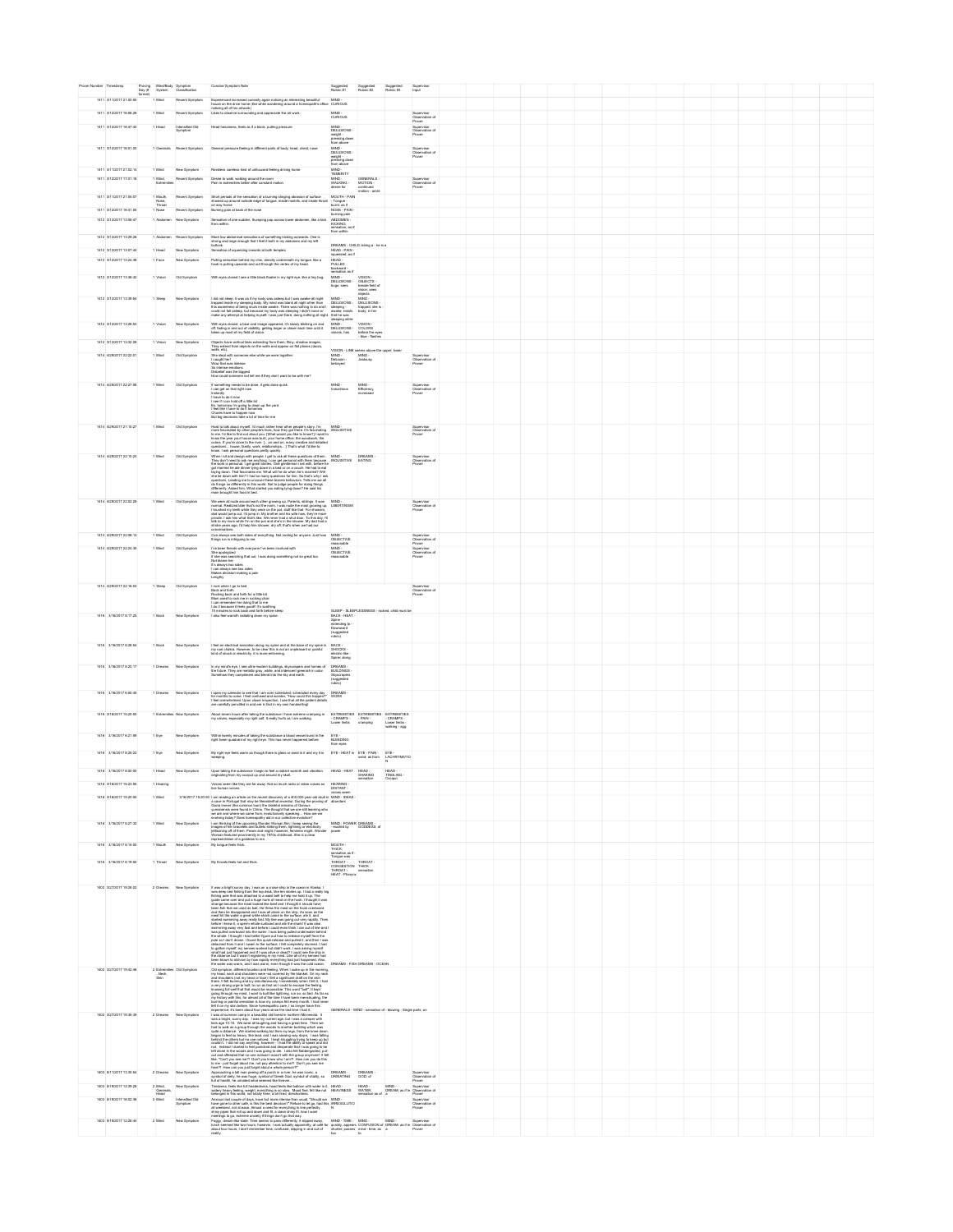| Prover Number Timestamp |                                                    |                           | Proving Mind/Body Symptom<br>Day (# System Classification<br>format)                                                                                                                          | Concise Symptom Note                                                                                                                                                                                                                                                                                                                                                                                                                                                              |                                                                                                                                                             |                                                        | Suggested Suggested Suggested Supervisor<br>Rubric #1 Rubric #2 Rubric #3 Insut                                                                                                                                                                          |                                        |  |  |  |  |  |
|-------------------------|----------------------------------------------------|---------------------------|-----------------------------------------------------------------------------------------------------------------------------------------------------------------------------------------------|-----------------------------------------------------------------------------------------------------------------------------------------------------------------------------------------------------------------------------------------------------------------------------------------------------------------------------------------------------------------------------------------------------------------------------------------------------------------------------------|-------------------------------------------------------------------------------------------------------------------------------------------------------------|--------------------------------------------------------|----------------------------------------------------------------------------------------------------------------------------------------------------------------------------------------------------------------------------------------------------------|----------------------------------------|--|--|--|--|--|
|                         | 1411 3/11/2017 21:00:50                            | 1 Mind                    | Recent Symptom                                                                                                                                                                                | Experienced increased curiosity again noticing an interesting beautiful MND -<br>house on the drive home (like while wandering around a homeopath's office CURIOUS<br>noticing all of her artwork)                                                                                                                                                                                                                                                                                |                                                                                                                                                             |                                                        |                                                                                                                                                                                                                                                          |                                        |  |  |  |  |  |
|                         | 1411 3/12/2017 16:58:26                            | 1 Mind                    | Recent Symptom                                                                                                                                                                                | Likes to observe surrounding and appreciate the art work.                                                                                                                                                                                                                                                                                                                                                                                                                         | MIND-<br><b>CURIOUS</b>                                                                                                                                     |                                                        |                                                                                                                                                                                                                                                          | Observation of<br>Prover               |  |  |  |  |  |
|                         | 1411 3/12/2017 16:47:40                            | 1 Head                    | Intersified Old<br>Symptom                                                                                                                                                                    | Head heaviness, feels as if a block, putting pressure                                                                                                                                                                                                                                                                                                                                                                                                                             | MND -<br>DELUSIONS -<br>weight -<br>pressing down<br>from above                                                                                             |                                                        |                                                                                                                                                                                                                                                          | Supervisor<br>Observation o            |  |  |  |  |  |
|                         | 1411 3/12/2017 16:51:20                            |                           |                                                                                                                                                                                               | 1 Generals Recent Symptom General pressure feeling in different parts of body, head, chest, nose                                                                                                                                                                                                                                                                                                                                                                                  | MND-<br>DELUSIONS -                                                                                                                                         |                                                        |                                                                                                                                                                                                                                                          | Observation of                         |  |  |  |  |  |
|                         | 1411 3/11/2017 21:02:14                            |                           | 1 Mind New Symptom                                                                                                                                                                            | Reckless careless kind of unfocused feeling driving home                                                                                                                                                                                                                                                                                                                                                                                                                          | weight -<br>pressing down<br>from above<br>MIND -<br>TEMERITY                                                                                               |                                                        |                                                                                                                                                                                                                                                          |                                        |  |  |  |  |  |
|                         | 1411 3/12/2017 17:01:18                            | 1 Mind,<br>Extremities    | Recent Symptom                                                                                                                                                                                | Desire to walk, walking around the root<br>Pain in extremities better after constant<br>ant motion                                                                                                                                                                                                                                                                                                                                                                                | MND.<br>WALKING -<br>desire for                                                                                                                             | <b>GENERALS</b><br>MOTION -<br>continued               |                                                                                                                                                                                                                                                          | Supervisor<br>Observation of<br>Prover |  |  |  |  |  |
|                         | 1411 3/11/2017 21:05:07                            | 1 Mouth,                  | Recent Symptom                                                                                                                                                                                |                                                                                                                                                                                                                                                                                                                                                                                                                                                                                   | MOUTH - PAIN                                                                                                                                                |                                                        |                                                                                                                                                                                                                                                          |                                        |  |  |  |  |  |
|                         | 1411 3/12/2017 16:41:05                            | Nose,<br>Throat<br>1 Nose | Recent Symptom                                                                                                                                                                                | Short periods of the sensation of a burning stinging abrasion of surface<br>showed up around outside edge of tongue, inside nostrits, and inside throe<br>on way home<br>Burning pain at back of the nose                                                                                                                                                                                                                                                                         | - Tongue -<br>burnt, as if<br>NOSE - PAIN                                                                                                                   |                                                        |                                                                                                                                                                                                                                                          |                                        |  |  |  |  |  |
|                         | 1412 3/12/2017 13:08:47                            |                           | 1 Abdomen New Symptom                                                                                                                                                                         | Sensation of one sudden, thumping pop across lower abdomen, like a kick<br>from within.                                                                                                                                                                                                                                                                                                                                                                                           | buming pain<br>ABDOMEN -<br>KICKING,<br>sensation, as if;                                                                                                   |                                                        |                                                                                                                                                                                                                                                          |                                        |  |  |  |  |  |
|                         | 1412 5/12/2017 13:20:28                            |                           | 1 Abdomen Recent Symptom                                                                                                                                                                      |                                                                                                                                                                                                                                                                                                                                                                                                                                                                                   | seroseson, a                                                                                                                                                |                                                        |                                                                                                                                                                                                                                                          |                                        |  |  |  |  |  |
|                         |                                                    |                           |                                                                                                                                                                                               | More low abdominal sensations of something kicking outwards. One is<br>strong and large enough that I feel it both in my abdomen and my left<br>buttook.                                                                                                                                                                                                                                                                                                                          |                                                                                                                                                             | DREAMS - CHILD; being a - he is a                      |                                                                                                                                                                                                                                                          |                                        |  |  |  |  |  |
|                         | 1412 3/12/2017 13:07:44<br>1412 3/12/2017 13:24:38 | 1 Head<br>1 Face          | New Symptom<br>New Symptom                                                                                                                                                                    | Sensation of squeezing inwards at both temples.<br>Pulling sensation behind my chin, directly underneath my tongue, like a hook is pulling upwards and out through the vertex of my head.                                                                                                                                                                                                                                                                                         | HEAD - PAIN -<br>squeezed; as if<br>HEAD -<br>PULLED                                                                                                        |                                                        |                                                                                                                                                                                                                                                          |                                        |  |  |  |  |  |
|                         | 1412 3/12/2017 13:38:42                            | 1 Vision                  | Old Symptom                                                                                                                                                                                   | With eyes closed I see a little black floater in my right eye, like a tiny bug.                                                                                                                                                                                                                                                                                                                                                                                                   | backward -<br>sensation as if                                                                                                                               |                                                        |                                                                                                                                                                                                                                                          |                                        |  |  |  |  |  |
|                         | 1412 3/12/2017 13:39:54                            | 1 Sleep                   | New Symptom                                                                                                                                                                                   |                                                                                                                                                                                                                                                                                                                                                                                                                                                                                   | sensation ==<br>MIND -<br>DELUSIONS - CIBJECTS -<br>bugs; sees<br>digit: sees<br>digitions<br>digitions<br>digitions<br>digitions<br>digitions<br>digitions |                                                        |                                                                                                                                                                                                                                                          |                                        |  |  |  |  |  |
|                         |                                                    |                           |                                                                                                                                                                                               | I did not sleep. It was as if my body was askep but I was awake all night<br>as the LLSDONS - the contract of the state as the same simple in the state of the LLSDONS - the company of the<br>increase of the sleep, but because m                                                                                                                                                                                                                                               |                                                                                                                                                             | MIND -<br>DELUSIONS<br>trapped; she is<br>body; in her |                                                                                                                                                                                                                                                          |                                        |  |  |  |  |  |
|                         | 1412 3/12/2017 13:26:53                            | 1 Vision                  | New Symptom                                                                                                                                                                                   | With eyes closed, a blue oval image appeared, it's slowly blinking on and off, fading in and out of visibility, getting larger or closer each time until it takes up most of my field of vision.                                                                                                                                                                                                                                                                                  | MIND - VISION -<br>DELUSIONS - COLORS<br>visions, has - before the eyes<br>- blue - flashes<br>- blue - flashes                                             |                                                        |                                                                                                                                                                                                                                                          |                                        |  |  |  |  |  |
|                         | 1412 3/12/2017 13:32:28                            | 1 Vision                  | New Symptom                                                                                                                                                                                   | Objects have vertical lines extending from them, filmy, shadow images.<br>They extend from objects on the walls and appear on flat planes (doors, walls, etc).                                                                                                                                                                                                                                                                                                                    |                                                                                                                                                             |                                                        |                                                                                                                                                                                                                                                          |                                        |  |  |  |  |  |
|                         | 1414 4/29/2017 22:22:01                            | 1 Mind                    | Old Symptom                                                                                                                                                                                   | She slept with someone else while we were together<br>I caught hart<br>Wow that was interne<br>So interne emplorate<br>Databled was the briggest<br>How could screeone not tell me if they don't want to be with me?<br>How could screeone not tell me if they don't want to be with me?                                                                                                                                                                                          | VISION - LINE seems above the upper, lower<br>MND-                                                                                                          | MND -<br>Jealousy                                      |                                                                                                                                                                                                                                                          | Supervisor<br>Observation of           |  |  |  |  |  |
|                         | 1414 4/29/2017 22:27:08                            | 1 Mind                    | Old Symptom                                                                                                                                                                                   |                                                                                                                                                                                                                                                                                                                                                                                                                                                                                   |                                                                                                                                                             |                                                        |                                                                                                                                                                                                                                                          |                                        |  |  |  |  |  |
|                         |                                                    |                           |                                                                                                                                                                                               | If something needs to be done, it gets done quick<br>I can get on that right now<br>Instantiny<br>I have to do it now<br>I have to do it now<br>Ex. tomorrow i'm going to clean up the yard<br>I had like i have to happen now<br>Chorea have to happen now<br>But big decisions take a lot of time for me<br>But big decisions take a                                                                                                                                            | $MD -$<br>$-$ entrices                                                                                                                                      | MND -<br>Efficiency,<br>Increased                      |                                                                                                                                                                                                                                                          | Observation of                         |  |  |  |  |  |
|                         | 1414 4/29/2017 21:10:27                            | 1 Mind                    | Old Sympto                                                                                                                                                                                    | Natatio la de Andreja estado en poesía de Andreja Marco d'Andreja estado en Andreja estado en Andreja estado en Andreja estado en Andreja estado en Andreja estado en Andreja estado en Andreja estado en Andreja estado en A                                                                                                                                                                                                                                                     |                                                                                                                                                             |                                                        |                                                                                                                                                                                                                                                          | Supervisor<br>Observation of<br>Prover |  |  |  |  |  |
|                         | 1414 4/29/2017 22:10:24                            | 1 Mind                    | Old Symptom                                                                                                                                                                                   |                                                                                                                                                                                                                                                                                                                                                                                                                                                                                   |                                                                                                                                                             |                                                        |                                                                                                                                                                                                                                                          | Supervisor<br>Observation of           |  |  |  |  |  |
|                         |                                                    |                           |                                                                                                                                                                                               | arous 1 and parameterization profits particularly and and any analysis of them. AMO:<br>When is at lead design with people, (get the all all these questions of them. AMO:<br>The second is proposed, (get the all of the conside                                                                                                                                                                                                                                                 |                                                                                                                                                             |                                                        |                                                                                                                                                                                                                                                          |                                        |  |  |  |  |  |
|                         | 1414 4/29/2017 22:02:29                            | 1 Mind                    | Old Sympton                                                                                                                                                                                   |                                                                                                                                                                                                                                                                                                                                                                                                                                                                                   |                                                                                                                                                             |                                                        |                                                                                                                                                                                                                                                          | Supervisor<br>Observation of<br>Prover |  |  |  |  |  |
|                         |                                                    |                           |                                                                                                                                                                                               | We were all mode around start other growing up. Parents, althings, it was<br>not the control of the control of the control start and the model product on<br>$\sim$ 1.082471963M control product of the control of<br>the condition of t                                                                                                                                                                                                                                          |                                                                                                                                                             |                                                        |                                                                                                                                                                                                                                                          |                                        |  |  |  |  |  |
|                         | 1414 4/29/2017 22:08:14                            | 1 Mind                    | Old Symptom                                                                                                                                                                                   | Can always see both sides of everything. Not rooting for anyone. Just how $MND -$ things run is intriguing to me                                                                                                                                                                                                                                                                                                                                                                  |                                                                                                                                                             |                                                        |                                                                                                                                                                                                                                                          | Supervisor<br>Observation o<br>Prover  |  |  |  |  |  |
|                         | 1414 4/29/2017 22:24:35                            | 1 Mind                    | Old Symptom                                                                                                                                                                                   |                                                                                                                                                                                                                                                                                                                                                                                                                                                                                   | MND -<br>OBJECTIVE,                                                                                                                                         |                                                        |                                                                                                                                                                                                                                                          |                                        |  |  |  |  |  |
|                         |                                                    |                           |                                                                                                                                                                                               | I've been friends with everyone I've been involved with<br>She apologized<br>If she was searching that out, I was doing something not so great too<br>Not blame her<br>I'ls always seo sides<br>In a dways a boosted and the states<br>Malete de<br>Lengthy                                                                                                                                                                                                                       |                                                                                                                                                             |                                                        |                                                                                                                                                                                                                                                          |                                        |  |  |  |  |  |
|                         | 1414 4/29/2017 22:16:04                            | 1 Sleep                   | Old Symptom                                                                                                                                                                                   | I reck when I go to bed<br>Back and forth<br>Rocking back and forth for a little bit<br>Mocking back and forth for a little bit<br>I can remember her deing that to me<br>I do it because it feels good! It's soothing<br>15 minutes to rock bac                                                                                                                                                                                                                                  |                                                                                                                                                             |                                                        |                                                                                                                                                                                                                                                          | Supervisor<br>Observation of           |  |  |  |  |  |
|                         | 1416 3/16/2017 8:17:25                             | 1 Back                    | New Sympton                                                                                                                                                                                   | I also feel warmth radiating down my spine                                                                                                                                                                                                                                                                                                                                                                                                                                        |                                                                                                                                                             |                                                        | SLEEP - SLEEPLESSNESS - rocked, child must be                                                                                                                                                                                                            |                                        |  |  |  |  |  |
|                         |                                                    |                           |                                                                                                                                                                                               |                                                                                                                                                                                                                                                                                                                                                                                                                                                                                   | SLEEP - SLEEP<br>BACK - HEAT -<br>Spine -<br>extending to -<br>Downward<br>(suggested<br>rubric)                                                            |                                                        |                                                                                                                                                                                                                                                          |                                        |  |  |  |  |  |
|                         | 1416 3/16/2017 8:28:54                             | 1 Back                    | New Symptom                                                                                                                                                                                   |                                                                                                                                                                                                                                                                                                                                                                                                                                                                                   |                                                                                                                                                             |                                                        |                                                                                                                                                                                                                                                          |                                        |  |  |  |  |  |
|                         |                                                    |                           |                                                                                                                                                                                               | I feel an electrical sensation along my spine and at the base of my spine in $BACK-$ my root chakes. However, to be clear this is not an unpleasant or painful $BHOCKS$ sind of shock or electricly, it is more enfivering.                                                                                                                                                                                                                                                       | electric-like -<br>Spine; along                                                                                                                             |                                                        |                                                                                                                                                                                                                                                          |                                        |  |  |  |  |  |
|                         | 1416 3/16/2017 8:20:17                             | 1 Dreams                  | New Symptom                                                                                                                                                                                   | In my mind's eye, I see ultra-modem buildings, skyscrapers and homes of<br>the future. They are metallic gray, white, and indescent greenish in color.<br>Somehow they compliment and blend into the sky and earth.                                                                                                                                                                                                                                                               | DREAMS -<br>BUILDINGS                                                                                                                                       |                                                        |                                                                                                                                                                                                                                                          |                                        |  |  |  |  |  |
|                         | 1416 3/16/2017 6:50:45                             |                           | New Symptom                                                                                                                                                                                   |                                                                                                                                                                                                                                                                                                                                                                                                                                                                                   | Skyscrapers<br>(suggested<br>rubric)                                                                                                                        |                                                        |                                                                                                                                                                                                                                                          |                                        |  |  |  |  |  |
|                         |                                                    |                           |                                                                                                                                                                                               | I open my calendar to see that I am over scheduled; scheduled every day DREAMS -<br>for months to come. I feel confused and wonder, "How could this happen?" WORK<br>I feel overwheimed. Upon closest inspection, I see that all the                                                                                                                                                                                                                                              |                                                                                                                                                             |                                                        |                                                                                                                                                                                                                                                          |                                        |  |  |  |  |  |
|                         | 1416 3/16/2017 15:20:50                            |                           | 1 Extremities New Symptom                                                                                                                                                                     | About seven hours after taking the substance I have extreme cramping in EXTREMITIES EXTREMITIES EXTREMITIES EXTREMITIES (CRAMPS) - PAIN<br>- CRAMPS - FPAIN - CRAMPS - FPAIN - CRAMPS - FPAIN - CRAMPS - COMPS - COMPS - COMPS -                                                                                                                                                                                                                                                  |                                                                                                                                                             |                                                        | Lower limbs -<br>walking - agg                                                                                                                                                                                                                           |                                        |  |  |  |  |  |
|                         | 1416 3/16/2017 6:21:59                             | 1 Eye                     | New Symptom                                                                                                                                                                                   | Within twenty minutes of taking the substance a blood vessel bunst in the $EYE - right$ lower quadrant of my right eye. This has never happened before. $BLEEDNG$                                                                                                                                                                                                                                                                                                                 |                                                                                                                                                             |                                                        |                                                                                                                                                                                                                                                          |                                        |  |  |  |  |  |
|                         |                                                    |                           |                                                                                                                                                                                               |                                                                                                                                                                                                                                                                                                                                                                                                                                                                                   | from eyes                                                                                                                                                   |                                                        |                                                                                                                                                                                                                                                          |                                        |  |  |  |  |  |
|                         | 1416 3/16/2017 8:25:22                             | 1 Eye                     | New Sympton                                                                                                                                                                                   | My right eye feels warm as though there is glass or send in it and my it is EYE - HEAT in EYE - PAIN - EYE - Weeping.<br>weeping.<br>NGHEYMATIO                                                                                                                                                                                                                                                                                                                                   |                                                                                                                                                             |                                                        |                                                                                                                                                                                                                                                          |                                        |  |  |  |  |  |
|                         | 1416 3/16/2017 8:00:00                             | 1 Head                    | New Symptom                                                                                                                                                                                   | Upon taking the substance I begin to feel a radiant warmth and vibration HEAD - HEAT HEAD - originating from my occiput up and around my skult.                                                                                                                                                                                                                                                                                                                                   |                                                                                                                                                             |                                                        | HEAD -<br>TINGLING -<br>Occiput                                                                                                                                                                                                                          |                                        |  |  |  |  |  |
|                         | 1416 3/16/2017 15:23:55                            | 1 Hearing                 |                                                                                                                                                                                               | Voices seem like they are far away. Not so much radio or video voices as HEARING live human voices. DISTANT -                                                                                                                                                                                                                                                                                                                                                                     |                                                                                                                                                             |                                                        |                                                                                                                                                                                                                                                          |                                        |  |  |  |  |  |
|                         | 1416 3/16/2017 15:20:50                            | 1 Mind                    |                                                                                                                                                                                               | 1/16/2017 15/2050   iam reading an article on the recent discovery of a 400,000-year-old skull in MNED - IDEAS<br>  a care in Portugal that may be Neardstribute ancestor. During the proving of   abundant<br>  Gavia interact (the                                                                                                                                                                                                                                              |                                                                                                                                                             |                                                        |                                                                                                                                                                                                                                                          |                                        |  |  |  |  |  |
|                         |                                                    |                           |                                                                                                                                                                                               | we are and where we came from, evolutionarily speaking How :<br>evolving today? Does homeopathy aid in our collective evolution?                                                                                                                                                                                                                                                                                                                                                  |                                                                                                                                                             |                                                        |                                                                                                                                                                                                                                                          |                                        |  |  |  |  |  |
|                         | 1416 3/16/2017 8:27:32                             |                           | 1 Mind New Symptom                                                                                                                                                                            | I am thinking of the upcoming Wonder Women film; I leasp seeing the<br>images of her bracelets and bullets striking them, lighting or elactricity<br>jatisseming off of them. Power and might; however, feminine might, Wonder<br>Women                                                                                                                                                                                                                                           | MND - POWER DREAMS -<br>- exclud by GODDESS; of                                                                                                             |                                                        |                                                                                                                                                                                                                                                          |                                        |  |  |  |  |  |
|                         | 1416 3/16/2017 8:15:00                             |                           | 1 Mouth New Symptom                                                                                                                                                                           | My tongue feels thick.                                                                                                                                                                                                                                                                                                                                                                                                                                                            |                                                                                                                                                             |                                                        |                                                                                                                                                                                                                                                          |                                        |  |  |  |  |  |
|                         | 1416 3/16/2017 8:19:50                             |                           |                                                                                                                                                                                               | 1 Throat New Symptom My throats feels hot and thick.                                                                                                                                                                                                                                                                                                                                                                                                                              | MOUTH -<br>THICK:<br>sensation as if -<br>Tongue was                                                                                                        |                                                        |                                                                                                                                                                                                                                                          |                                        |  |  |  |  |  |
|                         |                                                    |                           |                                                                                                                                                                                               |                                                                                                                                                                                                                                                                                                                                                                                                                                                                                   | THROAT - THROAT -<br>CONGESTION THICK<br>THROAT - sensation<br>THROAT -<br>HEAT - Pharynx                                                                   |                                                        |                                                                                                                                                                                                                                                          |                                        |  |  |  |  |  |
|                         | 1402 3/27/2017 19:28:02                            |                           | 2 Dreams New Symptom                                                                                                                                                                          | $\alpha$ and an arbitrary the state of the state of the state of the state of the state of the state of the state of the state of the state of the state of the state of the state of the state of the state of the state of the                                                                                                                                                                                                                                                  |                                                                                                                                                             |                                                        |                                                                                                                                                                                                                                                          |                                        |  |  |  |  |  |
|                         | 1402 3/27/2017 19:42:46                            |                           | $\begin{tabular}{ll} 2 Endominus & Old Symptom \\ & Note. \\ Siin & \end{tabular}$                                                                                                            |                                                                                                                                                                                                                                                                                                                                                                                                                                                                                   |                                                                                                                                                             |                                                        |                                                                                                                                                                                                                                                          |                                        |  |  |  |  |  |
|                         |                                                    |                           |                                                                                                                                                                                               | Old symptom, different location and feeling. When I woke up in the morning,<br>my head, neck and shoulders were not covered by the blanket. On my mock<br>and shoulders (not my head or face) I felt a significant draft on the skin<br>these. It fels burning and ticy introduces<br>could be estable the fact that is a very streng urge to both to runs as last as<br>$1$ could be estable the feeding of the set of the<br>strength and that the could be imposed<br>by the f |                                                                                                                                                             |                                                        |                                                                                                                                                                                                                                                          |                                        |  |  |  |  |  |
|                         | 1402 3/27/2017 19:35:39                            |                           | 2 Dreams New Symptom                                                                                                                                                                          |                                                                                                                                                                                                                                                                                                                                                                                                                                                                                   | GENERALS - WIND - sensation of - blowing - Single parts; on                                                                                                 |                                                        |                                                                                                                                                                                                                                                          |                                        |  |  |  |  |  |
|                         | 1403 5/11/2017 13:35:54                            |                           | 2 Dreams New Symptom                                                                                                                                                                          | experience, it been effects for pairs in the pair of the first limit of the state of the state of the state of the state of the state of the state of the state of the state of the state of the state of the state of the st                                                                                                                                                                                                                                                     |                                                                                                                                                             |                                                        |                                                                                                                                                                                                                                                          |                                        |  |  |  |  |  |
|                         | 1403 5/19/2017 12:39:28                            |                           |                                                                                                                                                                                               | Approaching a tail man peeing off a porch in a river, he was iconic, a $DREAMS - DREAMS -$ Symbol of design, he was hope, symbol of Greek God, symbol of vitality, so URNATING $GOD$ , of full of health, he univaried what seemed lik                                                                                                                                                                                                                                            |                                                                                                                                                             |                                                        |                                                                                                                                                                                                                                                          | Supervisor<br>Observation of<br>Prover |  |  |  |  |  |
|                         | 1403 5/19/2017 16:02:36                            |                           | $\begin{tabular}{l c} 2 Mid & New Sympton \\ \hline \textbf{Centerals}, & New Sympton \\ \hline \textbf{Hund} & \textbf{Itheraified Old} \\ \hline 2 Mind & \textbf{System} \\ \end{tabular}$ |                                                                                                                                                                                                                                                                                                                                                                                                                                                                                   |                                                                                                                                                             |                                                        | $\begin{tabular}{l c c c} \hline \text{HEAD -} & \text{MIND -} & \text{Sopariator} \\ \text{WATEP}, & \text{DREAM, as if in Christian of} \\ \text{saussian as of} & \text{Power} \\ \text{Dopariator} & \text{Conservation of} \\ \hline \end{tabular}$ |                                        |  |  |  |  |  |
|                         |                                                    |                           |                                                                                                                                                                                               | nue or easily. An unitable which determined the forest<br>over the basis in Fig. 1990. The state of the matchings have been been been been in the HDMO-<br>matching matching of the control of the matching of the state Most Unite                                                                                                                                                                                                                                               |                                                                                                                                                             |                                                        |                                                                                                                                                                                                                                                          |                                        |  |  |  |  |  |
|                         | 1403 5/19/2017 12:28:44                            |                           | 2 Mind New Symptom                                                                                                                                                                            | means you will be assumed as a series of the state of the state. That is a state of the state of the supervisor<br>I state in the state of the state of the state of the state of the state of the state of the DeckM, as if in<br>                                                                                                                                                                                                                                               |                                                                                                                                                             |                                                        |                                                                                                                                                                                                                                                          |                                        |  |  |  |  |  |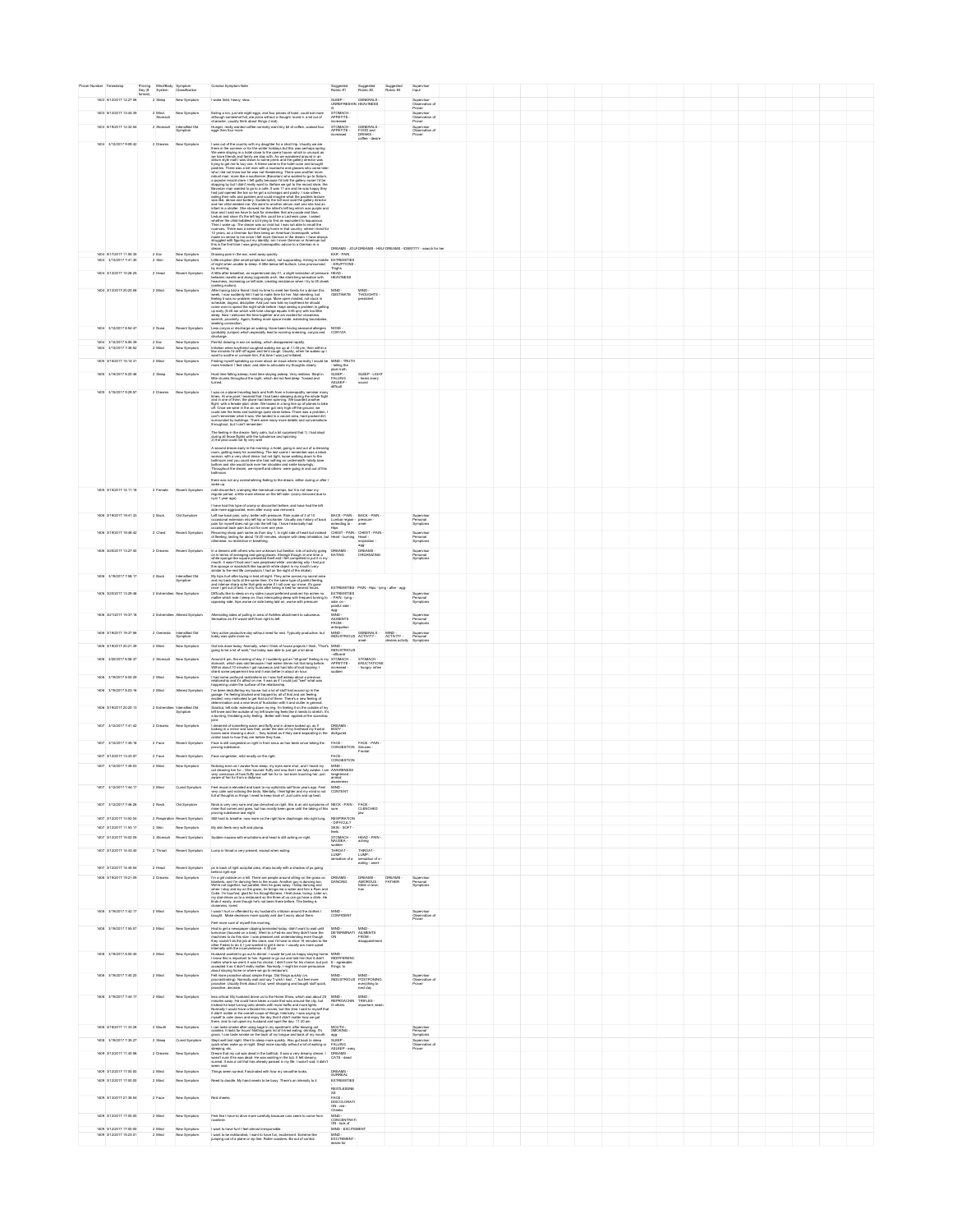| Prover Number Timestamp |                                                    |                             |                                                                                                                                  | Proving Mind/Body Symptom Concise Symptom Note $\text{Day}(\theta$ System Classification                                                                                                                                                                                                                                                                                                                                                                                                           |                                                                                   | Supposted Supposted Supposted Supervisor<br>Rubric #1 Rubric #2 Rubric #3 Input |                                          |                                                                |  |  |  |  |  |
|-------------------------|----------------------------------------------------|-----------------------------|----------------------------------------------------------------------------------------------------------------------------------|----------------------------------------------------------------------------------------------------------------------------------------------------------------------------------------------------------------------------------------------------------------------------------------------------------------------------------------------------------------------------------------------------------------------------------------------------------------------------------------------------|-----------------------------------------------------------------------------------|---------------------------------------------------------------------------------|------------------------------------------|----------------------------------------------------------------|--|--|--|--|--|
|                         | 1403 5/12/2017 12:27:06                            |                             | 2 Sleep New Symptom                                                                                                              | I woke tired, heavy, slow                                                                                                                                                                                                                                                                                                                                                                                                                                                                          | SLEEP - GENERALS                                                                  |                                                                                 |                                          |                                                                |  |  |  |  |  |
|                         | 1403 5/12/2017 13:44:35                            |                             |                                                                                                                                  |                                                                                                                                                                                                                                                                                                                                                                                                                                                                                                    |                                                                                   |                                                                                 |                                          | Supervisor<br>Observation of<br>Prover                         |  |  |  |  |  |
|                         |                                                    |                             | 2 Mind, New Symptom<br>Stornach                                                                                                  | $\label{lem:main} \begin{minipage}[c]{0.9\linewidth} \textbf{Eating a ten, just ate } \textbf{inlet get the graph.} \end{minipage} \begin{minipage}[c]{0.9\linewidth} \textbf{Fs} & \textbf{if } \textbf{f} \textbf{inlet} \\ \textbf{if } \textbf{f} \textbf{inlet} & \textbf{if } \textbf{f} \textbf{inlet} \\ \textbf{if } \textbf{f} \textbf{inlet} & \textbf{if } \textbf{f} \textbf{inlet} \\ \textbf{if } \textbf{t} \textbf{inlet} & \textbf{if } \textbf{t} \textbf{inlet} \\ \textbf{if$ |                                                                                   |                                                                                 |                                          | Supervisor<br>Observation of<br>Prover                         |  |  |  |  |  |
|                         | 1403 5/19/2017 12:32:54                            |                             | 2 Stornach Intersified Old<br>Symptom                                                                                            | Hunger, really wanted coffee normally want tiny bit of coffee, cooked four eggs then four more.                                                                                                                                                                                                                                                                                                                                                                                                    | STOMACH-<br>APPETITE                                                              | GENERALS -<br>FOOD and<br>DRINKS -<br>coffee - desire                           |                                          | Supervisor<br>Observation of                                   |  |  |  |  |  |
|                         |                                                    |                             |                                                                                                                                  |                                                                                                                                                                                                                                                                                                                                                                                                                                                                                                    |                                                                                   |                                                                                 |                                          |                                                                |  |  |  |  |  |
|                         | 1404 3/12/2017 9:09:42                             | 2 Dreams New Symptom        |                                                                                                                                  | $\label{eq:2} \begin{split} \text{d} \mathbf{w} & \text{d} \mathbf{w} = \mathbf{w} \cdot \mathbf{w} + \mathbf{w} \cdot \mathbf{w} + \mathbf{w} \cdot \mathbf{w} + \mathbf{w} \cdot \mathbf{w} + \mathbf{w} \cdot \mathbf{w} + \mathbf{w} \cdot \mathbf{w} + \mathbf{w} \cdot \mathbf{w} + \mathbf{w} \cdot \mathbf{w} + \mathbf{w} \cdot \mathbf{w} + \mathbf{w} \cdot \mathbf{w} + \mathbf{w} \cdot \mathbf{w} + \mathbf{w} \cdot \mathbf{w} + \mathbf{$                                          |                                                                                   |                                                                                 |                                          |                                                                |  |  |  |  |  |
|                         |                                                    |                             |                                                                                                                                  |                                                                                                                                                                                                                                                                                                                                                                                                                                                                                                    |                                                                                   |                                                                                 |                                          |                                                                |  |  |  |  |  |
|                         |                                                    |                             |                                                                                                                                  |                                                                                                                                                                                                                                                                                                                                                                                                                                                                                                    |                                                                                   |                                                                                 |                                          |                                                                |  |  |  |  |  |
|                         |                                                    |                             |                                                                                                                                  |                                                                                                                                                                                                                                                                                                                                                                                                                                                                                                    |                                                                                   |                                                                                 |                                          |                                                                |  |  |  |  |  |
|                         |                                                    |                             |                                                                                                                                  |                                                                                                                                                                                                                                                                                                                                                                                                                                                                                                    |                                                                                   |                                                                                 |                                          |                                                                |  |  |  |  |  |
|                         |                                                    |                             |                                                                                                                                  |                                                                                                                                                                                                                                                                                                                                                                                                                                                                                                    |                                                                                   |                                                                                 |                                          |                                                                |  |  |  |  |  |
|                         |                                                    |                             |                                                                                                                                  |                                                                                                                                                                                                                                                                                                                                                                                                                                                                                                    |                                                                                   |                                                                                 |                                          |                                                                |  |  |  |  |  |
|                         |                                                    |                             |                                                                                                                                  | is<br>the first mass contained train view term to another and the interest in<br>the life of the showld me the interesting that he gurple is red blue, and<br>I did not also the showld me the look for remediate that are gurple and<br>                                                                                                                                                                                                                                                          |                                                                                   |                                                                                 |                                          |                                                                |  |  |  |  |  |
|                         |                                                    |                             |                                                                                                                                  |                                                                                                                                                                                                                                                                                                                                                                                                                                                                                                    |                                                                                   |                                                                                 |                                          |                                                                |  |  |  |  |  |
|                         |                                                    |                             |                                                                                                                                  | munness. These was a sense of being home in that country, when I lived for 12 years, as a German but then being an American homespath, which make no sense to me aimed to the dealer structure of the property structure of th                                                                                                                                                                                                                                                                     |                                                                                   |                                                                                 |                                          |                                                                |  |  |  |  |  |
|                         |                                                    |                             |                                                                                                                                  |                                                                                                                                                                                                                                                                                                                                                                                                                                                                                                    |                                                                                   | DREAMS - JOUF DREAMS - HELF DREAMS - IDENTITY - search for he                   |                                          |                                                                |  |  |  |  |  |
|                         | 1404 5/17/2017 11:55:35<br>1404 3/13/2017 7:41:30  | 2 Ear<br>2 Skin             | New Symptom                                                                                                                      | Drawing pain in the ear, went away quickly                                                                                                                                                                                                                                                                                                                                                                                                                                                         | EAR - PAIN                                                                        |                                                                                 |                                          |                                                                |  |  |  |  |  |
|                         |                                                    |                             |                                                                                                                                  | Little engtion (like small pimple but solid), not suppurating. Itching in middle EXTREMITIES of Inight when unable to sleep. A little below left but<br>face. Less pronounced by moning. Filter but a state in the pronounced by                                                                                                                                                                                                                                                                   |                                                                                   |                                                                                 |                                          |                                                                |  |  |  |  |  |
|                         | 1404 3/12/2017 10:26:25                            | 2 Head                      | Recent Symptom                                                                                                                   |                                                                                                                                                                                                                                                                                                                                                                                                                                                                                                    | HEAVINESS                                                                         |                                                                                 |                                          |                                                                |  |  |  |  |  |
|                         | 80.05.05 10030 5130                                |                             |                                                                                                                                  | $\begin{minipage}[t]{.5\textwidth} \begin{tabular}{p{0.8cm}p{0.8cm}} \hline \textbf{11}\textbf{1}\textbf{1}\textbf{1}\textbf{2}\textbf{3} & \textbf{2}\textbf{3}\textbf{3} & \textbf{3}\textbf{4}\textbf{5} & \textbf{5}\textbf{5} & \textbf{6}\textbf{6} & \textbf{7}\textbf{7}\textbf{8} & \textbf{8}\textbf{9} & \textbf{9}\textbf{1} & \textbf{10}\textbf{1} & \textbf{10}\textbf{1} & \textbf{10}\textbf{1} & \textbf{10}\textbf{1$                                                           |                                                                                   |                                                                                 |                                          |                                                                |  |  |  |  |  |
|                         |                                                    | 2 Mind                      | New Symptom                                                                                                                      | (or<br>minimal modes). A showed had no firm to mean har family for a direct this<br>$200\%$ constantly fill intelligent in the mass for two Kostandards (or<br>minimal modes). And the mass form of the mass for two Kostandards and<br>c                                                                                                                                                                                                                                                          |                                                                                   | MND -<br>THOUGHTS -                                                             |                                          |                                                                |  |  |  |  |  |
|                         |                                                    |                             |                                                                                                                                  |                                                                                                                                                                                                                                                                                                                                                                                                                                                                                                    |                                                                                   |                                                                                 |                                          |                                                                |  |  |  |  |  |
|                         |                                                    |                             |                                                                                                                                  |                                                                                                                                                                                                                                                                                                                                                                                                                                                                                                    |                                                                                   |                                                                                 |                                          |                                                                |  |  |  |  |  |
|                         | 1404 3/12/2017 8:54:47                             | 2 Nose                      | Recent Symptom                                                                                                                   |                                                                                                                                                                                                                                                                                                                                                                                                                                                                                                    |                                                                                   |                                                                                 |                                          |                                                                |  |  |  |  |  |
|                         |                                                    |                             |                                                                                                                                  | Less coryza or discharge on waking. Have been having seasonal altergies $NOSE$ - (probably Juniper) which especially lead to morning sneezing, coryza and $CORYZA$<br>discharge.                                                                                                                                                                                                                                                                                                                   |                                                                                   |                                                                                 |                                          |                                                                |  |  |  |  |  |
|                         | 1404 3/12/2017 8:55:39<br>1404 3/13/2017 7:36:52   | 2.5 <sub>kt</sub><br>2 Mind | New Symptom<br>New Symptom                                                                                                       | Painful drawing in ear on waking, which disappeared rapidly.                                                                                                                                                                                                                                                                                                                                                                                                                                       |                                                                                   |                                                                                 |                                          |                                                                |  |  |  |  |  |
|                         |                                                    |                             |                                                                                                                                  | Initiation when boyfriend coughed waking me up at 11:45 pm, then<br>few minutes I'd drift off again and he'd cough. Usually, when he w<br>want to soothe or console him, this time I was just imbated.                                                                                                                                                                                                                                                                                             |                                                                                   |                                                                                 |                                          |                                                                |  |  |  |  |  |
|                         | 1405 3/15/2017 15:14:31                            | 2 Mind                      | New Symptom                                                                                                                      | Finding myself speaking up more about an issue where normally I would be MIND - TRUTH more healtest. I feel clear, and able to articulate my thoughts clearly. Intimity the fulling the                                                                                                                                                                                                                                                                                                            |                                                                                   |                                                                                 |                                          |                                                                |  |  |  |  |  |
|                         | 1405 3/15/2017 8:20:46                             | 2 Sleep                     | New Symptom                                                                                                                      | Hard time falling askeep; hard time staying askeep. Very restless. Slept in<br>little churks throughout the night, which did not feel deep. Tossed and<br>furned.                                                                                                                                                                                                                                                                                                                                  | SLEEP-                                                                            | SLEEP - LIGHT<br>- hears every<br>sound                                         |                                          |                                                                |  |  |  |  |  |
|                         |                                                    |                             |                                                                                                                                  |                                                                                                                                                                                                                                                                                                                                                                                                                                                                                                    | FALLING<br>ASLEEP-                                                                |                                                                                 |                                          |                                                                |  |  |  |  |  |
|                         | 1405 3/15/2017 9:29:57                             |                             | 2 Dreams New Symptom                                                                                                             | I was on a plane traveling back and forth from a horesopality seminar many times. At one point I keared that I had been sleeping during that whole light and the condition of the state of the plane back of the fight and th                                                                                                                                                                                                                                                                      |                                                                                   |                                                                                 |                                          |                                                                |  |  |  |  |  |
|                         |                                                    |                             |                                                                                                                                  |                                                                                                                                                                                                                                                                                                                                                                                                                                                                                                    |                                                                                   |                                                                                 |                                          |                                                                |  |  |  |  |  |
|                         |                                                    |                             |                                                                                                                                  |                                                                                                                                                                                                                                                                                                                                                                                                                                                                                                    |                                                                                   |                                                                                 |                                          |                                                                |  |  |  |  |  |
|                         |                                                    |                             |                                                                                                                                  | sumounded by buildings. There were many more details and co.<br>throughout, but I can't remember.                                                                                                                                                                                                                                                                                                                                                                                                  |                                                                                   |                                                                                 |                                          |                                                                |  |  |  |  |  |
|                         |                                                    |                             |                                                                                                                                  | The feeling in the dream- fairly calm, but a bit surprised that 1) I had slept during all those flights with the turbulence and spinning<br>2) the pilot could not fly very well                                                                                                                                                                                                                                                                                                                   |                                                                                   |                                                                                 |                                          |                                                                |  |  |  |  |  |
|                         |                                                    |                             |                                                                                                                                  | A second dream early in the members a hold, going in and cut of a dressing nearch of the state of the constanting The last hoces in formulation was a black constraint was a black constraint of the state of the batter on t                                                                                                                                                                                                                                                                      |                                                                                   |                                                                                 |                                          |                                                                |  |  |  |  |  |
|                         |                                                    |                             |                                                                                                                                  |                                                                                                                                                                                                                                                                                                                                                                                                                                                                                                    |                                                                                   |                                                                                 |                                          |                                                                |  |  |  |  |  |
|                         |                                                    |                             |                                                                                                                                  |                                                                                                                                                                                                                                                                                                                                                                                                                                                                                                    |                                                                                   |                                                                                 |                                          |                                                                |  |  |  |  |  |
|                         |                                                    |                             |                                                                                                                                  | there was not any overwhelming feeling to the dream, either during or after I woke up.                                                                                                                                                                                                                                                                                                                                                                                                             |                                                                                   |                                                                                 |                                          |                                                                |  |  |  |  |  |
|                         | 1405 3/15/2017 14:11:18                            |                             | 2 Female Recent Symptom                                                                                                          |                                                                                                                                                                                                                                                                                                                                                                                                                                                                                                    |                                                                                   |                                                                                 |                                          |                                                                |  |  |  |  |  |
|                         |                                                    |                             |                                                                                                                                  | mild discomfort, cramping like mensitual cramps, but it is not near my<br>regular period. a little more intense on the left side- (ovary removed due to<br>cyst 1 year ago).                                                                                                                                                                                                                                                                                                                       |                                                                                   |                                                                                 |                                          |                                                                |  |  |  |  |  |
|                         |                                                    |                             |                                                                                                                                  | I have had this type of cramp or discomfort before, and have had the left side more aggravated, even after ovary was removed.                                                                                                                                                                                                                                                                                                                                                                      |                                                                                   |                                                                                 |                                          |                                                                |  |  |  |  |  |
|                         | 1406 3/19/2017 19:41:33                            | 2 Back                      | Old Symptom                                                                                                                      |                                                                                                                                                                                                                                                                                                                                                                                                                                                                                                    |                                                                                   |                                                                                 |                                          | Supervisor<br>Personal<br>Symptoms                             |  |  |  |  |  |
|                         | 1406 3/19/2017 19:48:42                            |                             | 2 Chest Recent Symptom                                                                                                           |                                                                                                                                                                                                                                                                                                                                                                                                                                                                                                    |                                                                                   |                                                                                 |                                          |                                                                |  |  |  |  |  |
|                         |                                                    |                             |                                                                                                                                  |                                                                                                                                                                                                                                                                                                                                                                                                                                                                                                    |                                                                                   |                                                                                 |                                          | Superviso<br>Personal<br>Symptoms                              |  |  |  |  |  |
|                         | 1406 3/20/2017 13:27:40                            |                             | 2 Dreams Recent Symptom                                                                                                          |                                                                                                                                                                                                                                                                                                                                                                                                                                                                                                    |                                                                                   |                                                                                 |                                          |                                                                |  |  |  |  |  |
|                         |                                                    |                             |                                                                                                                                  | In a cheanna with others who are unknown but familiar, lots of activity going $\Box$ DEEAMS - on thermal procedure and prong planes to the prop in counterparts of models in the state of the state of the state of the state o                                                                                                                                                                                                                                                                    |                                                                                   |                                                                                 |                                          | Supervisor<br>Personal<br>Symptoms                             |  |  |  |  |  |
|                         |                                                    |                             |                                                                                                                                  |                                                                                                                                                                                                                                                                                                                                                                                                                                                                                                    |                                                                                   |                                                                                 |                                          |                                                                |  |  |  |  |  |
|                         | 1406 3/19/2017 7:58:17                             | 2 Back                      | <b>Intersified Old</b><br>Symptom                                                                                                | annum un una matematica del al might. They ache a cross my sacral anna.<br>My hips huct after laying in bed all might. They ache across my sacral anna.<br>and my black hurts aft the same time. It's the same type of paint/i feeli                                                                                                                                                                                                                                                               |                                                                                   |                                                                                 |                                          |                                                                |  |  |  |  |  |
|                         | 1406 3/20/2017 13:29:48                            |                             | 2 Extremities New Symptom                                                                                                        |                                                                                                                                                                                                                                                                                                                                                                                                                                                                                                    | <b>EXTREMITIES</b>                                                                | EXTREMITIES - PAIN - Hips - lying - after - agg-                                |                                          |                                                                |  |  |  |  |  |
|                         |                                                    |                             |                                                                                                                                  | Difficulty like to sleep on my sides (usual preferred posture) hip aches no<br>matter which side I sleep on, thus interrupting sleep with frequent turning to<br>opposing side, hips worse on side being laid on, worse with pressur                                                                                                                                                                                                                                                               | - PAIN - lying -<br>side; on -<br>painful side -                                  |                                                                                 |                                          | Supervisor<br>Personal<br>Symptoms                             |  |  |  |  |  |
|                         |                                                    |                             |                                                                                                                                  |                                                                                                                                                                                                                                                                                                                                                                                                                                                                                                    | - 102                                                                             |                                                                                 |                                          |                                                                |  |  |  |  |  |
|                         | 1406 3/21/2017 19:37:18                            |                             | 2 Extremities Altered Symptom                                                                                                    | Alternating sides of pulling in area of Achilles attachment to calcaneus.<br>Sensation as if it would shift from right to left.                                                                                                                                                                                                                                                                                                                                                                    | MND -<br>ALMENTS                                                                  |                                                                                 |                                          | Personal<br>Symptoms                                           |  |  |  |  |  |
|                         | 1406 3/19/2017 19:37:56                            |                             |                                                                                                                                  | Very active productive day without need for rest. Typically productive, but $MNO -$ GENERALS - today was quite more so.                                                                                                                                                                                                                                                                                                                                                                            | FROM -<br>arricipation                                                            |                                                                                 |                                          |                                                                |  |  |  |  |  |
|                         |                                                    |                             | $\begin{tabular}{c} 2 \textbf{ General} \hspace{2.3cm} \textbf{Itersified Old} \\ \hspace{2.3cm} \textbf{Symptom} \end{tabular}$ |                                                                                                                                                                                                                                                                                                                                                                                                                                                                                                    |                                                                                   |                                                                                 | MIND -<br>ACTIVITY -<br>desires activity | Supervisor<br>Personal<br>Sumstress                            |  |  |  |  |  |
|                         | 1406 3/19/2017 20:21:39                            | 2 Mind                      | New Symptom                                                                                                                      | Got lots done today. Normally, when I think of house projects I think, "That's MIND - going to be a lot of work," but today was able to just get a lot done. INDUSTRIOUS                                                                                                                                                                                                                                                                                                                           | - efficient                                                                       |                                                                                 |                                          |                                                                |  |  |  |  |  |
|                         | 1406 3/20/2017 6:06:37                             |                             | 2 Stomach New Symptom                                                                                                            |                                                                                                                                                                                                                                                                                                                                                                                                                                                                                                    |                                                                                   | ERUCTATIONS                                                                     |                                          |                                                                |  |  |  |  |  |
|                         |                                                    |                             |                                                                                                                                  | Around 8 pm, the evening of day 2 I suddenly got an "all gone" feeling in my $STOMACH-$ STOMACH stormed), which was odd because I had eaten direct mod that long before. APPETITE ERUCTATIC With about 10 minutes I got nauseous                                                                                                                                                                                                                                                                   |                                                                                   | - hungry, when                                                                  |                                          |                                                                |  |  |  |  |  |
|                         | 1406 3/19/2017 8:00:29                             |                             | 2 Mind New Symptom                                                                                                               | Charles horm profound main means were available to the state of the control of the state of the state of the state of the state of the state of the main and the state of the main and the state of the main and the state of                                                                                                                                                                                                                                                                      |                                                                                   |                                                                                 |                                          |                                                                |  |  |  |  |  |
|                         | 1406 3/19/2017 8:03:16                             | 2 Mind                      | Altered Symptom                                                                                                                  |                                                                                                                                                                                                                                                                                                                                                                                                                                                                                                    |                                                                                   |                                                                                 |                                          |                                                                |  |  |  |  |  |
|                         |                                                    |                             |                                                                                                                                  |                                                                                                                                                                                                                                                                                                                                                                                                                                                                                                    |                                                                                   |                                                                                 |                                          |                                                                |  |  |  |  |  |
|                         | 1406 3/19/2017 20:20:13                            |                             | 2 Extremities Intensified Old<br>Symptom                                                                                         | Sciatica, left side, extending down my leg. I'm feeling it on the cutside of my<br>left knee and the outside of my left lower leg feels like it needs to stretch. It's<br>a burning, throbbing achy feeling. Better with heat applie                                                                                                                                                                                                                                                               |                                                                                   |                                                                                 |                                          |                                                                |  |  |  |  |  |
|                         | 1407 3/12/2017 7:41:42                             |                             | 2 Dreams New Symptom                                                                                                             |                                                                                                                                                                                                                                                                                                                                                                                                                                                                                                    |                                                                                   |                                                                                 |                                          |                                                                |  |  |  |  |  |
|                         |                                                    |                             |                                                                                                                                  | ports.<br>I chicamed of scenathing warm and fluffy and in cheam tooked up, as if<br>I coloing in a minor and saw that, under the skin of my foothead my frontal BCOY -<br>Donna were showing a divort  they looked as if they were s                                                                                                                                                                                                                                                               |                                                                                   |                                                                                 |                                          |                                                                |  |  |  |  |  |
|                         | 1407 3/12/2017 7:45:18                             |                             | 2 Face Recent Symptom                                                                                                            | center back to how they are before they tuse<br>Face is still congested on right in foot sinus as has been since taking the FACE - FACE - FACE - FACE - FACE - F<br>proving substance.                                                                                                                                                                                                                                                                                                             |                                                                                   | FACE - PAIN                                                                     |                                          |                                                                |  |  |  |  |  |
|                         |                                                    | 2 Face                      |                                                                                                                                  |                                                                                                                                                                                                                                                                                                                                                                                                                                                                                                    |                                                                                   |                                                                                 |                                          |                                                                |  |  |  |  |  |
|                         | 1407 3/12/2017 13:43:57<br>1407 3/12/2017 7:49:03  | 2 Mind                      | New Symptom                                                                                                                      | Recent Symptom Face congestion, mild mostly on the right.                                                                                                                                                                                                                                                                                                                                                                                                                                          | FACE -<br>CONGESTION                                                              |                                                                                 |                                          |                                                                |  |  |  |  |  |
|                         |                                                    |                             |                                                                                                                                  | Noticing even as I awoke from sleep, my eyes were shut, and I heard my  MIND - Cell clearaing her fur She shounds fluid in the my different care with the word particle was promotions of how in the wear bound in the w                                                                                                                                                                                                                                                                           |                                                                                   |                                                                                 |                                          |                                                                |  |  |  |  |  |
|                         | 1407 3/12/2017 7:44:17                             |                             |                                                                                                                                  |                                                                                                                                                                                                                                                                                                                                                                                                                                                                                                    |                                                                                   |                                                                                 |                                          |                                                                |  |  |  |  |  |
|                         |                                                    |                             | 2 Mind Cured Symptom                                                                                                             | Feel mood is elevated and back to my optimistic self from years ago. Feel MIND -<br>very calm and noticing the birds. Mentally, I feel lighter and my mind is not CONTENT<br>full of thoughts or things I need to keep track of . Ju                                                                                                                                                                                                                                                               |                                                                                   |                                                                                 |                                          |                                                                |  |  |  |  |  |
|                         | 1407 3/12/2017 7:46:26                             |                             | 2 Neck Old Symptom                                                                                                               | Neck is very very sore and jaw clenched on right, this is an old symptoms of NECK - PAIN - FACE -<br>mine that conses and goes, but has mostly been gone until the taking of this sore CLENCHED                                                                                                                                                                                                                                                                                                    |                                                                                   |                                                                                 |                                          |                                                                |  |  |  |  |  |
|                         |                                                    |                             |                                                                                                                                  | proving substance last night                                                                                                                                                                                                                                                                                                                                                                                                                                                                       |                                                                                   |                                                                                 |                                          |                                                                |  |  |  |  |  |
|                         | 1407 3/12/2017 13:52:04<br>1407 3/12/2017 11:53:17 |                             |                                                                                                                                  | 2 Respiration Recent Symptom Still hard to breathe, now more on the right form diaphragm into right lung. RESPIRATION<br>2 Skin New Symptom My skin feels very soft and plump.                                                                                                                                                                                                                                                                                                                     | - DIFFICULT                                                                       |                                                                                 |                                          |                                                                |  |  |  |  |  |
|                         | 1407 3/12/2017 15:02:05                            |                             | 2 Stomach Recent Symptom                                                                                                         | Sudden nausea with eructations and head is still aching on right.                                                                                                                                                                                                                                                                                                                                                                                                                                  | SKN - SOFT -<br>feels                                                             |                                                                                 |                                          |                                                                |  |  |  |  |  |
|                         |                                                    |                             |                                                                                                                                  |                                                                                                                                                                                                                                                                                                                                                                                                                                                                                                    | STOMACH -<br>NAUSEA -<br>sudden                                                   | HEAD - PAIN<br>aching                                                           |                                          |                                                                |  |  |  |  |  |
|                         | 1407 5/12/2017 14:45:40                            |                             |                                                                                                                                  | $2 \text{~~Thread} \qquad \text{Recent Symptom} \qquad \text{Lump in threat is very present, except when earing.}$                                                                                                                                                                                                                                                                                                                                                                                 | THROAT -                                                                          | THROAT -<br>LUMP:<br>sensation of a<br>eating - amel-                           |                                          |                                                                |  |  |  |  |  |
|                         |                                                    |                             |                                                                                                                                  |                                                                                                                                                                                                                                                                                                                                                                                                                                                                                                    |                                                                                   |                                                                                 |                                          |                                                                |  |  |  |  |  |
|                         |                                                    |                             |                                                                                                                                  |                                                                                                                                                                                                                                                                                                                                                                                                                                                                                                    |                                                                                   |                                                                                 |                                          |                                                                |  |  |  |  |  |
|                         | 1407 3/12/2017 14:45:54<br>1408 3/19/2017 19:21:09 |                             | 2 Head Recent Symptom<br>2 Dreams New Symptom                                                                                    | px in back of right occipital area, sharp locally with a shadow of px going behind right eye                                                                                                                                                                                                                                                                                                                                                                                                       |                                                                                   |                                                                                 |                                          |                                                                |  |  |  |  |  |
|                         |                                                    |                             |                                                                                                                                  |                                                                                                                                                                                                                                                                                                                                                                                                                                                                                                    |                                                                                   |                                                                                 | DREAMS<br>FATHER                         | Supervisor<br>Personal<br>Pumatang                             |  |  |  |  |  |
|                         |                                                    |                             |                                                                                                                                  |                                                                                                                                                                                                                                                                                                                                                                                                                                                                                                    |                                                                                   | DREAMS -<br>AMOROUS -<br>fallen in love;<br>has                                 |                                          |                                                                |  |  |  |  |  |
|                         |                                                    |                             |                                                                                                                                  | Defined right spins<br>a comparable on a hill. There are people around sifting on the grass on<br>Climate Canada comparable to the music Anchorate gray is described by<br>We've not together, but parallel, there has goes away I lo<br>closeness, lo                                                                                                                                                                                                                                             |                                                                                   |                                                                                 |                                          |                                                                |  |  |  |  |  |
|                         | 1408 3/19/2017 7:42:17                             | 2 Mind                      | New Symptom                                                                                                                      | I wasn't hurt or offended by my husband's criticism around the clothes I MIND -<br>bought. Make decisions more quickly and don't worry about them. CONFIDENT                                                                                                                                                                                                                                                                                                                                       |                                                                                   |                                                                                 |                                          | Supervisor<br>Observation of                                   |  |  |  |  |  |
|                         | 1408 3/19/2017 7:55:07                             | 2 Mind                      | New Symptom                                                                                                                      | Feel more sure of myself this morning.                                                                                                                                                                                                                                                                                                                                                                                                                                                             |                                                                                   |                                                                                 |                                          |                                                                |  |  |  |  |  |
|                         |                                                    |                             |                                                                                                                                  |                                                                                                                                                                                                                                                                                                                                                                                                                                                                                                    |                                                                                   |                                                                                 |                                          |                                                                |  |  |  |  |  |
|                         |                                                    |                             |                                                                                                                                  |                                                                                                                                                                                                                                                                                                                                                                                                                                                                                                    |                                                                                   |                                                                                 |                                          |                                                                |  |  |  |  |  |
|                         | 1408 3/19/2017 8:00:45                             | 2 Mind                      | New Symptom                                                                                                                      | From three team of myseles may merelless the fact to wait until $\Delta(982)$ .<br>Here the state is the state of the state of the state of the state of the state of the state of the state of<br>the state state is an analyze of th                                                                                                                                                                                                                                                             |                                                                                   |                                                                                 |                                          |                                                                |  |  |  |  |  |
|                         |                                                    |                             |                                                                                                                                  |                                                                                                                                                                                                                                                                                                                                                                                                                                                                                                    |                                                                                   |                                                                                 |                                          |                                                                |  |  |  |  |  |
|                         | 1408 3/19/2017 7:40:20                             | 2 Mind                      | New Symptom                                                                                                                      | internativy with the incorrection<br>case of the post as happy staying home. MND - However, in the post and the<br>post in important is him. Apparel to post and their home than the didn't. In<br>Northern the main terms of the prop                                                                                                                                                                                                                                                             |                                                                                   |                                                                                 |                                          |                                                                |  |  |  |  |  |
|                         |                                                    |                             |                                                                                                                                  | assura assyrigi norm to winner we go to reassurance.<br>Felt more proactive about simple things. Did things quickly (vs.<br>procriatinating). Normally wait and say "I wish I had", but feel more<br>proactive. Usually think about                                                                                                                                                                                                                                                                |                                                                                   |                                                                                 |                                          | Observation of                                                 |  |  |  |  |  |
|                         | 1408 3/19/2017 7:44:17                             | 2 Mind                      | New Symptom                                                                                                                      |                                                                                                                                                                                                                                                                                                                                                                                                                                                                                                    | MIND - MIND - MIND -<br>INDUSTRIOUS POSTPONING<br>If quick,<br>mist day           |                                                                                 |                                          |                                                                |  |  |  |  |  |
|                         |                                                    |                             |                                                                                                                                  |                                                                                                                                                                                                                                                                                                                                                                                                                                                                                                    |                                                                                   |                                                                                 |                                          |                                                                |  |  |  |  |  |
|                         |                                                    |                             |                                                                                                                                  |                                                                                                                                                                                                                                                                                                                                                                                                                                                                                                    |                                                                                   |                                                                                 |                                          |                                                                |  |  |  |  |  |
|                         | 1408 3/18/2017 11:33:28                            |                             | 2 Mouth New Symptom                                                                                                              | has offset My handerd down on the highest Down, which was doned 25 - MAND.<br>metadas away the could have taken a sculp that was around the city, but<br>instance has kept summary one should away more traffic and more lights.<br>                                                                                                                                                                                                                                                               |                                                                                   |                                                                                 |                                          |                                                                |  |  |  |  |  |
|                         |                                                    | 2 Sleep                     | Cured Symptom                                                                                                                    |                                                                                                                                                                                                                                                                                                                                                                                                                                                                                                    |                                                                                   |                                                                                 |                                          |                                                                |  |  |  |  |  |
|                         | 1408 3/19/2017 7:35:27                             |                             |                                                                                                                                  | I can taste smoke after valve sample in my spartment, after blowing out<br>$\sim$ Distribution of the valve sample in my apartment, after blowing out<br>Centriful Table (Four after the sample and of a flowed easing a film out<br>                                                                                                                                                                                                                                                              | FALLING<br>ASLEEP - easy                                                          |                                                                                 |                                          | Supervisor<br>Personal<br>Symptoms<br>Supervisor<br>Observatio |  |  |  |  |  |
|                         | 1409 3/12/2017 11:40:56                            |                             | 2 Dreams New Symptom                                                                                                             |                                                                                                                                                                                                                                                                                                                                                                                                                                                                                                    |                                                                                   |                                                                                 |                                          |                                                                |  |  |  |  |  |
|                         | 1409 3/12/2017 17:00:00                            | 2 Mind                      | New Symptom                                                                                                                      | Things seem surreal. Fascinated with how my amouthie looks.                                                                                                                                                                                                                                                                                                                                                                                                                                        |                                                                                   |                                                                                 |                                          |                                                                |  |  |  |  |  |
|                         | 1409 3/12/2017 17:00:00                            | 2 Mind                      | New Symptom                                                                                                                      | Need to doodle. My hand needs to be busy. There's an intensity to it.                                                                                                                                                                                                                                                                                                                                                                                                                              | DREAMS -<br>SURREAL<br>EXTREMITIES                                                |                                                                                 |                                          |                                                                |  |  |  |  |  |
|                         |                                                    |                             |                                                                                                                                  |                                                                                                                                                                                                                                                                                                                                                                                                                                                                                                    | RESTLESSNE                                                                        |                                                                                 |                                          |                                                                |  |  |  |  |  |
|                         | 1409 3/13/2017 21:35:54                            |                             | 2 Face New Symptom                                                                                                               | Red cheeks                                                                                                                                                                                                                                                                                                                                                                                                                                                                                         | FACE -                                                                            |                                                                                 |                                          |                                                                |  |  |  |  |  |
|                         |                                                    |                             |                                                                                                                                  |                                                                                                                                                                                                                                                                                                                                                                                                                                                                                                    | DISCOLORATI<br>ON - red -<br>Cheeks                                               |                                                                                 |                                          |                                                                |  |  |  |  |  |
|                         | 1409 3/12/2017 17:00:00                            | 2 Mind                      | New Symptom                                                                                                                      | Feel like I have to drive more carefully because cars seem to come from                                                                                                                                                                                                                                                                                                                                                                                                                            |                                                                                   |                                                                                 |                                          |                                                                |  |  |  |  |  |
|                         | 1409 3/12/2017 17:00:00<br>1409 3/12/2017 15:23:01 | 2 Mind<br>2 Mind            | New Symptom<br>New Symptom                                                                                                       | I want to have furl I feel almost irresponsible.<br>I want to be exhibitated. I want to have fun, excitement. Extreme like jumping out of a plane or zip line. Roller coasters. Be out of control.                                                                                                                                                                                                                                                                                                 | MIND -<br>CONCENTRATI<br>ON - lack of<br>MND - EXCITEMENT<br>MIND -<br>EXCITEMENT |                                                                                 |                                          |                                                                |  |  |  |  |  |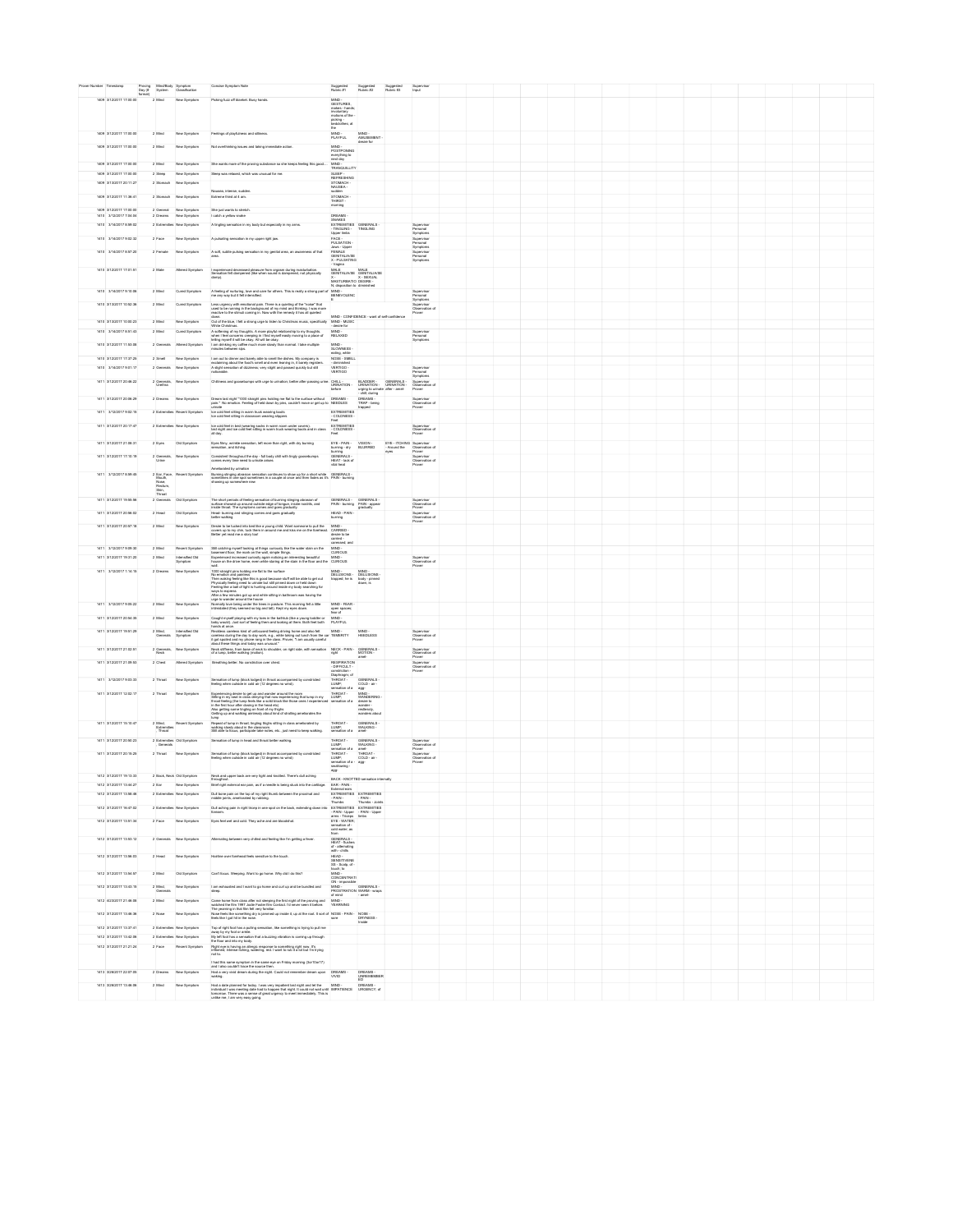| Prover Number | Timestamp                                        | Proving Mind/Body Symptom<br>Day (# System Classification<br>format)             |                                             | Concise Symptom Note                                                                                                                                                                                                                    | Supposted<br>Rubric #1                                                                                                    | Suggested Suggested<br>Rubric #2 Rubric #3                                                      |                                                                        | Supervisor<br>Input                                                       |  |  |  |  |  |  |  |
|---------------|--------------------------------------------------|----------------------------------------------------------------------------------|---------------------------------------------|-----------------------------------------------------------------------------------------------------------------------------------------------------------------------------------------------------------------------------------------|---------------------------------------------------------------------------------------------------------------------------|-------------------------------------------------------------------------------------------------|------------------------------------------------------------------------|---------------------------------------------------------------------------|--|--|--|--|--|--|--|
|               | 1409 3/12/2017 17:00:00                          | 2 Mind                                                                           | New Symptom                                 | Picking fuzz off blanket. Busy hands                                                                                                                                                                                                    |                                                                                                                           |                                                                                                 |                                                                        |                                                                           |  |  |  |  |  |  |  |
|               |                                                  |                                                                                  |                                             |                                                                                                                                                                                                                                         | MND -<br>GESTURES,<br>makes - hands;<br>involuntary<br>motions of the -<br>beddothes; at<br>the<br>train.                 |                                                                                                 |                                                                        |                                                                           |  |  |  |  |  |  |  |
|               |                                                  |                                                                                  |                                             |                                                                                                                                                                                                                                         |                                                                                                                           |                                                                                                 |                                                                        |                                                                           |  |  |  |  |  |  |  |
|               | 1409 3/12/2017 17:00:00                          | 2 Mind                                                                           | New Symptom                                 | Feelings of playfulness and alliness                                                                                                                                                                                                    | MND -<br>PLAYFUL                                                                                                          |                                                                                                 |                                                                        |                                                                           |  |  |  |  |  |  |  |
|               | 1409 3/12/2017 17:00:00                          | 2 Mind                                                                           | New Symptom                                 | Not overthinking issues and taking immediate action                                                                                                                                                                                     |                                                                                                                           | MND -<br>AMUSEMENT<br>desire for                                                                |                                                                        |                                                                           |  |  |  |  |  |  |  |
|               |                                                  |                                                                                  |                                             |                                                                                                                                                                                                                                         | MIND<br>POSTPONING<br>everything to<br>next day                                                                           |                                                                                                 |                                                                        |                                                                           |  |  |  |  |  |  |  |
|               | 1409 3/12/2017 17:00:00                          | 2 Mind                                                                           | New Symptom                                 | She wants more of the proving substance so she keeps feeling this good.                                                                                                                                                                 | MIND -<br>TRANQUILLITY                                                                                                    |                                                                                                 |                                                                        |                                                                           |  |  |  |  |  |  |  |
|               | 1409 3/12/2017 17:00:00                          | 2 Sleep                                                                          | New Symptom                                 | Steep was relaxed, which was unusual for me.                                                                                                                                                                                            | SLEEP -<br>REFRESHING                                                                                                     |                                                                                                 |                                                                        |                                                                           |  |  |  |  |  |  |  |
|               | 1409 3/13/2017 20:11:27                          | 2 Stomach New Sympton                                                            |                                             | Nausea, intense, sudden                                                                                                                                                                                                                 | STOMACH<br>NAUSEA -<br>sudden                                                                                             |                                                                                                 |                                                                        |                                                                           |  |  |  |  |  |  |  |
|               | 1409 3/12/2017 11:36:41                          |                                                                                  | 2 Stomach New Symptom                       | Extreme thirst at 4 am.                                                                                                                                                                                                                 | STOMACH<br>THIRST -<br>morning                                                                                            |                                                                                                 |                                                                        |                                                                           |  |  |  |  |  |  |  |
|               | 1409 3/12/2017 17:00:00                          | 2 General                                                                        | New Symptom<br>New Symptom                  | She just werts to stretch.<br>I catch a yellow snake                                                                                                                                                                                    |                                                                                                                           |                                                                                                 |                                                                        |                                                                           |  |  |  |  |  |  |  |
|               | 1410 3/12/2017 7:04:04<br>1410 3/14/2017 8:59:02 | 2 Dreams                                                                         |                                             |                                                                                                                                                                                                                                         | DREAMS -<br>SNAKES                                                                                                        |                                                                                                 |                                                                        |                                                                           |  |  |  |  |  |  |  |
|               |                                                  | 2 Extremi                                                                        | New Sympton                                 | A tinging sensation in my body but especially in my arms.                                                                                                                                                                               | EXTREMITIES GENERALS<br>TINGLING - TINGLING<br>Upper limbs                                                                |                                                                                                 |                                                                        | Supervisor<br>Personal<br>Symptoms                                        |  |  |  |  |  |  |  |
|               | 1410 3/14/2017 9:02:32                           | 2 Face                                                                           | New Symptom                                 | A pulsating sensation in my upper right jaw                                                                                                                                                                                             | FACE<br>PULSATION<br>Janes - Upper                                                                                        |                                                                                                 |                                                                        | Supervisor<br>Personal<br>Symptoms                                        |  |  |  |  |  |  |  |
|               | 1410 3/14/2017 8:57:20                           | 2 Female                                                                         | New Symptom                                 | A soft, subtle pulsing sensation in my genital area, an awareness of that area.                                                                                                                                                         | FEMALE<br>GENITALIA/SE<br>X - PULSATING<br>- Vagina                                                                       |                                                                                                 |                                                                        | Supervisor<br>Personal<br>Symptoms                                        |  |  |  |  |  |  |  |
|               | 1410 3/12/2017 17:01:51                          | 2 Male                                                                           | Altered Symptom                             |                                                                                                                                                                                                                                         |                                                                                                                           |                                                                                                 |                                                                        |                                                                           |  |  |  |  |  |  |  |
|               |                                                  |                                                                                  |                                             | I experienced decreased pleasure from orgasm during masturbation.<br>Sensation felt dampened (like when sound is dampened, not physically<br>damp).                                                                                     |                                                                                                                           | MALE MALE<br>GENITALIA/SE GENITALIA/SE<br>X. DETURBATIO DESIRE -<br>N, dispositon to diminished |                                                                        |                                                                           |  |  |  |  |  |  |  |
|               | 1410 3/14/2017 9:10:06                           | 2 Mind                                                                           | Cured Symptom                               |                                                                                                                                                                                                                                         |                                                                                                                           |                                                                                                 |                                                                        |                                                                           |  |  |  |  |  |  |  |
|               |                                                  |                                                                                  |                                             | A feeling of nurturing, love and care for others. This is really a strong part of $\overline{MND}$ - me any way but it felt intensified.                                                                                                |                                                                                                                           |                                                                                                 |                                                                        | Supervisor<br>Personal<br>Symptoms<br>Supervisor<br>Observation<br>Prover |  |  |  |  |  |  |  |
|               | 1410 3/13/2017 10:52:36                          | 2 Mind                                                                           | Cured Symptom                               | Less urgency with emotional pain. There is a quieting of the "noise" that<br>used to be running in the background of my mind and thinking. I was more<br>reactive to the stimuli coming in. Now with the remedy it has all quieted<br>d |                                                                                                                           |                                                                                                 |                                                                        |                                                                           |  |  |  |  |  |  |  |
|               | 1410 3/13/2017 10:00:23                          | 2 Mind                                                                           | New Symptom                                 | Out of the blue, I felt a strong urge to listen to Christmas music, specifically MND - MUSIC White Christmas.                                                                                                                           |                                                                                                                           | MIND - CONFIDENCE - want of self-confid                                                         |                                                                        |                                                                           |  |  |  |  |  |  |  |
|               | 1410 3/14/2017 8:51:43                           | 2 Mind                                                                           | Cured Symptom                               |                                                                                                                                                                                                                                         |                                                                                                                           |                                                                                                 |                                                                        | Supervisor<br>Personal<br>Symptoms                                        |  |  |  |  |  |  |  |
|               | 1410 3/12/2017 11:53:08                          |                                                                                  | 2 Generals Altered Symptom                  | wrow Lonearnes.<br>A softening of my thoughts. A more playful relationship to my thoughts.<br>when I Seld concerns cessings in I find myself easily moving to a place of MELAXED<br>Letting myself it will be obey. All with or obey    |                                                                                                                           |                                                                                                 |                                                                        |                                                                           |  |  |  |  |  |  |  |
|               | 1410 3/12/2017 17:37:25                          | 2 Small                                                                          | New Symptom                                 |                                                                                                                                                                                                                                         | MIND -<br>SLOWNESS -<br>eating, while<br>NOSE - SMELL<br>- diminished                                                     |                                                                                                 |                                                                        |                                                                           |  |  |  |  |  |  |  |
|               | 1410 3/14/2017 9:01:17                           | 2 Generals                                                                       | New Sympton                                 | I am out to dinner and barely able to smell the dishes. My company is<br>exclaiming about the food's smell and even leaning in, it barely registers.<br>A slight sensation of dizziness; very slight and passed quickly but still<br>no | VERTIGO<br>VERTIGO                                                                                                        |                                                                                                 |                                                                        | Supervisor<br>Personal<br>Symptoms                                        |  |  |  |  |  |  |  |
|               | 1411 3/12/2017 20:46:22                          | 2 Generals<br>Unethra                                                            | New Sympton                                 |                                                                                                                                                                                                                                         |                                                                                                                           | BLADDER - GENERALS -<br>URINATION - URINATION -                                                 |                                                                        | Supervisor<br>Observation of                                              |  |  |  |  |  |  |  |
|               |                                                  |                                                                                  |                                             | Chiliness and gooseburres with urge to urination; better after passing urine. CHILL - URINATION -<br>URINATION - URINATION                                                                                                              |                                                                                                                           | urging to urin<br>- chill, during                                                               |                                                                        |                                                                           |  |  |  |  |  |  |  |
|               | 1411 3/12/2017 20:06:29                          |                                                                                  | 2 Dreams New Symptom                        | Dream last right "1000 straight pins holding me flat to the surface without DREAMS - pain." Rio emotion. Feeling of held down by pins, couldn't move or get up to NEEDLES                                                               |                                                                                                                           | DREAMS -<br>TRAP - being                                                                        |                                                                        | Supervisor<br>Observation of<br>Prover                                    |  |  |  |  |  |  |  |
|               | 1411 3/12/2017 9:02:15                           |                                                                                  | 2 Extremities Recent Symptom                | Ice cold feet sitting in warm truck wearing boots<br>Ice cold feet sitting in classroom wearing slippers                                                                                                                                | EXTREMITIES<br>- COLDNESS -<br>Feet                                                                                       |                                                                                                 |                                                                        |                                                                           |  |  |  |  |  |  |  |
|               | 1411 3/12/2017 20:17:47                          | 2 Extremities New Sympton                                                        |                                             | Ice cold feet in bed (wearing socks in warm noom under covers).<br>last night and ice cold feet sitting in warm truck wearing boots and in class<br>all day.                                                                            | EXTREMITIES<br>- COLDNESS -<br>Feet                                                                                       |                                                                                                 |                                                                        |                                                                           |  |  |  |  |  |  |  |
|               |                                                  |                                                                                  |                                             |                                                                                                                                                                                                                                         |                                                                                                                           |                                                                                                 |                                                                        | Supervisor<br>Observation of<br>Prover                                    |  |  |  |  |  |  |  |
|               | 1411 3/12/2017 21:08:31                          | 2 Eyes                                                                           | <b>Old Symptom</b>                          | Eyes filmy, wrinkle sensation, left more than right, with dry burning<br>sensation, and itching.                                                                                                                                        |                                                                                                                           | VISION -<br>BLURRED                                                                             | EYE - ITCHING Supervisor<br>- Around the Chienvision of<br>eyes Prover |                                                                           |  |  |  |  |  |  |  |
|               | 1411 3/12/2017 17:10:19                          | 2 Generals,<br>Urine                                                             | New Sympton                                 | Consistent throughout the day - full body chill with tingly goosebumps<br>comes every time need to urinate arises                                                                                                                       | EYE - PAIN -<br>burning - dry<br>burning<br>GENERALS -<br>HEAT - lack of<br>vital heat                                    |                                                                                                 |                                                                        | Supervisor<br>Observation of                                              |  |  |  |  |  |  |  |
|               | 1411 3/12/2017 8:59:45                           |                                                                                  | 2 Ear. Face. Recent Symptom                 | ated by unination                                                                                                                                                                                                                       |                                                                                                                           |                                                                                                 |                                                                        |                                                                           |  |  |  |  |  |  |  |
|               |                                                  | Mouth,<br>Nose,<br>Recturn                                                       |                                             | Burning stinging abrasion sensation continues to show up for a short while CENERALS - construction on the spot served free construction of the state in the spot served in the state in the state in the state in the state in          |                                                                                                                           |                                                                                                 |                                                                        |                                                                           |  |  |  |  |  |  |  |
|               |                                                  | Skin,<br>Throat                                                                  |                                             |                                                                                                                                                                                                                                         |                                                                                                                           |                                                                                                 |                                                                        |                                                                           |  |  |  |  |  |  |  |
|               | 1411 3/12/2017 19:55:56                          | 2 Generals Old Symptom                                                           |                                             | The short periods of feeling sensation of burning stinging abrasion of<br>surface showed up around outside edge of tongue, inside nostrits, and<br>inside throat. The symptoms comes and goes gradually.                                | GENERALS - GENERALS -<br>PAIN - burning - PAIN - appear<br>gradually                                                      |                                                                                                 |                                                                        | Supervisor<br>Observation of<br>Prover                                    |  |  |  |  |  |  |  |
|               | 1411 3/12/2017 20:56:02                          | 2 Head                                                                           | Old Symptom                                 | Head- burning and stinging comes and goes gradually<br>better walking                                                                                                                                                                   | HEAD - PAIN -<br>buming                                                                                                   |                                                                                                 |                                                                        |                                                                           |  |  |  |  |  |  |  |
|               | 1411 3/12/2017 20:57:18                          | 2 Mind                                                                           | New Symptom                                 |                                                                                                                                                                                                                                         |                                                                                                                           |                                                                                                 |                                                                        |                                                                           |  |  |  |  |  |  |  |
|               |                                                  |                                                                                  |                                             | Dealer to be tucked into bed Bis a young child. Want someone to pull the MIND<br>coverage to syn circuit tuck them in anumi manufi ma and issue me on the forehead. CARRED -<br>Dealer yet insuri m a subcy bolic counter the second    |                                                                                                                           |                                                                                                 |                                                                        |                                                                           |  |  |  |  |  |  |  |
|               | 1411 3/12/2017 9:09:30                           | 2 Mind                                                                           | Recent Symptom                              |                                                                                                                                                                                                                                         |                                                                                                                           |                                                                                                 |                                                                        |                                                                           |  |  |  |  |  |  |  |
|               | 1411 3/12/2017 19:31:20                          | 2 Mind                                                                           | <b>Intersified Old</b><br>Symptom           | Experienced increased curiosity again noticing an interesting beautiful<br>house on the drive home, even while staring at the stain in the floor and the<br>wall.                                                                       | MND -<br>CURIOUS                                                                                                          |                                                                                                 |                                                                        | Supervisor<br>Observation o<br>Prover                                     |  |  |  |  |  |  |  |
|               | 1411 3/12/2017 1:14:15                           | 2 Dreams                                                                         | New Symptom                                 |                                                                                                                                                                                                                                         |                                                                                                                           |                                                                                                 |                                                                        |                                                                           |  |  |  |  |  |  |  |
|               |                                                  |                                                                                  |                                             | wax:<br>You straight pixa holding me flat to the surface<br>No encode a fixal particular to is good boxeless staff will be able to get out DELLISONS - DELLISONS<br>No encode fixal particular to is good boxeless staff will be abl    |                                                                                                                           |                                                                                                 |                                                                        |                                                                           |  |  |  |  |  |  |  |
|               |                                                  |                                                                                  |                                             | ways to express<br>After a few minutes got up and while sitting in bathroom was having the<br>urge to wander around the house                                                                                                           |                                                                                                                           |                                                                                                 |                                                                        |                                                                           |  |  |  |  |  |  |  |
|               | 1411 3/12/2017 9:05:22                           | 2 Mind                                                                           | New Symptom                                 | Normally love being under the trees in pasture. This morning felt a little intimidated (they seemed so big and tall). Kept my eyes down.                                                                                                | MIND - FEAR                                                                                                               |                                                                                                 |                                                                        |                                                                           |  |  |  |  |  |  |  |
|               | 1411 3/12/2017 20:54:35                          | 2 Mind                                                                           | New Symptom                                 | Caught myself playing with my toes in the bathtub (like a young todder or<br>baby would). Just sort of feeling them and looking at them. Both feet both<br>hands at once.                                                               | open spaces;<br>fear of<br>MND -<br>PLAYFUL                                                                               |                                                                                                 |                                                                        |                                                                           |  |  |  |  |  |  |  |
|               | 1411 3/12/2017 19:51:29                          |                                                                                  |                                             |                                                                                                                                                                                                                                         |                                                                                                                           |                                                                                                 |                                                                        |                                                                           |  |  |  |  |  |  |  |
|               |                                                  |                                                                                  | 2 Mind, Intersified Old<br>Generals Symptom | marcas are cross:<br>Recebless caveless kind of unfocused feeling driving home and also felt MIND -<br>caveless during the day to day work, e.g., while taking out lunch from the car. TEMERITY<br>it got spoiled and my phone rang in  |                                                                                                                           | MND-<br>HEEDLESS                                                                                |                                                                        | Supervisor<br>Observation of<br>Prover                                    |  |  |  |  |  |  |  |
|               | 1411 3/12/2017 21:02:51                          |                                                                                  | 2 Generals, New Symptom<br>Neck             |                                                                                                                                                                                                                                         |                                                                                                                           |                                                                                                 |                                                                        |                                                                           |  |  |  |  |  |  |  |
|               | 1411 3/12/2017 21:09:53                          | 2 Chest                                                                          | Altered Symptom                             | Breathing better. No constriction over chest.                                                                                                                                                                                           | RESPIRATION<br>- DIFFICULT -<br>constriction -                                                                            |                                                                                                 |                                                                        | Supervisor<br>Observation of<br>Prover<br>Observation of<br>Prover        |  |  |  |  |  |  |  |
|               |                                                  |                                                                                  |                                             |                                                                                                                                                                                                                                         | Diaphragm; of                                                                                                             |                                                                                                 |                                                                        |                                                                           |  |  |  |  |  |  |  |
|               | 1411 3/12/2017 9:03:33                           | 2 Throat                                                                         | New Symptom                                 | Sensation of lump (block lodged) in throat accompanied by constricted<br>feeling when outside in cold air (12 degrees no wind).                                                                                                         | THROAT -<br>LUMP;<br>sensation of a                                                                                       | GENERALS                                                                                        |                                                                        |                                                                           |  |  |  |  |  |  |  |
|               | 1411 3/12/2017 12:02:17                          | 2 Throat                                                                         | New Symptom                                 | Experiencing dealer to get up and wander around the room<br>Sitting in my seat in class denying that now experiencing that tump in my<br>throat feeling (the lump feels like a solid block like those ones I experienced<br>in the firs | THROAT -<br>LUMP;<br>sensation of a                                                                                       |                                                                                                 |                                                                        |                                                                           |  |  |  |  |  |  |  |
|               |                                                  |                                                                                  |                                             |                                                                                                                                                                                                                                         |                                                                                                                           | COLUMN<br>MNO -<br>MNO -<br>MANDERING -<br>desire to<br>warders about<br>warders about          |                                                                        |                                                                           |  |  |  |  |  |  |  |
|               | 1411 3/12/2017 15:10:47                          |                                                                                  | Recent Symptom                              |                                                                                                                                                                                                                                         |                                                                                                                           |                                                                                                 |                                                                        |                                                                           |  |  |  |  |  |  |  |
|               |                                                  | $\begin{array}{c} 2 \text{ Mind,} \\ \text{Exfermities} \\ \text{.} \end{array}$ |                                             | sump<br>Repeat of lump in throat; tingling thighs sitting in class ameliorated by<br>walking slowly about in the classroom.<br>Still able to focus, participate take notes, etc.; just need to keep walking.                            | THROAT -<br>LUMP;<br>sensation of a                                                                                       | GENERALS<br>WALKNG -<br>amel-                                                                   |                                                                        |                                                                           |  |  |  |  |  |  |  |
|               | 1411 3/12/2017 20:50:23                          | 2 Extremities Old Symptom<br>Clemenais                                           |                                             | Sensation of lump in head and throat better walking                                                                                                                                                                                     | THROAT -<br>LUMP;<br>sensation of a                                                                                       | GENERALS -<br>WALKING -                                                                         |                                                                        | <b>Observation of</b><br>Prover                                           |  |  |  |  |  |  |  |
|               | 1411 3/12/2017 20:15:25                          | 2 Throat                                                                         | New Symptom                                 | Sensation of lump (block lodged) in throat accompanied by constricted<br>feeling when outside in cold air (12 degrees no wind)                                                                                                          | THROAT - THROAT -<br>LUMP, COLD - air -<br>sensation of a - agg.                                                          | amat                                                                                            |                                                                        | Supervisor<br>Observation o                                               |  |  |  |  |  |  |  |
|               |                                                  |                                                                                  |                                             |                                                                                                                                                                                                                                         | 492                                                                                                                       |                                                                                                 |                                                                        |                                                                           |  |  |  |  |  |  |  |
|               | 1412 3/12/2017 19:13:33                          |                                                                                  | 2 Back, Neck Old Symptom                    | Neck and upper back are very tight and knotted. There's dull aching<br>throughout.                                                                                                                                                      |                                                                                                                           | BACK - KNOTTED sensation internally                                                             |                                                                        |                                                                           |  |  |  |  |  |  |  |
|               | 1412 3/12/2017 13:44:27                          | 2 Ear                                                                            | New Syr<br>splann                           | Brief right ex<br>as if a needle is b                                                                                                                                                                                                   | EAR - PAIN -<br>External ears                                                                                             |                                                                                                 |                                                                        |                                                                           |  |  |  |  |  |  |  |
|               | 1412 3/12/2017 13:58:46                          |                                                                                  | 2 Extremities New Symptom                   | Dull bone pain on the top of my right thumb between the proximal and middle joints, ameliorated by rubbing.                                                                                                                             | EXTREMITIES EXTREMITIES<br>- PAIN - PAIN -<br>Thumbs - Thumbs - Joints                                                    |                                                                                                 |                                                                        |                                                                           |  |  |  |  |  |  |  |
|               | 1412 3/12/2017 16:47:02                          |                                                                                  | 2 Extremities New Symptom                   | Dull aching pain in right tricep in one spot on the back, extending down into EXTREMITIES ExTREMITIES forearm.                                                                                                                          |                                                                                                                           |                                                                                                 |                                                                        |                                                                           |  |  |  |  |  |  |  |
|               | 1412 3/12/2017 13:51:34                          | 2 Face                                                                           | New Symptom                                 | Eyes feel wet and cold. They ache and are bloodshot                                                                                                                                                                                     | - PAIN - Upper - PAIN - Upper<br>arms - Triceps - Imbs<br>EYE - WATER;                                                    |                                                                                                 |                                                                        |                                                                           |  |  |  |  |  |  |  |
|               | 1412 3/12/2017 13:53:12                          |                                                                                  | 2 Generals New Symptom                      | Alternating between very chilled and feeling like I'm getting a fever.                                                                                                                                                                  | sensation of -<br>cold water, as<br>from<br>GENERALS-                                                                     |                                                                                                 |                                                                        |                                                                           |  |  |  |  |  |  |  |
|               |                                                  |                                                                                  |                                             |                                                                                                                                                                                                                                         | CENERALS<br>HEAT - flushes<br>of - alternating<br>with - chills<br>HEAD -<br>SENSITIVENE<br>SS - Scalp, of -<br>touch; to |                                                                                                 |                                                                        |                                                                           |  |  |  |  |  |  |  |
|               | 1412 3/12/2017 13:56:03                          | 2 Head                                                                           | New Symptom                                 | Hairline over forehead feels sensitive to the touch.                                                                                                                                                                                    |                                                                                                                           |                                                                                                 |                                                                        |                                                                           |  |  |  |  |  |  |  |
|               |                                                  |                                                                                  |                                             |                                                                                                                                                                                                                                         |                                                                                                                           |                                                                                                 |                                                                        |                                                                           |  |  |  |  |  |  |  |
|               | 1412 3/12/2017 13:54:57                          | 2 Mind                                                                           | Old Symptom                                 | Can't focus. Weaping. Want to go home. Why did I do this?                                                                                                                                                                               | MND -<br>CONCENTRATI<br>CN - impossible                                                                                   |                                                                                                 |                                                                        |                                                                           |  |  |  |  |  |  |  |
|               | 1412 3/12/2017 13:43:15                          | 2 Mind,<br>Generals                                                              | New Symptom                                 | I am exhausted and I want to go home and curl up and be bundled and<br>sleep.                                                                                                                                                           | MIND - GENERALS -<br>PROSTRATION WARM - wraps<br>of mind - amal-                                                          |                                                                                                 |                                                                        |                                                                           |  |  |  |  |  |  |  |
|               | 1412 4/23/2017 21:46:08                          | 2 Mind                                                                           | New Symptom                                 | Carne home from class after not sleeping the first night of the proving and<br>watched the film 1907 Jodie Poster film Contact: l'd never seen it before. YEARNING<br>The yearning in that film felt very familiar.                     |                                                                                                                           |                                                                                                 |                                                                        |                                                                           |  |  |  |  |  |  |  |
|               | 1412 3/12/2017 13:46:36                          | 2 Nose                                                                           | New Symptom                                 | Nose feels like something dry is jammed up inside it, up at the noot. It sort of NOSE - PAIN - NOSE - feels like I got hit in the nose.                                                                                                 |                                                                                                                           |                                                                                                 |                                                                        |                                                                           |  |  |  |  |  |  |  |
|               | 1412 3/12/2017 13:37:41                          |                                                                                  | 2 Extremities New Symptom                   | Top of right foot has a pulling sensation, like something is trying to pull me away by my foot or ankle.                                                                                                                                |                                                                                                                           |                                                                                                 |                                                                        |                                                                           |  |  |  |  |  |  |  |
|               | 1412 3/12/2017 13:42:06                          | 2 Extremities                                                                    | New Symptom                                 | My left foot has a sensation that a buzzing vibration is coming up through the floor and into my body.                                                                                                                                  |                                                                                                                           |                                                                                                 |                                                                        |                                                                           |  |  |  |  |  |  |  |
|               | 1412 3/12/2017 21:21:24                          | 2 Face                                                                           | Recent Symptom                              | Right eye is having an allergic response to something right now. It's<br>inflamed, intense itching, watering, red. I want to rub it a lot but I'm trying                                                                                |                                                                                                                           |                                                                                                 |                                                                        |                                                                           |  |  |  |  |  |  |  |
|               |                                                  |                                                                                  |                                             | I had this same symptom in the same eye on Friday morning (3or10or17) and I also couldn't trace the source then.                                                                                                                        |                                                                                                                           |                                                                                                 |                                                                        |                                                                           |  |  |  |  |  |  |  |
|               | 1413 3/26/2017 22:07:05                          |                                                                                  | 2 Dreams New Symptom                        | Had a very vivid dream during the night. Could not remember dream upon DREAMS - waking.                                                                                                                                                 |                                                                                                                           | DREAMS -<br>UNREMEMBER<br>ED                                                                    |                                                                        |                                                                           |  |  |  |  |  |  |  |
|               | 1413 3/26/2017 13:46:06                          | 2 Mind                                                                           | New Symptom                                 |                                                                                                                                                                                                                                         |                                                                                                                           |                                                                                                 |                                                                        |                                                                           |  |  |  |  |  |  |  |
|               |                                                  |                                                                                  |                                             | Had a date planned for today. I was very impatient lead right and let the CMBD-CMB INDIVITE USEANS -<br>Individual I was meeting date had to happen that night. It could not wall until INPATIENCE URGENCY; of<br>tunities me, I am     |                                                                                                                           |                                                                                                 |                                                                        |                                                                           |  |  |  |  |  |  |  |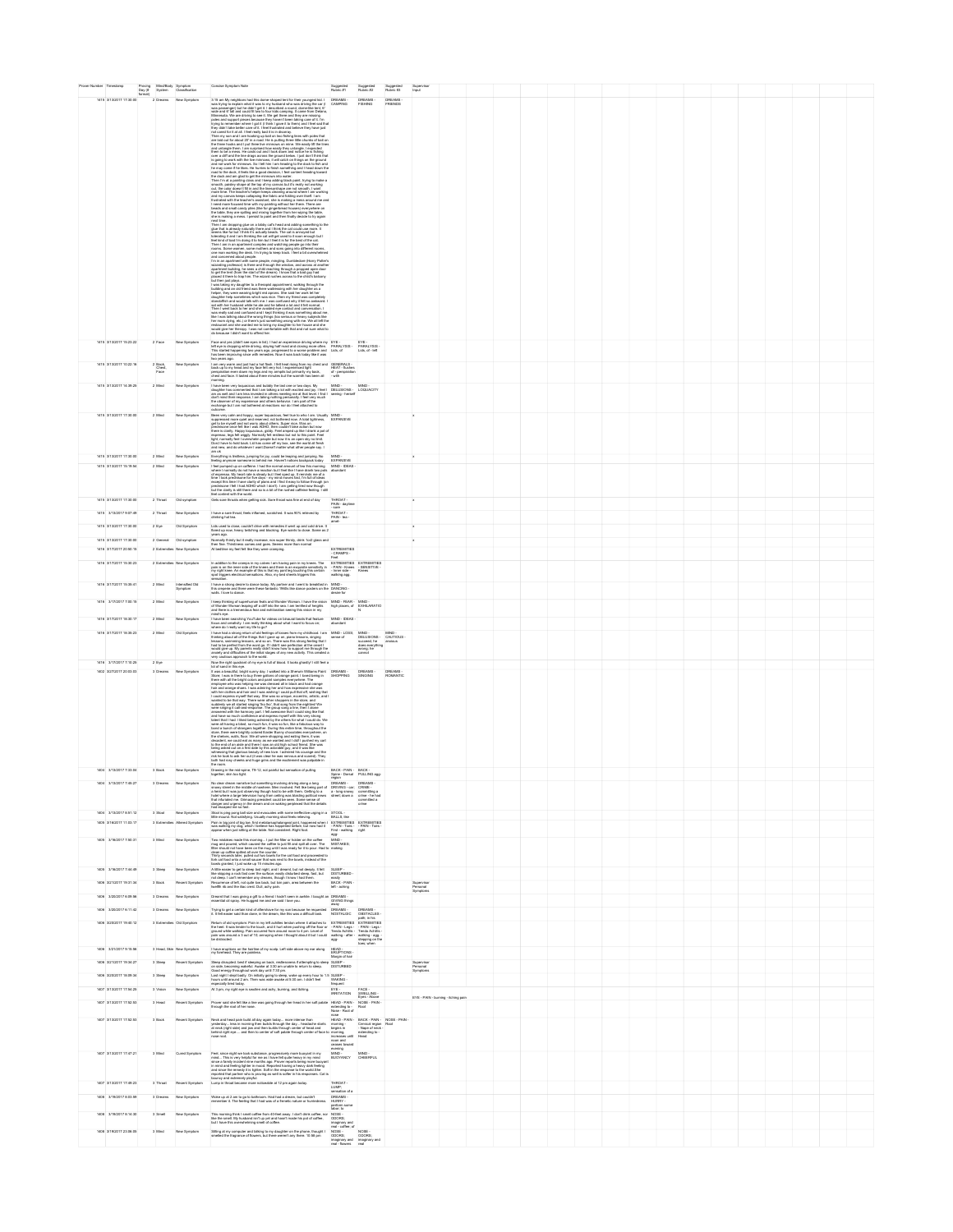| $\begin{tabular}{ll} Provevity \end{tabular} \begin{tabular}{lcccc} \hline \textbf{Proveving} & \textbf{Nmedbody} & \textbf{Sympform} \\ \hline \textbf{Day (#} & \textbf{Syptem} \\ & \textbf{Day (#} & \textbf{Syptem} \\ \hline \end{tabular} \end{tabular}$ |                |                                                      | Concise Symptom Note                                                                                                                                                                                                                                                                                     | Suppasted<br>Rubric #1                                                              | Suggested Suggested Supervisor<br>Rubric #2 Rubric #3 Input |                   |                      |                                    |  |  |  |  |  |  |  |
|-----------------------------------------------------------------------------------------------------------------------------------------------------------------------------------------------------------------------------------------------------------------|----------------|------------------------------------------------------|----------------------------------------------------------------------------------------------------------------------------------------------------------------------------------------------------------------------------------------------------------------------------------------------------------|-------------------------------------------------------------------------------------|-------------------------------------------------------------|-------------------|----------------------|------------------------------------|--|--|--|--|--|--|--|
| 1415 3/13/2017 17:30:00                                                                                                                                                                                                                                         |                | 2 Dreams New Symptom                                 |                                                                                                                                                                                                                                                                                                          | DREAMS -<br>CAMPING                                                                 | DREAMS -<br>FISHING                                         | DREAMS<br>FRIENDS |                      |                                    |  |  |  |  |  |  |  |
|                                                                                                                                                                                                                                                                 |                |                                                      |                                                                                                                                                                                                                                                                                                          |                                                                                     |                                                             |                   |                      |                                    |  |  |  |  |  |  |  |
|                                                                                                                                                                                                                                                                 |                |                                                      |                                                                                                                                                                                                                                                                                                          |                                                                                     |                                                             |                   |                      |                                    |  |  |  |  |  |  |  |
|                                                                                                                                                                                                                                                                 |                |                                                      |                                                                                                                                                                                                                                                                                                          |                                                                                     |                                                             |                   |                      |                                    |  |  |  |  |  |  |  |
|                                                                                                                                                                                                                                                                 |                |                                                      |                                                                                                                                                                                                                                                                                                          |                                                                                     |                                                             |                   |                      |                                    |  |  |  |  |  |  |  |
|                                                                                                                                                                                                                                                                 |                |                                                      |                                                                                                                                                                                                                                                                                                          |                                                                                     |                                                             |                   |                      |                                    |  |  |  |  |  |  |  |
|                                                                                                                                                                                                                                                                 |                |                                                      |                                                                                                                                                                                                                                                                                                          |                                                                                     |                                                             |                   |                      |                                    |  |  |  |  |  |  |  |
|                                                                                                                                                                                                                                                                 |                |                                                      |                                                                                                                                                                                                                                                                                                          |                                                                                     |                                                             |                   |                      |                                    |  |  |  |  |  |  |  |
|                                                                                                                                                                                                                                                                 |                |                                                      |                                                                                                                                                                                                                                                                                                          |                                                                                     |                                                             |                   |                      |                                    |  |  |  |  |  |  |  |
|                                                                                                                                                                                                                                                                 |                |                                                      |                                                                                                                                                                                                                                                                                                          |                                                                                     |                                                             |                   |                      |                                    |  |  |  |  |  |  |  |
|                                                                                                                                                                                                                                                                 |                |                                                      |                                                                                                                                                                                                                                                                                                          |                                                                                     |                                                             |                   |                      |                                    |  |  |  |  |  |  |  |
|                                                                                                                                                                                                                                                                 |                |                                                      |                                                                                                                                                                                                                                                                                                          |                                                                                     |                                                             |                   |                      |                                    |  |  |  |  |  |  |  |
|                                                                                                                                                                                                                                                                 |                |                                                      | Then I am dropping glue on a tabby cat's head and adding something to the                                                                                                                                                                                                                                |                                                                                     |                                                             |                   |                      |                                    |  |  |  |  |  |  |  |
|                                                                                                                                                                                                                                                                 |                |                                                      | Then infrintepape glass that suspect to subsect the matrix and solvent glass that is already naturally these and it think the call could use mone. It also that is already naturally beaks. The call it are top of the first t                                                                           |                                                                                     |                                                             |                   |                      |                                    |  |  |  |  |  |  |  |
|                                                                                                                                                                                                                                                                 |                |                                                      | h but l                                                                                                                                                                                                                                                                                                  |                                                                                     |                                                             |                   |                      |                                    |  |  |  |  |  |  |  |
|                                                                                                                                                                                                                                                                 |                |                                                      |                                                                                                                                                                                                                                                                                                          |                                                                                     |                                                             |                   |                      |                                    |  |  |  |  |  |  |  |
|                                                                                                                                                                                                                                                                 |                |                                                      |                                                                                                                                                                                                                                                                                                          |                                                                                     |                                                             |                   |                      |                                    |  |  |  |  |  |  |  |
|                                                                                                                                                                                                                                                                 |                |                                                      |                                                                                                                                                                                                                                                                                                          |                                                                                     |                                                             |                   |                      |                                    |  |  |  |  |  |  |  |
|                                                                                                                                                                                                                                                                 |                |                                                      |                                                                                                                                                                                                                                                                                                          |                                                                                     |                                                             |                   |                      |                                    |  |  |  |  |  |  |  |
|                                                                                                                                                                                                                                                                 |                |                                                      |                                                                                                                                                                                                                                                                                                          |                                                                                     |                                                             |                   |                      |                                    |  |  |  |  |  |  |  |
|                                                                                                                                                                                                                                                                 |                |                                                      |                                                                                                                                                                                                                                                                                                          |                                                                                     |                                                             |                   |                      |                                    |  |  |  |  |  |  |  |
|                                                                                                                                                                                                                                                                 |                |                                                      |                                                                                                                                                                                                                                                                                                          |                                                                                     |                                                             |                   |                      |                                    |  |  |  |  |  |  |  |
|                                                                                                                                                                                                                                                                 |                |                                                      |                                                                                                                                                                                                                                                                                                          |                                                                                     |                                                             |                   |                      |                                    |  |  |  |  |  |  |  |
|                                                                                                                                                                                                                                                                 |                |                                                      |                                                                                                                                                                                                                                                                                                          |                                                                                     |                                                             |                   |                      |                                    |  |  |  |  |  |  |  |
| 1415 3/13/2017 15:23:22                                                                                                                                                                                                                                         | 2 Face         | New Symptom                                          |                                                                                                                                                                                                                                                                                                          |                                                                                     | EYE -<br>PARALYSIS<br>Lids. of - left                       |                   |                      |                                    |  |  |  |  |  |  |  |
|                                                                                                                                                                                                                                                                 |                |                                                      | Face and yes (didn't see eyes in fat). I had an experience driving where my EYE -<br>left eye is dropping while driving, abying half mast and closing move other. PARALYSIS -<br>This started happening two years ago, progressed to                                                                     |                                                                                     |                                                             |                   |                      |                                    |  |  |  |  |  |  |  |
| 1415 3/13/2017 10:22:16                                                                                                                                                                                                                                         | 2 Back         | New Symptom                                          | I am very warm and just had a hot flash. I felt heat rising from my chest and CENERALS -                                                                                                                                                                                                                 |                                                                                     |                                                             |                   |                      |                                    |  |  |  |  |  |  |  |
|                                                                                                                                                                                                                                                                 | Chest,<br>Face |                                                      | back up to my head and my face felt very hot. I experienced light<br>perspiration with the HEAT - flushes<br>chest and face. It liabled about three minutes but the warmfn has been all<br>chest and face. It liabled about three minu                                                                   |                                                                                     |                                                             |                   |                      |                                    |  |  |  |  |  |  |  |
| 1415 3/13/2017 14:39:25                                                                                                                                                                                                                                         | 2 Mind         | New Symptom                                          | primorn                                                                                                                                                                                                                                                                                                  |                                                                                     |                                                             |                   |                      |                                    |  |  |  |  |  |  |  |
|                                                                                                                                                                                                                                                                 |                |                                                      |                                                                                                                                                                                                                                                                                                          |                                                                                     |                                                             |                   |                      |                                    |  |  |  |  |  |  |  |
|                                                                                                                                                                                                                                                                 |                |                                                      | Intermals: we may be<br>considered and the basic from the state of the first constant and the<br>state and the state of the state of the state of the state of the state<br>of the state of the state of the state of the state of the                                                                   |                                                                                     |                                                             |                   |                      |                                    |  |  |  |  |  |  |  |
| 1415 3/13/2017 17:30:00                                                                                                                                                                                                                                         | 2 Mind         | New Symptom                                          | cade<br>on the control of the state and the state of the state of the filler of the filler<br>state and control of the state and control of the control of the control of<br>the control of the control of the control of the control                                                                    |                                                                                     |                                                             |                   |                      |                                    |  |  |  |  |  |  |  |
|                                                                                                                                                                                                                                                                 |                |                                                      |                                                                                                                                                                                                                                                                                                          |                                                                                     |                                                             |                   |                      |                                    |  |  |  |  |  |  |  |
|                                                                                                                                                                                                                                                                 |                |                                                      |                                                                                                                                                                                                                                                                                                          |                                                                                     |                                                             |                   |                      |                                    |  |  |  |  |  |  |  |
|                                                                                                                                                                                                                                                                 |                |                                                      |                                                                                                                                                                                                                                                                                                          |                                                                                     |                                                             |                   |                      |                                    |  |  |  |  |  |  |  |
| 1415 3/13/2017 17:30:00                                                                                                                                                                                                                                         |                | 2 Mind New Symptom                                   |                                                                                                                                                                                                                                                                                                          |                                                                                     |                                                             |                   |                      |                                    |  |  |  |  |  |  |  |
| 1415 3/13/2017 15:19:54                                                                                                                                                                                                                                         |                | 2 Mind New Symptom                                   |                                                                                                                                                                                                                                                                                                          | MIND - IDEAS<br>abundant                                                            |                                                             |                   |                      |                                    |  |  |  |  |  |  |  |
|                                                                                                                                                                                                                                                                 |                |                                                      | am the control of the matrix and property the layer control and particle particles of the control of the control of the control of the control of the control of the control of the control of the control of the control of                                                                             |                                                                                     |                                                             |                   |                      |                                    |  |  |  |  |  |  |  |
|                                                                                                                                                                                                                                                                 |                |                                                      |                                                                                                                                                                                                                                                                                                          |                                                                                     |                                                             |                   |                      |                                    |  |  |  |  |  |  |  |
| 1415 3/13/2017 17:30:00                                                                                                                                                                                                                                         |                | 2 Throat Old symptom                                 | eal content with the world.<br>Gets sore throats when getting sick. Sore throat was fine at end of day                                                                                                                                                                                                   | THROAT -<br>PAIN - daytime                                                          |                                                             |                   |                      |                                    |  |  |  |  |  |  |  |
| 1415 3/13/2017 9:07:49                                                                                                                                                                                                                                          |                | 2 Throat New Symptom                                 | I have a sore throat, feels inflamed, scratched. It was 90% releved by drinking hot tea.                                                                                                                                                                                                                 |                                                                                     |                                                             |                   |                      |                                    |  |  |  |  |  |  |  |
|                                                                                                                                                                                                                                                                 |                |                                                      |                                                                                                                                                                                                                                                                                                          |                                                                                     |                                                             |                   |                      |                                    |  |  |  |  |  |  |  |
| 1415 3/13/2017 17:30:00                                                                                                                                                                                                                                         |                | 2 Eye Old Symptom                                    | Lids used to close, couldn't drive with remedies it went up and cold drive. It<br>flassd up now, heavy twitching and blocking. Eye wants to close. Same as:<br>unless ago.<br>years ago.                                                                                                                 |                                                                                     |                                                             |                   |                      |                                    |  |  |  |  |  |  |  |
| 1415 3/13/2017 17:30:00                                                                                                                                                                                                                                         |                | 2 General Old symptom                                | Normally thirsty but it really increase, nos super thirsty, drink 1or2 glass and<br>then fine. Thirstiness comes and goes. Seems more than normal                                                                                                                                                        |                                                                                     |                                                             |                   |                      |                                    |  |  |  |  |  |  |  |
| 1416 3/17/2017 20:50:15                                                                                                                                                                                                                                         |                | 2 Extremities New Symptom                            | At bedtime my feet felt like they were cramping.                                                                                                                                                                                                                                                         | <b>EXTREMITIES</b><br>- CRAMPS -<br>Feat                                            |                                                             |                   |                      |                                    |  |  |  |  |  |  |  |
| 1416 3/17/2017 15:30:23                                                                                                                                                                                                                                         |                | 2 Extremities New Symptom                            |                                                                                                                                                                                                                                                                                                          |                                                                                     |                                                             |                   |                      |                                    |  |  |  |  |  |  |  |
|                                                                                                                                                                                                                                                                 |                |                                                      | In addition to the cramps in my calves I am having pain in my knees. The $\overline{\phantom{a}}$ CCTREMITIES EXTREMITIES my ris on the inner side. The state and the knees and the first state in the cramps in the state of the state of                                                               |                                                                                     |                                                             |                   |                      |                                    |  |  |  |  |  |  |  |
| 1416 3/17/2017 15:35:41                                                                                                                                                                                                                                         | 2 Mind         | <b>Intersified Old</b><br>Symptom                    | I have a strong desire to dance today. My partner and I went to breakfast in MIND - this creperie and there were these fantastic 1980s like dance posters on the DANCING walls. I love to dance.                                                                                                         |                                                                                     |                                                             |                   |                      |                                    |  |  |  |  |  |  |  |
|                                                                                                                                                                                                                                                                 |                |                                                      |                                                                                                                                                                                                                                                                                                          |                                                                                     |                                                             |                   |                      |                                    |  |  |  |  |  |  |  |
| 1416 3/17/2017 7:00:15                                                                                                                                                                                                                                          | 2 Mind         | New Symptom                                          | I keep thinking of superhurnen feats and Wonder Woman. I have the vision MIND - FEAR - MIND - of Wonder Woman leaping off a ciff into the sea. I am terrified of heights in phip places, of EXHLARATIO and there is a tremendo                                                                           |                                                                                     |                                                             |                   |                      |                                    |  |  |  |  |  |  |  |
| 1416 3/17/2017 18:30:17                                                                                                                                                                                                                                         |                | 2 Mind New Symptom                                   |                                                                                                                                                                                                                                                                                                          |                                                                                     |                                                             |                   |                      |                                    |  |  |  |  |  |  |  |
|                                                                                                                                                                                                                                                                 |                |                                                      | These been searching YouTube for videos on binausal beats that feature MIND - IDEAS - focus and creativity. I am really thinking about what I want to focus on; abundant where do I really want my life to go?                                                                                           |                                                                                     |                                                             |                   |                      |                                    |  |  |  |  |  |  |  |
| 1416 3/17/2017 18:35:23                                                                                                                                                                                                                                         | 2 Mind         | Old Symptom                                          |                                                                                                                                                                                                                                                                                                          |                                                                                     |                                                             |                   |                      |                                    |  |  |  |  |  |  |  |
|                                                                                                                                                                                                                                                                 |                |                                                      | , we<br>can do it and set of the lay of the specific matrix $\mu$<br>$\mu$ and $\mu$ and $\mu$ . In<br>the basis and the specific<br>stress of the specific matrix of the specific matrix of the specific<br>stress of the specific matrix of th                                                         |                                                                                     |                                                             |                   |                      |                                    |  |  |  |  |  |  |  |
| 1416 3/17/2017 7:10:25                                                                                                                                                                                                                                          | 2 Eya          |                                                      | Now the right quadrant of my eye is full of blood. It looks ghastly! I still feel a lot of send in this eye.                                                                                                                                                                                             |                                                                                     |                                                             |                   |                      |                                    |  |  |  |  |  |  |  |
| 1402 3/27/2017 20:03:03                                                                                                                                                                                                                                         |                | 3 Dreams New Symptom                                 | Let the self-state the space of the space of the space of the space of the space of the space of the space of the space of the space of the space of the space of the space of the space of the space of the space of the spa                                                                            |                                                                                     |                                                             |                   |                      |                                    |  |  |  |  |  |  |  |
|                                                                                                                                                                                                                                                                 |                |                                                      |                                                                                                                                                                                                                                                                                                          |                                                                                     |                                                             |                   |                      |                                    |  |  |  |  |  |  |  |
|                                                                                                                                                                                                                                                                 |                |                                                      |                                                                                                                                                                                                                                                                                                          |                                                                                     |                                                             |                   |                      |                                    |  |  |  |  |  |  |  |
|                                                                                                                                                                                                                                                                 |                |                                                      |                                                                                                                                                                                                                                                                                                          |                                                                                     |                                                             |                   |                      |                                    |  |  |  |  |  |  |  |
|                                                                                                                                                                                                                                                                 |                |                                                      |                                                                                                                                                                                                                                                                                                          |                                                                                     |                                                             |                   |                      |                                    |  |  |  |  |  |  |  |
|                                                                                                                                                                                                                                                                 |                |                                                      |                                                                                                                                                                                                                                                                                                          |                                                                                     |                                                             |                   |                      |                                    |  |  |  |  |  |  |  |
|                                                                                                                                                                                                                                                                 |                |                                                      | store, there were brightly colored Easter Bunny chocolates everywhere, on<br>the shelves, walls, floor. We all were shopping and eating them, it was<br>decadent, we could eat as many as we wanted and I did! I pushed my cart                                                                          |                                                                                     |                                                             |                   |                      |                                    |  |  |  |  |  |  |  |
|                                                                                                                                                                                                                                                                 |                |                                                      |                                                                                                                                                                                                                                                                                                          |                                                                                     |                                                             |                   |                      |                                    |  |  |  |  |  |  |  |
|                                                                                                                                                                                                                                                                 |                |                                                      | deciablef, we colais eat as many as we wanted and I then possible red in the was<br>to the end of an aisle and there I saw an old high school friend. She was<br>being asked out on a first date by this adorable guy, and it was li<br>and the                                                          |                                                                                     |                                                             |                   |                      |                                    |  |  |  |  |  |  |  |
|                                                                                                                                                                                                                                                                 |                |                                                      | risk he took to ask her out (it was clear he was nervous and scared). They<br>both had rosy cheeks and huge grins and the excitement was palpable in                                                                                                                                                     |                                                                                     |                                                             |                   |                      |                                    |  |  |  |  |  |  |  |
| 1404 3/13/2017 7:33:04 3 Back New Symptom                                                                                                                                                                                                                       |                |                                                      | univors.<br>Drawing in the mid-spine, T9-12, not painful but sensation of pulling BACK - PAIN - BACK - together, alkin too tight.<br>Spine - Dorsal PULLING agg-                                                                                                                                         |                                                                                     |                                                             |                   |                      |                                    |  |  |  |  |  |  |  |
| 1404 3/13/2017 7:45:27                                                                                                                                                                                                                                          |                | New Symptom                                          | No clear desarn numerice lux sceneriteg involving shortga along<br>$\begin{array}{ l } \textbf{100-0.000} & \textbf{100-0.000} \\ \textbf{200-0.000} & \textbf{100-0.000} \\ \textbf{200-0.000} & \textbf{100-0.000} \\ \textbf{200-0.000} & \textbf{100-0.000} & \textbf{100-0.000} \\ \textbf{200-0.0$ |                                                                                     |                                                             |                   |                      |                                    |  |  |  |  |  |  |  |
|                                                                                                                                                                                                                                                                 |                |                                                      |                                                                                                                                                                                                                                                                                                          |                                                                                     |                                                             |                   |                      |                                    |  |  |  |  |  |  |  |
|                                                                                                                                                                                                                                                                 |                |                                                      |                                                                                                                                                                                                                                                                                                          |                                                                                     |                                                             |                   |                      |                                    |  |  |  |  |  |  |  |
| 1404 3/13/2017 8:51:12<br>1405 3/16/2017 11:03:17                                                                                                                                                                                                               |                | 3 Stool New Symptom<br>3 Extremities Altered Symptom | Stool is ping pong ball size and evacuates with some ineffective urging in a STOOL - little mound. Not satisfying. Usually morning stool feels relieving. BALLS, like                                                                                                                                    |                                                                                     |                                                             |                   |                      |                                    |  |  |  |  |  |  |  |
|                                                                                                                                                                                                                                                                 |                |                                                      | Pain in big pint of big toe, first metatamophaliangeal joint, happened when 1 EXTREMITIES EXTREMITIES approach<br>was walking my dog, which I believe has happened belows, but now had it - PAIN - Toes -- PAIN - Toes -<br>appear w                                                                     |                                                                                     |                                                             |                   |                      |                                    |  |  |  |  |  |  |  |
| 1405 3/16/2017 7:50:31                                                                                                                                                                                                                                          |                | 3 Mind New Symptom                                   |                                                                                                                                                                                                                                                                                                          |                                                                                     |                                                             |                   |                      |                                    |  |  |  |  |  |  |  |
|                                                                                                                                                                                                                                                                 |                |                                                      | Two mitiations made this monointy. I put the filter or holder on the underlying and pounds. Apply the matching of the state of the state of the state of the state of the state of the state of the state of the state of the                                                                            |                                                                                     |                                                             |                   |                      |                                    |  |  |  |  |  |  |  |
|                                                                                                                                                                                                                                                                 |                |                                                      |                                                                                                                                                                                                                                                                                                          |                                                                                     |                                                             |                   |                      |                                    |  |  |  |  |  |  |  |
| 1405 3/16/2017 7:44:49                                                                                                                                                                                                                                          |                | 3 Sleep New Symptom                                  | bows gramss, I pas wow up 15 minutes ago.<br>A little assier to get to siteap last might, and it dreamt, but not deeply. It felt SLEEP -<br>like skipping a rock feat over the surface; easily disturbed sleep, feat, but DISTURBED                                                                      |                                                                                     |                                                             |                   |                      |                                    |  |  |  |  |  |  |  |
| 1406 3/21/2017 19:31:34                                                                                                                                                                                                                                         |                | 3 Back Recent Symptom                                |                                                                                                                                                                                                                                                                                                          |                                                                                     |                                                             |                   |                      |                                    |  |  |  |  |  |  |  |
| 1406 3/20/2017 6:09:56                                                                                                                                                                                                                                          |                | 3 Dreams New Symptom                                 |                                                                                                                                                                                                                                                                                                          |                                                                                     |                                                             |                   | Personal<br>Symptoms |                                    |  |  |  |  |  |  |  |
|                                                                                                                                                                                                                                                                 |                |                                                      | Dreamt that I was giving a gift to a friend I hadn't seen in awhile. I bought an DREAMS - essential of spray. He hugged me and we said I love you.                                                                                                                                                       |                                                                                     |                                                             |                   |                      |                                    |  |  |  |  |  |  |  |
| 1406 3/20/2017 6:11:42                                                                                                                                                                                                                                          |                |                                                      | exaerdad of spray, Ha hugges real man are set users over public and the set of the set of the set of the set o<br>3 Desarra - New Sympton - Through and set order in the set of the set of the set of the set of the set of the<br>1                                                                     |                                                                                     |                                                             |                   |                      |                                    |  |  |  |  |  |  |  |
| 1406 3/20/2017 19:40:12                                                                                                                                                                                                                                         |                | 3 Extremities Old Symptom                            |                                                                                                                                                                                                                                                                                                          |                                                                                     |                                                             |                   |                      |                                    |  |  |  |  |  |  |  |
|                                                                                                                                                                                                                                                                 |                |                                                      | Return of old symptom: Pain in my left achilise tendon where it attackes to $EXTREMITESE$ . EXTREMITES $EXTREMITESE$<br>(the heal fits as because to be located and thust when pushing off the food or $-70001$ -Legal $-70001$ -Legal fits                                                              |                                                                                     |                                                             |                   |                      |                                    |  |  |  |  |  |  |  |
| 1406 3/21/2017 9:15:56                                                                                                                                                                                                                                          |                | 3 Head, Skin New Symptom                             |                                                                                                                                                                                                                                                                                                          |                                                                                     |                                                             |                   |                      |                                    |  |  |  |  |  |  |  |
|                                                                                                                                                                                                                                                                 |                |                                                      | I have englishs on the hairline of my scalp. Left side above my ear along $$\tt HEAD-my$ forehead. They are painless.                                                                                                                                                                                    | Margin of hair                                                                      |                                                             |                   |                      |                                    |  |  |  |  |  |  |  |
| 1406 3/21/2017 19:34:27                                                                                                                                                                                                                                         |                | 3 Sleep Recent Symptom                               | Steep disrupted: best if sleeping on back, restlessness if attempting to sleep SLEEP - on side, becoming walkeful. Awake at 3:30 am unable to return to sleep. CISTURBED Good energy throughout work day until 7:30 pm.                                                                                  |                                                                                     |                                                             |                   | Personal<br>Symptoms |                                    |  |  |  |  |  |  |  |
| 1406 3/20/2017 18:09:34                                                                                                                                                                                                                                         |                | 3 Sleep New Symptom                                  |                                                                                                                                                                                                                                                                                                          |                                                                                     |                                                             |                   |                      |                                    |  |  |  |  |  |  |  |
| 1407 3/13/2017 17:54:25                                                                                                                                                                                                                                         |                | 3 Vision New Symptom                                 |                                                                                                                                                                                                                                                                                                          |                                                                                     |                                                             |                   |                      |                                    |  |  |  |  |  |  |  |
| 1407 3/13/2017 17:52:53                                                                                                                                                                                                                                         |                | 3 Head Recent Symptom                                |                                                                                                                                                                                                                                                                                                          |                                                                                     |                                                             |                   |                      | EYE - PAN - burning - itching pain |  |  |  |  |  |  |  |
|                                                                                                                                                                                                                                                                 |                |                                                      | Containing throughout each day onli 20-3 pm.<br>Lead range (and product the containing and the state of the state of the contact of the contact of the contact<br>state of the state of the contact of the contact of the contact                                                                        |                                                                                     |                                                             |                   |                      |                                    |  |  |  |  |  |  |  |
| 1407 3/13/2017 17:52:53                                                                                                                                                                                                                                         |                | 3 Back Recent Symptom                                |                                                                                                                                                                                                                                                                                                          |                                                                                     |                                                             |                   |                      |                                    |  |  |  |  |  |  |  |
|                                                                                                                                                                                                                                                                 |                |                                                      |                                                                                                                                                                                                                                                                                                          |                                                                                     |                                                             |                   |                      |                                    |  |  |  |  |  |  |  |
|                                                                                                                                                                                                                                                                 |                |                                                      |                                                                                                                                                                                                                                                                                                          | noon and<br>ceases toward<br>evening                                                |                                                             |                   |                      |                                    |  |  |  |  |  |  |  |
| 1407 3/13/2017 17:47:21                                                                                                                                                                                                                                         |                | 3 Mind Cured Symptom                                 |                                                                                                                                                                                                                                                                                                          | MND-<br>BUOYANCY CHEERFUL                                                           |                                                             |                   |                      |                                    |  |  |  |  |  |  |  |
|                                                                                                                                                                                                                                                                 |                |                                                      | Feed, since right we book substance, programs<br>help more busysted in my substance a fierny reduced and more to the<br>sign of the substance of the substance of the substance of<br>the substance in more substance in model and the                                                                   |                                                                                     |                                                             |                   |                      |                                    |  |  |  |  |  |  |  |
|                                                                                                                                                                                                                                                                 |                |                                                      |                                                                                                                                                                                                                                                                                                          |                                                                                     |                                                             |                   |                      |                                    |  |  |  |  |  |  |  |
| 1407 3/13/2017 17:49:23                                                                                                                                                                                                                                         |                | 3 Throat Recent Symptom                              | bouncy and extremely playful.<br>Lump in throat became more noticeable at 12 pm again today.                                                                                                                                                                                                             |                                                                                     |                                                             |                   |                      |                                    |  |  |  |  |  |  |  |
| 1408 3/19/2017 8:03:59                                                                                                                                                                                                                                          |                | 3 Dreams New Symptom                                 |                                                                                                                                                                                                                                                                                                          | THROAT -<br>LUMP;<br>sensation of a                                                 |                                                             |                   |                      |                                    |  |  |  |  |  |  |  |
|                                                                                                                                                                                                                                                                 |                |                                                      | Woke up at 2 am to go to bathroom. Had had a dream, but couldn't<br>remember it. The feeling that I had was of a frenetic nature or hurriedness.                                                                                                                                                         | DREAMS -<br>HURRY -<br>perform some<br>labor; to                                    |                                                             |                   |                      |                                    |  |  |  |  |  |  |  |
| 1408 3/19/2017 8:14:30                                                                                                                                                                                                                                          |                | 3 Small New Symptom                                  | This morning think I small coffee from 40-feet away. I don't drink coffee, nor<br>like the small. My husband isn't up yet and hasn't made his pot of coffee,<br>but I have this overwhelming small of coffee.                                                                                            | NOSE -<br>ODORS                                                                     |                                                             |                   |                      |                                    |  |  |  |  |  |  |  |
|                                                                                                                                                                                                                                                                 |                |                                                      |                                                                                                                                                                                                                                                                                                          | imaginary and<br>real - coffee; of                                                  |                                                             |                   |                      |                                    |  |  |  |  |  |  |  |
| 1408 3/19/2017 23:06:05                                                                                                                                                                                                                                         |                | 3 Mind New Symptom                                   | Sitting at my computer and talking to my daughter on the phone, thought I smelled the fragrance of flowers, but there weren't any there. 10:58 pm                                                                                                                                                        | NOSE - NOSE -<br>COORS; COORS;<br>imaginary and imaginary and<br>real - fowers real |                                                             |                   |                      |                                    |  |  |  |  |  |  |  |
|                                                                                                                                                                                                                                                                 |                |                                                      |                                                                                                                                                                                                                                                                                                          |                                                                                     |                                                             |                   |                      |                                    |  |  |  |  |  |  |  |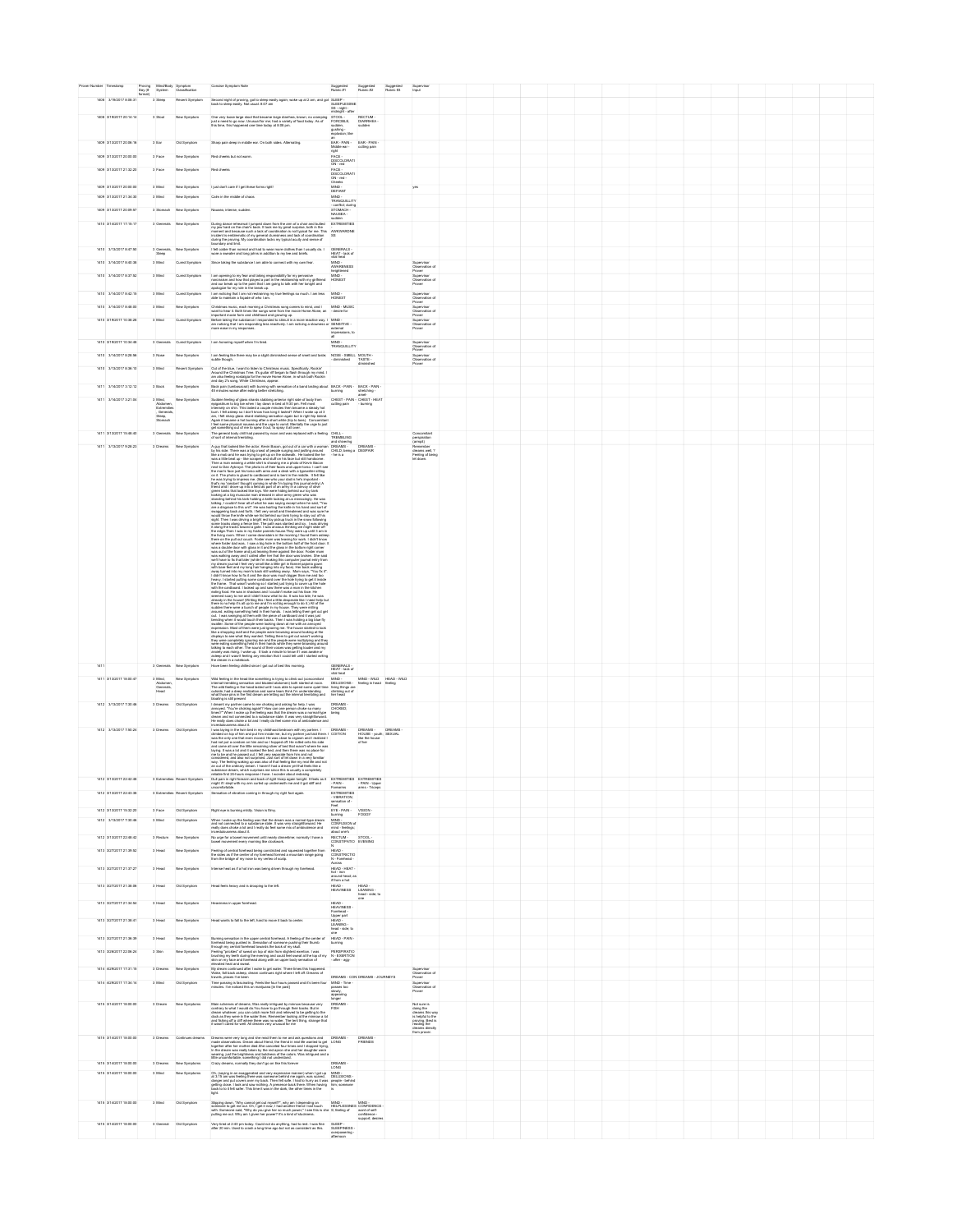|      | Prover Number Timestamp                           |                                                                       | Proving Mind/Body Symptom<br>Day (# System Classification<br>format) | Concise Symptom Note                                                                                                                                                                                                                                                                                                                                                                                                                                                                                                                        |                                                                                       | Supposted Supposted Supposted Supervisor                             |                                                                                                                                        |  |  |  |
|------|---------------------------------------------------|-----------------------------------------------------------------------|----------------------------------------------------------------------|---------------------------------------------------------------------------------------------------------------------------------------------------------------------------------------------------------------------------------------------------------------------------------------------------------------------------------------------------------------------------------------------------------------------------------------------------------------------------------------------------------------------------------------------|---------------------------------------------------------------------------------------|----------------------------------------------------------------------|----------------------------------------------------------------------------------------------------------------------------------------|--|--|--|
|      | 1408 3/19/2017 8:08:31                            | 3 Sleep                                                               | Recent Symptom                                                       | Second right of proving, got to sleep easily again; woke up at 2 am, and got SLEEP .<br>SLEEPLESSNE SEARCHERS SEARCHERS SEARCHERS SEARCHERS SEARCHERS SEARCHERS<br>SS - right - after<br>mothight - after                                                                                                                                                                                                                                                                                                                                   |                                                                                       |                                                                      |                                                                                                                                        |  |  |  |
|      | 1408 3/19/2017 20:14:14                           |                                                                       | 3 Stool New Symptom                                                  |                                                                                                                                                                                                                                                                                                                                                                                                                                                                                                                                             |                                                                                       | RECTUM -<br>DIARRHEA                                                 |                                                                                                                                        |  |  |  |
|      |                                                   |                                                                       |                                                                      | One very loose large stool that became large diames, brown; no cramping $\cdot$ STOOL - just a need to go now. Unuausi for ma; had a variety of foot today. As of $\cdot$ FOROBLE, this time, this happened one time today at 8:08                                                                                                                                                                                                                                                                                                          | sudden,<br>gushing -<br>explosion; like                                               |                                                                      |                                                                                                                                        |  |  |  |
|      | 1409 3/13/2017 20:06:16                           | 3 Ear                                                                 | Old Symptom                                                          | Sharp pain deep in middle ear. On both sides. Alternating.                                                                                                                                                                                                                                                                                                                                                                                                                                                                                  | EAR - PAIN - EAR - PAIN                                                               |                                                                      |                                                                                                                                        |  |  |  |
|      |                                                   |                                                                       |                                                                      |                                                                                                                                                                                                                                                                                                                                                                                                                                                                                                                                             | Middle ear -                                                                          | cutting pair                                                         |                                                                                                                                        |  |  |  |
|      | 1409 3/13/2017 20:00:00                           | 3 Face                                                                | New Symptom                                                          | Red cheeks but not warm.                                                                                                                                                                                                                                                                                                                                                                                                                                                                                                                    | føll<br>FACE -<br>^*RCOLORATI<br>ON - red                                             |                                                                      |                                                                                                                                        |  |  |  |
|      | 1409 3/13/2017 21:32:20                           | 3 Face                                                                | New Symptom                                                          | Red cheeks                                                                                                                                                                                                                                                                                                                                                                                                                                                                                                                                  | FACE -<br>DISCOLORATI                                                                 |                                                                      |                                                                                                                                        |  |  |  |
|      | 1409 3/13/2017 20:00:00                           |                                                                       | 3 Mind New Symptom                                                   | I just don't care if I get these forms right!                                                                                                                                                                                                                                                                                                                                                                                                                                                                                               | ON - red -<br>Cheeks<br>MND-<br>DEFIANT                                               |                                                                      |                                                                                                                                        |  |  |  |
|      | 1409 3/13/2017 21:34:30                           |                                                                       | 3 Mind New Symptom                                                   | Calm in the middle of chaos                                                                                                                                                                                                                                                                                                                                                                                                                                                                                                                 | MND-<br>TRANQUILLITY                                                                  |                                                                      |                                                                                                                                        |  |  |  |
|      | 1409 3/13/2017 20:09:57                           |                                                                       | 3 Stomach New Symptom                                                | Nausea, intense, sudden.                                                                                                                                                                                                                                                                                                                                                                                                                                                                                                                    | STOMACH-                                                                              |                                                                      |                                                                                                                                        |  |  |  |
|      | 1410 3/14/2017 17:15:17                           |                                                                       | 3 Generals New Symptom                                               |                                                                                                                                                                                                                                                                                                                                                                                                                                                                                                                                             | NAUSEA-                                                                               |                                                                      |                                                                                                                                        |  |  |  |
|      |                                                   |                                                                       |                                                                      | During dance rehearsal I jumped down from the arm of a chair and butted EXTREMITIES<br>my jaw hard on the chair's back. It took me by great surprise, both in the FIREMITIES<br>moment and because such a lack of coordination is no                                                                                                                                                                                                                                                                                                        | <b>SS</b>                                                                             |                                                                      |                                                                                                                                        |  |  |  |
|      |                                                   |                                                                       |                                                                      | Incident is emblematic of my general clumsiness and lack of coordination<br>during the proving. My coordination lacks my typical aculty and sense of<br>boundary and limit.                                                                                                                                                                                                                                                                                                                                                                 |                                                                                       |                                                                      |                                                                                                                                        |  |  |  |
|      | 1410 3/13/2017 8:47:50                            |                                                                       | 3 Generals, New Symptom<br>Sleep                                     | I felt colder than normal and had to wear more clothes than I usually do. I wore a sweater and long johns in addition to my tee and briefs.                                                                                                                                                                                                                                                                                                                                                                                                 | GENERALS -<br>HEAT - lack of<br>vital heat                                            |                                                                      |                                                                                                                                        |  |  |  |
|      | 1410 3/14/2017 8:40:38                            | 3 Mind                                                                | Cured Symptom                                                        | Since taking the substance I am able to connect with my own fear.                                                                                                                                                                                                                                                                                                                                                                                                                                                                           | MND -<br>AWARENESS<br>heightened                                                      |                                                                      | Supervisor<br>Observation of<br>Prover                                                                                                 |  |  |  |
|      | 1410 3/14/2017 8:37:52                            | 3 Mind                                                                | Cured Symptom                                                        | I am opening to my fear and taking responsibility for my pervasive<br>narcissism and how that played a part in the relationship with my girlfriend<br>and our beask up to the point that I am going to talk with her tonight and<br>apo                                                                                                                                                                                                                                                                                                     | MIND<br>HONEST                                                                        |                                                                      | Supervisor<br>Observation of<br>Prover                                                                                                 |  |  |  |
|      | 1410 3/14/2017 8:42:15                            |                                                                       | 3 Mind Cured Symptom                                                 |                                                                                                                                                                                                                                                                                                                                                                                                                                                                                                                                             |                                                                                       |                                                                      |                                                                                                                                        |  |  |  |
|      |                                                   |                                                                       |                                                                      | $1$ am noticing that I am not restraining my true feelings so much. I am less $\,$ MIND - able to maintain a façade of who I am. $\,$ HONEST $\,$                                                                                                                                                                                                                                                                                                                                                                                           |                                                                                       |                                                                      | Supervisor<br>Observation of<br>Prover<br>Supervisor<br>Observation of<br>Prover                                                       |  |  |  |
|      | 1410 3/14/2017 8:48:00                            | 3 Mind                                                                | New Symptom                                                          | $\label{cor:main} \begin{minipage}[t]{6cm} \textbf{Circidmas mass}, \textbf{each more ring} \textbf{a Circidmas acorg comes to }\textbf{rred}, \textbf{and 1} & \textbf{MND-MSIC} \\ \textbf{water to base } \textbf{R} \textbf{ DoF times the base sign over the torus from } \textbf{For } \textbf{a} \textbf{ or } \textbf{not } \textbf{or } \textbf{for } \textbf{for } \textbf{if } \textbf{for } \textbf{if } \textbf{for } \textbf{if } \textbf{for } \textbf{if } \textbf{for } \textbf{if } \textbf{if } \textbf{if } \textbf{if$ |                                                                                       |                                                                      |                                                                                                                                        |  |  |  |
|      | 1410 3/19/2017 10:38:28                           | 3 Mind                                                                | Cured Symptom                                                        | more ease in my responses                                                                                                                                                                                                                                                                                                                                                                                                                                                                                                                   |                                                                                       |                                                                      | Prover                                                                                                                                 |  |  |  |
|      |                                                   |                                                                       |                                                                      |                                                                                                                                                                                                                                                                                                                                                                                                                                                                                                                                             | external<br>impressions, to<br>all                                                    |                                                                      |                                                                                                                                        |  |  |  |
|      | 1410 3/19/2017 10:34:48                           |                                                                       | 3 Generals Cured Symptom                                             | I am honoring myself when I'm tired.                                                                                                                                                                                                                                                                                                                                                                                                                                                                                                        | MND -<br>TRANQUILLITY                                                                 |                                                                      | Supervisor<br>Observation of<br>Prover                                                                                                 |  |  |  |
|      | 1410 3/14/2017 8:28:56                            |                                                                       | 3 Nose New Symptom                                                   | 1 am feeling like there may be a slight diminished sense of smell and taste; NOSE - SMELL MOUTH - subtle though. TASTE -                                                                                                                                                                                                                                                                                                                                                                                                                    |                                                                                       |                                                                      |                                                                                                                                        |  |  |  |
|      | 1410 3/13/2017 8:36:10                            | 3 Mind                                                                | Recent Symptom                                                       | Cut of the loos, I want to listen to Christmas music. Specifically, Rossin's Microsoft Inc. Annual Guideline and September 2014.<br>A nourist listen (Christmas Trees, It's guider eff Segue to flash filters (Project).<br>In and d                                                                                                                                                                                                                                                                                                        |                                                                                       |                                                                      |                                                                                                                                        |  |  |  |
|      | 1411 3/14/2017 3:12:12                            | 3 Back                                                                | New Symptom                                                          |                                                                                                                                                                                                                                                                                                                                                                                                                                                                                                                                             |                                                                                       |                                                                      |                                                                                                                                        |  |  |  |
|      | 1411 3/14/2017 3:21:04                            |                                                                       | New Symptom                                                          |                                                                                                                                                                                                                                                                                                                                                                                                                                                                                                                                             |                                                                                       |                                                                      |                                                                                                                                        |  |  |  |
|      |                                                   | 3 Mind,<br>Abdomen,<br>Extremities<br>Clenerals,<br>Sleep,<br>Stomach |                                                                      | Solution for<br>degrad of details and absolute that the detail of the property of<br>$\mathcal{N}$ control to the control of the details of the details<br>of the control of the control of the control of the control of the<br>state of the                                                                                                                                                                                                                                                                                               |                                                                                       |                                                                      |                                                                                                                                        |  |  |  |
|      |                                                   |                                                                       |                                                                      |                                                                                                                                                                                                                                                                                                                                                                                                                                                                                                                                             |                                                                                       |                                                                      |                                                                                                                                        |  |  |  |
|      | 1411 3/13/2017 15:48:40                           |                                                                       | 3 Generals New Symptom                                               | get something out of me to spew it out, so spray it all u-w-<br>The general body chill had passed by noon and was replaced with a feeling CHILL -<br>of sort of internal trembling. and shivening and shivening                                                                                                                                                                                                                                                                                                                             |                                                                                       |                                                                      |                                                                                                                                        |  |  |  |
|      | 1411 3/13/2017 9:28:23                            |                                                                       | 3 Dreams New Symptom                                                 |                                                                                                                                                                                                                                                                                                                                                                                                                                                                                                                                             | TREMISLA<br>and shive                                                                 |                                                                      | Concomitant<br>(ampli)<br>(ampli)<br>Remember<br>dreams well, 7<br>Feeling of beir<br>let down.                                        |  |  |  |
|      |                                                   |                                                                       |                                                                      |                                                                                                                                                                                                                                                                                                                                                                                                                                                                                                                                             |                                                                                       |                                                                      |                                                                                                                                        |  |  |  |
|      |                                                   |                                                                       |                                                                      |                                                                                                                                                                                                                                                                                                                                                                                                                                                                                                                                             |                                                                                       |                                                                      |                                                                                                                                        |  |  |  |
|      |                                                   |                                                                       |                                                                      |                                                                                                                                                                                                                                                                                                                                                                                                                                                                                                                                             |                                                                                       |                                                                      |                                                                                                                                        |  |  |  |
|      |                                                   |                                                                       |                                                                      |                                                                                                                                                                                                                                                                                                                                                                                                                                                                                                                                             |                                                                                       |                                                                      |                                                                                                                                        |  |  |  |
|      |                                                   |                                                                       |                                                                      |                                                                                                                                                                                                                                                                                                                                                                                                                                                                                                                                             |                                                                                       |                                                                      |                                                                                                                                        |  |  |  |
|      |                                                   |                                                                       |                                                                      |                                                                                                                                                                                                                                                                                                                                                                                                                                                                                                                                             |                                                                                       |                                                                      |                                                                                                                                        |  |  |  |
|      |                                                   |                                                                       |                                                                      |                                                                                                                                                                                                                                                                                                                                                                                                                                                                                                                                             |                                                                                       |                                                                      |                                                                                                                                        |  |  |  |
|      |                                                   |                                                                       |                                                                      |                                                                                                                                                                                                                                                                                                                                                                                                                                                                                                                                             |                                                                                       |                                                                      |                                                                                                                                        |  |  |  |
|      |                                                   |                                                                       |                                                                      |                                                                                                                                                                                                                                                                                                                                                                                                                                                                                                                                             |                                                                                       |                                                                      |                                                                                                                                        |  |  |  |
|      |                                                   |                                                                       |                                                                      |                                                                                                                                                                                                                                                                                                                                                                                                                                                                                                                                             |                                                                                       |                                                                      |                                                                                                                                        |  |  |  |
|      |                                                   |                                                                       |                                                                      |                                                                                                                                                                                                                                                                                                                                                                                                                                                                                                                                             |                                                                                       |                                                                      |                                                                                                                                        |  |  |  |
|      |                                                   |                                                                       |                                                                      |                                                                                                                                                                                                                                                                                                                                                                                                                                                                                                                                             |                                                                                       |                                                                      |                                                                                                                                        |  |  |  |
|      |                                                   |                                                                       |                                                                      |                                                                                                                                                                                                                                                                                                                                                                                                                                                                                                                                             |                                                                                       |                                                                      |                                                                                                                                        |  |  |  |
|      |                                                   |                                                                       |                                                                      |                                                                                                                                                                                                                                                                                                                                                                                                                                                                                                                                             |                                                                                       |                                                                      |                                                                                                                                        |  |  |  |
|      |                                                   |                                                                       |                                                                      |                                                                                                                                                                                                                                                                                                                                                                                                                                                                                                                                             |                                                                                       |                                                                      |                                                                                                                                        |  |  |  |
|      |                                                   |                                                                       |                                                                      |                                                                                                                                                                                                                                                                                                                                                                                                                                                                                                                                             |                                                                                       |                                                                      |                                                                                                                                        |  |  |  |
|      |                                                   |                                                                       |                                                                      |                                                                                                                                                                                                                                                                                                                                                                                                                                                                                                                                             |                                                                                       |                                                                      |                                                                                                                                        |  |  |  |
|      |                                                   |                                                                       |                                                                      |                                                                                                                                                                                                                                                                                                                                                                                                                                                                                                                                             |                                                                                       |                                                                      |                                                                                                                                        |  |  |  |
|      |                                                   |                                                                       |                                                                      |                                                                                                                                                                                                                                                                                                                                                                                                                                                                                                                                             |                                                                                       |                                                                      |                                                                                                                                        |  |  |  |
| 1411 |                                                   |                                                                       |                                                                      |                                                                                                                                                                                                                                                                                                                                                                                                                                                                                                                                             |                                                                                       |                                                                      |                                                                                                                                        |  |  |  |
|      |                                                   |                                                                       | 3 Generals New Symptom                                               | The mass form of the state and points of the state and control in the state of the state and the state and the state and the state and the state and the state and the state and the state and the state and the state and th<br>Have been feeling chilled since I got out of bed this morning.                                                                                                                                                                                                                                             | GENERALS -<br>HEAT - lack of<br>vital heat                                            |                                                                      |                                                                                                                                        |  |  |  |
|      | 1411 3/13/2017 18:00:47                           |                                                                       | New Symptom                                                          |                                                                                                                                                                                                                                                                                                                                                                                                                                                                                                                                             |                                                                                       |                                                                      |                                                                                                                                        |  |  |  |
|      |                                                   | 3 Mind,<br>Abdoman,<br>Generals,<br>Head                              |                                                                      |                                                                                                                                                                                                                                                                                                                                                                                                                                                                                                                                             |                                                                                       |                                                                      |                                                                                                                                        |  |  |  |
|      | 1412 3/13/2017 7:30:46                            |                                                                       | 3 Dreams Old Symptom                                                 |                                                                                                                                                                                                                                                                                                                                                                                                                                                                                                                                             |                                                                                       |                                                                      |                                                                                                                                        |  |  |  |
|      |                                                   |                                                                       |                                                                      |                                                                                                                                                                                                                                                                                                                                                                                                                                                                                                                                             |                                                                                       |                                                                      |                                                                                                                                        |  |  |  |
|      | 1412 3/13/2017 7:50:24                            |                                                                       | 3 Dreams Old Symptom                                                 | While the third has been the control in the particular control of the state of the state of the control of the control of the control of the control of the control of the control of the control of the control of the contr                                                                                                                                                                                                                                                                                                               |                                                                                       |                                                                      |                                                                                                                                        |  |  |  |
|      |                                                   |                                                                       |                                                                      |                                                                                                                                                                                                                                                                                                                                                                                                                                                                                                                                             |                                                                                       | DREAMS - DREAMS<br>HOUSE - youth: SEXUAL<br>like the house<br>of her |                                                                                                                                        |  |  |  |
|      |                                                   |                                                                       |                                                                      |                                                                                                                                                                                                                                                                                                                                                                                                                                                                                                                                             |                                                                                       |                                                                      |                                                                                                                                        |  |  |  |
|      |                                                   |                                                                       |                                                                      | inconsideration about 8.<br>In this probability distribution of the first probability of the space of<br>$\sim$ 100 MeV and the space of the space of the space of<br>$\sim$ 100 MeV and the space of the space of the space of<br>$\sim$ 100                                                                                                                                                                                                                                                                                               |                                                                                       |                                                                      |                                                                                                                                        |  |  |  |
|      | 1412 3/13/2017 22:42:48                           |                                                                       | 3 Extremities Recent Symptom                                         | substance dream, which surprises me since this is usually a completely<br>reliable first 24-hours response I have. I wonder about redosing.<br>Dull pain in right forearm and back of right tricep again tonight. It feels as it EXTREMITIES EXTREMITIES                                                                                                                                                                                                                                                                                    |                                                                                       |                                                                      |                                                                                                                                        |  |  |  |
|      | 1412 3/13/2017 22:43:38                           |                                                                       |                                                                      | might if I slept with my arm curled up underneath me and it got stiff and<br>uncomfortable.<br>3 Extremities Recent Symptom Sensation of vibration coming in through my right foot again.                                                                                                                                                                                                                                                                                                                                                   |                                                                                       | arma - Tricepa                                                       |                                                                                                                                        |  |  |  |
|      |                                                   |                                                                       |                                                                      |                                                                                                                                                                                                                                                                                                                                                                                                                                                                                                                                             | - PAIN -<br>Forearms<br>EXTREMITIES<br>- VIBRATION:<br>sensation of -<br>Feet         |                                                                      |                                                                                                                                        |  |  |  |
|      | 1412 5/15/2017 15:52:20<br>1412 3/13/2017 7:30:46 |                                                                       | 3 Face Old Symptom<br>3 Mind Old Symptom                             | Stinhit asso is human militiu Visine is filmu                                                                                                                                                                                                                                                                                                                                                                                                                                                                                               | EYE - PAIN - VISION -<br>burning - FOGGY<br>burning<br>MND -                          |                                                                      |                                                                                                                                        |  |  |  |
|      |                                                   |                                                                       |                                                                      |                                                                                                                                                                                                                                                                                                                                                                                                                                                                                                                                             | CONFUSION of                                                                          |                                                                      |                                                                                                                                        |  |  |  |
|      | 1412 3/13/2017 22:48:42                           |                                                                       | 3 Rectum New Symptom                                                 | When I woke up the feeling was that the dream was a normal-type dream not connected to a substance state. It was very straightforward. He nearly does choke a lot and I really on feel some mix of ambitiousness about it.<br>No urge for a bowel movement until nearly dinnertime; normally I have a bowel movement every morning like clockwork.                                                                                                                                                                                          | mind - feelings;<br>about one's<br>RECTUM STOCL - CONSTIPATIO EVENING                 |                                                                      |                                                                                                                                        |  |  |  |
|      | 1413 3/27/2017 21:39:52                           | 3 Head                                                                | New Symptom                                                          |                                                                                                                                                                                                                                                                                                                                                                                                                                                                                                                                             |                                                                                       |                                                                      |                                                                                                                                        |  |  |  |
|      |                                                   |                                                                       |                                                                      | Feeling of central forehead being constricted and squeezed together from<br>the sides as if the center of my forehead formed a mountain range going<br>from the bridge of my nose to my vertex of scalp.                                                                                                                                                                                                                                                                                                                                    | HEAD -<br>CONSTRICTIO<br>N - Forehead -                                               |                                                                      |                                                                                                                                        |  |  |  |
|      | 1413 3/27/2017 21:37:27                           | 3 Head                                                                | New Symptom                                                          | Intense heat as if a hot iron was being driven through my forehead.                                                                                                                                                                                                                                                                                                                                                                                                                                                                         | HEAD - HEAT -                                                                         |                                                                      |                                                                                                                                        |  |  |  |
|      | 1413 3/27/2017 21:38:06                           |                                                                       | 3 Head Old Symptom                                                   | Head feels heavy and is drooping to the left.                                                                                                                                                                                                                                                                                                                                                                                                                                                                                               | hichar<br>hot - iron<br>around head; as<br>if from a hot                              |                                                                      |                                                                                                                                        |  |  |  |
|      |                                                   |                                                                       |                                                                      |                                                                                                                                                                                                                                                                                                                                                                                                                                                                                                                                             | HEAD - HEAD -<br>HEAVINESS LEANING -<br>HEAVINESS LEANING -<br>head - side; to<br>one |                                                                      |                                                                                                                                        |  |  |  |
|      | 1413 3/27/2017 21:34:54                           |                                                                       | 3 Head New Symptom                                                   | Heaviness in upper forehead.                                                                                                                                                                                                                                                                                                                                                                                                                                                                                                                |                                                                                       |                                                                      |                                                                                                                                        |  |  |  |
|      | 1413 3/27/2017 21:38:41                           |                                                                       | 3 Head New Symptom                                                   | Head wants to fall to the left, hard to move it back to center.                                                                                                                                                                                                                                                                                                                                                                                                                                                                             |                                                                                       |                                                                      |                                                                                                                                        |  |  |  |
|      |                                                   |                                                                       |                                                                      |                                                                                                                                                                                                                                                                                                                                                                                                                                                                                                                                             | HEAD<br>HEAVINESS<br>Forshead<br>Upper piet<br>HEAD<br>LEANING -<br>head - side; to   |                                                                      |                                                                                                                                        |  |  |  |
|      | 1413 3/27/2017 21:36:39                           |                                                                       | 3 Head New Symptom                                                   |                                                                                                                                                                                                                                                                                                                                                                                                                                                                                                                                             | HEAD - PAIN -<br>buming                                                               |                                                                      |                                                                                                                                        |  |  |  |
|      | 1413 3/26/2017 22:06:24                           | 3 Skin                                                                | New Symptom                                                          |                                                                                                                                                                                                                                                                                                                                                                                                                                                                                                                                             |                                                                                       |                                                                      |                                                                                                                                        |  |  |  |
|      | 1414 4/29/2017 17:31:15                           |                                                                       | 3 Dreams New Symptom                                                 | Burning sensation in the upper central forehead. A feeling of the center of ference and protection particular to Sensation of someters particular through my central forehead between the black of my skull.<br>Teaching "problem                                                                                                                                                                                                                                                                                                           | PERSPIRATION<br>N - EXERTION<br>- after - agg-                                        |                                                                      |                                                                                                                                        |  |  |  |
|      | 1414 4/29/2017 17:34:14                           |                                                                       | 3 Mind Old Symptom                                                   | My dream continued after I woke to get water. Three times this happened Wake, fall back askeep, dream continues right where I left off. Dreams of travels, places I've been                                                                                                                                                                                                                                                                                                                                                                 |                                                                                       | DREAMS - CON DREAMS - JOURNEYS                                       | <b>Observation of</b><br>Prover                                                                                                        |  |  |  |
|      |                                                   |                                                                       |                                                                      |                                                                                                                                                                                                                                                                                                                                                                                                                                                                                                                                             |                                                                                       |                                                                      | Supervisor<br>Observation of<br>Prover                                                                                                 |  |  |  |
|      | 1415 3/14/2017 18:00:00                           |                                                                       | 3 Dream New Symptoms                                                 | travels, places two been<br>Time passing is fascinating. Feels like four hours passed and it's been four<br>minutes. I've noticed this on marijuana [in the paxt]<br>minutes. The noticed this on marijuana [in the paxt]<br>stonger<br>                                                                                                                                                                                                                                                                                                    |                                                                                       |                                                                      | Not sure is                                                                                                                            |  |  |  |
|      |                                                   |                                                                       |                                                                      |                                                                                                                                                                                                                                                                                                                                                                                                                                                                                                                                             | DREAMS -<br>FISH                                                                      |                                                                      |                                                                                                                                        |  |  |  |
|      |                                                   |                                                                       |                                                                      | Main schemes of dreams; Was really intrigued by minnow because very contary to what I would do You have to go through their backet. But in discussion when the contact discussion material deviation of the state of the weak                                                                                                                                                                                                                                                                                                               |                                                                                       |                                                                      |                                                                                                                                        |  |  |  |
|      | 1415 3/14/2017 18:00:00                           |                                                                       | 3 Dreams Continues dreams                                            |                                                                                                                                                                                                                                                                                                                                                                                                                                                                                                                                             |                                                                                       |                                                                      | Not sure is<br>doing the<br>dreams this way<br>is helpful to the<br>proving. Best is<br>reading the<br>cheams directly<br>from prover. |  |  |  |
|      |                                                   |                                                                       |                                                                      |                                                                                                                                                                                                                                                                                                                                                                                                                                                                                                                                             |                                                                                       |                                                                      |                                                                                                                                        |  |  |  |
|      | 1415 3/14/2017 18:00:00                           |                                                                       | 3 Dreams New Symptoms                                                | Dreams were very long and she read tham to me and ask questions and<br>made observations, Dream about french and the small in earlier several to get LONG<br>In the dream was mady taken by the red apron also and har daughter were<br>Crazy dreams, normally they don't go on like this forever                                                                                                                                                                                                                                           |                                                                                       |                                                                      |                                                                                                                                        |  |  |  |
|      | 1415 3/14/2017 18:00:00                           | 3 Mind                                                                | New Symptoms                                                         |                                                                                                                                                                                                                                                                                                                                                                                                                                                                                                                                             | DREAMS -                                                                              |                                                                      |                                                                                                                                        |  |  |  |
|      |                                                   |                                                                       |                                                                      |                                                                                                                                                                                                                                                                                                                                                                                                                                                                                                                                             |                                                                                       |                                                                      |                                                                                                                                        |  |  |  |
|      |                                                   |                                                                       |                                                                      | Oh, (saying in an exaggerated and very expressive manner) when $1$ got $\mu$ . MN(c) = $MN(2)$ = $MN(3)$ = $MN(3)$ = $MN(3)$ = $MN(3)$ = $MN(3)$ = $MN(3)$ = $MN(3)$ = $MN(3)$ = $MN(3)$ = $MN(3)$ = $MN(3)$ = $MN(3)$ = $MN(3)$ = $MN(3)$ =                                                                                                                                                                                                                                                                                                |                                                                                       |                                                                      |                                                                                                                                        |  |  |  |
|      | 1415 3/14/2017 18:00:00                           |                                                                       | 3 Mind Old Symptom                                                   |                                                                                                                                                                                                                                                                                                                                                                                                                                                                                                                                             |                                                                                       |                                                                      |                                                                                                                                        |  |  |  |
|      | 1415 3/14/2017 18:00:00                           |                                                                       | 3 General Old Symptom                                                | Slipping down, "Why cannot get out myself?", why am I depending on MIND - MIND - MIND -<br>someone to get me out. Oh, I get it now, I had another friend I look touch - HELPLESSORSE CONFIDENCE<br>with. Someone said, "Why do you g<br>Very tired at 2:40 pm today. Could not do anything, had to rest. I was fine SLEEP - after 20 min. Used to crash a long time ago but not as consistent as this. SLEEPINESS                                                                                                                           |                                                                                       | want of self-<br>confidence<br>support, des                          |                                                                                                                                        |  |  |  |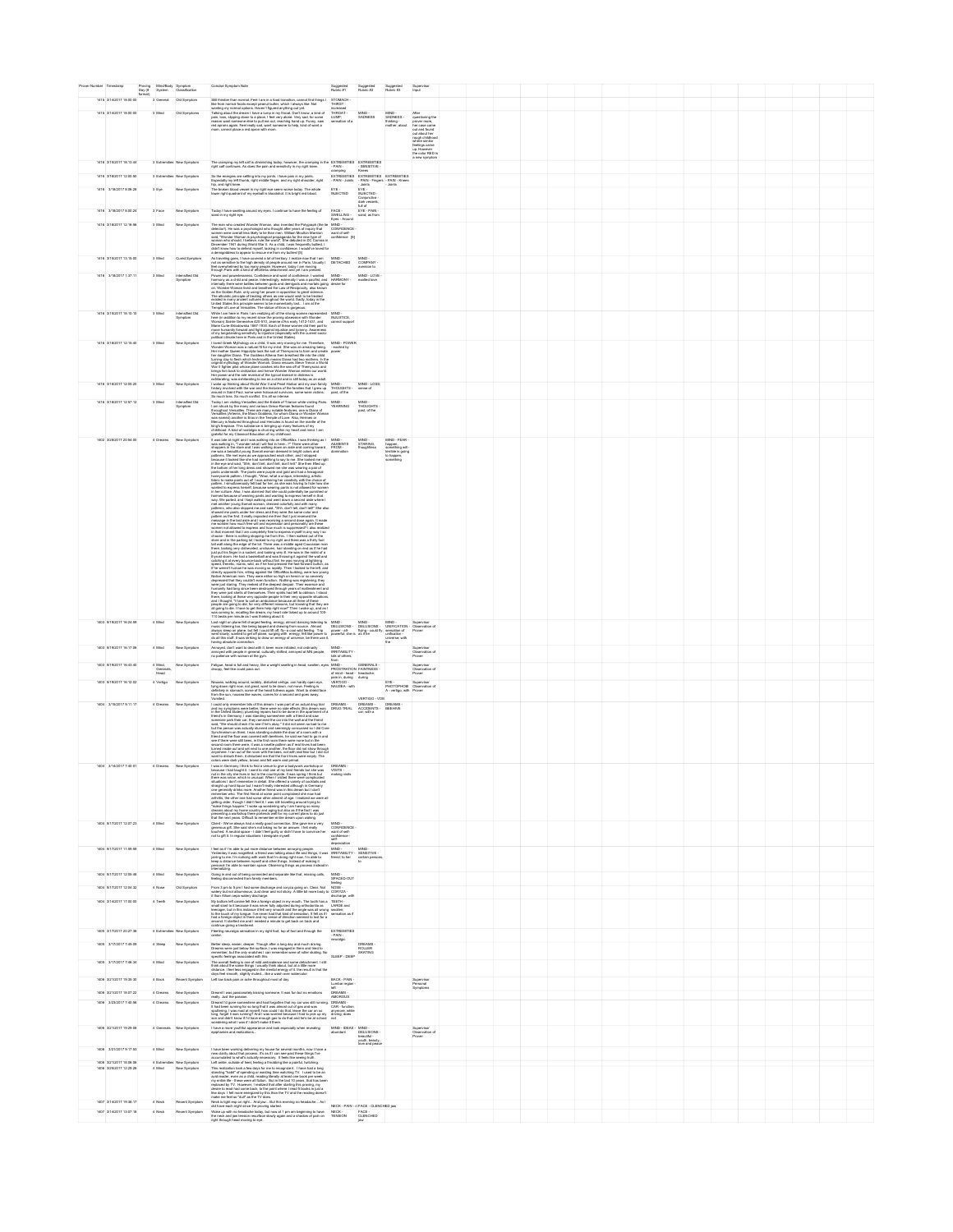| $\begin{tabular}{ll} Prover Newton & Theastamp & Proving & MindBody & Symptom \\ & Dary & Day & System & Classification \\ & forend \\ \end{tabular}$ |                                                                                                |                                         | Concise Symptom Note                                                                                                                                                                                                                                                                                                                                                                                                                                                                                                                                                                                                                                                                                                                                                                                                                                                                                                                                           | Supposted Supposted Supposted Supervisor<br>Rubric #1 Rubric #2 Rubric #3 Input |                                                                  |                                                                          |                                                                                                                            |  |  |  |  |  |  |  |
|-------------------------------------------------------------------------------------------------------------------------------------------------------|------------------------------------------------------------------------------------------------|-----------------------------------------|----------------------------------------------------------------------------------------------------------------------------------------------------------------------------------------------------------------------------------------------------------------------------------------------------------------------------------------------------------------------------------------------------------------------------------------------------------------------------------------------------------------------------------------------------------------------------------------------------------------------------------------------------------------------------------------------------------------------------------------------------------------------------------------------------------------------------------------------------------------------------------------------------------------------------------------------------------------|---------------------------------------------------------------------------------|------------------------------------------------------------------|--------------------------------------------------------------------------|----------------------------------------------------------------------------------------------------------------------------|--|--|--|--|--|--|--|
| 1415 3/14/2017 18:00:00                                                                                                                               | 3 General Old Symptom                                                                          |                                         | Still thirstier than normal. Feel I am in a food transition, cannot find things I<br>like from normal foods except peanst butter, which I always like. Not<br>wanting my normal options. Haven't figured anything out yet.                                                                                                                                                                                                                                                                                                                                                                                                                                                                                                                                                                                                                                                                                                                                     | <b>STOMACH</b>                                                                  |                                                                  |                                                                          |                                                                                                                            |  |  |  |  |  |  |  |
| 1415 3/14/2017 18:00:00                                                                                                                               |                                                                                                | 3 Mind Old Symptoms                     |                                                                                                                                                                                                                                                                                                                                                                                                                                                                                                                                                                                                                                                                                                                                                                                                                                                                                                                                                                | THIRST -<br>increased                                                           | MND-<br>SADNESS                                                  |                                                                          | After                                                                                                                      |  |  |  |  |  |  |  |
|                                                                                                                                                       |                                                                                                |                                         | Taking about the dream I have a lump in my throat. Don't know, a kind of pain, loss, aligping down to a place, I feat very alone. Very stad, for some<br>reason want screenes with painting the space of the state of the stadium                                                                                                                                                                                                                                                                                                                                                                                                                                                                                                                                                                                                                                                                                                                              | THROAT -<br>LUMP:<br>sersation of a                                             |                                                                  | MIND -<br>SADNESS -<br>thinking -<br>thinking -<br>mother; about         | Polar<br>quastioning the<br>her case came<br>out and found<br>out about her<br>rough childhood<br>where roma<br>where roma |  |  |  |  |  |  |  |
|                                                                                                                                                       |                                                                                                |                                         | and place a red apron with mom                                                                                                                                                                                                                                                                                                                                                                                                                                                                                                                                                                                                                                                                                                                                                                                                                                                                                                                                 |                                                                                 |                                                                  |                                                                          |                                                                                                                            |  |  |  |  |  |  |  |
|                                                                                                                                                       |                                                                                                |                                         |                                                                                                                                                                                                                                                                                                                                                                                                                                                                                                                                                                                                                                                                                                                                                                                                                                                                                                                                                                |                                                                                 |                                                                  |                                                                          |                                                                                                                            |  |  |  |  |  |  |  |
|                                                                                                                                                       |                                                                                                |                                         |                                                                                                                                                                                                                                                                                                                                                                                                                                                                                                                                                                                                                                                                                                                                                                                                                                                                                                                                                                |                                                                                 |                                                                  |                                                                          | feelings came<br>up. However<br>the color RED is<br>a new sympto                                                           |  |  |  |  |  |  |  |
| 1416 3/15/2017 18:13:44                                                                                                                               |                                                                                                | 3 Extremities New Symptom               | The cramping my left calf is diminishing today; however, the cramping in the EXTREMITIES EXTREMITIES right calf continues. As does the pain and sensitivity in my right loss. PRNISTIVE - SENSITIVE -                                                                                                                                                                                                                                                                                                                                                                                                                                                                                                                                                                                                                                                                                                                                                          |                                                                                 |                                                                  |                                                                          |                                                                                                                            |  |  |  |  |  |  |  |
| 1416 3/18/2017 12:00:50                                                                                                                               |                                                                                                | 3 Extremities New Symptom               | So the energies are setting into my joints. I have pain in my joints.<br>Especially my left thumb, right middle finger, and my right shoulder, right<br>hip, and right knee.                                                                                                                                                                                                                                                                                                                                                                                                                                                                                                                                                                                                                                                                                                                                                                                   | EXTREMITIES EXTREMITIES EXTREMITIES<br>- PAIN - Joints                          |                                                                  |                                                                          |                                                                                                                            |  |  |  |  |  |  |  |
| 1416 3/18/2017 8:08:28                                                                                                                                | 3 Eye                                                                                          | New Symptom                             | The broken blood vessel in my right eye seem worse today. The whole<br>lower right quadrant of my eyeball is bloodshot. It is bright red blood.                                                                                                                                                                                                                                                                                                                                                                                                                                                                                                                                                                                                                                                                                                                                                                                                                | EYE -<br>INJECTED                                                               | - PAIN - Fingers - PAIN - Knees<br>- Joints - Joints             |                                                                          |                                                                                                                            |  |  |  |  |  |  |  |
|                                                                                                                                                       |                                                                                                |                                         |                                                                                                                                                                                                                                                                                                                                                                                                                                                                                                                                                                                                                                                                                                                                                                                                                                                                                                                                                                |                                                                                 | EYE -<br>INJECTED -<br>Conjunctiva -<br>dark vessels;<br>full of |                                                                          |                                                                                                                            |  |  |  |  |  |  |  |
| 1416 3/18/2017 8:00:24                                                                                                                                |                                                                                                | 3 Face New Symptom                      |                                                                                                                                                                                                                                                                                                                                                                                                                                                                                                                                                                                                                                                                                                                                                                                                                                                                                                                                                                |                                                                                 | EYE - PAIN -<br>sand, as from                                    |                                                                          |                                                                                                                            |  |  |  |  |  |  |  |
| 1416 3/18/2017 12:16:56                                                                                                                               | 3 Mind                                                                                         | New Symptom                             | Today I have swelling around my eyes. I continue to have the feeling of FACE<br>send in my right eye.<br>Eyes - Around                                                                                                                                                                                                                                                                                                                                                                                                                                                                                                                                                                                                                                                                                                                                                                                                                                         |                                                                                 |                                                                  |                                                                          |                                                                                                                            |  |  |  |  |  |  |  |
|                                                                                                                                                       |                                                                                                |                                         |                                                                                                                                                                                                                                                                                                                                                                                                                                                                                                                                                                                                                                                                                                                                                                                                                                                                                                                                                                | <b>IDENCE</b>                                                                   |                                                                  |                                                                          |                                                                                                                            |  |  |  |  |  |  |  |
|                                                                                                                                                       |                                                                                                |                                         |                                                                                                                                                                                                                                                                                                                                                                                                                                                                                                                                                                                                                                                                                                                                                                                                                                                                                                                                                                | confidence [6]                                                                  |                                                                  |                                                                          |                                                                                                                            |  |  |  |  |  |  |  |
| 1416 3/15/2017 13:15:00                                                                                                                               | 3 Mind                                                                                         | Cured Symptom                           | The man who created Worder Woman, also inverted the Polygraph (the list MRC).<br>Simulation (1) the search of the Bandy Marco Marco Marco Marco Marco Marco Marco Marco Marco Marco Marco Marco Marco Marco Marco Marco Marco M                                                                                                                                                                                                                                                                                                                                                                                                                                                                                                                                                                                                                                                                                                                                |                                                                                 |                                                                  |                                                                          |                                                                                                                            |  |  |  |  |  |  |  |
|                                                                                                                                                       |                                                                                                |                                         | a determinable to top para the tensor are for the pulsation of the size of the size of the size of the size of the size of the size of the size of the size of the size of the size of the size of the size of the size of th                                                                                                                                                                                                                                                                                                                                                                                                                                                                                                                                                                                                                                                                                                                                  |                                                                                 | MND-<br>COMPANY-                                                 |                                                                          |                                                                                                                            |  |  |  |  |  |  |  |
| 1416 3/18/2017 1:37:11                                                                                                                                | 3 Mind                                                                                         | <b>Intersified Old</b><br>Symptom       |                                                                                                                                                                                                                                                                                                                                                                                                                                                                                                                                                                                                                                                                                                                                                                                                                                                                                                                                                                |                                                                                 |                                                                  |                                                                          |                                                                                                                            |  |  |  |  |  |  |  |
|                                                                                                                                                       |                                                                                                |                                         |                                                                                                                                                                                                                                                                                                                                                                                                                                                                                                                                                                                                                                                                                                                                                                                                                                                                                                                                                                |                                                                                 |                                                                  |                                                                          |                                                                                                                            |  |  |  |  |  |  |  |
|                                                                                                                                                       |                                                                                                |                                         |                                                                                                                                                                                                                                                                                                                                                                                                                                                                                                                                                                                                                                                                                                                                                                                                                                                                                                                                                                |                                                                                 |                                                                  |                                                                          |                                                                                                                            |  |  |  |  |  |  |  |
| 1416 3/15/2017 18:10:10                                                                                                                               | 3 Mind                                                                                         |                                         |                                                                                                                                                                                                                                                                                                                                                                                                                                                                                                                                                                                                                                                                                                                                                                                                                                                                                                                                                                |                                                                                 |                                                                  |                                                                          |                                                                                                                            |  |  |  |  |  |  |  |
|                                                                                                                                                       |                                                                                                | Intensified Old<br>Symptom              |                                                                                                                                                                                                                                                                                                                                                                                                                                                                                                                                                                                                                                                                                                                                                                                                                                                                                                                                                                |                                                                                 |                                                                  |                                                                          |                                                                                                                            |  |  |  |  |  |  |  |
|                                                                                                                                                       |                                                                                                |                                         | The matter is the anti-matter and control proposes represented. MAN, the space of the control of the space of the space of the space of the space of the space of the space of the space of the space of the space of the spa                                                                                                                                                                                                                                                                                                                                                                                                                                                                                                                                                                                                                                                                                                                                  |                                                                                 |                                                                  |                                                                          |                                                                                                                            |  |  |  |  |  |  |  |
| 1416 3/18/2017 12:15:40                                                                                                                               | 3 Mind                                                                                         | New Sympton                             |                                                                                                                                                                                                                                                                                                                                                                                                                                                                                                                                                                                                                                                                                                                                                                                                                                                                                                                                                                |                                                                                 |                                                                  |                                                                          |                                                                                                                            |  |  |  |  |  |  |  |
|                                                                                                                                                       |                                                                                                |                                         | I loved Creek Mythology as a child. It was very moving for me. Therefore, MIND - POWER Viborate Western was a matural fit for my mind. She was an amazing being. - excelled by Winnfeld Figure The matural of the myth of the                                                                                                                                                                                                                                                                                                                                                                                                                                                                                                                                                                                                                                                                                                                                  |                                                                                 |                                                                  |                                                                          |                                                                                                                            |  |  |  |  |  |  |  |
|                                                                                                                                                       |                                                                                                |                                         |                                                                                                                                                                                                                                                                                                                                                                                                                                                                                                                                                                                                                                                                                                                                                                                                                                                                                                                                                                |                                                                                 |                                                                  |                                                                          |                                                                                                                            |  |  |  |  |  |  |  |
|                                                                                                                                                       |                                                                                                |                                         | It uning class to finish which technically remains Diana had two moffenses. In the conditional mythology of Wordset Woman, Diana mesoars Steve Trever a World Wave II fighter published in the space of the same of of Thermy                                                                                                                                                                                                                                                                                                                                                                                                                                                                                                                                                                                                                                                                                                                                  |                                                                                 |                                                                  |                                                                          |                                                                                                                            |  |  |  |  |  |  |  |
| 1416 3/18/2017 12:05:20                                                                                                                               | 3 Mind                                                                                         | New Symptom                             | www.martig.com/with the state of the state of the state of the state of the state of the state of the state of the state of the state of the state of the state of the state of the state of the state of the state of the sta                                                                                                                                                                                                                                                                                                                                                                                                                                                                                                                                                                                                                                                                                                                                 |                                                                                 | MND - LOSS:<br>sense of                                          |                                                                          |                                                                                                                            |  |  |  |  |  |  |  |
| 1416 3/18/2017 12:57:12                                                                                                                               | 3 Mind                                                                                         | <b>Intersified Old</b><br>Symptom       |                                                                                                                                                                                                                                                                                                                                                                                                                                                                                                                                                                                                                                                                                                                                                                                                                                                                                                                                                                |                                                                                 |                                                                  |                                                                          |                                                                                                                            |  |  |  |  |  |  |  |
|                                                                                                                                                       |                                                                                                |                                         |                                                                                                                                                                                                                                                                                                                                                                                                                                                                                                                                                                                                                                                                                                                                                                                                                                                                                                                                                                |                                                                                 | THOUGHTS                                                         |                                                                          |                                                                                                                            |  |  |  |  |  |  |  |
|                                                                                                                                                       |                                                                                                |                                         | and the first particle in the first matrix and the state of the state of the state of the state of the state of the state of the state of the state of the state of the state of the state of the state of the state of the s                                                                                                                                                                                                                                                                                                                                                                                                                                                                                                                                                                                                                                                                                                                                  |                                                                                 |                                                                  |                                                                          |                                                                                                                            |  |  |  |  |  |  |  |
| 1402 3/28/2017 20:54:00                                                                                                                               |                                                                                                | 4 Dreams New Symptom                    |                                                                                                                                                                                                                                                                                                                                                                                                                                                                                                                                                                                                                                                                                                                                                                                                                                                                                                                                                                |                                                                                 |                                                                  |                                                                          |                                                                                                                            |  |  |  |  |  |  |  |
|                                                                                                                                                       |                                                                                                |                                         |                                                                                                                                                                                                                                                                                                                                                                                                                                                                                                                                                                                                                                                                                                                                                                                                                                                                                                                                                                |                                                                                 |                                                                  | MIND - FEAR -<br>happen,<br>something will -<br>temble is going          |                                                                                                                            |  |  |  |  |  |  |  |
|                                                                                                                                                       |                                                                                                |                                         |                                                                                                                                                                                                                                                                                                                                                                                                                                                                                                                                                                                                                                                                                                                                                                                                                                                                                                                                                                |                                                                                 |                                                                  | to happ                                                                  |                                                                                                                            |  |  |  |  |  |  |  |
|                                                                                                                                                       |                                                                                                |                                         |                                                                                                                                                                                                                                                                                                                                                                                                                                                                                                                                                                                                                                                                                                                                                                                                                                                                                                                                                                |                                                                                 |                                                                  |                                                                          |                                                                                                                            |  |  |  |  |  |  |  |
|                                                                                                                                                       |                                                                                                |                                         |                                                                                                                                                                                                                                                                                                                                                                                                                                                                                                                                                                                                                                                                                                                                                                                                                                                                                                                                                                |                                                                                 |                                                                  |                                                                          |                                                                                                                            |  |  |  |  |  |  |  |
|                                                                                                                                                       |                                                                                                |                                         |                                                                                                                                                                                                                                                                                                                                                                                                                                                                                                                                                                                                                                                                                                                                                                                                                                                                                                                                                                |                                                                                 |                                                                  |                                                                          |                                                                                                                            |  |  |  |  |  |  |  |
|                                                                                                                                                       |                                                                                                |                                         |                                                                                                                                                                                                                                                                                                                                                                                                                                                                                                                                                                                                                                                                                                                                                                                                                                                                                                                                                                |                                                                                 |                                                                  |                                                                          |                                                                                                                            |  |  |  |  |  |  |  |
|                                                                                                                                                       |                                                                                                |                                         | pathens, and a skin significant in and said. "Shi, during the same pathens as the first. In the same pathens as the first. It easily impacted in the limit and the same pathents are the same pathents of the limit and the s                                                                                                                                                                                                                                                                                                                                                                                                                                                                                                                                                                                                                                                                                                                                  |                                                                                 |                                                                  |                                                                          |                                                                                                                            |  |  |  |  |  |  |  |
|                                                                                                                                                       |                                                                                                |                                         |                                                                                                                                                                                                                                                                                                                                                                                                                                                                                                                                                                                                                                                                                                                                                                                                                                                                                                                                                                |                                                                                 |                                                                  |                                                                          |                                                                                                                            |  |  |  |  |  |  |  |
|                                                                                                                                                       |                                                                                                |                                         |                                                                                                                                                                                                                                                                                                                                                                                                                                                                                                                                                                                                                                                                                                                                                                                                                                                                                                                                                                |                                                                                 |                                                                  |                                                                          |                                                                                                                            |  |  |  |  |  |  |  |
|                                                                                                                                                       |                                                                                                |                                         |                                                                                                                                                                                                                                                                                                                                                                                                                                                                                                                                                                                                                                                                                                                                                                                                                                                                                                                                                                |                                                                                 |                                                                  |                                                                          |                                                                                                                            |  |  |  |  |  |  |  |
|                                                                                                                                                       |                                                                                                |                                         | ου αποτελεί της προσωπικής του προσωπικής του προσωπικής του προσωπικής του προσωπικής του προσωπικής του προσωπικής του προσωπικής του προσωπικής του προσωπικής του προσωπικής του προσωπικής του προσωπικής του προσωπικ                                                                                                                                                                                                                                                                                                                                                                                                                                                                                                                                                                                                                                                                                                                                    |                                                                                 |                                                                  |                                                                          |                                                                                                                            |  |  |  |  |  |  |  |
|                                                                                                                                                       |                                                                                                |                                         |                                                                                                                                                                                                                                                                                                                                                                                                                                                                                                                                                                                                                                                                                                                                                                                                                                                                                                                                                                |                                                                                 |                                                                  |                                                                          |                                                                                                                            |  |  |  |  |  |  |  |
|                                                                                                                                                       |                                                                                                |                                         |                                                                                                                                                                                                                                                                                                                                                                                                                                                                                                                                                                                                                                                                                                                                                                                                                                                                                                                                                                |                                                                                 |                                                                  |                                                                          |                                                                                                                            |  |  |  |  |  |  |  |
|                                                                                                                                                       |                                                                                                |                                         |                                                                                                                                                                                                                                                                                                                                                                                                                                                                                                                                                                                                                                                                                                                                                                                                                                                                                                                                                                |                                                                                 |                                                                  |                                                                          |                                                                                                                            |  |  |  |  |  |  |  |
|                                                                                                                                                       |                                                                                                |                                         |                                                                                                                                                                                                                                                                                                                                                                                                                                                                                                                                                                                                                                                                                                                                                                                                                                                                                                                                                                |                                                                                 |                                                                  |                                                                          |                                                                                                                            |  |  |  |  |  |  |  |
|                                                                                                                                                       |                                                                                                |                                         |                                                                                                                                                                                                                                                                                                                                                                                                                                                                                                                                                                                                                                                                                                                                                                                                                                                                                                                                                                |                                                                                 |                                                                  |                                                                          |                                                                                                                            |  |  |  |  |  |  |  |
| 1403 5/19/2017 16:24:59                                                                                                                               |                                                                                                | 4 Mind New Symptom                      |                                                                                                                                                                                                                                                                                                                                                                                                                                                                                                                                                                                                                                                                                                                                                                                                                                                                                                                                                                |                                                                                 |                                                                  |                                                                          |                                                                                                                            |  |  |  |  |  |  |  |
|                                                                                                                                                       |                                                                                                |                                         | , i.e. weak part means at vea moving about 4.<br>Lead may be a semi-particular and the semi-particular and the semi-particular control of the semi-particular<br>interview and the semi-pape and disease and the material control                                                                                                                                                                                                                                                                                                                                                                                                                                                                                                                                                                                                                                                                                                                              |                                                                                 |                                                                  |                                                                          |                                                                                                                            |  |  |  |  |  |  |  |
| 1403 5/19/2017 16:17:06                                                                                                                               |                                                                                                | 4 Mind New Symptom                      | having absolute or<br>Amoyed, don't want to deal with it, been more initiated, not ordinarily MIND -<br>annoyed with people in general, culturally shifted, annoyed at MN people, IRRITABILITY -<br>no patience with woman at the gym.<br>from                                                                                                                                                                                                                                                                                                                                                                                                                                                                                                                                                                                                                                                                                                                 |                                                                                 |                                                                  |                                                                          | Supervisor<br>Observation of<br>Prover                                                                                     |  |  |  |  |  |  |  |
| 1403 5/19/2017 16:43:40                                                                                                                               |                                                                                                | New Symptom                             |                                                                                                                                                                                                                                                                                                                                                                                                                                                                                                                                                                                                                                                                                                                                                                                                                                                                                                                                                                |                                                                                 |                                                                  |                                                                          |                                                                                                                            |  |  |  |  |  |  |  |
|                                                                                                                                                       | $\begin{array}{c} \textbf{4} \text{ Mind,} \\ \textbf{Generals,} \\ \textbf{Head} \end{array}$ |                                         | ${\small \textsf{Fstigue}, \textsf{head is full and heavy, like a weight working in head, avolien, ayes} \begin{tabular}{c} \textsf{MND} \\ \textsf{chocpy, field lies could pass out.} \end{tabular} \normalsize \begin{tabular}{c} \textsf{NMD} \\ \textsf{PROSTRATON FANINESS} \end{tabular}$                                                                                                                                                                                                                                                                                                                                                                                                                                                                                                                                                                                                                                                               | of mind - head - headache;<br>pain in; during during                            |                                                                  |                                                                          |                                                                                                                            |  |  |  |  |  |  |  |
| 1403 5/19/2017 16:12:02                                                                                                                               | 4 Vertigo                                                                                      | New Symptom                             | Nausea, walking around, wobbly, distorted vertigo, can hardly open eye, VERTIGO -<br>hiring down right now, not geaal, want to le down, not move. Feating is  NAUSEA - with<br>definitely in stormach, some of the head tulness a                                                                                                                                                                                                                                                                                                                                                                                                                                                                                                                                                                                                                                                                                                                              |                                                                                 |                                                                  | EYE - Supervisor<br>PHOTOPHOBI Observation o<br>A - vertigo; with Prover |                                                                                                                            |  |  |  |  |  |  |  |
| 1404 3/15/2017 9:11:17                                                                                                                                |                                                                                                | 4 Dreams New Symptom                    |                                                                                                                                                                                                                                                                                                                                                                                                                                                                                                                                                                                                                                                                                                                                                                                                                                                                                                                                                                |                                                                                 | VERTIGO - VOM                                                    |                                                                          |                                                                                                                            |  |  |  |  |  |  |  |
|                                                                                                                                                       |                                                                                                |                                         |                                                                                                                                                                                                                                                                                                                                                                                                                                                                                                                                                                                                                                                                                                                                                                                                                                                                                                                                                                |                                                                                 |                                                                  |                                                                          |                                                                                                                            |  |  |  |  |  |  |  |
|                                                                                                                                                       |                                                                                                |                                         |                                                                                                                                                                                                                                                                                                                                                                                                                                                                                                                                                                                                                                                                                                                                                                                                                                                                                                                                                                |                                                                                 |                                                                  |                                                                          |                                                                                                                            |  |  |  |  |  |  |  |
|                                                                                                                                                       |                                                                                                |                                         |                                                                                                                                                                                                                                                                                                                                                                                                                                                                                                                                                                                                                                                                                                                                                                                                                                                                                                                                                                |                                                                                 |                                                                  |                                                                          |                                                                                                                            |  |  |  |  |  |  |  |
|                                                                                                                                                       |                                                                                                |                                         |                                                                                                                                                                                                                                                                                                                                                                                                                                                                                                                                                                                                                                                                                                                                                                                                                                                                                                                                                                |                                                                                 |                                                                  |                                                                          |                                                                                                                            |  |  |  |  |  |  |  |
|                                                                                                                                                       |                                                                                                |                                         | Vestigate the property of the state of the property of the state of the state of the state of the state of the state of the state of the state of the state of the state of the state of the state of the state of the state                                                                                                                                                                                                                                                                                                                                                                                                                                                                                                                                                                                                                                                                                                                                   |                                                                                 |                                                                  |                                                                          |                                                                                                                            |  |  |  |  |  |  |  |
| 1404 3/14/2017 7:40:01                                                                                                                                |                                                                                                | 4 Dreams New Symptom                    |                                                                                                                                                                                                                                                                                                                                                                                                                                                                                                                                                                                                                                                                                                                                                                                                                                                                                                                                                                |                                                                                 |                                                                  |                                                                          |                                                                                                                            |  |  |  |  |  |  |  |
|                                                                                                                                                       |                                                                                                |                                         |                                                                                                                                                                                                                                                                                                                                                                                                                                                                                                                                                                                                                                                                                                                                                                                                                                                                                                                                                                |                                                                                 |                                                                  |                                                                          |                                                                                                                            |  |  |  |  |  |  |  |
|                                                                                                                                                       |                                                                                                |                                         |                                                                                                                                                                                                                                                                                                                                                                                                                                                                                                                                                                                                                                                                                                                                                                                                                                                                                                                                                                |                                                                                 |                                                                  |                                                                          |                                                                                                                            |  |  |  |  |  |  |  |
|                                                                                                                                                       |                                                                                                |                                         | olds were detected in the state of the state and product state<br>for the control of the state of the state of the state of the state<br>of the state of the state of the state of the state of the state<br>of the state of the state                                                                                                                                                                                                                                                                                                                                                                                                                                                                                                                                                                                                                                                                                                                         |                                                                                 |                                                                  |                                                                          |                                                                                                                            |  |  |  |  |  |  |  |
|                                                                                                                                                       |                                                                                                |                                         |                                                                                                                                                                                                                                                                                                                                                                                                                                                                                                                                                                                                                                                                                                                                                                                                                                                                                                                                                                |                                                                                 |                                                                  |                                                                          |                                                                                                                            |  |  |  |  |  |  |  |
| 1404 5/17/2017 12:07:23                                                                                                                               | 4 Mind                                                                                         | New Symptom                             | $\label{eq:Cham} \begin{array}{ll} \text{Client-Weive always that a really good connection. She gave me a very MND-}\text{number of the two subgraph and a really good representation. The given value of the input variable, the result is to be a new wave. If the null function is a new wave. If the null function is a new vector. If the null function is a new vector, then the null condition is a new vector. If the null function is a new vector. If the null function is a new vector. Then the null condition is a new vector. Then the null condition is a new vector. Then the null condition is a new vector. Then the null condition is a new vector. Then the null condition is a new vector. Then the null condition is a new vector. Then the null condition is a new vector. Then the null condition is a new vector. Then the null condition is a new vector. Then the null condition is a new vector. Then the null condition is a new$ |                                                                                 |                                                                  |                                                                          |                                                                                                                            |  |  |  |  |  |  |  |
|                                                                                                                                                       |                                                                                                |                                         |                                                                                                                                                                                                                                                                                                                                                                                                                                                                                                                                                                                                                                                                                                                                                                                                                                                                                                                                                                | want of self-<br>confidence -<br>self-                                          |                                                                  |                                                                          |                                                                                                                            |  |  |  |  |  |  |  |
| 1404 5/17/2017 11:50:50                                                                                                                               |                                                                                                | 4 Mind New Symptom                      |                                                                                                                                                                                                                                                                                                                                                                                                                                                                                                                                                                                                                                                                                                                                                                                                                                                                                                                                                                | depreciation                                                                    |                                                                  |                                                                          |                                                                                                                            |  |  |  |  |  |  |  |
|                                                                                                                                                       |                                                                                                |                                         | 1 feel as if i'm able to put more distance between annuying people.<br>NAND - SERISCO - MAND - SERISCO - MAND - SERISCO - SERISCO - SERISCO - SERISCO - SERISCO - SERISCO - SERISCO<br>NAND SITH ONE CONTINUES IN THE SERIES OF TH                                                                                                                                                                                                                                                                                                                                                                                                                                                                                                                                                                                                                                                                                                                             |                                                                                 | certain persons,<br>to                                           |                                                                          |                                                                                                                            |  |  |  |  |  |  |  |
| 1404 5/17/2017 12:05:48                                                                                                                               |                                                                                                | 4 Mind New Symptom                      | Going in and out of being connected and separate like that, missing calls, MIND -<br>feeling disconnected from family members.<br>SPACED-OUT                                                                                                                                                                                                                                                                                                                                                                                                                                                                                                                                                                                                                                                                                                                                                                                                                   |                                                                                 |                                                                  |                                                                          |                                                                                                                            |  |  |  |  |  |  |  |
| 1404 5/17/2017 12:04:32                                                                                                                               | 4 Nose Old Symptom                                                                             |                                         |                                                                                                                                                                                                                                                                                                                                                                                                                                                                                                                                                                                                                                                                                                                                                                                                                                                                                                                                                                |                                                                                 |                                                                  |                                                                          |                                                                                                                            |  |  |  |  |  |  |  |
| 1404 3/14/2017 17:00:00                                                                                                                               | 4 Teeth                                                                                        | New Symptom                             | From 3 pm to 5 pm I had some discharge and coryze going on. Clear. Not $\overline{\text{NOSE}}$ -<br>watery but not abuminous. Just clear and not sticky. A little bit more body to CORYZA<br>it then Allium cepa watery discharge.                                                                                                                                                                                                                                                                                                                                                                                                                                                                                                                                                                                                                                                                                                                            |                                                                                 |                                                                  |                                                                          |                                                                                                                            |  |  |  |  |  |  |  |
|                                                                                                                                                       |                                                                                                |                                         |                                                                                                                                                                                                                                                                                                                                                                                                                                                                                                                                                                                                                                                                                                                                                                                                                                                                                                                                                                |                                                                                 |                                                                  |                                                                          |                                                                                                                            |  |  |  |  |  |  |  |
|                                                                                                                                                       |                                                                                                |                                         | , train result caps watery discharge.<br>$\frac{1}{2}$ and the most body $\frac{1}{2}$ control ( $\frac{1}{2}$ control ( $\frac{1}{2}$ control ( $\frac{1}{2}$ control ( $\frac{1}{2}$ )). (A) the state in this is lowered in the control ( $\frac{1}{2}$ ) in th                                                                                                                                                                                                                                                                                                                                                                                                                                                                                                                                                                                                                                                                                             |                                                                                 |                                                                  |                                                                          |                                                                                                                            |  |  |  |  |  |  |  |
| 1405 3/17/2017 20:27:36                                                                                                                               |                                                                                                | 4 Extremities New Symptom               | $\label{lem:constr} \textbf{Floating neuralize} \xrightarrow{\text{non-adjoint} } \textbf{Floating} \xrightarrow{\text{non-adjoint} } \textbf{Floating} \xrightarrow{\text{Poh} } \textbf{Floiff} \xrightarrow{\text{Poh} } \textbf{Floiff} \xrightarrow{\text{Poh} } \textbf{Floiff} \xrightarrow{\text{Poh} } \textbf{Floiff} \xrightarrow{\text{Poh} } \textbf{Floiff} \xrightarrow{\text{Poh} } \textbf{Floiff} \xrightarrow{\text{Poh} } \textbf{Floiff} \xrightarrow{\text{Poh} } \textbf{Floiff} \xrightarrow{\text{Poh} } \textbf{Floiff}$                                                                                                                                                                                                                                                                                                                                                                                                             |                                                                                 |                                                                  |                                                                          |                                                                                                                            |  |  |  |  |  |  |  |
| 1405 3/17/2017 7:45:09                                                                                                                                |                                                                                                | 4 Sleep New Symptom                     |                                                                                                                                                                                                                                                                                                                                                                                                                                                                                                                                                                                                                                                                                                                                                                                                                                                                                                                                                                |                                                                                 | DREAMS                                                           |                                                                          |                                                                                                                            |  |  |  |  |  |  |  |
|                                                                                                                                                       |                                                                                                |                                         | Botter sleep, easier, deeper. Though effer a long day and much driving.<br>Chemen wave just a constraint a factorial policy in from real block (a) consider the constraints of the property and the spectral spectrum of the spe                                                                                                                                                                                                                                                                                                                                                                                                                                                                                                                                                                                                                                                                                                                               | SLEEP - DEEP                                                                    | ROLLER<br>SKATING                                                |                                                                          |                                                                                                                            |  |  |  |  |  |  |  |
| 1405 3/17/2017 7:46:34                                                                                                                                |                                                                                                | 4 Mind New Symptom                      |                                                                                                                                                                                                                                                                                                                                                                                                                                                                                                                                                                                                                                                                                                                                                                                                                                                                                                                                                                |                                                                                 |                                                                  |                                                                          |                                                                                                                            |  |  |  |  |  |  |  |
| 1406 3/21/2017 19:35:30                                                                                                                               |                                                                                                | 4 Back Recent Symptom                   | Left low back pain or ache throughout most of day.                                                                                                                                                                                                                                                                                                                                                                                                                                                                                                                                                                                                                                                                                                                                                                                                                                                                                                             | BACK - PAIN -                                                                   |                                                                  |                                                                          |                                                                                                                            |  |  |  |  |  |  |  |
| 1406 3/21/2017 18:07:22                                                                                                                               |                                                                                                | 4 Dreams New Symptom                    |                                                                                                                                                                                                                                                                                                                                                                                                                                                                                                                                                                                                                                                                                                                                                                                                                                                                                                                                                                | Lumbar region -                                                                 |                                                                  |                                                                          | Personal                                                                                                                   |  |  |  |  |  |  |  |
| 1406 3/23/2017 7:40:56                                                                                                                                |                                                                                                | 4 Dreams New Symptom                    | Dreamt I was passionately kissing someone. It was fun but no emotions DREAMS - really. Just the passion. AMOROUS                                                                                                                                                                                                                                                                                                                                                                                                                                                                                                                                                                                                                                                                                                                                                                                                                                               |                                                                                 |                                                                  |                                                                          |                                                                                                                            |  |  |  |  |  |  |  |
|                                                                                                                                                       |                                                                                                |                                         | Naary . Assume the governments and had forgotten that my car was still norming. DREAMS-<br>Constraints of the state and the state occald to that kisses the state of the state of the state of the state of the state of the sta                                                                                                                                                                                                                                                                                                                                                                                                                                                                                                                                                                                                                                                                                                                               |                                                                                 |                                                                  |                                                                          |                                                                                                                            |  |  |  |  |  |  |  |
| 1406 3/21/2017 19:29:08                                                                                                                               |                                                                                                | 4 Generals New Symptom                  | There a more youthful appearance and look especially when revealing MIND - IDEAS - MIND - opphenies and realizations                                                                                                                                                                                                                                                                                                                                                                                                                                                                                                                                                                                                                                                                                                                                                                                                                                           |                                                                                 |                                                                  |                                                                          |                                                                                                                            |  |  |  |  |  |  |  |
|                                                                                                                                                       |                                                                                                |                                         |                                                                                                                                                                                                                                                                                                                                                                                                                                                                                                                                                                                                                                                                                                                                                                                                                                                                                                                                                                |                                                                                 | DELUSIONS -<br>beautiful -<br>youth, beauty,<br>love and peace   |                                                                          | Supervisor<br>Observision of                                                                                               |  |  |  |  |  |  |  |
| 1406 3/21/2017 9:17:53                                                                                                                                |                                                                                                | 4 Mind New Symptom                      | I have been working delivering my house for several months, now I have a<br>new clarity about that process. It's as if I can see past these things I've<br>accumulated to what's actually necessary. It feels like seeing truth.                                                                                                                                                                                                                                                                                                                                                                                                                                                                                                                                                                                                                                                                                                                               |                                                                                 |                                                                  |                                                                          |                                                                                                                            |  |  |  |  |  |  |  |
| 1406 3/21/2017 18:06:06                                                                                                                               |                                                                                                | 4 Extremities New Symptom               | Left ankle, outside of heel, feeling a throbbing like a painful, twitching                                                                                                                                                                                                                                                                                                                                                                                                                                                                                                                                                                                                                                                                                                                                                                                                                                                                                     |                                                                                 |                                                                  |                                                                          |                                                                                                                            |  |  |  |  |  |  |  |
| 1406 3/25/2017 12:29:26                                                                                                                               |                                                                                                | 4 Mind New Symptom                      | Left around, custome of heat 1 keeps in three properties. The model of the model of the model of the control of the control of the control of the control of the control of the control of the control of the control of the                                                                                                                                                                                                                                                                                                                                                                                                                                                                                                                                                                                                                                                                                                                                   |                                                                                 |                                                                  |                                                                          |                                                                                                                            |  |  |  |  |  |  |  |
|                                                                                                                                                       |                                                                                                |                                         |                                                                                                                                                                                                                                                                                                                                                                                                                                                                                                                                                                                                                                                                                                                                                                                                                                                                                                                                                                |                                                                                 |                                                                  |                                                                          |                                                                                                                            |  |  |  |  |  |  |  |
|                                                                                                                                                       |                                                                                                |                                         |                                                                                                                                                                                                                                                                                                                                                                                                                                                                                                                                                                                                                                                                                                                                                                                                                                                                                                                                                                |                                                                                 |                                                                  |                                                                          |                                                                                                                            |  |  |  |  |  |  |  |
| 1407 3/14/2017 19:38:17<br>1407 3/14/2017 13:07:18                                                                                                    | 4 Neck                                                                                         | 4 Neck Recent Symptom<br>Recent Symptom |                                                                                                                                                                                                                                                                                                                                                                                                                                                                                                                                                                                                                                                                                                                                                                                                                                                                                                                                                                |                                                                                 |                                                                  |                                                                          |                                                                                                                            |  |  |  |  |  |  |  |
|                                                                                                                                                       |                                                                                                |                                         |                                                                                                                                                                                                                                                                                                                                                                                                                                                                                                                                                                                                                                                                                                                                                                                                                                                                                                                                                                |                                                                                 |                                                                  |                                                                          |                                                                                                                            |  |  |  |  |  |  |  |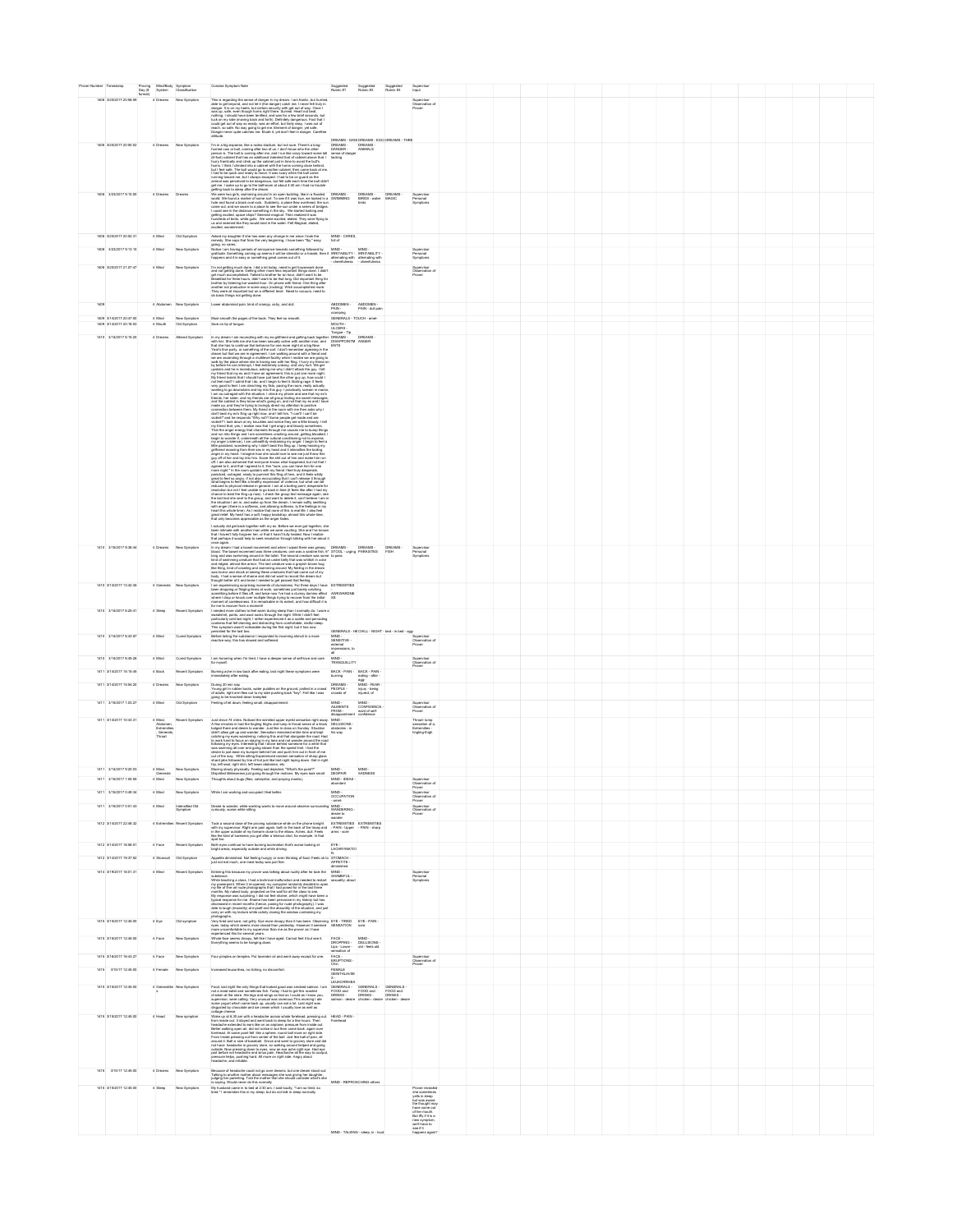| Prover Number Tim |                                                    | Proving Mind/Body Symptom<br>Day (# System Classification<br>format) |                                                                   |                                                                                                                                                                                                                                                                                                                                                                                                                                 |                                                                               | Suggested Suggested Suggested<br>Rubric #1 Rubric #2 Rubric #3 |                  | Supervi<br>Input                                                                                                                                                                                                             |  |
|-------------------|----------------------------------------------------|----------------------------------------------------------------------|-------------------------------------------------------------------|---------------------------------------------------------------------------------------------------------------------------------------------------------------------------------------------------------------------------------------------------------------------------------------------------------------------------------------------------------------------------------------------------------------------------------|-------------------------------------------------------------------------------|----------------------------------------------------------------|------------------|------------------------------------------------------------------------------------------------------------------------------------------------------------------------------------------------------------------------------|--|
|                   | 1408 3/20/2017 20:58:59                            |                                                                      | 4 Dreams New Symptom                                              | This is regarding that sometime of discussed by the presence of the base of the solar conditions and conditions are conditioned in the solar property of the solar property of the solar property of the solar property of th                                                                                                                                                                                                   |                                                                               |                                                                |                  | Supervisor<br>Observation of                                                                                                                                                                                                 |  |
|                   |                                                    |                                                                      |                                                                   |                                                                                                                                                                                                                                                                                                                                                                                                                                 |                                                                               |                                                                |                  |                                                                                                                                                                                                                              |  |
|                   |                                                    |                                                                      |                                                                   |                                                                                                                                                                                                                                                                                                                                                                                                                                 |                                                                               |                                                                |                  |                                                                                                                                                                                                                              |  |
|                   |                                                    |                                                                      |                                                                   |                                                                                                                                                                                                                                                                                                                                                                                                                                 |                                                                               | DREAMS - DAN(OREAMS - ESC/ DREAMS - THRE                       |                  |                                                                                                                                                                                                                              |  |
|                   | 1408 3/20/2017 20:50:02                            |                                                                      | 4 Dreams New Symptom                                              |                                                                                                                                                                                                                                                                                                                                                                                                                                 |                                                                               |                                                                |                  |                                                                                                                                                                                                                              |  |
|                   |                                                    |                                                                      |                                                                   |                                                                                                                                                                                                                                                                                                                                                                                                                                 |                                                                               |                                                                |                  |                                                                                                                                                                                                                              |  |
|                   |                                                    |                                                                      |                                                                   |                                                                                                                                                                                                                                                                                                                                                                                                                                 |                                                                               |                                                                |                  |                                                                                                                                                                                                                              |  |
|                   |                                                    |                                                                      |                                                                   |                                                                                                                                                                                                                                                                                                                                                                                                                                 |                                                                               |                                                                |                  |                                                                                                                                                                                                                              |  |
|                   | 1408 3/23/2017 9:10:00                             | 4 Dreams Dreams                                                      |                                                                   |                                                                                                                                                                                                                                                                                                                                                                                                                                 |                                                                               |                                                                |                  |                                                                                                                                                                                                                              |  |
|                   |                                                    |                                                                      |                                                                   | gaming the total maps after the determinant parameteristics that a forest<br>solution in the state of the state of the state of the state of the state<br>of the state of the state of the state of the state of the state of the<br>s                                                                                                                                                                                          |                                                                               |                                                                |                  | Superviso<br>Personal<br>Symptom                                                                                                                                                                                             |  |
|                   |                                                    |                                                                      |                                                                   |                                                                                                                                                                                                                                                                                                                                                                                                                                 |                                                                               |                                                                |                  |                                                                                                                                                                                                                              |  |
|                   |                                                    |                                                                      |                                                                   |                                                                                                                                                                                                                                                                                                                                                                                                                                 |                                                                               |                                                                |                  |                                                                                                                                                                                                                              |  |
|                   | 1408 3/20/2017 20:52:31                            | 4 Mind                                                               | Old Symptom                                                       | Asked my daughter if she has seen any change in me since I took the MIND - CARES, remedy. She says that from the very beginning, I have been "flip," easy full of                                                                                                                                                                                                                                                               |                                                                               |                                                                |                  |                                                                                                                                                                                                                              |  |
|                   | 1408 3/23/2017 9:13:10                             | 4 Mind                                                               |                                                                   | going, no cares                                                                                                                                                                                                                                                                                                                                                                                                                 |                                                                               |                                                                |                  |                                                                                                                                                                                                                              |  |
|                   |                                                    |                                                                      | New Symptom                                                       |                                                                                                                                                                                                                                                                                                                                                                                                                                 |                                                                               |                                                                |                  | Superviso<br>Personal<br>Symptom                                                                                                                                                                                             |  |
|                   | 1408 3/20/2017 21:07:47                            | 4 Mind                                                               | New Symptom                                                       |                                                                                                                                                                                                                                                                                                                                                                                                                                 |                                                                               |                                                                |                  |                                                                                                                                                                                                                              |  |
|                   |                                                    |                                                                      |                                                                   | I'm not gesting much done. I did a lot bodny, newel to get housework done. If the state of the stocker pathed C mated by to the state of the state of the state of the state of the state of the state of the state of the st                                                                                                                                                                                                   |                                                                               |                                                                |                  | Supervisor<br>Observation<br>Prover                                                                                                                                                                                          |  |
|                   |                                                    |                                                                      |                                                                   |                                                                                                                                                                                                                                                                                                                                                                                                                                 |                                                                               |                                                                |                  |                                                                                                                                                                                                                              |  |
|                   |                                                    |                                                                      |                                                                   |                                                                                                                                                                                                                                                                                                                                                                                                                                 |                                                                               |                                                                |                  |                                                                                                                                                                                                                              |  |
|                   |                                                    |                                                                      | 4 Abdomen New Symptom                                             | Lower abdominal pain, kind of crampy, achy, and dull.                                                                                                                                                                                                                                                                                                                                                                           | ABDOMEN - ABDOMEN -<br>PAIN - PAIN - dull pain<br>cramping                    |                                                                |                  |                                                                                                                                                                                                                              |  |
|                   | 1409 3/14/2017 20:47:00<br>1409 3/14/2017 20:18:53 |                                                                      | New Symptom<br>4 Mouth Old Symptom                                | Must smooth the pages of the book. They feel so smooth.<br>Sore on tip of tongue.                                                                                                                                                                                                                                                                                                                                               | GENERALS - TOUCH - amal-                                                      |                                                                |                  |                                                                                                                                                                                                                              |  |
|                   |                                                    |                                                                      |                                                                   |                                                                                                                                                                                                                                                                                                                                                                                                                                 | MOUTH<br>ULCERS -<br>Tongue - Tip                                             |                                                                |                  |                                                                                                                                                                                                                              |  |
|                   | 1410 3/14/2017 8:15:20                             |                                                                      | 4 Dreams Altered Symptom                                          |                                                                                                                                                                                                                                                                                                                                                                                                                                 |                                                                               |                                                                |                  |                                                                                                                                                                                                                              |  |
|                   |                                                    |                                                                      |                                                                   |                                                                                                                                                                                                                                                                                                                                                                                                                                 |                                                                               |                                                                |                  |                                                                                                                                                                                                                              |  |
|                   |                                                    |                                                                      |                                                                   |                                                                                                                                                                                                                                                                                                                                                                                                                                 |                                                                               |                                                                |                  |                                                                                                                                                                                                                              |  |
|                   |                                                    |                                                                      |                                                                   |                                                                                                                                                                                                                                                                                                                                                                                                                                 |                                                                               |                                                                |                  |                                                                                                                                                                                                                              |  |
|                   |                                                    |                                                                      |                                                                   |                                                                                                                                                                                                                                                                                                                                                                                                                                 |                                                                               |                                                                |                  |                                                                                                                                                                                                                              |  |
|                   |                                                    |                                                                      |                                                                   |                                                                                                                                                                                                                                                                                                                                                                                                                                 |                                                                               |                                                                |                  |                                                                                                                                                                                                                              |  |
|                   |                                                    |                                                                      |                                                                   |                                                                                                                                                                                                                                                                                                                                                                                                                                 |                                                                               |                                                                |                  |                                                                                                                                                                                                                              |  |
|                   |                                                    |                                                                      |                                                                   |                                                                                                                                                                                                                                                                                                                                                                                                                                 |                                                                               |                                                                |                  |                                                                                                                                                                                                                              |  |
|                   |                                                    |                                                                      |                                                                   |                                                                                                                                                                                                                                                                                                                                                                                                                                 |                                                                               |                                                                |                  |                                                                                                                                                                                                                              |  |
|                   |                                                    |                                                                      |                                                                   |                                                                                                                                                                                                                                                                                                                                                                                                                                 |                                                                               |                                                                |                  |                                                                                                                                                                                                                              |  |
|                   |                                                    |                                                                      |                                                                   |                                                                                                                                                                                                                                                                                                                                                                                                                                 |                                                                               |                                                                |                  |                                                                                                                                                                                                                              |  |
|                   |                                                    |                                                                      |                                                                   |                                                                                                                                                                                                                                                                                                                                                                                                                                 |                                                                               |                                                                |                  |                                                                                                                                                                                                                              |  |
|                   |                                                    |                                                                      |                                                                   |                                                                                                                                                                                                                                                                                                                                                                                                                                 |                                                                               |                                                                |                  |                                                                                                                                                                                                                              |  |
|                   |                                                    |                                                                      |                                                                   |                                                                                                                                                                                                                                                                                                                                                                                                                                 |                                                                               |                                                                |                  |                                                                                                                                                                                                                              |  |
|                   |                                                    |                                                                      |                                                                   | Since the figure and the matrix in the control of the control of the control of the control of the control of the control of the control of the control of the control of the control of the control of the control of the co                                                                                                                                                                                                   |                                                                               |                                                                |                  |                                                                                                                                                                                                                              |  |
|                   |                                                    |                                                                      |                                                                   |                                                                                                                                                                                                                                                                                                                                                                                                                                 |                                                                               |                                                                |                  |                                                                                                                                                                                                                              |  |
|                   |                                                    |                                                                      |                                                                   |                                                                                                                                                                                                                                                                                                                                                                                                                                 |                                                                               |                                                                |                  |                                                                                                                                                                                                                              |  |
|                   |                                                    |                                                                      |                                                                   | I actually did get back together with my ex. Before we ever got together, she<br>been intensite with ancither mean while we were counting. She and Tve known<br>that I haven't fully forgiven hear, or that it heard fully healed. N                                                                                                                                                                                            |                                                                               |                                                                |                  |                                                                                                                                                                                                                              |  |
|                   |                                                    |                                                                      |                                                                   |                                                                                                                                                                                                                                                                                                                                                                                                                                 |                                                                               |                                                                |                  |                                                                                                                                                                                                                              |  |
|                   | 1410 3/15/2017 9:38:44                             |                                                                      | 4 Dreams New Symptom                                              | (in the space in the control of the space of the space in the space of the space of the space of the space of the space of the space of the space of the space of the space of the space of the space of the space of the spa                                                                                                                                                                                                   |                                                                               |                                                                | DREAMS -<br>FISH | Superviso<br>Personal                                                                                                                                                                                                        |  |
|                   |                                                    |                                                                      |                                                                   |                                                                                                                                                                                                                                                                                                                                                                                                                                 |                                                                               |                                                                |                  |                                                                                                                                                                                                                              |  |
|                   |                                                    |                                                                      |                                                                   |                                                                                                                                                                                                                                                                                                                                                                                                                                 |                                                                               |                                                                |                  |                                                                                                                                                                                                                              |  |
|                   | 1410 3/14/2017 13:42:45                            |                                                                      | 4 Generals New Symptom                                            |                                                                                                                                                                                                                                                                                                                                                                                                                                 |                                                                               |                                                                |                  |                                                                                                                                                                                                                              |  |
|                   |                                                    |                                                                      |                                                                   |                                                                                                                                                                                                                                                                                                                                                                                                                                 |                                                                               |                                                                |                  |                                                                                                                                                                                                                              |  |
|                   | 1410 3/14/2017 8:25:41                             |                                                                      | 4 Sleep Recent Symptom                                            |                                                                                                                                                                                                                                                                                                                                                                                                                                 |                                                                               |                                                                |                  |                                                                                                                                                                                                                              |  |
|                   |                                                    |                                                                      |                                                                   |                                                                                                                                                                                                                                                                                                                                                                                                                                 |                                                                               |                                                                |                  |                                                                                                                                                                                                                              |  |
|                   |                                                    |                                                                      |                                                                   | As rows on observes in<br>that the state and the specific process of the state in a specific<br>consideration of the specific state and the specific state in the specific<br>state of the specific state and the specific state in th                                                                                                                                                                                          |                                                                               | GENERALS - HECHILL - NIGHT - bed - in bed - agg-               |                  |                                                                                                                                                                                                                              |  |
|                   | 1410 3/14/2017 8:43:57                             | 4 Mind                                                               | Cured Symptom                                                     | Bafore taking the substance I responded to incoming stimuli in a more reactive way; this has slowed and softened.                                                                                                                                                                                                                                                                                                               | -----CPALS - H<br>MIND -<br>SENSITIVE -<br>external<br>impressions, to<br>all |                                                                |                  | Supervisor<br>Observation of<br>Prover                                                                                                                                                                                       |  |
|                   |                                                    |                                                                      |                                                                   |                                                                                                                                                                                                                                                                                                                                                                                                                                 |                                                                               |                                                                |                  |                                                                                                                                                                                                                              |  |
|                   | 1410 3/14/2017 8:45:28                             | 4 Mind                                                               | Cured Symptom                                                     | I am honoring when I'm tired. I have a deeper sense of self-love and care MIND - for myself. TRANQUILLITY                                                                                                                                                                                                                                                                                                                       |                                                                               |                                                                |                  | Supervisor<br>Observation of                                                                                                                                                                                                 |  |
|                   | 1411 3/14/2017 15:15:45                            | 4 Back                                                               | Recent Symptom                                                    | Burning ache in low back after eating, last night these symptoms were immediately after eating.                                                                                                                                                                                                                                                                                                                                 | BACK - PAIN - BACK - PAIN -<br>burning - eating - after -                     |                                                                |                  |                                                                                                                                                                                                                              |  |
|                   | 1411 3/14/2017 15:54:20                            |                                                                      | 4 Dreams New Symptom                                              | Daring 20 min nap<br>Young girl in rubber boots, water puddies on the ground, jostled in a crowd<br>of sability, ingle arm few out to my side pushing back "hey". Felt like I was<br>group to the Mondold down healing small, disappoin                                                                                                                                                                                         |                                                                               | agg-<br>MND - FEAR -<br>injury - being<br>injured; of          |                  |                                                                                                                                                                                                                              |  |
|                   | 1411 3/15/2017 1:03:27                             |                                                                      | 4 Mind Old Symptom                                                |                                                                                                                                                                                                                                                                                                                                                                                                                                 |                                                                               | MND-                                                           |                  |                                                                                                                                                                                                                              |  |
|                   |                                                    |                                                                      |                                                                   |                                                                                                                                                                                                                                                                                                                                                                                                                                 | FROM -<br>disappointment                                                      | ALMENTS CONFIDENCE -<br>want of self<br>confidence             |                  | Observation of<br>Prover                                                                                                                                                                                                     |  |
|                   | 1411 3/14/2017 10:43:31                            | 4 Mind,<br>Abdomen,<br>Extremities<br>Cenerals,<br>Throat            | Recent Symptom                                                    |                                                                                                                                                                                                                                                                                                                                                                                                                                 |                                                                               |                                                                |                  |                                                                                                                                                                                                                              |  |
|                   |                                                    |                                                                      |                                                                   |                                                                                                                                                                                                                                                                                                                                                                                                                                 |                                                                               |                                                                |                  |                                                                                                                                                                                                                              |  |
|                   |                                                    |                                                                      |                                                                   |                                                                                                                                                                                                                                                                                                                                                                                                                                 |                                                                               |                                                                |                  |                                                                                                                                                                                                                              |  |
|                   |                                                    |                                                                      |                                                                   |                                                                                                                                                                                                                                                                                                                                                                                                                                 |                                                                               |                                                                |                  |                                                                                                                                                                                                                              |  |
|                   | 1411 3/14/2017 9:20:03                             |                                                                      |                                                                   | , where the state is the finite photophop state and the photophone of the state of the state of the state of the state is a state of the state of the state of the state of the state of the state of the state of the state                                                                                                                                                                                                    |                                                                               |                                                                |                  |                                                                                                                                                                                                                              |  |
|                   | 1411 3/15/2017 1:05:55                             |                                                                      | 4 Mind, New Symptom<br>Generals New Symptom<br>4 Mind New Symptom | mp, left seat, right sim, was rower ascomment, exc.<br>Moving slowly physically. Feating sad dejected, "What's the point?" MIND -<br>Dispirited lifelessness just going through the motions. My eyes look small. DESPAIR<br>Thoughts about bugs (files, caterpillar, and praying mantis).                                                                                                                                       | MND - IDEAS -                                                                 | MND-<br>SADNESS                                                |                  |                                                                                                                                                                                                                              |  |
|                   | 1411 3/15/2017 0:49:34                             |                                                                      |                                                                   |                                                                                                                                                                                                                                                                                                                                                                                                                                 | abundant                                                                      |                                                                |                  |                                                                                                                                                                                                                              |  |
|                   |                                                    |                                                                      |                                                                   | 4 Mind New Symptom While I am working and occupied I feel better                                                                                                                                                                                                                                                                                                                                                                | MIND -<br>OCCUPATION                                                          |                                                                |                  | Supervisor<br>Observation of<br>Prover<br>Supervisor<br>Supervisor<br>Observation of<br>Observation of                                                                                                                       |  |
|                   | 1411 3/15/2017 0:51:43                             | 4 Mind                                                               | Intensified Old<br>Symptom                                        | Desire to wander, while working wants to move around observe surrounding MIND -<br>curiously, worse while sitting                                                                                                                                                                                                                                                                                                               |                                                                               |                                                                |                  |                                                                                                                                                                                                                              |  |
|                   | 1412 3/14/2017 22:48:32                            |                                                                      | 4 Extremities Recent Symptom                                      |                                                                                                                                                                                                                                                                                                                                                                                                                                 | desire to<br>wander                                                           |                                                                |                  |                                                                                                                                                                                                                              |  |
|                   |                                                    |                                                                      |                                                                   | Took a second dose of the proving substance while on the phone tonight (CXTREMITIES) EXTREMITIES (CXTREMITIES)<br>with my superiods: Right arm pain again, both in the back of the triore and - PAIN - Upper (-PAIN - sharp<br>in th                                                                                                                                                                                            |                                                                               |                                                                |                  |                                                                                                                                                                                                                              |  |
|                   | 1412 3/14/2017 18:58:51                            |                                                                      | 4 Face Recent Symptom                                             | loot too<br>Both eyes continue to have burning lacrimation that's worse looking at<br>bright areas, especially outside and while driving.                                                                                                                                                                                                                                                                                       | EYE -<br>LACHRYMATIO                                                          |                                                                |                  |                                                                                                                                                                                                                              |  |
|                   | 1412 3/14/2017 19:37:52                            |                                                                      | 4 Stomach Old Symptom                                             |                                                                                                                                                                                                                                                                                                                                                                                                                                 |                                                                               |                                                                |                  |                                                                                                                                                                                                                              |  |
|                   |                                                    | 4 Mind                                                               |                                                                   | Appetite diminished. Not feeling hungry or even thinking of food. Feels ok to STOMACH-just not eat much, one meal today was just fine. APPETITE -                                                                                                                                                                                                                                                                               |                                                                               |                                                                |                  |                                                                                                                                                                                                                              |  |
|                   | 1414 3/19/2017 18:01:31                            |                                                                      | Recent Symptom                                                    |                                                                                                                                                                                                                                                                                                                                                                                                                                 |                                                                               |                                                                |                  | Supervisor<br>Personal<br>Sumnivers                                                                                                                                                                                          |  |
|                   |                                                    |                                                                      |                                                                   |                                                                                                                                                                                                                                                                                                                                                                                                                                 |                                                                               |                                                                |                  |                                                                                                                                                                                                                              |  |
|                   |                                                    |                                                                      |                                                                   | $\label{eq:R1} \begin{minipage}[t]{0.9\textwidth} \begin{tabular}{ c c c c c } \hline \textbf{C} & \textbf{D} & \textbf{D} & \textbf{D} & \textbf{D} & \textbf{D} & \textbf{D} & \textbf{D} & \textbf{D} & \textbf{D} & \textbf{D} & \textbf{D} & \textbf{D} \\ \hline \textbf{D} & \textbf{D} & \textbf{D} & \textbf{D} & \textbf{D} & \textbf{D} & \textbf{D} & \textbf{D} & \textbf{D} & \textbf{D} & \textbf{D} & \textbf{$ |                                                                               |                                                                |                  |                                                                                                                                                                                                                              |  |
|                   |                                                    |                                                                      |                                                                   |                                                                                                                                                                                                                                                                                                                                                                                                                                 |                                                                               |                                                                |                  |                                                                                                                                                                                                                              |  |
|                   | 1415 3/15/2017 12:45:00                            | 4 Eye                                                                | Old symptom                                                       | Vary tied and sons, not gritty. Eye more droopy than it has been. Observing EYE - TIRED EYE - PAIN - eyes today which seems more closed than yesterday. However it seemed . SENSATION some more crossed than yesterday. Howeve                                                                                                                                                                                                  |                                                                               |                                                                |                  |                                                                                                                                                                                                                              |  |
|                   |                                                    |                                                                      |                                                                   |                                                                                                                                                                                                                                                                                                                                                                                                                                 |                                                                               |                                                                |                  |                                                                                                                                                                                                                              |  |
|                   | 1415 3/15/2017 12:45:00                            | 4 Face                                                               | New Symptom                                                       | waybole face searce of enverse years.<br>Whole face searce drocpy, felt like it have aged. Cannot feel it but see it.<br>Everything searns to be hanging down.                                                                                                                                                                                                                                                                  | FACE -<br>DROPPING -                                                          | MMD.<br>DELUSIONS                                              |                  |                                                                                                                                                                                                                              |  |
|                   | 1415 3/16/2017 16:43:27                            |                                                                      | 4 Face New Symptom                                                | Four pimples on temples. Put lavender oil and went away except for one.                                                                                                                                                                                                                                                                                                                                                         | Lips - Lower<br>sensation of<br>FACE                                          |                                                                |                  | Supervisor<br>Observation of                                                                                                                                                                                                 |  |
|                   | 1415 3/15/17 12:45:00                              |                                                                      | 4 Female New Symptom                                              | Increased leuconhea, no itching, no discomfort                                                                                                                                                                                                                                                                                                                                                                                  | ERUPTIONS-                                                                    |                                                                |                  |                                                                                                                                                                                                                              |  |
|                   |                                                    |                                                                      |                                                                   |                                                                                                                                                                                                                                                                                                                                                                                                                                 | FEMALE<br>GENITALIA/SE<br><b>LEUKORRHEA</b>                                   |                                                                |                  |                                                                                                                                                                                                                              |  |
|                   | 1415 3/15/2017 12:45:00                            |                                                                      | 4 Generalitie New Symptom                                         |                                                                                                                                                                                                                                                                                                                                                                                                                                 |                                                                               |                                                                |                  |                                                                                                                                                                                                                              |  |
|                   |                                                    |                                                                      |                                                                   | Food tas right the order through that behavior product process and containers and containers and containers and containers and containers and containers are contained in the state of the state of the state of the state of                                                                                                                                                                                                   |                                                                               |                                                                |                  |                                                                                                                                                                                                                              |  |
|                   |                                                    |                                                                      |                                                                   |                                                                                                                                                                                                                                                                                                                                                                                                                                 |                                                                               |                                                                |                  |                                                                                                                                                                                                                              |  |
|                   | 1415 3/15/2017 12:45:00                            | 4 Head                                                               | New symptom                                                       | comparison to a second a bundle scale of the bundle of the scale of the scale of the scale of the scale of the scale of the scale of the scale of the scale of the scale of the scale of the scale of the scale of the scale                                                                                                                                                                                                    |                                                                               |                                                                |                  |                                                                                                                                                                                                                              |  |
|                   |                                                    |                                                                      |                                                                   |                                                                                                                                                                                                                                                                                                                                                                                                                                 |                                                                               |                                                                |                  |                                                                                                                                                                                                                              |  |
|                   |                                                    |                                                                      |                                                                   |                                                                                                                                                                                                                                                                                                                                                                                                                                 |                                                                               |                                                                |                  |                                                                                                                                                                                                                              |  |
|                   |                                                    |                                                                      |                                                                   |                                                                                                                                                                                                                                                                                                                                                                                                                                 |                                                                               |                                                                |                  |                                                                                                                                                                                                                              |  |
|                   | 1415 3/15/17 12:45:00                              |                                                                      | 4 Dreams New Symptom                                              |                                                                                                                                                                                                                                                                                                                                                                                                                                 |                                                                               |                                                                |                  |                                                                                                                                                                                                                              |  |
|                   |                                                    |                                                                      |                                                                   | Because of headache could not go over dreams, but one dream stood out:<br>Taking to another mother about meassages she was giving her daughter,<br>judging her parenting. Told the mother that she should consider what's she<br>is sey                                                                                                                                                                                         | MND - REPROACHING others                                                      |                                                                |                  |                                                                                                                                                                                                                              |  |
|                   | 1415 3/15/2017 12:45:00                            |                                                                      | 4 Sleep New Symptom                                               | My husband came in to bed at 2:30 am. I said loudly, "I am so tired, so tired." I remember this in my sleep, but do not talk in sleep normally.                                                                                                                                                                                                                                                                                 |                                                                               |                                                                |                  |                                                                                                                                                                                                                              |  |
|                   |                                                    |                                                                      |                                                                   |                                                                                                                                                                                                                                                                                                                                                                                                                                 |                                                                               |                                                                |                  |                                                                                                                                                                                                                              |  |
|                   |                                                    |                                                                      |                                                                   |                                                                                                                                                                                                                                                                                                                                                                                                                                 |                                                                               |                                                                |                  | Prover revealed<br>whe screedines<br>yells in sleep<br>bot west aware<br>the thought ready<br>have come out<br>of her mouth.<br>well have to must<br>well have to must<br>well interval the finite spectrum.<br>well have to |  |
|                   |                                                    |                                                                      |                                                                   |                                                                                                                                                                                                                                                                                                                                                                                                                                 |                                                                               |                                                                |                  |                                                                                                                                                                                                                              |  |
|                   |                                                    |                                                                      |                                                                   |                                                                                                                                                                                                                                                                                                                                                                                                                                 | MIND - TALKING - sleep, in - lous                                             |                                                                |                  | see if it<br>happens again                                                                                                                                                                                                   |  |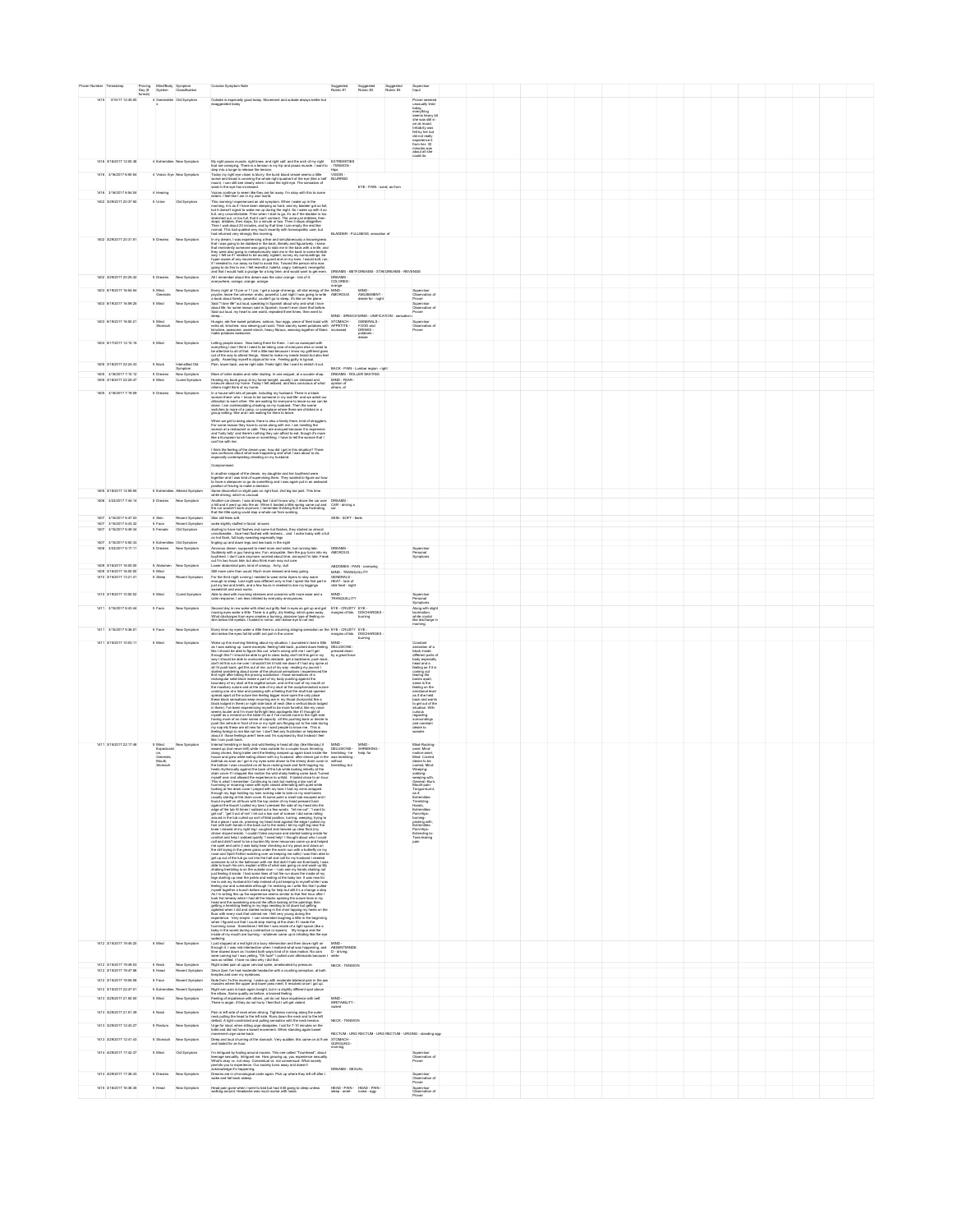|                                                    |                                                                          |                                                               | $\begin{tabular}{ll} \textbf{Prover Navrebar} & \textbf{Transtaren} & \textbf{Proving} & \textbf{MinRedBody} & \textbf{Sympton} & \textbf{Concise Symptom Nota} \\ & \textbf{Day} & \textbf{Symad} & \textbf{Classification} \\ & \textbf{Formad} & \textbf{Simad} \end{tabular}$                                                                                                                                                                                                                                                                                                                 |                                                           | Suggested Suggested Suggested Supervisor<br>Rubric #1 Rubric #2 Rubric #3 Input |                                                                                                                                                                                                                                                                                |  |
|----------------------------------------------------|--------------------------------------------------------------------------|---------------------------------------------------------------|---------------------------------------------------------------------------------------------------------------------------------------------------------------------------------------------------------------------------------------------------------------------------------------------------------------------------------------------------------------------------------------------------------------------------------------------------------------------------------------------------------------------------------------------------------------------------------------------------|-----------------------------------------------------------|---------------------------------------------------------------------------------|--------------------------------------------------------------------------------------------------------------------------------------------------------------------------------------------------------------------------------------------------------------------------------|--|
| 1415 3/15/17 12:45:00                              |                                                                          |                                                               | $4 \overline{\phantom{a}}\xspace \begin{minipage}{.45\textwidth} \begin{tabular}{l} \bf 2-1 & \bf 1 & \bf 2 & \bf 3 & \bf 4 \\ \bf 2-1 & \bf 1 & \bf 2 & \bf 3 & \bf 5 \\ \bf 3 & \bf 4 & \bf 5 & \bf 6 & \bf 6 \\ \bf 5 & \bf 6 & \bf 7 & \bf 8 & \bf 8 \\ \bf 9 & \bf 1 & \bf 1 & \bf 1 & \bf 1 \\ \bf 1 & \bf 1 & \bf 2 & \bf 3 & \bf 4 \\ \bf 2 & \bf 3 & \bf 1 & \bf 1 & \bf 1 \\ \bf 3 & \$                                                                                                                                                                                                 |                                                           |                                                                                 | Prover seemed<br>ortusially fired<br>today,<br>seems heavy bit<br>seems heavy bit<br>she was still in<br>an ok mood.<br>felt by her but<br>did not naily<br>did not maily<br>did not all in<br>did not all in<br>did not all in<br>did not all in<br>did n                     |  |
|                                                    |                                                                          |                                                               |                                                                                                                                                                                                                                                                                                                                                                                                                                                                                                                                                                                                   |                                                           |                                                                                 |                                                                                                                                                                                                                                                                                |  |
|                                                    |                                                                          |                                                               |                                                                                                                                                                                                                                                                                                                                                                                                                                                                                                                                                                                                   |                                                           |                                                                                 |                                                                                                                                                                                                                                                                                |  |
|                                                    |                                                                          |                                                               |                                                                                                                                                                                                                                                                                                                                                                                                                                                                                                                                                                                                   |                                                           |                                                                                 | experience if<br>from her. 30<br>minutes was<br>about all she                                                                                                                                                                                                                  |  |
| 1416 3/16/2017 12:00:38                            |                                                                          | 4 Extremities New Symptom                                     | My right passes muscle, right knee, and right calf, and the arch of my right EXTREMITIES<br>floot are cramping. There is a tension in my hip and passe muscle. I want to - TENSION -<br>step into a lunge to release the tension.                                                                                                                                                                                                                                                                                                                                                                 |                                                           |                                                                                 |                                                                                                                                                                                                                                                                                |  |
| 1416 3/16/2017 6:50:54                             |                                                                          | 4 Vision, Eye New Symptom                                     | Fockey my right eye visitors is blurry, the burst blood vessel seems a little VISION - Today my right eye visitor is blurry, the burst blood vessel seems a little VISION -<br>worse and blood is covering the whole right quadra                                                                                                                                                                                                                                                                                                                                                                 |                                                           |                                                                                 |                                                                                                                                                                                                                                                                                |  |
| 1416 3/16/2017 6:54:04                             | 4 Hearing                                                                | 5 Urine Old Symptom                                           | sand in the eye has increased<br>Voices continue to seem like they are far away. I'm okay with this to some extent. I feel like I am in my own world.                                                                                                                                                                                                                                                                                                                                                                                                                                             |                                                           | EYE - PAN - sand; as from                                                       |                                                                                                                                                                                                                                                                                |  |
| 1402 3/29/2017 20:37:50                            |                                                                          |                                                               |                                                                                                                                                                                                                                                                                                                                                                                                                                                                                                                                                                                                   |                                                           |                                                                                 |                                                                                                                                                                                                                                                                                |  |
|                                                    |                                                                          |                                                               | select 1 line line is any may now method. The matrix when it makes up in the state line line is a state of the state of the state of the state of the state of the state of the state of the state of the state of the state                                                                                                                                                                                                                                                                                                                                                                      |                                                           |                                                                                 |                                                                                                                                                                                                                                                                                |  |
| 1402 5/20/2017 20:31-51                            |                                                                          | 5 Dreams New Symptom                                          |                                                                                                                                                                                                                                                                                                                                                                                                                                                                                                                                                                                                   |                                                           | BLADDER - FULLNESS, sensation of                                                |                                                                                                                                                                                                                                                                                |  |
|                                                    |                                                                          |                                                               |                                                                                                                                                                                                                                                                                                                                                                                                                                                                                                                                                                                                   |                                                           |                                                                                 |                                                                                                                                                                                                                                                                                |  |
|                                                    |                                                                          |                                                               | ) bal that model was photophy the a standard and the photophony of the MODE-T-EXAMESS, were<br>absorbed by a standard control of the standard postage and the standard and<br>the standard control of the standard control of the s                                                                                                                                                                                                                                                                                                                                                               |                                                           |                                                                                 |                                                                                                                                                                                                                                                                                |  |
| 1402 3/29/2017 20:25:42                            |                                                                          | 5 Dreams New Symptom                                          | All I remember about this dream was the color orange - lots of it, everywhere, orange, orange, orange,                                                                                                                                                                                                                                                                                                                                                                                                                                                                                            | DREAMS -<br>COLORED -<br>orange                           |                                                                                 |                                                                                                                                                                                                                                                                                |  |
| 1403 5/19/2017 16:54:54<br>1403 5/19/2017 16:59:25 |                                                                          | 5 Mind, New Symptom<br>Generals<br>5 Mind New Symptom         | Every night at 10 pm or 11 pm, I get a surge of energy, all vital energy of the MIND-<br>papels, leave the universe, entities, powerful, Last regist twee gaing to write AMOROUS AMUSEMENT -<br>a book about farmly, powerful, could                                                                                                                                                                                                                                                                                                                                                              |                                                           |                                                                                 | Observation of<br>Prover                                                                                                                                                                                                                                                       |  |
|                                                    |                                                                          |                                                               | Said "I love life" out loud, speaking in Spanish about why and what I love<br>about life, for some reason said in Spanish, haven't ever done that before.<br>Said out loud, my heart is one world, repeated three times, then went t                                                                                                                                                                                                                                                                                                                                                              |                                                           | MND - SPEECH MND - UNIFICATION - sensation                                      | Supervisor<br>Observation of<br>Prover                                                                                                                                                                                                                                         |  |
| 1403 5/19/2017 16:50:21                            |                                                                          | 5 Mind, New Symptom<br>Stomach                                | Steep Into fine sweet potations, salmon, four eggs, piece of fried total with STOMACH- CENERALS-<br>each call, threehead, manufacture and the state of the state with APPETITE - FOOD and<br>streehead, threehead, threehead, thr                                                                                                                                                                                                                                                                                                                                                                 |                                                           |                                                                                 | Supervisor<br>Observation of<br>Prover                                                                                                                                                                                                                                         |  |
| 1404 5/17/2017 12:10:15                            | 5 Mind                                                                   | New Symptom                                                   | Latting people down. Now being there for them. I am so swerreped with<br>everything I don't thrisk lined to be taking care of leveryone sites or need to<br>be affected to all of that. Felt a little bad because I loose my girlfer                                                                                                                                                                                                                                                                                                                                                              |                                                           |                                                                                 |                                                                                                                                                                                                                                                                                |  |
| 1405 3/18/2017 22:24:43                            | 5 Back                                                                   | Intersified Old<br>Symptom                                    | Pain, lower back, worse right side. Feels tight; like I want to stretch it out.                                                                                                                                                                                                                                                                                                                                                                                                                                                                                                                   |                                                           |                                                                                 |                                                                                                                                                                                                                                                                                |  |
| 1405 3/18/2017 7:10:12<br>1405 3/18/2017 22:25:47  |                                                                          | 5 Dreams New Symptom<br>5 Mind Cured Symptom<br>Cured Symptom | More of roller skates and roller skating. In one snippet, at a scooter shop. DREAMS - ROLLER SKATING                                                                                                                                                                                                                                                                                                                                                                                                                                                                                              | BACK - PAIN - Lumbar region<br>MND - FEAR -               |                                                                                 |                                                                                                                                                                                                                                                                                |  |
| 1405 3/18/2017 7:19:09                             |                                                                          | 5 Dreams New Symptom                                          | Hosting my book group at my home tonight; usually I am stressed and MND - FE<br>Insecure about my home. Today I felt relaxed, and less conscious of what opinion of<br>others might think of my home.                                                                                                                                                                                                                                                                                                                                                                                             |                                                           |                                                                                 |                                                                                                                                                                                                                                                                                |  |
|                                                    |                                                                          |                                                               | of<br>them maynt three of my forms. In colling my husband. There is a black<br>weren these-velo I know to be someoned in my realisfie and we admit our<br>summarization to each other. We are waiting for everycen to have so we can b                                                                                                                                                                                                                                                                                                                                                            |                                                           |                                                                                 |                                                                                                                                                                                                                                                                                |  |
|                                                    |                                                                          |                                                               | When we get to being alone, there is also a family there, kind of strugglers. For some reason they have to come along with me. I am meeting the version that we need to the structure of $\alpha$ and the system in the system of                                                                                                                                                                                                                                                                                                                                                                 |                                                           |                                                                                 |                                                                                                                                                                                                                                                                                |  |
|                                                    |                                                                          |                                                               | can't be with her                                                                                                                                                                                                                                                                                                                                                                                                                                                                                                                                                                                 |                                                           |                                                                                 |                                                                                                                                                                                                                                                                                |  |
|                                                    |                                                                          |                                                               | I think the feeling of the dream was- how did i get in this situation? There was confusion about what was happening and what I was about to do, expecially contemplating cheating on my husband.                                                                                                                                                                                                                                                                                                                                                                                                  |                                                           |                                                                                 |                                                                                                                                                                                                                                                                                |  |
|                                                    |                                                                          |                                                               | Compromised.                                                                                                                                                                                                                                                                                                                                                                                                                                                                                                                                                                                      |                                                           |                                                                                 |                                                                                                                                                                                                                                                                                |  |
| 1405 3/18/2017 12:59:55                            |                                                                          | 5 Extremities Altered Symptom                                 | In another snippet of the dream, my daughter and her boyfriend were<br>together and I was kind of superising them. They wanted to figure out how<br>to have a sleepover or go do something and I was again put in an awkward<br>positio                                                                                                                                                                                                                                                                                                                                                           |                                                           |                                                                                 |                                                                                                                                                                                                                                                                                |  |
| 1406 3/23/2017 7:44:14                             |                                                                          | 5 Dreams New Symptom                                          | Same discomfort or slight pain on right foot, 2nd big toe joint. This time while driving, which is unusual.                                                                                                                                                                                                                                                                                                                                                                                                                                                                                       |                                                           |                                                                                 |                                                                                                                                                                                                                                                                                |  |
| 1407 3/15/2017 8:47:03<br>1407 3/15/2017 8:43:32   |                                                                          | 5 Skin Recent Symptom<br>5 Face Recent Symptom                | Newtonies (we can change fast it don't know why , I drove the car over DVEAMS -<br>Another car cheans, I was chiving fast it don't have been come to call and the car chean of the cheap and the state of the state of the state<br>woke slightly stuffed in facial sinuses                                                                                                                                                                                                                                                                                                                       |                                                           |                                                                                 |                                                                                                                                                                                                                                                                                |  |
| 1407 3/15/2017 8:49:34                             |                                                                          | 5 Female Old Symptom                                          | starting to have hot flushes and some hot flashes, they started as all<br>unnoticeable face heat flushed with rechess and I woke today w<br>with a full<br>on hot flash, full body sweating especially legs                                                                                                                                                                                                                                                                                                                                                                                       |                                                           |                                                                                 |                                                                                                                                                                                                                                                                                |  |
| 1407 3/15/2017 8:50:33<br>1408 3/23/2017 9:17:11   |                                                                          | 5 Extremities Old Symptom<br>5 Dreams New Symptom             | tingling up and down legs and low back in the night<br>Amorous cheam, supposed to meet morn and sister, but running late. DREAMS - Subdaring with a guy bitwing sext. Fun, enjoyable, then the guy terms into my AMOROUS Subdaring has the pay terms into my AMOROUS beyferind. I don                                                                                                                                                                                                                                                                                                             |                                                           |                                                                                 | Personal                                                                                                                                                                                                                                                                       |  |
| 1409 3/16/2017 16:00:00                            |                                                                          | 5 Abdomen New Symptom                                         | Lower abdominal pain, kind of crampy. Achy, dull<br>Still more calm than usual. Much more relaxed and easy going.                                                                                                                                                                                                                                                                                                                                                                                                                                                                                 | ABDOMEN - PAIN - cramping                                 |                                                                                 |                                                                                                                                                                                                                                                                                |  |
| 1409 3/16/2017 16:00:00<br>1410 3/15/2017 13:21:41 | 5 Mind<br>5 Sleep                                                        | Recent Symptom                                                | For the third night running I needed to wear extra layers to stay warm (CENERALS -<br>encough to sleep. Last night was different only in that I spent the first part in HEAT - lack of<br>just my beauting to the first part in the                                                                                                                                                                                                                                                                                                                                                               | MND - TRANQUILLITY                                        |                                                                                 |                                                                                                                                                                                                                                                                                |  |
| 1410 3/19/2017 10:50:02                            |                                                                          | 5 Mind Cured Symptom                                          | swearant ans woor source.<br>Able to deal with incoming stresses and concerns with more ease and a MIND -<br>calm response. I am less initated by everyday annoyances. TRANQUILLITY                                                                                                                                                                                                                                                                                                                                                                                                               |                                                           |                                                                                 | Supervisor<br>Personal<br>Symptoms                                                                                                                                                                                                                                             |  |
| 1411 3/15/2017 8:43:44                             |                                                                          | 5 Face New Symptom                                            | Second day in row woke with dried out gritty feel in eyes as get up and get EYE - CRUSTY EYE - CRUSTY ETC - CRUSTY AT them is a gritty apear way, margins of lids DISCHARGES - What discharges from eyes creates a burning abs                                                                                                                                                                                                                                                                                                                                                                    |                                                           |                                                                                 | Along with slight<br>Iacrimation,<br>white crystal<br>Ilke discharge in                                                                                                                                                                                                        |  |
| 1411 3/15/2017 9:36:01                             | 5 Face                                                                   | New Symptom                                                   | skith perow the kyswan. I recurse<br>Every time my eyes walke a little there is a burning stinging sensation on the EYE - CRUSTY EYE -<br>skin below the eyes full lid width not just in the comer                                                                                                                                                                                                                                                                                                                                                                                                |                                                           |                                                                                 |                                                                                                                                                                                                                                                                                |  |
| 1411 3/15/2017 10:03:11                            | 5 Mind                                                                   | New Symptom                                                   |                                                                                                                                                                                                                                                                                                                                                                                                                                                                                                                                                                                                   |                                                           |                                                                                 |                                                                                                                                                                                                                                                                                |  |
|                                                    |                                                                          |                                                               |                                                                                                                                                                                                                                                                                                                                                                                                                                                                                                                                                                                                   |                                                           |                                                                                 |                                                                                                                                                                                                                                                                                |  |
|                                                    |                                                                          |                                                               |                                                                                                                                                                                                                                                                                                                                                                                                                                                                                                                                                                                                   |                                                           |                                                                                 |                                                                                                                                                                                                                                                                                |  |
|                                                    |                                                                          |                                                               |                                                                                                                                                                                                                                                                                                                                                                                                                                                                                                                                                                                                   |                                                           |                                                                                 |                                                                                                                                                                                                                                                                                |  |
|                                                    |                                                                          |                                                               |                                                                                                                                                                                                                                                                                                                                                                                                                                                                                                                                                                                                   |                                                           |                                                                                 | Constant<br>Constantine of a hock inside the state of a hock inside the different pairs of<br>Looply asspecially beyind<br>the state of a fit is considered by the state of a state<br>Constant and a fit is a state of the state of                                           |  |
|                                                    |                                                                          |                                                               |                                                                                                                                                                                                                                                                                                                                                                                                                                                                                                                                                                                                   |                                                           |                                                                                 |                                                                                                                                                                                                                                                                                |  |
|                                                    |                                                                          |                                                               |                                                                                                                                                                                                                                                                                                                                                                                                                                                                                                                                                                                                   |                                                           |                                                                                 |                                                                                                                                                                                                                                                                                |  |
| 1411 3/15/2017 22:17:48                            | 5 Mind<br>Expectors<br>on,<br>Generals,<br>Mouth,<br><sup>Gw</sup> rmach | New Symptom                                                   | the case parallel back. As we can be the first parallel and philos Monday) B $\frac{1600 \text{ C}}{1000 \text{ C}}$ . MBCs where the matter of the first parallel and philosopher and the state of the state of the first parallel and the s                                                                                                                                                                                                                                                                                                                                                     |                                                           |                                                                                 | Mind-Rocking<br>arnel, Mind<br>motion-amel,<br>Mind-Carried<br>desire to be<br>carried, Mind-Weeping-<br>sobbing-                                                                                                                                                              |  |
|                                                    |                                                                          |                                                               |                                                                                                                                                                                                                                                                                                                                                                                                                                                                                                                                                                                                   |                                                           |                                                                                 |                                                                                                                                                                                                                                                                                |  |
|                                                    |                                                                          |                                                               |                                                                                                                                                                                                                                                                                                                                                                                                                                                                                                                                                                                                   |                                                           |                                                                                 | weaping with                                                                                                                                                                                                                                                                   |  |
|                                                    |                                                                          |                                                               |                                                                                                                                                                                                                                                                                                                                                                                                                                                                                                                                                                                                   |                                                           |                                                                                 |                                                                                                                                                                                                                                                                                |  |
|                                                    |                                                                          |                                                               |                                                                                                                                                                                                                                                                                                                                                                                                                                                                                                                                                                                                   |                                                           |                                                                                 | wearing war,<br>Contral Burn,<br>Tonga-burn,<br>Las I,<br>Entranting-burn,<br>Hand,<br>Hand,<br>Pain-Hips<br>Entranting-burn,<br>Entranting-burn,<br>Entranting-burn,<br>The Saturn Burn,<br>The Saturn Burn,<br>The Saturn Burn,<br>The Saturn Burn,<br>The Saturn Burn,<br>T |  |
|                                                    |                                                                          |                                                               |                                                                                                                                                                                                                                                                                                                                                                                                                                                                                                                                                                                                   |                                                           |                                                                                 |                                                                                                                                                                                                                                                                                |  |
|                                                    |                                                                          |                                                               |                                                                                                                                                                                                                                                                                                                                                                                                                                                                                                                                                                                                   |                                                           |                                                                                 |                                                                                                                                                                                                                                                                                |  |
|                                                    |                                                                          |                                                               |                                                                                                                                                                                                                                                                                                                                                                                                                                                                                                                                                                                                   |                                                           |                                                                                 |                                                                                                                                                                                                                                                                                |  |
|                                                    |                                                                          |                                                               |                                                                                                                                                                                                                                                                                                                                                                                                                                                                                                                                                                                                   |                                                           |                                                                                 |                                                                                                                                                                                                                                                                                |  |
|                                                    |                                                                          |                                                               |                                                                                                                                                                                                                                                                                                                                                                                                                                                                                                                                                                                                   |                                                           |                                                                                 |                                                                                                                                                                                                                                                                                |  |
|                                                    |                                                                          |                                                               |                                                                                                                                                                                                                                                                                                                                                                                                                                                                                                                                                                                                   |                                                           |                                                                                 |                                                                                                                                                                                                                                                                                |  |
|                                                    |                                                                          |                                                               | $\label{eq:2} \begin{split} &\text{Equation 1:}\quad \text{Equation 2:} \quad \text{Equation 3:} \quad \text{Equation 4:} \quad \text{Equation 5:} \quad \text{Equation 6:} \quad \text{Equation 7:} \quad \text{Equation 8:} \quad \text{Equation 9:} \quad \text{Equation 9:} \quad \text{Equation 9:} \quad \text{Equation 9:} \quad \text{Equation 9:} \quad \text{Equation 9:} \quad \text{Equation 9:} \quad \text{Equation 9:} \quad \text{Equation 9:} \quad \text{Equation 9:} \quad \text{Equation 9:} \$<br>inside of my mouth are burning - whatever came up is imbating like the eve |                                                           |                                                                                 |                                                                                                                                                                                                                                                                                |  |
| 1412 3/15/2017 19:45:20                            | 5 Mind                                                                   | New Symptom                                                   | atering.                                                                                                                                                                                                                                                                                                                                                                                                                                                                                                                                                                                          |                                                           |                                                                                 |                                                                                                                                                                                                                                                                                |  |
| 1412 3/15/2017 19:49:03                            |                                                                          |                                                               | I just stopped at a red light at a busy intersection and then drove right on $MbO$ .<br>Introduct in I was mid-intersection when I resulted what was happening, and $MbSEMMNO$<br>Time slowed down as I booked both ways kind of in s                                                                                                                                                                                                                                                                                                                                                             | NECK - TENSION                                            |                                                                                 |                                                                                                                                                                                                                                                                                |  |
| 1412 3/15/2017 19:47:56<br>1412 3/15/2017 19:55:08 | $5$ Neck<br>$5$ Head<br>5 Face                                           | New Symptom<br>Recent Symptom<br>Recent Symptom               | Right sided pain at upper cervical spine, amelonated by pressure.<br>Since 2pm I've had moderate headache with a crushing sensation, at both<br>temples and over my eyebrows.<br>Note from 7a this morning: I woke up with moderate bilateral pain in the jaw<br>muscles where the upper and lower jaws meet. It resolved once I got up.                                                                                                                                                                                                                                                          |                                                           |                                                                                 |                                                                                                                                                                                                                                                                                |  |
| 1412 3/15/2017 22:47:01                            |                                                                          | 5 Extremities Recent Symptom                                  | Right arm pain is back again tonight, but in a slightly different spot above the elbow. Same quality as before, a bruised feeling.                                                                                                                                                                                                                                                                                                                                                                                                                                                                |                                                           |                                                                                 |                                                                                                                                                                                                                                                                                |  |
| 1413 3/29/2017 21:50:00<br>1413 3/29/2017 21:51:39 | 5 Mind<br>5 Neck                                                         | New Symptom<br>New Symptom                                    | Feeling of impatience with others, yet do not have impatience with self. There is anger, if they do not huny I feel that I will get violent.                                                                                                                                                                                                                                                                                                                                                                                                                                                      | MIND -<br>IRRITABILITY -<br>violent                       |                                                                                 |                                                                                                                                                                                                                                                                                |  |
| 1413 3/29/2017 12:43:27                            |                                                                          | 5 Rectum New Symptom                                          | Pain in left side of neck when driving. Tightness running along the outer<br>neck pulling the head to the left side. Runs down the neck and to the left<br>deltoid. A tight constricted and pulling sensation with the neck tension.<br>Urge for stool, when sitting urge dissipates. I set for 7-10 minutes on the tolet and did not have a bowel movement. When standing again bowel                                                                                                                                                                                                            | NECK - TENSION                                            |                                                                                 |                                                                                                                                                                                                                                                                                |  |
| 1413 3/29/2017 12:41:43                            |                                                                          | 5 Stomach New Symptom                                         | int urge came back<br>Deep and loud churning of the stomach. Very audible, this came on at 9 am STOMACH - and lasted for an hour.                                                                                                                                                                                                                                                                                                                                                                                                                                                                 |                                                           | RECTUM - URGIRECTUM - URG RECTUM - URGING - standing agg-                       |                                                                                                                                                                                                                                                                                |  |
| 1414 429/2017 17:42:37                             | 5 Mind                                                                   | Old Symptom                                                   | I'm intrigued by fooling around movies. This one called "Townhead", about teamage assuality, Intrigued ms. These growing up, you experience sexuality, White obsay Warel and the specific material with a society permit you                                                                                                                                                                                                                                                                                                                                                                      |                                                           |                                                                                 | Supervisor<br>Observation of<br>Prover                                                                                                                                                                                                                                         |  |
| 1414 4/29/2017 17:36:43                            |                                                                          | 5 Dreams New Symptom                                          | Dreams are in chronological order again. Pick up where they left off after I wake and fall back asleep.                                                                                                                                                                                                                                                                                                                                                                                                                                                                                           | DREAMS - SEXUAL                                           |                                                                                 | Supervisor<br>Observation of<br>Prover                                                                                                                                                                                                                                         |  |
| 1415 3/16/2017 16:38:35                            | 5 Head                                                                   | New Symptom                                                   | Head pain gone when I went to bed but had it till going to sleep unless walking around. Headache was much worse with noise.                                                                                                                                                                                                                                                                                                                                                                                                                                                                       | HEAD - PAIN - HEAD - PAIN -<br>sleep - amel- noise - agg- |                                                                                 |                                                                                                                                                                                                                                                                                |  |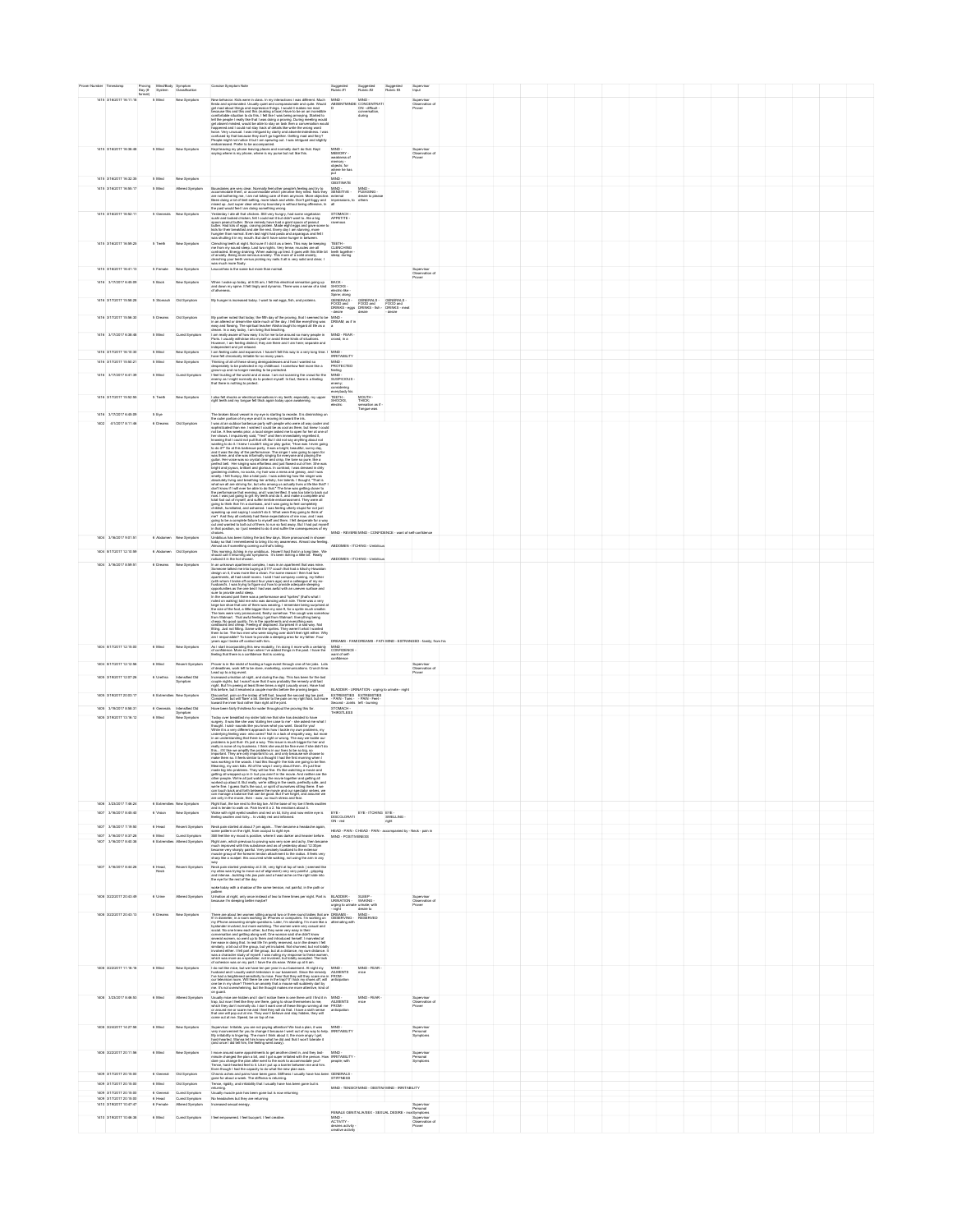| Prover Number Timestamp |                                                    |                  | Proving Mind/Body Symptom<br>Day (# System Classification format) | Concise Symptom Note                                                                                                                                                                                                                       | Suppasted<br>Rubric #1                                                                                                                              | Suggested Suggested Supervisor<br>Rubric #2 Rubric #3 Input      |       |                                                                 |  |  |  |  |  |  |
|-------------------------|----------------------------------------------------|------------------|-------------------------------------------------------------------|--------------------------------------------------------------------------------------------------------------------------------------------------------------------------------------------------------------------------------------------|-----------------------------------------------------------------------------------------------------------------------------------------------------|------------------------------------------------------------------|-------|-----------------------------------------------------------------|--|--|--|--|--|--|
|                         | 1415 3/16/2017 16:11:18                            | 5 Mind           | New Symptom                                                       | in a below to the symbolic state of the proposition of the symbolic state of the control of the symbol control of the symbolic state of the symbolic state of the symbol control of the symbol control of the symbol control               |                                                                                                                                                     |                                                                  |       | Supervisor<br>Observation of                                    |  |  |  |  |  |  |
|                         |                                                    |                  |                                                                   |                                                                                                                                                                                                                                            |                                                                                                                                                     |                                                                  |       |                                                                 |  |  |  |  |  |  |
|                         |                                                    |                  |                                                                   |                                                                                                                                                                                                                                            |                                                                                                                                                     |                                                                  |       |                                                                 |  |  |  |  |  |  |
|                         |                                                    |                  |                                                                   |                                                                                                                                                                                                                                            |                                                                                                                                                     |                                                                  |       |                                                                 |  |  |  |  |  |  |
|                         |                                                    |                  |                                                                   |                                                                                                                                                                                                                                            |                                                                                                                                                     |                                                                  |       |                                                                 |  |  |  |  |  |  |
|                         | 1415 3/16/2017 16:36:48                            | 5 Mind           | New Symptom                                                       | Kept leaving my phone leaving places and normally don't do that. Kept<br>saying where is my phone, where is my purse but not like this.                                                                                                    |                                                                                                                                                     |                                                                  |       |                                                                 |  |  |  |  |  |  |
|                         |                                                    |                  |                                                                   |                                                                                                                                                                                                                                            |                                                                                                                                                     |                                                                  |       | Supervisor<br>Observation of<br>Preser                          |  |  |  |  |  |  |
|                         |                                                    |                  |                                                                   |                                                                                                                                                                                                                                            | MIND -<br>MEMORY -<br>weakness of<br>memory<br>objects; for<br>where he has<br>put                                                                  |                                                                  |       |                                                                 |  |  |  |  |  |  |
|                         | 1415 3/16/2017 16:32:35                            | 5 Mind           | New Symptom                                                       |                                                                                                                                                                                                                                            | MND -<br>COSTINATE                                                                                                                                  |                                                                  |       |                                                                 |  |  |  |  |  |  |
|                         | 1415 3/16/2017 16:55:17                            | 5 Mind           | Altered Symptom                                                   |                                                                                                                                                                                                                                            |                                                                                                                                                     |                                                                  |       |                                                                 |  |  |  |  |  |  |
|                         |                                                    |                  |                                                                   |                                                                                                                                                                                                                                            |                                                                                                                                                     | desire to please                                                 |       |                                                                 |  |  |  |  |  |  |
|                         | 1415 3/16/2017 16:52:11                            |                  | 5 Generals New Symptom                                            |                                                                                                                                                                                                                                            |                                                                                                                                                     |                                                                  |       |                                                                 |  |  |  |  |  |  |
|                         |                                                    |                  |                                                                   |                                                                                                                                                                                                                                            |                                                                                                                                                     |                                                                  |       |                                                                 |  |  |  |  |  |  |
|                         |                                                    |                  |                                                                   |                                                                                                                                                                                                                                            |                                                                                                                                                     |                                                                  |       |                                                                 |  |  |  |  |  |  |
|                         | 1415 3/16/2017 16:59:25                            | 5 Teeth          | New Symptom                                                       |                                                                                                                                                                                                                                            |                                                                                                                                                     |                                                                  |       |                                                                 |  |  |  |  |  |  |
|                         |                                                    |                  |                                                                   |                                                                                                                                                                                                                                            |                                                                                                                                                     |                                                                  |       |                                                                 |  |  |  |  |  |  |
|                         |                                                    |                  |                                                                   | was aroundly a truly from the out-off their same temper in consense.<br>Channing path at right. Not sure if i doll it as itsen. This may be keeping $T\to\to +\infty$<br>(material planet) and their same in the same of the same with th  |                                                                                                                                                     |                                                                  |       |                                                                 |  |  |  |  |  |  |
|                         | 1415 3/16/2017 16:41:13                            |                  | 5 Female New Symptom                                              | I according is the same hell more than normal                                                                                                                                                                                              |                                                                                                                                                     |                                                                  |       | Supervisor<br>Observation of<br>Prover                          |  |  |  |  |  |  |
|                         | 1416 3/17/2017 6:45:09                             | 5 Back           | New Symptom                                                       | When I woke up today, at 6:35 am, I felt this electrical sensation going up BACK - and down my spine. It felt tingly and dynamic. There was a sense of a kind $\frac{\text{SHOCKS}}{\text{stideric-like}}$                                 |                                                                                                                                                     |                                                                  |       |                                                                 |  |  |  |  |  |  |
|                         |                                                    |                  |                                                                   |                                                                                                                                                                                                                                            | electric-like<br>Spine; along                                                                                                                       |                                                                  |       |                                                                 |  |  |  |  |  |  |
|                         | 1416 3/17/2017 15:58:28                            |                  | 5 Stomach Old Symptom                                             | My hunger is increased today. I want to eat eggs, fish, and proteins.                                                                                                                                                                      | SPINERALS - GENERALS - GENERALS -<br>FOOD and FOOD and FOOD and FOOD and FOOD and FOOD and - DRINKS - meat<br>- desire - desire - desire - desire - |                                                                  |       |                                                                 |  |  |  |  |  |  |
|                         | 1416 3/17/2017 15:56:30                            |                  | 5 Dreams Old Symptom                                              |                                                                                                                                                                                                                                            | desire                                                                                                                                              |                                                                  |       |                                                                 |  |  |  |  |  |  |
|                         |                                                    |                  |                                                                   | My pather noted that boday, the fifth day of the proving, that I seemed to be<br>a case of the state of the special section of Albedon largely for the<br>gas and the state of the special section of Albedon largely to regard wit        |                                                                                                                                                     |                                                                  |       |                                                                 |  |  |  |  |  |  |
|                         | 1416 3/17/2017 6:38:48                             | 5 Mind           | Cured Symptom                                                     |                                                                                                                                                                                                                                            |                                                                                                                                                     |                                                                  |       |                                                                 |  |  |  |  |  |  |
|                         |                                                    |                  |                                                                   |                                                                                                                                                                                                                                            |                                                                                                                                                     |                                                                  |       |                                                                 |  |  |  |  |  |  |
|                         | 1416 3/17/2017 16:10:30<br>1416 3/17/2017 15:50:21 | 5 Mind<br>5 Mind | New Symptom<br>New Symptom                                        | I am feeling calm and expansive. I haven't felt this way in a very long time. I MIND - have felt chronically initiable for so many years.                                                                                                  |                                                                                                                                                     |                                                                  |       |                                                                 |  |  |  |  |  |  |
|                         |                                                    |                  |                                                                   |                                                                                                                                                                                                                                            |                                                                                                                                                     |                                                                  |       |                                                                 |  |  |  |  |  |  |
|                         | 1416 3/17/2017 6:41:39                             | 5 Mind           | Cured Symptom                                                     |                                                                                                                                                                                                                                            |                                                                                                                                                     |                                                                  |       |                                                                 |  |  |  |  |  |  |
|                         |                                                    |                  |                                                                   |                                                                                                                                                                                                                                            | SUSPICIOUS<br>enemy:<br>considering<br>everybody his                                                                                                |                                                                  |       |                                                                 |  |  |  |  |  |  |
|                         | 1416 3/17/2017 15:52:55                            |                  | 5 Teeth New Symptom                                               | Takio felt shocks or electrical sensations in my teeth; especially, my upper TEETH -<br>right teeth and my tongue felt thick again today upon awakening. [910CKS]<br>electric                                                              |                                                                                                                                                     | MOUTH -<br>THICK:<br>sensation as if                             |       |                                                                 |  |  |  |  |  |  |
|                         | 1416 3/17/2017 6:45:09                             | 5 Eye            |                                                                   |                                                                                                                                                                                                                                            |                                                                                                                                                     | sensures.<br>Tongue w                                            |       |                                                                 |  |  |  |  |  |  |
|                         | 1402 4/1/2017 8:11:46                              |                  | 6 Dreams Old Symptom                                              |                                                                                                                                                                                                                                            |                                                                                                                                                     |                                                                  |       |                                                                 |  |  |  |  |  |  |
|                         |                                                    |                  |                                                                   |                                                                                                                                                                                                                                            |                                                                                                                                                     |                                                                  |       |                                                                 |  |  |  |  |  |  |
|                         |                                                    |                  |                                                                   |                                                                                                                                                                                                                                            |                                                                                                                                                     |                                                                  |       |                                                                 |  |  |  |  |  |  |
|                         |                                                    |                  |                                                                   |                                                                                                                                                                                                                                            |                                                                                                                                                     |                                                                  |       |                                                                 |  |  |  |  |  |  |
|                         |                                                    |                  |                                                                   | The induction of the state of the state of the state of the state of the state of the state of the state of the state of the state of the state of the state of the state of the state of the state of the state of the state              |                                                                                                                                                     |                                                                  |       |                                                                 |  |  |  |  |  |  |
|                         |                                                    |                  |                                                                   |                                                                                                                                                                                                                                            |                                                                                                                                                     |                                                                  |       |                                                                 |  |  |  |  |  |  |
|                         |                                                    |                  |                                                                   |                                                                                                                                                                                                                                            |                                                                                                                                                     |                                                                  |       |                                                                 |  |  |  |  |  |  |
|                         |                                                    |                  |                                                                   |                                                                                                                                                                                                                                            |                                                                                                                                                     |                                                                  |       |                                                                 |  |  |  |  |  |  |
|                         |                                                    |                  |                                                                   |                                                                                                                                                                                                                                            |                                                                                                                                                     |                                                                  |       |                                                                 |  |  |  |  |  |  |
|                         |                                                    |                  |                                                                   |                                                                                                                                                                                                                                            |                                                                                                                                                     |                                                                  |       |                                                                 |  |  |  |  |  |  |
|                         |                                                    |                  |                                                                   | hard for a clear field of the surface material constructions . They was red<br>graduated the construction of the surface of the surface of the surface of the surface of the surface of the surface<br>graduated in the surface of         |                                                                                                                                                     |                                                                  |       |                                                                 |  |  |  |  |  |  |
|                         | 1404 3/16/2017 9:01:51                             |                  | 6 Abdomen New Symptom                                             | -<br>Umbilicus has been itching the last few days. More pronounced in shower<br>today so that I remembered to bring it to my awareness. Almost raw feeling.<br>Almost as if something coming out that's bling.                             |                                                                                                                                                     |                                                                  |       |                                                                 |  |  |  |  |  |  |
|                         | 1404 5/17/2017 12:10:59                            |                  | 6 Abdomen Old Symptom                                             |                                                                                                                                                                                                                                            |                                                                                                                                                     |                                                                  |       |                                                                 |  |  |  |  |  |  |
|                         | 1404 3/16/2017 8:59:51                             |                  | 6 Dreams New Symptom                                              | This morning, itching in my umbilicus. Haven't had that in a long time. We should call it returning old symptoms. It's been itching a little bit. Really noticed it in the hot shower.                                                     | ABDOMEN - ITCHING - Umblicus                                                                                                                        |                                                                  |       |                                                                 |  |  |  |  |  |  |
|                         |                                                    |                  |                                                                   | motood in the hol shower.<br>The automobility considers the approved that was minis.<br>Someone sales are not boying a \$777 coord that has a kissing Hally<br>Someone sales and the same of the sales and the sales of the sales<br>de    |                                                                                                                                                     |                                                                  |       |                                                                 |  |  |  |  |  |  |
|                         |                                                    |                  |                                                                   |                                                                                                                                                                                                                                            |                                                                                                                                                     |                                                                  |       |                                                                 |  |  |  |  |  |  |
|                         |                                                    |                  |                                                                   |                                                                                                                                                                                                                                            |                                                                                                                                                     |                                                                  |       |                                                                 |  |  |  |  |  |  |
|                         |                                                    |                  |                                                                   |                                                                                                                                                                                                                                            |                                                                                                                                                     |                                                                  |       |                                                                 |  |  |  |  |  |  |
|                         |                                                    |                  |                                                                   |                                                                                                                                                                                                                                            |                                                                                                                                                     |                                                                  |       |                                                                 |  |  |  |  |  |  |
|                         |                                                    |                  |                                                                   |                                                                                                                                                                                                                                            |                                                                                                                                                     |                                                                  |       |                                                                 |  |  |  |  |  |  |
|                         |                                                    |                  |                                                                   | oppositions and the deviated interval and the state of the state of the state of the state of the state of the state of the state of the state of the state of the state of the state of the state of the state of the state               |                                                                                                                                                     |                                                                  |       |                                                                 |  |  |  |  |  |  |
|                         | 1404 5/17/2017 12:15:00                            | 6 Mind           | New Symptom                                                       |                                                                                                                                                                                                                                            |                                                                                                                                                     |                                                                  |       | DREAMS - FAMI DREAMS - FATH MIND - ESTRANGED - family; from his |  |  |  |  |  |  |
|                         |                                                    |                  |                                                                   | years ago I otowa or consecuence with the term of the carriers of Asia I start incorporation of the paid of the paid of otomatic product of sales of consecuence of sales of consecuence of sales of consecuence of sales of c             |                                                                                                                                                     |                                                                  |       |                                                                 |  |  |  |  |  |  |
|                         | 1404 5/17/2017 12:12:56                            | 6 Mind           | Recent Symptom                                                    | Prover is in the midst of hosting a huge event through one of her jobs. Lots of deadlines, work left to be done, marketing, communications. Crunch time.                                                                                   |                                                                                                                                                     |                                                                  |       | Supervisor<br>Observation of                                    |  |  |  |  |  |  |
|                         | 1405 3/19/2017 12:07:26                            |                  | 6 Urethra Intersified Old<br>Symptom                              | Lead up to a big event.                                                                                                                                                                                                                    |                                                                                                                                                     |                                                                  |       |                                                                 |  |  |  |  |  |  |
|                         |                                                    |                  |                                                                   |                                                                                                                                                                                                                                            |                                                                                                                                                     |                                                                  |       |                                                                 |  |  |  |  |  |  |
|                         | 1405 3/19/2017 20:03:17                            |                  | 6 Extremities New Symptom                                         | Lead by the spacetime of the probability that there is a state of the first that the spacetime of the spacetime of the spacetime of the spacetime of the spacetime of the spacetime of the spacetime of the spacetime of the               |                                                                                                                                                     |                                                                  |       |                                                                 |  |  |  |  |  |  |
|                         | 1405 3/19/2017 8:58:31                             |                  | 6 Generals Intersified Old<br>Symptom                             |                                                                                                                                                                                                                                            | STOMACH -                                                                                                                                           |                                                                  |       |                                                                 |  |  |  |  |  |  |
|                         | 1405 3/19/2017 13:16:12                            | 6 Mind           | New Symptom                                                       |                                                                                                                                                                                                                                            |                                                                                                                                                     |                                                                  |       |                                                                 |  |  |  |  |  |  |
|                         |                                                    |                  |                                                                   |                                                                                                                                                                                                                                            |                                                                                                                                                     |                                                                  |       |                                                                 |  |  |  |  |  |  |
|                         |                                                    |                  |                                                                   |                                                                                                                                                                                                                                            |                                                                                                                                                     |                                                                  |       |                                                                 |  |  |  |  |  |  |
|                         |                                                    |                  |                                                                   |                                                                                                                                                                                                                                            |                                                                                                                                                     |                                                                  |       |                                                                 |  |  |  |  |  |  |
|                         |                                                    |                  |                                                                   |                                                                                                                                                                                                                                            |                                                                                                                                                     |                                                                  |       |                                                                 |  |  |  |  |  |  |
|                         |                                                    |                  |                                                                   |                                                                                                                                                                                                                                            |                                                                                                                                                     |                                                                  |       |                                                                 |  |  |  |  |  |  |
|                         |                                                    |                  |                                                                   |                                                                                                                                                                                                                                            |                                                                                                                                                     |                                                                  |       |                                                                 |  |  |  |  |  |  |
|                         |                                                    |                  |                                                                   | worked up about it. But reality, we're altimp in the seals, perfectly sale, and worked up about it was can be<br>we're fine. I guess that's the scul, or spirit of ourselves alting there. If we<br>can touch back and forth between       |                                                                                                                                                     |                                                                  |       |                                                                 |  |  |  |  |  |  |
|                         | 1406 3/23/2017 7:46:24                             |                  | 6 Extremities New Symptom                                         | Right foot, the toe next to the big toe. At the base of my toe it feels swollen and is tender to walk on. Pain level it a 2. No emotions about it.                                                                                         |                                                                                                                                                     |                                                                  |       |                                                                 |  |  |  |  |  |  |
|                         | 1407 3/16/2017 8:45:40                             |                  | 6 Vision New Symptom                                              | Woke with right eyeld swollen and red on lid, itchy and now entire eye is EYE - TCH PO EYE - TCHING EYE - feeling swollen and itchy Is visibly red and inflamed. DISCOLORATI BUELLING -                                                    |                                                                                                                                                     |                                                                  |       |                                                                 |  |  |  |  |  |  |
|                         | 1407 3/18/2017 7:10:50                             |                  | 6 Head Recent Symptom                                             |                                                                                                                                                                                                                                            | ON - red                                                                                                                                            |                                                                  | right |                                                                 |  |  |  |  |  |  |
|                         | 1407 3/16/2017 8:37:28<br>1407 3/16/2017 8:40:38   | 6 Mind           | Cured Symptom<br>6 Extremities Altered Symptom                    | Neck pain started at about 7 pm again Then became a headlache again,<br>same pattern on the right, from occipatio right eye.<br>Still feel like my mood is positive, where it was darker and heavier before. MIND - POSITIVENESS           |                                                                                                                                                     |                                                                  |       |                                                                 |  |  |  |  |  |  |
|                         |                                                    |                  |                                                                   | $\mathbb{E}$ Bithel Me are most to positive, where it was darked and heaven better.<br>Right arm, which provided by proving was very sone and achy, then became<br>much improved with this substance and ac of yesterday about 12.30pm<br> |                                                                                                                                                     |                                                                  |       |                                                                 |  |  |  |  |  |  |
|                         |                                                    |                  |                                                                   |                                                                                                                                                                                                                                            |                                                                                                                                                     |                                                                  |       |                                                                 |  |  |  |  |  |  |
|                         | 1407 3/16/2017 8:44:26                             | 6 Head,<br>Neck  | Recent Symptom                                                    | way<br>Neck pain started yesterday at 2:30, very tight at top of neck ( seemed like<br>my atlas was tiying to move cut of alignment) very very painful , gripping<br>and intense. Ibalishng into jave pain and a head ache on the ri       |                                                                                                                                                     |                                                                  |       |                                                                 |  |  |  |  |  |  |
|                         |                                                    |                  |                                                                   |                                                                                                                                                                                                                                            |                                                                                                                                                     |                                                                  |       |                                                                 |  |  |  |  |  |  |
|                         |                                                    |                  |                                                                   | woke today with a shadow of the same tension, not painful, in the path or                                                                                                                                                                  |                                                                                                                                                     |                                                                  |       |                                                                 |  |  |  |  |  |  |
|                         | 1408 3/22/2017 20:43:49                            | 6 Urine          | Altered Symptom                                                   | Urination at might, only once instead of two to three times per night. Part is BLADDER - SLEEP -                                                                                                                                           |                                                                                                                                                     |                                                                  |       | Observation of                                                  |  |  |  |  |  |  |
|                         | 1408 3/22/2017 20:43:13                            |                  | 6 Dreams New Symptom                                              |                                                                                                                                                                                                                                            | urging to urinate urinate; with<br>- night desire to                                                                                                |                                                                  |       |                                                                 |  |  |  |  |  |  |
|                         |                                                    |                  |                                                                   |                                                                                                                                                                                                                                            |                                                                                                                                                     | MND -<br>RESERVED                                                |       |                                                                 |  |  |  |  |  |  |
|                         |                                                    |                  |                                                                   | There are about her wormen alting amount less of three round babies that we $\Box \text{PGL}(2n)$ . The state of the state of the state of the state of the state of the state of the state of the state of the state of the state of      |                                                                                                                                                     |                                                                  |       |                                                                 |  |  |  |  |  |  |
|                         |                                                    |                  |                                                                   |                                                                                                                                                                                                                                            |                                                                                                                                                     |                                                                  |       |                                                                 |  |  |  |  |  |  |
|                         |                                                    |                  |                                                                   | Sometra uncertain, as owner up to the first predict resolution. The<br>reveals in the first control of the property between the simulation<br>(a) and control of the group, but all all distinguishing but reduced<br>to the involved      |                                                                                                                                                     |                                                                  |       |                                                                 |  |  |  |  |  |  |
|                         | 1408 3/22/2017 11:16:16                            | 6 Mind           | New Symptom                                                       |                                                                                                                                                                                                                                            |                                                                                                                                                     | MND - FEAR -                                                     |       |                                                                 |  |  |  |  |  |  |
|                         |                                                    |                  |                                                                   | , to construct mean using \$100 to 100 m 200 m 200 m 200 m 200 m 200 m 200 m 200 m 200 m 200 m 200 m 200 m 200 m 200 m 200 m 200 m 200 m 200 m 200 m 200 m 200 m 200 m 200 m 200 m 200 m 200 m 200 m 200 m 200 m 200 m 200 m 2             |                                                                                                                                                     |                                                                  |       |                                                                 |  |  |  |  |  |  |
|                         |                                                    |                  |                                                                   |                                                                                                                                                                                                                                            |                                                                                                                                                     |                                                                  |       |                                                                 |  |  |  |  |  |  |
|                         | 1408 3/23/2017 8:46:53                             | 6 Mind           | Altered Symptom                                                   | on guard.                                                                                                                                                                                                                                  |                                                                                                                                                     |                                                                  |       |                                                                 |  |  |  |  |  |  |
|                         |                                                    |                  |                                                                   | to space.<br>Usually mixe are hidden and I don't notice there is one there until 1 find it in MND-<br>Usually mixe I field Na the pare there, going to show themselves to me, ALMENTS mixe<br>only the first part normally do I don        |                                                                                                                                                     |                                                                  |       | Supervisor<br>Observation of<br>Prover                          |  |  |  |  |  |  |
|                         |                                                    |                  |                                                                   | come out at me. Speed, be on top of me                                                                                                                                                                                                     |                                                                                                                                                     |                                                                  |       |                                                                 |  |  |  |  |  |  |
|                         | 1408 3/24/2017 14:27:58                            | 6 Mind           | New Symptom                                                       |                                                                                                                                                                                                                                            |                                                                                                                                                     |                                                                  |       | Supervisor<br>Personal<br>Symptoms                              |  |  |  |  |  |  |
|                         |                                                    |                  |                                                                   | Supervisor: Initiable, you are not paying attention! We had a plan, it was<br>welly incorrelated for you to change it because it well tout of thy weap to hable. IRRITABILITY<br>My intensity is tingering. The more I think about         |                                                                                                                                                     |                                                                  |       |                                                                 |  |  |  |  |  |  |
|                         | 1408 3/22/2017 20:11:56                            | 6 Mind           | New Symptom                                                       |                                                                                                                                                                                                                                            |                                                                                                                                                     |                                                                  |       |                                                                 |  |  |  |  |  |  |
|                         |                                                    |                  |                                                                   | I move around some appointments to get another client in, and they last-MND -<br>minute changed the plan a bit, and I got super initiated with the pennon How you change the plan a bit and got<br>dare you change the plan after we       |                                                                                                                                                     |                                                                  |       | Supervisor<br>Personal<br>Symptoms                              |  |  |  |  |  |  |
|                         | 1409 3/17/2017 20:15:00                            |                  | 6 General Old Symptom                                             |                                                                                                                                                                                                                                            |                                                                                                                                                     |                                                                  |       |                                                                 |  |  |  |  |  |  |
|                         | 1409 3/17/2017 20:15:00                            |                  | 6 Mind Old Symptom                                                | Chronic aches and pairs have been gone. Stiffness I usually have has been GENERALS - gone for about a week. The stiffness is returning.<br>Tense, rigidity, and irritability that I usually have has been gone but is<br>returning.        |                                                                                                                                                     |                                                                  |       |                                                                 |  |  |  |  |  |  |
|                         | 1409 3/17/2017 20:15:00                            |                  | 6 General Cured Symptom                                           | Usually muscle pain has been gone but is now returning                                                                                                                                                                                     | MIND - TENSIONMIND - OBSTIN/ MIND - IRRITABILITY                                                                                                    |                                                                  |       |                                                                 |  |  |  |  |  |  |
|                         | 1409 3/17/2017 20:15:00<br>1410 3/19/2017 10:47:47 | 6 Head           | Cured Symptom<br>6 Female Altered Symptom                         | No headaches but they are returning<br>Increased sexual energy.                                                                                                                                                                            |                                                                                                                                                     |                                                                  |       |                                                                 |  |  |  |  |  |  |
|                         | 1410 3/19/2017 10:46:38                            | 6 Mind           |                                                                   | Cured Symptom I feel empowered. I feel buoyant. I feel creative.                                                                                                                                                                           |                                                                                                                                                     | Personal<br>FEMALE GENITALIA/SEX - SEXUAL DESIRE - incr Symptoms |       |                                                                 |  |  |  |  |  |  |
|                         |                                                    |                  |                                                                   |                                                                                                                                                                                                                                            | MND-<br>ACTMTY-<br>desires activity                                                                                                                 |                                                                  |       | Supervisor<br>Observation of<br>Prover                          |  |  |  |  |  |  |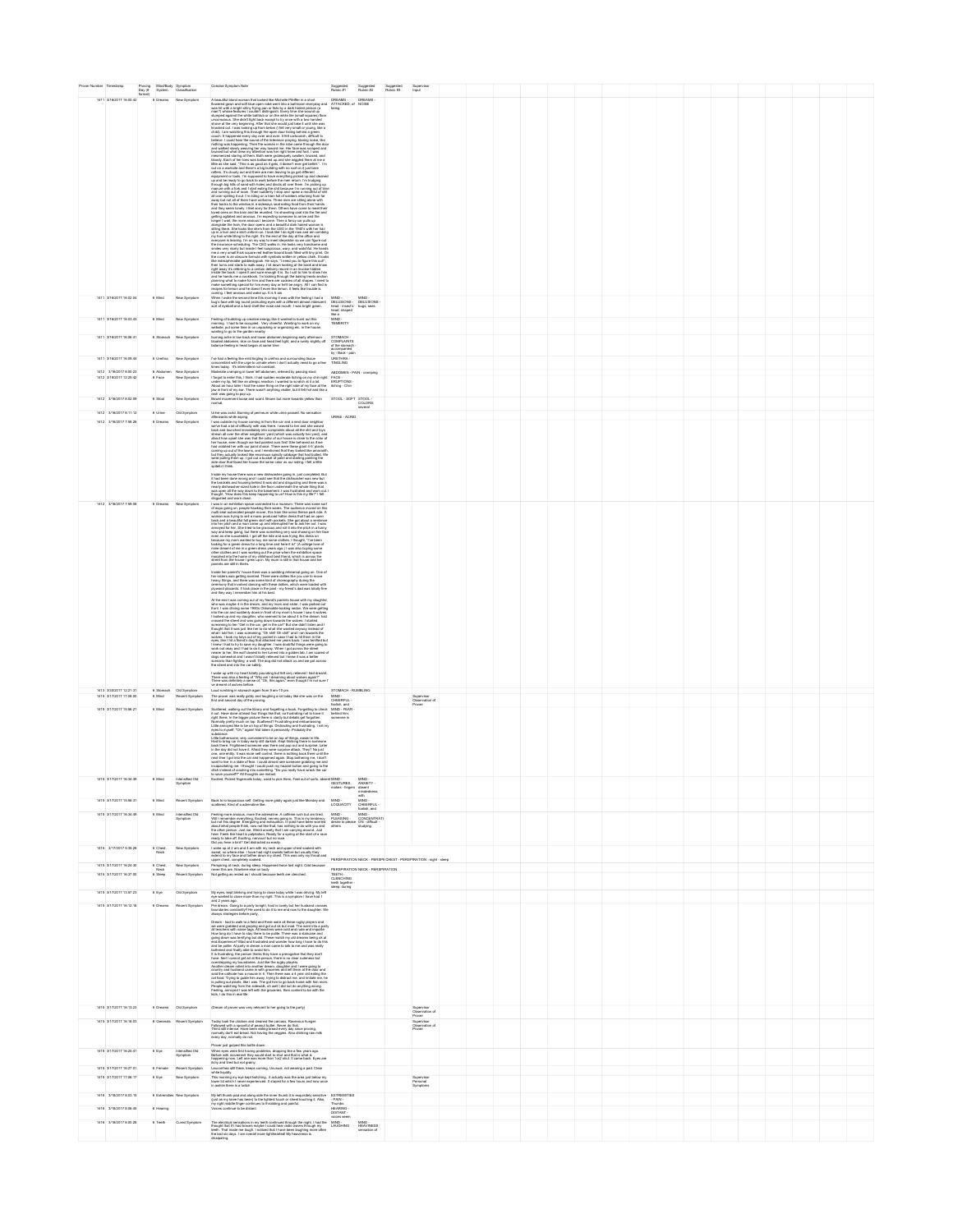| Prover Number Timestamp Proving Mind/Body Symptom<br>Day (# System Classification |           |                                                              | Concise Symptom Note                                                                                                                                                                                                                                                                                                                                                                                                                                                                                                                                                                                                                                                                                                     | Supposted Supposted Supposted Supervisor<br>Rubric #1 Rubric #2 Rubric #3 Input            |                         |                                                                 |  |  |  |  |  |  |  |  |
|-----------------------------------------------------------------------------------|-----------|--------------------------------------------------------------|--------------------------------------------------------------------------------------------------------------------------------------------------------------------------------------------------------------------------------------------------------------------------------------------------------------------------------------------------------------------------------------------------------------------------------------------------------------------------------------------------------------------------------------------------------------------------------------------------------------------------------------------------------------------------------------------------------------------------|--------------------------------------------------------------------------------------------|-------------------------|-----------------------------------------------------------------|--|--|--|--|--|--|--|--|
| 1411 3/16/2017 16:00:42                                                           |           | 6 Dreams New Symptom                                         | A based<br>of states strength in Model in Models Park was able to the Silver of Silver and Silver and<br>$\alpha$ . Of the Silver of Silver and Silver and Silver and<br>$\alpha$ and Silver and Silver and Silver and Silver and Silver and Si                                                                                                                                                                                                                                                                                                                                                                                                                                                                          |                                                                                            | DREAMS-                 |                                                                 |  |  |  |  |  |  |  |  |
|                                                                                   |           |                                                              |                                                                                                                                                                                                                                                                                                                                                                                                                                                                                                                                                                                                                                                                                                                          |                                                                                            |                         |                                                                 |  |  |  |  |  |  |  |  |
|                                                                                   |           |                                                              |                                                                                                                                                                                                                                                                                                                                                                                                                                                                                                                                                                                                                                                                                                                          |                                                                                            |                         |                                                                 |  |  |  |  |  |  |  |  |
| 1411 STRONT 160204                                                                | 6 Mind    | New Symptom                                                  | coming : Tele anticion and tension go this diam.<br>When I woke the second time this morning it was with the feeling I had a MAND - MAND - What I wise the second time this morning it was with a different almost linkeness. (DE                                                                                                                                                                                                                                                                                                                                                                                                                                                                                        |                                                                                            |                         |                                                                 |  |  |  |  |  |  |  |  |
| 1411 3/16/2017 16:03:43<br>1411 3/16/2017 16:06:41                                |           | 6 Mind New Symptom<br>6 Stomach New Symptom                  | Feeling of bubbling up creative energy like it wanted to burst out this moming. I had to be occupied. Very cheerful. Westford with only one with on my matching to work on my welcome with the bosse, wanting to go to the gar                                                                                                                                                                                                                                                                                                                                                                                                                                                                                           | MND-<br>TEMERITY                                                                           |                         |                                                                 |  |  |  |  |  |  |  |  |
| 1411 3/16/2017 16:09:44                                                           |           | 6 Urethra New Symptom                                        | warring acip to the special forest abdomen beginning early afferences.<br>STOMACH - Stoward and the state and feed feel gigitt, and a swiny slightly off - COMPLANTS<br>blakens feeling in head began at same tme<br>and a swiny sli                                                                                                                                                                                                                                                                                                                                                                                                                                                                                     |                                                                                            |                         |                                                                 |  |  |  |  |  |  |  |  |
| 1412 3/16/2017 8:00:23<br>1412 3/18/2017 12:25:42                                 |           | 6 Abdomen New Symptom<br>6 Face New Symptom                  | Eve had a feeling like mild tinging in unsthra and surrounding tissue URETHRA<br>concomblest with the urge to unitality when I don't actually need to go a few TINGLING<br>times today. If a intermittent not constant.<br>Moderate                                                                                                                                                                                                                                                                                                                                                                                                                                                                                      | ABDOMEN - PAIN - cramping                                                                  |                         |                                                                 |  |  |  |  |  |  |  |  |
| 1412 3/16/2017 8:02:09                                                            |           | 6 Stool New Symptom                                          | Moderate campung in lower Main attended in the<br>order of the campus control of the campus in the campus campus in the<br>state of the campus of the campus in the campus of the campus of the<br>state of the campus of the campus o                                                                                                                                                                                                                                                                                                                                                                                                                                                                                   |                                                                                            |                         |                                                                 |  |  |  |  |  |  |  |  |
| 1412 3/16/2017 8:11:12<br>1412 3/16/2017 7:58:26                                  |           | 6 Urine Old Symptom<br>6 Dragons - New Rumstree              | Urine was acrid. Burning of perineum while urine passed. No sensation afterwards while wiping.                                                                                                                                                                                                                                                                                                                                                                                                                                                                                                                                                                                                                           | URINE - ACRID                                                                              |                         |                                                                 |  |  |  |  |  |  |  |  |
|                                                                                   |           |                                                              | affects what we have a contrige in fourth for case and a mest disc realization of the state of the state of the case of the state of the state of the state of the state of the state of the state of the state of the state                                                                                                                                                                                                                                                                                                                                                                                                                                                                                             |                                                                                            |                         |                                                                 |  |  |  |  |  |  |  |  |
|                                                                                   |           |                                                              | Inside my house there was a new dishwasher going in, just completed. But<br>It had been done wrong and I could see that the dishwasher was new but<br>the brackets and housing behind it was old and disgusting and there was a<br>near<br>was open all the way down to the basement. I was frustrated and worn out. I<br>thought, "How does this keep happening to us? How is this my life?" I falt                                                                                                                                                                                                                                                                                                                     |                                                                                            |                         |                                                                 |  |  |  |  |  |  |  |  |
| 1412 3/16/2017 7:50:08                                                            |           | 6 Dreams New Symptom                                         | disgusted and worn down.                                                                                                                                                                                                                                                                                                                                                                                                                                                                                                                                                                                                                                                                                                 |                                                                                            |                         |                                                                 |  |  |  |  |  |  |  |  |
|                                                                                   |           |                                                              | Inside her parent's' house there was a wedding rehearsal going on. One of the states was going married. These were dolless has you use to move<br>the calculation was going married. These were dolless like you use to move<br>on                                                                                                                                                                                                                                                                                                                                                                                                                                                                                       |                                                                                            |                         |                                                                 |  |  |  |  |  |  |  |  |
|                                                                                   |           |                                                              | all the proposition of the first control of the first particle boxes with my described to the control of the control of the control of the control of the control of the control of the control of the control of the control<br>-reverse no rest, sum work crossest to heir summer implie govoest lab. I am scaleed o<br>dogs screamehal and I waten't totally relieved but I knew it was a better<br>societies than fighting a wolf. The dog did not attack us and                                                                                                                                                                                                                                                     |                                                                                            |                         |                                                                 |  |  |  |  |  |  |  |  |
|                                                                                   |           |                                                              | I wolke up with my heart totally pounding but felt very relieved I had dreamt.<br>There was also a feeling of "Why am I dreaming about wolves again?"<br>There was definitely a sense of, "Oh, this again," even though I'm not sur                                                                                                                                                                                                                                                                                                                                                                                                                                                                                      |                                                                                            |                         |                                                                 |  |  |  |  |  |  |  |  |
| 1413 3/30/2017 12:21:31<br>1415 3/17/2017 17:08:00                                |           | 6 Stomach Old Symptom<br>6 Mind Recent Symptom               | Loud rumbling in stomach again from 9 am-10 pm.<br>The prover was really giddy and laughing a lot today like she was on the first and second day of the proving.                                                                                                                                                                                                                                                                                                                                                                                                                                                                                                                                                         | STOMACH - RUMBLING<br>MND -<br>CHEERFUL -<br>foolsh and                                    |                         | Supervisor<br>Observation of<br>Prover                          |  |  |  |  |  |  |  |  |
| 1415 3/17/2017 15:56:21                                                           | 6 Mind    | Recent Symptom                                               | Scattered, walking out the library and forgetting a book. Forgetting to check. Metal-<br>$R$ out Henry down at least four times also that is found in have it. Sechnic Check (ME) - FEAR-<br>(Agencially pride manage in loss calib<br>When<br>the control of the parameter and the control of the parameter and the<br>scalar control of the control of the control of the control of the<br>scalar control of the control of the control of the control of the<br>scalar contr<br>incopacitating me. I thought I could push an assessment grapping me and<br>incopacitating me. I thought I could push my hazard tutton and going to the<br>dich instead of creating into screating. "Do you really have welch the car |                                                                                            |                         |                                                                 |  |  |  |  |  |  |  |  |
| 1415 3/17/2017 16:34:49 6 Mind Intersified Old<br>Symptom Symptom                 |           |                                                              | Excited, Picked fingernalis today, used to pick them, Feel out of sorts, absent MIND -                                                                                                                                                                                                                                                                                                                                                                                                                                                                                                                                                                                                                                   | <b>GESTURES,</b><br>GESTURES, Association<br>makes - fingers absent<br>mindedness;<br>with | MND-<br>ANXIETY-        |                                                                 |  |  |  |  |  |  |  |  |
| 1415 3/17/2017 15:58:31<br>1415 3/17/2017 16:34:49                                | 6 Mind    | <b>Intersified Old</b><br>Symptom                            | 6 Mind Recent Symptom Back to lo toguicious self. Getting more giddy again just like Monday and MIND - MIND - MIND - scattered. Kind of a adveratine like.                                                                                                                                                                                                                                                                                                                                                                                                                                                                                                                                                               |                                                                                            | lish, and               |                                                                 |  |  |  |  |  |  |  |  |
| 1415 3/17/2017 5:35:28                                                            |           | 6 Chest, New Symptom<br>Neck                                 | Fundamental property and the specifical Australian Internal Matter and Michigan Concerns (ACASSIC). CONCERNATION (We are also that the specifical concerns of the specifical concerns of the specifical concerns of the speci<br>I woke up at 2 am and 4 am with my neck and upper cheat scaled with<br>sweat, no where else. I have had night sweats before but usually they<br>endend to my face and fartne down my cheat. This was only my throat and<br>upper cheat,                                                                                                                                                                                                                                                 | PERSPIRATION NECK - PERSPII CHEST - PERSPIRATION - night - sleep                           |                         |                                                                 |  |  |  |  |  |  |  |  |
| 1415 3/17/2017 16:24:30<br>1415 3/17/2017 16:37:00                                |           | 6 Chest, New Symptom<br>Neck                                 | Perspiring at neck, during sleep. Happened twice last night. Odd because never this are. Nowhere else on body<br>6 Sleep Recent Symptom Not getting as rested as I should because teeth are clenched.                                                                                                                                                                                                                                                                                                                                                                                                                                                                                                                    | PERSPIRATION NECK - PERSPIRATION<br>TEETH -<br>CLENCHING                                   |                         |                                                                 |  |  |  |  |  |  |  |  |
| 1415 3/17/2017 13:57:23                                                           | 6 Eye     | Old Symptom                                                  | My eyes, kept blinking and trying to close today while I was driving. My left and the cycle winded to close more than my right. This is a symptom I have had 1<br>and 2 years ago.<br>Pre dream. Coing to a pany brings the basis is                                                                                                                                                                                                                                                                                                                                                                                                                                                                                     | teeth together<br>sleep; during                                                            |                         |                                                                 |  |  |  |  |  |  |  |  |
| 1415 3/17/2017 16:12:18                                                           |           | 6 Dreams Recent Symptom                                      | always strategies before party<br>$\label{eq:2} \begin{split} &\text{Supp}(\mathcal{H}) = \text{Supp}(\mathcal{H}) = \text{Supp}(\mathcal{H}) = \text{Supp}(\mathcal{H}) = \text{Supp}(\mathcal{H}) = \text{Supp}(\mathcal{H}) = \text{Supp}(\mathcal{H}) = \text{Supp}(\mathcal{H}) = \text{Supp}(\mathcal{H}) = \text{Supp}(\mathcal{H}) = \text{Supp}(\mathcal{H}) = \text{Supp}(\mathcal{H}) = \text{Supp}(\mathcal{H}) = \text{Supp}(\mathcal{H}) = \text{Supp}(\mathcal{H}) = \text{Supp}(\mathcal{H})$                                                                                                                                                                                                            |                                                                                            |                         |                                                                 |  |  |  |  |  |  |  |  |
| 1415 3/17/2017 16:13:23<br>1415 3/17/2017 16:18:03                                |           | 6 Dreams Old Symptom<br>6 Generals Recent Symptom            | (Dream of prover was very relevant to her going to the party)<br>Today took the chicken and cleaned the carcass. Ravenous hunger.                                                                                                                                                                                                                                                                                                                                                                                                                                                                                                                                                                                        |                                                                                            |                         | <b>Observation of</b><br>Prover<br>Supervisor<br>Observation of |  |  |  |  |  |  |  |  |
|                                                                                   |           |                                                              | Followed with a spoonful of peanut butter. Never do that.<br>Thirst still intense. Have been eating bread every day since proving,<br>normally don't eat bread. Not having the veggies. Also drinking raw milk<br>every day, normally do not<br>Prover just gulped this bottle down.                                                                                                                                                                                                                                                                                                                                                                                                                                     |                                                                                            |                         |                                                                 |  |  |  |  |  |  |  |  |
| 1415 3/17/2017 16:20:41<br>1415 3/17/2017 16:27:01                                | 6 Eye     | <b>Intersified Old</b><br>Symptom<br>6 Female Recent Symptom | When eyes were first having problems, dropping like a few years ago.<br>Baldore with movement they would start to shut and that is what is<br>happening now. Left one was more than 1or2 shut. It canne back: Eyes are<br>inby and tire                                                                                                                                                                                                                                                                                                                                                                                                                                                                                  |                                                                                            |                         |                                                                 |  |  |  |  |  |  |  |  |
| 1415 3/17/2017 17:06:17                                                           |           | 6 Eye New Symptom                                            | Leuconhea still there, keeps coming, Unusual, not wearing a pad. Clear<br>white liquidly.<br>This moming my eye kept twitching, it actually was the area just below my lower lid which I never experienced. It stayed for a few hours and now once in awhich I never experienced. It stayed for a few hours and now once                                                                                                                                                                                                                                                                                                                                                                                                 |                                                                                            |                         | Personal                                                        |  |  |  |  |  |  |  |  |
| 1416 3/18/2017 8:03:15<br>1416 3/18/2017 8:06:45                                  | 6 Hearing | 6 Extremities New Symptom                                    | My left thumb pad and along side the inner thumb it is exquisitely sensitive EXTREMITIES<br>(just as my knee has been) to the lighted touch or sheet touching it. Also, PAIN - RHA<br>my right middle finger continues to throbbing                                                                                                                                                                                                                                                                                                                                                                                                                                                                                      | HEARING                                                                                    |                         |                                                                 |  |  |  |  |  |  |  |  |
| 1416 3/18/2017 8:00:28                                                            |           | 6 Teeth Cured Symptom                                        | The electrical sensations in my teeth continued through the night. I had the $MND-$ thought that if I had braces may be I could have radio waves through my teath That made me laugh. I noticed that I have been laughing more                                                                                                                                                                                                                                                                                                                                                                                                                                                                                           | roices seem                                                                                | MND<br><b>HEAVINESS</b> |                                                                 |  |  |  |  |  |  |  |  |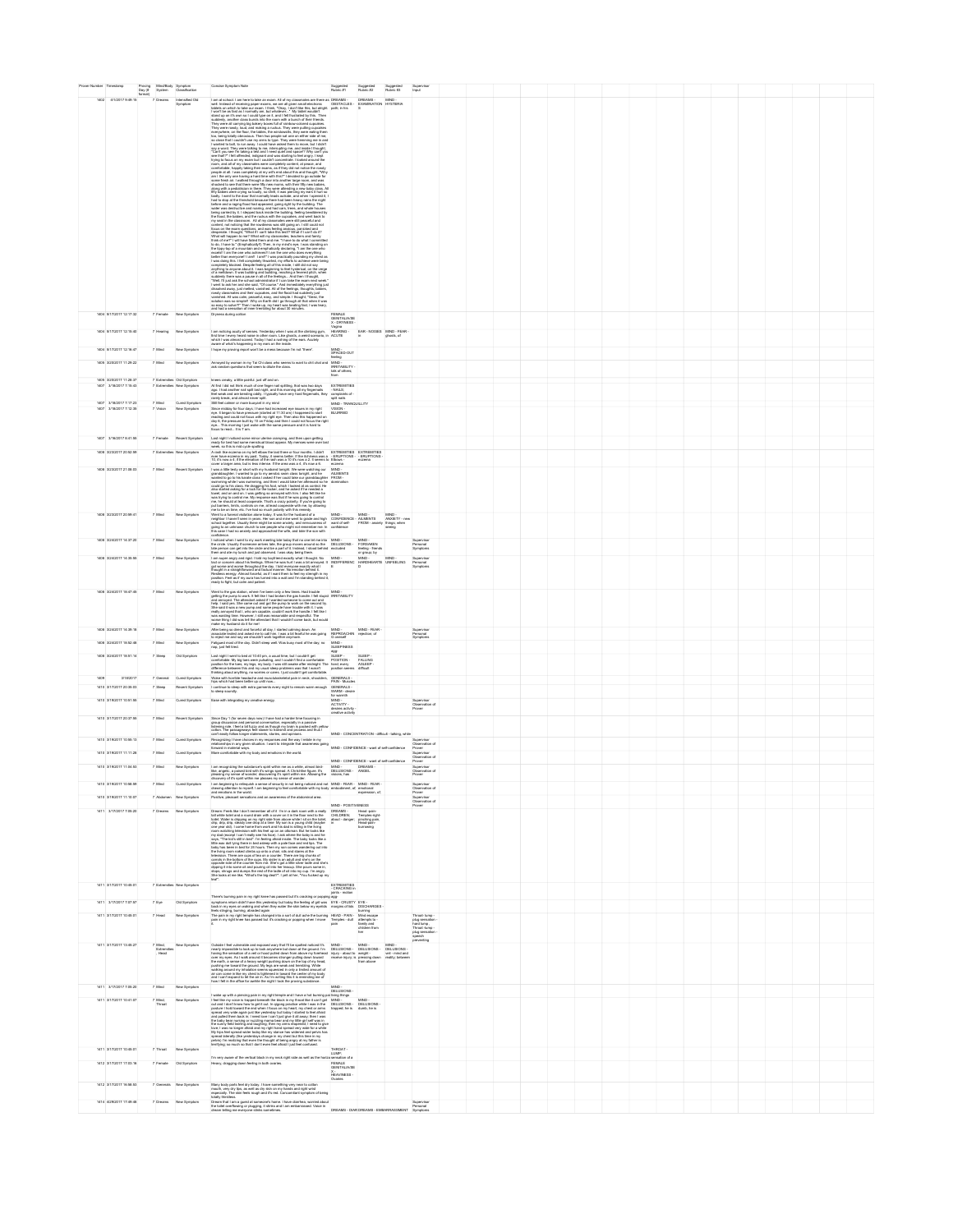|      |                         |                                  |                                              | Prover Number Timesterp Proving Mind/Body Symptom Concise Symptom Note<br>System Classification<br>1402 4/1/2017 9:48:15<br>7 Dreams Internative System (Mark Club)<br>9/mptom well Instead of receiving<br>1402 4/1/2017 9:48:15                     |                                                               | Supposted Supposted Supposted Supervisor<br>Rubric #1 Rubric #2 Rubric #3 Input |                                                                                  |  |  |  |  |  |  |  |  |
|------|-------------------------|----------------------------------|----------------------------------------------|-------------------------------------------------------------------------------------------------------------------------------------------------------------------------------------------------------------------------------------------------------|---------------------------------------------------------------|---------------------------------------------------------------------------------|----------------------------------------------------------------------------------|--|--|--|--|--|--|--|--|
|      |                         |                                  |                                              | Let de Latin de la Paris basie avec A. A des Samments an Italien de la Childre de la Childre de Latin de la Ch<br>de la Childre de la Childre de la Childre de la Childre de la Childre de la Childre de la Childre de la Childr                      |                                                               |                                                                                 |                                                                                  |  |  |  |  |  |  |  |  |
|      |                         |                                  |                                              |                                                                                                                                                                                                                                                       |                                                               |                                                                                 |                                                                                  |  |  |  |  |  |  |  |  |
|      |                         |                                  |                                              |                                                                                                                                                                                                                                                       |                                                               |                                                                                 |                                                                                  |  |  |  |  |  |  |  |  |
|      |                         |                                  |                                              |                                                                                                                                                                                                                                                       |                                                               |                                                                                 |                                                                                  |  |  |  |  |  |  |  |  |
|      |                         |                                  |                                              |                                                                                                                                                                                                                                                       |                                                               |                                                                                 |                                                                                  |  |  |  |  |  |  |  |  |
|      |                         |                                  |                                              |                                                                                                                                                                                                                                                       |                                                               |                                                                                 |                                                                                  |  |  |  |  |  |  |  |  |
|      |                         |                                  |                                              |                                                                                                                                                                                                                                                       |                                                               |                                                                                 |                                                                                  |  |  |  |  |  |  |  |  |
|      |                         |                                  |                                              |                                                                                                                                                                                                                                                       |                                                               |                                                                                 |                                                                                  |  |  |  |  |  |  |  |  |
|      |                         |                                  |                                              |                                                                                                                                                                                                                                                       |                                                               |                                                                                 |                                                                                  |  |  |  |  |  |  |  |  |
|      |                         |                                  |                                              |                                                                                                                                                                                                                                                       |                                                               |                                                                                 |                                                                                  |  |  |  |  |  |  |  |  |
|      |                         |                                  |                                              |                                                                                                                                                                                                                                                       |                                                               |                                                                                 |                                                                                  |  |  |  |  |  |  |  |  |
|      |                         |                                  |                                              |                                                                                                                                                                                                                                                       |                                                               |                                                                                 |                                                                                  |  |  |  |  |  |  |  |  |
|      |                         |                                  |                                              |                                                                                                                                                                                                                                                       |                                                               |                                                                                 |                                                                                  |  |  |  |  |  |  |  |  |
|      |                         |                                  |                                              | The matrix and the detection of the locality of the state of the detection of the detection of the state of the state of the state of the state of the state of the state of the state of the state of the state of the state                         |                                                               |                                                                                 |                                                                                  |  |  |  |  |  |  |  |  |
|      |                         |                                  |                                              |                                                                                                                                                                                                                                                       |                                                               |                                                                                 |                                                                                  |  |  |  |  |  |  |  |  |
|      |                         |                                  |                                              |                                                                                                                                                                                                                                                       |                                                               |                                                                                 |                                                                                  |  |  |  |  |  |  |  |  |
|      |                         |                                  |                                              |                                                                                                                                                                                                                                                       |                                                               |                                                                                 |                                                                                  |  |  |  |  |  |  |  |  |
|      |                         |                                  |                                              |                                                                                                                                                                                                                                                       |                                                               |                                                                                 |                                                                                  |  |  |  |  |  |  |  |  |
|      |                         |                                  |                                              |                                                                                                                                                                                                                                                       |                                                               |                                                                                 |                                                                                  |  |  |  |  |  |  |  |  |
|      | 1404 5/17/2017 12:17:32 |                                  | 7 Female New Symptom                         | Dryness during coltion                                                                                                                                                                                                                                | <b>FEMALE</b>                                                 |                                                                                 |                                                                                  |  |  |  |  |  |  |  |  |
|      |                         |                                  |                                              |                                                                                                                                                                                                                                                       | GENITALIA/SE<br>X - DRYNESS -                                 |                                                                                 |                                                                                  |  |  |  |  |  |  |  |  |
|      | 1404 5/17/2017 12:15:40 |                                  | 7 Hearing New Symptom                        | I am noticing aculty of senses. Yesterday when I was at the climbing gyrn, HEARING -<br>first time I every heard noise in other room. Like ghosts, a welrd scenario, in ACUTE<br>which I was almost scened, Today I had a rushing of                  |                                                               | EAR - NOISES MIND - FEAR                                                        |                                                                                  |  |  |  |  |  |  |  |  |
|      | 1404 5/17/2017 12:16:47 |                                  | 7 Mind New Symptom                           | I hope my proving report won't be a mess because I'm not "there".                                                                                                                                                                                     |                                                               |                                                                                 |                                                                                  |  |  |  |  |  |  |  |  |
|      |                         |                                  |                                              |                                                                                                                                                                                                                                                       | SPACED OUT                                                    |                                                                                 |                                                                                  |  |  |  |  |  |  |  |  |
|      | 1405 3/20/2017 11:29:22 |                                  | 7 Mind New Symptom                           | Annoyed by woman in my Tai Chi class who seems to want to chit chat and MIND-ask random questions that seem to dilute the class.<br>ask random questions that seem to dilute the class.<br>from the of others;<br>from                                |                                                               |                                                                                 |                                                                                  |  |  |  |  |  |  |  |  |
|      | 1405 3/20/2017 11:28:37 |                                  | 7 Extremities Old Symptom                    | knees creaky, a little painful. just off and on.                                                                                                                                                                                                      |                                                               |                                                                                 |                                                                                  |  |  |  |  |  |  |  |  |
|      | 1407 3/18/2017 7:15:43  |                                  | 7 Extremities New Symptom                    | At first I did not think much of one finger neil splitting, that was two days<br>ago. I had another neil split last night, and this morning all my fingermals<br>fear weak and are bending oddy. I hypically have very hard fingerm                   |                                                               |                                                                                 |                                                                                  |  |  |  |  |  |  |  |  |
|      | 1407 3/18/2017 7:17:23  |                                  | 7 Mind Cured Symptom<br>7 Vision New Symptom | Still feel calmer or more buoyant in my mind                                                                                                                                                                                                          | MND - TRANQUILLITY                                            |                                                                                 |                                                                                  |  |  |  |  |  |  |  |  |
|      | 1407 3/18/2017 7:12:35  |                                  |                                              |                                                                                                                                                                                                                                                       |                                                               |                                                                                 |                                                                                  |  |  |  |  |  |  |  |  |
|      |                         |                                  |                                              | Since middley for four days; I have had increased eye issues in my right $\sim$ 19800-1 - 1991 (Sample days) and the middle of the state of the state of the state of the state of the state of the state of the state of the s                       |                                                               |                                                                                 |                                                                                  |  |  |  |  |  |  |  |  |
|      | 1407 3/16/2017 8:41:55  |                                  | 7 Female Recent Symptom                      | Liast night I noticed some minor uterine cramping, and then upon getting<br>ready for bed had some menstrual blood appear. My menses were over last<br>week, so this is mid cycle spotting                                                            |                                                               |                                                                                 |                                                                                  |  |  |  |  |  |  |  |  |
|      | 1408 3/23/2017 20:52:59 |                                  | 7 Extremities New Symptom                    | than the model of the space of the space of the space of the space of the space of the space of the space of the space of the space of the space of the space of the space of the space of the space of the space of the spac                         |                                                               |                                                                                 |                                                                                  |  |  |  |  |  |  |  |  |
|      |                         |                                  |                                              |                                                                                                                                                                                                                                                       |                                                               |                                                                                 |                                                                                  |  |  |  |  |  |  |  |  |
|      | 1408 3/23/2017 21:08:03 | 7 Mind                           | Recent Symptom                               |                                                                                                                                                                                                                                                       |                                                               |                                                                                 |                                                                                  |  |  |  |  |  |  |  |  |
|      |                         |                                  |                                              |                                                                                                                                                                                                                                                       |                                                               |                                                                                 |                                                                                  |  |  |  |  |  |  |  |  |
|      |                         |                                  |                                              |                                                                                                                                                                                                                                                       |                                                               |                                                                                 |                                                                                  |  |  |  |  |  |  |  |  |
|      |                         |                                  |                                              |                                                                                                                                                                                                                                                       |                                                               |                                                                                 |                                                                                  |  |  |  |  |  |  |  |  |
|      | 1408 3/23/2017 20:59:41 | 7 Mind                           | New Symptom                                  | mus can on more, we can see more possible and the matter of the MSD - MND - MND - MND - MND - MND - MND - MND - MND - MND - MND - MND - MND - MND - MND - MND - MND - MND - MND - MND - MND - MND - MND - MND - MND - MND - M                         |                                                               |                                                                                 |                                                                                  |  |  |  |  |  |  |  |  |
|      |                         |                                  |                                              |                                                                                                                                                                                                                                                       |                                                               |                                                                                 |                                                                                  |  |  |  |  |  |  |  |  |
|      | 1408 3/24/2017 14:37:20 |                                  | 7 Mind New Symptom                           | contains the particle system with the state of the state of the state of the state of the state of the state of the state of the state of the state of the state of the state of the state of the state of the state of the s                         |                                                               |                                                                                 | Personal<br>Symptoms                                                             |  |  |  |  |  |  |  |  |
|      | 1408 3/24/2017 14:35:55 | 7 Mind                           | New Symptom                                  |                                                                                                                                                                                                                                                       |                                                               |                                                                                 |                                                                                  |  |  |  |  |  |  |  |  |
|      |                         |                                  |                                              |                                                                                                                                                                                                                                                       |                                                               |                                                                                 | Superviso<br>Personal                                                            |  |  |  |  |  |  |  |  |
|      |                         |                                  |                                              |                                                                                                                                                                                                                                                       |                                                               |                                                                                 |                                                                                  |  |  |  |  |  |  |  |  |
|      | 1408 3/24/2017 18:47:45 | 7 Mind                           | New Symptom                                  |                                                                                                                                                                                                                                                       |                                                               |                                                                                 |                                                                                  |  |  |  |  |  |  |  |  |
|      |                         |                                  |                                              | Where to the gas station, where I we been city a few times. Had to close<br>a compact the stationary of the stationary of the stationary of the stationary of the stationary of the stationary of the stationary of the stationa                      |                                                               |                                                                                 |                                                                                  |  |  |  |  |  |  |  |  |
|      |                         |                                  |                                              |                                                                                                                                                                                                                                                       |                                                               |                                                                                 |                                                                                  |  |  |  |  |  |  |  |  |
|      | 1408 3/24/2017 14:39:18 | 7 Mind                           | New Symptom                                  |                                                                                                                                                                                                                                                       |                                                               | MND - FEAR                                                                      |                                                                                  |  |  |  |  |  |  |  |  |
|      |                         |                                  |                                              | After being so direct and forceful all day, I started calming down. An MIND - MIND - MIND - FEA associated to discussion to calminate and the function of the MIND - FEA and the started in the started by the MIND - REPROACH                        |                                                               |                                                                                 | Personal                                                                         |  |  |  |  |  |  |  |  |
|      | 1408 3/24/2017 18:52:48 |                                  | 7 Mind New Symptom                           | Fatigued most of the day. Didn't sleep well. Was busy most of the day, no MIND - nap, just felt tired.                                                                                                                                                |                                                               |                                                                                 |                                                                                  |  |  |  |  |  |  |  |  |
|      | 1408 3/24/2017 18:51:14 |                                  | 7 Sleep Old Symptom                          |                                                                                                                                                                                                                                                       |                                                               |                                                                                 |                                                                                  |  |  |  |  |  |  |  |  |
| 1409 | 3/18/2017               |                                  | 7 General Cured Symptom                      | , and regard the<br>original the black of the Gaussian parameters, but incontant get the<br>model and the paper and parameters and considerable procedures are recorded<br>the Constantine and the paper and constant of the constant                 |                                                               |                                                                                 |                                                                                  |  |  |  |  |  |  |  |  |
|      | 1410 3/17/2017 20:35:03 |                                  | 7 Sleep Recent Symptom                       | Woke with horrible headache and muscluloskeletal pain in neck, shoulders, CENERALS - hips which had been better up until now $PAN - Masses$<br>I continue to sleep with extra garments every night to remain warm enough CENERALS - to sleep soundly. |                                                               |                                                                                 |                                                                                  |  |  |  |  |  |  |  |  |
|      | 1410 3/19/2017 10:51:55 | 7 Mind                           |                                              | Cured Symptom Ease with integrating my creative energy.                                                                                                                                                                                               | WARM - desire<br>for warmth                                   |                                                                                 |                                                                                  |  |  |  |  |  |  |  |  |
|      |                         |                                  |                                              |                                                                                                                                                                                                                                                       | MIND -<br>ACTWTY -<br>desires activity -<br>creative activity |                                                                                 | Supervisor<br>Observation of                                                     |  |  |  |  |  |  |  |  |
|      | 1410 3/17/2017 20:37:55 | 7 Mind                           | Recent Symptom                               |                                                                                                                                                                                                                                                       |                                                               |                                                                                 |                                                                                  |  |  |  |  |  |  |  |  |
|      |                         |                                  |                                              | Since Day 1 (for seven days now) I have had a harder time focusing in<br>group discussion and personal conversation, especially in a passive<br>interregions. I lease and large and though my term is passed with yellow<br>interregion               |                                                               |                                                                                 |                                                                                  |  |  |  |  |  |  |  |  |
|      | 1410 3/19/2017 10:55:13 |                                  | 7 Mind Cured Symptom                         | Recognizing I have choices in my responses and the way I relate in my<br>nelationships in any given studien. I want to integrate that awareness going<br>forward in material ways.                                                                    |                                                               |                                                                                 |                                                                                  |  |  |  |  |  |  |  |  |
|      | 1410 3/19/2017 11:11:28 | 7 Mind                           | Cured Symptom                                | More comfortable with my body and emotions in the world.                                                                                                                                                                                              |                                                               |                                                                                 | Supervisor<br>Observation of<br>Prover                                           |  |  |  |  |  |  |  |  |
|      | 1410 3/19/2017 11:04:53 | 7 Mind                           | New Symptom                                  |                                                                                                                                                                                                                                                       |                                                               | MIND - CONFIDENCE - want of self-confidence                                     | Supervisor<br>Observation of<br>Prover                                           |  |  |  |  |  |  |  |  |
|      |                         |                                  | 7 Mind Cured Symptom                         | 1 sen recognizing the substances spirt within me as a white airrorst bed. MIND. - DREAMS-<br>18te, angele, a possed brid with it's wings spread. A Christ-Bas Span, If's - DEU.USIONS - ANGEL<br>pleasing my sense of worder, discov                  |                                                               |                                                                                 |                                                                                  |  |  |  |  |  |  |  |  |
|      | 1410 3/19/2017 10:58:59 |                                  |                                              | I am beginning to relinquish a sense of security in not being noticed and not MND - FEAR - MND - FEAR<br>distanting attention to myself. I am beginning to feel confortable with my body 'embodiment, of ' emotional                                  |                                                               |                                                                                 | Supervisor<br>Observation o<br>Prover<br>Supervisor<br>Observation o             |  |  |  |  |  |  |  |  |
|      | 1410 3/19/2017 11:10:07 |                                  | 7 Abdomen New Symptom                        | Positive, pleasant sensations and an awareness of the abdominal area                                                                                                                                                                                  |                                                               |                                                                                 |                                                                                  |  |  |  |  |  |  |  |  |
|      | 1411 3/17/2017 7:05:20  |                                  | 7 Dreams New Symptom                         |                                                                                                                                                                                                                                                       |                                                               |                                                                                 |                                                                                  |  |  |  |  |  |  |  |  |
|      |                         |                                  |                                              |                                                                                                                                                                                                                                                       |                                                               |                                                                                 |                                                                                  |  |  |  |  |  |  |  |  |
|      |                         |                                  |                                              |                                                                                                                                                                                                                                                       |                                                               |                                                                                 |                                                                                  |  |  |  |  |  |  |  |  |
|      |                         |                                  |                                              |                                                                                                                                                                                                                                                       |                                                               |                                                                                 |                                                                                  |  |  |  |  |  |  |  |  |
|      |                         |                                  |                                              |                                                                                                                                                                                                                                                       |                                                               |                                                                                 |                                                                                  |  |  |  |  |  |  |  |  |
|      |                         |                                  |                                              | County Farm for a dot in constraint of $d$ is in a dark constraint of $D$ . The first of the state of the state of the state of the state of the state of the state of the state of the state of the state of the state of the                        |                                                               |                                                                                 |                                                                                  |  |  |  |  |  |  |  |  |
|      | 1411 3/17/2017 10:45:01 |                                  | 7 Extremities New Symptom                    |                                                                                                                                                                                                                                                       |                                                               |                                                                                 |                                                                                  |  |  |  |  |  |  |  |  |
|      | 1411 3/17/2017 7:07:57  |                                  | 7 Eye Old Symptom                            | There's burning pain in my right knee has passed but it's cracking or popping agg-                                                                                                                                                                    |                                                               |                                                                                 |                                                                                  |  |  |  |  |  |  |  |  |
|      |                         |                                  | 7 Head New Symptom                           | symptoms return didn't have this yesterday but today the feeling of grit was EYE - CRUSTY EYE - CRUSTY AT the system of the system of the system of the system of the property feeling of the system of the system of the syst                        |                                                               |                                                                                 |                                                                                  |  |  |  |  |  |  |  |  |
|      | 1411 3/17/2017 10:45:01 |                                  |                                              |                                                                                                                                                                                                                                                       |                                                               |                                                                                 | Throat- lump                                                                     |  |  |  |  |  |  |  |  |
|      |                         |                                  |                                              |                                                                                                                                                                                                                                                       |                                                               |                                                                                 | Impac.com<br>hard lump<br>Throat -lump<br>plug sensation<br>speech<br>preventing |  |  |  |  |  |  |  |  |
|      | 1411 3/17/2017 13:45:27 | 7 Mind,<br>Extremities<br>, Head | New Symptom                                  | Collable 1 between the and exposure way from 17 be applied verticed if $\gamma_1$ MMO $_2$ COM $_3$ COM $_3$ COM $_3$ COM $_3$ COM $_3$ COM $_3$ COM $_3$ COM $_3$ COM $_3$ COM $_3$ COM $_3$ COM $_3$ COM $_3$ COM $_3$ COM $_3$                     |                                                               |                                                                                 |                                                                                  |  |  |  |  |  |  |  |  |
|      |                         |                                  |                                              |                                                                                                                                                                                                                                                       |                                                               |                                                                                 |                                                                                  |  |  |  |  |  |  |  |  |
|      |                         |                                  |                                              |                                                                                                                                                                                                                                                       |                                                               |                                                                                 |                                                                                  |  |  |  |  |  |  |  |  |
|      | 1411 3/17/2017 7:05:20  |                                  | 7 Mind New Symptom                           |                                                                                                                                                                                                                                                       | MIND                                                          |                                                                                 |                                                                                  |  |  |  |  |  |  |  |  |
|      | 1411 3/17/2017 10:41:07 |                                  | 7 Mind, New Symptom<br>Throat                | I wake up with a piercing pain in my right temple and I have a hot burning pai living things                                                                                                                                                          | DELUSIONS                                                     | MND-                                                                            |                                                                                  |  |  |  |  |  |  |  |  |
|      |                         |                                  |                                              | ) where on the figure space of the properties and the state state space of the control of the state of the state of the state space of the state of the state of the state of the state of the state of the state of the stat                         | trapped; he is dumb, he is                                    | DELUSIONS                                                                       |                                                                                  |  |  |  |  |  |  |  |  |
|      |                         |                                  |                                              |                                                                                                                                                                                                                                                       |                                                               |                                                                                 |                                                                                  |  |  |  |  |  |  |  |  |
|      |                         |                                  |                                              |                                                                                                                                                                                                                                                       |                                                               |                                                                                 |                                                                                  |  |  |  |  |  |  |  |  |
|      | 1411 3/17/2017 10:45:01 |                                  | 7 Throat New Sympton                         |                                                                                                                                                                                                                                                       |                                                               |                                                                                 |                                                                                  |  |  |  |  |  |  |  |  |
|      |                         |                                  |                                              | I'm very aware of the vertical block in my neck right side as well as the horizo sen                                                                                                                                                                  | THROAT -<br>ation of a                                        |                                                                                 |                                                                                  |  |  |  |  |  |  |  |  |
|      | 1412 3/17/2017 17:03:16 |                                  | 7 Female Old Symptom                         | Heavy, dragging down feeling in both ovaries                                                                                                                                                                                                          | FEMALE<br><b>GENITALIA/SE</b>                                 |                                                                                 |                                                                                  |  |  |  |  |  |  |  |  |
|      | 1412 3/17/2017 16:58:53 |                                  | 7 Generals New Symptom                       |                                                                                                                                                                                                                                                       | <br>HEAVINESS -<br>Overles                                    |                                                                                 |                                                                                  |  |  |  |  |  |  |  |  |
|      |                         |                                  |                                              | Many body parts feel dry today. I have something very near to cotton<br>mooth, very dry lips, as well as dry skin on my hands and right wrist<br>expecially. The skin feels rough and it's red. Concomitant symptom of being<br>totally               |                                                               |                                                                                 |                                                                                  |  |  |  |  |  |  |  |  |
|      | 1414 4/29/2017 17:49:48 |                                  | 7 Dreams New Symptom                         | Dream that I am a guest at someone's home. I have diamea, womied about<br>the tollat overflowing or plugging, it stinks and I am embarrassed. Voice in<br>dream telling me everyone stinks sometimes.                                                 |                                                               | DREAMS - DIAR DREAMS - EMBARRASSMENT                                            | Superviso<br>Personal                                                            |  |  |  |  |  |  |  |  |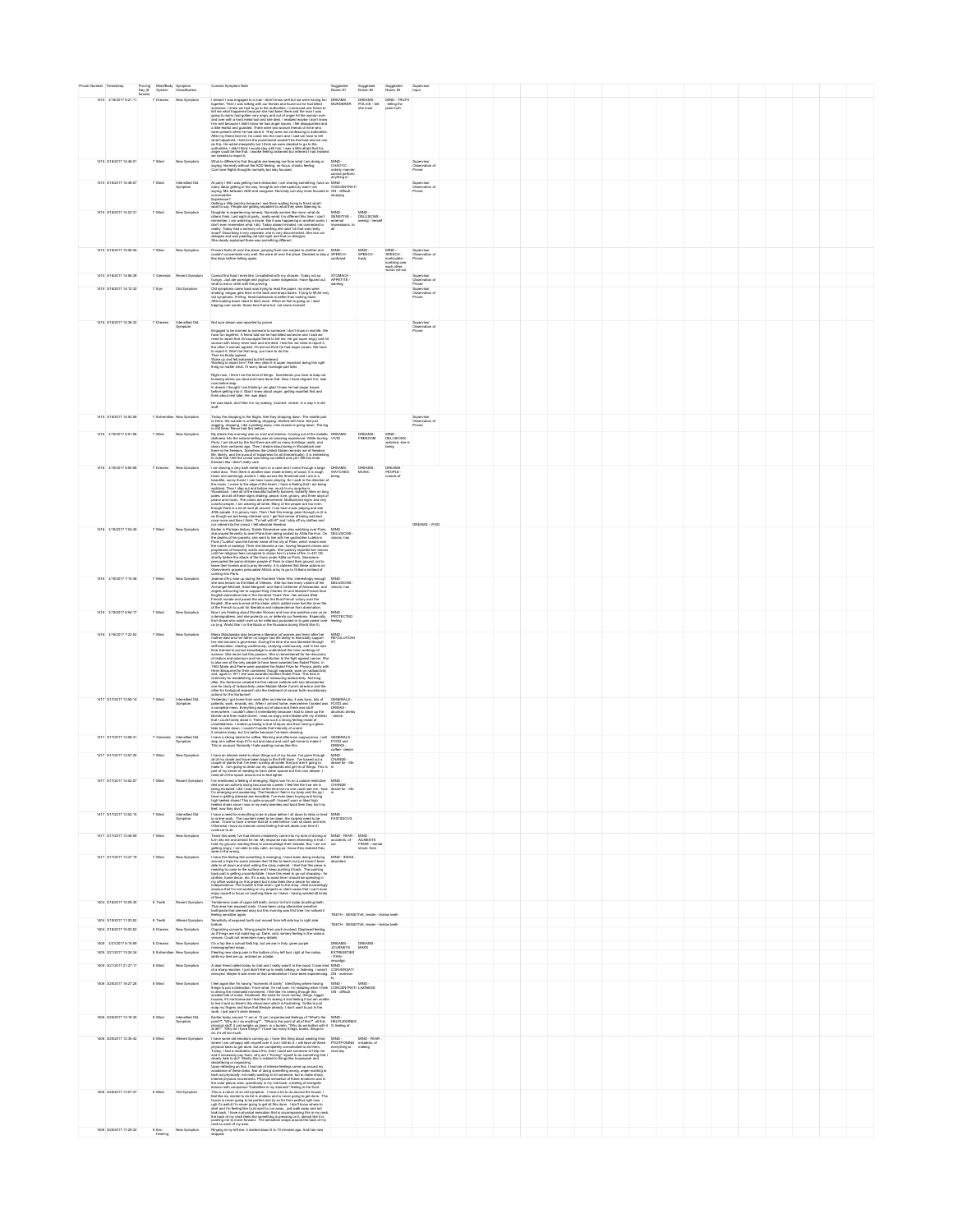| $\begin{tabular}{ll} Prover Number & Timestamp & \multicolumn{2}{l}{Proving} & MindBody & \text{Symptem} \\ & \multicolumn{2}{l}{Oary (8)} & \multicolumn{2}{l}{System} & \text{Cissification} \\ & \multicolumn{2}{l}{format} & \multicolumn{2}{l}{System} & \text{Cissification} \\ \end{tabular}$ |                    |                                                                                                                  | Concise Symptom Note                                                                                                                                                                                                                                        |                                          | Supposted Supposted Supposted Supervisor<br>Rubric #1 Rubric #2 Rubric #3 Input |                                                                                      |                                       |  |  |  |  |  |  |  |
|------------------------------------------------------------------------------------------------------------------------------------------------------------------------------------------------------------------------------------------------------------------------------------------------------|--------------------|------------------------------------------------------------------------------------------------------------------|-------------------------------------------------------------------------------------------------------------------------------------------------------------------------------------------------------------------------------------------------------------|------------------------------------------|---------------------------------------------------------------------------------|--------------------------------------------------------------------------------------|---------------------------------------|--|--|--|--|--|--|--|
| 1415 3/18/2017 8:21:11                                                                                                                                                                                                                                                                               |                    | 7 Dreams New Symptom                                                                                             |                                                                                                                                                                                                                                                             |                                          |                                                                                 |                                                                                      |                                       |  |  |  |  |  |  |  |
|                                                                                                                                                                                                                                                                                                      |                    |                                                                                                                  |                                                                                                                                                                                                                                                             |                                          | DREAMS -<br>POLICE - tell;<br>she must                                          | MIND - TRUTH<br>- telling the<br>plain truth                                         |                                       |  |  |  |  |  |  |  |
|                                                                                                                                                                                                                                                                                                      |                    |                                                                                                                  |                                                                                                                                                                                                                                                             |                                          |                                                                                 |                                                                                      |                                       |  |  |  |  |  |  |  |
|                                                                                                                                                                                                                                                                                                      |                    |                                                                                                                  |                                                                                                                                                                                                                                                             |                                          |                                                                                 |                                                                                      |                                       |  |  |  |  |  |  |  |
|                                                                                                                                                                                                                                                                                                      |                    |                                                                                                                  |                                                                                                                                                                                                                                                             |                                          |                                                                                 |                                                                                      |                                       |  |  |  |  |  |  |  |
|                                                                                                                                                                                                                                                                                                      |                    |                                                                                                                  |                                                                                                                                                                                                                                                             |                                          |                                                                                 |                                                                                      |                                       |  |  |  |  |  |  |  |
|                                                                                                                                                                                                                                                                                                      |                    |                                                                                                                  |                                                                                                                                                                                                                                                             |                                          |                                                                                 |                                                                                      |                                       |  |  |  |  |  |  |  |
| 1415 3/18/2017 14:48:01                                                                                                                                                                                                                                                                              | 7 Mind             | New Symptom                                                                                                      |                                                                                                                                                                                                                                                             |                                          |                                                                                 |                                                                                      |                                       |  |  |  |  |  |  |  |
|                                                                                                                                                                                                                                                                                                      |                    |                                                                                                                  |                                                                                                                                                                                                                                                             |                                          |                                                                                 |                                                                                      |                                       |  |  |  |  |  |  |  |
| 1415 3/18/2017 14:46:07                                                                                                                                                                                                                                                                              |                    | $\begin{tabular}{ll} \bf 7 & Mind & \bf 1stersified Old \\ \bf 8}{\color{blue}ympform \end{tabular}$             |                                                                                                                                                                                                                                                             |                                          |                                                                                 |                                                                                      |                                       |  |  |  |  |  |  |  |
|                                                                                                                                                                                                                                                                                                      |                    |                                                                                                                  | At party I felt I was getting more distracted, I am sharing something, have so TMRD.<br>many ideas getting in the way, thoughts are interrupted by want I am<br>saying. Mix between ADD and sanguine. Normally can stay more focused                        |                                          |                                                                                 |                                                                                      | Observation                           |  |  |  |  |  |  |  |
|                                                                                                                                                                                                                                                                                                      |                    |                                                                                                                  |                                                                                                                                                                                                                                                             |                                          |                                                                                 |                                                                                      |                                       |  |  |  |  |  |  |  |
| 1415 3/18/2017 14:22:31                                                                                                                                                                                                                                                                              | 7 Mind             | New Symptom                                                                                                      |                                                                                                                                                                                                                                                             |                                          |                                                                                 |                                                                                      |                                       |  |  |  |  |  |  |  |
|                                                                                                                                                                                                                                                                                                      |                    |                                                                                                                  |                                                                                                                                                                                                                                                             |                                          |                                                                                 |                                                                                      |                                       |  |  |  |  |  |  |  |
|                                                                                                                                                                                                                                                                                                      |                    |                                                                                                                  |                                                                                                                                                                                                                                                             |                                          |                                                                                 |                                                                                      |                                       |  |  |  |  |  |  |  |
|                                                                                                                                                                                                                                                                                                      |                    |                                                                                                                  |                                                                                                                                                                                                                                                             |                                          |                                                                                 |                                                                                      |                                       |  |  |  |  |  |  |  |
| 1415 3/18/2017 15:06:45                                                                                                                                                                                                                                                                              |                    | 7 Mind New Symptom                                                                                               |                                                                                                                                                                                                                                                             |                                          |                                                                                 |                                                                                      |                                       |  |  |  |  |  |  |  |
|                                                                                                                                                                                                                                                                                                      |                    |                                                                                                                  | Provers feels all over the place, jumping from one subject to another and MIND - couldn't concentrate very well. We were all over the place. Decided to skip a SPEECH - few days before talking again.                                                      |                                          | MND -<br>SPEECH -<br>hasty                                                      |                                                                                      | Supervisor<br>Observation o<br>Prover |  |  |  |  |  |  |  |
|                                                                                                                                                                                                                                                                                                      |                    |                                                                                                                  |                                                                                                                                                                                                                                                             |                                          |                                                                                 | MIND<br>SPEECH -<br>inarticulate -<br>tumbling over<br>each other;<br>words roll out |                                       |  |  |  |  |  |  |  |
| 1415 3/18/2017 14:58:39                                                                                                                                                                                                                                                                              |                    |                                                                                                                  |                                                                                                                                                                                                                                                             |                                          |                                                                                 |                                                                                      |                                       |  |  |  |  |  |  |  |
|                                                                                                                                                                                                                                                                                                      |                    |                                                                                                                  | 7 Generals - Recent Symptom - George for block I service particular and my changes for the projected and the state of the state of the state of the state of the state of the state of the state of the state of the state of                               |                                          |                                                                                 |                                                                                      |                                       |  |  |  |  |  |  |  |
| 1415 3/18/2017 14:12:32                                                                                                                                                                                                                                                                              |                    |                                                                                                                  |                                                                                                                                                                                                                                                             |                                          |                                                                                 |                                                                                      |                                       |  |  |  |  |  |  |  |
|                                                                                                                                                                                                                                                                                                      |                    |                                                                                                                  |                                                                                                                                                                                                                                                             |                                          |                                                                                 |                                                                                      |                                       |  |  |  |  |  |  |  |
|                                                                                                                                                                                                                                                                                                      |                    |                                                                                                                  |                                                                                                                                                                                                                                                             |                                          |                                                                                 |                                                                                      |                                       |  |  |  |  |  |  |  |
| 1415 3/18/2017 14:36:32                                                                                                                                                                                                                                                                              |                    | 7 Dreams Intensified Old<br>Symptom                                                                              | Not sure dream was reported by prover                                                                                                                                                                                                                       |                                          |                                                                                 |                                                                                      | Supervisor<br>Observation o           |  |  |  |  |  |  |  |
|                                                                                                                                                                                                                                                                                                      |                    |                                                                                                                  |                                                                                                                                                                                                                                                             |                                          |                                                                                 |                                                                                      |                                       |  |  |  |  |  |  |  |
|                                                                                                                                                                                                                                                                                                      |                    |                                                                                                                  |                                                                                                                                                                                                                                                             |                                          |                                                                                 |                                                                                      |                                       |  |  |  |  |  |  |  |
|                                                                                                                                                                                                                                                                                                      |                    |                                                                                                                  |                                                                                                                                                                                                                                                             |                                          |                                                                                 |                                                                                      |                                       |  |  |  |  |  |  |  |
|                                                                                                                                                                                                                                                                                                      |                    |                                                                                                                  | Expected by a meritory is tensories that the stresses is discussed in the fit by the land of the stresses of the stresses of the stresses of the stresses of the stresses of the stresses of the stresses of the stresses of                                |                                          |                                                                                 |                                                                                      |                                       |  |  |  |  |  |  |  |
|                                                                                                                                                                                                                                                                                                      |                    |                                                                                                                  |                                                                                                                                                                                                                                                             |                                          |                                                                                 |                                                                                      |                                       |  |  |  |  |  |  |  |
|                                                                                                                                                                                                                                                                                                      |                    |                                                                                                                  | Right now, I think I do this kind of things : Scrussimes you have to leap not knowing arbeit gou land and have done that. Now I have reigned it in, look now have large in moving the main intensy of the main intensy of the                               |                                          |                                                                                 |                                                                                      |                                       |  |  |  |  |  |  |  |
|                                                                                                                                                                                                                                                                                                      |                    |                                                                                                                  |                                                                                                                                                                                                                                                             |                                          |                                                                                 |                                                                                      |                                       |  |  |  |  |  |  |  |
|                                                                                                                                                                                                                                                                                                      |                    |                                                                                                                  |                                                                                                                                                                                                                                                             |                                          |                                                                                 |                                                                                      |                                       |  |  |  |  |  |  |  |
|                                                                                                                                                                                                                                                                                                      |                    |                                                                                                                  | He was black, don't like it in my waking moment, racists. In a way it is old at if                                                                                                                                                                          |                                          |                                                                                 |                                                                                      |                                       |  |  |  |  |  |  |  |
| 1415 3/18/2017 14:52:08                                                                                                                                                                                                                                                                              |                    | 7 Extremities New Symptom                                                                                        | Today the dropping in the thighs, feel they dropping down. The middle part is there, the outside is unfolding, dropping. Diamod with face. Not just sagging, dropping. Like a peeling away. Like ecoses is going down. The leg                              |                                          |                                                                                 |                                                                                      | Supervisor<br>Observation of          |  |  |  |  |  |  |  |
|                                                                                                                                                                                                                                                                                                      |                    |                                                                                                                  |                                                                                                                                                                                                                                                             |                                          |                                                                                 |                                                                                      |                                       |  |  |  |  |  |  |  |
| 1416 3/19/2017 6:51:58                                                                                                                                                                                                                                                                               |                    | 7 Mind New Symptom                                                                                               | is an investigated by the diffusion based and the<br>formal contributions in the metallic DIEEAMS - distributions in the metallic procedure. Which to<br>contribute the first contribution procedure and an interaction properties.                         |                                          | DREAMS -<br>FREEDOM                                                             | MIND -<br>DELUSIONS -<br>watched, she is<br>being                                    |                                       |  |  |  |  |  |  |  |
|                                                                                                                                                                                                                                                                                                      |                    |                                                                                                                  |                                                                                                                                                                                                                                                             |                                          |                                                                                 |                                                                                      |                                       |  |  |  |  |  |  |  |
|                                                                                                                                                                                                                                                                                                      |                    |                                                                                                                  |                                                                                                                                                                                                                                                             |                                          |                                                                                 |                                                                                      |                                       |  |  |  |  |  |  |  |
| 1416 3/19/2017 6:50:58                                                                                                                                                                                                                                                                               |                    | 7 Dreams New Symptom                                                                                             | The state and the control of the state and the state and the state and the state of the state and the state and the state and the state and the state of the state and the state of the state and the state of the state and                                |                                          | DREAMS -<br>MUSIC                                                               | DREAMS                                                                               |                                       |  |  |  |  |  |  |  |
|                                                                                                                                                                                                                                                                                                      |                    |                                                                                                                  |                                                                                                                                                                                                                                                             |                                          |                                                                                 | PEOPLE                                                                               |                                       |  |  |  |  |  |  |  |
|                                                                                                                                                                                                                                                                                                      |                    |                                                                                                                  |                                                                                                                                                                                                                                                             |                                          |                                                                                 |                                                                                      |                                       |  |  |  |  |  |  |  |
|                                                                                                                                                                                                                                                                                                      |                    |                                                                                                                  |                                                                                                                                                                                                                                                             |                                          |                                                                                 |                                                                                      |                                       |  |  |  |  |  |  |  |
|                                                                                                                                                                                                                                                                                                      |                    |                                                                                                                  |                                                                                                                                                                                                                                                             |                                          |                                                                                 |                                                                                      |                                       |  |  |  |  |  |  |  |
|                                                                                                                                                                                                                                                                                                      |                    |                                                                                                                  |                                                                                                                                                                                                                                                             |                                          |                                                                                 |                                                                                      |                                       |  |  |  |  |  |  |  |
|                                                                                                                                                                                                                                                                                                      |                    |                                                                                                                  |                                                                                                                                                                                                                                                             |                                          |                                                                                 |                                                                                      | DREAMS - VIVID                        |  |  |  |  |  |  |  |
| 1416 3/19/2017 7:04:45                                                                                                                                                                                                                                                                               | 7 Mind New Sympton |                                                                                                                  |                                                                                                                                                                                                                                                             |                                          |                                                                                 |                                                                                      |                                       |  |  |  |  |  |  |  |
|                                                                                                                                                                                                                                                                                                      |                    |                                                                                                                  | (as charged from the control that detectively interesting the specifical control of the control of the control of the control of the control of the control of the control of the control of the control of the control of th                               |                                          |                                                                                 |                                                                                      |                                       |  |  |  |  |  |  |  |
|                                                                                                                                                                                                                                                                                                      |                    |                                                                                                                  |                                                                                                                                                                                                                                                             |                                          |                                                                                 |                                                                                      |                                       |  |  |  |  |  |  |  |
|                                                                                                                                                                                                                                                                                                      |                    |                                                                                                                  |                                                                                                                                                                                                                                                             |                                          |                                                                                 |                                                                                      |                                       |  |  |  |  |  |  |  |
|                                                                                                                                                                                                                                                                                                      |                    |                                                                                                                  |                                                                                                                                                                                                                                                             |                                          |                                                                                 |                                                                                      |                                       |  |  |  |  |  |  |  |
| 1416 3/19/2017 7:10:48                                                                                                                                                                                                                                                                               | 7 Mind             | New Symptom                                                                                                      | coming the Parks.<br>National Parks and the Hardwick Visua Wiss, interestingly enough. MRCD-SONS plus was known as<br>$\sim$ 2000 million Constant (2000 million Constant) and the Markov Constant (2000)<br>$\sim$ 2000 million Constant                   |                                          |                                                                                 |                                                                                      |                                       |  |  |  |  |  |  |  |
|                                                                                                                                                                                                                                                                                                      |                    |                                                                                                                  |                                                                                                                                                                                                                                                             |                                          |                                                                                 |                                                                                      |                                       |  |  |  |  |  |  |  |
|                                                                                                                                                                                                                                                                                                      |                    |                                                                                                                  |                                                                                                                                                                                                                                                             |                                          |                                                                                 |                                                                                      |                                       |  |  |  |  |  |  |  |
| 1416 3/19/2017 6:54:17                                                                                                                                                                                                                                                                               |                    |                                                                                                                  |                                                                                                                                                                                                                                                             |                                          |                                                                                 |                                                                                      |                                       |  |  |  |  |  |  |  |
|                                                                                                                                                                                                                                                                                                      |                    | 7 Mind New Symptom                                                                                               | Now I am thinking about Wonder Women and how she watches over us as<br>a MIND - a demigoddess, and she protects us, or delends currencedoms. Especially, PROTECTED<br>from those who watch over us for netarious purposes or to gai                         |                                          |                                                                                 |                                                                                      |                                       |  |  |  |  |  |  |  |
|                                                                                                                                                                                                                                                                                                      |                    |                                                                                                                  |                                                                                                                                                                                                                                                             |                                          |                                                                                 |                                                                                      |                                       |  |  |  |  |  |  |  |
| 1416 3/19/2017 7:22:52                                                                                                                                                                                                                                                                               |                    | 7 Mind New Symptom                                                                                               |                                                                                                                                                                                                                                                             |                                          |                                                                                 |                                                                                      |                                       |  |  |  |  |  |  |  |
|                                                                                                                                                                                                                                                                                                      |                    |                                                                                                                  |                                                                                                                                                                                                                                                             |                                          |                                                                                 |                                                                                      |                                       |  |  |  |  |  |  |  |
|                                                                                                                                                                                                                                                                                                      |                    |                                                                                                                  |                                                                                                                                                                                                                                                             |                                          |                                                                                 |                                                                                      |                                       |  |  |  |  |  |  |  |
|                                                                                                                                                                                                                                                                                                      |                    |                                                                                                                  |                                                                                                                                                                                                                                                             |                                          |                                                                                 |                                                                                      |                                       |  |  |  |  |  |  |  |
|                                                                                                                                                                                                                                                                                                      |                    |                                                                                                                  |                                                                                                                                                                                                                                                             |                                          |                                                                                 |                                                                                      |                                       |  |  |  |  |  |  |  |
|                                                                                                                                                                                                                                                                                                      |                    |                                                                                                                  |                                                                                                                                                                                                                                                             |                                          |                                                                                 |                                                                                      |                                       |  |  |  |  |  |  |  |
|                                                                                                                                                                                                                                                                                                      |                    |                                                                                                                  |                                                                                                                                                                                                                                                             |                                          |                                                                                 |                                                                                      |                                       |  |  |  |  |  |  |  |
| 1417 3/17/2017 13:55:14                                                                                                                                                                                                                                                                              | 7 Mind             | <b>Intersified Old</b><br>Symptom                                                                                |                                                                                                                                                                                                                                                             |                                          |                                                                                 |                                                                                      |                                       |  |  |  |  |  |  |  |
|                                                                                                                                                                                                                                                                                                      |                    |                                                                                                                  |                                                                                                                                                                                                                                                             |                                          |                                                                                 |                                                                                      |                                       |  |  |  |  |  |  |  |
|                                                                                                                                                                                                                                                                                                      |                    |                                                                                                                  |                                                                                                                                                                                                                                                             |                                          |                                                                                 |                                                                                      |                                       |  |  |  |  |  |  |  |
|                                                                                                                                                                                                                                                                                                      |                    |                                                                                                                  |                                                                                                                                                                                                                                                             |                                          |                                                                                 |                                                                                      |                                       |  |  |  |  |  |  |  |
| 1417 3/17/2017 13:58:41                                                                                                                                                                                                                                                                              |                    | $\begin{tabular}{ll} $7$ Generals & \color{red}{\bf International Old}\\ \color{red}{\bf Symptom} \end{tabular}$ | ariston ke ya kukomatan da wakati na matsayin katika mwaka wa 1972, alikuwa wakati wa 1982, alikuwa wakati wa kutoka wa kutoka wa kutoka wa kutoka wa kutoka wa kutoka wa kutoka wa kutoka wa kutoka wa kutoka wa kutoka wa k                               |                                          |                                                                                 |                                                                                      |                                       |  |  |  |  |  |  |  |
|                                                                                                                                                                                                                                                                                                      |                    |                                                                                                                  |                                                                                                                                                                                                                                                             |                                          |                                                                                 |                                                                                      |                                       |  |  |  |  |  |  |  |
| 1417 5/17/2017 13:57:20                                                                                                                                                                                                                                                                              |                    | 7 Mind New Symptom                                                                                               | I have an interess mead to clean things out of my house. The gone through $\sim$ MND - cleans of my down and the pair of the three first control in the state of the state of the state of the state of the state of the state                              |                                          |                                                                                 |                                                                                      |                                       |  |  |  |  |  |  |  |
|                                                                                                                                                                                                                                                                                                      |                    |                                                                                                                  |                                                                                                                                                                                                                                                             |                                          |                                                                                 |                                                                                      |                                       |  |  |  |  |  |  |  |
| 1417 S172017 14:02:07                                                                                                                                                                                                                                                                                | 7 Mind             |                                                                                                                  | Das mantinnart a facting of pregning. Blinkt now I'm on a natre                                                                                                                                                                                             |                                          |                                                                                 |                                                                                      |                                       |  |  |  |  |  |  |  |
|                                                                                                                                                                                                                                                                                                      |                    |                                                                                                                  |                                                                                                                                                                                                                                                             |                                          |                                                                                 |                                                                                      |                                       |  |  |  |  |  |  |  |
|                                                                                                                                                                                                                                                                                                      |                    |                                                                                                                  |                                                                                                                                                                                                                                                             |                                          |                                                                                 |                                                                                      |                                       |  |  |  |  |  |  |  |
|                                                                                                                                                                                                                                                                                                      |                    |                                                                                                                  | I've mentioned a fisieing of semanging. Regist now Ym on a calculation static lower links (CHAM)<br>diet and an exclusive basing the possible metals. The links of the station in CHAMGE . The measurement of the stationary The                            |                                          |                                                                                 |                                                                                      |                                       |  |  |  |  |  |  |  |
| 1417 3/17/2017 13:52:15                                                                                                                                                                                                                                                                              | 7 Mind             | <b>Intersified Old</b><br>Symptom                                                                                | veue now they don't<br>I have a need for everything to be in place before I all down to relax or herd. MIND-<br>In continuosel. The construction and the loss dasn, the carrysts near to be<br>a clean, I have to have a sense that al                      |                                          |                                                                                 |                                                                                      |                                       |  |  |  |  |  |  |  |
|                                                                                                                                                                                                                                                                                                      |                    |                                                                                                                  |                                                                                                                                                                                                                                                             |                                          |                                                                                 |                                                                                      |                                       |  |  |  |  |  |  |  |
| 1417 3/17/2017 13:48:59                                                                                                                                                                                                                                                                              | 7 Mind             | New Symptom                                                                                                      | commune to set.<br>Twiste this week Twe had drivers mistakenity come into my lane of driving or MIND-TEAR-1. MIND-T<br>luminto me and afforcat his m. My response has been informating in that 1 accidents, of - AILMENTS<br>(but i                         |                                          |                                                                                 |                                                                                      |                                       |  |  |  |  |  |  |  |
|                                                                                                                                                                                                                                                                                                      |                    |                                                                                                                  |                                                                                                                                                                                                                                                             |                                          |                                                                                 |                                                                                      |                                       |  |  |  |  |  |  |  |
| 1417 3/17/2017 13:47:19                                                                                                                                                                                                                                                                              |                    | 7 Mind New Symptom                                                                                               |                                                                                                                                                                                                                                                             |                                          |                                                                                 |                                                                                      |                                       |  |  |  |  |  |  |  |
|                                                                                                                                                                                                                                                                                                      |                    |                                                                                                                  |                                                                                                                                                                                                                                                             |                                          |                                                                                 |                                                                                      |                                       |  |  |  |  |  |  |  |
|                                                                                                                                                                                                                                                                                                      |                    |                                                                                                                  |                                                                                                                                                                                                                                                             |                                          |                                                                                 |                                                                                      |                                       |  |  |  |  |  |  |  |
|                                                                                                                                                                                                                                                                                                      |                    |                                                                                                                  |                                                                                                                                                                                                                                                             |                                          |                                                                                 |                                                                                      |                                       |  |  |  |  |  |  |  |
|                                                                                                                                                                                                                                                                                                      |                    |                                                                                                                  | were 11 th second<br>$\gamma$ is enoughly as a strongent $\gamma$ have been chosen as<br>$\gamma$ is the Co in the second of the second state of the<br>$\gamma$ is the control of the control of the control of the<br>$\gamma$ is the control of the cont |                                          |                                                                                 |                                                                                      |                                       |  |  |  |  |  |  |  |
| 1404 3/18/2017 15:05:30                                                                                                                                                                                                                                                                              |                    | 8 Teeth Recent Symptom                                                                                           |                                                                                                                                                                                                                                                             |                                          |                                                                                 |                                                                                      |                                       |  |  |  |  |  |  |  |
|                                                                                                                                                                                                                                                                                                      |                    |                                                                                                                  | us une.<br>Thankimess rocks of upper left teeth, incisor to front molar brushing teeth.<br>That area have exposed rocks. I have been using alternative sensitive<br>footingsale that assemed okay but this morning was first time I've                      |                                          |                                                                                 |                                                                                      |                                       |  |  |  |  |  |  |  |
| 1404 3/19/2017 11:03:52                                                                                                                                                                                                                                                                              |                    | 8 Teeth Altered Symptom                                                                                          | Sensitivity of exposed tooth root moved from left side top to right side<br>bottom.                                                                                                                                                                         | TEETH - SENSITIVE, tender - Hollow teeth |                                                                                 |                                                                                      |                                       |  |  |  |  |  |  |  |
| 1404 3/18/2017 15:03:52                                                                                                                                                                                                                                                                              |                    | 8 Dreams New Symptom                                                                                             |                                                                                                                                                                                                                                                             |                                          |                                                                                 |                                                                                      |                                       |  |  |  |  |  |  |  |
| 1405 3/21/2017 6:15:59                                                                                                                                                                                                                                                                               |                    | 8 Dreams New Symptom                                                                                             | Documing concerts. Whong people from work involved. Displaced feeling, as if things are not middling up. Dank, cold, wintery feeling in the various vehicle with the various could not remember many details.<br>On a trip like                             |                                          |                                                                                 |                                                                                      |                                       |  |  |  |  |  |  |  |
| 1405 3/21/2017 13:24:34                                                                                                                                                                                                                                                                              |                    | 8 Extremities New Symptom                                                                                        |                                                                                                                                                                                                                                                             | DREAMS - DREAMS -<br>JOURNEYS MAPS       |                                                                                 |                                                                                      |                                       |  |  |  |  |  |  |  |
|                                                                                                                                                                                                                                                                                                      |                    |                                                                                                                  | Fleeting new sharp pain in the bottom of my left foot, right at the instep, while my feet are up, reclined on a table.                                                                                                                                      | EXTREMITIES                              |                                                                                 |                                                                                      |                                       |  |  |  |  |  |  |  |
| 1405 3/21/2017 21:27:17                                                                                                                                                                                                                                                                              | 8 Mind             | New Symptom                                                                                                      | A dear friend called today to chat and I really waar/t in the mood. It was kind MIND -<br>of a sharp reaction; I just didn't feel up to really talking, or listering. I waart ~ CONVERSATI<br>annoyed. Maybe it was more of that amb                        |                                          |                                                                                 |                                                                                      |                                       |  |  |  |  |  |  |  |
|                                                                                                                                                                                                                                                                                                      |                    |                                                                                                                  |                                                                                                                                                                                                                                                             |                                          |                                                                                 |                                                                                      |                                       |  |  |  |  |  |  |  |
| 1406 3/25/2017 16:27:28                                                                                                                                                                                                                                                                              |                    | 8 Mind New Symptom                                                                                               |                                                                                                                                                                                                                                                             |                                          |                                                                                 |                                                                                      |                                       |  |  |  |  |  |  |  |
|                                                                                                                                                                                                                                                                                                      |                    |                                                                                                                  | Saint again bhí Pin bandar Denmarks de Caley (Jerolding aftern horny - MARC).<br>Straigh á para a diskusána from mása, francúzsky fráma falura valuei (1940).<br>Calex Calex (1940).<br>Saint again a falura falura falura falura f                         |                                          |                                                                                 |                                                                                      |                                       |  |  |  |  |  |  |  |
|                                                                                                                                                                                                                                                                                                      |                    |                                                                                                                  |                                                                                                                                                                                                                                                             |                                          |                                                                                 |                                                                                      |                                       |  |  |  |  |  |  |  |
| 1406 3/25/2017 13:18:30                                                                                                                                                                                                                                                                              | 8 Mind             | <b>Intersified Old</b><br>Symptom                                                                                |                                                                                                                                                                                                                                                             |                                          |                                                                                 |                                                                                      |                                       |  |  |  |  |  |  |  |
|                                                                                                                                                                                                                                                                                                      |                    |                                                                                                                  | work. I just wierfit it donn already.<br>"Earlier today around 11 am or 12 pm I experienced feelings of "What's the<br>point?", "Why do 160 airy/Pray?", "What is the pont of all of the 2", at this. I HELPL-ESSNES<br>(Physical st                        |                                          |                                                                                 |                                                                                      |                                       |  |  |  |  |  |  |  |
|                                                                                                                                                                                                                                                                                                      |                    |                                                                                                                  |                                                                                                                                                                                                                                                             |                                          |                                                                                 |                                                                                      |                                       |  |  |  |  |  |  |  |
| 1406 3/25/2017 12:35:42                                                                                                                                                                                                                                                                              | 8 Mind             | Altered Symptom                                                                                                  |                                                                                                                                                                                                                                                             |                                          | MND - FEAR                                                                      |                                                                                      |                                       |  |  |  |  |  |  |  |
|                                                                                                                                                                                                                                                                                                      |                    |                                                                                                                  |                                                                                                                                                                                                                                                             |                                          |                                                                                 |                                                                                      |                                       |  |  |  |  |  |  |  |
|                                                                                                                                                                                                                                                                                                      |                    |                                                                                                                  |                                                                                                                                                                                                                                                             |                                          |                                                                                 |                                                                                      |                                       |  |  |  |  |  |  |  |
|                                                                                                                                                                                                                                                                                                      |                    |                                                                                                                  |                                                                                                                                                                                                                                                             |                                          |                                                                                 |                                                                                      |                                       |  |  |  |  |  |  |  |
|                                                                                                                                                                                                                                                                                                      |                    |                                                                                                                  |                                                                                                                                                                                                                                                             |                                          |                                                                                 |                                                                                      |                                       |  |  |  |  |  |  |  |
| 1406 3/25/2017 13:07:47                                                                                                                                                                                                                                                                              | 8 Mind Old Symptom |                                                                                                                  | dia, and has most discussions control as the first interaction of the state of the state of the state of the state of the state of the state of the state of the state of the state of the state of the state of the state of                               |                                          |                                                                                 |                                                                                      |                                       |  |  |  |  |  |  |  |
|                                                                                                                                                                                                                                                                                                      |                    |                                                                                                                  |                                                                                                                                                                                                                                                             |                                          |                                                                                 |                                                                                      |                                       |  |  |  |  |  |  |  |
|                                                                                                                                                                                                                                                                                                      |                    |                                                                                                                  | in the comparable constraints in this section were several and the constraints of the final in the constraints of the constraints of the constraints of the constraints of the constraints of the constraints of the constrai                               |                                          |                                                                                 |                                                                                      |                                       |  |  |  |  |  |  |  |
|                                                                                                                                                                                                                                                                                                      |                    |                                                                                                                  |                                                                                                                                                                                                                                                             |                                          |                                                                                 |                                                                                      |                                       |  |  |  |  |  |  |  |
| 1406 3/25/2017 17:29:32                                                                                                                                                                                                                                                                              |                    | 8 Ear, New Symptom<br>Hearing                                                                                    | Ringing in my left ear, it started about 5 to 10 minutes ago. And has now stopped.                                                                                                                                                                          |                                          |                                                                                 |                                                                                      |                                       |  |  |  |  |  |  |  |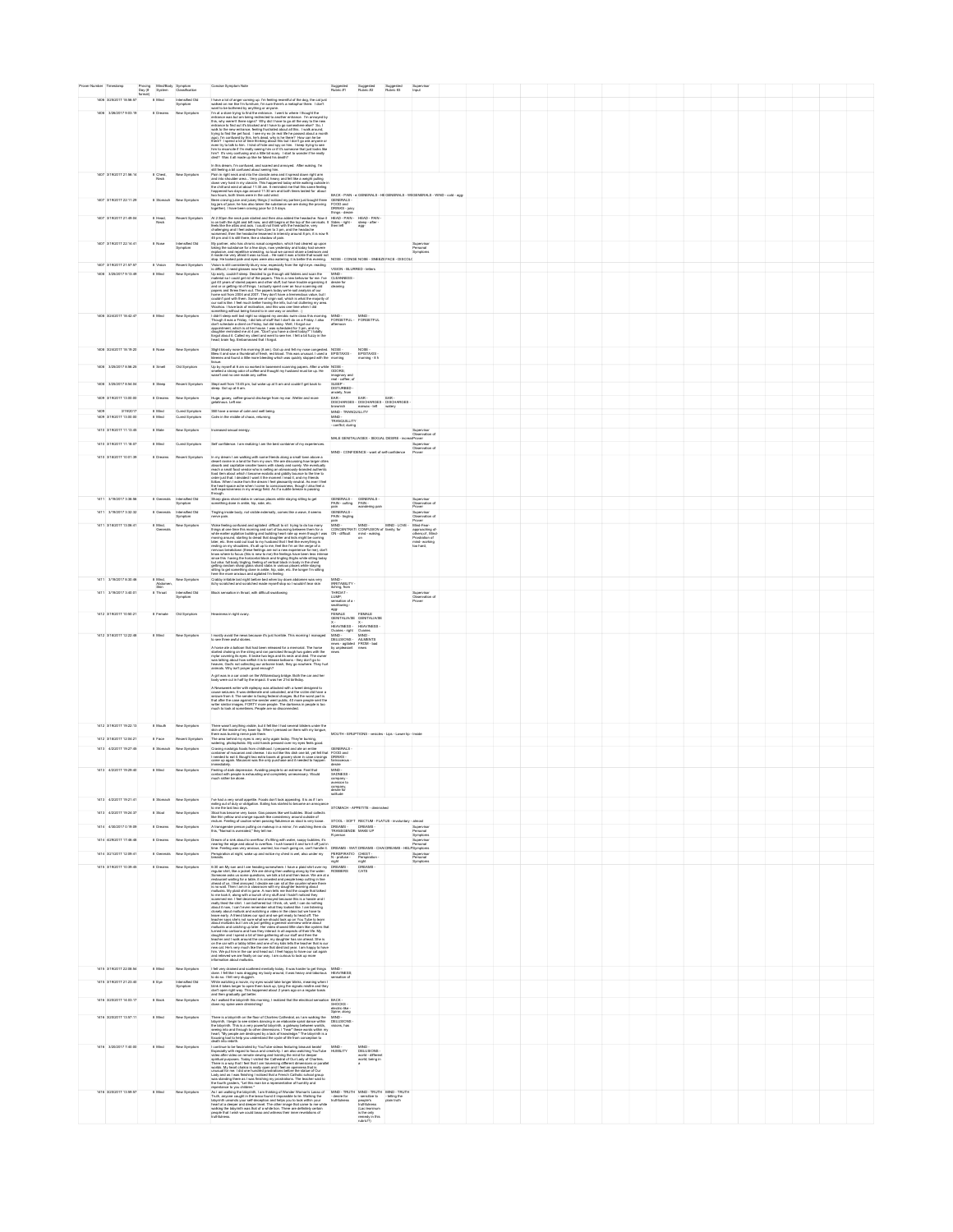| Prover Number Timestamp |                         |                      | Proving Mind/Body Symptom<br>Day (# System Classification<br>format) | Concise Symptom Note                                                                                                                                                                                                                    | Supposted Supposted Supposted Supervisor<br>Rubric #1 Rubric #2 Rubric #3 Input                                                                                                                                                          |                                                                |                         |                                                                       |  |  |  |  |  |  |  |
|-------------------------|-------------------------|----------------------|----------------------------------------------------------------------|-----------------------------------------------------------------------------------------------------------------------------------------------------------------------------------------------------------------------------------------|------------------------------------------------------------------------------------------------------------------------------------------------------------------------------------------------------------------------------------------|----------------------------------------------------------------|-------------------------|-----------------------------------------------------------------------|--|--|--|--|--|--|--|
|                         | 1406 3/25/2017 18:56:57 | 8 Mind               | <b>Intersified Old</b><br>Symptom                                    | I have a lot of anger coming up. I'm feeling resentful of the dog, the cat just walked on me like I'm furniture, I'm sure there's a metaphor there. I don't want to be bothered by anything or anyone.                                  |                                                                                                                                                                                                                                          |                                                                |                         |                                                                       |  |  |  |  |  |  |  |
|                         | 1406 3/26/2017 9:03:19  | 8 Dreams New Sympton |                                                                      |                                                                                                                                                                                                                                         |                                                                                                                                                                                                                                          |                                                                |                         |                                                                       |  |  |  |  |  |  |  |
|                         |                         |                      |                                                                      | Tm at a shore bying to find the entrance. I went to where I thought the entrance was but any therefore the change redirected to another entrance. Tm annoyed by this wind pair of the property of the property of the propert           |                                                                                                                                                                                                                                          |                                                                |                         |                                                                       |  |  |  |  |  |  |  |
|                         |                         |                      |                                                                      |                                                                                                                                                                                                                                         |                                                                                                                                                                                                                                          |                                                                |                         |                                                                       |  |  |  |  |  |  |  |
|                         |                         |                      |                                                                      | walk to the new enterproof, feeling from<br>trained about all this . I was knownd, any of the particular order of<br>the particle of the particle of the particle of the particle of<br>the particle of the state of the state of the   |                                                                                                                                                                                                                                          |                                                                |                         |                                                                       |  |  |  |  |  |  |  |
|                         |                         |                      |                                                                      |                                                                                                                                                                                                                                         |                                                                                                                                                                                                                                          |                                                                |                         |                                                                       |  |  |  |  |  |  |  |
|                         |                         |                      |                                                                      |                                                                                                                                                                                                                                         |                                                                                                                                                                                                                                          |                                                                |                         |                                                                       |  |  |  |  |  |  |  |
|                         |                         |                      |                                                                      | In this dream, I'm confused, and scared and annoyed. After waking, I'm still feeling a bit confused about seeing him.                                                                                                                   |                                                                                                                                                                                                                                          |                                                                |                         |                                                                       |  |  |  |  |  |  |  |
|                         | 1407 3/19/2017 21:56:14 | 8 Chest,<br>Neck     | New Symptom                                                          |                                                                                                                                                                                                                                         |                                                                                                                                                                                                                                          |                                                                |                         |                                                                       |  |  |  |  |  |  |  |
|                         |                         |                      |                                                                      |                                                                                                                                                                                                                                         |                                                                                                                                                                                                                                          |                                                                |                         |                                                                       |  |  |  |  |  |  |  |
|                         |                         |                      |                                                                      |                                                                                                                                                                                                                                         | BACK - PAIN - et GENERALS - HE GENERALS - WI GENERALS - WIND - cold - agg-                                                                                                                                                               |                                                                |                         |                                                                       |  |  |  |  |  |  |  |
|                         | 1407 3/19/2017 22:11:29 |                      | 8 Stomach New Symptom                                                |                                                                                                                                                                                                                                         |                                                                                                                                                                                                                                          |                                                                |                         |                                                                       |  |  |  |  |  |  |  |
|                         |                         |                      |                                                                      |                                                                                                                                                                                                                                         |                                                                                                                                                                                                                                          |                                                                |                         |                                                                       |  |  |  |  |  |  |  |
|                         | 1407 3/19/2017 21:49:04 | 8 Head,<br>Neck      | Recent Symptom                                                       | and the spectra control and the spectra stress of the spectra stress of the spectra stress of the spectra stress of the spectra stress of the spectra stress of the spectra stress of the spectra stress of the spectra stres           |                                                                                                                                                                                                                                          |                                                                |                         |                                                                       |  |  |  |  |  |  |  |
|                         |                         |                      |                                                                      |                                                                                                                                                                                                                                         |                                                                                                                                                                                                                                          |                                                                |                         |                                                                       |  |  |  |  |  |  |  |
|                         | 1407 5/19/2017 22:14:41 | 8 Nose               |                                                                      | 45 pm and it is still there, like a shadow of pain                                                                                                                                                                                      |                                                                                                                                                                                                                                          |                                                                |                         |                                                                       |  |  |  |  |  |  |  |
|                         |                         |                      | <b>Intersified Old</b><br>Symptom                                    |                                                                                                                                                                                                                                         |                                                                                                                                                                                                                                          |                                                                |                         | Personal<br>Symptoms                                                  |  |  |  |  |  |  |  |
|                         |                         |                      |                                                                      | $\mathcal{R}$ and the first thermal interactions of the control of the state of the control of the control of the control of the control of the control of the control of the control of the control of the control of the control      |                                                                                                                                                                                                                                          |                                                                |                         |                                                                       |  |  |  |  |  |  |  |
|                         | 1407 3/19/2017 21:57:57 | 8 Vision             | Recent Symptom                                                       |                                                                                                                                                                                                                                         |                                                                                                                                                                                                                                          |                                                                |                         |                                                                       |  |  |  |  |  |  |  |
|                         | 1408 3/25/2017 9:13:49  | 8 Mind               | New Symptom                                                          |                                                                                                                                                                                                                                         |                                                                                                                                                                                                                                          |                                                                |                         |                                                                       |  |  |  |  |  |  |  |
|                         |                         |                      |                                                                      |                                                                                                                                                                                                                                         |                                                                                                                                                                                                                                          |                                                                |                         |                                                                       |  |  |  |  |  |  |  |
|                         |                         |                      |                                                                      |                                                                                                                                                                                                                                         |                                                                                                                                                                                                                                          |                                                                |                         |                                                                       |  |  |  |  |  |  |  |
|                         |                         |                      |                                                                      |                                                                                                                                                                                                                                         |                                                                                                                                                                                                                                          |                                                                |                         |                                                                       |  |  |  |  |  |  |  |
|                         | 1408 3/24/2017 18:42:47 | 8 Mind               | New Symptom                                                          | comething without being forced to in one way or another. :)                                                                                                                                                                             |                                                                                                                                                                                                                                          |                                                                |                         |                                                                       |  |  |  |  |  |  |  |
|                         |                         |                      |                                                                      | I didn't sileap well liat night ao skipped my aerobic zwim class this moming. MIND. MIND. Those afficies in the start that disorder that in the control of the start of the start of the start of the start of the start of t           |                                                                                                                                                                                                                                          |                                                                |                         |                                                                       |  |  |  |  |  |  |  |
|                         |                         |                      |                                                                      | forgot about it. Called my client and went to see her. I felt a bit fuzzy in the<br>head; brain fog. Embernased that I forgot.                                                                                                          |                                                                                                                                                                                                                                          |                                                                |                         |                                                                       |  |  |  |  |  |  |  |
|                         |                         |                      |                                                                      |                                                                                                                                                                                                                                         |                                                                                                                                                                                                                                          |                                                                |                         |                                                                       |  |  |  |  |  |  |  |
|                         | 1408 3/24/2017 18:19:20 | 8 Nose               | New Symptom                                                          | Slight bloody nose this morning (8 am). Oct up and felt my nose congested. NOSE -<br>Blew it and saw a thumbrail of firesh, red blood. This was unusual. I used a EPISTAXIS -<br>Meanex and found a little more bleeding which was q    |                                                                                                                                                                                                                                          | NOSE -<br>EPISTAXIS                                            |                         |                                                                       |  |  |  |  |  |  |  |
|                         |                         | 8 Small              |                                                                      |                                                                                                                                                                                                                                         |                                                                                                                                                                                                                                          |                                                                |                         |                                                                       |  |  |  |  |  |  |  |
|                         | 1408 3/25/2017 8:58:25  |                      | Old Symptom                                                          | Up by myself at 6 am so worked in besement scanning papers. After a while NOSE -<br>smelled a strong odor of coffee and thought my husband must be up. He<br>wasn't and no one made any coffee.                                         |                                                                                                                                                                                                                                          |                                                                |                         |                                                                       |  |  |  |  |  |  |  |
|                         | 1408 3/25/2017 8:54:04  | 8 Sleep              | Recent Symptom                                                       |                                                                                                                                                                                                                                         | imaginary and<br>real - coffee; of                                                                                                                                                                                                       |                                                                |                         |                                                                       |  |  |  |  |  |  |  |
|                         |                         |                      |                                                                      | Slapt wall from 10:45 pm, but woke up at 5 am and couldn't get back to sleep. Got up at 6 am.                                                                                                                                           | SLEEP -<br>DISTURBED -<br>arookly, from                                                                                                                                                                                                  |                                                                |                         |                                                                       |  |  |  |  |  |  |  |
|                         | 1409 3/19/2017 13:00:00 | 8 Dreams             | New Symptom                                                          | Huge, gooey, coffee-ground discharge from my ear. Wetter and more<br>getatinous. Left ear.                                                                                                                                              | $\begin{tabular}{ c c c c } \hline \textbf{EAR} & \textbf{EAR} & \textbf{EAR} \\ \hline \textbf{DISCHARGES} & \textbf{DISCHARGES} & \textbf{DISCHARGES} \\ \textbf{brownian} & \textbf{aarrowus} & \textbf{bit} \\ \hline \end{tabular}$ |                                                                |                         |                                                                       |  |  |  |  |  |  |  |
| 1409                    | 3/19/2017               | 8 Mind               | Cured Symptom                                                        | Still have a sense of calm and well being.                                                                                                                                                                                              | MIND - TRANQUILLITY                                                                                                                                                                                                                      |                                                                |                         |                                                                       |  |  |  |  |  |  |  |
|                         | 1409 3/19/2017 13:00:00 | 8 Mind               | Cured Symptom                                                        | Calm in the middle of chaos, returning                                                                                                                                                                                                  | MND -<br>TRANQUILLITY                                                                                                                                                                                                                    |                                                                |                         |                                                                       |  |  |  |  |  |  |  |
|                         | 1410 3/19/2017 11:13:45 | 8 Male               | New Symptom                                                          | Increased sexual energy                                                                                                                                                                                                                 | - conflict; during                                                                                                                                                                                                                       |                                                                |                         |                                                                       |  |  |  |  |  |  |  |
|                         |                         |                      |                                                                      |                                                                                                                                                                                                                                         | Supervisor<br>MALE GENITALIA/SEX - SEXUAL DESIRE - Increas Prover                                                                                                                                                                        |                                                                |                         |                                                                       |  |  |  |  |  |  |  |
|                         | 1410 3/19/2017 11:18:07 |                      | 8 Mind Cured Symptom                                                 | Self confidence. I am realizing I am the best container of my experiences.                                                                                                                                                              |                                                                                                                                                                                                                                          |                                                                |                         | Supervisor<br>Observation of                                          |  |  |  |  |  |  |  |
|                         | 1410 3/18/2017 10:01:39 |                      | 8 Dreams Recent Symptom                                              |                                                                                                                                                                                                                                         | MND - CONFIDENCE - want of self-confidence                                                                                                                                                                                               |                                                                |                         |                                                                       |  |  |  |  |  |  |  |
|                         |                         |                      |                                                                      | is my divisor 1 are vesting as the matrix factorized and a structure control of the structure of the structure of the structure of the structure of the structure of the structure of the structure of the structure of the s           |                                                                                                                                                                                                                                          |                                                                |                         |                                                                       |  |  |  |  |  |  |  |
|                         |                         |                      |                                                                      |                                                                                                                                                                                                                                         |                                                                                                                                                                                                                                          |                                                                |                         |                                                                       |  |  |  |  |  |  |  |
|                         |                         |                      |                                                                      |                                                                                                                                                                                                                                         |                                                                                                                                                                                                                                          |                                                                |                         |                                                                       |  |  |  |  |  |  |  |
|                         | 1411 3/19/2017 3:38:56  |                      |                                                                      |                                                                                                                                                                                                                                         | GENERALS - GENERALS -<br>PAIN - cutting - PAIN -<br>pain                                                                                                                                                                                 |                                                                |                         |                                                                       |  |  |  |  |  |  |  |
|                         |                         |                      | 8 Generals Intensified Old<br>Symptom                                | Sharp glass shard stabs in various places while staying sitting to get something done in ankle, hip, side, etc.                                                                                                                         |                                                                                                                                                                                                                                          | PAIN -<br>wandering pain                                       |                         | Supervisor<br>Observation of<br>Prover                                |  |  |  |  |  |  |  |
|                         | 1411 3/19/2017 3:32:32  |                      | 8 Generals Intersified Old<br>Symptom                                | Tingling inside body, not visible externally, comes like a wave, it seems                                                                                                                                                               | GENERALS -<br>PAIN - tingling                                                                                                                                                                                                            |                                                                |                         | Supervisor<br>Observation of                                          |  |  |  |  |  |  |  |
|                         | 1411 3/18/2017 13:06:41 |                      | 8 Mind, New Symptom<br>Generals                                      |                                                                                                                                                                                                                                         | MND-                                                                                                                                                                                                                                     | MND-                                                           | MIND - LOVE - Mind-Fear | Prover                                                                |  |  |  |  |  |  |  |
|                         |                         |                      |                                                                      | Woke feeling confused and agitated difficult to sit trying to do too many things at one time this moming and soln of the unit which will be with the first term for a white earth radial property with the spectra property w           | CONCENTRATI CONFUSION of family; for<br>ON - difficult mind - waking.                                                                                                                                                                    | mind - waking.<br>on                                           |                         | approaching of<br>others;cf , Mind<br>Prostration of<br>mind- working |  |  |  |  |  |  |  |
|                         |                         |                      |                                                                      |                                                                                                                                                                                                                                         |                                                                                                                                                                                                                                          |                                                                |                         |                                                                       |  |  |  |  |  |  |  |
|                         |                         |                      |                                                                      | liste, elle. Trans saló culci con la propriate la fille del si elle estado del si el propriate la propriate la propriate la propriate la propriate la propriate la propriate la propriate la propriate la propriate la propri           |                                                                                                                                                                                                                                          |                                                                |                         |                                                                       |  |  |  |  |  |  |  |
|                         |                         |                      |                                                                      |                                                                                                                                                                                                                                         |                                                                                                                                                                                                                                          |                                                                |                         |                                                                       |  |  |  |  |  |  |  |
|                         |                         |                      |                                                                      |                                                                                                                                                                                                                                         |                                                                                                                                                                                                                                          |                                                                |                         |                                                                       |  |  |  |  |  |  |  |
|                         | 1411 3/19/2017 8:30:46  |                      | & Mind, New Symptom<br>Abdomen,                                      | Crabby initiable last night before bed when lay down abdomen was very<br>itchy scratched and scratched made myself stop so I wouldn't tear skin                                                                                         | MIND                                                                                                                                                                                                                                     |                                                                |                         |                                                                       |  |  |  |  |  |  |  |
|                         | 1411 3/19/2017 3:40:01  | 8 Throat             | Intersified Old                                                      | Block sensation in throat, with difficult swallowing                                                                                                                                                                                    | IRRITABILITY -<br>Itching, from                                                                                                                                                                                                          |                                                                |                         |                                                                       |  |  |  |  |  |  |  |
|                         |                         |                      | Symptom                                                              |                                                                                                                                                                                                                                         | THROAT<br>LUMP:<br>sensation of a -<br>swallowing -<br>sen.                                                                                                                                                                              |                                                                |                         | Supervisor<br>Observation of                                          |  |  |  |  |  |  |  |
|                         |                         |                      |                                                                      |                                                                                                                                                                                                                                         | $400 -$                                                                                                                                                                                                                                  |                                                                |                         |                                                                       |  |  |  |  |  |  |  |
|                         | 1412 3/19/2017 10:50:21 |                      | 8 Female Old Symptom                                                 | Heaviness in right overy.                                                                                                                                                                                                               | <b>FEMALE</b><br>GENITALIA/SE GENITALIA/SE                                                                                                                                                                                               | FEMALE                                                         |                         |                                                                       |  |  |  |  |  |  |  |
|                         |                         |                      |                                                                      |                                                                                                                                                                                                                                         | $\begin{array}{cc}\nX & \times & \times & \times \\ \text{HEAVNESS} & \text{HEAVNESS} \\ \text{Oraries - right} & \text{Ovaries}\n\end{array}$                                                                                           |                                                                |                         |                                                                       |  |  |  |  |  |  |  |
|                         | 1412 3/18/2017 12:22:48 | 8 Mind               | New Symptom                                                          | I mostly avoid the news because it's just horrible. This morning I managed MIND - MIND - to see three awful stories.                                                                                                                    |                                                                                                                                                                                                                                          |                                                                |                         |                                                                       |  |  |  |  |  |  |  |
|                         |                         |                      |                                                                      |                                                                                                                                                                                                                                         | news - agitated<br>by urpleasant                                                                                                                                                                                                         | FROM - bad                                                     |                         |                                                                       |  |  |  |  |  |  |  |
|                         |                         |                      |                                                                      | A horse also a balloon that had been released for a memorial. The horse standed chosing on the string and ran particled through two gains with the mylar covering its eyes. It brokes has lags and its meck and died. The own           |                                                                                                                                                                                                                                          |                                                                |                         |                                                                       |  |  |  |  |  |  |  |
|                         |                         |                      |                                                                      |                                                                                                                                                                                                                                         |                                                                                                                                                                                                                                          |                                                                |                         |                                                                       |  |  |  |  |  |  |  |
|                         |                         |                      |                                                                      | A girl was in a car crash on the Williamsburg bridge. Both the car and her body were cut in half by the impact. It was her 21st birthday.                                                                                               |                                                                                                                                                                                                                                          |                                                                |                         |                                                                       |  |  |  |  |  |  |  |
|                         |                         |                      |                                                                      |                                                                                                                                                                                                                                         |                                                                                                                                                                                                                                          |                                                                |                         |                                                                       |  |  |  |  |  |  |  |
|                         |                         |                      |                                                                      | A Newsweek verter with optiqssy was attacked with a tweet designed to case seizeres. It was delibered and calculated, and there of the wider is selarced. Section of the set seizer is the set of the set of the set of the s           |                                                                                                                                                                                                                                          |                                                                |                         |                                                                       |  |  |  |  |  |  |  |
|                         |                         |                      |                                                                      |                                                                                                                                                                                                                                         |                                                                                                                                                                                                                                          |                                                                |                         |                                                                       |  |  |  |  |  |  |  |
|                         |                         |                      |                                                                      |                                                                                                                                                                                                                                         |                                                                                                                                                                                                                                          |                                                                |                         |                                                                       |  |  |  |  |  |  |  |
|                         | 1412 3/19/2017 19:22:13 |                      | 8 Mouth New Symptom                                                  |                                                                                                                                                                                                                                         |                                                                                                                                                                                                                                          |                                                                |                         |                                                                       |  |  |  |  |  |  |  |
|                         |                         |                      |                                                                      | There we<br>on't anything visible, but it felt like I had several blisters under the<br>akin of the inside of my lower lip. When I pressed on them with my tongue,<br>there was burning nerve pain there.                               | MOUTH - ERUPTIONS - vesicles - Lips - Lower Ip - Inside                                                                                                                                                                                  |                                                                |                         |                                                                       |  |  |  |  |  |  |  |
|                         | 1412 3/18/2017 12:04:21 |                      | 8 Face Recent Symptom                                                | these weak bunning nearly apply the<br>set of the control of the control of the control of the control of the<br>set of the control of the control of the control of the control of<br>the control of the control of the control of th  |                                                                                                                                                                                                                                          |                                                                |                         |                                                                       |  |  |  |  |  |  |  |
|                         | 1413 4/2/2017 19:27:45  |                      | 8 Stomach New Symptom                                                |                                                                                                                                                                                                                                         |                                                                                                                                                                                                                                          |                                                                |                         |                                                                       |  |  |  |  |  |  |  |
|                         |                         |                      |                                                                      |                                                                                                                                                                                                                                         |                                                                                                                                                                                                                                          |                                                                |                         |                                                                       |  |  |  |  |  |  |  |
|                         | 1413 4/2/2017 19:29:40  |                      | 8 Mind New Symptom                                                   | Feeling of dark depression. Avoiding people to an extreme. Feel that<br>contact with people is exhausting and completely unnecessary. Would<br>much rather be alone.                                                                    | MND-<br>SADNESS-                                                                                                                                                                                                                         |                                                                |                         |                                                                       |  |  |  |  |  |  |  |
|                         |                         |                      |                                                                      |                                                                                                                                                                                                                                         | company -<br>aversion to                                                                                                                                                                                                                 |                                                                |                         |                                                                       |  |  |  |  |  |  |  |
|                         |                         |                      |                                                                      |                                                                                                                                                                                                                                         | company,<br>desire for<br>snih vie                                                                                                                                                                                                       |                                                                |                         |                                                                       |  |  |  |  |  |  |  |
|                         | 1413 4/2/2017 19:21:41  |                      | 8 Stomach New Symptom                                                |                                                                                                                                                                                                                                         |                                                                                                                                                                                                                                          |                                                                |                         |                                                                       |  |  |  |  |  |  |  |
|                         | 1413 4/2/2017 19:24:37  |                      | 8 Stool New Symptom                                                  | I've had a very small appetite. Foods don't look appealing. It is as if I am eating out of duty or obligation. Eating has started to become an annoyance to me the last two days.                                                       | STOMACH - APPETITE - diminished                                                                                                                                                                                                          |                                                                |                         |                                                                       |  |  |  |  |  |  |  |
|                         |                         |                      |                                                                      | Stool has become very loose. Cas passes like wet bubbles. Stool collects<br>like this yellow and osings agazeb-like consistency around collside of<br>rechum. Feeling of causion when passing flatulence as stool is very bose. STOO    |                                                                                                                                                                                                                                          |                                                                |                         |                                                                       |  |  |  |  |  |  |  |
|                         | 1414 4/30/2017 0:19:09  |                      | 8 Dreams New Symptom                                                 | A transpender person putting on makeup in a mirror, I'm watching them do $\Box$ REAMS - TRANSCEINDE MAKE UP TRANSCEINDE MAKE UP TRANSCEINDE                                                                                             |                                                                                                                                                                                                                                          |                                                                |                         | Supervisor<br>Personal<br>Symptoms                                    |  |  |  |  |  |  |  |
|                         | 1414 4/29/2017 17:46:48 |                      | 8 Dreams New Symptom                                                 |                                                                                                                                                                                                                                         |                                                                                                                                                                                                                                          |                                                                |                         |                                                                       |  |  |  |  |  |  |  |
|                         |                         |                      |                                                                      |                                                                                                                                                                                                                                         |                                                                                                                                                                                                                                          |                                                                |                         |                                                                       |  |  |  |  |  |  |  |
|                         | 1414 3/21/2017 12:09:41 |                      | 8 Generals New Symptom                                               | on.<br>Chained a solid about the own flow, it's Billog with water, assign bubbles, it's<br>meaning the edge and about the owners, it was considered and the office about the Chained Billog and about the<br>meaning the special consid |                                                                                                                                                                                                                                          |                                                                |                         |                                                                       |  |  |  |  |  |  |  |
|                         | 1415 3/19/2017 10:39:45 |                      | 8 Dreams New Symptom                                                 |                                                                                                                                                                                                                                         |                                                                                                                                                                                                                                          | REAMS -<br>DREA                                                |                         |                                                                       |  |  |  |  |  |  |  |
|                         |                         |                      |                                                                      |                                                                                                                                                                                                                                         |                                                                                                                                                                                                                                          |                                                                |                         |                                                                       |  |  |  |  |  |  |  |
|                         |                         |                      |                                                                      |                                                                                                                                                                                                                                         |                                                                                                                                                                                                                                          |                                                                |                         |                                                                       |  |  |  |  |  |  |  |
|                         |                         |                      |                                                                      |                                                                                                                                                                                                                                         |                                                                                                                                                                                                                                          |                                                                |                         |                                                                       |  |  |  |  |  |  |  |
|                         |                         |                      |                                                                      |                                                                                                                                                                                                                                         |                                                                                                                                                                                                                                          |                                                                |                         |                                                                       |  |  |  |  |  |  |  |
|                         |                         |                      |                                                                      |                                                                                                                                                                                                                                         |                                                                                                                                                                                                                                          |                                                                |                         |                                                                       |  |  |  |  |  |  |  |
|                         |                         |                      |                                                                      |                                                                                                                                                                                                                                         |                                                                                                                                                                                                                                          |                                                                |                         |                                                                       |  |  |  |  |  |  |  |
|                         |                         |                      |                                                                      |                                                                                                                                                                                                                                         |                                                                                                                                                                                                                                          |                                                                |                         |                                                                       |  |  |  |  |  |  |  |
|                         |                         |                      |                                                                      |                                                                                                                                                                                                                                         |                                                                                                                                                                                                                                          |                                                                |                         |                                                                       |  |  |  |  |  |  |  |
|                         |                         |                      |                                                                      |                                                                                                                                                                                                                                         |                                                                                                                                                                                                                                          |                                                                |                         |                                                                       |  |  |  |  |  |  |  |
|                         |                         |                      |                                                                      |                                                                                                                                                                                                                                         |                                                                                                                                                                                                                                          |                                                                |                         |                                                                       |  |  |  |  |  |  |  |
|                         | 1415 3/19/2017 22:08:54 | 8 Mind               | New Symptom                                                          | I felt very drained and scattered mentally today. It was herder to get things MIND - 60 no. I felt like it was dragging my body around, it was heavy and laborious HelixVINESS; to do so it information of                              |                                                                                                                                                                                                                                          |                                                                |                         |                                                                       |  |  |  |  |  |  |  |
|                         | 1415 3/19/2017 21:23:40 | 8 Eye                |                                                                      |                                                                                                                                                                                                                                         |                                                                                                                                                                                                                                          |                                                                |                         |                                                                       |  |  |  |  |  |  |  |
|                         |                         |                      | Intensified Old<br>Symptom                                           | While watching a movie, my eyes would take longer blinks, meaning when I blink it takes longer to open them back up, hing the signals misfire and they don't open the manipul way. This happened about 2 years ago on a regula          |                                                                                                                                                                                                                                          |                                                                |                         |                                                                       |  |  |  |  |  |  |  |
|                         | 1416 3/20/2017 14:03:17 | 8 Back               | New Symptom                                                          | As I walked the labyrinth this morning, I realized that the electrical sensation BACK - down my spine were diminishing!                                                                                                                 |                                                                                                                                                                                                                                          |                                                                |                         |                                                                       |  |  |  |  |  |  |  |
|                         |                         |                      |                                                                      |                                                                                                                                                                                                                                         | electric-like<br>Spine; along                                                                                                                                                                                                            |                                                                |                         |                                                                       |  |  |  |  |  |  |  |
|                         | 1416 3/20/2017 13:57:11 |                      | 8 Mind New Symptom                                                   |                                                                                                                                                                                                                                         |                                                                                                                                                                                                                                          |                                                                |                         |                                                                       |  |  |  |  |  |  |  |
|                         |                         |                      |                                                                      |                                                                                                                                                                                                                                         |                                                                                                                                                                                                                                          |                                                                |                         |                                                                       |  |  |  |  |  |  |  |
|                         |                         |                      |                                                                      | There is a subjective on the floor of Charteria California (as Law variating the attack in the state of the state of the state of the state of the state of the state of the state of the state of the state of the state of            |                                                                                                                                                                                                                                          |                                                                |                         |                                                                       |  |  |  |  |  |  |  |
|                         | 1416 3/20/2017 7:40:00  |                      | 8 Mind New Symptom                                                   |                                                                                                                                                                                                                                         |                                                                                                                                                                                                                                          |                                                                |                         |                                                                       |  |  |  |  |  |  |  |
|                         |                         |                      |                                                                      |                                                                                                                                                                                                                                         |                                                                                                                                                                                                                                          | NING<br>DELUSIONS<br>world - different<br>world; being in<br>a |                         |                                                                       |  |  |  |  |  |  |  |
|                         |                         |                      |                                                                      |                                                                                                                                                                                                                                         |                                                                                                                                                                                                                                          |                                                                |                         |                                                                       |  |  |  |  |  |  |  |
|                         |                         |                      |                                                                      |                                                                                                                                                                                                                                         |                                                                                                                                                                                                                                          |                                                                |                         |                                                                       |  |  |  |  |  |  |  |
|                         |                         |                      |                                                                      | channels that someone the property of the channels in the state of the state of the state of the state of the state of the state of the state of the state of the state of the state of the state of the state of the state o           |                                                                                                                                                                                                                                          |                                                                |                         |                                                                       |  |  |  |  |  |  |  |
|                         | 1416 3/20/2017 13:59:57 |                      | 8 Mind New Symptom                                                   |                                                                                                                                                                                                                                         |                                                                                                                                                                                                                                          |                                                                |                         |                                                                       |  |  |  |  |  |  |  |
|                         |                         |                      |                                                                      |                                                                                                                                                                                                                                         |                                                                                                                                                                                                                                          |                                                                |                         |                                                                       |  |  |  |  |  |  |  |
|                         |                         |                      |                                                                      |                                                                                                                                                                                                                                         |                                                                                                                                                                                                                                          | (Lac leoninum<br>is the only<br>remedy in this<br>rubric!?)    |                         |                                                                       |  |  |  |  |  |  |  |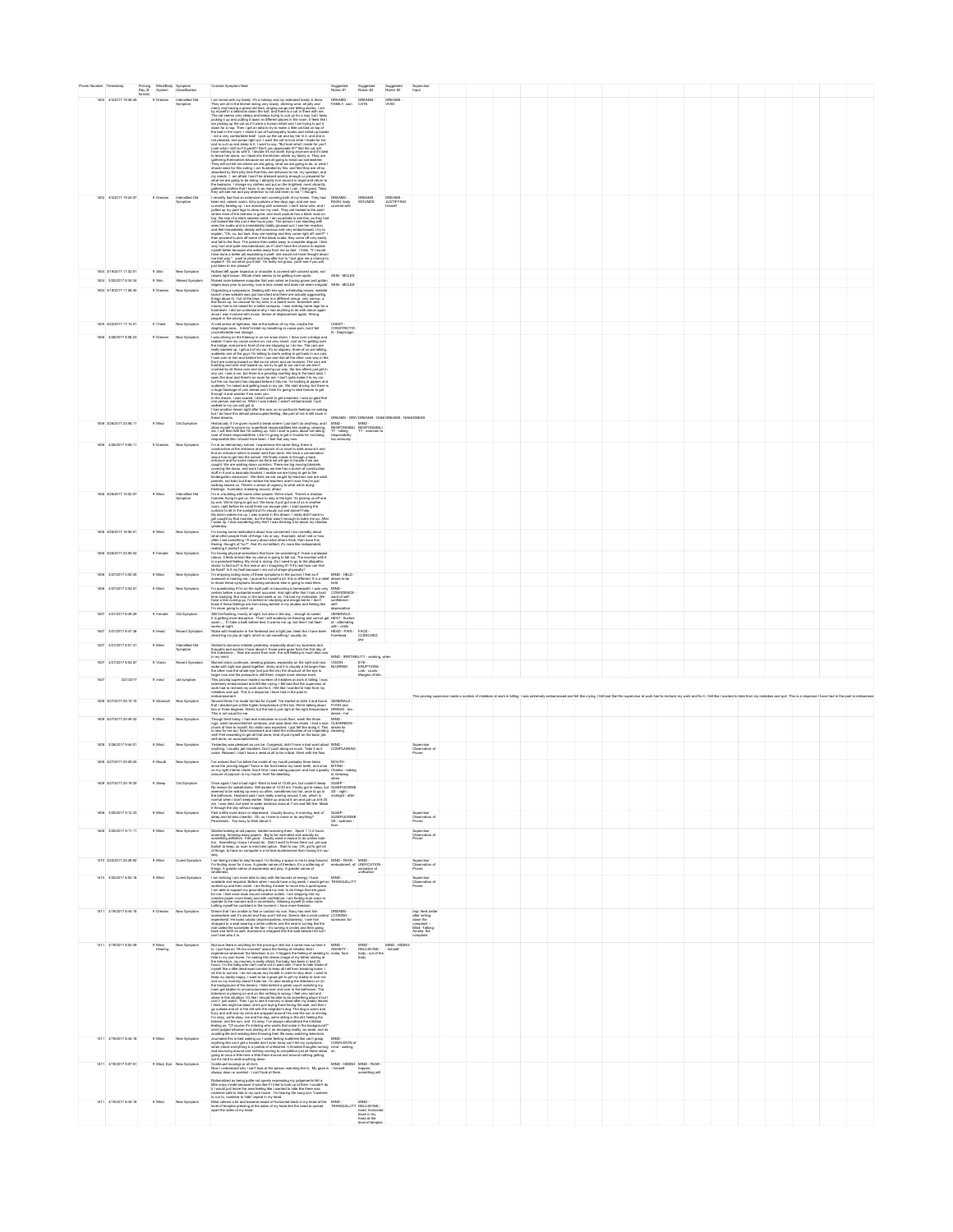| Proving Mind/Body Symptom<br>Day (# System Classification<br>format)<br>1402 4/3/2017 19:26:45<br>9 Dreams Intensified Old<br>Symptom<br>$\label{eq:2} \begin{small} \textbf{1}_{\text{1}}&\text{for all }p\text{ is a }p\text{ is a }p\text{ is a }p\text{ is a }p\text{ is a }p\text{ is a }p\text{ is a }p\text{ is a }p\text{ is a }p\text{ is a }p\text{ is a }p\text{ is a }p\text{ is a }p\text{ is a }p\text{ is a }p\text{ is a }p\text{ is a }p\text{ is a }p\text{ is a }p\text{ is a }p\text{ is a }p\text{ is a }p\text{ is a }p\text{ is a }p\text{ is a }p\text{ is a }p\text{ is a }p$<br>DREAMS -<br>VIVID<br>They of size was not proposed to the set of the state to set of the space of the state of the state of the state of the state of the state of the state of the state of the state of the state of the state of the state of t<br>1402 4/3/2017 19:24:07<br>9 Dreams Intensified Old<br>Symptom<br>DREAMS-<br>WOUNDS<br>DREAMS<br>JUSTIFYING<br>Nimself<br>1404 3/19/2017 11:02:51<br>9 Skin<br>New Symptom<br>9 Skin Altered Symptom<br>1404 3/20/2017 8:34:34<br>1404 3/19/2017 11:06:40<br>9 Dreams New Symptom<br>A mild sense of tightness, like at the bottom of my ribs, maybe the disphragm area it didn't inhibit my breathing or cause pain, but it felt uncorridately and strange.<br>1405 3/22/2017 17:14:21<br>9 Chest New Symptom<br>CHEST<br>CONSTRUCTIO<br>N - Disphragm<br>$\begin{minipage}[t]{. \hline \textbf{a}} \begin{bmatrix} \textbf{a} & \textbf{b} & \textbf{c} \\ \textbf{c} & \textbf{c} & \textbf{c} \end{bmatrix} \begin{bmatrix} \textbf{a} & \textbf{b} & \textbf{c} \\ \textbf{c} & \textbf{c} & \textbf{c} \end{bmatrix} \begin{bmatrix} \textbf{a} & \textbf{c} & \textbf{c} \\ \textbf{c} & \textbf{c} & \textbf{c} \end{bmatrix} \begin{bmatrix} \textbf{a} & \textbf{c} & \textbf{c} \\ \textbf{c} & \textbf{c} & \$<br>1406 3/26/2017 8:58:23<br>9 Dreams New Symptom<br>one person warmed us. When I twee recursors and particular feelings on waking.<br>I had another design right after this crea, so no particular feelings on waking.<br>I had another design right after this crea, so no particular f<br>DREAMS - DRIV DREAMS - DANI DREAMS - NAKEDNESS<br><b>Urean diversion.</b><br>The discussion of the state and the state and the state of the state of the state of the state and the state of the state of the state of the state of the state of the state of the state of the state o<br>1406 3/26/2017 23:58:11<br>9 Mind<br><b>Old Symptom</b><br>1406 3/26/2017 9:08:11<br>9 Dreams New Symptom<br>responsable to allow the cases. In section we can be a structured in the section of the section of the section of the section of the section of the section of the section of the section of the section of the section of th<br>1406 3/26/2017 10:02:07<br>9 Mind<br>Intensified Old<br>Peasings: manuscus, measured parameters and the state. There's a shindness of the state of the state of the state of the state of the state of the state of the state of the state of the state of the state of the state of t<br>Symptom<br>enday<br>1406 3/26/2017 16:55:01<br>9 Mind<br>New Symptom<br>Trn having some realizations about how concerned I am normally about<br>what other people think of things I do or say. Example, what I ead or how<br>often I ead something. I'll wony about what others think, then here this<br>freein<br>International constant contents and the second state in the line of the problem of the line of the state of the problem of the state of the state of the state is a particle of the state of the state of the state is a part<br>1406 3/26/2017 23:55:04<br>9 Female New Symptom<br>be function that the parameter and construction of the first state of the first of the state of the state of the state of the state of the state of the state of the state of the state of the state of the state of the stat<br>1406 3/27/2017 0:00:40<br>9 Mind New Symptom<br>1406 3/27/2017 0:04:51<br>9 Mind New Symptom<br>The new going to indict up<br>the distribution of the state of the state of the state of the state<br>state of the state of the state of the state of the state of the state<br>state with a state of the state of the state of the st<br>1407 3/21/2017 6:49:29<br>9 Female Old Symptom<br>1407 3/21/2017 6:47:36<br>9 Head<br>Recent Symptom<br>1407 3/21/2017 6:51:31<br>9 Mind<br>Intersified Old<br>Symptom<br>Blurred vision continues, needing glasses, especially on the right and now VISION - EYE - woke with right eye glued together, sticky and it is visually a bit larger than BLURRED ERUPTIONS - under and the whole eye (not jus<br>1407 3/21/2017 6:53:57<br>9 Vision Recent Symptom<br>Lida - crusta -<br>Margins of lids<br>larger nous and the pressions in stiff theor, respon more intense event. This proving supervisor made a number of missions at work in billing. I was extremely embarrassed and felt like crying. I field has that the supervi<br>3/21/2017<br>1407<br>9 mind old symptom<br>This proving supervisor made a number of mistakes at work in billing. I was extremely embersesed and felt like crying. I felt bad that the supervisor at work had to recheck my work and fix it. I felt like I wanted to hide<br>winnermanners.<br>Several times I've made hot tea for myself. I've started to drink it and found CENERALS -<br>that I desired just a little higher temperature of the tea. We're talking about FORDS and<br>two or three degrees. Went<br>1408 3/27/2017 20:14:10<br>9 Stomach New Symptom<br>1408 3/27/2017 20:49:52<br>9 Mind New Symptom<br>This is not usual for me.<br>$\blacksquare$ The contract of the contract of the contract of the contract of the contract of the contract of the contract of the contract of the contract of the contract of the contract of the contrac<br>we see the present as can be. Congenial, didn't have a bad word about MND<br>Yesterday was pleasent as can be. Congenial, didn't have a bad word about MND<br>came. Relaxed. I don't have a need at all to be critical. Went with th<br>1408 3/26/2017 9:44:01<br>9 Mind<br>New Symptom<br>Observation of<br>COMPLAINING<br>1408 3/27/2017 20:09:20<br>9 Mouth New Symptom<br>Twe noticed that I've bitten the inside of my mouth probably three times MOUTH - since the proving began! Twice for the foot below my lower beth, and once y BITMG - on my right intensic cheek. Each time I was eating poporm<br>1408 3/27/2017 20:19:25<br>9 Sleep<br>Old Symptom<br>$\begin{tabular}{ l l } \hline \textbf{Final a little more down or dependence. Usually boundary in morning, lack of \\ \textbf{sleep and lot less coherent. One, so I have to move or do anything? } \begin{tabular}{ l l } \hline SLEEP. & SLEEP. & SLEEP. & SLEEP. & SSE. \\ \hline \end{tabular}$<br>1408 3/25/2017 9:12:33<br>9 Mind<br>New Symptom<br>Supervisor<br>Observation of<br>Prover<br>1408 3/25/2017 9:11:11<br>9 Mind New Symptom<br>Steeled locating at old papers, attached scenaring them. Speer 1 15-2 hours<br>sometimg definition. Follows the film to have a second to detect them on the steeled from the state of the pack. Using the film of the state of th<br>Supervisor<br>Observation of<br>The being invited to step forward. Fm finding a space in me to step forward. MIND - FEAR - MIND - I'm finding noon for it now. A greater sense of fivedom. It's a softening of embodiment, of, UNIFICATION - throp and greater<br>1410 3/20/2017 20:26:50<br>9 Mind<br>Cured Symptom<br>Supervisor<br>Observation of<br>Prover<br>1410 3/20/2017 8:52:18<br>9 Mind Curan Rummerum<br>values and the material photon and the bulgarian control of the state of the state of the state of the state of the state of the state of the state of the state of the state of the state of the state of the state of the s<br>Supervisor<br>Observation of<br>1411 3/19/2017 8:44:18<br>9 Dreams New Symptom<br>Imp: feels belle<br>after writing<br>down the<br>complaint --<br>Mind- Talking-<br>Amelia: the<br>can't see who it is.<br>1411 3/10/2017 8:52:49<br>9 Mind, New Symptom<br>Hearing<br>The most lower as purplying for the participa (see the distance of the MDC). And the state of the state of the state of the state of the state of the state of the state of the state of the state of the state of the state<br>de 70s de su anviors. L'études conserve procedure se particular de la cause particular de la cause de la cause de la cause de la cause de la cause de la cause de la cause de la cause de la cause de la cause de la cause de<br>feeling as, "Of course it's initiating who wants that noise in the background annd judged whoever was staring at it, as exceping reality, as weak, and avoiding life and wasting time throwing their life away watching televi<br>1411 3/19/2017 8:44:18<br>9 Mind<br>avoiding its and seasing time throwing that the associated the card gase.<br>A correlate this in both weaking up: I woke feeling scattered the card gase. MIND-<br>anything itse card gat a heards don't even known card but my sym<br>New Symptom<br>1411 3/19/2017 9:07:51<br>9 Mind, Eye New Symptom<br>MND - HIDING MND - FEAR - |  |
|---------------------------------------------------------------------------------------------------------------------------------------------------------------------------------------------------------------------------------------------------------------------------------------------------------------------------------------------------------------------------------------------------------------------------------------------------------------------------------------------------------------------------------------------------------------------------------------------------------------------------------------------------------------------------------------------------------------------------------------------------------------------------------------------------------------------------------------------------------------------------------------------------------------------------------------------------------------------------------------------------------------------------------------------------------------------------------------------------------------------------------------------------------------------------------------------------------------------------------------------------------------------------------------------------------------------------------------------------------------------------------------------------------------------------------------------------------------------------------------------------------------------------------------------------------------------------------------------------------------------------------------------------------------------------------------------------------------------------------------------------------------------------------------------------------------------------------------------------------------------------------------------------------------------------------------------------------------------------------------------------------------------------------------------------------------------------------------------------------------------------------------------------------------------------------------------------------------------------------------------------------------------------------------------------------------------------------------------------------------------------------------------------------------------------------------------------------------------------------------------------------------------------------------------------------------------------------------------------------------------------------------------------------------------------------------------------------------------------------------------------------------------------------------------------------------------------------------------------------------------------------------------------------------------------------------------------------------------------------------------------------------------------------------------------------------------------------------------------------------------------------------------------------------------------------------------------------------------------------------------------------------------------------------------------------------------------------------------------------------------------------------------------------------------------------------------------------------------------------------------------------------------------------------------------------------------------------------------------------------------------------------------------------------------------------------------------------------------------------------------------------------------------------------------------------------------------------------------------------------------------------------------------------------------------------------------------------------------------------------------------------------------------------------------------------------------------------------------------------------------------------------------------------------------------------------------------------------------------------------------------------------------------------------------------------------------------------------------------------------------------------------------------------------------------------------------------------------------------------------------------------------------------------------------------------------------------------------------------------------------------------------------------------------------------------------------------------------------------------------------------------------------------------------------------------------------------------------------------------------------------------------------------------------------------------------------------------------------------------------------------------------------------------------------------------------------------------------------------------------------------------------------------------------------------------------------------------------------------------------------------------------------------------------------------------------------------------------------------------------------------------------------------------------------------------------------------------------------------------------------------------------------------------------------------------------------------------------------------------------------------------------------------------------------------------------------------------------------------------------------------------------------------------------------------------------------------------------------------------------------------------------------------------------------------------------------------------------------------------------------------------------------------------------------------------------------------------------------------------------------------------------------------------------------------------------------------------------------------------------------------------------------------------------------------------------------------------------------------------------------------------------------------------------------------------------------------------------------------------------------------------------------------------------------------------------------------------------------------------------------------------------------------------------------------------------------------------------------------------------------------------------------------------------------------------------------------------------------------------------------------------------------------------------------------------------------------------------------------------------------------------------------------------------------------------------------------------------------------------------------------------------------------------------------------------------------------------------------------------------------------------------------------------------------------------------------------------------------------------------------------------------------------------------------------------------------------------------------------------------------------------------------------------------------------------------------------------------------------------------------------------------------------------------------------------------------------------------------------------------------------------------------------------------------------------------------------------------------------------------------------------------------------------------------------------------------------------------------------------------------------------------------------------------------------------------------------------------------------------------------------------------------------------------------------------------------------------------------------------------------------------------------------------------------------------------------------------------------------------------------------------------------------------------------------------------------------------------------------------------------------------------------------------------------------------------------------------------------------------------------------------------------------------------------------------------------------------------------------------------------------------------------------------------------------------------------------------------------------------------------------------------------------------------------------------------------------------------------------------------------------------------------------------------------------------------------------------------------------------------------------------------------------------------------------------------------------------------------------------------------------------------------------------------------------|--|
|                                                                                                                                                                                                                                                                                                                                                                                                                                                                                                                                                                                                                                                                                                                                                                                                                                                                                                                                                                                                                                                                                                                                                                                                                                                                                                                                                                                                                                                                                                                                                                                                                                                                                                                                                                                                                                                                                                                                                                                                                                                                                                                                                                                                                                                                                                                                                                                                                                                                                                                                                                                                                                                                                                                                                                                                                                                                                                                                                                                                                                                                                                                                                                                                                                                                                                                                                                                                                                                                                                                                                                                                                                                                                                                                                                                                                                                                                                                                                                                                                                                                                                                                                                                                                                                                                                                                                                                                                                                                                                                                                                                                                                                                                                                                                                                                                                                                                                                                                                                                                                                                                                                                                                                                                                                                                                                                                                                                                                                                                                                                                                                                                                                                                                                                                                                                                                                                                                                                                                                                                                                                                                                                                                                                                                                                                                                                                                                                                                                                                                                                                                                                                                                                                                                                                                                                                                                                                                                                                                                                                                                                                                                                                                                                                                                                                                                                                                                                                                                                                                                                                                                                                                                                                                                                                                                                                                                                                                                                                                                                                                                                                                                                                                                                                                                                                                                                                                                                                                                                                                                                                                                                                                                                                                                                                                                                                                                                                                                                                                                                                                                                                                                                                                                                                                                                                                   |  |
|                                                                                                                                                                                                                                                                                                                                                                                                                                                                                                                                                                                                                                                                                                                                                                                                                                                                                                                                                                                                                                                                                                                                                                                                                                                                                                                                                                                                                                                                                                                                                                                                                                                                                                                                                                                                                                                                                                                                                                                                                                                                                                                                                                                                                                                                                                                                                                                                                                                                                                                                                                                                                                                                                                                                                                                                                                                                                                                                                                                                                                                                                                                                                                                                                                                                                                                                                                                                                                                                                                                                                                                                                                                                                                                                                                                                                                                                                                                                                                                                                                                                                                                                                                                                                                                                                                                                                                                                                                                                                                                                                                                                                                                                                                                                                                                                                                                                                                                                                                                                                                                                                                                                                                                                                                                                                                                                                                                                                                                                                                                                                                                                                                                                                                                                                                                                                                                                                                                                                                                                                                                                                                                                                                                                                                                                                                                                                                                                                                                                                                                                                                                                                                                                                                                                                                                                                                                                                                                                                                                                                                                                                                                                                                                                                                                                                                                                                                                                                                                                                                                                                                                                                                                                                                                                                                                                                                                                                                                                                                                                                                                                                                                                                                                                                                                                                                                                                                                                                                                                                                                                                                                                                                                                                                                                                                                                                                                                                                                                                                                                                                                                                                                                                                                                                                                                                                   |  |
|                                                                                                                                                                                                                                                                                                                                                                                                                                                                                                                                                                                                                                                                                                                                                                                                                                                                                                                                                                                                                                                                                                                                                                                                                                                                                                                                                                                                                                                                                                                                                                                                                                                                                                                                                                                                                                                                                                                                                                                                                                                                                                                                                                                                                                                                                                                                                                                                                                                                                                                                                                                                                                                                                                                                                                                                                                                                                                                                                                                                                                                                                                                                                                                                                                                                                                                                                                                                                                                                                                                                                                                                                                                                                                                                                                                                                                                                                                                                                                                                                                                                                                                                                                                                                                                                                                                                                                                                                                                                                                                                                                                                                                                                                                                                                                                                                                                                                                                                                                                                                                                                                                                                                                                                                                                                                                                                                                                                                                                                                                                                                                                                                                                                                                                                                                                                                                                                                                                                                                                                                                                                                                                                                                                                                                                                                                                                                                                                                                                                                                                                                                                                                                                                                                                                                                                                                                                                                                                                                                                                                                                                                                                                                                                                                                                                                                                                                                                                                                                                                                                                                                                                                                                                                                                                                                                                                                                                                                                                                                                                                                                                                                                                                                                                                                                                                                                                                                                                                                                                                                                                                                                                                                                                                                                                                                                                                                                                                                                                                                                                                                                                                                                                                                                                                                                                                                   |  |
|                                                                                                                                                                                                                                                                                                                                                                                                                                                                                                                                                                                                                                                                                                                                                                                                                                                                                                                                                                                                                                                                                                                                                                                                                                                                                                                                                                                                                                                                                                                                                                                                                                                                                                                                                                                                                                                                                                                                                                                                                                                                                                                                                                                                                                                                                                                                                                                                                                                                                                                                                                                                                                                                                                                                                                                                                                                                                                                                                                                                                                                                                                                                                                                                                                                                                                                                                                                                                                                                                                                                                                                                                                                                                                                                                                                                                                                                                                                                                                                                                                                                                                                                                                                                                                                                                                                                                                                                                                                                                                                                                                                                                                                                                                                                                                                                                                                                                                                                                                                                                                                                                                                                                                                                                                                                                                                                                                                                                                                                                                                                                                                                                                                                                                                                                                                                                                                                                                                                                                                                                                                                                                                                                                                                                                                                                                                                                                                                                                                                                                                                                                                                                                                                                                                                                                                                                                                                                                                                                                                                                                                                                                                                                                                                                                                                                                                                                                                                                                                                                                                                                                                                                                                                                                                                                                                                                                                                                                                                                                                                                                                                                                                                                                                                                                                                                                                                                                                                                                                                                                                                                                                                                                                                                                                                                                                                                                                                                                                                                                                                                                                                                                                                                                                                                                                                                                   |  |
|                                                                                                                                                                                                                                                                                                                                                                                                                                                                                                                                                                                                                                                                                                                                                                                                                                                                                                                                                                                                                                                                                                                                                                                                                                                                                                                                                                                                                                                                                                                                                                                                                                                                                                                                                                                                                                                                                                                                                                                                                                                                                                                                                                                                                                                                                                                                                                                                                                                                                                                                                                                                                                                                                                                                                                                                                                                                                                                                                                                                                                                                                                                                                                                                                                                                                                                                                                                                                                                                                                                                                                                                                                                                                                                                                                                                                                                                                                                                                                                                                                                                                                                                                                                                                                                                                                                                                                                                                                                                                                                                                                                                                                                                                                                                                                                                                                                                                                                                                                                                                                                                                                                                                                                                                                                                                                                                                                                                                                                                                                                                                                                                                                                                                                                                                                                                                                                                                                                                                                                                                                                                                                                                                                                                                                                                                                                                                                                                                                                                                                                                                                                                                                                                                                                                                                                                                                                                                                                                                                                                                                                                                                                                                                                                                                                                                                                                                                                                                                                                                                                                                                                                                                                                                                                                                                                                                                                                                                                                                                                                                                                                                                                                                                                                                                                                                                                                                                                                                                                                                                                                                                                                                                                                                                                                                                                                                                                                                                                                                                                                                                                                                                                                                                                                                                                                                                   |  |
|                                                                                                                                                                                                                                                                                                                                                                                                                                                                                                                                                                                                                                                                                                                                                                                                                                                                                                                                                                                                                                                                                                                                                                                                                                                                                                                                                                                                                                                                                                                                                                                                                                                                                                                                                                                                                                                                                                                                                                                                                                                                                                                                                                                                                                                                                                                                                                                                                                                                                                                                                                                                                                                                                                                                                                                                                                                                                                                                                                                                                                                                                                                                                                                                                                                                                                                                                                                                                                                                                                                                                                                                                                                                                                                                                                                                                                                                                                                                                                                                                                                                                                                                                                                                                                                                                                                                                                                                                                                                                                                                                                                                                                                                                                                                                                                                                                                                                                                                                                                                                                                                                                                                                                                                                                                                                                                                                                                                                                                                                                                                                                                                                                                                                                                                                                                                                                                                                                                                                                                                                                                                                                                                                                                                                                                                                                                                                                                                                                                                                                                                                                                                                                                                                                                                                                                                                                                                                                                                                                                                                                                                                                                                                                                                                                                                                                                                                                                                                                                                                                                                                                                                                                                                                                                                                                                                                                                                                                                                                                                                                                                                                                                                                                                                                                                                                                                                                                                                                                                                                                                                                                                                                                                                                                                                                                                                                                                                                                                                                                                                                                                                                                                                                                                                                                                                                                   |  |
|                                                                                                                                                                                                                                                                                                                                                                                                                                                                                                                                                                                                                                                                                                                                                                                                                                                                                                                                                                                                                                                                                                                                                                                                                                                                                                                                                                                                                                                                                                                                                                                                                                                                                                                                                                                                                                                                                                                                                                                                                                                                                                                                                                                                                                                                                                                                                                                                                                                                                                                                                                                                                                                                                                                                                                                                                                                                                                                                                                                                                                                                                                                                                                                                                                                                                                                                                                                                                                                                                                                                                                                                                                                                                                                                                                                                                                                                                                                                                                                                                                                                                                                                                                                                                                                                                                                                                                                                                                                                                                                                                                                                                                                                                                                                                                                                                                                                                                                                                                                                                                                                                                                                                                                                                                                                                                                                                                                                                                                                                                                                                                                                                                                                                                                                                                                                                                                                                                                                                                                                                                                                                                                                                                                                                                                                                                                                                                                                                                                                                                                                                                                                                                                                                                                                                                                                                                                                                                                                                                                                                                                                                                                                                                                                                                                                                                                                                                                                                                                                                                                                                                                                                                                                                                                                                                                                                                                                                                                                                                                                                                                                                                                                                                                                                                                                                                                                                                                                                                                                                                                                                                                                                                                                                                                                                                                                                                                                                                                                                                                                                                                                                                                                                                                                                                                                                                   |  |
|                                                                                                                                                                                                                                                                                                                                                                                                                                                                                                                                                                                                                                                                                                                                                                                                                                                                                                                                                                                                                                                                                                                                                                                                                                                                                                                                                                                                                                                                                                                                                                                                                                                                                                                                                                                                                                                                                                                                                                                                                                                                                                                                                                                                                                                                                                                                                                                                                                                                                                                                                                                                                                                                                                                                                                                                                                                                                                                                                                                                                                                                                                                                                                                                                                                                                                                                                                                                                                                                                                                                                                                                                                                                                                                                                                                                                                                                                                                                                                                                                                                                                                                                                                                                                                                                                                                                                                                                                                                                                                                                                                                                                                                                                                                                                                                                                                                                                                                                                                                                                                                                                                                                                                                                                                                                                                                                                                                                                                                                                                                                                                                                                                                                                                                                                                                                                                                                                                                                                                                                                                                                                                                                                                                                                                                                                                                                                                                                                                                                                                                                                                                                                                                                                                                                                                                                                                                                                                                                                                                                                                                                                                                                                                                                                                                                                                                                                                                                                                                                                                                                                                                                                                                                                                                                                                                                                                                                                                                                                                                                                                                                                                                                                                                                                                                                                                                                                                                                                                                                                                                                                                                                                                                                                                                                                                                                                                                                                                                                                                                                                                                                                                                                                                                                                                                                                                   |  |
|                                                                                                                                                                                                                                                                                                                                                                                                                                                                                                                                                                                                                                                                                                                                                                                                                                                                                                                                                                                                                                                                                                                                                                                                                                                                                                                                                                                                                                                                                                                                                                                                                                                                                                                                                                                                                                                                                                                                                                                                                                                                                                                                                                                                                                                                                                                                                                                                                                                                                                                                                                                                                                                                                                                                                                                                                                                                                                                                                                                                                                                                                                                                                                                                                                                                                                                                                                                                                                                                                                                                                                                                                                                                                                                                                                                                                                                                                                                                                                                                                                                                                                                                                                                                                                                                                                                                                                                                                                                                                                                                                                                                                                                                                                                                                                                                                                                                                                                                                                                                                                                                                                                                                                                                                                                                                                                                                                                                                                                                                                                                                                                                                                                                                                                                                                                                                                                                                                                                                                                                                                                                                                                                                                                                                                                                                                                                                                                                                                                                                                                                                                                                                                                                                                                                                                                                                                                                                                                                                                                                                                                                                                                                                                                                                                                                                                                                                                                                                                                                                                                                                                                                                                                                                                                                                                                                                                                                                                                                                                                                                                                                                                                                                                                                                                                                                                                                                                                                                                                                                                                                                                                                                                                                                                                                                                                                                                                                                                                                                                                                                                                                                                                                                                                                                                                                                                   |  |
|                                                                                                                                                                                                                                                                                                                                                                                                                                                                                                                                                                                                                                                                                                                                                                                                                                                                                                                                                                                                                                                                                                                                                                                                                                                                                                                                                                                                                                                                                                                                                                                                                                                                                                                                                                                                                                                                                                                                                                                                                                                                                                                                                                                                                                                                                                                                                                                                                                                                                                                                                                                                                                                                                                                                                                                                                                                                                                                                                                                                                                                                                                                                                                                                                                                                                                                                                                                                                                                                                                                                                                                                                                                                                                                                                                                                                                                                                                                                                                                                                                                                                                                                                                                                                                                                                                                                                                                                                                                                                                                                                                                                                                                                                                                                                                                                                                                                                                                                                                                                                                                                                                                                                                                                                                                                                                                                                                                                                                                                                                                                                                                                                                                                                                                                                                                                                                                                                                                                                                                                                                                                                                                                                                                                                                                                                                                                                                                                                                                                                                                                                                                                                                                                                                                                                                                                                                                                                                                                                                                                                                                                                                                                                                                                                                                                                                                                                                                                                                                                                                                                                                                                                                                                                                                                                                                                                                                                                                                                                                                                                                                                                                                                                                                                                                                                                                                                                                                                                                                                                                                                                                                                                                                                                                                                                                                                                                                                                                                                                                                                                                                                                                                                                                                                                                                                                                   |  |
|                                                                                                                                                                                                                                                                                                                                                                                                                                                                                                                                                                                                                                                                                                                                                                                                                                                                                                                                                                                                                                                                                                                                                                                                                                                                                                                                                                                                                                                                                                                                                                                                                                                                                                                                                                                                                                                                                                                                                                                                                                                                                                                                                                                                                                                                                                                                                                                                                                                                                                                                                                                                                                                                                                                                                                                                                                                                                                                                                                                                                                                                                                                                                                                                                                                                                                                                                                                                                                                                                                                                                                                                                                                                                                                                                                                                                                                                                                                                                                                                                                                                                                                                                                                                                                                                                                                                                                                                                                                                                                                                                                                                                                                                                                                                                                                                                                                                                                                                                                                                                                                                                                                                                                                                                                                                                                                                                                                                                                                                                                                                                                                                                                                                                                                                                                                                                                                                                                                                                                                                                                                                                                                                                                                                                                                                                                                                                                                                                                                                                                                                                                                                                                                                                                                                                                                                                                                                                                                                                                                                                                                                                                                                                                                                                                                                                                                                                                                                                                                                                                                                                                                                                                                                                                                                                                                                                                                                                                                                                                                                                                                                                                                                                                                                                                                                                                                                                                                                                                                                                                                                                                                                                                                                                                                                                                                                                                                                                                                                                                                                                                                                                                                                                                                                                                                                                                   |  |
|                                                                                                                                                                                                                                                                                                                                                                                                                                                                                                                                                                                                                                                                                                                                                                                                                                                                                                                                                                                                                                                                                                                                                                                                                                                                                                                                                                                                                                                                                                                                                                                                                                                                                                                                                                                                                                                                                                                                                                                                                                                                                                                                                                                                                                                                                                                                                                                                                                                                                                                                                                                                                                                                                                                                                                                                                                                                                                                                                                                                                                                                                                                                                                                                                                                                                                                                                                                                                                                                                                                                                                                                                                                                                                                                                                                                                                                                                                                                                                                                                                                                                                                                                                                                                                                                                                                                                                                                                                                                                                                                                                                                                                                                                                                                                                                                                                                                                                                                                                                                                                                                                                                                                                                                                                                                                                                                                                                                                                                                                                                                                                                                                                                                                                                                                                                                                                                                                                                                                                                                                                                                                                                                                                                                                                                                                                                                                                                                                                                                                                                                                                                                                                                                                                                                                                                                                                                                                                                                                                                                                                                                                                                                                                                                                                                                                                                                                                                                                                                                                                                                                                                                                                                                                                                                                                                                                                                                                                                                                                                                                                                                                                                                                                                                                                                                                                                                                                                                                                                                                                                                                                                                                                                                                                                                                                                                                                                                                                                                                                                                                                                                                                                                                                                                                                                                                                   |  |
|                                                                                                                                                                                                                                                                                                                                                                                                                                                                                                                                                                                                                                                                                                                                                                                                                                                                                                                                                                                                                                                                                                                                                                                                                                                                                                                                                                                                                                                                                                                                                                                                                                                                                                                                                                                                                                                                                                                                                                                                                                                                                                                                                                                                                                                                                                                                                                                                                                                                                                                                                                                                                                                                                                                                                                                                                                                                                                                                                                                                                                                                                                                                                                                                                                                                                                                                                                                                                                                                                                                                                                                                                                                                                                                                                                                                                                                                                                                                                                                                                                                                                                                                                                                                                                                                                                                                                                                                                                                                                                                                                                                                                                                                                                                                                                                                                                                                                                                                                                                                                                                                                                                                                                                                                                                                                                                                                                                                                                                                                                                                                                                                                                                                                                                                                                                                                                                                                                                                                                                                                                                                                                                                                                                                                                                                                                                                                                                                                                                                                                                                                                                                                                                                                                                                                                                                                                                                                                                                                                                                                                                                                                                                                                                                                                                                                                                                                                                                                                                                                                                                                                                                                                                                                                                                                                                                                                                                                                                                                                                                                                                                                                                                                                                                                                                                                                                                                                                                                                                                                                                                                                                                                                                                                                                                                                                                                                                                                                                                                                                                                                                                                                                                                                                                                                                                                                   |  |
|                                                                                                                                                                                                                                                                                                                                                                                                                                                                                                                                                                                                                                                                                                                                                                                                                                                                                                                                                                                                                                                                                                                                                                                                                                                                                                                                                                                                                                                                                                                                                                                                                                                                                                                                                                                                                                                                                                                                                                                                                                                                                                                                                                                                                                                                                                                                                                                                                                                                                                                                                                                                                                                                                                                                                                                                                                                                                                                                                                                                                                                                                                                                                                                                                                                                                                                                                                                                                                                                                                                                                                                                                                                                                                                                                                                                                                                                                                                                                                                                                                                                                                                                                                                                                                                                                                                                                                                                                                                                                                                                                                                                                                                                                                                                                                                                                                                                                                                                                                                                                                                                                                                                                                                                                                                                                                                                                                                                                                                                                                                                                                                                                                                                                                                                                                                                                                                                                                                                                                                                                                                                                                                                                                                                                                                                                                                                                                                                                                                                                                                                                                                                                                                                                                                                                                                                                                                                                                                                                                                                                                                                                                                                                                                                                                                                                                                                                                                                                                                                                                                                                                                                                                                                                                                                                                                                                                                                                                                                                                                                                                                                                                                                                                                                                                                                                                                                                                                                                                                                                                                                                                                                                                                                                                                                                                                                                                                                                                                                                                                                                                                                                                                                                                                                                                                                                                   |  |
|                                                                                                                                                                                                                                                                                                                                                                                                                                                                                                                                                                                                                                                                                                                                                                                                                                                                                                                                                                                                                                                                                                                                                                                                                                                                                                                                                                                                                                                                                                                                                                                                                                                                                                                                                                                                                                                                                                                                                                                                                                                                                                                                                                                                                                                                                                                                                                                                                                                                                                                                                                                                                                                                                                                                                                                                                                                                                                                                                                                                                                                                                                                                                                                                                                                                                                                                                                                                                                                                                                                                                                                                                                                                                                                                                                                                                                                                                                                                                                                                                                                                                                                                                                                                                                                                                                                                                                                                                                                                                                                                                                                                                                                                                                                                                                                                                                                                                                                                                                                                                                                                                                                                                                                                                                                                                                                                                                                                                                                                                                                                                                                                                                                                                                                                                                                                                                                                                                                                                                                                                                                                                                                                                                                                                                                                                                                                                                                                                                                                                                                                                                                                                                                                                                                                                                                                                                                                                                                                                                                                                                                                                                                                                                                                                                                                                                                                                                                                                                                                                                                                                                                                                                                                                                                                                                                                                                                                                                                                                                                                                                                                                                                                                                                                                                                                                                                                                                                                                                                                                                                                                                                                                                                                                                                                                                                                                                                                                                                                                                                                                                                                                                                                                                                                                                                                                                   |  |
|                                                                                                                                                                                                                                                                                                                                                                                                                                                                                                                                                                                                                                                                                                                                                                                                                                                                                                                                                                                                                                                                                                                                                                                                                                                                                                                                                                                                                                                                                                                                                                                                                                                                                                                                                                                                                                                                                                                                                                                                                                                                                                                                                                                                                                                                                                                                                                                                                                                                                                                                                                                                                                                                                                                                                                                                                                                                                                                                                                                                                                                                                                                                                                                                                                                                                                                                                                                                                                                                                                                                                                                                                                                                                                                                                                                                                                                                                                                                                                                                                                                                                                                                                                                                                                                                                                                                                                                                                                                                                                                                                                                                                                                                                                                                                                                                                                                                                                                                                                                                                                                                                                                                                                                                                                                                                                                                                                                                                                                                                                                                                                                                                                                                                                                                                                                                                                                                                                                                                                                                                                                                                                                                                                                                                                                                                                                                                                                                                                                                                                                                                                                                                                                                                                                                                                                                                                                                                                                                                                                                                                                                                                                                                                                                                                                                                                                                                                                                                                                                                                                                                                                                                                                                                                                                                                                                                                                                                                                                                                                                                                                                                                                                                                                                                                                                                                                                                                                                                                                                                                                                                                                                                                                                                                                                                                                                                                                                                                                                                                                                                                                                                                                                                                                                                                                                                                   |  |
|                                                                                                                                                                                                                                                                                                                                                                                                                                                                                                                                                                                                                                                                                                                                                                                                                                                                                                                                                                                                                                                                                                                                                                                                                                                                                                                                                                                                                                                                                                                                                                                                                                                                                                                                                                                                                                                                                                                                                                                                                                                                                                                                                                                                                                                                                                                                                                                                                                                                                                                                                                                                                                                                                                                                                                                                                                                                                                                                                                                                                                                                                                                                                                                                                                                                                                                                                                                                                                                                                                                                                                                                                                                                                                                                                                                                                                                                                                                                                                                                                                                                                                                                                                                                                                                                                                                                                                                                                                                                                                                                                                                                                                                                                                                                                                                                                                                                                                                                                                                                                                                                                                                                                                                                                                                                                                                                                                                                                                                                                                                                                                                                                                                                                                                                                                                                                                                                                                                                                                                                                                                                                                                                                                                                                                                                                                                                                                                                                                                                                                                                                                                                                                                                                                                                                                                                                                                                                                                                                                                                                                                                                                                                                                                                                                                                                                                                                                                                                                                                                                                                                                                                                                                                                                                                                                                                                                                                                                                                                                                                                                                                                                                                                                                                                                                                                                                                                                                                                                                                                                                                                                                                                                                                                                                                                                                                                                                                                                                                                                                                                                                                                                                                                                                                                                                                                                   |  |
|                                                                                                                                                                                                                                                                                                                                                                                                                                                                                                                                                                                                                                                                                                                                                                                                                                                                                                                                                                                                                                                                                                                                                                                                                                                                                                                                                                                                                                                                                                                                                                                                                                                                                                                                                                                                                                                                                                                                                                                                                                                                                                                                                                                                                                                                                                                                                                                                                                                                                                                                                                                                                                                                                                                                                                                                                                                                                                                                                                                                                                                                                                                                                                                                                                                                                                                                                                                                                                                                                                                                                                                                                                                                                                                                                                                                                                                                                                                                                                                                                                                                                                                                                                                                                                                                                                                                                                                                                                                                                                                                                                                                                                                                                                                                                                                                                                                                                                                                                                                                                                                                                                                                                                                                                                                                                                                                                                                                                                                                                                                                                                                                                                                                                                                                                                                                                                                                                                                                                                                                                                                                                                                                                                                                                                                                                                                                                                                                                                                                                                                                                                                                                                                                                                                                                                                                                                                                                                                                                                                                                                                                                                                                                                                                                                                                                                                                                                                                                                                                                                                                                                                                                                                                                                                                                                                                                                                                                                                                                                                                                                                                                                                                                                                                                                                                                                                                                                                                                                                                                                                                                                                                                                                                                                                                                                                                                                                                                                                                                                                                                                                                                                                                                                                                                                                                                                   |  |
|                                                                                                                                                                                                                                                                                                                                                                                                                                                                                                                                                                                                                                                                                                                                                                                                                                                                                                                                                                                                                                                                                                                                                                                                                                                                                                                                                                                                                                                                                                                                                                                                                                                                                                                                                                                                                                                                                                                                                                                                                                                                                                                                                                                                                                                                                                                                                                                                                                                                                                                                                                                                                                                                                                                                                                                                                                                                                                                                                                                                                                                                                                                                                                                                                                                                                                                                                                                                                                                                                                                                                                                                                                                                                                                                                                                                                                                                                                                                                                                                                                                                                                                                                                                                                                                                                                                                                                                                                                                                                                                                                                                                                                                                                                                                                                                                                                                                                                                                                                                                                                                                                                                                                                                                                                                                                                                                                                                                                                                                                                                                                                                                                                                                                                                                                                                                                                                                                                                                                                                                                                                                                                                                                                                                                                                                                                                                                                                                                                                                                                                                                                                                                                                                                                                                                                                                                                                                                                                                                                                                                                                                                                                                                                                                                                                                                                                                                                                                                                                                                                                                                                                                                                                                                                                                                                                                                                                                                                                                                                                                                                                                                                                                                                                                                                                                                                                                                                                                                                                                                                                                                                                                                                                                                                                                                                                                                                                                                                                                                                                                                                                                                                                                                                                                                                                                                                   |  |
|                                                                                                                                                                                                                                                                                                                                                                                                                                                                                                                                                                                                                                                                                                                                                                                                                                                                                                                                                                                                                                                                                                                                                                                                                                                                                                                                                                                                                                                                                                                                                                                                                                                                                                                                                                                                                                                                                                                                                                                                                                                                                                                                                                                                                                                                                                                                                                                                                                                                                                                                                                                                                                                                                                                                                                                                                                                                                                                                                                                                                                                                                                                                                                                                                                                                                                                                                                                                                                                                                                                                                                                                                                                                                                                                                                                                                                                                                                                                                                                                                                                                                                                                                                                                                                                                                                                                                                                                                                                                                                                                                                                                                                                                                                                                                                                                                                                                                                                                                                                                                                                                                                                                                                                                                                                                                                                                                                                                                                                                                                                                                                                                                                                                                                                                                                                                                                                                                                                                                                                                                                                                                                                                                                                                                                                                                                                                                                                                                                                                                                                                                                                                                                                                                                                                                                                                                                                                                                                                                                                                                                                                                                                                                                                                                                                                                                                                                                                                                                                                                                                                                                                                                                                                                                                                                                                                                                                                                                                                                                                                                                                                                                                                                                                                                                                                                                                                                                                                                                                                                                                                                                                                                                                                                                                                                                                                                                                                                                                                                                                                                                                                                                                                                                                                                                                                                                   |  |
|                                                                                                                                                                                                                                                                                                                                                                                                                                                                                                                                                                                                                                                                                                                                                                                                                                                                                                                                                                                                                                                                                                                                                                                                                                                                                                                                                                                                                                                                                                                                                                                                                                                                                                                                                                                                                                                                                                                                                                                                                                                                                                                                                                                                                                                                                                                                                                                                                                                                                                                                                                                                                                                                                                                                                                                                                                                                                                                                                                                                                                                                                                                                                                                                                                                                                                                                                                                                                                                                                                                                                                                                                                                                                                                                                                                                                                                                                                                                                                                                                                                                                                                                                                                                                                                                                                                                                                                                                                                                                                                                                                                                                                                                                                                                                                                                                                                                                                                                                                                                                                                                                                                                                                                                                                                                                                                                                                                                                                                                                                                                                                                                                                                                                                                                                                                                                                                                                                                                                                                                                                                                                                                                                                                                                                                                                                                                                                                                                                                                                                                                                                                                                                                                                                                                                                                                                                                                                                                                                                                                                                                                                                                                                                                                                                                                                                                                                                                                                                                                                                                                                                                                                                                                                                                                                                                                                                                                                                                                                                                                                                                                                                                                                                                                                                                                                                                                                                                                                                                                                                                                                                                                                                                                                                                                                                                                                                                                                                                                                                                                                                                                                                                                                                                                                                                                                                   |  |
|                                                                                                                                                                                                                                                                                                                                                                                                                                                                                                                                                                                                                                                                                                                                                                                                                                                                                                                                                                                                                                                                                                                                                                                                                                                                                                                                                                                                                                                                                                                                                                                                                                                                                                                                                                                                                                                                                                                                                                                                                                                                                                                                                                                                                                                                                                                                                                                                                                                                                                                                                                                                                                                                                                                                                                                                                                                                                                                                                                                                                                                                                                                                                                                                                                                                                                                                                                                                                                                                                                                                                                                                                                                                                                                                                                                                                                                                                                                                                                                                                                                                                                                                                                                                                                                                                                                                                                                                                                                                                                                                                                                                                                                                                                                                                                                                                                                                                                                                                                                                                                                                                                                                                                                                                                                                                                                                                                                                                                                                                                                                                                                                                                                                                                                                                                                                                                                                                                                                                                                                                                                                                                                                                                                                                                                                                                                                                                                                                                                                                                                                                                                                                                                                                                                                                                                                                                                                                                                                                                                                                                                                                                                                                                                                                                                                                                                                                                                                                                                                                                                                                                                                                                                                                                                                                                                                                                                                                                                                                                                                                                                                                                                                                                                                                                                                                                                                                                                                                                                                                                                                                                                                                                                                                                                                                                                                                                                                                                                                                                                                                                                                                                                                                                                                                                                                                                   |  |
|                                                                                                                                                                                                                                                                                                                                                                                                                                                                                                                                                                                                                                                                                                                                                                                                                                                                                                                                                                                                                                                                                                                                                                                                                                                                                                                                                                                                                                                                                                                                                                                                                                                                                                                                                                                                                                                                                                                                                                                                                                                                                                                                                                                                                                                                                                                                                                                                                                                                                                                                                                                                                                                                                                                                                                                                                                                                                                                                                                                                                                                                                                                                                                                                                                                                                                                                                                                                                                                                                                                                                                                                                                                                                                                                                                                                                                                                                                                                                                                                                                                                                                                                                                                                                                                                                                                                                                                                                                                                                                                                                                                                                                                                                                                                                                                                                                                                                                                                                                                                                                                                                                                                                                                                                                                                                                                                                                                                                                                                                                                                                                                                                                                                                                                                                                                                                                                                                                                                                                                                                                                                                                                                                                                                                                                                                                                                                                                                                                                                                                                                                                                                                                                                                                                                                                                                                                                                                                                                                                                                                                                                                                                                                                                                                                                                                                                                                                                                                                                                                                                                                                                                                                                                                                                                                                                                                                                                                                                                                                                                                                                                                                                                                                                                                                                                                                                                                                                                                                                                                                                                                                                                                                                                                                                                                                                                                                                                                                                                                                                                                                                                                                                                                                                                                                                                                                   |  |
|                                                                                                                                                                                                                                                                                                                                                                                                                                                                                                                                                                                                                                                                                                                                                                                                                                                                                                                                                                                                                                                                                                                                                                                                                                                                                                                                                                                                                                                                                                                                                                                                                                                                                                                                                                                                                                                                                                                                                                                                                                                                                                                                                                                                                                                                                                                                                                                                                                                                                                                                                                                                                                                                                                                                                                                                                                                                                                                                                                                                                                                                                                                                                                                                                                                                                                                                                                                                                                                                                                                                                                                                                                                                                                                                                                                                                                                                                                                                                                                                                                                                                                                                                                                                                                                                                                                                                                                                                                                                                                                                                                                                                                                                                                                                                                                                                                                                                                                                                                                                                                                                                                                                                                                                                                                                                                                                                                                                                                                                                                                                                                                                                                                                                                                                                                                                                                                                                                                                                                                                                                                                                                                                                                                                                                                                                                                                                                                                                                                                                                                                                                                                                                                                                                                                                                                                                                                                                                                                                                                                                                                                                                                                                                                                                                                                                                                                                                                                                                                                                                                                                                                                                                                                                                                                                                                                                                                                                                                                                                                                                                                                                                                                                                                                                                                                                                                                                                                                                                                                                                                                                                                                                                                                                                                                                                                                                                                                                                                                                                                                                                                                                                                                                                                                                                                                                                   |  |
|                                                                                                                                                                                                                                                                                                                                                                                                                                                                                                                                                                                                                                                                                                                                                                                                                                                                                                                                                                                                                                                                                                                                                                                                                                                                                                                                                                                                                                                                                                                                                                                                                                                                                                                                                                                                                                                                                                                                                                                                                                                                                                                                                                                                                                                                                                                                                                                                                                                                                                                                                                                                                                                                                                                                                                                                                                                                                                                                                                                                                                                                                                                                                                                                                                                                                                                                                                                                                                                                                                                                                                                                                                                                                                                                                                                                                                                                                                                                                                                                                                                                                                                                                                                                                                                                                                                                                                                                                                                                                                                                                                                                                                                                                                                                                                                                                                                                                                                                                                                                                                                                                                                                                                                                                                                                                                                                                                                                                                                                                                                                                                                                                                                                                                                                                                                                                                                                                                                                                                                                                                                                                                                                                                                                                                                                                                                                                                                                                                                                                                                                                                                                                                                                                                                                                                                                                                                                                                                                                                                                                                                                                                                                                                                                                                                                                                                                                                                                                                                                                                                                                                                                                                                                                                                                                                                                                                                                                                                                                                                                                                                                                                                                                                                                                                                                                                                                                                                                                                                                                                                                                                                                                                                                                                                                                                                                                                                                                                                                                                                                                                                                                                                                                                                                                                                                                                   |  |
|                                                                                                                                                                                                                                                                                                                                                                                                                                                                                                                                                                                                                                                                                                                                                                                                                                                                                                                                                                                                                                                                                                                                                                                                                                                                                                                                                                                                                                                                                                                                                                                                                                                                                                                                                                                                                                                                                                                                                                                                                                                                                                                                                                                                                                                                                                                                                                                                                                                                                                                                                                                                                                                                                                                                                                                                                                                                                                                                                                                                                                                                                                                                                                                                                                                                                                                                                                                                                                                                                                                                                                                                                                                                                                                                                                                                                                                                                                                                                                                                                                                                                                                                                                                                                                                                                                                                                                                                                                                                                                                                                                                                                                                                                                                                                                                                                                                                                                                                                                                                                                                                                                                                                                                                                                                                                                                                                                                                                                                                                                                                                                                                                                                                                                                                                                                                                                                                                                                                                                                                                                                                                                                                                                                                                                                                                                                                                                                                                                                                                                                                                                                                                                                                                                                                                                                                                                                                                                                                                                                                                                                                                                                                                                                                                                                                                                                                                                                                                                                                                                                                                                                                                                                                                                                                                                                                                                                                                                                                                                                                                                                                                                                                                                                                                                                                                                                                                                                                                                                                                                                                                                                                                                                                                                                                                                                                                                                                                                                                                                                                                                                                                                                                                                                                                                                                                                   |  |
|                                                                                                                                                                                                                                                                                                                                                                                                                                                                                                                                                                                                                                                                                                                                                                                                                                                                                                                                                                                                                                                                                                                                                                                                                                                                                                                                                                                                                                                                                                                                                                                                                                                                                                                                                                                                                                                                                                                                                                                                                                                                                                                                                                                                                                                                                                                                                                                                                                                                                                                                                                                                                                                                                                                                                                                                                                                                                                                                                                                                                                                                                                                                                                                                                                                                                                                                                                                                                                                                                                                                                                                                                                                                                                                                                                                                                                                                                                                                                                                                                                                                                                                                                                                                                                                                                                                                                                                                                                                                                                                                                                                                                                                                                                                                                                                                                                                                                                                                                                                                                                                                                                                                                                                                                                                                                                                                                                                                                                                                                                                                                                                                                                                                                                                                                                                                                                                                                                                                                                                                                                                                                                                                                                                                                                                                                                                                                                                                                                                                                                                                                                                                                                                                                                                                                                                                                                                                                                                                                                                                                                                                                                                                                                                                                                                                                                                                                                                                                                                                                                                                                                                                                                                                                                                                                                                                                                                                                                                                                                                                                                                                                                                                                                                                                                                                                                                                                                                                                                                                                                                                                                                                                                                                                                                                                                                                                                                                                                                                                                                                                                                                                                                                                                                                                                                                                                   |  |
|                                                                                                                                                                                                                                                                                                                                                                                                                                                                                                                                                                                                                                                                                                                                                                                                                                                                                                                                                                                                                                                                                                                                                                                                                                                                                                                                                                                                                                                                                                                                                                                                                                                                                                                                                                                                                                                                                                                                                                                                                                                                                                                                                                                                                                                                                                                                                                                                                                                                                                                                                                                                                                                                                                                                                                                                                                                                                                                                                                                                                                                                                                                                                                                                                                                                                                                                                                                                                                                                                                                                                                                                                                                                                                                                                                                                                                                                                                                                                                                                                                                                                                                                                                                                                                                                                                                                                                                                                                                                                                                                                                                                                                                                                                                                                                                                                                                                                                                                                                                                                                                                                                                                                                                                                                                                                                                                                                                                                                                                                                                                                                                                                                                                                                                                                                                                                                                                                                                                                                                                                                                                                                                                                                                                                                                                                                                                                                                                                                                                                                                                                                                                                                                                                                                                                                                                                                                                                                                                                                                                                                                                                                                                                                                                                                                                                                                                                                                                                                                                                                                                                                                                                                                                                                                                                                                                                                                                                                                                                                                                                                                                                                                                                                                                                                                                                                                                                                                                                                                                                                                                                                                                                                                                                                                                                                                                                                                                                                                                                                                                                                                                                                                                                                                                                                                                                                   |  |
|                                                                                                                                                                                                                                                                                                                                                                                                                                                                                                                                                                                                                                                                                                                                                                                                                                                                                                                                                                                                                                                                                                                                                                                                                                                                                                                                                                                                                                                                                                                                                                                                                                                                                                                                                                                                                                                                                                                                                                                                                                                                                                                                                                                                                                                                                                                                                                                                                                                                                                                                                                                                                                                                                                                                                                                                                                                                                                                                                                                                                                                                                                                                                                                                                                                                                                                                                                                                                                                                                                                                                                                                                                                                                                                                                                                                                                                                                                                                                                                                                                                                                                                                                                                                                                                                                                                                                                                                                                                                                                                                                                                                                                                                                                                                                                                                                                                                                                                                                                                                                                                                                                                                                                                                                                                                                                                                                                                                                                                                                                                                                                                                                                                                                                                                                                                                                                                                                                                                                                                                                                                                                                                                                                                                                                                                                                                                                                                                                                                                                                                                                                                                                                                                                                                                                                                                                                                                                                                                                                                                                                                                                                                                                                                                                                                                                                                                                                                                                                                                                                                                                                                                                                                                                                                                                                                                                                                                                                                                                                                                                                                                                                                                                                                                                                                                                                                                                                                                                                                                                                                                                                                                                                                                                                                                                                                                                                                                                                                                                                                                                                                                                                                                                                                                                                                                                                   |  |
|                                                                                                                                                                                                                                                                                                                                                                                                                                                                                                                                                                                                                                                                                                                                                                                                                                                                                                                                                                                                                                                                                                                                                                                                                                                                                                                                                                                                                                                                                                                                                                                                                                                                                                                                                                                                                                                                                                                                                                                                                                                                                                                                                                                                                                                                                                                                                                                                                                                                                                                                                                                                                                                                                                                                                                                                                                                                                                                                                                                                                                                                                                                                                                                                                                                                                                                                                                                                                                                                                                                                                                                                                                                                                                                                                                                                                                                                                                                                                                                                                                                                                                                                                                                                                                                                                                                                                                                                                                                                                                                                                                                                                                                                                                                                                                                                                                                                                                                                                                                                                                                                                                                                                                                                                                                                                                                                                                                                                                                                                                                                                                                                                                                                                                                                                                                                                                                                                                                                                                                                                                                                                                                                                                                                                                                                                                                                                                                                                                                                                                                                                                                                                                                                                                                                                                                                                                                                                                                                                                                                                                                                                                                                                                                                                                                                                                                                                                                                                                                                                                                                                                                                                                                                                                                                                                                                                                                                                                                                                                                                                                                                                                                                                                                                                                                                                                                                                                                                                                                                                                                                                                                                                                                                                                                                                                                                                                                                                                                                                                                                                                                                                                                                                                                                                                                                                                   |  |
|                                                                                                                                                                                                                                                                                                                                                                                                                                                                                                                                                                                                                                                                                                                                                                                                                                                                                                                                                                                                                                                                                                                                                                                                                                                                                                                                                                                                                                                                                                                                                                                                                                                                                                                                                                                                                                                                                                                                                                                                                                                                                                                                                                                                                                                                                                                                                                                                                                                                                                                                                                                                                                                                                                                                                                                                                                                                                                                                                                                                                                                                                                                                                                                                                                                                                                                                                                                                                                                                                                                                                                                                                                                                                                                                                                                                                                                                                                                                                                                                                                                                                                                                                                                                                                                                                                                                                                                                                                                                                                                                                                                                                                                                                                                                                                                                                                                                                                                                                                                                                                                                                                                                                                                                                                                                                                                                                                                                                                                                                                                                                                                                                                                                                                                                                                                                                                                                                                                                                                                                                                                                                                                                                                                                                                                                                                                                                                                                                                                                                                                                                                                                                                                                                                                                                                                                                                                                                                                                                                                                                                                                                                                                                                                                                                                                                                                                                                                                                                                                                                                                                                                                                                                                                                                                                                                                                                                                                                                                                                                                                                                                                                                                                                                                                                                                                                                                                                                                                                                                                                                                                                                                                                                                                                                                                                                                                                                                                                                                                                                                                                                                                                                                                                                                                                                                                                   |  |
|                                                                                                                                                                                                                                                                                                                                                                                                                                                                                                                                                                                                                                                                                                                                                                                                                                                                                                                                                                                                                                                                                                                                                                                                                                                                                                                                                                                                                                                                                                                                                                                                                                                                                                                                                                                                                                                                                                                                                                                                                                                                                                                                                                                                                                                                                                                                                                                                                                                                                                                                                                                                                                                                                                                                                                                                                                                                                                                                                                                                                                                                                                                                                                                                                                                                                                                                                                                                                                                                                                                                                                                                                                                                                                                                                                                                                                                                                                                                                                                                                                                                                                                                                                                                                                                                                                                                                                                                                                                                                                                                                                                                                                                                                                                                                                                                                                                                                                                                                                                                                                                                                                                                                                                                                                                                                                                                                                                                                                                                                                                                                                                                                                                                                                                                                                                                                                                                                                                                                                                                                                                                                                                                                                                                                                                                                                                                                                                                                                                                                                                                                                                                                                                                                                                                                                                                                                                                                                                                                                                                                                                                                                                                                                                                                                                                                                                                                                                                                                                                                                                                                                                                                                                                                                                                                                                                                                                                                                                                                                                                                                                                                                                                                                                                                                                                                                                                                                                                                                                                                                                                                                                                                                                                                                                                                                                                                                                                                                                                                                                                                                                                                                                                                                                                                                                                                                   |  |
|                                                                                                                                                                                                                                                                                                                                                                                                                                                                                                                                                                                                                                                                                                                                                                                                                                                                                                                                                                                                                                                                                                                                                                                                                                                                                                                                                                                                                                                                                                                                                                                                                                                                                                                                                                                                                                                                                                                                                                                                                                                                                                                                                                                                                                                                                                                                                                                                                                                                                                                                                                                                                                                                                                                                                                                                                                                                                                                                                                                                                                                                                                                                                                                                                                                                                                                                                                                                                                                                                                                                                                                                                                                                                                                                                                                                                                                                                                                                                                                                                                                                                                                                                                                                                                                                                                                                                                                                                                                                                                                                                                                                                                                                                                                                                                                                                                                                                                                                                                                                                                                                                                                                                                                                                                                                                                                                                                                                                                                                                                                                                                                                                                                                                                                                                                                                                                                                                                                                                                                                                                                                                                                                                                                                                                                                                                                                                                                                                                                                                                                                                                                                                                                                                                                                                                                                                                                                                                                                                                                                                                                                                                                                                                                                                                                                                                                                                                                                                                                                                                                                                                                                                                                                                                                                                                                                                                                                                                                                                                                                                                                                                                                                                                                                                                                                                                                                                                                                                                                                                                                                                                                                                                                                                                                                                                                                                                                                                                                                                                                                                                                                                                                                                                                                                                                                                                   |  |
|                                                                                                                                                                                                                                                                                                                                                                                                                                                                                                                                                                                                                                                                                                                                                                                                                                                                                                                                                                                                                                                                                                                                                                                                                                                                                                                                                                                                                                                                                                                                                                                                                                                                                                                                                                                                                                                                                                                                                                                                                                                                                                                                                                                                                                                                                                                                                                                                                                                                                                                                                                                                                                                                                                                                                                                                                                                                                                                                                                                                                                                                                                                                                                                                                                                                                                                                                                                                                                                                                                                                                                                                                                                                                                                                                                                                                                                                                                                                                                                                                                                                                                                                                                                                                                                                                                                                                                                                                                                                                                                                                                                                                                                                                                                                                                                                                                                                                                                                                                                                                                                                                                                                                                                                                                                                                                                                                                                                                                                                                                                                                                                                                                                                                                                                                                                                                                                                                                                                                                                                                                                                                                                                                                                                                                                                                                                                                                                                                                                                                                                                                                                                                                                                                                                                                                                                                                                                                                                                                                                                                                                                                                                                                                                                                                                                                                                                                                                                                                                                                                                                                                                                                                                                                                                                                                                                                                                                                                                                                                                                                                                                                                                                                                                                                                                                                                                                                                                                                                                                                                                                                                                                                                                                                                                                                                                                                                                                                                                                                                                                                                                                                                                                                                                                                                                                                                   |  |
|                                                                                                                                                                                                                                                                                                                                                                                                                                                                                                                                                                                                                                                                                                                                                                                                                                                                                                                                                                                                                                                                                                                                                                                                                                                                                                                                                                                                                                                                                                                                                                                                                                                                                                                                                                                                                                                                                                                                                                                                                                                                                                                                                                                                                                                                                                                                                                                                                                                                                                                                                                                                                                                                                                                                                                                                                                                                                                                                                                                                                                                                                                                                                                                                                                                                                                                                                                                                                                                                                                                                                                                                                                                                                                                                                                                                                                                                                                                                                                                                                                                                                                                                                                                                                                                                                                                                                                                                                                                                                                                                                                                                                                                                                                                                                                                                                                                                                                                                                                                                                                                                                                                                                                                                                                                                                                                                                                                                                                                                                                                                                                                                                                                                                                                                                                                                                                                                                                                                                                                                                                                                                                                                                                                                                                                                                                                                                                                                                                                                                                                                                                                                                                                                                                                                                                                                                                                                                                                                                                                                                                                                                                                                                                                                                                                                                                                                                                                                                                                                                                                                                                                                                                                                                                                                                                                                                                                                                                                                                                                                                                                                                                                                                                                                                                                                                                                                                                                                                                                                                                                                                                                                                                                                                                                                                                                                                                                                                                                                                                                                                                                                                                                                                                                                                                                                                                   |  |
|                                                                                                                                                                                                                                                                                                                                                                                                                                                                                                                                                                                                                                                                                                                                                                                                                                                                                                                                                                                                                                                                                                                                                                                                                                                                                                                                                                                                                                                                                                                                                                                                                                                                                                                                                                                                                                                                                                                                                                                                                                                                                                                                                                                                                                                                                                                                                                                                                                                                                                                                                                                                                                                                                                                                                                                                                                                                                                                                                                                                                                                                                                                                                                                                                                                                                                                                                                                                                                                                                                                                                                                                                                                                                                                                                                                                                                                                                                                                                                                                                                                                                                                                                                                                                                                                                                                                                                                                                                                                                                                                                                                                                                                                                                                                                                                                                                                                                                                                                                                                                                                                                                                                                                                                                                                                                                                                                                                                                                                                                                                                                                                                                                                                                                                                                                                                                                                                                                                                                                                                                                                                                                                                                                                                                                                                                                                                                                                                                                                                                                                                                                                                                                                                                                                                                                                                                                                                                                                                                                                                                                                                                                                                                                                                                                                                                                                                                                                                                                                                                                                                                                                                                                                                                                                                                                                                                                                                                                                                                                                                                                                                                                                                                                                                                                                                                                                                                                                                                                                                                                                                                                                                                                                                                                                                                                                                                                                                                                                                                                                                                                                                                                                                                                                                                                                                                                   |  |
|                                                                                                                                                                                                                                                                                                                                                                                                                                                                                                                                                                                                                                                                                                                                                                                                                                                                                                                                                                                                                                                                                                                                                                                                                                                                                                                                                                                                                                                                                                                                                                                                                                                                                                                                                                                                                                                                                                                                                                                                                                                                                                                                                                                                                                                                                                                                                                                                                                                                                                                                                                                                                                                                                                                                                                                                                                                                                                                                                                                                                                                                                                                                                                                                                                                                                                                                                                                                                                                                                                                                                                                                                                                                                                                                                                                                                                                                                                                                                                                                                                                                                                                                                                                                                                                                                                                                                                                                                                                                                                                                                                                                                                                                                                                                                                                                                                                                                                                                                                                                                                                                                                                                                                                                                                                                                                                                                                                                                                                                                                                                                                                                                                                                                                                                                                                                                                                                                                                                                                                                                                                                                                                                                                                                                                                                                                                                                                                                                                                                                                                                                                                                                                                                                                                                                                                                                                                                                                                                                                                                                                                                                                                                                                                                                                                                                                                                                                                                                                                                                                                                                                                                                                                                                                                                                                                                                                                                                                                                                                                                                                                                                                                                                                                                                                                                                                                                                                                                                                                                                                                                                                                                                                                                                                                                                                                                                                                                                                                                                                                                                                                                                                                                                                                                                                                                                                   |  |
|                                                                                                                                                                                                                                                                                                                                                                                                                                                                                                                                                                                                                                                                                                                                                                                                                                                                                                                                                                                                                                                                                                                                                                                                                                                                                                                                                                                                                                                                                                                                                                                                                                                                                                                                                                                                                                                                                                                                                                                                                                                                                                                                                                                                                                                                                                                                                                                                                                                                                                                                                                                                                                                                                                                                                                                                                                                                                                                                                                                                                                                                                                                                                                                                                                                                                                                                                                                                                                                                                                                                                                                                                                                                                                                                                                                                                                                                                                                                                                                                                                                                                                                                                                                                                                                                                                                                                                                                                                                                                                                                                                                                                                                                                                                                                                                                                                                                                                                                                                                                                                                                                                                                                                                                                                                                                                                                                                                                                                                                                                                                                                                                                                                                                                                                                                                                                                                                                                                                                                                                                                                                                                                                                                                                                                                                                                                                                                                                                                                                                                                                                                                                                                                                                                                                                                                                                                                                                                                                                                                                                                                                                                                                                                                                                                                                                                                                                                                                                                                                                                                                                                                                                                                                                                                                                                                                                                                                                                                                                                                                                                                                                                                                                                                                                                                                                                                                                                                                                                                                                                                                                                                                                                                                                                                                                                                                                                                                                                                                                                                                                                                                                                                                                                                                                                                                                                   |  |
|                                                                                                                                                                                                                                                                                                                                                                                                                                                                                                                                                                                                                                                                                                                                                                                                                                                                                                                                                                                                                                                                                                                                                                                                                                                                                                                                                                                                                                                                                                                                                                                                                                                                                                                                                                                                                                                                                                                                                                                                                                                                                                                                                                                                                                                                                                                                                                                                                                                                                                                                                                                                                                                                                                                                                                                                                                                                                                                                                                                                                                                                                                                                                                                                                                                                                                                                                                                                                                                                                                                                                                                                                                                                                                                                                                                                                                                                                                                                                                                                                                                                                                                                                                                                                                                                                                                                                                                                                                                                                                                                                                                                                                                                                                                                                                                                                                                                                                                                                                                                                                                                                                                                                                                                                                                                                                                                                                                                                                                                                                                                                                                                                                                                                                                                                                                                                                                                                                                                                                                                                                                                                                                                                                                                                                                                                                                                                                                                                                                                                                                                                                                                                                                                                                                                                                                                                                                                                                                                                                                                                                                                                                                                                                                                                                                                                                                                                                                                                                                                                                                                                                                                                                                                                                                                                                                                                                                                                                                                                                                                                                                                                                                                                                                                                                                                                                                                                                                                                                                                                                                                                                                                                                                                                                                                                                                                                                                                                                                                                                                                                                                                                                                                                                                                                                                                                                   |  |
|                                                                                                                                                                                                                                                                                                                                                                                                                                                                                                                                                                                                                                                                                                                                                                                                                                                                                                                                                                                                                                                                                                                                                                                                                                                                                                                                                                                                                                                                                                                                                                                                                                                                                                                                                                                                                                                                                                                                                                                                                                                                                                                                                                                                                                                                                                                                                                                                                                                                                                                                                                                                                                                                                                                                                                                                                                                                                                                                                                                                                                                                                                                                                                                                                                                                                                                                                                                                                                                                                                                                                                                                                                                                                                                                                                                                                                                                                                                                                                                                                                                                                                                                                                                                                                                                                                                                                                                                                                                                                                                                                                                                                                                                                                                                                                                                                                                                                                                                                                                                                                                                                                                                                                                                                                                                                                                                                                                                                                                                                                                                                                                                                                                                                                                                                                                                                                                                                                                                                                                                                                                                                                                                                                                                                                                                                                                                                                                                                                                                                                                                                                                                                                                                                                                                                                                                                                                                                                                                                                                                                                                                                                                                                                                                                                                                                                                                                                                                                                                                                                                                                                                                                                                                                                                                                                                                                                                                                                                                                                                                                                                                                                                                                                                                                                                                                                                                                                                                                                                                                                                                                                                                                                                                                                                                                                                                                                                                                                                                                                                                                                                                                                                                                                                                                                                                                                   |  |
|                                                                                                                                                                                                                                                                                                                                                                                                                                                                                                                                                                                                                                                                                                                                                                                                                                                                                                                                                                                                                                                                                                                                                                                                                                                                                                                                                                                                                                                                                                                                                                                                                                                                                                                                                                                                                                                                                                                                                                                                                                                                                                                                                                                                                                                                                                                                                                                                                                                                                                                                                                                                                                                                                                                                                                                                                                                                                                                                                                                                                                                                                                                                                                                                                                                                                                                                                                                                                                                                                                                                                                                                                                                                                                                                                                                                                                                                                                                                                                                                                                                                                                                                                                                                                                                                                                                                                                                                                                                                                                                                                                                                                                                                                                                                                                                                                                                                                                                                                                                                                                                                                                                                                                                                                                                                                                                                                                                                                                                                                                                                                                                                                                                                                                                                                                                                                                                                                                                                                                                                                                                                                                                                                                                                                                                                                                                                                                                                                                                                                                                                                                                                                                                                                                                                                                                                                                                                                                                                                                                                                                                                                                                                                                                                                                                                                                                                                                                                                                                                                                                                                                                                                                                                                                                                                                                                                                                                                                                                                                                                                                                                                                                                                                                                                                                                                                                                                                                                                                                                                                                                                                                                                                                                                                                                                                                                                                                                                                                                                                                                                                                                                                                                                                                                                                                                                                   |  |
|                                                                                                                                                                                                                                                                                                                                                                                                                                                                                                                                                                                                                                                                                                                                                                                                                                                                                                                                                                                                                                                                                                                                                                                                                                                                                                                                                                                                                                                                                                                                                                                                                                                                                                                                                                                                                                                                                                                                                                                                                                                                                                                                                                                                                                                                                                                                                                                                                                                                                                                                                                                                                                                                                                                                                                                                                                                                                                                                                                                                                                                                                                                                                                                                                                                                                                                                                                                                                                                                                                                                                                                                                                                                                                                                                                                                                                                                                                                                                                                                                                                                                                                                                                                                                                                                                                                                                                                                                                                                                                                                                                                                                                                                                                                                                                                                                                                                                                                                                                                                                                                                                                                                                                                                                                                                                                                                                                                                                                                                                                                                                                                                                                                                                                                                                                                                                                                                                                                                                                                                                                                                                                                                                                                                                                                                                                                                                                                                                                                                                                                                                                                                                                                                                                                                                                                                                                                                                                                                                                                                                                                                                                                                                                                                                                                                                                                                                                                                                                                                                                                                                                                                                                                                                                                                                                                                                                                                                                                                                                                                                                                                                                                                                                                                                                                                                                                                                                                                                                                                                                                                                                                                                                                                                                                                                                                                                                                                                                                                                                                                                                                                                                                                                                                                                                                                                                   |  |
|                                                                                                                                                                                                                                                                                                                                                                                                                                                                                                                                                                                                                                                                                                                                                                                                                                                                                                                                                                                                                                                                                                                                                                                                                                                                                                                                                                                                                                                                                                                                                                                                                                                                                                                                                                                                                                                                                                                                                                                                                                                                                                                                                                                                                                                                                                                                                                                                                                                                                                                                                                                                                                                                                                                                                                                                                                                                                                                                                                                                                                                                                                                                                                                                                                                                                                                                                                                                                                                                                                                                                                                                                                                                                                                                                                                                                                                                                                                                                                                                                                                                                                                                                                                                                                                                                                                                                                                                                                                                                                                                                                                                                                                                                                                                                                                                                                                                                                                                                                                                                                                                                                                                                                                                                                                                                                                                                                                                                                                                                                                                                                                                                                                                                                                                                                                                                                                                                                                                                                                                                                                                                                                                                                                                                                                                                                                                                                                                                                                                                                                                                                                                                                                                                                                                                                                                                                                                                                                                                                                                                                                                                                                                                                                                                                                                                                                                                                                                                                                                                                                                                                                                                                                                                                                                                                                                                                                                                                                                                                                                                                                                                                                                                                                                                                                                                                                                                                                                                                                                                                                                                                                                                                                                                                                                                                                                                                                                                                                                                                                                                                                                                                                                                                                                                                                                                                   |  |
|                                                                                                                                                                                                                                                                                                                                                                                                                                                                                                                                                                                                                                                                                                                                                                                                                                                                                                                                                                                                                                                                                                                                                                                                                                                                                                                                                                                                                                                                                                                                                                                                                                                                                                                                                                                                                                                                                                                                                                                                                                                                                                                                                                                                                                                                                                                                                                                                                                                                                                                                                                                                                                                                                                                                                                                                                                                                                                                                                                                                                                                                                                                                                                                                                                                                                                                                                                                                                                                                                                                                                                                                                                                                                                                                                                                                                                                                                                                                                                                                                                                                                                                                                                                                                                                                                                                                                                                                                                                                                                                                                                                                                                                                                                                                                                                                                                                                                                                                                                                                                                                                                                                                                                                                                                                                                                                                                                                                                                                                                                                                                                                                                                                                                                                                                                                                                                                                                                                                                                                                                                                                                                                                                                                                                                                                                                                                                                                                                                                                                                                                                                                                                                                                                                                                                                                                                                                                                                                                                                                                                                                                                                                                                                                                                                                                                                                                                                                                                                                                                                                                                                                                                                                                                                                                                                                                                                                                                                                                                                                                                                                                                                                                                                                                                                                                                                                                                                                                                                                                                                                                                                                                                                                                                                                                                                                                                                                                                                                                                                                                                                                                                                                                                                                                                                                                                                   |  |
|                                                                                                                                                                                                                                                                                                                                                                                                                                                                                                                                                                                                                                                                                                                                                                                                                                                                                                                                                                                                                                                                                                                                                                                                                                                                                                                                                                                                                                                                                                                                                                                                                                                                                                                                                                                                                                                                                                                                                                                                                                                                                                                                                                                                                                                                                                                                                                                                                                                                                                                                                                                                                                                                                                                                                                                                                                                                                                                                                                                                                                                                                                                                                                                                                                                                                                                                                                                                                                                                                                                                                                                                                                                                                                                                                                                                                                                                                                                                                                                                                                                                                                                                                                                                                                                                                                                                                                                                                                                                                                                                                                                                                                                                                                                                                                                                                                                                                                                                                                                                                                                                                                                                                                                                                                                                                                                                                                                                                                                                                                                                                                                                                                                                                                                                                                                                                                                                                                                                                                                                                                                                                                                                                                                                                                                                                                                                                                                                                                                                                                                                                                                                                                                                                                                                                                                                                                                                                                                                                                                                                                                                                                                                                                                                                                                                                                                                                                                                                                                                                                                                                                                                                                                                                                                                                                                                                                                                                                                                                                                                                                                                                                                                                                                                                                                                                                                                                                                                                                                                                                                                                                                                                                                                                                                                                                                                                                                                                                                                                                                                                                                                                                                                                                                                                                                                                                   |  |
|                                                                                                                                                                                                                                                                                                                                                                                                                                                                                                                                                                                                                                                                                                                                                                                                                                                                                                                                                                                                                                                                                                                                                                                                                                                                                                                                                                                                                                                                                                                                                                                                                                                                                                                                                                                                                                                                                                                                                                                                                                                                                                                                                                                                                                                                                                                                                                                                                                                                                                                                                                                                                                                                                                                                                                                                                                                                                                                                                                                                                                                                                                                                                                                                                                                                                                                                                                                                                                                                                                                                                                                                                                                                                                                                                                                                                                                                                                                                                                                                                                                                                                                                                                                                                                                                                                                                                                                                                                                                                                                                                                                                                                                                                                                                                                                                                                                                                                                                                                                                                                                                                                                                                                                                                                                                                                                                                                                                                                                                                                                                                                                                                                                                                                                                                                                                                                                                                                                                                                                                                                                                                                                                                                                                                                                                                                                                                                                                                                                                                                                                                                                                                                                                                                                                                                                                                                                                                                                                                                                                                                                                                                                                                                                                                                                                                                                                                                                                                                                                                                                                                                                                                                                                                                                                                                                                                                                                                                                                                                                                                                                                                                                                                                                                                                                                                                                                                                                                                                                                                                                                                                                                                                                                                                                                                                                                                                                                                                                                                                                                                                                                                                                                                                                                                                                                                                   |  |
|                                                                                                                                                                                                                                                                                                                                                                                                                                                                                                                                                                                                                                                                                                                                                                                                                                                                                                                                                                                                                                                                                                                                                                                                                                                                                                                                                                                                                                                                                                                                                                                                                                                                                                                                                                                                                                                                                                                                                                                                                                                                                                                                                                                                                                                                                                                                                                                                                                                                                                                                                                                                                                                                                                                                                                                                                                                                                                                                                                                                                                                                                                                                                                                                                                                                                                                                                                                                                                                                                                                                                                                                                                                                                                                                                                                                                                                                                                                                                                                                                                                                                                                                                                                                                                                                                                                                                                                                                                                                                                                                                                                                                                                                                                                                                                                                                                                                                                                                                                                                                                                                                                                                                                                                                                                                                                                                                                                                                                                                                                                                                                                                                                                                                                                                                                                                                                                                                                                                                                                                                                                                                                                                                                                                                                                                                                                                                                                                                                                                                                                                                                                                                                                                                                                                                                                                                                                                                                                                                                                                                                                                                                                                                                                                                                                                                                                                                                                                                                                                                                                                                                                                                                                                                                                                                                                                                                                                                                                                                                                                                                                                                                                                                                                                                                                                                                                                                                                                                                                                                                                                                                                                                                                                                                                                                                                                                                                                                                                                                                                                                                                                                                                                                                                                                                                                                                   |  |
|                                                                                                                                                                                                                                                                                                                                                                                                                                                                                                                                                                                                                                                                                                                                                                                                                                                                                                                                                                                                                                                                                                                                                                                                                                                                                                                                                                                                                                                                                                                                                                                                                                                                                                                                                                                                                                                                                                                                                                                                                                                                                                                                                                                                                                                                                                                                                                                                                                                                                                                                                                                                                                                                                                                                                                                                                                                                                                                                                                                                                                                                                                                                                                                                                                                                                                                                                                                                                                                                                                                                                                                                                                                                                                                                                                                                                                                                                                                                                                                                                                                                                                                                                                                                                                                                                                                                                                                                                                                                                                                                                                                                                                                                                                                                                                                                                                                                                                                                                                                                                                                                                                                                                                                                                                                                                                                                                                                                                                                                                                                                                                                                                                                                                                                                                                                                                                                                                                                                                                                                                                                                                                                                                                                                                                                                                                                                                                                                                                                                                                                                                                                                                                                                                                                                                                                                                                                                                                                                                                                                                                                                                                                                                                                                                                                                                                                                                                                                                                                                                                                                                                                                                                                                                                                                                                                                                                                                                                                                                                                                                                                                                                                                                                                                                                                                                                                                                                                                                                                                                                                                                                                                                                                                                                                                                                                                                                                                                                                                                                                                                                                                                                                                                                                                                                                                                                   |  |
|                                                                                                                                                                                                                                                                                                                                                                                                                                                                                                                                                                                                                                                                                                                                                                                                                                                                                                                                                                                                                                                                                                                                                                                                                                                                                                                                                                                                                                                                                                                                                                                                                                                                                                                                                                                                                                                                                                                                                                                                                                                                                                                                                                                                                                                                                                                                                                                                                                                                                                                                                                                                                                                                                                                                                                                                                                                                                                                                                                                                                                                                                                                                                                                                                                                                                                                                                                                                                                                                                                                                                                                                                                                                                                                                                                                                                                                                                                                                                                                                                                                                                                                                                                                                                                                                                                                                                                                                                                                                                                                                                                                                                                                                                                                                                                                                                                                                                                                                                                                                                                                                                                                                                                                                                                                                                                                                                                                                                                                                                                                                                                                                                                                                                                                                                                                                                                                                                                                                                                                                                                                                                                                                                                                                                                                                                                                                                                                                                                                                                                                                                                                                                                                                                                                                                                                                                                                                                                                                                                                                                                                                                                                                                                                                                                                                                                                                                                                                                                                                                                                                                                                                                                                                                                                                                                                                                                                                                                                                                                                                                                                                                                                                                                                                                                                                                                                                                                                                                                                                                                                                                                                                                                                                                                                                                                                                                                                                                                                                                                                                                                                                                                                                                                                                                                                                                                   |  |
|                                                                                                                                                                                                                                                                                                                                                                                                                                                                                                                                                                                                                                                                                                                                                                                                                                                                                                                                                                                                                                                                                                                                                                                                                                                                                                                                                                                                                                                                                                                                                                                                                                                                                                                                                                                                                                                                                                                                                                                                                                                                                                                                                                                                                                                                                                                                                                                                                                                                                                                                                                                                                                                                                                                                                                                                                                                                                                                                                                                                                                                                                                                                                                                                                                                                                                                                                                                                                                                                                                                                                                                                                                                                                                                                                                                                                                                                                                                                                                                                                                                                                                                                                                                                                                                                                                                                                                                                                                                                                                                                                                                                                                                                                                                                                                                                                                                                                                                                                                                                                                                                                                                                                                                                                                                                                                                                                                                                                                                                                                                                                                                                                                                                                                                                                                                                                                                                                                                                                                                                                                                                                                                                                                                                                                                                                                                                                                                                                                                                                                                                                                                                                                                                                                                                                                                                                                                                                                                                                                                                                                                                                                                                                                                                                                                                                                                                                                                                                                                                                                                                                                                                                                                                                                                                                                                                                                                                                                                                                                                                                                                                                                                                                                                                                                                                                                                                                                                                                                                                                                                                                                                                                                                                                                                                                                                                                                                                                                                                                                                                                                                                                                                                                                                                                                                                                                   |  |
|                                                                                                                                                                                                                                                                                                                                                                                                                                                                                                                                                                                                                                                                                                                                                                                                                                                                                                                                                                                                                                                                                                                                                                                                                                                                                                                                                                                                                                                                                                                                                                                                                                                                                                                                                                                                                                                                                                                                                                                                                                                                                                                                                                                                                                                                                                                                                                                                                                                                                                                                                                                                                                                                                                                                                                                                                                                                                                                                                                                                                                                                                                                                                                                                                                                                                                                                                                                                                                                                                                                                                                                                                                                                                                                                                                                                                                                                                                                                                                                                                                                                                                                                                                                                                                                                                                                                                                                                                                                                                                                                                                                                                                                                                                                                                                                                                                                                                                                                                                                                                                                                                                                                                                                                                                                                                                                                                                                                                                                                                                                                                                                                                                                                                                                                                                                                                                                                                                                                                                                                                                                                                                                                                                                                                                                                                                                                                                                                                                                                                                                                                                                                                                                                                                                                                                                                                                                                                                                                                                                                                                                                                                                                                                                                                                                                                                                                                                                                                                                                                                                                                                                                                                                                                                                                                                                                                                                                                                                                                                                                                                                                                                                                                                                                                                                                                                                                                                                                                                                                                                                                                                                                                                                                                                                                                                                                                                                                                                                                                                                                                                                                                                                                                                                                                                                                                                   |  |
|                                                                                                                                                                                                                                                                                                                                                                                                                                                                                                                                                                                                                                                                                                                                                                                                                                                                                                                                                                                                                                                                                                                                                                                                                                                                                                                                                                                                                                                                                                                                                                                                                                                                                                                                                                                                                                                                                                                                                                                                                                                                                                                                                                                                                                                                                                                                                                                                                                                                                                                                                                                                                                                                                                                                                                                                                                                                                                                                                                                                                                                                                                                                                                                                                                                                                                                                                                                                                                                                                                                                                                                                                                                                                                                                                                                                                                                                                                                                                                                                                                                                                                                                                                                                                                                                                                                                                                                                                                                                                                                                                                                                                                                                                                                                                                                                                                                                                                                                                                                                                                                                                                                                                                                                                                                                                                                                                                                                                                                                                                                                                                                                                                                                                                                                                                                                                                                                                                                                                                                                                                                                                                                                                                                                                                                                                                                                                                                                                                                                                                                                                                                                                                                                                                                                                                                                                                                                                                                                                                                                                                                                                                                                                                                                                                                                                                                                                                                                                                                                                                                                                                                                                                                                                                                                                                                                                                                                                                                                                                                                                                                                                                                                                                                                                                                                                                                                                                                                                                                                                                                                                                                                                                                                                                                                                                                                                                                                                                                                                                                                                                                                                                                                                                                                                                                                                                   |  |
|                                                                                                                                                                                                                                                                                                                                                                                                                                                                                                                                                                                                                                                                                                                                                                                                                                                                                                                                                                                                                                                                                                                                                                                                                                                                                                                                                                                                                                                                                                                                                                                                                                                                                                                                                                                                                                                                                                                                                                                                                                                                                                                                                                                                                                                                                                                                                                                                                                                                                                                                                                                                                                                                                                                                                                                                                                                                                                                                                                                                                                                                                                                                                                                                                                                                                                                                                                                                                                                                                                                                                                                                                                                                                                                                                                                                                                                                                                                                                                                                                                                                                                                                                                                                                                                                                                                                                                                                                                                                                                                                                                                                                                                                                                                                                                                                                                                                                                                                                                                                                                                                                                                                                                                                                                                                                                                                                                                                                                                                                                                                                                                                                                                                                                                                                                                                                                                                                                                                                                                                                                                                                                                                                                                                                                                                                                                                                                                                                                                                                                                                                                                                                                                                                                                                                                                                                                                                                                                                                                                                                                                                                                                                                                                                                                                                                                                                                                                                                                                                                                                                                                                                                                                                                                                                                                                                                                                                                                                                                                                                                                                                                                                                                                                                                                                                                                                                                                                                                                                                                                                                                                                                                                                                                                                                                                                                                                                                                                                                                                                                                                                                                                                                                                                                                                                                                                   |  |
|                                                                                                                                                                                                                                                                                                                                                                                                                                                                                                                                                                                                                                                                                                                                                                                                                                                                                                                                                                                                                                                                                                                                                                                                                                                                                                                                                                                                                                                                                                                                                                                                                                                                                                                                                                                                                                                                                                                                                                                                                                                                                                                                                                                                                                                                                                                                                                                                                                                                                                                                                                                                                                                                                                                                                                                                                                                                                                                                                                                                                                                                                                                                                                                                                                                                                                                                                                                                                                                                                                                                                                                                                                                                                                                                                                                                                                                                                                                                                                                                                                                                                                                                                                                                                                                                                                                                                                                                                                                                                                                                                                                                                                                                                                                                                                                                                                                                                                                                                                                                                                                                                                                                                                                                                                                                                                                                                                                                                                                                                                                                                                                                                                                                                                                                                                                                                                                                                                                                                                                                                                                                                                                                                                                                                                                                                                                                                                                                                                                                                                                                                                                                                                                                                                                                                                                                                                                                                                                                                                                                                                                                                                                                                                                                                                                                                                                                                                                                                                                                                                                                                                                                                                                                                                                                                                                                                                                                                                                                                                                                                                                                                                                                                                                                                                                                                                                                                                                                                                                                                                                                                                                                                                                                                                                                                                                                                                                                                                                                                                                                                                                                                                                                                                                                                                                                                                   |  |
|                                                                                                                                                                                                                                                                                                                                                                                                                                                                                                                                                                                                                                                                                                                                                                                                                                                                                                                                                                                                                                                                                                                                                                                                                                                                                                                                                                                                                                                                                                                                                                                                                                                                                                                                                                                                                                                                                                                                                                                                                                                                                                                                                                                                                                                                                                                                                                                                                                                                                                                                                                                                                                                                                                                                                                                                                                                                                                                                                                                                                                                                                                                                                                                                                                                                                                                                                                                                                                                                                                                                                                                                                                                                                                                                                                                                                                                                                                                                                                                                                                                                                                                                                                                                                                                                                                                                                                                                                                                                                                                                                                                                                                                                                                                                                                                                                                                                                                                                                                                                                                                                                                                                                                                                                                                                                                                                                                                                                                                                                                                                                                                                                                                                                                                                                                                                                                                                                                                                                                                                                                                                                                                                                                                                                                                                                                                                                                                                                                                                                                                                                                                                                                                                                                                                                                                                                                                                                                                                                                                                                                                                                                                                                                                                                                                                                                                                                                                                                                                                                                                                                                                                                                                                                                                                                                                                                                                                                                                                                                                                                                                                                                                                                                                                                                                                                                                                                                                                                                                                                                                                                                                                                                                                                                                                                                                                                                                                                                                                                                                                                                                                                                                                                                                                                                                                                                   |  |
|                                                                                                                                                                                                                                                                                                                                                                                                                                                                                                                                                                                                                                                                                                                                                                                                                                                                                                                                                                                                                                                                                                                                                                                                                                                                                                                                                                                                                                                                                                                                                                                                                                                                                                                                                                                                                                                                                                                                                                                                                                                                                                                                                                                                                                                                                                                                                                                                                                                                                                                                                                                                                                                                                                                                                                                                                                                                                                                                                                                                                                                                                                                                                                                                                                                                                                                                                                                                                                                                                                                                                                                                                                                                                                                                                                                                                                                                                                                                                                                                                                                                                                                                                                                                                                                                                                                                                                                                                                                                                                                                                                                                                                                                                                                                                                                                                                                                                                                                                                                                                                                                                                                                                                                                                                                                                                                                                                                                                                                                                                                                                                                                                                                                                                                                                                                                                                                                                                                                                                                                                                                                                                                                                                                                                                                                                                                                                                                                                                                                                                                                                                                                                                                                                                                                                                                                                                                                                                                                                                                                                                                                                                                                                                                                                                                                                                                                                                                                                                                                                                                                                                                                                                                                                                                                                                                                                                                                                                                                                                                                                                                                                                                                                                                                                                                                                                                                                                                                                                                                                                                                                                                                                                                                                                                                                                                                                                                                                                                                                                                                                                                                                                                                                                                                                                                                                                   |  |
|                                                                                                                                                                                                                                                                                                                                                                                                                                                                                                                                                                                                                                                                                                                                                                                                                                                                                                                                                                                                                                                                                                                                                                                                                                                                                                                                                                                                                                                                                                                                                                                                                                                                                                                                                                                                                                                                                                                                                                                                                                                                                                                                                                                                                                                                                                                                                                                                                                                                                                                                                                                                                                                                                                                                                                                                                                                                                                                                                                                                                                                                                                                                                                                                                                                                                                                                                                                                                                                                                                                                                                                                                                                                                                                                                                                                                                                                                                                                                                                                                                                                                                                                                                                                                                                                                                                                                                                                                                                                                                                                                                                                                                                                                                                                                                                                                                                                                                                                                                                                                                                                                                                                                                                                                                                                                                                                                                                                                                                                                                                                                                                                                                                                                                                                                                                                                                                                                                                                                                                                                                                                                                                                                                                                                                                                                                                                                                                                                                                                                                                                                                                                                                                                                                                                                                                                                                                                                                                                                                                                                                                                                                                                                                                                                                                                                                                                                                                                                                                                                                                                                                                                                                                                                                                                                                                                                                                                                                                                                                                                                                                                                                                                                                                                                                                                                                                                                                                                                                                                                                                                                                                                                                                                                                                                                                                                                                                                                                                                                                                                                                                                                                                                                                                                                                                                                                   |  |
|                                                                                                                                                                                                                                                                                                                                                                                                                                                                                                                                                                                                                                                                                                                                                                                                                                                                                                                                                                                                                                                                                                                                                                                                                                                                                                                                                                                                                                                                                                                                                                                                                                                                                                                                                                                                                                                                                                                                                                                                                                                                                                                                                                                                                                                                                                                                                                                                                                                                                                                                                                                                                                                                                                                                                                                                                                                                                                                                                                                                                                                                                                                                                                                                                                                                                                                                                                                                                                                                                                                                                                                                                                                                                                                                                                                                                                                                                                                                                                                                                                                                                                                                                                                                                                                                                                                                                                                                                                                                                                                                                                                                                                                                                                                                                                                                                                                                                                                                                                                                                                                                                                                                                                                                                                                                                                                                                                                                                                                                                                                                                                                                                                                                                                                                                                                                                                                                                                                                                                                                                                                                                                                                                                                                                                                                                                                                                                                                                                                                                                                                                                                                                                                                                                                                                                                                                                                                                                                                                                                                                                                                                                                                                                                                                                                                                                                                                                                                                                                                                                                                                                                                                                                                                                                                                                                                                                                                                                                                                                                                                                                                                                                                                                                                                                                                                                                                                                                                                                                                                                                                                                                                                                                                                                                                                                                                                                                                                                                                                                                                                                                                                                                                                                                                                                                                                                   |  |
|                                                                                                                                                                                                                                                                                                                                                                                                                                                                                                                                                                                                                                                                                                                                                                                                                                                                                                                                                                                                                                                                                                                                                                                                                                                                                                                                                                                                                                                                                                                                                                                                                                                                                                                                                                                                                                                                                                                                                                                                                                                                                                                                                                                                                                                                                                                                                                                                                                                                                                                                                                                                                                                                                                                                                                                                                                                                                                                                                                                                                                                                                                                                                                                                                                                                                                                                                                                                                                                                                                                                                                                                                                                                                                                                                                                                                                                                                                                                                                                                                                                                                                                                                                                                                                                                                                                                                                                                                                                                                                                                                                                                                                                                                                                                                                                                                                                                                                                                                                                                                                                                                                                                                                                                                                                                                                                                                                                                                                                                                                                                                                                                                                                                                                                                                                                                                                                                                                                                                                                                                                                                                                                                                                                                                                                                                                                                                                                                                                                                                                                                                                                                                                                                                                                                                                                                                                                                                                                                                                                                                                                                                                                                                                                                                                                                                                                                                                                                                                                                                                                                                                                                                                                                                                                                                                                                                                                                                                                                                                                                                                                                                                                                                                                                                                                                                                                                                                                                                                                                                                                                                                                                                                                                                                                                                                                                                                                                                                                                                                                                                                                                                                                                                                                                                                                                                                   |  |
|                                                                                                                                                                                                                                                                                                                                                                                                                                                                                                                                                                                                                                                                                                                                                                                                                                                                                                                                                                                                                                                                                                                                                                                                                                                                                                                                                                                                                                                                                                                                                                                                                                                                                                                                                                                                                                                                                                                                                                                                                                                                                                                                                                                                                                                                                                                                                                                                                                                                                                                                                                                                                                                                                                                                                                                                                                                                                                                                                                                                                                                                                                                                                                                                                                                                                                                                                                                                                                                                                                                                                                                                                                                                                                                                                                                                                                                                                                                                                                                                                                                                                                                                                                                                                                                                                                                                                                                                                                                                                                                                                                                                                                                                                                                                                                                                                                                                                                                                                                                                                                                                                                                                                                                                                                                                                                                                                                                                                                                                                                                                                                                                                                                                                                                                                                                                                                                                                                                                                                                                                                                                                                                                                                                                                                                                                                                                                                                                                                                                                                                                                                                                                                                                                                                                                                                                                                                                                                                                                                                                                                                                                                                                                                                                                                                                                                                                                                                                                                                                                                                                                                                                                                                                                                                                                                                                                                                                                                                                                                                                                                                                                                                                                                                                                                                                                                                                                                                                                                                                                                                                                                                                                                                                                                                                                                                                                                                                                                                                                                                                                                                                                                                                                                                                                                                                                                   |  |
|                                                                                                                                                                                                                                                                                                                                                                                                                                                                                                                                                                                                                                                                                                                                                                                                                                                                                                                                                                                                                                                                                                                                                                                                                                                                                                                                                                                                                                                                                                                                                                                                                                                                                                                                                                                                                                                                                                                                                                                                                                                                                                                                                                                                                                                                                                                                                                                                                                                                                                                                                                                                                                                                                                                                                                                                                                                                                                                                                                                                                                                                                                                                                                                                                                                                                                                                                                                                                                                                                                                                                                                                                                                                                                                                                                                                                                                                                                                                                                                                                                                                                                                                                                                                                                                                                                                                                                                                                                                                                                                                                                                                                                                                                                                                                                                                                                                                                                                                                                                                                                                                                                                                                                                                                                                                                                                                                                                                                                                                                                                                                                                                                                                                                                                                                                                                                                                                                                                                                                                                                                                                                                                                                                                                                                                                                                                                                                                                                                                                                                                                                                                                                                                                                                                                                                                                                                                                                                                                                                                                                                                                                                                                                                                                                                                                                                                                                                                                                                                                                                                                                                                                                                                                                                                                                                                                                                                                                                                                                                                                                                                                                                                                                                                                                                                                                                                                                                                                                                                                                                                                                                                                                                                                                                                                                                                                                                                                                                                                                                                                                                                                                                                                                                                                                                                                                                   |  |
|                                                                                                                                                                                                                                                                                                                                                                                                                                                                                                                                                                                                                                                                                                                                                                                                                                                                                                                                                                                                                                                                                                                                                                                                                                                                                                                                                                                                                                                                                                                                                                                                                                                                                                                                                                                                                                                                                                                                                                                                                                                                                                                                                                                                                                                                                                                                                                                                                                                                                                                                                                                                                                                                                                                                                                                                                                                                                                                                                                                                                                                                                                                                                                                                                                                                                                                                                                                                                                                                                                                                                                                                                                                                                                                                                                                                                                                                                                                                                                                                                                                                                                                                                                                                                                                                                                                                                                                                                                                                                                                                                                                                                                                                                                                                                                                                                                                                                                                                                                                                                                                                                                                                                                                                                                                                                                                                                                                                                                                                                                                                                                                                                                                                                                                                                                                                                                                                                                                                                                                                                                                                                                                                                                                                                                                                                                                                                                                                                                                                                                                                                                                                                                                                                                                                                                                                                                                                                                                                                                                                                                                                                                                                                                                                                                                                                                                                                                                                                                                                                                                                                                                                                                                                                                                                                                                                                                                                                                                                                                                                                                                                                                                                                                                                                                                                                                                                                                                                                                                                                                                                                                                                                                                                                                                                                                                                                                                                                                                                                                                                                                                                                                                                                                                                                                                                                                   |  |
|                                                                                                                                                                                                                                                                                                                                                                                                                                                                                                                                                                                                                                                                                                                                                                                                                                                                                                                                                                                                                                                                                                                                                                                                                                                                                                                                                                                                                                                                                                                                                                                                                                                                                                                                                                                                                                                                                                                                                                                                                                                                                                                                                                                                                                                                                                                                                                                                                                                                                                                                                                                                                                                                                                                                                                                                                                                                                                                                                                                                                                                                                                                                                                                                                                                                                                                                                                                                                                                                                                                                                                                                                                                                                                                                                                                                                                                                                                                                                                                                                                                                                                                                                                                                                                                                                                                                                                                                                                                                                                                                                                                                                                                                                                                                                                                                                                                                                                                                                                                                                                                                                                                                                                                                                                                                                                                                                                                                                                                                                                                                                                                                                                                                                                                                                                                                                                                                                                                                                                                                                                                                                                                                                                                                                                                                                                                                                                                                                                                                                                                                                                                                                                                                                                                                                                                                                                                                                                                                                                                                                                                                                                                                                                                                                                                                                                                                                                                                                                                                                                                                                                                                                                                                                                                                                                                                                                                                                                                                                                                                                                                                                                                                                                                                                                                                                                                                                                                                                                                                                                                                                                                                                                                                                                                                                                                                                                                                                                                                                                                                                                                                                                                                                                                                                                                                                                   |  |
|                                                                                                                                                                                                                                                                                                                                                                                                                                                                                                                                                                                                                                                                                                                                                                                                                                                                                                                                                                                                                                                                                                                                                                                                                                                                                                                                                                                                                                                                                                                                                                                                                                                                                                                                                                                                                                                                                                                                                                                                                                                                                                                                                                                                                                                                                                                                                                                                                                                                                                                                                                                                                                                                                                                                                                                                                                                                                                                                                                                                                                                                                                                                                                                                                                                                                                                                                                                                                                                                                                                                                                                                                                                                                                                                                                                                                                                                                                                                                                                                                                                                                                                                                                                                                                                                                                                                                                                                                                                                                                                                                                                                                                                                                                                                                                                                                                                                                                                                                                                                                                                                                                                                                                                                                                                                                                                                                                                                                                                                                                                                                                                                                                                                                                                                                                                                                                                                                                                                                                                                                                                                                                                                                                                                                                                                                                                                                                                                                                                                                                                                                                                                                                                                                                                                                                                                                                                                                                                                                                                                                                                                                                                                                                                                                                                                                                                                                                                                                                                                                                                                                                                                                                                                                                                                                                                                                                                                                                                                                                                                                                                                                                                                                                                                                                                                                                                                                                                                                                                                                                                                                                                                                                                                                                                                                                                                                                                                                                                                                                                                                                                                                                                                                                                                                                                                                                   |  |
|                                                                                                                                                                                                                                                                                                                                                                                                                                                                                                                                                                                                                                                                                                                                                                                                                                                                                                                                                                                                                                                                                                                                                                                                                                                                                                                                                                                                                                                                                                                                                                                                                                                                                                                                                                                                                                                                                                                                                                                                                                                                                                                                                                                                                                                                                                                                                                                                                                                                                                                                                                                                                                                                                                                                                                                                                                                                                                                                                                                                                                                                                                                                                                                                                                                                                                                                                                                                                                                                                                                                                                                                                                                                                                                                                                                                                                                                                                                                                                                                                                                                                                                                                                                                                                                                                                                                                                                                                                                                                                                                                                                                                                                                                                                                                                                                                                                                                                                                                                                                                                                                                                                                                                                                                                                                                                                                                                                                                                                                                                                                                                                                                                                                                                                                                                                                                                                                                                                                                                                                                                                                                                                                                                                                                                                                                                                                                                                                                                                                                                                                                                                                                                                                                                                                                                                                                                                                                                                                                                                                                                                                                                                                                                                                                                                                                                                                                                                                                                                                                                                                                                                                                                                                                                                                                                                                                                                                                                                                                                                                                                                                                                                                                                                                                                                                                                                                                                                                                                                                                                                                                                                                                                                                                                                                                                                                                                                                                                                                                                                                                                                                                                                                                                                                                                                                                                   |  |
|                                                                                                                                                                                                                                                                                                                                                                                                                                                                                                                                                                                                                                                                                                                                                                                                                                                                                                                                                                                                                                                                                                                                                                                                                                                                                                                                                                                                                                                                                                                                                                                                                                                                                                                                                                                                                                                                                                                                                                                                                                                                                                                                                                                                                                                                                                                                                                                                                                                                                                                                                                                                                                                                                                                                                                                                                                                                                                                                                                                                                                                                                                                                                                                                                                                                                                                                                                                                                                                                                                                                                                                                                                                                                                                                                                                                                                                                                                                                                                                                                                                                                                                                                                                                                                                                                                                                                                                                                                                                                                                                                                                                                                                                                                                                                                                                                                                                                                                                                                                                                                                                                                                                                                                                                                                                                                                                                                                                                                                                                                                                                                                                                                                                                                                                                                                                                                                                                                                                                                                                                                                                                                                                                                                                                                                                                                                                                                                                                                                                                                                                                                                                                                                                                                                                                                                                                                                                                                                                                                                                                                                                                                                                                                                                                                                                                                                                                                                                                                                                                                                                                                                                                                                                                                                                                                                                                                                                                                                                                                                                                                                                                                                                                                                                                                                                                                                                                                                                                                                                                                                                                                                                                                                                                                                                                                                                                                                                                                                                                                                                                                                                                                                                                                                                                                                                                                   |  |
|                                                                                                                                                                                                                                                                                                                                                                                                                                                                                                                                                                                                                                                                                                                                                                                                                                                                                                                                                                                                                                                                                                                                                                                                                                                                                                                                                                                                                                                                                                                                                                                                                                                                                                                                                                                                                                                                                                                                                                                                                                                                                                                                                                                                                                                                                                                                                                                                                                                                                                                                                                                                                                                                                                                                                                                                                                                                                                                                                                                                                                                                                                                                                                                                                                                                                                                                                                                                                                                                                                                                                                                                                                                                                                                                                                                                                                                                                                                                                                                                                                                                                                                                                                                                                                                                                                                                                                                                                                                                                                                                                                                                                                                                                                                                                                                                                                                                                                                                                                                                                                                                                                                                                                                                                                                                                                                                                                                                                                                                                                                                                                                                                                                                                                                                                                                                                                                                                                                                                                                                                                                                                                                                                                                                                                                                                                                                                                                                                                                                                                                                                                                                                                                                                                                                                                                                                                                                                                                                                                                                                                                                                                                                                                                                                                                                                                                                                                                                                                                                                                                                                                                                                                                                                                                                                                                                                                                                                                                                                                                                                                                                                                                                                                                                                                                                                                                                                                                                                                                                                                                                                                                                                                                                                                                                                                                                                                                                                                                                                                                                                                                                                                                                                                                                                                                                                                   |  |
|                                                                                                                                                                                                                                                                                                                                                                                                                                                                                                                                                                                                                                                                                                                                                                                                                                                                                                                                                                                                                                                                                                                                                                                                                                                                                                                                                                                                                                                                                                                                                                                                                                                                                                                                                                                                                                                                                                                                                                                                                                                                                                                                                                                                                                                                                                                                                                                                                                                                                                                                                                                                                                                                                                                                                                                                                                                                                                                                                                                                                                                                                                                                                                                                                                                                                                                                                                                                                                                                                                                                                                                                                                                                                                                                                                                                                                                                                                                                                                                                                                                                                                                                                                                                                                                                                                                                                                                                                                                                                                                                                                                                                                                                                                                                                                                                                                                                                                                                                                                                                                                                                                                                                                                                                                                                                                                                                                                                                                                                                                                                                                                                                                                                                                                                                                                                                                                                                                                                                                                                                                                                                                                                                                                                                                                                                                                                                                                                                                                                                                                                                                                                                                                                                                                                                                                                                                                                                                                                                                                                                                                                                                                                                                                                                                                                                                                                                                                                                                                                                                                                                                                                                                                                                                                                                                                                                                                                                                                                                                                                                                                                                                                                                                                                                                                                                                                                                                                                                                                                                                                                                                                                                                                                                                                                                                                                                                                                                                                                                                                                                                                                                                                                                                                                                                                                                                   |  |
|                                                                                                                                                                                                                                                                                                                                                                                                                                                                                                                                                                                                                                                                                                                                                                                                                                                                                                                                                                                                                                                                                                                                                                                                                                                                                                                                                                                                                                                                                                                                                                                                                                                                                                                                                                                                                                                                                                                                                                                                                                                                                                                                                                                                                                                                                                                                                                                                                                                                                                                                                                                                                                                                                                                                                                                                                                                                                                                                                                                                                                                                                                                                                                                                                                                                                                                                                                                                                                                                                                                                                                                                                                                                                                                                                                                                                                                                                                                                                                                                                                                                                                                                                                                                                                                                                                                                                                                                                                                                                                                                                                                                                                                                                                                                                                                                                                                                                                                                                                                                                                                                                                                                                                                                                                                                                                                                                                                                                                                                                                                                                                                                                                                                                                                                                                                                                                                                                                                                                                                                                                                                                                                                                                                                                                                                                                                                                                                                                                                                                                                                                                                                                                                                                                                                                                                                                                                                                                                                                                                                                                                                                                                                                                                                                                                                                                                                                                                                                                                                                                                                                                                                                                                                                                                                                                                                                                                                                                                                                                                                                                                                                                                                                                                                                                                                                                                                                                                                                                                                                                                                                                                                                                                                                                                                                                                                                                                                                                                                                                                                                                                                                                                                                                                                                                                                                                   |  |
|                                                                                                                                                                                                                                                                                                                                                                                                                                                                                                                                                                                                                                                                                                                                                                                                                                                                                                                                                                                                                                                                                                                                                                                                                                                                                                                                                                                                                                                                                                                                                                                                                                                                                                                                                                                                                                                                                                                                                                                                                                                                                                                                                                                                                                                                                                                                                                                                                                                                                                                                                                                                                                                                                                                                                                                                                                                                                                                                                                                                                                                                                                                                                                                                                                                                                                                                                                                                                                                                                                                                                                                                                                                                                                                                                                                                                                                                                                                                                                                                                                                                                                                                                                                                                                                                                                                                                                                                                                                                                                                                                                                                                                                                                                                                                                                                                                                                                                                                                                                                                                                                                                                                                                                                                                                                                                                                                                                                                                                                                                                                                                                                                                                                                                                                                                                                                                                                                                                                                                                                                                                                                                                                                                                                                                                                                                                                                                                                                                                                                                                                                                                                                                                                                                                                                                                                                                                                                                                                                                                                                                                                                                                                                                                                                                                                                                                                                                                                                                                                                                                                                                                                                                                                                                                                                                                                                                                                                                                                                                                                                                                                                                                                                                                                                                                                                                                                                                                                                                                                                                                                                                                                                                                                                                                                                                                                                                                                                                                                                                                                                                                                                                                                                                                                                                                                                                   |  |
|                                                                                                                                                                                                                                                                                                                                                                                                                                                                                                                                                                                                                                                                                                                                                                                                                                                                                                                                                                                                                                                                                                                                                                                                                                                                                                                                                                                                                                                                                                                                                                                                                                                                                                                                                                                                                                                                                                                                                                                                                                                                                                                                                                                                                                                                                                                                                                                                                                                                                                                                                                                                                                                                                                                                                                                                                                                                                                                                                                                                                                                                                                                                                                                                                                                                                                                                                                                                                                                                                                                                                                                                                                                                                                                                                                                                                                                                                                                                                                                                                                                                                                                                                                                                                                                                                                                                                                                                                                                                                                                                                                                                                                                                                                                                                                                                                                                                                                                                                                                                                                                                                                                                                                                                                                                                                                                                                                                                                                                                                                                                                                                                                                                                                                                                                                                                                                                                                                                                                                                                                                                                                                                                                                                                                                                                                                                                                                                                                                                                                                                                                                                                                                                                                                                                                                                                                                                                                                                                                                                                                                                                                                                                                                                                                                                                                                                                                                                                                                                                                                                                                                                                                                                                                                                                                                                                                                                                                                                                                                                                                                                                                                                                                                                                                                                                                                                                                                                                                                                                                                                                                                                                                                                                                                                                                                                                                                                                                                                                                                                                                                                                                                                                                                                                                                                                                                   |  |
|                                                                                                                                                                                                                                                                                                                                                                                                                                                                                                                                                                                                                                                                                                                                                                                                                                                                                                                                                                                                                                                                                                                                                                                                                                                                                                                                                                                                                                                                                                                                                                                                                                                                                                                                                                                                                                                                                                                                                                                                                                                                                                                                                                                                                                                                                                                                                                                                                                                                                                                                                                                                                                                                                                                                                                                                                                                                                                                                                                                                                                                                                                                                                                                                                                                                                                                                                                                                                                                                                                                                                                                                                                                                                                                                                                                                                                                                                                                                                                                                                                                                                                                                                                                                                                                                                                                                                                                                                                                                                                                                                                                                                                                                                                                                                                                                                                                                                                                                                                                                                                                                                                                                                                                                                                                                                                                                                                                                                                                                                                                                                                                                                                                                                                                                                                                                                                                                                                                                                                                                                                                                                                                                                                                                                                                                                                                                                                                                                                                                                                                                                                                                                                                                                                                                                                                                                                                                                                                                                                                                                                                                                                                                                                                                                                                                                                                                                                                                                                                                                                                                                                                                                                                                                                                                                                                                                                                                                                                                                                                                                                                                                                                                                                                                                                                                                                                                                                                                                                                                                                                                                                                                                                                                                                                                                                                                                                                                                                                                                                                                                                                                                                                                                                                                                                                                                                   |  |
|                                                                                                                                                                                                                                                                                                                                                                                                                                                                                                                                                                                                                                                                                                                                                                                                                                                                                                                                                                                                                                                                                                                                                                                                                                                                                                                                                                                                                                                                                                                                                                                                                                                                                                                                                                                                                                                                                                                                                                                                                                                                                                                                                                                                                                                                                                                                                                                                                                                                                                                                                                                                                                                                                                                                                                                                                                                                                                                                                                                                                                                                                                                                                                                                                                                                                                                                                                                                                                                                                                                                                                                                                                                                                                                                                                                                                                                                                                                                                                                                                                                                                                                                                                                                                                                                                                                                                                                                                                                                                                                                                                                                                                                                                                                                                                                                                                                                                                                                                                                                                                                                                                                                                                                                                                                                                                                                                                                                                                                                                                                                                                                                                                                                                                                                                                                                                                                                                                                                                                                                                                                                                                                                                                                                                                                                                                                                                                                                                                                                                                                                                                                                                                                                                                                                                                                                                                                                                                                                                                                                                                                                                                                                                                                                                                                                                                                                                                                                                                                                                                                                                                                                                                                                                                                                                                                                                                                                                                                                                                                                                                                                                                                                                                                                                                                                                                                                                                                                                                                                                                                                                                                                                                                                                                                                                                                                                                                                                                                                                                                                                                                                                                                                                                                                                                                                                                   |  |
|                                                                                                                                                                                                                                                                                                                                                                                                                                                                                                                                                                                                                                                                                                                                                                                                                                                                                                                                                                                                                                                                                                                                                                                                                                                                                                                                                                                                                                                                                                                                                                                                                                                                                                                                                                                                                                                                                                                                                                                                                                                                                                                                                                                                                                                                                                                                                                                                                                                                                                                                                                                                                                                                                                                                                                                                                                                                                                                                                                                                                                                                                                                                                                                                                                                                                                                                                                                                                                                                                                                                                                                                                                                                                                                                                                                                                                                                                                                                                                                                                                                                                                                                                                                                                                                                                                                                                                                                                                                                                                                                                                                                                                                                                                                                                                                                                                                                                                                                                                                                                                                                                                                                                                                                                                                                                                                                                                                                                                                                                                                                                                                                                                                                                                                                                                                                                                                                                                                                                                                                                                                                                                                                                                                                                                                                                                                                                                                                                                                                                                                                                                                                                                                                                                                                                                                                                                                                                                                                                                                                                                                                                                                                                                                                                                                                                                                                                                                                                                                                                                                                                                                                                                                                                                                                                                                                                                                                                                                                                                                                                                                                                                                                                                                                                                                                                                                                                                                                                                                                                                                                                                                                                                                                                                                                                                                                                                                                                                                                                                                                                                                                                                                                                                                                                                                                                                   |  |
|                                                                                                                                                                                                                                                                                                                                                                                                                                                                                                                                                                                                                                                                                                                                                                                                                                                                                                                                                                                                                                                                                                                                                                                                                                                                                                                                                                                                                                                                                                                                                                                                                                                                                                                                                                                                                                                                                                                                                                                                                                                                                                                                                                                                                                                                                                                                                                                                                                                                                                                                                                                                                                                                                                                                                                                                                                                                                                                                                                                                                                                                                                                                                                                                                                                                                                                                                                                                                                                                                                                                                                                                                                                                                                                                                                                                                                                                                                                                                                                                                                                                                                                                                                                                                                                                                                                                                                                                                                                                                                                                                                                                                                                                                                                                                                                                                                                                                                                                                                                                                                                                                                                                                                                                                                                                                                                                                                                                                                                                                                                                                                                                                                                                                                                                                                                                                                                                                                                                                                                                                                                                                                                                                                                                                                                                                                                                                                                                                                                                                                                                                                                                                                                                                                                                                                                                                                                                                                                                                                                                                                                                                                                                                                                                                                                                                                                                                                                                                                                                                                                                                                                                                                                                                                                                                                                                                                                                                                                                                                                                                                                                                                                                                                                                                                                                                                                                                                                                                                                                                                                                                                                                                                                                                                                                                                                                                                                                                                                                                                                                                                                                                                                                                                                                                                                                                                   |  |
|                                                                                                                                                                                                                                                                                                                                                                                                                                                                                                                                                                                                                                                                                                                                                                                                                                                                                                                                                                                                                                                                                                                                                                                                                                                                                                                                                                                                                                                                                                                                                                                                                                                                                                                                                                                                                                                                                                                                                                                                                                                                                                                                                                                                                                                                                                                                                                                                                                                                                                                                                                                                                                                                                                                                                                                                                                                                                                                                                                                                                                                                                                                                                                                                                                                                                                                                                                                                                                                                                                                                                                                                                                                                                                                                                                                                                                                                                                                                                                                                                                                                                                                                                                                                                                                                                                                                                                                                                                                                                                                                                                                                                                                                                                                                                                                                                                                                                                                                                                                                                                                                                                                                                                                                                                                                                                                                                                                                                                                                                                                                                                                                                                                                                                                                                                                                                                                                                                                                                                                                                                                                                                                                                                                                                                                                                                                                                                                                                                                                                                                                                                                                                                                                                                                                                                                                                                                                                                                                                                                                                                                                                                                                                                                                                                                                                                                                                                                                                                                                                                                                                                                                                                                                                                                                                                                                                                                                                                                                                                                                                                                                                                                                                                                                                                                                                                                                                                                                                                                                                                                                                                                                                                                                                                                                                                                                                                                                                                                                                                                                                                                                                                                                                                                                                                                                                                   |  |
|                                                                                                                                                                                                                                                                                                                                                                                                                                                                                                                                                                                                                                                                                                                                                                                                                                                                                                                                                                                                                                                                                                                                                                                                                                                                                                                                                                                                                                                                                                                                                                                                                                                                                                                                                                                                                                                                                                                                                                                                                                                                                                                                                                                                                                                                                                                                                                                                                                                                                                                                                                                                                                                                                                                                                                                                                                                                                                                                                                                                                                                                                                                                                                                                                                                                                                                                                                                                                                                                                                                                                                                                                                                                                                                                                                                                                                                                                                                                                                                                                                                                                                                                                                                                                                                                                                                                                                                                                                                                                                                                                                                                                                                                                                                                                                                                                                                                                                                                                                                                                                                                                                                                                                                                                                                                                                                                                                                                                                                                                                                                                                                                                                                                                                                                                                                                                                                                                                                                                                                                                                                                                                                                                                                                                                                                                                                                                                                                                                                                                                                                                                                                                                                                                                                                                                                                                                                                                                                                                                                                                                                                                                                                                                                                                                                                                                                                                                                                                                                                                                                                                                                                                                                                                                                                                                                                                                                                                                                                                                                                                                                                                                                                                                                                                                                                                                                                                                                                                                                                                                                                                                                                                                                                                                                                                                                                                                                                                                                                                                                                                                                                                                                                                                                                                                                                                                   |  |
|                                                                                                                                                                                                                                                                                                                                                                                                                                                                                                                                                                                                                                                                                                                                                                                                                                                                                                                                                                                                                                                                                                                                                                                                                                                                                                                                                                                                                                                                                                                                                                                                                                                                                                                                                                                                                                                                                                                                                                                                                                                                                                                                                                                                                                                                                                                                                                                                                                                                                                                                                                                                                                                                                                                                                                                                                                                                                                                                                                                                                                                                                                                                                                                                                                                                                                                                                                                                                                                                                                                                                                                                                                                                                                                                                                                                                                                                                                                                                                                                                                                                                                                                                                                                                                                                                                                                                                                                                                                                                                                                                                                                                                                                                                                                                                                                                                                                                                                                                                                                                                                                                                                                                                                                                                                                                                                                                                                                                                                                                                                                                                                                                                                                                                                                                                                                                                                                                                                                                                                                                                                                                                                                                                                                                                                                                                                                                                                                                                                                                                                                                                                                                                                                                                                                                                                                                                                                                                                                                                                                                                                                                                                                                                                                                                                                                                                                                                                                                                                                                                                                                                                                                                                                                                                                                                                                                                                                                                                                                                                                                                                                                                                                                                                                                                                                                                                                                                                                                                                                                                                                                                                                                                                                                                                                                                                                                                                                                                                                                                                                                                                                                                                                                                                                                                                                                                   |  |
|                                                                                                                                                                                                                                                                                                                                                                                                                                                                                                                                                                                                                                                                                                                                                                                                                                                                                                                                                                                                                                                                                                                                                                                                                                                                                                                                                                                                                                                                                                                                                                                                                                                                                                                                                                                                                                                                                                                                                                                                                                                                                                                                                                                                                                                                                                                                                                                                                                                                                                                                                                                                                                                                                                                                                                                                                                                                                                                                                                                                                                                                                                                                                                                                                                                                                                                                                                                                                                                                                                                                                                                                                                                                                                                                                                                                                                                                                                                                                                                                                                                                                                                                                                                                                                                                                                                                                                                                                                                                                                                                                                                                                                                                                                                                                                                                                                                                                                                                                                                                                                                                                                                                                                                                                                                                                                                                                                                                                                                                                                                                                                                                                                                                                                                                                                                                                                                                                                                                                                                                                                                                                                                                                                                                                                                                                                                                                                                                                                                                                                                                                                                                                                                                                                                                                                                                                                                                                                                                                                                                                                                                                                                                                                                                                                                                                                                                                                                                                                                                                                                                                                                                                                                                                                                                                                                                                                                                                                                                                                                                                                                                                                                                                                                                                                                                                                                                                                                                                                                                                                                                                                                                                                                                                                                                                                                                                                                                                                                                                                                                                                                                                                                                                                                                                                                                                                   |  |
|                                                                                                                                                                                                                                                                                                                                                                                                                                                                                                                                                                                                                                                                                                                                                                                                                                                                                                                                                                                                                                                                                                                                                                                                                                                                                                                                                                                                                                                                                                                                                                                                                                                                                                                                                                                                                                                                                                                                                                                                                                                                                                                                                                                                                                                                                                                                                                                                                                                                                                                                                                                                                                                                                                                                                                                                                                                                                                                                                                                                                                                                                                                                                                                                                                                                                                                                                                                                                                                                                                                                                                                                                                                                                                                                                                                                                                                                                                                                                                                                                                                                                                                                                                                                                                                                                                                                                                                                                                                                                                                                                                                                                                                                                                                                                                                                                                                                                                                                                                                                                                                                                                                                                                                                                                                                                                                                                                                                                                                                                                                                                                                                                                                                                                                                                                                                                                                                                                                                                                                                                                                                                                                                                                                                                                                                                                                                                                                                                                                                                                                                                                                                                                                                                                                                                                                                                                                                                                                                                                                                                                                                                                                                                                                                                                                                                                                                                                                                                                                                                                                                                                                                                                                                                                                                                                                                                                                                                                                                                                                                                                                                                                                                                                                                                                                                                                                                                                                                                                                                                                                                                                                                                                                                                                                                                                                                                                                                                                                                                                                                                                                                                                                                                                                                                                                                                                   |  |
|                                                                                                                                                                                                                                                                                                                                                                                                                                                                                                                                                                                                                                                                                                                                                                                                                                                                                                                                                                                                                                                                                                                                                                                                                                                                                                                                                                                                                                                                                                                                                                                                                                                                                                                                                                                                                                                                                                                                                                                                                                                                                                                                                                                                                                                                                                                                                                                                                                                                                                                                                                                                                                                                                                                                                                                                                                                                                                                                                                                                                                                                                                                                                                                                                                                                                                                                                                                                                                                                                                                                                                                                                                                                                                                                                                                                                                                                                                                                                                                                                                                                                                                                                                                                                                                                                                                                                                                                                                                                                                                                                                                                                                                                                                                                                                                                                                                                                                                                                                                                                                                                                                                                                                                                                                                                                                                                                                                                                                                                                                                                                                                                                                                                                                                                                                                                                                                                                                                                                                                                                                                                                                                                                                                                                                                                                                                                                                                                                                                                                                                                                                                                                                                                                                                                                                                                                                                                                                                                                                                                                                                                                                                                                                                                                                                                                                                                                                                                                                                                                                                                                                                                                                                                                                                                                                                                                                                                                                                                                                                                                                                                                                                                                                                                                                                                                                                                                                                                                                                                                                                                                                                                                                                                                                                                                                                                                                                                                                                                                                                                                                                                                                                                                                                                                                                                                                   |  |
|                                                                                                                                                                                                                                                                                                                                                                                                                                                                                                                                                                                                                                                                                                                                                                                                                                                                                                                                                                                                                                                                                                                                                                                                                                                                                                                                                                                                                                                                                                                                                                                                                                                                                                                                                                                                                                                                                                                                                                                                                                                                                                                                                                                                                                                                                                                                                                                                                                                                                                                                                                                                                                                                                                                                                                                                                                                                                                                                                                                                                                                                                                                                                                                                                                                                                                                                                                                                                                                                                                                                                                                                                                                                                                                                                                                                                                                                                                                                                                                                                                                                                                                                                                                                                                                                                                                                                                                                                                                                                                                                                                                                                                                                                                                                                                                                                                                                                                                                                                                                                                                                                                                                                                                                                                                                                                                                                                                                                                                                                                                                                                                                                                                                                                                                                                                                                                                                                                                                                                                                                                                                                                                                                                                                                                                                                                                                                                                                                                                                                                                                                                                                                                                                                                                                                                                                                                                                                                                                                                                                                                                                                                                                                                                                                                                                                                                                                                                                                                                                                                                                                                                                                                                                                                                                                                                                                                                                                                                                                                                                                                                                                                                                                                                                                                                                                                                                                                                                                                                                                                                                                                                                                                                                                                                                                                                                                                                                                                                                                                                                                                                                                                                                                                                                                                                                                                   |  |
|                                                                                                                                                                                                                                                                                                                                                                                                                                                                                                                                                                                                                                                                                                                                                                                                                                                                                                                                                                                                                                                                                                                                                                                                                                                                                                                                                                                                                                                                                                                                                                                                                                                                                                                                                                                                                                                                                                                                                                                                                                                                                                                                                                                                                                                                                                                                                                                                                                                                                                                                                                                                                                                                                                                                                                                                                                                                                                                                                                                                                                                                                                                                                                                                                                                                                                                                                                                                                                                                                                                                                                                                                                                                                                                                                                                                                                                                                                                                                                                                                                                                                                                                                                                                                                                                                                                                                                                                                                                                                                                                                                                                                                                                                                                                                                                                                                                                                                                                                                                                                                                                                                                                                                                                                                                                                                                                                                                                                                                                                                                                                                                                                                                                                                                                                                                                                                                                                                                                                                                                                                                                                                                                                                                                                                                                                                                                                                                                                                                                                                                                                                                                                                                                                                                                                                                                                                                                                                                                                                                                                                                                                                                                                                                                                                                                                                                                                                                                                                                                                                                                                                                                                                                                                                                                                                                                                                                                                                                                                                                                                                                                                                                                                                                                                                                                                                                                                                                                                                                                                                                                                                                                                                                                                                                                                                                                                                                                                                                                                                                                                                                                                                                                                                                                                                                                                                   |  |
|                                                                                                                                                                                                                                                                                                                                                                                                                                                                                                                                                                                                                                                                                                                                                                                                                                                                                                                                                                                                                                                                                                                                                                                                                                                                                                                                                                                                                                                                                                                                                                                                                                                                                                                                                                                                                                                                                                                                                                                                                                                                                                                                                                                                                                                                                                                                                                                                                                                                                                                                                                                                                                                                                                                                                                                                                                                                                                                                                                                                                                                                                                                                                                                                                                                                                                                                                                                                                                                                                                                                                                                                                                                                                                                                                                                                                                                                                                                                                                                                                                                                                                                                                                                                                                                                                                                                                                                                                                                                                                                                                                                                                                                                                                                                                                                                                                                                                                                                                                                                                                                                                                                                                                                                                                                                                                                                                                                                                                                                                                                                                                                                                                                                                                                                                                                                                                                                                                                                                                                                                                                                                                                                                                                                                                                                                                                                                                                                                                                                                                                                                                                                                                                                                                                                                                                                                                                                                                                                                                                                                                                                                                                                                                                                                                                                                                                                                                                                                                                                                                                                                                                                                                                                                                                                                                                                                                                                                                                                                                                                                                                                                                                                                                                                                                                                                                                                                                                                                                                                                                                                                                                                                                                                                                                                                                                                                                                                                                                                                                                                                                                                                                                                                                                                                                                                                                   |  |
|                                                                                                                                                                                                                                                                                                                                                                                                                                                                                                                                                                                                                                                                                                                                                                                                                                                                                                                                                                                                                                                                                                                                                                                                                                                                                                                                                                                                                                                                                                                                                                                                                                                                                                                                                                                                                                                                                                                                                                                                                                                                                                                                                                                                                                                                                                                                                                                                                                                                                                                                                                                                                                                                                                                                                                                                                                                                                                                                                                                                                                                                                                                                                                                                                                                                                                                                                                                                                                                                                                                                                                                                                                                                                                                                                                                                                                                                                                                                                                                                                                                                                                                                                                                                                                                                                                                                                                                                                                                                                                                                                                                                                                                                                                                                                                                                                                                                                                                                                                                                                                                                                                                                                                                                                                                                                                                                                                                                                                                                                                                                                                                                                                                                                                                                                                                                                                                                                                                                                                                                                                                                                                                                                                                                                                                                                                                                                                                                                                                                                                                                                                                                                                                                                                                                                                                                                                                                                                                                                                                                                                                                                                                                                                                                                                                                                                                                                                                                                                                                                                                                                                                                                                                                                                                                                                                                                                                                                                                                                                                                                                                                                                                                                                                                                                                                                                                                                                                                                                                                                                                                                                                                                                                                                                                                                                                                                                                                                                                                                                                                                                                                                                                                                                                                                                                                                                   |  |
|                                                                                                                                                                                                                                                                                                                                                                                                                                                                                                                                                                                                                                                                                                                                                                                                                                                                                                                                                                                                                                                                                                                                                                                                                                                                                                                                                                                                                                                                                                                                                                                                                                                                                                                                                                                                                                                                                                                                                                                                                                                                                                                                                                                                                                                                                                                                                                                                                                                                                                                                                                                                                                                                                                                                                                                                                                                                                                                                                                                                                                                                                                                                                                                                                                                                                                                                                                                                                                                                                                                                                                                                                                                                                                                                                                                                                                                                                                                                                                                                                                                                                                                                                                                                                                                                                                                                                                                                                                                                                                                                                                                                                                                                                                                                                                                                                                                                                                                                                                                                                                                                                                                                                                                                                                                                                                                                                                                                                                                                                                                                                                                                                                                                                                                                                                                                                                                                                                                                                                                                                                                                                                                                                                                                                                                                                                                                                                                                                                                                                                                                                                                                                                                                                                                                                                                                                                                                                                                                                                                                                                                                                                                                                                                                                                                                                                                                                                                                                                                                                                                                                                                                                                                                                                                                                                                                                                                                                                                                                                                                                                                                                                                                                                                                                                                                                                                                                                                                                                                                                                                                                                                                                                                                                                                                                                                                                                                                                                                                                                                                                                                                                                                                                                                                                                                                                                   |  |
|                                                                                                                                                                                                                                                                                                                                                                                                                                                                                                                                                                                                                                                                                                                                                                                                                                                                                                                                                                                                                                                                                                                                                                                                                                                                                                                                                                                                                                                                                                                                                                                                                                                                                                                                                                                                                                                                                                                                                                                                                                                                                                                                                                                                                                                                                                                                                                                                                                                                                                                                                                                                                                                                                                                                                                                                                                                                                                                                                                                                                                                                                                                                                                                                                                                                                                                                                                                                                                                                                                                                                                                                                                                                                                                                                                                                                                                                                                                                                                                                                                                                                                                                                                                                                                                                                                                                                                                                                                                                                                                                                                                                                                                                                                                                                                                                                                                                                                                                                                                                                                                                                                                                                                                                                                                                                                                                                                                                                                                                                                                                                                                                                                                                                                                                                                                                                                                                                                                                                                                                                                                                                                                                                                                                                                                                                                                                                                                                                                                                                                                                                                                                                                                                                                                                                                                                                                                                                                                                                                                                                                                                                                                                                                                                                                                                                                                                                                                                                                                                                                                                                                                                                                                                                                                                                                                                                                                                                                                                                                                                                                                                                                                                                                                                                                                                                                                                                                                                                                                                                                                                                                                                                                                                                                                                                                                                                                                                                                                                                                                                                                                                                                                                                                                                                                                                                                   |  |
|                                                                                                                                                                                                                                                                                                                                                                                                                                                                                                                                                                                                                                                                                                                                                                                                                                                                                                                                                                                                                                                                                                                                                                                                                                                                                                                                                                                                                                                                                                                                                                                                                                                                                                                                                                                                                                                                                                                                                                                                                                                                                                                                                                                                                                                                                                                                                                                                                                                                                                                                                                                                                                                                                                                                                                                                                                                                                                                                                                                                                                                                                                                                                                                                                                                                                                                                                                                                                                                                                                                                                                                                                                                                                                                                                                                                                                                                                                                                                                                                                                                                                                                                                                                                                                                                                                                                                                                                                                                                                                                                                                                                                                                                                                                                                                                                                                                                                                                                                                                                                                                                                                                                                                                                                                                                                                                                                                                                                                                                                                                                                                                                                                                                                                                                                                                                                                                                                                                                                                                                                                                                                                                                                                                                                                                                                                                                                                                                                                                                                                                                                                                                                                                                                                                                                                                                                                                                                                                                                                                                                                                                                                                                                                                                                                                                                                                                                                                                                                                                                                                                                                                                                                                                                                                                                                                                                                                                                                                                                                                                                                                                                                                                                                                                                                                                                                                                                                                                                                                                                                                                                                                                                                                                                                                                                                                                                                                                                                                                                                                                                                                                                                                                                                                                                                                                                                   |  |
|                                                                                                                                                                                                                                                                                                                                                                                                                                                                                                                                                                                                                                                                                                                                                                                                                                                                                                                                                                                                                                                                                                                                                                                                                                                                                                                                                                                                                                                                                                                                                                                                                                                                                                                                                                                                                                                                                                                                                                                                                                                                                                                                                                                                                                                                                                                                                                                                                                                                                                                                                                                                                                                                                                                                                                                                                                                                                                                                                                                                                                                                                                                                                                                                                                                                                                                                                                                                                                                                                                                                                                                                                                                                                                                                                                                                                                                                                                                                                                                                                                                                                                                                                                                                                                                                                                                                                                                                                                                                                                                                                                                                                                                                                                                                                                                                                                                                                                                                                                                                                                                                                                                                                                                                                                                                                                                                                                                                                                                                                                                                                                                                                                                                                                                                                                                                                                                                                                                                                                                                                                                                                                                                                                                                                                                                                                                                                                                                                                                                                                                                                                                                                                                                                                                                                                                                                                                                                                                                                                                                                                                                                                                                                                                                                                                                                                                                                                                                                                                                                                                                                                                                                                                                                                                                                                                                                                                                                                                                                                                                                                                                                                                                                                                                                                                                                                                                                                                                                                                                                                                                                                                                                                                                                                                                                                                                                                                                                                                                                                                                                                                                                                                                                                                                                                                                                                   |  |
|                                                                                                                                                                                                                                                                                                                                                                                                                                                                                                                                                                                                                                                                                                                                                                                                                                                                                                                                                                                                                                                                                                                                                                                                                                                                                                                                                                                                                                                                                                                                                                                                                                                                                                                                                                                                                                                                                                                                                                                                                                                                                                                                                                                                                                                                                                                                                                                                                                                                                                                                                                                                                                                                                                                                                                                                                                                                                                                                                                                                                                                                                                                                                                                                                                                                                                                                                                                                                                                                                                                                                                                                                                                                                                                                                                                                                                                                                                                                                                                                                                                                                                                                                                                                                                                                                                                                                                                                                                                                                                                                                                                                                                                                                                                                                                                                                                                                                                                                                                                                                                                                                                                                                                                                                                                                                                                                                                                                                                                                                                                                                                                                                                                                                                                                                                                                                                                                                                                                                                                                                                                                                                                                                                                                                                                                                                                                                                                                                                                                                                                                                                                                                                                                                                                                                                                                                                                                                                                                                                                                                                                                                                                                                                                                                                                                                                                                                                                                                                                                                                                                                                                                                                                                                                                                                                                                                                                                                                                                                                                                                                                                                                                                                                                                                                                                                                                                                                                                                                                                                                                                                                                                                                                                                                                                                                                                                                                                                                                                                                                                                                                                                                                                                                                                                                                                                                   |  |
|                                                                                                                                                                                                                                                                                                                                                                                                                                                                                                                                                                                                                                                                                                                                                                                                                                                                                                                                                                                                                                                                                                                                                                                                                                                                                                                                                                                                                                                                                                                                                                                                                                                                                                                                                                                                                                                                                                                                                                                                                                                                                                                                                                                                                                                                                                                                                                                                                                                                                                                                                                                                                                                                                                                                                                                                                                                                                                                                                                                                                                                                                                                                                                                                                                                                                                                                                                                                                                                                                                                                                                                                                                                                                                                                                                                                                                                                                                                                                                                                                                                                                                                                                                                                                                                                                                                                                                                                                                                                                                                                                                                                                                                                                                                                                                                                                                                                                                                                                                                                                                                                                                                                                                                                                                                                                                                                                                                                                                                                                                                                                                                                                                                                                                                                                                                                                                                                                                                                                                                                                                                                                                                                                                                                                                                                                                                                                                                                                                                                                                                                                                                                                                                                                                                                                                                                                                                                                                                                                                                                                                                                                                                                                                                                                                                                                                                                                                                                                                                                                                                                                                                                                                                                                                                                                                                                                                                                                                                                                                                                                                                                                                                                                                                                                                                                                                                                                                                                                                                                                                                                                                                                                                                                                                                                                                                                                                                                                                                                                                                                                                                                                                                                                                                                                                                                                                   |  |
|                                                                                                                                                                                                                                                                                                                                                                                                                                                                                                                                                                                                                                                                                                                                                                                                                                                                                                                                                                                                                                                                                                                                                                                                                                                                                                                                                                                                                                                                                                                                                                                                                                                                                                                                                                                                                                                                                                                                                                                                                                                                                                                                                                                                                                                                                                                                                                                                                                                                                                                                                                                                                                                                                                                                                                                                                                                                                                                                                                                                                                                                                                                                                                                                                                                                                                                                                                                                                                                                                                                                                                                                                                                                                                                                                                                                                                                                                                                                                                                                                                                                                                                                                                                                                                                                                                                                                                                                                                                                                                                                                                                                                                                                                                                                                                                                                                                                                                                                                                                                                                                                                                                                                                                                                                                                                                                                                                                                                                                                                                                                                                                                                                                                                                                                                                                                                                                                                                                                                                                                                                                                                                                                                                                                                                                                                                                                                                                                                                                                                                                                                                                                                                                                                                                                                                                                                                                                                                                                                                                                                                                                                                                                                                                                                                                                                                                                                                                                                                                                                                                                                                                                                                                                                                                                                                                                                                                                                                                                                                                                                                                                                                                                                                                                                                                                                                                                                                                                                                                                                                                                                                                                                                                                                                                                                                                                                                                                                                                                                                                                                                                                                                                                                                                                                                                                                                   |  |
|                                                                                                                                                                                                                                                                                                                                                                                                                                                                                                                                                                                                                                                                                                                                                                                                                                                                                                                                                                                                                                                                                                                                                                                                                                                                                                                                                                                                                                                                                                                                                                                                                                                                                                                                                                                                                                                                                                                                                                                                                                                                                                                                                                                                                                                                                                                                                                                                                                                                                                                                                                                                                                                                                                                                                                                                                                                                                                                                                                                                                                                                                                                                                                                                                                                                                                                                                                                                                                                                                                                                                                                                                                                                                                                                                                                                                                                                                                                                                                                                                                                                                                                                                                                                                                                                                                                                                                                                                                                                                                                                                                                                                                                                                                                                                                                                                                                                                                                                                                                                                                                                                                                                                                                                                                                                                                                                                                                                                                                                                                                                                                                                                                                                                                                                                                                                                                                                                                                                                                                                                                                                                                                                                                                                                                                                                                                                                                                                                                                                                                                                                                                                                                                                                                                                                                                                                                                                                                                                                                                                                                                                                                                                                                                                                                                                                                                                                                                                                                                                                                                                                                                                                                                                                                                                                                                                                                                                                                                                                                                                                                                                                                                                                                                                                                                                                                                                                                                                                                                                                                                                                                                                                                                                                                                                                                                                                                                                                                                                                                                                                                                                                                                                                                                                                                                                                                   |  |
|                                                                                                                                                                                                                                                                                                                                                                                                                                                                                                                                                                                                                                                                                                                                                                                                                                                                                                                                                                                                                                                                                                                                                                                                                                                                                                                                                                                                                                                                                                                                                                                                                                                                                                                                                                                                                                                                                                                                                                                                                                                                                                                                                                                                                                                                                                                                                                                                                                                                                                                                                                                                                                                                                                                                                                                                                                                                                                                                                                                                                                                                                                                                                                                                                                                                                                                                                                                                                                                                                                                                                                                                                                                                                                                                                                                                                                                                                                                                                                                                                                                                                                                                                                                                                                                                                                                                                                                                                                                                                                                                                                                                                                                                                                                                                                                                                                                                                                                                                                                                                                                                                                                                                                                                                                                                                                                                                                                                                                                                                                                                                                                                                                                                                                                                                                                                                                                                                                                                                                                                                                                                                                                                                                                                                                                                                                                                                                                                                                                                                                                                                                                                                                                                                                                                                                                                                                                                                                                                                                                                                                                                                                                                                                                                                                                                                                                                                                                                                                                                                                                                                                                                                                                                                                                                                                                                                                                                                                                                                                                                                                                                                                                                                                                                                                                                                                                                                                                                                                                                                                                                                                                                                                                                                                                                                                                                                                                                                                                                                                                                                                                                                                                                                                                                                                                                                                   |  |
|                                                                                                                                                                                                                                                                                                                                                                                                                                                                                                                                                                                                                                                                                                                                                                                                                                                                                                                                                                                                                                                                                                                                                                                                                                                                                                                                                                                                                                                                                                                                                                                                                                                                                                                                                                                                                                                                                                                                                                                                                                                                                                                                                                                                                                                                                                                                                                                                                                                                                                                                                                                                                                                                                                                                                                                                                                                                                                                                                                                                                                                                                                                                                                                                                                                                                                                                                                                                                                                                                                                                                                                                                                                                                                                                                                                                                                                                                                                                                                                                                                                                                                                                                                                                                                                                                                                                                                                                                                                                                                                                                                                                                                                                                                                                                                                                                                                                                                                                                                                                                                                                                                                                                                                                                                                                                                                                                                                                                                                                                                                                                                                                                                                                                                                                                                                                                                                                                                                                                                                                                                                                                                                                                                                                                                                                                                                                                                                                                                                                                                                                                                                                                                                                                                                                                                                                                                                                                                                                                                                                                                                                                                                                                                                                                                                                                                                                                                                                                                                                                                                                                                                                                                                                                                                                                                                                                                                                                                                                                                                                                                                                                                                                                                                                                                                                                                                                                                                                                                                                                                                                                                                                                                                                                                                                                                                                                                                                                                                                                                                                                                                                                                                                                                                                                                                                                                   |  |
|                                                                                                                                                                                                                                                                                                                                                                                                                                                                                                                                                                                                                                                                                                                                                                                                                                                                                                                                                                                                                                                                                                                                                                                                                                                                                                                                                                                                                                                                                                                                                                                                                                                                                                                                                                                                                                                                                                                                                                                                                                                                                                                                                                                                                                                                                                                                                                                                                                                                                                                                                                                                                                                                                                                                                                                                                                                                                                                                                                                                                                                                                                                                                                                                                                                                                                                                                                                                                                                                                                                                                                                                                                                                                                                                                                                                                                                                                                                                                                                                                                                                                                                                                                                                                                                                                                                                                                                                                                                                                                                                                                                                                                                                                                                                                                                                                                                                                                                                                                                                                                                                                                                                                                                                                                                                                                                                                                                                                                                                                                                                                                                                                                                                                                                                                                                                                                                                                                                                                                                                                                                                                                                                                                                                                                                                                                                                                                                                                                                                                                                                                                                                                                                                                                                                                                                                                                                                                                                                                                                                                                                                                                                                                                                                                                                                                                                                                                                                                                                                                                                                                                                                                                                                                                                                                                                                                                                                                                                                                                                                                                                                                                                                                                                                                                                                                                                                                                                                                                                                                                                                                                                                                                                                                                                                                                                                                                                                                                                                                                                                                                                                                                                                                                                                                                                                                                   |  |
|                                                                                                                                                                                                                                                                                                                                                                                                                                                                                                                                                                                                                                                                                                                                                                                                                                                                                                                                                                                                                                                                                                                                                                                                                                                                                                                                                                                                                                                                                                                                                                                                                                                                                                                                                                                                                                                                                                                                                                                                                                                                                                                                                                                                                                                                                                                                                                                                                                                                                                                                                                                                                                                                                                                                                                                                                                                                                                                                                                                                                                                                                                                                                                                                                                                                                                                                                                                                                                                                                                                                                                                                                                                                                                                                                                                                                                                                                                                                                                                                                                                                                                                                                                                                                                                                                                                                                                                                                                                                                                                                                                                                                                                                                                                                                                                                                                                                                                                                                                                                                                                                                                                                                                                                                                                                                                                                                                                                                                                                                                                                                                                                                                                                                                                                                                                                                                                                                                                                                                                                                                                                                                                                                                                                                                                                                                                                                                                                                                                                                                                                                                                                                                                                                                                                                                                                                                                                                                                                                                                                                                                                                                                                                                                                                                                                                                                                                                                                                                                                                                                                                                                                                                                                                                                                                                                                                                                                                                                                                                                                                                                                                                                                                                                                                                                                                                                                                                                                                                                                                                                                                                                                                                                                                                                                                                                                                                                                                                                                                                                                                                                                                                                                                                                                                                                                                                   |  |
|                                                                                                                                                                                                                                                                                                                                                                                                                                                                                                                                                                                                                                                                                                                                                                                                                                                                                                                                                                                                                                                                                                                                                                                                                                                                                                                                                                                                                                                                                                                                                                                                                                                                                                                                                                                                                                                                                                                                                                                                                                                                                                                                                                                                                                                                                                                                                                                                                                                                                                                                                                                                                                                                                                                                                                                                                                                                                                                                                                                                                                                                                                                                                                                                                                                                                                                                                                                                                                                                                                                                                                                                                                                                                                                                                                                                                                                                                                                                                                                                                                                                                                                                                                                                                                                                                                                                                                                                                                                                                                                                                                                                                                                                                                                                                                                                                                                                                                                                                                                                                                                                                                                                                                                                                                                                                                                                                                                                                                                                                                                                                                                                                                                                                                                                                                                                                                                                                                                                                                                                                                                                                                                                                                                                                                                                                                                                                                                                                                                                                                                                                                                                                                                                                                                                                                                                                                                                                                                                                                                                                                                                                                                                                                                                                                                                                                                                                                                                                                                                                                                                                                                                                                                                                                                                                                                                                                                                                                                                                                                                                                                                                                                                                                                                                                                                                                                                                                                                                                                                                                                                                                                                                                                                                                                                                                                                                                                                                                                                                                                                                                                                                                                                                                                                                                                                                                   |  |
|                                                                                                                                                                                                                                                                                                                                                                                                                                                                                                                                                                                                                                                                                                                                                                                                                                                                                                                                                                                                                                                                                                                                                                                                                                                                                                                                                                                                                                                                                                                                                                                                                                                                                                                                                                                                                                                                                                                                                                                                                                                                                                                                                                                                                                                                                                                                                                                                                                                                                                                                                                                                                                                                                                                                                                                                                                                                                                                                                                                                                                                                                                                                                                                                                                                                                                                                                                                                                                                                                                                                                                                                                                                                                                                                                                                                                                                                                                                                                                                                                                                                                                                                                                                                                                                                                                                                                                                                                                                                                                                                                                                                                                                                                                                                                                                                                                                                                                                                                                                                                                                                                                                                                                                                                                                                                                                                                                                                                                                                                                                                                                                                                                                                                                                                                                                                                                                                                                                                                                                                                                                                                                                                                                                                                                                                                                                                                                                                                                                                                                                                                                                                                                                                                                                                                                                                                                                                                                                                                                                                                                                                                                                                                                                                                                                                                                                                                                                                                                                                                                                                                                                                                                                                                                                                                                                                                                                                                                                                                                                                                                                                                                                                                                                                                                                                                                                                                                                                                                                                                                                                                                                                                                                                                                                                                                                                                                                                                                                                                                                                                                                                                                                                                                                                                                                                                                   |  |
| Continued musings or alt-ha's<br>Now I understand why I can't look at the person watching the tv. My gaze is - himself<br>always down or averted - I can't look at them.<br>happe<br>something will                                                                                                                                                                                                                                                                                                                                                                                                                                                                                                                                                                                                                                                                                                                                                                                                                                                                                                                                                                                                                                                                                                                                                                                                                                                                                                                                                                                                                                                                                                                                                                                                                                                                                                                                                                                                                                                                                                                                                                                                                                                                                                                                                                                                                                                                                                                                                                                                                                                                                                                                                                                                                                                                                                                                                                                                                                                                                                                                                                                                                                                                                                                                                                                                                                                                                                                                                                                                                                                                                                                                                                                                                                                                                                                                                                                                                                                                                                                                                                                                                                                                                                                                                                                                                                                                                                                                                                                                                                                                                                                                                                                                                                                                                                                                                                                                                                                                                                                                                                                                                                                                                                                                                                                                                                                                                                                                                                                                                                                                                                                                                                                                                                                                                                                                                                                                                                                                                                                                                                                                                                                                                                                                                                                                                                                                                                                                                                                                                                                                                                                                                                                                                                                                                                                                                                                                                                                                                                                                                                                                                                                                                                                                                                                                                                                                                                                                                                                                                                                                                                                                                                                                                                                                                                                                                                                                                                                                                                                                                                                                                                                                                                                                                                                                                                                                                                                                                                                                                                                                                                                                                                                                                                                                                                                                                                                                                                                                                                                                                                                                                                                                                               |  |
|                                                                                                                                                                                                                                                                                                                                                                                                                                                                                                                                                                                                                                                                                                                                                                                                                                                                                                                                                                                                                                                                                                                                                                                                                                                                                                                                                                                                                                                                                                                                                                                                                                                                                                                                                                                                                                                                                                                                                                                                                                                                                                                                                                                                                                                                                                                                                                                                                                                                                                                                                                                                                                                                                                                                                                                                                                                                                                                                                                                                                                                                                                                                                                                                                                                                                                                                                                                                                                                                                                                                                                                                                                                                                                                                                                                                                                                                                                                                                                                                                                                                                                                                                                                                                                                                                                                                                                                                                                                                                                                                                                                                                                                                                                                                                                                                                                                                                                                                                                                                                                                                                                                                                                                                                                                                                                                                                                                                                                                                                                                                                                                                                                                                                                                                                                                                                                                                                                                                                                                                                                                                                                                                                                                                                                                                                                                                                                                                                                                                                                                                                                                                                                                                                                                                                                                                                                                                                                                                                                                                                                                                                                                                                                                                                                                                                                                                                                                                                                                                                                                                                                                                                                                                                                                                                                                                                                                                                                                                                                                                                                                                                                                                                                                                                                                                                                                                                                                                                                                                                                                                                                                                                                                                                                                                                                                                                                                                                                                                                                                                                                                                                                                                                                                                                                                                                                   |  |
| Rationalized as being polite not openly expressing my judgements felt a<br>185e crazy inside because it was like if I tried to look up at them I could it is charge in<br>18 it would just leave the area feeling like I wanted to h                                                                                                                                                                                                                                                                                                                                                                                                                                                                                                                                                                                                                                                                                                                                                                                                                                                                                                                                                                                                                                                                                                                                                                                                                                                                                                                                                                                                                                                                                                                                                                                                                                                                                                                                                                                                                                                                                                                                                                                                                                                                                                                                                                                                                                                                                                                                                                                                                                                                                                                                                                                                                                                                                                                                                                                                                                                                                                                                                                                                                                                                                                                                                                                                                                                                                                                                                                                                                                                                                                                                                                                                                                                                                                                                                                                                                                                                                                                                                                                                                                                                                                                                                                                                                                                                                                                                                                                                                                                                                                                                                                                                                                                                                                                                                                                                                                                                                                                                                                                                                                                                                                                                                                                                                                                                                                                                                                                                                                                                                                                                                                                                                                                                                                                                                                                                                                                                                                                                                                                                                                                                                                                                                                                                                                                                                                                                                                                                                                                                                                                                                                                                                                                                                                                                                                                                                                                                                                                                                                                                                                                                                                                                                                                                                                                                                                                                                                                                                                                                                                                                                                                                                                                                                                                                                                                                                                                                                                                                                                                                                                                                                                                                                                                                                                                                                                                                                                                                                                                                                                                                                                                                                                                                                                                                                                                                                                                                                                                                                                                                                                                              |  |
| 1411 3/19/2017 8:44:18<br>9 Mind New Symptom<br>Mind calmed a bit and became aware of horizontal block in my head at the MIND -<br>New of temples pressing at the sides of my head like the need to spread TRANQUILLITY DELUSIONS -<br>apart the sides of my head.                                                                                                                                                                                                                                                                                                                                                                                                                                                                                                                                                                                                                                                                                                                                                                                                                                                                                                                                                                                                                                                                                                                                                                                                                                                                                                                                                                                                                                                                                                                                                                                                                                                                                                                                                                                                                                                                                                                                                                                                                                                                                                                                                                                                                                                                                                                                                                                                                                                                                                                                                                                                                                                                                                                                                                                                                                                                                                                                                                                                                                                                                                                                                                                                                                                                                                                                                                                                                                                                                                                                                                                                                                                                                                                                                                                                                                                                                                                                                                                                                                                                                                                                                                                                                                                                                                                                                                                                                                                                                                                                                                                                                                                                                                                                                                                                                                                                                                                                                                                                                                                                                                                                                                                                                                                                                                                                                                                                                                                                                                                                                                                                                                                                                                                                                                                                                                                                                                                                                                                                                                                                                                                                                                                                                                                                                                                                                                                                                                                                                                                                                                                                                                                                                                                                                                                                                                                                                                                                                                                                                                                                                                                                                                                                                                                                                                                                                                                                                                                                                                                                                                                                                                                                                                                                                                                                                                                                                                                                                                                                                                                                                                                                                                                                                                                                                                                                                                                                                                                                                                                                                                                                                                                                                                                                                                                                                                                                                                                                                                                                                                |  |
| head, horizontal<br>block in my<br>head at the                                                                                                                                                                                                                                                                                                                                                                                                                                                                                                                                                                                                                                                                                                                                                                                                                                                                                                                                                                                                                                                                                                                                                                                                                                                                                                                                                                                                                                                                                                                                                                                                                                                                                                                                                                                                                                                                                                                                                                                                                                                                                                                                                                                                                                                                                                                                                                                                                                                                                                                                                                                                                                                                                                                                                                                                                                                                                                                                                                                                                                                                                                                                                                                                                                                                                                                                                                                                                                                                                                                                                                                                                                                                                                                                                                                                                                                                                                                                                                                                                                                                                                                                                                                                                                                                                                                                                                                                                                                                                                                                                                                                                                                                                                                                                                                                                                                                                                                                                                                                                                                                                                                                                                                                                                                                                                                                                                                                                                                                                                                                                                                                                                                                                                                                                                                                                                                                                                                                                                                                                                                                                                                                                                                                                                                                                                                                                                                                                                                                                                                                                                                                                                                                                                                                                                                                                                                                                                                                                                                                                                                                                                                                                                                                                                                                                                                                                                                                                                                                                                                                                                                                                                                                                                                                                                                                                                                                                                                                                                                                                                                                                                                                                                                                                                                                                                                                                                                                                                                                                                                                                                                                                                                                                                                                                                                                                                                                                                                                                                                                                                                                                                                                                                                                                                                    |  |

level of temples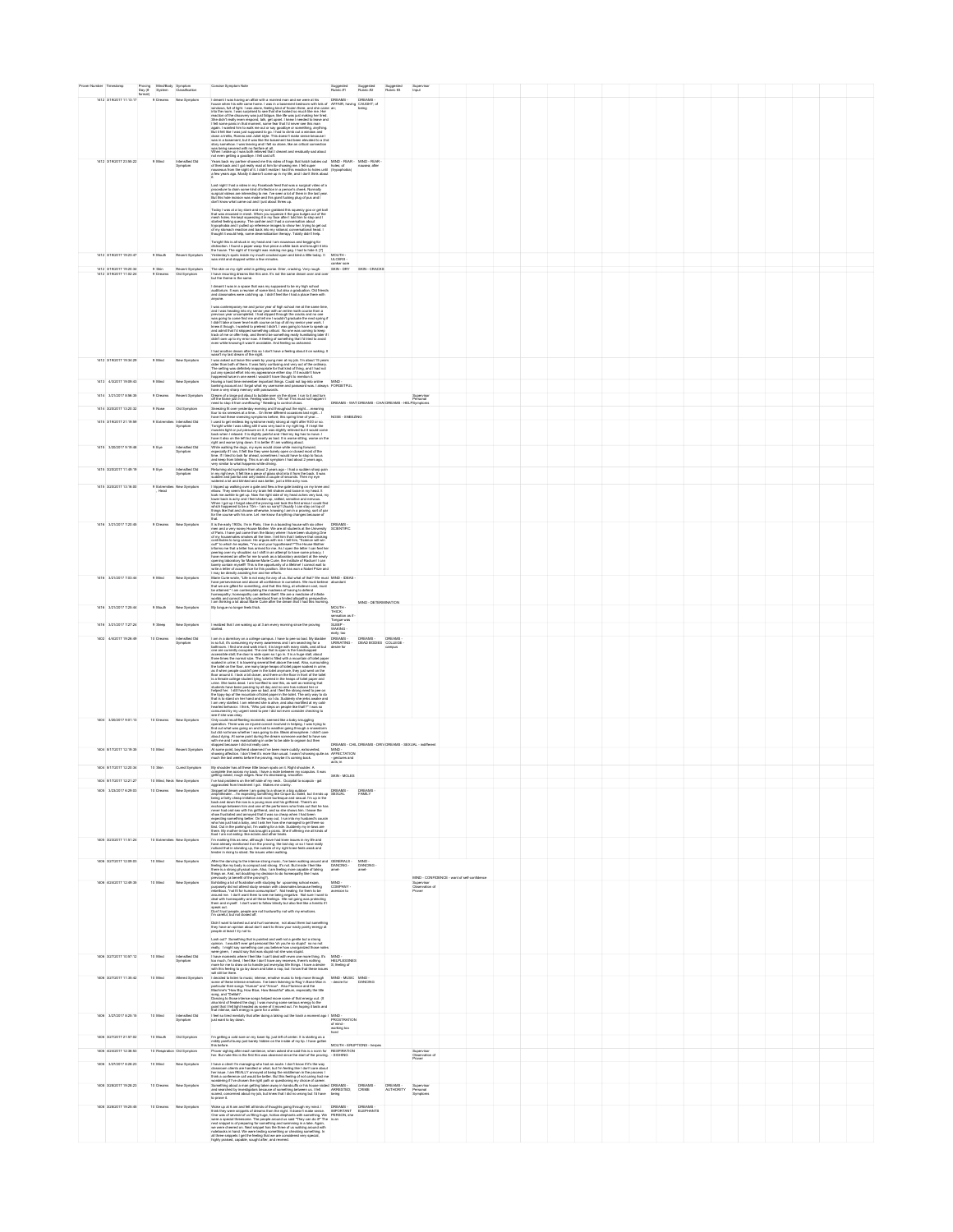| Prover Number Tim- |                         |         | Proving Mind/Body Symptom<br>Day (# System Classification<br>format) | nen Norda                                                                                                                                                                                                                               | Supposted<br>Rubric #1                                    |                      | Suggested Suggested Super<br>Rubric #2 Rubric #3 Input |                              |                                             |  |  |  |  |  |  |
|--------------------|-------------------------|---------|----------------------------------------------------------------------|-----------------------------------------------------------------------------------------------------------------------------------------------------------------------------------------------------------------------------------------|-----------------------------------------------------------|----------------------|--------------------------------------------------------|------------------------------|---------------------------------------------|--|--|--|--|--|--|
|                    | 1412 3/19/2017 11:13:17 |         | 9 Dreams New Symptom                                                 |                                                                                                                                                                                                                                         |                                                           |                      |                                                        |                              |                                             |  |  |  |  |  |  |
|                    |                         |         |                                                                      |                                                                                                                                                                                                                                         |                                                           |                      |                                                        |                              |                                             |  |  |  |  |  |  |
|                    |                         |         |                                                                      |                                                                                                                                                                                                                                         |                                                           |                      |                                                        |                              |                                             |  |  |  |  |  |  |
|                    |                         |         |                                                                      |                                                                                                                                                                                                                                         |                                                           |                      |                                                        |                              |                                             |  |  |  |  |  |  |
|                    |                         |         |                                                                      |                                                                                                                                                                                                                                         |                                                           |                      |                                                        |                              |                                             |  |  |  |  |  |  |
|                    |                         |         |                                                                      | pin Ba room 1 suika augstine la sua pinal de la contrada de model de model de la contrada de la contrada de la contrada de la contrada de la contrada de la contrada de la contrada de la contrada de la contrada de la contr           |                                                           |                      |                                                        |                              |                                             |  |  |  |  |  |  |
|                    | 1412 3/19/2017 23:55:22 | 9 Mind  | Intersified Old<br>Symptom                                           |                                                                                                                                                                                                                                         |                                                           |                      |                                                        |                              |                                             |  |  |  |  |  |  |
|                    |                         |         |                                                                      | The wear space age specific and use of the state of the space of the MIND - FEAR - MIND - FEAR - The space of the state of the state of the state of the state of the state of the state of the state of the state of the spac          |                                                           |                      |                                                        |                              |                                             |  |  |  |  |  |  |
|                    |                         |         |                                                                      |                                                                                                                                                                                                                                         |                                                           |                      |                                                        |                              |                                             |  |  |  |  |  |  |
|                    |                         |         |                                                                      |                                                                                                                                                                                                                                         |                                                           |                      |                                                        |                              |                                             |  |  |  |  |  |  |
|                    |                         |         |                                                                      | Last might I had a video in my Facebook feed that was a surgical video of a purposity the next proposed in the surgeon of the surgeon video as a surgeon video as a surgeon video as a surgeon video as a surgeon video as a            |                                                           |                      |                                                        |                              |                                             |  |  |  |  |  |  |
|                    |                         |         |                                                                      |                                                                                                                                                                                                                                         |                                                           |                      |                                                        |                              |                                             |  |  |  |  |  |  |
|                    |                         |         |                                                                      |                                                                                                                                                                                                                                         |                                                           |                      |                                                        |                              |                                             |  |  |  |  |  |  |
|                    |                         |         |                                                                      | Today I was at a try store and my son grabbed this squeezy goo or get ball that was encised in mean. When you squeeze it is good bulges out of the mean mean. Moreover, the space of the mean that is a structure of the mean           |                                                           |                      |                                                        |                              |                                             |  |  |  |  |  |  |
|                    |                         |         |                                                                      |                                                                                                                                                                                                                                         |                                                           |                      |                                                        |                              |                                             |  |  |  |  |  |  |
|                    |                         |         |                                                                      |                                                                                                                                                                                                                                         |                                                           |                      |                                                        |                              |                                             |  |  |  |  |  |  |
|                    | 1412 3/19/2017 19:23:47 | 9 Mouth | Recent Symptom                                                       | Tomight this is all stuck in my head and I am nasseous and begging for<br>distinction : flourd a paper wasp hote piece a white back and strought it into the study of the flow<br>the house. The sight of it tonight was making me      |                                                           |                      |                                                        |                              |                                             |  |  |  |  |  |  |
|                    | 1412 3/19/2017 19:20:34 | 9 Skin  |                                                                      | Recent Symptom The skin on my right wrist is getting worse. Drier, cracking. Very rough.                                                                                                                                                | SKIN - DRY                                                | SKIN - CRACKS        |                                                        |                              |                                             |  |  |  |  |  |  |
|                    | 1412 3/19/2017 11:02:24 |         | 9 Dreams Old Symptom                                                 | I have recurring dreams like this one. It's not the same dream over and over but the theme is the same.                                                                                                                                 |                                                           |                      |                                                        |                              |                                             |  |  |  |  |  |  |
|                    |                         |         |                                                                      | I dreamt I was in a space that was my supposed to be my high school<br>auditorium. It was a reunion of some kind, but also a graduation. Old friends<br>and classmates were catching up. I didn't feel like I had a place there with    |                                                           |                      |                                                        |                              |                                             |  |  |  |  |  |  |
|                    |                         |         |                                                                      |                                                                                                                                                                                                                                         |                                                           |                      |                                                        |                              |                                             |  |  |  |  |  |  |
|                    |                         |         |                                                                      |                                                                                                                                                                                                                                         |                                                           |                      |                                                        |                              |                                             |  |  |  |  |  |  |
|                    |                         |         |                                                                      |                                                                                                                                                                                                                                         |                                                           |                      |                                                        |                              |                                             |  |  |  |  |  |  |
|                    |                         |         |                                                                      |                                                                                                                                                                                                                                         |                                                           |                      |                                                        |                              |                                             |  |  |  |  |  |  |
|                    |                         |         |                                                                      | i was contemporary ma and justice year of high school ma at the assess time, and a spectral year uncertained in that specific thermal procedure is a spectral of the content of the spectral state of the content of the spec           |                                                           |                      |                                                        |                              |                                             |  |  |  |  |  |  |
|                    |                         |         |                                                                      | I had another dream after this so I don't have a feeling about it on waking. It<br>wasn't my last dream of the night.                                                                                                                   |                                                           |                      |                                                        |                              |                                             |  |  |  |  |  |  |
|                    | 1412 3/19/2017 19:34:29 | 9 Mind  | New Symptom                                                          | was a state of the control of the magnetic property and all may job. The about 15 years is very control of the control of the set for the set of the control of the control of the control of the control of the control of t           |                                                           |                      |                                                        |                              |                                             |  |  |  |  |  |  |
|                    |                         |         |                                                                      |                                                                                                                                                                                                                                         |                                                           |                      |                                                        |                              |                                             |  |  |  |  |  |  |
|                    | 1413 4/3/2017 19:09:43  |         | 9 Mind New Symptom                                                   | Having a hard time remember important things. Could not log-into online<br>banking account as I forgot what my usemarne and password was. I always FORGETFUL<br>have a very sharp memory with passwords                                 |                                                           |                      |                                                        |                              |                                             |  |  |  |  |  |  |
|                    | 1414 3/21/2017 8:58:35  |         | 9 Dreams Recent Symptom                                              |                                                                                                                                                                                                                                         |                                                           |                      |                                                        |                              |                                             |  |  |  |  |  |  |
|                    |                         |         |                                                                      | The way were the large presence to build the building on the stove; I run to it and turn<br>Off the flame just in time. Feeling was like, "Oh not This must not happen! I<br>need to stop it from overflowing." Needing to control c    |                                                           |                      | DREAMS - WATIDREAMS - CHAI DREAMS - HELF Sympto        |                              |                                             |  |  |  |  |  |  |
|                    | 1414 3/20/2017 13:20:32 |         | 9 Nose Old Symptom                                                   |                                                                                                                                                                                                                                         |                                                           |                      |                                                        |                              |                                             |  |  |  |  |  |  |
|                    | 1415 3/19/2017 21:19:59 |         | 9 Extremities Intensified Old                                        |                                                                                                                                                                                                                                         | NOSE - SNEEZING                                           |                      |                                                        |                              |                                             |  |  |  |  |  |  |
|                    |                         |         | Symptom                                                              | There is no constant and the proposed and<br>well-space and the proposed and the constant of the constant of the<br>state of the constant of the constant constant constant of the constant<br>space of the constant constant constant  |                                                           |                      |                                                        |                              |                                             |  |  |  |  |  |  |
|                    |                         |         |                                                                      |                                                                                                                                                                                                                                         |                                                           |                      |                                                        |                              |                                             |  |  |  |  |  |  |
|                    | 1415 3/20/2017 9:19:48  | 9 Eye   | Intersified Old<br>Symptom                                           |                                                                                                                                                                                                                                         |                                                           |                      |                                                        |                              |                                             |  |  |  |  |  |  |
|                    |                         |         |                                                                      | While walking the dogs, my eyes would close while moving forward, especially if I ran, II feld the three years barely open or closed front fifth the stress of the stress of the stress of the stress of the stress of the st           |                                                           |                      |                                                        |                              |                                             |  |  |  |  |  |  |
|                    | 1415 3/20/2017 11:49:19 | 9 Eye   | <b>Intersified Old</b><br>Symptom                                    | Returning old symptom from about 2 years ago - I had a sudden sharp pain<br>in my right syn. It fall like a piece of glass ahol into it from the back. It was<br>sudden and pairful and only lasted a couple of seconds. Then my eye    |                                                           |                      |                                                        |                              |                                             |  |  |  |  |  |  |
|                    | 1415 3/20/2017 13:16:00 |         |                                                                      |                                                                                                                                                                                                                                         |                                                           |                      |                                                        |                              |                                             |  |  |  |  |  |  |
|                    |                         |         | 9 Extremities New Symptom<br>, Head                                  | wakered at the carbitetic state has better, paid in this activy rows and interpret op watching over a gala and fleer a few gala tandapped proposed at the carbitetic state of the carbitetic state of the carbitetic state of           |                                                           |                      |                                                        |                              |                                             |  |  |  |  |  |  |
|                    |                         |         |                                                                      |                                                                                                                                                                                                                                         |                                                           |                      |                                                        |                              |                                             |  |  |  |  |  |  |
|                    |                         |         |                                                                      |                                                                                                                                                                                                                                         |                                                           |                      |                                                        |                              |                                             |  |  |  |  |  |  |
|                    | 1416 3/21/2017 7:20:45  |         | 9 Dreams New Symptom                                                 |                                                                                                                                                                                                                                         |                                                           |                      |                                                        |                              |                                             |  |  |  |  |  |  |
|                    |                         |         |                                                                      |                                                                                                                                                                                                                                         |                                                           |                      |                                                        |                              |                                             |  |  |  |  |  |  |
|                    |                         |         |                                                                      |                                                                                                                                                                                                                                         |                                                           |                      |                                                        |                              |                                             |  |  |  |  |  |  |
|                    |                         |         |                                                                      |                                                                                                                                                                                                                                         |                                                           |                      |                                                        |                              |                                             |  |  |  |  |  |  |
|                    |                         |         |                                                                      |                                                                                                                                                                                                                                         |                                                           |                      |                                                        |                              |                                             |  |  |  |  |  |  |
|                    |                         | 9 Mind  |                                                                      | The model of the control of the first particle in the second points of the definition of the control of the control of the control of the control of the control of the control of the control of the control of the control            |                                                           |                      |                                                        |                              |                                             |  |  |  |  |  |  |
|                    | 1416 3/21/2017 7:03:44  |         | New Symptom                                                          | ,  we do the case appropriate and the set of the state of the state of the case of the state Case was contained as all the state of the case of the state of the state of the state of the state of the state of the state              |                                                           |                      |                                                        |                              |                                             |  |  |  |  |  |  |
|                    |                         |         |                                                                      |                                                                                                                                                                                                                                         |                                                           |                      |                                                        |                              |                                             |  |  |  |  |  |  |
|                    | 1416 3/21/2017 7:25:44  |         | 9 Mouth New Symptom                                                  | My tongue no longer feels thick.                                                                                                                                                                                                        |                                                           | MIND - DETERMINATION |                                                        |                              |                                             |  |  |  |  |  |  |
|                    |                         |         |                                                                      |                                                                                                                                                                                                                                         | MOUTH -<br>THICK:<br>sensation as if -<br>Tongue was      |                      |                                                        |                              |                                             |  |  |  |  |  |  |
|                    | 1416 3/21/2017 7:27:24  |         | 9 Sleep New Symptom                                                  | I realized that I am waking up at 3 am every moming since the proving<br>started.                                                                                                                                                       |                                                           |                      |                                                        |                              |                                             |  |  |  |  |  |  |
|                    | 1402 4/4/2017 19:26:49  |         |                                                                      |                                                                                                                                                                                                                                         | SLEEP<br>WAKING<br>early, too                             |                      |                                                        |                              |                                             |  |  |  |  |  |  |
|                    |                         |         | 10 Dreams Intensified Old<br>Symptom                                 |                                                                                                                                                                                                                                         |                                                           |                      |                                                        |                              |                                             |  |  |  |  |  |  |
|                    |                         |         |                                                                      |                                                                                                                                                                                                                                         |                                                           |                      |                                                        |                              |                                             |  |  |  |  |  |  |
|                    |                         |         |                                                                      |                                                                                                                                                                                                                                         |                                                           |                      |                                                        |                              |                                             |  |  |  |  |  |  |
|                    |                         |         |                                                                      |                                                                                                                                                                                                                                         |                                                           |                      |                                                        |                              |                                             |  |  |  |  |  |  |
|                    |                         |         |                                                                      |                                                                                                                                                                                                                                         |                                                           |                      |                                                        |                              |                                             |  |  |  |  |  |  |
|                    |                         |         |                                                                      |                                                                                                                                                                                                                                         |                                                           |                      |                                                        |                              |                                             |  |  |  |  |  |  |
|                    |                         |         |                                                                      |                                                                                                                                                                                                                                         |                                                           |                      |                                                        |                              |                                             |  |  |  |  |  |  |
|                    | 1404 3/20/2017 9:01:13  |         | 10 Dreams New Symptom                                                |                                                                                                                                                                                                                                         |                                                           |                      |                                                        |                              |                                             |  |  |  |  |  |  |
|                    |                         |         |                                                                      |                                                                                                                                                                                                                                         |                                                           |                      |                                                        |                              |                                             |  |  |  |  |  |  |
|                    |                         |         |                                                                      |                                                                                                                                                                                                                                         |                                                           |                      |                                                        |                              |                                             |  |  |  |  |  |  |
|                    | 1404 5/17/2017 12:19:35 |         | 10 Mind Recent Symptom                                               | asse if the wave debty and controlled particles and the large particles (see particles) and the state of the state of the state of the state of the state of the state of the state of the state of the state of the state of           | DREAMS - CHILIDREAMS - DRIV DREAMS - SEXUAL - indifferent |                      |                                                        |                              |                                             |  |  |  |  |  |  |
|                    |                         |         |                                                                      |                                                                                                                                                                                                                                         | - gestun<br>acts; in                                      |                      |                                                        |                              |                                             |  |  |  |  |  |  |
|                    | 1404 5/17/2017 12:20:34 |         | 10 Skin Cured Symptom                                                | My shoulder has all these little brown spots on it. Right shoulder, A                                                                                                                                                                   |                                                           |                      |                                                        |                              |                                             |  |  |  |  |  |  |
|                    | 1404 5/17/2017 12:21:27 |         | 10 Mind, Neck New Symptom                                            | complete line across my back. I have a mole between my scapulate. It was<br>getting raised, rough edges. Now it's decreasing, amodher.<br>Two had problems on the left side of my neck. Occipitals to scapular<br>- Two had problems on | SKN-MOLES                                                 |                      |                                                        |                              |                                             |  |  |  |  |  |  |
|                    | 1405 3/23/2017 6:29:03  |         | 10 Dreams New Symptom                                                |                                                                                                                                                                                                                                         |                                                           | DREAMS<br>FAMILY     |                                                        |                              |                                             |  |  |  |  |  |  |
|                    |                         |         |                                                                      | anggrapasitan di bandara kanggrapasitan di bandara di bandara di bandara di bandara di bandara di bandara di bandara di bandara di bandara di bandara di bandara di bandara di bandara di bandara di bandara di bandara di ba           |                                                           |                      |                                                        |                              |                                             |  |  |  |  |  |  |
|                    |                         |         |                                                                      |                                                                                                                                                                                                                                         |                                                           |                      |                                                        |                              |                                             |  |  |  |  |  |  |
|                    |                         |         |                                                                      |                                                                                                                                                                                                                                         |                                                           |                      |                                                        |                              |                                             |  |  |  |  |  |  |
|                    |                         |         |                                                                      |                                                                                                                                                                                                                                         |                                                           |                      |                                                        |                              |                                             |  |  |  |  |  |  |
|                    | 1405 3/23/2017 11:51:24 |         | 10 Extremities New Symptom                                           |                                                                                                                                                                                                                                         |                                                           |                      |                                                        |                              |                                             |  |  |  |  |  |  |
|                    |                         |         |                                                                      | I'm marking this as new, although I have had knee issues in my life and have already mentioned it on the proving. The last day or so I have neally<br>hook and indicated it on the proving, the last day or so I have neally<br>noti    |                                                           |                      |                                                        |                              |                                             |  |  |  |  |  |  |
|                    | 1406 3/27/2017 12:09:03 |         | 10 Mind New Symptom                                                  |                                                                                                                                                                                                                                         |                                                           | MND -<br>DANCING -   |                                                        |                              |                                             |  |  |  |  |  |  |
|                    |                         |         |                                                                      | After the denoing to the intense strong music, I've been walking around and $\cdot$ GENERALS - Georgia compared and along . If now that is the property the strong physical cone Also, I amound the strong physical cone Also, I        |                                                           |                      |                                                        |                              |                                             |  |  |  |  |  |  |
|                    | 1406 4/24/2017 12:49:35 |         | 10 Mind New Symptom                                                  |                                                                                                                                                                                                                                         | COMPANY                                                   |                      |                                                        | pervisor<br>servation of     | MIND - CONFIDENCE - want of self-confidence |  |  |  |  |  |  |
|                    |                         |         |                                                                      |                                                                                                                                                                                                                                         | aversion to                                               |                      |                                                        |                              |                                             |  |  |  |  |  |  |
|                    |                         |         |                                                                      |                                                                                                                                                                                                                                         |                                                           |                      |                                                        |                              |                                             |  |  |  |  |  |  |
|                    |                         |         |                                                                      | previously (a benefit of the provincy) and<br>providing a lot of fruction for most proposition of the state of<br>scaling a lot of fruction of the state proposition of the state of<br>the state of the state of the state of the sta  |                                                           |                      |                                                        |                              |                                             |  |  |  |  |  |  |
|                    |                         |         |                                                                      | Dich't want to lashed out and hurt someone, not about them but somethis<br>they have an opinion about don't want to throw your nasty pointy energy a<br>people at least I try not to.                                                   |                                                           |                      |                                                        |                              |                                             |  |  |  |  |  |  |
|                    |                         |         |                                                                      |                                                                                                                                                                                                                                         |                                                           |                      |                                                        |                              |                                             |  |  |  |  |  |  |
|                    |                         |         |                                                                      | Lash out? Something that is pointed and well not a gentle but a strong<br>opinion. I wouldn't ever get personal like 'on'you're so stupif' mo no mot<br>neally. I might say something can you believe how unorganized those notes<br>we |                                                           |                      |                                                        |                              |                                             |  |  |  |  |  |  |
|                    | 1406 3/27/2017 10:57:12 | 10 Mind | Intensified Old<br>Symptom                                           |                                                                                                                                                                                                                                         |                                                           |                      |                                                        |                              |                                             |  |  |  |  |  |  |
|                    |                         |         |                                                                      | I have moments where I feel that I can't deal with even one more thing. It's MINO-<br>too much, i'm tried, I feel that I don't have any resources, thewist nothing I HELD-ESSNES<br>most for me to draw on to handel joint everyday     |                                                           |                      |                                                        |                              |                                             |  |  |  |  |  |  |
|                    | 1406 3/27/2017 11:35:42 |         | 10 Mind Altered Symptom                                              |                                                                                                                                                                                                                                         |                                                           |                      |                                                        |                              |                                             |  |  |  |  |  |  |
|                    |                         |         |                                                                      |                                                                                                                                                                                                                                         |                                                           |                      |                                                        |                              |                                             |  |  |  |  |  |  |
|                    |                         |         |                                                                      |                                                                                                                                                                                                                                         |                                                           |                      |                                                        |                              |                                             |  |  |  |  |  |  |
|                    |                         |         |                                                                      | song, and "Delaidh"<br>Main Carl Collaintain across halped move across of that energy but. Die<br>Catao laya of Realisat the dog), "I was moved partne serious energy bu the<br>point that if the light handed as looms of it moved out |                                                           |                      |                                                        |                              |                                             |  |  |  |  |  |  |
|                    | 1406 3/27/2017 8:25:15  | 10 Mind | Intersified Old<br>Symptom                                           |                                                                                                                                                                                                                                         |                                                           |                      |                                                        |                              |                                             |  |  |  |  |  |  |
|                    |                         |         |                                                                      |                                                                                                                                                                                                                                         | of mind<br>working too<br>hard                            |                      |                                                        |                              |                                             |  |  |  |  |  |  |
|                    | 1406 3/27/2017 21:57:02 |         | 10 Mouth Old Symptom                                                 | I'm getting a cold sore on my lower lip, just left of center. It is starting as a<br>militly painful bump just barely hidden on the inside of my lip. I have gotten<br>this before.                                                     |                                                           |                      |                                                        |                              |                                             |  |  |  |  |  |  |
|                    | 1406 4/24/2017 12:36:53 |         | 10 Respiration Old Symptom                                           | this before.<br>Prover sighting after each sentence, when asked she said this is a norm for RESPIRATION<br>her. But note this is the first this was observed since the start of the proving. - SIGHING                                  | MOUTH - ERUPTIONS - herpes                                |                      |                                                        |                              |                                             |  |  |  |  |  |  |
|                    |                         |         |                                                                      |                                                                                                                                                                                                                                         |                                                           |                      |                                                        | Supervisor<br>Observation of |                                             |  |  |  |  |  |  |
|                    | 1406 3/27/2017 8:28:23  |         | 10 Mind New Symptom                                                  | There a client fin managing who had an action 1 correlation that we could be the state of the state of the state of the state of the state of the state of the state of the state of the state of the state of the state of t           |                                                           |                      |                                                        |                              |                                             |  |  |  |  |  |  |
|                    |                         |         |                                                                      |                                                                                                                                                                                                                                         |                                                           |                      |                                                        |                              |                                             |  |  |  |  |  |  |
|                    | 1408 3/28/2017 19:28:23 |         | 10 Dreams New Symptom                                                |                                                                                                                                                                                                                                         |                                                           |                      | DREAMS - Supervise<br>AUTHORITY Personal               |                              |                                             |  |  |  |  |  |  |
|                    |                         |         |                                                                      |                                                                                                                                                                                                                                         |                                                           |                      |                                                        |                              |                                             |  |  |  |  |  |  |
|                    | 1408 3/28/2017 19:25:45 |         | 10 Dreams New Symptom                                                |                                                                                                                                                                                                                                         |                                                           |                      |                                                        |                              |                                             |  |  |  |  |  |  |
|                    |                         |         |                                                                      |                                                                                                                                                                                                                                         |                                                           |                      |                                                        |                              |                                             |  |  |  |  |  |  |
|                    |                         |         |                                                                      | White up all on any other all interactions and the space method. In the SMAS . ORIGINALS with the space sequence is the space state of the space of the space state of the space of the space of the space of the space of th           |                                                           |                      |                                                        |                              |                                             |  |  |  |  |  |  |
|                    |                         |         |                                                                      |                                                                                                                                                                                                                                         |                                                           |                      |                                                        |                              |                                             |  |  |  |  |  |  |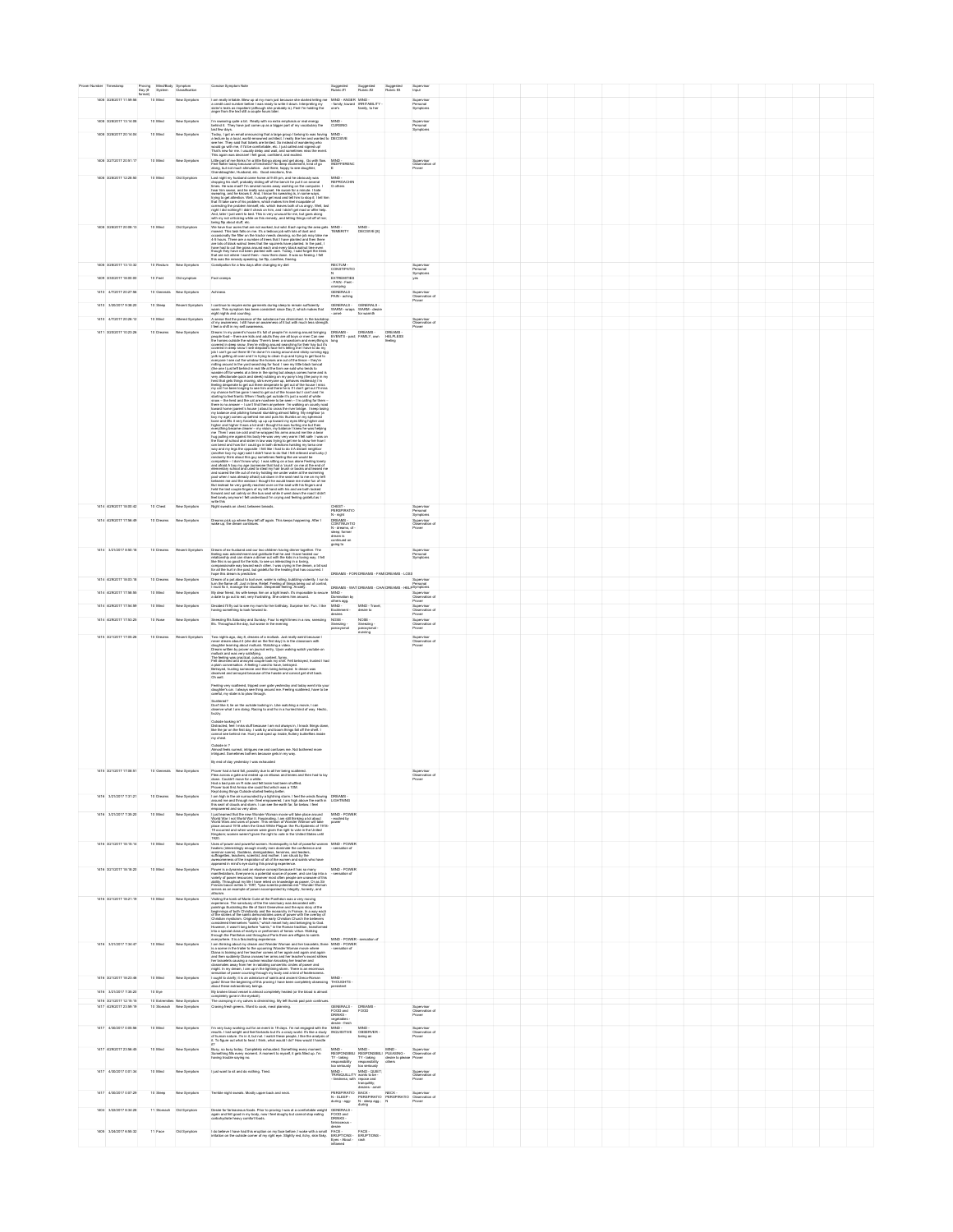| Prover Number Timestamp |                         |                     | Proving Mind/Body Symptom<br>Day (# System Classification<br>format) | um Nirda                                                                                                                                                                                                                                                                                                                                                                                                                                                     |                                                                          | Suggested Suggested Suggested<br>Rubric #1 Rubric #2 Rubric #3                                                                                                                                                  | Superi<br>Input                                             |  |
|-------------------------|-------------------------|---------------------|----------------------------------------------------------------------|--------------------------------------------------------------------------------------------------------------------------------------------------------------------------------------------------------------------------------------------------------------------------------------------------------------------------------------------------------------------------------------------------------------------------------------------------------------|--------------------------------------------------------------------------|-----------------------------------------------------------------------------------------------------------------------------------------------------------------------------------------------------------------|-------------------------------------------------------------|--|
| 1408 3/28/2017 11:59:58 |                         | 10 Mind             | New Symptom                                                          | 1 ann neath intidade. Bhow up at my mom just because she standed telling me. I MittD-ARAGER IMMO-<br>a credit card number bedoe it was ready to write it down: Interpreting my. - I fermly, toward II IRRITABILITY -<br>singer from                                                                                                                                                                                                                          |                                                                          |                                                                                                                                                                                                                 | Supervisor<br>Personal                                      |  |
|                         | 1408 3/28/2017 13:14:08 |                     | 10 Mind New Symptom                                                  |                                                                                                                                                                                                                                                                                                                                                                                                                                                              |                                                                          |                                                                                                                                                                                                                 |                                                             |  |
| 1408 3/28/2017 20:14:04 |                         |                     | 10 Mind New Symptom                                                  | I'm swearing quite a bit. Really with no extra emphasis or real energy MIND - behind it. They have just come up as a bigger part of my vocabulary the CURSING last few days.                                                                                                                                                                                                                                                                                 |                                                                          |                                                                                                                                                                                                                 | Supervisor<br>Personal                                      |  |
|                         |                         |                     |                                                                      |                                                                                                                                                                                                                                                                                                                                                                                                                                                              |                                                                          |                                                                                                                                                                                                                 |                                                             |  |
|                         |                         |                     |                                                                      |                                                                                                                                                                                                                                                                                                                                                                                                                                                              |                                                                          |                                                                                                                                                                                                                 |                                                             |  |
| 1408 3/27/2017 20:51:17 |                         | 10 Mind             | New Symptom                                                          | inter to the second term of the term perturbation of the second state of the second state is a state of the second state of the second state of the second state of the second state of the second state of the second state                                                                                                                                                                                                                                 |                                                                          |                                                                                                                                                                                                                 | Supervisor<br>Observation of<br>Prover                      |  |
| 1408 5/28/2017 12:28:50 |                         |                     | 10 Mind Old Symptom                                                  |                                                                                                                                                                                                                                                                                                                                                                                                                                                              | MIND -<br>REPROACHIN<br>G others                                         |                                                                                                                                                                                                                 |                                                             |  |
|                         |                         |                     |                                                                      | Constituting<br>the Hydrodyn Constitution (for the constant of the constant) and<br>the constant of the constant of the constant of the constant of the<br>state of the constant of the constant of the constant of the constant<br>of th                                                                                                                                                                                                                    |                                                                          |                                                                                                                                                                                                                 |                                                             |  |
|                         |                         |                     |                                                                      |                                                                                                                                                                                                                                                                                                                                                                                                                                                              |                                                                          |                                                                                                                                                                                                                 |                                                             |  |
|                         |                         |                     |                                                                      |                                                                                                                                                                                                                                                                                                                                                                                                                                                              |                                                                          |                                                                                                                                                                                                                 |                                                             |  |
| 1408 3/28/2017 20:08:13 |                         | 10 Mind Old Symptom |                                                                      |                                                                                                                                                                                                                                                                                                                                                                                                                                                              |                                                                          |                                                                                                                                                                                                                 |                                                             |  |
|                         |                         |                     |                                                                      | being the photon staff, alle are not excellent. As well of Each starting the area gains alleids.<br>We have four active different control of the state of the state of the state of the state<br>of the state of the state of the s                                                                                                                                                                                                                          |                                                                          |                                                                                                                                                                                                                 |                                                             |  |
|                         |                         |                     |                                                                      |                                                                                                                                                                                                                                                                                                                                                                                                                                                              |                                                                          |                                                                                                                                                                                                                 |                                                             |  |
| 1408 3/28/2017 13:13:32 |                         |                     | 10 Rectum New Symptom                                                | Constipation for a few days after changing my diet                                                                                                                                                                                                                                                                                                                                                                                                           |                                                                          |                                                                                                                                                                                                                 |                                                             |  |
|                         |                         |                     |                                                                      |                                                                                                                                                                                                                                                                                                                                                                                                                                                              | RECTUM -<br>CONSTIPATIO                                                  |                                                                                                                                                                                                                 | Superviso<br>Personal<br>Symptoms                           |  |
| 1409 3/30/2017 18:00:00 |                         |                     | 10 Feet Old symptom                                                  | Foot cramps                                                                                                                                                                                                                                                                                                                                                                                                                                                  | EXTREMITIES                                                              |                                                                                                                                                                                                                 |                                                             |  |
| 1410 4/7/2017 20:27:56  |                         |                     | 10 Generals New Symptom                                              | Achiness                                                                                                                                                                                                                                                                                                                                                                                                                                                     | cramping<br>GENERALS -<br>PAIN - aching                                  |                                                                                                                                                                                                                 | Supervisor<br>Observation of                                |  |
| 1410 3/20/2017 9:38:20  |                         |                     | 10 Sleep Recent Symptom                                              | I continue to require extra germents during sleep to remain sufficiently $GENERA.S.$ $GENERA.S.$ weight this symptom has been consistent since $Day 2$ , which makes that $WMARA$ -desired for example that $WMAMA$                                                                                                                                                                                                                                          |                                                                          |                                                                                                                                                                                                                 |                                                             |  |
| 1410 4/7/2017 20:26:12  |                         | 10 Mind             | Altered Symptom                                                      | $-\varphi\sim v\eta v\sim m\approx 0.0247079$ .<br>A sense that the presence of the substance has diminished. In the backdrop of my awareness: $1$ still have an awareness of it but with much less strength. I feel a stritt in my self awareness.                                                                                                                                                                                                          |                                                                          |                                                                                                                                                                                                                 | Supervisor<br>Observation of<br>Prover                      |  |
| 1411 3/20/2017 10:23:26 |                         |                     | 10 Dreams New Symptom                                                |                                                                                                                                                                                                                                                                                                                                                                                                                                                              |                                                                          |                                                                                                                                                                                                                 |                                                             |  |
|                         |                         |                     |                                                                      |                                                                                                                                                                                                                                                                                                                                                                                                                                                              |                                                                          |                                                                                                                                                                                                                 |                                                             |  |
|                         |                         |                     |                                                                      |                                                                                                                                                                                                                                                                                                                                                                                                                                                              |                                                                          |                                                                                                                                                                                                                 |                                                             |  |
|                         |                         |                     |                                                                      |                                                                                                                                                                                                                                                                                                                                                                                                                                                              |                                                                          |                                                                                                                                                                                                                 |                                                             |  |
|                         |                         |                     |                                                                      |                                                                                                                                                                                                                                                                                                                                                                                                                                                              |                                                                          |                                                                                                                                                                                                                 |                                                             |  |
|                         |                         |                     |                                                                      |                                                                                                                                                                                                                                                                                                                                                                                                                                                              |                                                                          |                                                                                                                                                                                                                 |                                                             |  |
|                         |                         |                     |                                                                      |                                                                                                                                                                                                                                                                                                                                                                                                                                                              |                                                                          |                                                                                                                                                                                                                 |                                                             |  |
|                         |                         |                     |                                                                      |                                                                                                                                                                                                                                                                                                                                                                                                                                                              |                                                                          |                                                                                                                                                                                                                 |                                                             |  |
|                         |                         |                     |                                                                      |                                                                                                                                                                                                                                                                                                                                                                                                                                                              |                                                                          |                                                                                                                                                                                                                 |                                                             |  |
|                         |                         |                     |                                                                      |                                                                                                                                                                                                                                                                                                                                                                                                                                                              |                                                                          |                                                                                                                                                                                                                 |                                                             |  |
|                         |                         |                     |                                                                      |                                                                                                                                                                                                                                                                                                                                                                                                                                                              |                                                                          |                                                                                                                                                                                                                 |                                                             |  |
|                         |                         |                     |                                                                      | of any parameter in the state of the state of the state of the state of the state of the state of the state of the state of the state of the state of the state of the state of the state of the state of the state of the st                                                                                                                                                                                                                                |                                                                          |                                                                                                                                                                                                                 |                                                             |  |
|                         |                         |                     |                                                                      |                                                                                                                                                                                                                                                                                                                                                                                                                                                              |                                                                          |                                                                                                                                                                                                                 |                                                             |  |
|                         |                         |                     |                                                                      | ellementary school and used to sheal my hield trustly or too be a state lead on<br>a state school and state of the link out of me by holding me under water at the swimming<br>post-sheal manner of the state of the state in the st                                                                                                                                                                                                                         |                                                                          |                                                                                                                                                                                                                 |                                                             |  |
| 5414 4/202017 18:00:42  |                         |                     |                                                                      | write this                                                                                                                                                                                                                                                                                                                                                                                                                                                   |                                                                          |                                                                                                                                                                                                                 |                                                             |  |
|                         |                         |                     | 10 Chest New Symptom                                                 | Night sweats on chest, between breasts.                                                                                                                                                                                                                                                                                                                                                                                                                      | CHEST-<br>PERSPIRATIO<br>N - night                                       |                                                                                                                                                                                                                 |                                                             |  |
| 1414 4/29/2017 17:56:49 |                         |                     | 10 Dreams New Symptom                                                | Dreams pick up where they left off again. This keeps happening. After I wake up, the dream continues.                                                                                                                                                                                                                                                                                                                                                        | DREAMS -<br>CONTINUATIO<br>N - dreams, of<br>sleep; former<br>dream is   |                                                                                                                                                                                                                 | Personal<br>Symptoms<br>Supervisor<br>Observation<br>Prover |  |
|                         |                         |                     |                                                                      |                                                                                                                                                                                                                                                                                                                                                                                                                                                              |                                                                          |                                                                                                                                                                                                                 |                                                             |  |
| 1414 3/21/2017 8:50:18  |                         |                     | 10 Dreams Recent Symptom                                             |                                                                                                                                                                                                                                                                                                                                                                                                                                                              | $\overbrace{\mathfrak{g}\mathfrak{sing}}^{\mathfrak{so}\mathfrak{w}}$ on |                                                                                                                                                                                                                 |                                                             |  |
|                         |                         |                     |                                                                      | Dream of ex-husband and our two children having dinner together. The feeling was astorostrated and gratitude that the anisotropy coupling the control of the product of the product of the state of the state of the state of                                                                                                                                                                                                                                |                                                                          |                                                                                                                                                                                                                 | Superviso<br>Personal<br>Sumntrem                           |  |
|                         |                         |                     |                                                                      |                                                                                                                                                                                                                                                                                                                                                                                                                                                              |                                                                          | DREAMS - FOROREAMS - FAMI DREAMS - LOSS                                                                                                                                                                         |                                                             |  |
| 1414 4/29/2017 18:03:18 |                         |                     | 10 Dreams New Symptom                                                | -<br>Dream of a pot about to boil over, water is rolling, bubbling violently. I run to<br>turn the flame off. Just in time. Relief. Feeling of things being out of control,<br>I must fix it, manage the situation. Desperate feeling.                                                                                                                                                                                                                       |                                                                          | Personal<br>DREAMS - WATIDREAMS - CHAI DREAMS - HELE Symptoms                                                                                                                                                   |                                                             |  |
| 1414 4/29/2017 17:58:55 |                         | 10 Mind             | New Symptom                                                          | My dear friend, his wife keeps him on a tight leash. It's impossible to secure MIND - a date to go out to eat, very frustrating. She orders him around. Dominat                                                                                                                                                                                                                                                                                              | Domination by<br>others agg.                                             |                                                                                                                                                                                                                 | Supervisor<br>Observation of<br>Prover                      |  |
| 1414 4/29/2017 17:54:59 |                         |                     | 10 Mind New Symptom                                                  | Decided I'll fly out to see my morn for her birthday. Surprise her. Fun. I like MIND - New MIND - Travel, having something to look forward to. [Exchanged] - desire to                                                                                                                                                                                                                                                                                       |                                                                          |                                                                                                                                                                                                                 | Supervisor<br>Observation of<br>Prover                      |  |
| 1414 4/29/2017 17:53:25 |                         |                     | 10 Nose New Symptom                                                  |                                                                                                                                                                                                                                                                                                                                                                                                                                                              |                                                                          |                                                                                                                                                                                                                 | Supervisor<br>Observation of<br>Prover                      |  |
| 1415 3/21/2017 17:05:26 |                         |                     | 10 Dreams Recent Symptom                                             |                                                                                                                                                                                                                                                                                                                                                                                                                                                              |                                                                          |                                                                                                                                                                                                                 |                                                             |  |
|                         |                         |                     |                                                                      | Two rights appl. depth. A basing of a smalled, July rights parameterizes in depth with the consequence of the property of the state of the consequence of the consequence of the consequence of the consequence of the conseq                                                                                                                                                                                                                                |                                                                          |                                                                                                                                                                                                                 | Supervisor<br>Observation of<br>Prover                      |  |
|                         |                         |                     |                                                                      |                                                                                                                                                                                                                                                                                                                                                                                                                                                              |                                                                          |                                                                                                                                                                                                                 |                                                             |  |
|                         |                         |                     |                                                                      |                                                                                                                                                                                                                                                                                                                                                                                                                                                              |                                                                          |                                                                                                                                                                                                                 |                                                             |  |
|                         |                         |                     |                                                                      |                                                                                                                                                                                                                                                                                                                                                                                                                                                              |                                                                          |                                                                                                                                                                                                                 |                                                             |  |
|                         |                         |                     |                                                                      | Feeling very scattered, tripped over gate yesterday and today went into your<br>daughter's car. I always see thing around me. Feeling scattered, have to be<br>careful, my state is to plow through.                                                                                                                                                                                                                                                         |                                                                          |                                                                                                                                                                                                                 |                                                             |  |
|                         |                         |                     |                                                                      | Scattered?<br>Don't like it, lie on the outside looking in. Like watching a movie, I can<br>observe what I am doing. Racing to and fro in a hunted kind of way. Hectic,                                                                                                                                                                                                                                                                                      |                                                                          |                                                                                                                                                                                                                 |                                                             |  |
|                         |                         |                     |                                                                      | buzzy.                                                                                                                                                                                                                                                                                                                                                                                                                                                       |                                                                          |                                                                                                                                                                                                                 |                                                             |  |
|                         |                         |                     |                                                                      | Outside looking in?<br>Distracted, feel i miss stuff because I am not always in, I knock things down,<br>Distracted, feel in miss stuff because I am of always it at off the shall. I<br>Distract see behind me. Hurry and sped up insi                                                                                                                                                                                                                      |                                                                          |                                                                                                                                                                                                                 |                                                             |  |
|                         |                         |                     |                                                                      |                                                                                                                                                                                                                                                                                                                                                                                                                                                              |                                                                          |                                                                                                                                                                                                                 |                                                             |  |
|                         |                         |                     |                                                                      | Outside in ?<br>Almost feels surreal, intrigues me and confuses me. Not bothered more<br>intrigued. Sometimes bothers because gets in my way.                                                                                                                                                                                                                                                                                                                |                                                                          |                                                                                                                                                                                                                 |                                                             |  |
|                         |                         |                     | 10 Generals New Symptom                                              | By end of day yesterday I was exhausted                                                                                                                                                                                                                                                                                                                                                                                                                      |                                                                          |                                                                                                                                                                                                                 |                                                             |  |
| 1415 3/21/2017 17:08:51 |                         |                     |                                                                      | Prover had a hard fall, possibly due to all her being scattered.<br>Flew across a gate and ended up on elbows and knees and then had to lay<br>down. Couldn't move for a while.                                                                                                                                                                                                                                                                              |                                                                          |                                                                                                                                                                                                                 | Supervisor<br>Observation of<br>Prover                      |  |
|                         |                         |                     |                                                                      |                                                                                                                                                                                                                                                                                                                                                                                                                                                              |                                                                          |                                                                                                                                                                                                                 |                                                             |  |
| 1416 3/21/2017 7:31:21  |                         |                     | 10 Dreams New Symptom                                                | chown. Coadels? Those for a white.<br>Head is bad pain on R sada and left brain had been shuffled.<br>Kearl dong Pingo Chitable salesde feating batter. In 10M.<br>Kearl dong Pingo Chitable salesde feating batter.<br>I am high in t<br>this swirl of clouds and storm.                                                                                                                                                                                    |                                                                          |                                                                                                                                                                                                                 |                                                             |  |
| 1416 3/21/2017 7:35:20  |                         | 10 Mind             | New Symptom                                                          | $\begin{minipage}[t]{.5cm} \begin{minipage}[t]{.5cm} \begin{tabular}[t]{.5cm} \textbf{[a]} \begin{tabular}[t]{.5cm} \textbf{[a]} \begin{tabular}[t]{.5cm} \textbf{[b]} \begin{tabular}[t]{.5cm} \textbf{[b]} \begin{tabular}[t]{.5cm} \textbf{[b]} \begin{tabular}[t]{.5cm} \textbf{[a]} \begin{tabular}[t]{.5cm} \textbf{[b]} \begin{tabular}[t]{.5cm} \textbf{[b]} \begin{tabular}[t]{.5cm} \textbf{[b]} \begin{tabular}[t]{.5cm} \textbf{[b]} \begin{tab$ |                                                                          |                                                                                                                                                                                                                 |                                                             |  |
|                         |                         |                     |                                                                      |                                                                                                                                                                                                                                                                                                                                                                                                                                                              |                                                                          |                                                                                                                                                                                                                 |                                                             |  |
| 1416 3/21/2017 18:15:14 |                         | 10 Mind             | New Symptom                                                          |                                                                                                                                                                                                                                                                                                                                                                                                                                                              |                                                                          |                                                                                                                                                                                                                 |                                                             |  |
|                         |                         |                     |                                                                      | -<br>- Uses of power and powerful women: Homeopathy is full of powerful women MIND - POWER<br>healers (interestingly enough modely men dominate the conference and - sensation of<br>seminar scene). Coddess, demigoddess, heroines, a                                                                                                                                                                                                                       |                                                                          |                                                                                                                                                                                                                 |                                                             |  |
| 1416 3/21/2017 18:18:20 |                         | 10 Mind             | New Symptom                                                          |                                                                                                                                                                                                                                                                                                                                                                                                                                                              |                                                                          |                                                                                                                                                                                                                 |                                                             |  |
|                         |                         |                     |                                                                      | omen is considered to the specifical procedure and access the specifical procedure of the specifical procedure of the specifical procedure of the specifical procedure of the specifical procedure of the specifical procedur                                                                                                                                                                                                                                |                                                                          |                                                                                                                                                                                                                 |                                                             |  |
|                         |                         |                     |                                                                      | altruise                                                                                                                                                                                                                                                                                                                                                                                                                                                     |                                                                          |                                                                                                                                                                                                                 |                                                             |  |
| 1416 3/21/2017 18:21:19 |                         |                     | 10 Mind New Symptom                                                  | Visiting the tomb of Marie Curie at the Panthéon was a very moving<br>experience. The sanctuary of the the sanctuary was decorated with                                                                                                                                                                                                                                                                                                                      |                                                                          |                                                                                                                                                                                                                 |                                                             |  |
|                         |                         |                     |                                                                      | experience. The assuming of the the assuming van decomplex offs of the polynomial paintings in<br>Landscap from the of Sant Connection and the spin above of the complete<br>$\mathcal{A}$ of the above of the assumed the assumed to th                                                                                                                                                                                                                     |                                                                          |                                                                                                                                                                                                                 |                                                             |  |
|                         |                         |                     |                                                                      |                                                                                                                                                                                                                                                                                                                                                                                                                                                              |                                                                          |                                                                                                                                                                                                                 |                                                             |  |
|                         |                         |                     |                                                                      |                                                                                                                                                                                                                                                                                                                                                                                                                                                              |                                                                          |                                                                                                                                                                                                                 |                                                             |  |
| 1416 3/21/2017 7:34:47  |                         |                     | 10 Mind New Symptom                                                  | one product that a functionally explained in the term of the term of the MSD. Controller the state of the state of the state of the state of the state of the state of the state of the state of the state of the state of th                                                                                                                                                                                                                                |                                                                          |                                                                                                                                                                                                                 |                                                             |  |
|                         |                         |                     |                                                                      |                                                                                                                                                                                                                                                                                                                                                                                                                                                              |                                                                          |                                                                                                                                                                                                                 |                                                             |  |
| 1416 3/21/2017 18:23:46 |                         |                     | 10 Mind New Symptom                                                  |                                                                                                                                                                                                                                                                                                                                                                                                                                                              |                                                                          |                                                                                                                                                                                                                 |                                                             |  |
| 1416 3/21/2017 7:35:20  |                         | 10 Eye              |                                                                      |                                                                                                                                                                                                                                                                                                                                                                                                                                                              |                                                                          |                                                                                                                                                                                                                 |                                                             |  |
| 1416 3/21/2017 12:15:15 |                         |                     | 10 Extremities New Symptom                                           | My broken blood vaseel is almost completely healed (or the blood is almost completely gone in the eyeball).                                                                                                                                                                                                                                                                                                                                                  |                                                                          |                                                                                                                                                                                                                 |                                                             |  |
| 1417 4/29/2017 23:59:19 |                         |                     | 10 Stomach New Symptom                                               | The cramping in my calves is diminishing. My left thumb pad pain continues.<br>Craving fresh greens. Want to cook, meal planning.                                                                                                                                                                                                                                                                                                                            | GENERALS - DREAMS -<br>FOOD and - FOOD<br>DRINKS -                       |                                                                                                                                                                                                                 | Supervisor<br>Observation of<br>Prover                      |  |
|                         |                         |                     |                                                                      |                                                                                                                                                                                                                                                                                                                                                                                                                                                              | vegetables<br>desire - fresh                                             |                                                                                                                                                                                                                 |                                                             |  |
| 1417 4/30/2017 0:05:56  |                         |                     | 10 Mind New Symptom                                                  | Tm very busy working out for an event in 19 days. I'm not engaged with the MIND - MIND - MIND - MIND - Construction of the facts and the material material of the facts of the facts of the material of the material of the st<br>it. To figure out what to heat. I think, what would I do? How would I handle                                                                                                                                               |                                                                          |                                                                                                                                                                                                                 | Supervisor<br>Observation of<br>Prover                      |  |
| 1417 4/29/2017 23:56:45 |                         |                     | 10 Mind New Symptom                                                  |                                                                                                                                                                                                                                                                                                                                                                                                                                                              |                                                                          |                                                                                                                                                                                                                 |                                                             |  |
|                         |                         |                     |                                                                      | Busy, so busy today. Completely exhausted. Scenething every moment.<br>Something fills every moment. A moment to myself, it gets filled up. I'm<br>having trouble saying no.                                                                                                                                                                                                                                                                                 |                                                                          | MIND - MIND - MIND - MIND -<br>RESPONSIBILI RESPONSIBILI PLEASING - TY - taking<br>responsibility - TY - taking - desire to please<br>responsibility - responsibility - others<br>too seriously - too seriously | Supervisor<br>Observation of<br>Prover                      |  |
| 1417 4/30/2017 0:01:34  |                         |                     | 10 Mind New Symptom                                                  | I just want to sit and do nothing. Tired.                                                                                                                                                                                                                                                                                                                                                                                                                    | MIND-<br>TRANQUILLITY wants to be                                        | MND - QUIET                                                                                                                                                                                                     | Supervisor<br>Observation of<br>Prover                      |  |
|                         |                         |                     |                                                                      |                                                                                                                                                                                                                                                                                                                                                                                                                                                              | tinedness; with repose and<br>tranquility;<br>desires - amel-            |                                                                                                                                                                                                                 |                                                             |  |
| 1417 4/30/2017 0:07:29  |                         |                     | 10 Sleep New Symptom                                                 | Terrible night sweats. Mostly upper back and neck.                                                                                                                                                                                                                                                                                                                                                                                                           |                                                                          | PERSPIRATIO BACK - NECK - Supervisor<br>N-SLEEP - PERSPIRATIO PERSPIRATIO Observation of<br>during - agg- M - sleep agg : N<br>during - during                                                                  |                                                             |  |
| 1404 3/22/2017 8:34:28  |                         |                     | 11 Stomach Old Symptom                                               |                                                                                                                                                                                                                                                                                                                                                                                                                                                              | GENERALS                                                                 |                                                                                                                                                                                                                 |                                                             |  |
|                         |                         |                     |                                                                      | Dasine for farinaceous foods. Prior to proving I was at a comfortable weight<br>again and felt good in my body, now I feel doughy but cannot stop eating<br>carbohydrate heavy comfort foods.                                                                                                                                                                                                                                                                | FOOD and<br>DRINKS -<br>farinaceous<br>desire                            |                                                                                                                                                                                                                 |                                                             |  |
| 1405 3/24/2017 6:55:32  |                         |                     | 11 Face Old Symptom                                                  | I do believe I have had this encotion on my face before; I woke with a small FACE - CHEPTICKE - FACE -<br>initiation on the outside corner of my right eye. Stightly red, itchy, skin flaky. ERUPTICKE - ERUPTICKES -                                                                                                                                                                                                                                        |                                                                          |                                                                                                                                                                                                                 |                                                             |  |
|                         |                         |                     |                                                                      |                                                                                                                                                                                                                                                                                                                                                                                                                                                              |                                                                          |                                                                                                                                                                                                                 |                                                             |  |

inflamed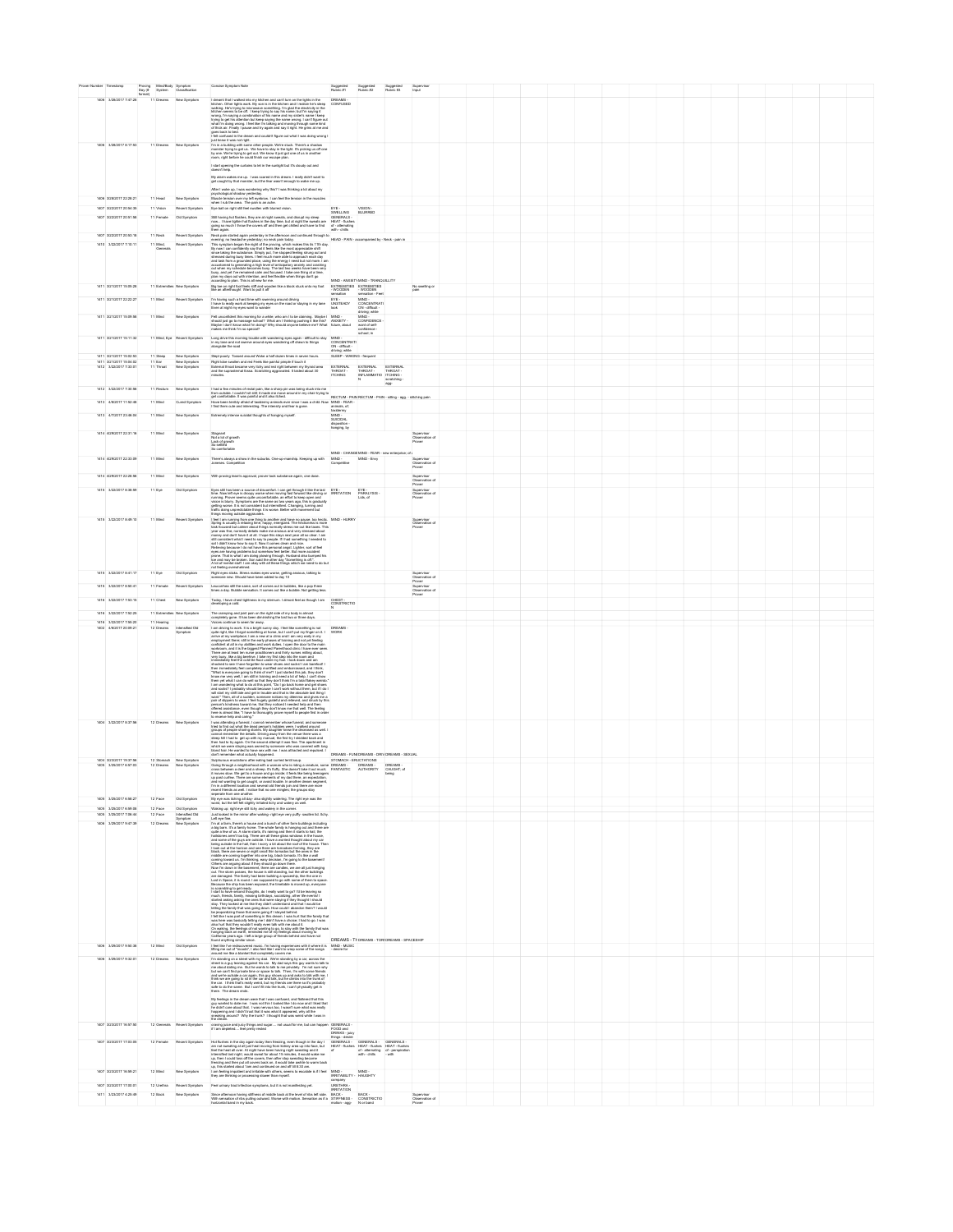|                                                   |        |                      |                                                                              | $\begin{tabular}{llll} \textbf{Prover Navreber} & \textbf{Trmastame} & \textbf{Proving} & \textbf{MindBody} & \textbf{Syreptom} & \textbf{Concise Symptom Note} \\ & \textbf{Dup} \ (\theta & \textbf{Syrastom} & \textbf{Classification} & \textbf{Concise Symptom Note} \\ \end{tabular}$                                                                                                                                                                 |                                               | Suggested Suggested Suggested Supervisor<br>Rubric #1 Rubric #2 Rubric #3 Input    |                                        |  |  |  |  |  |  |  |
|---------------------------------------------------|--------|----------------------|------------------------------------------------------------------------------|-------------------------------------------------------------------------------------------------------------------------------------------------------------------------------------------------------------------------------------------------------------------------------------------------------------------------------------------------------------------------------------------------------------------------------------------------------------|-----------------------------------------------|------------------------------------------------------------------------------------|----------------------------------------|--|--|--|--|--|--|--|
| 1406 3/28/2017 7:47:28                            |        |                      | 11 Dreams New Symptom                                                        | i dreamt Paris I weidead into my kitchen and carritham on the lights in the same state of the largest parts in the carrier of the parts of the state of the parts in the latter of the parts in the latter of the state of th                                                                                                                                                                                                                               | DREAMS -<br>CONFUSED                          |                                                                                    |                                        |  |  |  |  |  |  |  |
|                                                   |        |                      |                                                                              |                                                                                                                                                                                                                                                                                                                                                                                                                                                             |                                               |                                                                                    |                                        |  |  |  |  |  |  |  |
|                                                   |        |                      |                                                                              |                                                                                                                                                                                                                                                                                                                                                                                                                                                             |                                               |                                                                                    |                                        |  |  |  |  |  |  |  |
|                                                   |        |                      |                                                                              | goes back to ove.<br>I felt confused in the dream and couldn't figure out what I was doing wrong I                                                                                                                                                                                                                                                                                                                                                          |                                               |                                                                                    |                                        |  |  |  |  |  |  |  |
| 1406 3/28/2017 8:17:53                            |        |                      | 11 Dreams New Symptom                                                        | just knew it was not right.                                                                                                                                                                                                                                                                                                                                                                                                                                 |                                               |                                                                                    |                                        |  |  |  |  |  |  |  |
|                                                   |        |                      |                                                                              | Tm in a building with some other people. We're stuck. There's a shadow<br>monster tying to get us: We have to stay in the light. It's pricking us off one<br>by one. We're trying to get out. We know it just got one of us in anoth                                                                                                                                                                                                                        |                                               |                                                                                    |                                        |  |  |  |  |  |  |  |
|                                                   |        |                      |                                                                              | I start opening the curtains to let in the sunlight but It's cloudy out and doesn't help.                                                                                                                                                                                                                                                                                                                                                                   |                                               |                                                                                    |                                        |  |  |  |  |  |  |  |
|                                                   |        |                      |                                                                              | My alarm wakes me up. I was scared in this dream. I neally didn't want to<br>get caught by that monster, but the fear wasn't enough to wake me up.                                                                                                                                                                                                                                                                                                          |                                               |                                                                                    |                                        |  |  |  |  |  |  |  |
|                                                   |        |                      |                                                                              | After I woke up, I was wondering why this? I was thinking a lot about my psychological shadow yesterday.                                                                                                                                                                                                                                                                                                                                                    |                                               |                                                                                    |                                        |  |  |  |  |  |  |  |
| 1406 3/28/2017 22:28:21                           |        |                      | 11 Head New Symptom                                                          | psychological shadow yesterday.<br>Muscle tension over my left eyebrow. I can feel the tension in the muscles<br>when I rub the area. The pain is an achie.                                                                                                                                                                                                                                                                                                 |                                               |                                                                                    |                                        |  |  |  |  |  |  |  |
| 1407 3/22/2017 20:54:35                           |        |                      | 11 Vision Recent Symptom                                                     | Eye ball on right still feel swollen with blumed vision.                                                                                                                                                                                                                                                                                                                                                                                                    | EYE - VISION -<br>SWELLING BLURRED            |                                                                                    |                                        |  |  |  |  |  |  |  |
| 1407 3/22/2017 20:51:58                           |        |                      | 11 Female Old Symptom                                                        | Still having hot flashes, they are at night seeasts, and disrupt my sleep<br>now I have lighter hot flashes in the day time, but at night the seeasts are HEAT - fushes<br>gaing so much I throw the covers off and then get chil                                                                                                                                                                                                                           |                                               |                                                                                    |                                        |  |  |  |  |  |  |  |
| 1407 3/22/2017 20:53:18                           |        | 11 Neck              | Recent Symptom                                                               |                                                                                                                                                                                                                                                                                                                                                                                                                                                             |                                               |                                                                                    |                                        |  |  |  |  |  |  |  |
| 1410 3/22/2017 7:10:11                            |        | 11 Mind,<br>Generals | Recent Symptom                                                               | Nach pain nativity epity restrictiny in the afternoon and continued through to<br>exerting no hauldades years that you need pain today. Continued through to HEAD - PAIN - accompanied by - Neck - pain in<br>This symptom haps the                                                                                                                                                                                                                         |                                               |                                                                                    |                                        |  |  |  |  |  |  |  |
|                                                   |        |                      |                                                                              |                                                                                                                                                                                                                                                                                                                                                                                                                                                             |                                               |                                                                                    |                                        |  |  |  |  |  |  |  |
|                                                   |        |                      |                                                                              |                                                                                                                                                                                                                                                                                                                                                                                                                                                             |                                               |                                                                                    |                                        |  |  |  |  |  |  |  |
|                                                   |        |                      |                                                                              | By now I can confidently aay that filesink like the most approach<br>is at since an along the automonic Simply p.r.f., The atopead filesing a<br>known of and and consider the since the state of the state filesing a<br>filter of th                                                                                                                                                                                                                      |                                               | MIND - ANXIETYMIND - TRANQUILLITY                                                  |                                        |  |  |  |  |  |  |  |
| 1411 3/21/2017 15:05:28                           |        |                      | 11 Extremities New Symptom                                                   | Big toe on right foot feels stiff and wooden like a block stuck onto my foot EXTREMTTES<br>- Wood Disk an afterfrought Want to pull it off the state and the state of the sensition - WoodER<br>- Went to pull it off the state afte                                                                                                                                                                                                                        |                                               |                                                                                    | No swelling o<br>pain                  |  |  |  |  |  |  |  |
| 1411 3/21/2017 22:22:27                           |        | 11 Mind              | Recent Symptom                                                               | I'm having such a hard time with swerving around driving<br>I have to reality work at keeping my eyes on the road or staying in my lane UNSTEADY<br>Even at night my eyes want to wander                                                                                                                                                                                                                                                                    |                                               |                                                                                    |                                        |  |  |  |  |  |  |  |
|                                                   |        |                      |                                                                              |                                                                                                                                                                                                                                                                                                                                                                                                                                                             |                                               | MIND<br>CONCENTRATI<br>CN - difficult -<br>driving while<br>MIND -<br>CONFIDENCE - |                                        |  |  |  |  |  |  |  |
| 1411 3/21/2017 15:09:58                           |        | 11 Mind              | New Symptom                                                                  | Felt unconfident this morning for a while; who am I to be claiming. Maybe I MIND -<br>should just go to measage achod? What am I thinking pushing it like this? ANDEEY -<br>Maybe I don't know what fin doing? Why should anyone bel                                                                                                                                                                                                                        |                                               |                                                                                    |                                        |  |  |  |  |  |  |  |
|                                                   |        |                      |                                                                              |                                                                                                                                                                                                                                                                                                                                                                                                                                                             |                                               | ward of self-<br>confidence<br>school; in                                          |                                        |  |  |  |  |  |  |  |
| 1411 3/21/2017 15:11:32                           |        |                      | 11 Mind, Eye Recent Symptom                                                  |                                                                                                                                                                                                                                                                                                                                                                                                                                                             |                                               |                                                                                    |                                        |  |  |  |  |  |  |  |
| 1411 3/21/2017 15:02:53                           |        | 11 Sleep<br>11 Ear   | New Symptom<br>New Symptom                                                   | Slept poorly Tossed around Woke a half dozen times in seven hours.                                                                                                                                                                                                                                                                                                                                                                                          | SLEEP - WAKING - frequent                     |                                                                                    |                                        |  |  |  |  |  |  |  |
| 1411 3/21/2017 15:04:02<br>1412 3/22/2017 7:33:01 |        | 11 Throat            | New Symptom                                                                  |                                                                                                                                                                                                                                                                                                                                                                                                                                                             |                                               |                                                                                    |                                        |  |  |  |  |  |  |  |
|                                                   |        |                      |                                                                              |                                                                                                                                                                                                                                                                                                                                                                                                                                                             |                                               |                                                                                    |                                        |  |  |  |  |  |  |  |
| 1412 3/22/2017 7:30:56                            |        |                      | 11 Rectum New Symptom                                                        | Thad a few minutes of rectal pain, like a sharp pin was being stuck into me<br>from cousies. I couldn't at siti, it made me move around in my chair trying to<br>get comfortable. It was painful and it also lictied.                                                                                                                                                                                                                                       |                                               |                                                                                    |                                        |  |  |  |  |  |  |  |
| 1413 4/8/2017 11:52:48                            |        | 11 Mind              | Cured Symptom                                                                |                                                                                                                                                                                                                                                                                                                                                                                                                                                             |                                               |                                                                                    |                                        |  |  |  |  |  |  |  |
|                                                   |        |                      |                                                                              | Have been terribly afraid of taxiderny animals ever since I was a child. Now MIND - FEAR - I find them cute and interesting. The intensity and fear is gone. animals, of;<br>Extremely intense suicidal thoughts of hanging myself.                                                                                                                                                                                                                         | arimals, of;<br>taxidamy                      |                                                                                    |                                        |  |  |  |  |  |  |  |
| 1413 4/7/2017 23:46:04                            |        | 11 Mind              | New Symptom                                                                  |                                                                                                                                                                                                                                                                                                                                                                                                                                                             | MND -<br>SUICIDAL                             |                                                                                    |                                        |  |  |  |  |  |  |  |
| 1414 4/202017 22:31:16                            |        | 11 Mind              | New Symptom                                                                  | Stagnant<br>Not a lot of growth                                                                                                                                                                                                                                                                                                                                                                                                                             | hanging, by                                   |                                                                                    | Supervisor<br>Observation of<br>Prover |  |  |  |  |  |  |  |
|                                                   |        |                      |                                                                              | Lack of growth<br>So settled<br>So comfortable                                                                                                                                                                                                                                                                                                                                                                                                              |                                               |                                                                                    |                                        |  |  |  |  |  |  |  |
| 1414 4/29/2017 22:33:09                           |        | 11 Mind              | New Symptom                                                                  |                                                                                                                                                                                                                                                                                                                                                                                                                                                             |                                               | MIND - CHANGEMIND - FEAR - new enterprise; of<br>MND - Envy                        |                                        |  |  |  |  |  |  |  |
|                                                   |        |                      |                                                                              | There's always a show in the suburbs. One-up-marship. Keeping up with MIND -<br>Joneses. Competition                                                                                                                                                                                                                                                                                                                                                        |                                               |                                                                                    | Observation of<br>Prover               |  |  |  |  |  |  |  |
| 1414 4/29/2017 22:28:56                           |        | 11 Mind              | New Symptom                                                                  | With proving team's approval, prover took substance again, one dose                                                                                                                                                                                                                                                                                                                                                                                         |                                               |                                                                                    | Supervisor<br>Observation<br>Prover    |  |  |  |  |  |  |  |
| 1415 3/22/2017 8:38:59                            | 11 Eye |                      | Old Symptom                                                                  |                                                                                                                                                                                                                                                                                                                                                                                                                                                             |                                               |                                                                                    | Supervisor<br>Observation of           |  |  |  |  |  |  |  |
|                                                   |        |                      |                                                                              | Eyes all than bean to score of discorders (1 can per brough this object). The CYC. EYES all the state pairs allows the state of the controller state of the state of the state of the state of the state of the state of the                                                                                                                                                                                                                                |                                               |                                                                                    |                                        |  |  |  |  |  |  |  |
|                                                   |        |                      |                                                                              |                                                                                                                                                                                                                                                                                                                                                                                                                                                             |                                               |                                                                                    |                                        |  |  |  |  |  |  |  |
| 1415 3/22/2017 8:49:10                            |        | 11 Mind              | Recent Symptom                                                               | $\label{eq:2.1} \begin{split} &\text{Supp}(\mathcal{H}_{\text{M}}) = \text{Supp}(\mathcal{H}_{\text{M}}) = \text{Supp}(\mathcal{H}_{\text{M}}) = \text{Supp}(\mathcal{H}_{\text{M}}) = \text{Supp}(\mathcal{H}_{\text{M}}) = \text{Supp}(\mathcal{H}_{\text{M}}) = \text{Supp}(\mathcal{H}_{\text{M}}) = \text{Supp}(\mathcal{H}_{\text{M}}) = \text{Supp}(\mathcal{H}_{\text{M}}) = \text{Supp}(\mathcal{H}_{\text{M}}) = \text{Supp}(\mathcal{H}_{\text{$ |                                               |                                                                                    | Observation of                         |  |  |  |  |  |  |  |
|                                                   |        |                      |                                                                              |                                                                                                                                                                                                                                                                                                                                                                                                                                                             |                                               |                                                                                    |                                        |  |  |  |  |  |  |  |
|                                                   |        |                      |                                                                              |                                                                                                                                                                                                                                                                                                                                                                                                                                                             |                                               |                                                                                    |                                        |  |  |  |  |  |  |  |
|                                                   |        |                      |                                                                              |                                                                                                                                                                                                                                                                                                                                                                                                                                                             |                                               |                                                                                    |                                        |  |  |  |  |  |  |  |
|                                                   |        |                      |                                                                              |                                                                                                                                                                                                                                                                                                                                                                                                                                                             |                                               |                                                                                    |                                        |  |  |  |  |  |  |  |
| 1415 3/22/2017 8:41:17                            |        | 11 Eye               | Old Symptom                                                                  | Right eyes sticks. Stress makes eyes worse, getting anxious, talking to someone new. Should have been added to day 10                                                                                                                                                                                                                                                                                                                                       |                                               |                                                                                    | Observation of<br>Prover               |  |  |  |  |  |  |  |
| 1415 3/22/2017 8:50:41                            |        |                      | 11 Female Recent Symptom                                                     | Leuconhea still the same, sort of comes out in bubbles, like a pop three times a day. Bubble sensation. It comes out like a bubble. Not getting less.                                                                                                                                                                                                                                                                                                       |                                               |                                                                                    | Supervisor<br>Observation              |  |  |  |  |  |  |  |
| 1416 3/22/2017 7:53:15                            |        | 11 Chest             | New Symptom                                                                  | Today, I have chest tightness in my stemum. I almost feel as though I am CHEST - developing a cold. CONSTRICTIO                                                                                                                                                                                                                                                                                                                                             |                                               |                                                                                    |                                        |  |  |  |  |  |  |  |
| 1416 3/22/2017 7:52:25                            |        |                      | 11 Extremities New Symptom                                                   |                                                                                                                                                                                                                                                                                                                                                                                                                                                             |                                               |                                                                                    |                                        |  |  |  |  |  |  |  |
| 1416 3/22/2017 7:55:20                            |        | 11 Hearing           |                                                                              | The cramping and joint pain on the right side of my body is almost<br>completely gone. It has been diminishing the last two or three days<br>Voices continue to seem far away.                                                                                                                                                                                                                                                                              |                                               |                                                                                    |                                        |  |  |  |  |  |  |  |
| 1402 4/6/2017 20:09:21                            |        |                      | 12 Dreams Intensified Old<br>Symptom                                         | We can contribute the second but stars in the large stars and the second contribute of the second stars and the second of the second stars are contributed by the second stars and the second of the second stars are contrib                                                                                                                                                                                                                               |                                               |                                                                                    |                                        |  |  |  |  |  |  |  |
|                                                   |        |                      |                                                                              |                                                                                                                                                                                                                                                                                                                                                                                                                                                             |                                               |                                                                                    |                                        |  |  |  |  |  |  |  |
|                                                   |        |                      |                                                                              |                                                                                                                                                                                                                                                                                                                                                                                                                                                             |                                               |                                                                                    |                                        |  |  |  |  |  |  |  |
|                                                   |        |                      |                                                                              |                                                                                                                                                                                                                                                                                                                                                                                                                                                             |                                               |                                                                                    |                                        |  |  |  |  |  |  |  |
|                                                   |        |                      |                                                                              | The investment parameter and controller procedure and one-to-maximum controller parameters and the system of the system of the system of the system of the system of the system of the system of the system of the system of                                                                                                                                                                                                                                |                                               |                                                                                    |                                        |  |  |  |  |  |  |  |
|                                                   |        |                      |                                                                              |                                                                                                                                                                                                                                                                                                                                                                                                                                                             |                                               |                                                                                    |                                        |  |  |  |  |  |  |  |
|                                                   |        |                      |                                                                              |                                                                                                                                                                                                                                                                                                                                                                                                                                                             |                                               |                                                                                    |                                        |  |  |  |  |  |  |  |
|                                                   |        |                      |                                                                              |                                                                                                                                                                                                                                                                                                                                                                                                                                                             |                                               |                                                                                    |                                        |  |  |  |  |  |  |  |
| 1404 3/22/2017 8:37:56                            |        |                      | 12 Dreams New Symptom                                                        | aive help and caring.                                                                                                                                                                                                                                                                                                                                                                                                                                       |                                               |                                                                                    |                                        |  |  |  |  |  |  |  |
|                                                   |        |                      |                                                                              | to realize their particular control terms<br>refer whose furnal, and someone the second terms of the control of<br>the control of the control of the control of the control of the<br>control of the control of the control of the con                                                                                                                                                                                                                      |                                               |                                                                                    |                                        |  |  |  |  |  |  |  |
|                                                   |        |                      |                                                                              |                                                                                                                                                                                                                                                                                                                                                                                                                                                             |                                               |                                                                                    |                                        |  |  |  |  |  |  |  |
| 1404 3/23/2017 19:37:56                           |        |                      |                                                                              | don't remember what actually happened.                                                                                                                                                                                                                                                                                                                                                                                                                      |                                               | DREAMS - FUNEDREAMS - DRIV DREAMS - SEXUAL                                         |                                        |  |  |  |  |  |  |  |
| 1405 3/25/2017 6:57:03                            |        |                      | 12 Stomach New Symptom<br>12 Dreams New Symptom                              | Sulphurous eructations after eating bad curried lentil soup.                                                                                                                                                                                                                                                                                                                                                                                                | STOMACH - ERUCTATIONS                         |                                                                                    |                                        |  |  |  |  |  |  |  |
|                                                   |        |                      |                                                                              | Comp Brough a neighborhood with a woman who is riding a creative, some DREAMS - DIREAMS CONSTRUCTIONS<br>(comp Brough a neighborhood with a woman who is riding a creative, some DREAMS - DIREAMS<br>(comparison) a distance of the                                                                                                                                                                                                                         |                                               |                                                                                    |                                        |  |  |  |  |  |  |  |
|                                                   |        |                      |                                                                              | recent friends as well. I notice that no one mingles; the groups stay<br>sperate from one another                                                                                                                                                                                                                                                                                                                                                           |                                               |                                                                                    |                                        |  |  |  |  |  |  |  |
| 1405 3/25/2017 6:58:27                            |        |                      | 12 Face Old Symptom                                                          | My eye was itching all day-also slightly watering. The right eye was the worst, but the left felt slightly initated itchy and watery as well.                                                                                                                                                                                                                                                                                                               |                                               |                                                                                    |                                        |  |  |  |  |  |  |  |
| 1405 3/25/2017 6:59:08<br>1405 3/25/2017 7:06:44  |        | 12 Face              | 12 Face Old Symptom<br>12 Face Intensified Old<br>Intersified Old<br>Symptom | Waking up; right eye still itchy and watery in the come<br>Just looked in the mirror after waking-right eye very puffy- swollen lid. Itchy Left eye fine.                                                                                                                                                                                                                                                                                                   |                                               |                                                                                    |                                        |  |  |  |  |  |  |  |
| 1406 3/20/2017 0:47:39                            |        |                      | 12 Dreams New Symptom                                                        |                                                                                                                                                                                                                                                                                                                                                                                                                                                             |                                               |                                                                                    |                                        |  |  |  |  |  |  |  |
|                                                   |        |                      |                                                                              | Let the first the main field a bundle and a bundle defined form indicated minimized particle in the state of the Alerman state and the state of the state of the state of the state of the state of the state of the state of                                                                                                                                                                                                                               |                                               |                                                                                    |                                        |  |  |  |  |  |  |  |
|                                                   |        |                      |                                                                              |                                                                                                                                                                                                                                                                                                                                                                                                                                                             |                                               |                                                                                    |                                        |  |  |  |  |  |  |  |
|                                                   |        |                      |                                                                              |                                                                                                                                                                                                                                                                                                                                                                                                                                                             |                                               |                                                                                    |                                        |  |  |  |  |  |  |  |
|                                                   |        |                      |                                                                              |                                                                                                                                                                                                                                                                                                                                                                                                                                                             |                                               |                                                                                    |                                        |  |  |  |  |  |  |  |
|                                                   |        |                      |                                                                              |                                                                                                                                                                                                                                                                                                                                                                                                                                                             |                                               |                                                                                    |                                        |  |  |  |  |  |  |  |
|                                                   |        |                      |                                                                              | comparison that in this<br>shape any photonical frequency and the statement of the results of the<br>state of the statement of the statement of the statement of the<br>statement of the statement of the statement of the statement o                                                                                                                                                                                                                      |                                               |                                                                                    |                                        |  |  |  |  |  |  |  |
|                                                   |        |                      |                                                                              |                                                                                                                                                                                                                                                                                                                                                                                                                                                             |                                               |                                                                                    |                                        |  |  |  |  |  |  |  |
|                                                   |        |                      |                                                                              | any. The family that was going down. How could I abandon them? I would<br>be jeopardizing those that were going if I steyed believd.<br>I felt like I was part of something in this dream. I was hurt that the family that                                                                                                                                                                                                                                  |                                               |                                                                                    |                                        |  |  |  |  |  |  |  |
|                                                   |        |                      |                                                                              | was here was basically telling me I didn't have a choice; I had to go. I was                                                                                                                                                                                                                                                                                                                                                                                |                                               |                                                                                    |                                        |  |  |  |  |  |  |  |
|                                                   |        |                      |                                                                              | was now was concerned assign on the contract state when concerned and the first theory couldn't really even talk with me about it.<br>On vaking, the feelings of not washing to go, to stary with the family that was<br>harging bac                                                                                                                                                                                                                        |                                               |                                                                                    |                                        |  |  |  |  |  |  |  |
| 1406 3/29/2017 9:50:38                            |        |                      | 12 Mind Old Symptom                                                          | und anything similar since<br>I feel like I've rediscovered music. I'm having experiences with it where it is MIND - MUSIC Iffing me cut of "moods", I also feel like I wirep some of the songs - desire for approximate and care in the songs -                                                                                                                                                                                                            |                                               | DREAMS - THOREAMS - TORI DREAMS - SPACESHIP                                        |                                        |  |  |  |  |  |  |  |
| 1406 3/20/2017 9:32:01                            |        |                      | 12 Dreams New Symptom                                                        |                                                                                                                                                                                                                                                                                                                                                                                                                                                             |                                               |                                                                                    |                                        |  |  |  |  |  |  |  |
|                                                   |        |                      |                                                                              |                                                                                                                                                                                                                                                                                                                                                                                                                                                             |                                               |                                                                                    |                                        |  |  |  |  |  |  |  |
|                                                   |        |                      |                                                                              |                                                                                                                                                                                                                                                                                                                                                                                                                                                             |                                               |                                                                                    |                                        |  |  |  |  |  |  |  |
|                                                   |        |                      |                                                                              | . The matrix of the system of the propagator powers that a constant of the system of the system of the system of the system of the system of the system of the system of the system of the system of the system of the system                                                                                                                                                                                                                               |                                               |                                                                                    |                                        |  |  |  |  |  |  |  |
|                                                   |        |                      |                                                                              |                                                                                                                                                                                                                                                                                                                                                                                                                                                             |                                               |                                                                                    |                                        |  |  |  |  |  |  |  |
|                                                   |        |                      |                                                                              | My featings in the dream wave third I was confused, and fiathway that this control of the control of the property of the control of the control of the control of the higher than the control of the control of the control o                                                                                                                                                                                                                               |                                               |                                                                                    |                                        |  |  |  |  |  |  |  |
| 1407 3/23/2017 16:57:50                           |        |                      | 12 Generals Recent Symptom                                                   | craving juice and juicy things and sugar not usual for me, but can happen CENERALS if I am depleted feel pretty rested                                                                                                                                                                                                                                                                                                                                      |                                               |                                                                                    |                                        |  |  |  |  |  |  |  |
|                                                   |        |                      |                                                                              |                                                                                                                                                                                                                                                                                                                                                                                                                                                             | FOOD and<br>DRINKS - juicy<br>things - desire |                                                                                    |                                        |  |  |  |  |  |  |  |
| 1407 3/23/2017 17:03:05                           |        |                      | 12 Female Recent Symptom                                                     | Hot fluxines in the day again today then feeding, even though in the day I $\overline{C}$ CENERALS - CENERALS - CENERALS - CENERALS - CENERALS - CENERALS - CENERALS - CENERALS - CENERALS - CENERALS - CENERALS - CENERALS - CENERA                                                                                                                                                                                                                        |                                               |                                                                                    |                                        |  |  |  |  |  |  |  |
|                                                   |        |                      |                                                                              |                                                                                                                                                                                                                                                                                                                                                                                                                                                             |                                               |                                                                                    |                                        |  |  |  |  |  |  |  |
| 1407 3/23/2017 16:59:21                           |        | 12 Mind              | New Symptom                                                                  | freezing and then put all covers back on, it would take awhile to warm back up, this started about 1am and continued on and off till 8:30 am.                                                                                                                                                                                                                                                                                                               |                                               |                                                                                    |                                        |  |  |  |  |  |  |  |
|                                                   |        |                      |                                                                              | Nextrap and two pro business contains and off 18 8:30 am.<br>(a), the administration of the animal contains and the state of the MIND . AMD-19611Y- IMAID:<br>(a) are threstop or processing stower than myself. and the state an                                                                                                                                                                                                                           |                                               |                                                                                    |                                        |  |  |  |  |  |  |  |
| 1407 3/23/2017 17:00:01                           |        |                      |                                                                              | 12 Unathra Recent Symptom Feel urinary tract infection symptoms, but it is not manifesting yet.                                                                                                                                                                                                                                                                                                                                                             |                                               |                                                                                    |                                        |  |  |  |  |  |  |  |
| 1411 3/23/2017 4:25:49                            |        |                      | 12 Back New Symptom                                                          | Since afternoon having stiffness of middle back at the level of ribs left side. BACK -<br>With sensation of ribs pulling outward. Worse with motion. Sensation as if a ITIFPNESS - CONSTROCTIO<br>horizontal band in my back.                                                                                                                                                                                                                               |                                               |                                                                                    | Supervisor<br>Observation of<br>Prover |  |  |  |  |  |  |  |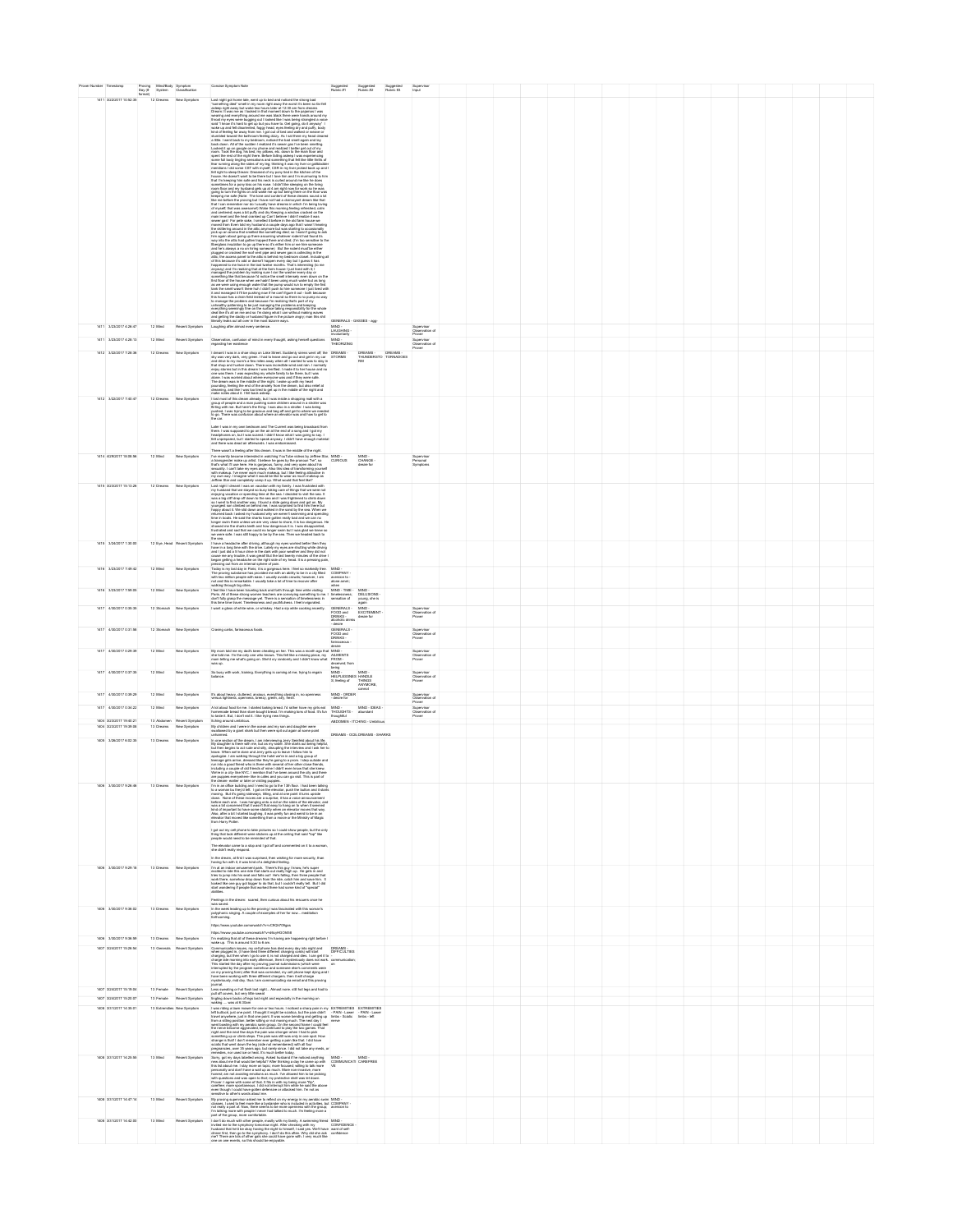| Prover Number | Timestamp                                          |         | Proving Mind/Body Symptom<br>Day (# System Classification<br>format)<br>12 Dreams New Symptom |                                                                                                                                                                                                                                                                                                          |                                                                                            | Suggested Suggested Suggested Supervisor<br>Rubric #1 Rubric #2 Rubric #3 Input |                                                                                  |  |  |  |  |  |  |  |
|---------------|----------------------------------------------------|---------|-----------------------------------------------------------------------------------------------|----------------------------------------------------------------------------------------------------------------------------------------------------------------------------------------------------------------------------------------------------------------------------------------------------------|--------------------------------------------------------------------------------------------|---------------------------------------------------------------------------------|----------------------------------------------------------------------------------|--|--|--|--|--|--|--|
|               | 1411 3/22/2017 10:52:35                            |         |                                                                                               | Last night got home late, went up to bed and noticed the strong bac<br>were trapper spectrum and, were up to consume the constant mean from point "something disc" small in my noom right away the worst it's been so far fell<br>assimptively the samplest works have been in their attack and the cons |                                                                                            |                                                                                 |                                                                                  |  |  |  |  |  |  |  |
|               |                                                    |         |                                                                                               |                                                                                                                                                                                                                                                                                                          |                                                                                            |                                                                                 |                                                                                  |  |  |  |  |  |  |  |
|               |                                                    |         |                                                                                               |                                                                                                                                                                                                                                                                                                          |                                                                                            |                                                                                 |                                                                                  |  |  |  |  |  |  |  |
|               |                                                    |         |                                                                                               |                                                                                                                                                                                                                                                                                                          |                                                                                            |                                                                                 |                                                                                  |  |  |  |  |  |  |  |
|               |                                                    |         |                                                                                               |                                                                                                                                                                                                                                                                                                          |                                                                                            |                                                                                 |                                                                                  |  |  |  |  |  |  |  |
|               |                                                    |         |                                                                                               |                                                                                                                                                                                                                                                                                                          |                                                                                            |                                                                                 |                                                                                  |  |  |  |  |  |  |  |
|               |                                                    |         |                                                                                               | where the contribution of the state of the state of the state of the state of the state of the state of the state of the state of the state of the state of the state of the state of the state of the state of the state of                                                                             |                                                                                            |                                                                                 |                                                                                  |  |  |  |  |  |  |  |
|               |                                                    |         |                                                                                               | Process 1-45 detectivent that the Branch Additional Registrations for the system of the control of the system of the system of the system of the system of the system of the system of the system of the system of the system                                                                            |                                                                                            |                                                                                 |                                                                                  |  |  |  |  |  |  |  |
|               |                                                    |         |                                                                                               |                                                                                                                                                                                                                                                                                                          |                                                                                            |                                                                                 |                                                                                  |  |  |  |  |  |  |  |
|               |                                                    |         |                                                                                               |                                                                                                                                                                                                                                                                                                          |                                                                                            |                                                                                 |                                                                                  |  |  |  |  |  |  |  |
|               |                                                    |         |                                                                                               |                                                                                                                                                                                                                                                                                                          |                                                                                            |                                                                                 |                                                                                  |  |  |  |  |  |  |  |
|               |                                                    |         |                                                                                               |                                                                                                                                                                                                                                                                                                          |                                                                                            |                                                                                 |                                                                                  |  |  |  |  |  |  |  |
|               |                                                    |         |                                                                                               | For the state of the finite control of the state of the state of the state of the state of the state of the state of the state of the state of the state of the state of the state of the state of the state of the state of                                                                             |                                                                                            |                                                                                 |                                                                                  |  |  |  |  |  |  |  |
|               |                                                    |         |                                                                                               |                                                                                                                                                                                                                                                                                                          |                                                                                            |                                                                                 |                                                                                  |  |  |  |  |  |  |  |
|               |                                                    |         |                                                                                               |                                                                                                                                                                                                                                                                                                          |                                                                                            |                                                                                 |                                                                                  |  |  |  |  |  |  |  |
|               |                                                    |         |                                                                                               |                                                                                                                                                                                                                                                                                                          |                                                                                            |                                                                                 |                                                                                  |  |  |  |  |  |  |  |
|               |                                                    |         |                                                                                               | land the served weakers their study. In district, the size are<br>necessary is sized in the set of the positive proof in the case of types of cost<br>. For the set of the set of the set of the set of the set of the set of<br>the s                                                                   |                                                                                            |                                                                                 |                                                                                  |  |  |  |  |  |  |  |
|               |                                                    |         |                                                                                               |                                                                                                                                                                                                                                                                                                          |                                                                                            |                                                                                 |                                                                                  |  |  |  |  |  |  |  |
|               | 1411 3/23/2017 4:26:47                             |         | 12 Mind Recent Symptom                                                                        |                                                                                                                                                                                                                                                                                                          | GENERALS - GASSES - agg-<br>MND-                                                           |                                                                                 |                                                                                  |  |  |  |  |  |  |  |
|               |                                                    |         |                                                                                               | Laughing after almost every sentence.                                                                                                                                                                                                                                                                    | LAUGHING-<br>voluntarily                                                                   |                                                                                 | Observation of<br>Prover                                                         |  |  |  |  |  |  |  |
|               | 1411 3/23/2017 4:28:13                             |         |                                                                                               | 12 Mind Recent Symptom Chevrution, confusion of mind in every thought, asking herself questions MIND<br>regarding her existence                                                                                                                                                                          | THEORIZING                                                                                 |                                                                                 | Supervisor<br>Observation o                                                      |  |  |  |  |  |  |  |
|               | 1412 3/22/2017 7:28:36                             |         | 12 Dreams New Symptom                                                                         |                                                                                                                                                                                                                                                                                                          |                                                                                            | DREAMS - DREAMS -<br>THUNDERSTO TORNADOES<br>RM                                 |                                                                                  |  |  |  |  |  |  |  |
|               |                                                    |         |                                                                                               |                                                                                                                                                                                                                                                                                                          |                                                                                            |                                                                                 |                                                                                  |  |  |  |  |  |  |  |
|               |                                                    |         |                                                                                               | (denoted uses as a stop shop on Lake Street Substitute process word off, the OHEMS-<br>condition to the form of the results of the state process of the Condition of the Condition<br>of the Condition of the Condition of the Cond                                                                      |                                                                                            |                                                                                 |                                                                                  |  |  |  |  |  |  |  |
|               | 1412 3/22/2017 7:40:47                             |         | 12 Dreams New Symptom                                                                         |                                                                                                                                                                                                                                                                                                          |                                                                                            |                                                                                 |                                                                                  |  |  |  |  |  |  |  |
|               |                                                    |         |                                                                                               | mean room amount it. It list back askeps.<br>I look most of this dream already, but I was inside a shopping mall with a<br>group of people and a man pushing some children around in a stroller was<br>filting with ms. But hear's                                                                       |                                                                                            |                                                                                 |                                                                                  |  |  |  |  |  |  |  |
|               |                                                    |         |                                                                                               |                                                                                                                                                                                                                                                                                                          |                                                                                            |                                                                                 |                                                                                  |  |  |  |  |  |  |  |
|               |                                                    |         |                                                                                               | Later I was in my own bedroom and The Current was being broadcast from<br>these. I was supposed to go on the air at the end of a song and [got my<br>headphones on, but I was scared. I didn't know what I was going to say. I<br>fett                                                                   |                                                                                            |                                                                                 |                                                                                  |  |  |  |  |  |  |  |
|               |                                                    |         |                                                                                               |                                                                                                                                                                                                                                                                                                          |                                                                                            |                                                                                 |                                                                                  |  |  |  |  |  |  |  |
|               | 1414 4/29/2017 18:08:56                            |         | 12 Mind New Symptom                                                                           | There wasn't a feeling after this dream. It was in the middle of the night.                                                                                                                                                                                                                              |                                                                                            | $MND -$<br>CHANGE -                                                             | Superviso<br>Personal<br>Sumstans                                                |  |  |  |  |  |  |  |
|               |                                                    |         |                                                                                               | The measurement is a matrix to unable the property of the side of the side of the side of the side of the side of the side of the side of the side of the side of the side of the side of the side of the side of the side of                                                                            |                                                                                            |                                                                                 |                                                                                  |  |  |  |  |  |  |  |
|               |                                                    |         |                                                                                               |                                                                                                                                                                                                                                                                                                          |                                                                                            |                                                                                 |                                                                                  |  |  |  |  |  |  |  |
|               | 1415 3/23/2017 15:13:26                            |         | 12 Dreams New Symptom                                                                         | Summar content of the comparison with my family. I was finalized with<br>Last might is described as the value of the state of the state of the state of the state of the state of the state of the state of the state of the stat                                                                        |                                                                                            |                                                                                 |                                                                                  |  |  |  |  |  |  |  |
|               |                                                    |         |                                                                                               |                                                                                                                                                                                                                                                                                                          |                                                                                            |                                                                                 |                                                                                  |  |  |  |  |  |  |  |
|               |                                                    |         |                                                                                               |                                                                                                                                                                                                                                                                                                          |                                                                                            |                                                                                 |                                                                                  |  |  |  |  |  |  |  |
|               |                                                    |         |                                                                                               | 201 Ween someometers and the first state and the state state of the first three but<br>$\sim$ happy about 2. We slid store and validad in this sand by the asso. When two<br>metallical index in the state of the state of the state                                                                     |                                                                                            |                                                                                 |                                                                                  |  |  |  |  |  |  |  |
|               | 1415 3/24/2017 1:30:00                             |         | 12 Eye, Head Recent Symptom                                                                   |                                                                                                                                                                                                                                                                                                          |                                                                                            |                                                                                 |                                                                                  |  |  |  |  |  |  |  |
|               |                                                    |         |                                                                                               | If the was a headache after chrising, although my eyes worked better then they have in a long time with the office. Lakely my eyes are obtained politically and in going the and go and gas and plant of and gas and plant of                                                                            |                                                                                            |                                                                                 |                                                                                  |  |  |  |  |  |  |  |
|               | 1416 3/23/2017 7:49:42                             |         | 12 Mind New Symptom                                                                           |                                                                                                                                                                                                                                                                                                          |                                                                                            |                                                                                 |                                                                                  |  |  |  |  |  |  |  |
|               |                                                    |         |                                                                                               | presents on the material paper of pairs. In any proposed term of the constraint of the material paper (September 1994) and the construction of the constraints of the constraints of the constraints of the constraints of th                                                                            |                                                                                            |                                                                                 |                                                                                  |  |  |  |  |  |  |  |
|               | 1416 3/23/2017 7:59:05                             |         | 12 Mind New Symptom                                                                           |                                                                                                                                                                                                                                                                                                          |                                                                                            |                                                                                 |                                                                                  |  |  |  |  |  |  |  |
|               |                                                    |         |                                                                                               |                                                                                                                                                                                                                                                                                                          |                                                                                            | MND -<br>DELUSIONS -<br>young, she is<br>again                                  |                                                                                  |  |  |  |  |  |  |  |
|               | 1417 4/30/2017 0:35:35                             |         | 12 Stomach New Symptom                                                                        | I want a glass of white wine, or whiskey. Had a sip while cooking recently. CENERALS -                                                                                                                                                                                                                   | FOOD and<br>DRINKS -<br>alcoholic drinks                                                   | MND -<br>EXCITEMENT -                                                           | Supervisor<br>Observation of<br>Prover                                           |  |  |  |  |  |  |  |
|               | 1417 4/30/2017 0:31:58                             |         | 12 Stomach New Symptom                                                                        | Craving carbs, farinaceous foods.                                                                                                                                                                                                                                                                        | - desire<br><b>GENERALS-</b>                                                               |                                                                                 |                                                                                  |  |  |  |  |  |  |  |
|               |                                                    |         |                                                                                               |                                                                                                                                                                                                                                                                                                          | FOOD and<br>DRINKS -<br>farinaceous -<br>desire                                            |                                                                                 | Supervisor<br>Observation of<br>Prover                                           |  |  |  |  |  |  |  |
|               | 1417 4/30/2017 0:29:39                             |         | 12 Mind New Symptom                                                                           |                                                                                                                                                                                                                                                                                                          |                                                                                            |                                                                                 |                                                                                  |  |  |  |  |  |  |  |
|               |                                                    |         |                                                                                               | My mom told me my dad's been cheating on her. This was a month ago that MIND-<br>she told me. Tm the only one who knows. This felt like a missing piece, my ALMENTS<br>mom telling me what's going on. She'd ory randomly and I didn                                                                     | $\begin{array}{l} \text{,-} \text{,} \\ \text{decained, from} \\ \text{being} \end{array}$ |                                                                                 |                                                                                  |  |  |  |  |  |  |  |
|               | 1417 4/30/2017 0:37:35                             | 12 Mind | New Symptom                                                                                   | So busy with work, training. Everything is coming at me, trying to regain balance.                                                                                                                                                                                                                       | MIND - MIND - MIND -<br>HELPLESSNES HANDLE<br>S; feeling of THINGS<br>ANYMORE,             |                                                                                 | Supervisor<br>Observation o<br>Prover                                            |  |  |  |  |  |  |  |
|               |                                                    |         |                                                                                               |                                                                                                                                                                                                                                                                                                          |                                                                                            |                                                                                 |                                                                                  |  |  |  |  |  |  |  |
|               | 1417 4/30/2017 0:39:29                             |         | 12 Mind New Symptom                                                                           | It's about heavy, cluttered, anxious, everything closing in, no openness<br>versus lightness, openness, breezy, green, airy, fresh.                                                                                                                                                                      | MIND - ORDER                                                                               |                                                                                 | Supervisor<br>Observation of<br>Prover<br>Supervisor<br>Observation of<br>Prover |  |  |  |  |  |  |  |
|               | 1417 4/30/2017 0:34:22                             |         | 12 Mind New Symptom                                                                           | A lot about food for me. I standad baking bread. To rather have my girls eat. $MNO  MNO -$ IDEAS - horizonated breads then as the back these forms making bread. In test is a standard then the three totals in the typing nea                                                                           |                                                                                            |                                                                                 |                                                                                  |  |  |  |  |  |  |  |
|               | 1404 3/23/2017 19:40:21<br>1404 3/23/2017 19:39:08 |         | 13 Abdomen Recent Symptom<br>13 Dreams New Symptom                                            | My children and I were in the ocean and my son and daughter were<br>swallowed by a giant shark but then were splt out again at some point<br>unharmed.                                                                                                                                                   |                                                                                            |                                                                                 |                                                                                  |  |  |  |  |  |  |  |
|               | 1405 3/26/2017 6:02:35                             |         | 13 Dreams New Symptom                                                                         |                                                                                                                                                                                                                                                                                                          |                                                                                            | DREAMS - OCE/DREAMS - SHARKS                                                    |                                                                                  |  |  |  |  |  |  |  |
|               |                                                    |         |                                                                                               | Unnermost<br>Simon and the dreams, I am interviewing Jerry Sieristal about his life.<br>My description to three wells must be a life and results. She started out being heights<br>but then begins to set rook and skilly, disruptin                                                                     |                                                                                            |                                                                                 |                                                                                  |  |  |  |  |  |  |  |
|               |                                                    |         |                                                                                               |                                                                                                                                                                                                                                                                                                          |                                                                                            |                                                                                 |                                                                                  |  |  |  |  |  |  |  |
|               |                                                    |         |                                                                                               | contract a good means who as used with a distribution of the state of the including a couple of old friends of mine I didn't even know that also know.<br>While line a clay-like NYC. I mention that I've been around the city an                                                                        |                                                                                            |                                                                                 |                                                                                  |  |  |  |  |  |  |  |
|               | 1406 3/30/2017 9:26:46                             |         | 13 Dreams New Symptom                                                                         |                                                                                                                                                                                                                                                                                                          |                                                                                            |                                                                                 |                                                                                  |  |  |  |  |  |  |  |
|               |                                                    |         |                                                                                               |                                                                                                                                                                                                                                                                                                          |                                                                                            |                                                                                 |                                                                                  |  |  |  |  |  |  |  |
|               |                                                    |         |                                                                                               | ers avening skaling med United States (and the States) with the limit of the states of the states of the states of the states of the states of the states of the states of the states of the states of the states of the stat                                                                            |                                                                                            |                                                                                 |                                                                                  |  |  |  |  |  |  |  |
|               |                                                    |         |                                                                                               |                                                                                                                                                                                                                                                                                                          |                                                                                            |                                                                                 |                                                                                  |  |  |  |  |  |  |  |
|               |                                                    |         |                                                                                               | I got out my cell phone to take pictures so I could show people, but the only<br>thing that look different were stickers up at the celling that said "top" like<br>people would need to be reminded of that.                                                                                             |                                                                                            |                                                                                 |                                                                                  |  |  |  |  |  |  |  |
|               |                                                    |         |                                                                                               | The elevator came to a stop and I got off and commented on it to a woman, she didn't really respond.                                                                                                                                                                                                     |                                                                                            |                                                                                 |                                                                                  |  |  |  |  |  |  |  |
|               | 1406 3/30/2017 9:29:18                             |         | 13 Dreams New Symptom                                                                         | In the cheam, at first I was surprised, then wishing for more security, than<br>having fun with it, it was kind of a delighted feeling.                                                                                                                                                                  |                                                                                            |                                                                                 |                                                                                  |  |  |  |  |  |  |  |
|               |                                                    |         |                                                                                               | marring tun worrs in mass note or a design<br>subseque to serve that an indicate a measurement park. There is this gray it know, he is supported<br>that the indicate the serve ride that states out it will still be the first pat                                                                      |                                                                                            |                                                                                 |                                                                                  |  |  |  |  |  |  |  |
|               |                                                    |         |                                                                                               |                                                                                                                                                                                                                                                                                                          |                                                                                            |                                                                                 |                                                                                  |  |  |  |  |  |  |  |
|               |                                                    |         |                                                                                               | Feelings in the dream: scared, then curious about his rescuers once he                                                                                                                                                                                                                                   |                                                                                            |                                                                                 |                                                                                  |  |  |  |  |  |  |  |
|               | 1406 3/30/2017 9:36:02                             |         | 13 Dreams New Symptom                                                                         | In the week leading up to the proving I was fascinated with this woman's<br>polyphonic singing. A couple of examples of her for now meditation<br>forthcoming.                                                                                                                                           |                                                                                            |                                                                                 |                                                                                  |  |  |  |  |  |  |  |
|               |                                                    |         |                                                                                               | https://www.youtube.comonwatch?v=vC9Qh709gas                                                                                                                                                                                                                                                             |                                                                                            |                                                                                 |                                                                                  |  |  |  |  |  |  |  |
|               | 1406 3/30/2017 9:36:59                             |         | 13 Dreams New Symptom                                                                         | Nitro Drawa vrshiha romonastri OverBruHCOIHRR<br>I'm realizing that all of these dreams I'm having are happening right before I wake up. This is around 5:30 to 6 am.                                                                                                                                    |                                                                                            |                                                                                 |                                                                                  |  |  |  |  |  |  |  |
|               | 1407 3/24/2017 15:26:54                            |         | 13 Generals Recent Symptom                                                                    | , more, (i. this is mean to 30 to 8 am. on the decay day into right and<br>$\sim$ Corresponding to the state of the state of the state of the state<br>(i.e., the state of the state of the state of the state of the state of the SU                                                                    |                                                                                            |                                                                                 |                                                                                  |  |  |  |  |  |  |  |
|               |                                                    |         |                                                                                               |                                                                                                                                                                                                                                                                                                          |                                                                                            |                                                                                 |                                                                                  |  |  |  |  |  |  |  |
|               |                                                    |         |                                                                                               |                                                                                                                                                                                                                                                                                                          |                                                                                            |                                                                                 |                                                                                  |  |  |  |  |  |  |  |
|               | 1407 3/24/2017 15:19:04                            |         | 13 Female Recent Symptom                                                                      | Less sweating or hot faah last night  Almost none, still hot legs and had to pull off covers, but very little sweat                                                                                                                                                                                      |                                                                                            |                                                                                 |                                                                                  |  |  |  |  |  |  |  |
|               | 1407 3/24/2017 15:20:07                            |         | 13 Female Recent Symptom                                                                      | tingting down backs of legs last night and especially in the morning on<br>waking  was at 6.30am                                                                                                                                                                                                         |                                                                                            |                                                                                 |                                                                                  |  |  |  |  |  |  |  |
|               | 1408 3/31/2017 14:35:01                            |         | 13 Extremities New Symptom                                                                    |                                                                                                                                                                                                                                                                                                          |                                                                                            |                                                                                 |                                                                                  |  |  |  |  |  |  |  |
|               |                                                    |         |                                                                                               | which can not define the state of the state of the state of the state of the state of the state of the state of the state of the state of the state of the state of the state of the state of the state of the state of the s                                                                            |                                                                                            |                                                                                 |                                                                                  |  |  |  |  |  |  |  |
|               |                                                    |         |                                                                                               |                                                                                                                                                                                                                                                                                                          |                                                                                            |                                                                                 |                                                                                  |  |  |  |  |  |  |  |
|               |                                                    |         |                                                                                               |                                                                                                                                                                                                                                                                                                          |                                                                                            |                                                                                 |                                                                                  |  |  |  |  |  |  |  |
|               | 1408 3/31/2017 14:25:55                            |         | 13 Mind Recent Symptom                                                                        | Norwasse, not users on to make in a mount owner source and the redicad anything MIND - MIND - MIND - Supported to the match of the redicad and the model of the match of the match of the match of the match of the match of t                                                                           |                                                                                            |                                                                                 |                                                                                  |  |  |  |  |  |  |  |
|               |                                                    |         |                                                                                               |                                                                                                                                                                                                                                                                                                          |                                                                                            |                                                                                 |                                                                                  |  |  |  |  |  |  |  |
|               |                                                    |         |                                                                                               | thus that its<br>court me, I stay more on topic; more focused; willing to talk more<br>parameter, and don't have a wall up as much. More non-invasive, more<br>incomest, an root avesiding armiddons as much. Twe allowed him to be pr                                                                   |                                                                                            |                                                                                 |                                                                                  |  |  |  |  |  |  |  |
|               | 1408 3/31/2017 14:47:14                            | 13 Mind | Recent Symptom                                                                                |                                                                                                                                                                                                                                                                                                          |                                                                                            |                                                                                 |                                                                                  |  |  |  |  |  |  |  |
|               |                                                    |         |                                                                                               | :<br>semante un collar la vocala about me. Deflect on my energy in my associate search MINED -<br>My proving supervisor asked me to heliottom the term of the model in activities, but is<br>cleared. The state of the simple and the                                                                    |                                                                                            |                                                                                 |                                                                                  |  |  |  |  |  |  |  |
|               | 1408 3/31/2017 14:42:00                            | 13 Mind | Recent Symptom                                                                                |                                                                                                                                                                                                                                                                                                          |                                                                                            |                                                                                 |                                                                                  |  |  |  |  |  |  |  |
|               |                                                    |         |                                                                                               | part of the group, more conferencies.<br>$\mu$ is determined by the symptom of the symptom of the symptom of the symptom of the symptom of the symptom of the symptom of the symptom of the symptom of the symptom of the sympto                                                                         |                                                                                            |                                                                                 |                                                                                  |  |  |  |  |  |  |  |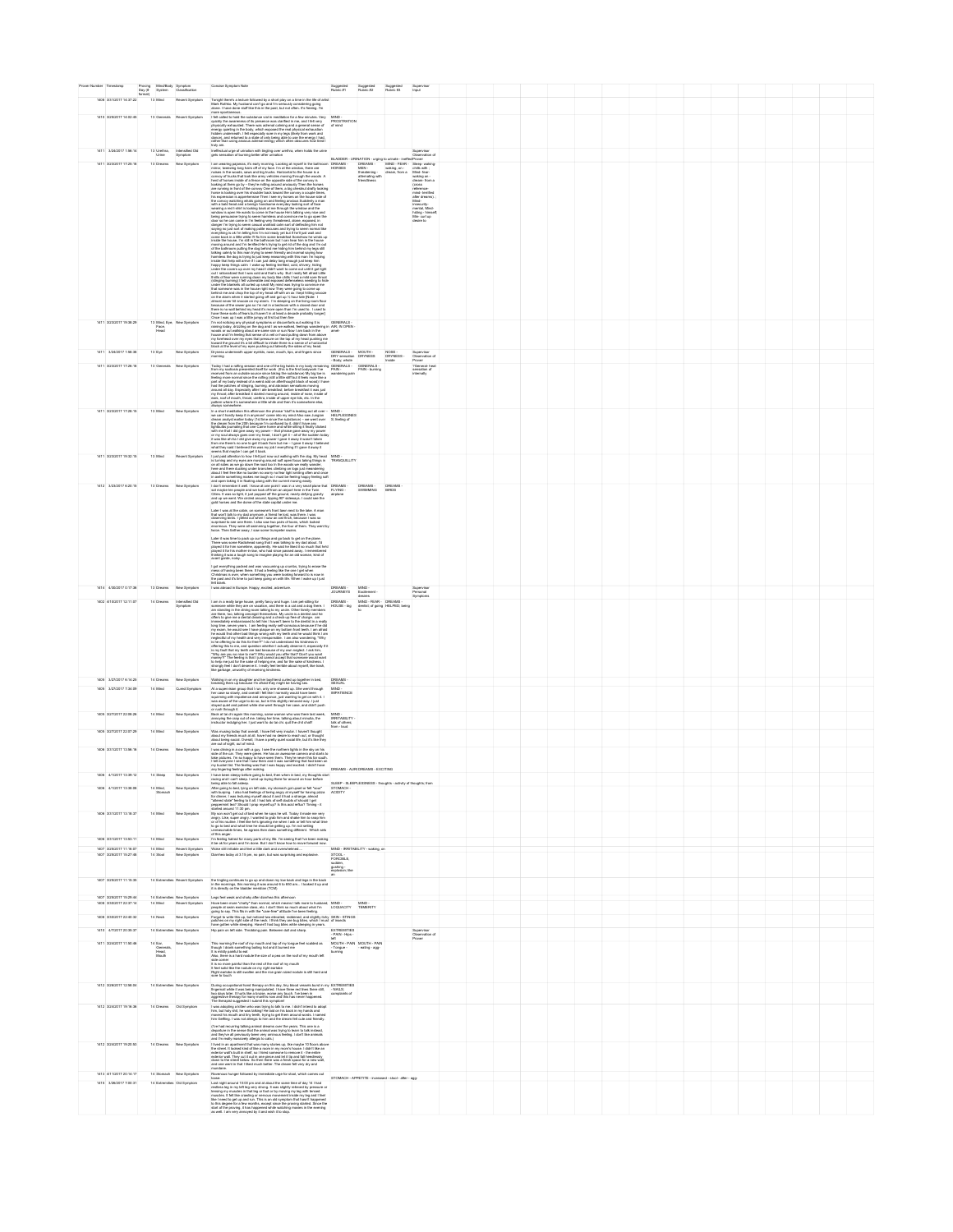| $\begin{tabular}{ll} Provev Wumber & \begin{tabular}{l} \multicolumn{3}{l}{{\small\textbf{Tr}}\textbf{m}stame} & \multicolumn{3}{l}{Proving} & \multicolumn{3}{l}{MindBody} & \textbf{Symptom} \\ & \multicolumn{3}{l}{Dary} & \multicolumn{3}{l}{System} & \textbf{System} & \textbf{CissainCation} \\ & \multicolumn{3}{l}{Dary} & \multicolumn{3}{l}{System} & \multicolumn{3}{l}{CissainCation} \end{tabular} \end{tabular}$ |                                 |                                                             | Concise Symptom Note                                                                                                                                                                                                                                                                                                                                                                                                                                           | Suggested Suggested Suggested Supervisor<br>Rubric #1 Rubric #2 Rubric #3 Input                                |                                  |                   |                                        |  |  |  |  |  |  |  |
|----------------------------------------------------------------------------------------------------------------------------------------------------------------------------------------------------------------------------------------------------------------------------------------------------------------------------------------------------------------------------------------------------------------------------------|---------------------------------|-------------------------------------------------------------|----------------------------------------------------------------------------------------------------------------------------------------------------------------------------------------------------------------------------------------------------------------------------------------------------------------------------------------------------------------------------------------------------------------------------------------------------------------|----------------------------------------------------------------------------------------------------------------|----------------------------------|-------------------|----------------------------------------|--|--|--|--|--|--|--|
| 1408 3/31/2017 14:37:22                                                                                                                                                                                                                                                                                                                                                                                                          |                                 | 13 Mind Recent Symptom                                      |                                                                                                                                                                                                                                                                                                                                                                                                                                                                |                                                                                                                |                                  |                   |                                        |  |  |  |  |  |  |  |
|                                                                                                                                                                                                                                                                                                                                                                                                                                  |                                 |                                                             | Tonight there's a lecture followed by a short play on a time in the life of artist<br>Mark Rothko. My husband can't go and I'm seriously considering going<br>alone. I have done stuff like this in the past, but not often. It's fr                                                                                                                                                                                                                           |                                                                                                                |                                  |                   |                                        |  |  |  |  |  |  |  |
| 1410 3/25/2017 14:02:45                                                                                                                                                                                                                                                                                                                                                                                                          |                                 | 13 Generals Recent Symptom                                  |                                                                                                                                                                                                                                                                                                                                                                                                                                                                |                                                                                                                |                                  |                   |                                        |  |  |  |  |  |  |  |
|                                                                                                                                                                                                                                                                                                                                                                                                                                  |                                 |                                                             |                                                                                                                                                                                                                                                                                                                                                                                                                                                                |                                                                                                                |                                  |                   |                                        |  |  |  |  |  |  |  |
|                                                                                                                                                                                                                                                                                                                                                                                                                                  |                                 |                                                             | . For calculate to both the substances with in resolutions for a dow minutes. Way . MMC-1. Capital and the presence was channel as in , and I all way . PMCSTRATION (equilibrium in the substantial terms of the state of a s                                                                                                                                                                                                                                  |                                                                                                                |                                  |                   |                                        |  |  |  |  |  |  |  |
|                                                                                                                                                                                                                                                                                                                                                                                                                                  |                                 |                                                             | truly am                                                                                                                                                                                                                                                                                                                                                                                                                                                       |                                                                                                                |                                  |                   |                                        |  |  |  |  |  |  |  |
| 1411 3/24/2017 1:58:14                                                                                                                                                                                                                                                                                                                                                                                                           |                                 | 13 Urethra, Intersified Old<br>Urine Symptom                | Ineffectual urge of urination with tingling over unsthra, when holds the urine<br>gets sensation of burning better after urination                                                                                                                                                                                                                                                                                                                             | Supervisor<br>BLADDER - URINATION - urging to urinate - institute Prover<br>Characteristics<br>Characteristics |                                  |                   |                                        |  |  |  |  |  |  |  |
| 1411 3/23/2017 17:25:18                                                                                                                                                                                                                                                                                                                                                                                                          |                                 | 13 Dreams New Symptom                                       |                                                                                                                                                                                                                                                                                                                                                                                                                                                                |                                                                                                                |                                  |                   |                                        |  |  |  |  |  |  |  |
|                                                                                                                                                                                                                                                                                                                                                                                                                                  |                                 |                                                             |                                                                                                                                                                                                                                                                                                                                                                                                                                                                |                                                                                                                |                                  |                   |                                        |  |  |  |  |  |  |  |
|                                                                                                                                                                                                                                                                                                                                                                                                                                  |                                 |                                                             |                                                                                                                                                                                                                                                                                                                                                                                                                                                                |                                                                                                                |                                  |                   |                                        |  |  |  |  |  |  |  |
|                                                                                                                                                                                                                                                                                                                                                                                                                                  |                                 |                                                             |                                                                                                                                                                                                                                                                                                                                                                                                                                                                |                                                                                                                |                                  |                   |                                        |  |  |  |  |  |  |  |
|                                                                                                                                                                                                                                                                                                                                                                                                                                  |                                 |                                                             |                                                                                                                                                                                                                                                                                                                                                                                                                                                                |                                                                                                                |                                  |                   |                                        |  |  |  |  |  |  |  |
|                                                                                                                                                                                                                                                                                                                                                                                                                                  |                                 |                                                             |                                                                                                                                                                                                                                                                                                                                                                                                                                                                |                                                                                                                |                                  |                   |                                        |  |  |  |  |  |  |  |
|                                                                                                                                                                                                                                                                                                                                                                                                                                  |                                 |                                                             |                                                                                                                                                                                                                                                                                                                                                                                                                                                                |                                                                                                                |                                  |                   |                                        |  |  |  |  |  |  |  |
|                                                                                                                                                                                                                                                                                                                                                                                                                                  |                                 |                                                             | The mass are considered in the space of the space of the space of the space of the space of the space of the space of the space of the space of the space of the space of the space of the space of the space of the space of                                                                                                                                                                                                                                  |                                                                                                                |                                  |                   |                                        |  |  |  |  |  |  |  |
|                                                                                                                                                                                                                                                                                                                                                                                                                                  |                                 |                                                             | $\begin{split} &\frac{1}{\left[\frac{1}{\left(1+\frac{1}{\left(1+\frac{1}{\left(1+\frac{1}{\left(1+\frac{1}{\left(1+\frac{1}{\left(1+\frac{1}{\left(1+\frac{1}{\left(1+\frac{1}{\left(1+\frac{1}{\left(1+\frac{1}{\left(1+\frac{1}{\left(1+\frac{1}{\left(1+\frac{1}{\left(1+\frac{1}{\left(1+\frac{1}{\left(1+\frac{1}{\left(1+\frac{1}{\left(1+\frac{1}{\left(1+\frac{1}{\left(1+\frac{1}{\left(1+\frac{1}{\left(1+\frac{1}{\left(1$                         |                                                                                                                |                                  |                   |                                        |  |  |  |  |  |  |  |
|                                                                                                                                                                                                                                                                                                                                                                                                                                  |                                 |                                                             |                                                                                                                                                                                                                                                                                                                                                                                                                                                                |                                                                                                                |                                  |                   |                                        |  |  |  |  |  |  |  |
|                                                                                                                                                                                                                                                                                                                                                                                                                                  |                                 |                                                             |                                                                                                                                                                                                                                                                                                                                                                                                                                                                |                                                                                                                |                                  |                   |                                        |  |  |  |  |  |  |  |
|                                                                                                                                                                                                                                                                                                                                                                                                                                  |                                 |                                                             |                                                                                                                                                                                                                                                                                                                                                                                                                                                                |                                                                                                                |                                  |                   |                                        |  |  |  |  |  |  |  |
|                                                                                                                                                                                                                                                                                                                                                                                                                                  |                                 |                                                             |                                                                                                                                                                                                                                                                                                                                                                                                                                                                |                                                                                                                |                                  |                   |                                        |  |  |  |  |  |  |  |
|                                                                                                                                                                                                                                                                                                                                                                                                                                  |                                 |                                                             |                                                                                                                                                                                                                                                                                                                                                                                                                                                                |                                                                                                                |                                  |                   |                                        |  |  |  |  |  |  |  |
|                                                                                                                                                                                                                                                                                                                                                                                                                                  |                                 |                                                             |                                                                                                                                                                                                                                                                                                                                                                                                                                                                |                                                                                                                |                                  |                   |                                        |  |  |  |  |  |  |  |
|                                                                                                                                                                                                                                                                                                                                                                                                                                  |                                 |                                                             |                                                                                                                                                                                                                                                                                                                                                                                                                                                                |                                                                                                                |                                  |                   |                                        |  |  |  |  |  |  |  |
| 1411 3/23/2017 19:38:29                                                                                                                                                                                                                                                                                                                                                                                                          |                                 | 13 Mind, Eye, New Symptom<br>Face,<br>Head                  |                                                                                                                                                                                                                                                                                                                                                                                                                                                                |                                                                                                                |                                  |                   |                                        |  |  |  |  |  |  |  |
|                                                                                                                                                                                                                                                                                                                                                                                                                                  |                                 |                                                             | Uncertainty was non-party measurements on consider the CONBALS .<br>Interference consider the state of the state of the constraints of the CONBA consideration of the state of the state of the state of the state of the state                                                                                                                                                                                                                                |                                                                                                                |                                  |                   |                                        |  |  |  |  |  |  |  |
|                                                                                                                                                                                                                                                                                                                                                                                                                                  |                                 |                                                             |                                                                                                                                                                                                                                                                                                                                                                                                                                                                |                                                                                                                |                                  |                   |                                        |  |  |  |  |  |  |  |
| 1411 3/24/2017 1:58:38                                                                                                                                                                                                                                                                                                                                                                                                           | 13 Eye                          | New Symptom                                                 |                                                                                                                                                                                                                                                                                                                                                                                                                                                                | GENERALS MOUTH NOSE -<br>DRY sensation DRYNESS DRYNESS -<br>Body, whole -<br>Inside -                          |                                  |                   | Supervisor<br>Observation of<br>Prover |  |  |  |  |  |  |  |
| 1411 3/23/2017 17:26:18                                                                                                                                                                                                                                                                                                                                                                                                          | 13 Generals New Symptom         |                                                             |                                                                                                                                                                                                                                                                                                                                                                                                                                                                |                                                                                                                |                                  |                   | ?General-heat<br>sensation of          |  |  |  |  |  |  |  |
|                                                                                                                                                                                                                                                                                                                                                                                                                                  |                                 |                                                             |                                                                                                                                                                                                                                                                                                                                                                                                                                                                |                                                                                                                |                                  |                   |                                        |  |  |  |  |  |  |  |
|                                                                                                                                                                                                                                                                                                                                                                                                                                  |                                 |                                                             |                                                                                                                                                                                                                                                                                                                                                                                                                                                                |                                                                                                                |                                  |                   |                                        |  |  |  |  |  |  |  |
|                                                                                                                                                                                                                                                                                                                                                                                                                                  |                                 |                                                             |                                                                                                                                                                                                                                                                                                                                                                                                                                                                |                                                                                                                |                                  |                   |                                        |  |  |  |  |  |  |  |
|                                                                                                                                                                                                                                                                                                                                                                                                                                  |                                 |                                                             |                                                                                                                                                                                                                                                                                                                                                                                                                                                                |                                                                                                                |                                  |                   |                                        |  |  |  |  |  |  |  |
| 1411 3/23/2017 17:28:15                                                                                                                                                                                                                                                                                                                                                                                                          | 13 Mind                         | New Symptom                                                 |                                                                                                                                                                                                                                                                                                                                                                                                                                                                |                                                                                                                |                                  |                   |                                        |  |  |  |  |  |  |  |
|                                                                                                                                                                                                                                                                                                                                                                                                                                  |                                 |                                                             |                                                                                                                                                                                                                                                                                                                                                                                                                                                                |                                                                                                                |                                  |                   |                                        |  |  |  |  |  |  |  |
|                                                                                                                                                                                                                                                                                                                                                                                                                                  |                                 |                                                             | control of the state of the state of the state state of the state of the state of the state of the state of the state of the state of the state of the state of the state of the state of the state of the state of the state                                                                                                                                                                                                                                  |                                                                                                                |                                  |                   |                                        |  |  |  |  |  |  |  |
|                                                                                                                                                                                                                                                                                                                                                                                                                                  |                                 |                                                             |                                                                                                                                                                                                                                                                                                                                                                                                                                                                |                                                                                                                |                                  |                   |                                        |  |  |  |  |  |  |  |
| 1411 3/23/2017 19:32:15 13 Mind Recent Symptom                                                                                                                                                                                                                                                                                                                                                                                   |                                 |                                                             |                                                                                                                                                                                                                                                                                                                                                                                                                                                                |                                                                                                                |                                  |                   |                                        |  |  |  |  |  |  |  |
|                                                                                                                                                                                                                                                                                                                                                                                                                                  |                                 |                                                             |                                                                                                                                                                                                                                                                                                                                                                                                                                                                |                                                                                                                |                                  |                   |                                        |  |  |  |  |  |  |  |
|                                                                                                                                                                                                                                                                                                                                                                                                                                  |                                 |                                                             | identification (and policies) and the state one on tradition with the dop My hand. Allowing the state of the state of the state of the state of the state of the state of the state of the state of the state of the state of                                                                                                                                                                                                                                  |                                                                                                                |                                  |                   |                                        |  |  |  |  |  |  |  |
| 1412 3/23/2017 6:20:15                                                                                                                                                                                                                                                                                                                                                                                                           |                                 | 13 Dreams New Symptom                                       |                                                                                                                                                                                                                                                                                                                                                                                                                                                                |                                                                                                                |                                  |                   |                                        |  |  |  |  |  |  |  |
|                                                                                                                                                                                                                                                                                                                                                                                                                                  |                                 |                                                             | $\begin{minipage}[t]{.35\textwidth} \begin{minipage}[t]{.35\textwidth} \begin{itemize} \text{a} & \text{marg} \end{itemize} \end{minipage}[t]{\text{a} & \text{marg} \end{minipage}[t]{\text{a} & \text{marg} \end{minipage}[t]{\text{a} & \text{marg} \end{minipage}[t]{\text{a} & \text{marg} \end{minipage}[t]{\text{a} & \text{marg} \end{minipage}[t]{\text{a} & \text{marg} \end{minipage}[t]{\text{a} & \text{marg} \end{minipage}[t]{\text{a} & \text$ |                                                                                                                | DREAMS -<br>SWIMMING             | DREAMS -<br>BIRDS |                                        |  |  |  |  |  |  |  |
|                                                                                                                                                                                                                                                                                                                                                                                                                                  |                                 |                                                             | I ater I was at the nohin inn snmenne's firest lawn next to the lake. A man                                                                                                                                                                                                                                                                                                                                                                                    |                                                                                                                |                                  |                   |                                        |  |  |  |  |  |  |  |
|                                                                                                                                                                                                                                                                                                                                                                                                                                  |                                 |                                                             |                                                                                                                                                                                                                                                                                                                                                                                                                                                                |                                                                                                                |                                  |                   |                                        |  |  |  |  |  |  |  |
|                                                                                                                                                                                                                                                                                                                                                                                                                                  |                                 |                                                             | Later 1 was at the calibre, on someon's fixed tasken real to the lake . A main that the real of the calibration of the state of the state of the state of the state of the state of the state of the state of the state of th                                                                                                                                                                                                                                  |                                                                                                                |                                  |                   |                                        |  |  |  |  |  |  |  |
|                                                                                                                                                                                                                                                                                                                                                                                                                                  |                                 |                                                             |                                                                                                                                                                                                                                                                                                                                                                                                                                                                |                                                                                                                |                                  |                   |                                        |  |  |  |  |  |  |  |
|                                                                                                                                                                                                                                                                                                                                                                                                                                  |                                 |                                                             | Later it was time to pack up our things and go back to get on the plane.<br>There was some Readehead song that I was taking to my data door. It<br>played it for him sometime, apparently, He said he liked it so much that he'd<br>pla                                                                                                                                                                                                                        |                                                                                                                |                                  |                   |                                        |  |  |  |  |  |  |  |
|                                                                                                                                                                                                                                                                                                                                                                                                                                  |                                 |                                                             | avant garde, nois                                                                                                                                                                                                                                                                                                                                                                                                                                              |                                                                                                                |                                  |                   |                                        |  |  |  |  |  |  |  |
|                                                                                                                                                                                                                                                                                                                                                                                                                                  |                                 |                                                             |                                                                                                                                                                                                                                                                                                                                                                                                                                                                |                                                                                                                |                                  |                   |                                        |  |  |  |  |  |  |  |
|                                                                                                                                                                                                                                                                                                                                                                                                                                  |                                 |                                                             | I got everything packed and was vacuuming up crumbs, trying to enase the<br>meas of having been then. It had a feeling like the one I get when<br>Christmas is over, when scrnetting you were looking forward to is now in<br>the past                                                                                                                                                                                                                         |                                                                                                                |                                  |                   |                                        |  |  |  |  |  |  |  |
| 1414 4/30/2017 0:17:36                                                                                                                                                                                                                                                                                                                                                                                                           |                                 | 13 Dreams New Symptom                                       | I was abroad in Europe. Happy, excited, adventure.                                                                                                                                                                                                                                                                                                                                                                                                             |                                                                                                                |                                  |                   |                                        |  |  |  |  |  |  |  |
|                                                                                                                                                                                                                                                                                                                                                                                                                                  |                                 |                                                             |                                                                                                                                                                                                                                                                                                                                                                                                                                                                | DREAMS -<br>JOURNEYS                                                                                           | MND -<br>Excitement -<br>desires |                   | Superviso<br>Personal<br>Symptoms      |  |  |  |  |  |  |  |
| 1402 4/10/2017 12:11:07                                                                                                                                                                                                                                                                                                                                                                                                          |                                 | 14 Dreams Intensified Old<br>Symptom                        |                                                                                                                                                                                                                                                                                                                                                                                                                                                                | DREAMS - MIND - FEAR - DREAMS -<br>HOUSE - big derist; of going HELPED; being                                  |                                  |                   |                                        |  |  |  |  |  |  |  |
|                                                                                                                                                                                                                                                                                                                                                                                                                                  |                                 |                                                             |                                                                                                                                                                                                                                                                                                                                                                                                                                                                |                                                                                                                |                                  |                   |                                        |  |  |  |  |  |  |  |
|                                                                                                                                                                                                                                                                                                                                                                                                                                  |                                 |                                                             |                                                                                                                                                                                                                                                                                                                                                                                                                                                                |                                                                                                                |                                  |                   |                                        |  |  |  |  |  |  |  |
|                                                                                                                                                                                                                                                                                                                                                                                                                                  |                                 |                                                             |                                                                                                                                                                                                                                                                                                                                                                                                                                                                |                                                                                                                |                                  |                   |                                        |  |  |  |  |  |  |  |
|                                                                                                                                                                                                                                                                                                                                                                                                                                  |                                 |                                                             |                                                                                                                                                                                                                                                                                                                                                                                                                                                                |                                                                                                                |                                  |                   |                                        |  |  |  |  |  |  |  |
|                                                                                                                                                                                                                                                                                                                                                                                                                                  |                                 |                                                             |                                                                                                                                                                                                                                                                                                                                                                                                                                                                |                                                                                                                |                                  |                   |                                        |  |  |  |  |  |  |  |
|                                                                                                                                                                                                                                                                                                                                                                                                                                  |                                 |                                                             | ike garbage, unworthy of rece<br>iving kindness                                                                                                                                                                                                                                                                                                                                                                                                                |                                                                                                                |                                  |                   |                                        |  |  |  |  |  |  |  |
| 1405 3/27/2017 6:14:25 14 Dreams New Symptom                                                                                                                                                                                                                                                                                                                                                                                     |                                 |                                                             |                                                                                                                                                                                                                                                                                                                                                                                                                                                                |                                                                                                                |                                  |                   |                                        |  |  |  |  |  |  |  |
| 1405 3/27/2017 7:34:09                                                                                                                                                                                                                                                                                                                                                                                                           | 14 Mind Cured Symptom           |                                                             | Walking in on my daughter and har boylisted curied up boyather in bad,<br>$\frac{10000 \text{A}}{10000 \text{A}} = \frac{10000 \text{A}}{1000 \text{A}} = \frac{10000 \text{A}}{1000 \text{A}} = \frac{10000 \text{A}}{1000 \text{A}} = \frac{10000 \text{A}}{1000 \text{A}} = \frac{10000 \text{A}}{1000 \text{A}} = \frac{$                                                                                                                                  | MND-<br>MPATIENCE                                                                                              |                                  |                   |                                        |  |  |  |  |  |  |  |
|                                                                                                                                                                                                                                                                                                                                                                                                                                  |                                 |                                                             |                                                                                                                                                                                                                                                                                                                                                                                                                                                                |                                                                                                                |                                  |                   |                                        |  |  |  |  |  |  |  |
|                                                                                                                                                                                                                                                                                                                                                                                                                                  |                                 |                                                             |                                                                                                                                                                                                                                                                                                                                                                                                                                                                |                                                                                                                |                                  |                   |                                        |  |  |  |  |  |  |  |
| 1405 3/27/2017 22:08:26                                                                                                                                                                                                                                                                                                                                                                                                          |                                 | 14 Mind New Symptom                                         | ur num unneagh 11.<br>Back at bai chi again this morning, same woman who was there last week, MIND -<br>annoying the crap out of me. taking her time, talking about minutia, the IRRITABILITY<br>instructor indulging her. I just went                                                                                                                                                                                                                         |                                                                                                                |                                  |                   |                                        |  |  |  |  |  |  |  |
| 1405 3/27/2017 22:07:29                                                                                                                                                                                                                                                                                                                                                                                                          | 14 Mind New Symptom             |                                                             |                                                                                                                                                                                                                                                                                                                                                                                                                                                                | from - loud                                                                                                    |                                  |                   |                                        |  |  |  |  |  |  |  |
|                                                                                                                                                                                                                                                                                                                                                                                                                                  |                                 |                                                             | Was musing today that overall, I have felt very insular. I haven't thought about my friends much at all. have had no desire to reach out, or thought about being social. Overall, I have had no desire to reach out, or though                                                                                                                                                                                                                                 |                                                                                                                |                                  |                   |                                        |  |  |  |  |  |  |  |
| 1406 3/31/2017 13:56:16                                                                                                                                                                                                                                                                                                                                                                                                          |                                 | 14 Dreams New Symptom                                       | - www. maps, ust or three.<br>It was the northern lights in the sky on his situation of the state of the case of the case of the case of the base and metallical the state of the state of the case of the state is the state o                                                                                                                                                                                                                                |                                                                                                                |                                  |                   |                                        |  |  |  |  |  |  |  |
|                                                                                                                                                                                                                                                                                                                                                                                                                                  |                                 |                                                             |                                                                                                                                                                                                                                                                                                                                                                                                                                                                |                                                                                                                |                                  |                   |                                        |  |  |  |  |  |  |  |
| 1406 4/1/2017 13:30:12 14 Sleep New Symptom                                                                                                                                                                                                                                                                                                                                                                                      |                                 |                                                             | www.governight area wakerg.<br>There been sleepy before going to bed, then when in bed, my flooghts start<br>racing and loan's lineary before going to bed, then when in bed, my flooghts start<br>being able to firl extern                                                                                                                                                                                                                                   |                                                                                                                |                                  |                   |                                        |  |  |  |  |  |  |  |
|                                                                                                                                                                                                                                                                                                                                                                                                                                  |                                 |                                                             |                                                                                                                                                                                                                                                                                                                                                                                                                                                                | SLEEP - SLEEPLESSNESS - thoughts - activity of thoughts; from                                                  |                                  |                   |                                        |  |  |  |  |  |  |  |
| 1406 4/1/2017 13:38:08                                                                                                                                                                                                                                                                                                                                                                                                           | 14 Mind, New Symptom<br>Stomach |                                                             | owny are to find absence. A state of the state of particles of the state of the SUCRIP-SUCRE STONGER (and the state of the state of the state of the state of the state of the state of the state of the state of the state o                                                                                                                                                                                                                                  |                                                                                                                |                                  |                   |                                        |  |  |  |  |  |  |  |
|                                                                                                                                                                                                                                                                                                                                                                                                                                  |                                 |                                                             |                                                                                                                                                                                                                                                                                                                                                                                                                                                                |                                                                                                                |                                  |                   |                                        |  |  |  |  |  |  |  |
| 1406 3/31/2017 13:18:37                                                                                                                                                                                                                                                                                                                                                                                                          |                                 | 14 Mind New Symptom                                         |                                                                                                                                                                                                                                                                                                                                                                                                                                                                |                                                                                                                |                                  |                   |                                        |  |  |  |  |  |  |  |
|                                                                                                                                                                                                                                                                                                                                                                                                                                  |                                 |                                                             |                                                                                                                                                                                                                                                                                                                                                                                                                                                                |                                                                                                                |                                  |                   |                                        |  |  |  |  |  |  |  |
|                                                                                                                                                                                                                                                                                                                                                                                                                                  |                                 |                                                             | зиители айський 11:30 рт.<br>Му рот моет? дет бы из верх в не зару. Все ней. Today it made me very Meyer моет? дется а през верх). Свои, заре и angry. L was regret of the model in the simulation of the model in the simulat                                                                                                                                                                                                                                 |                                                                                                                |                                  |                   |                                        |  |  |  |  |  |  |  |
| 1406 3/31/2017 13:53:11                                                                                                                                                                                                                                                                                                                                                                                                          | 14 Mind                         | New Symptom                                                 | I'm feeling hatsed for many parts of my life. I'm seeing that I've been making<br>it be ok for years and I'm done. But I don't know how to move forward now.                                                                                                                                                                                                                                                                                                   |                                                                                                                |                                  |                   |                                        |  |  |  |  |  |  |  |
| 1407 5252017 11:16:07<br>1407 3/25/2017 15:27:48                                                                                                                                                                                                                                                                                                                                                                                 | 14 Mind<br>14 Stool             | Recent Symptom<br>New Symptom                               | Woke still imitable and feel a little dark and overwhelmed<br>Diambea today at 3:15 pm, no pain, but was surprising and explosive.                                                                                                                                                                                                                                                                                                                             | MIND - IRRITABILITY - waking, on                                                                               |                                  |                   |                                        |  |  |  |  |  |  |  |
|                                                                                                                                                                                                                                                                                                                                                                                                                                  |                                 |                                                             |                                                                                                                                                                                                                                                                                                                                                                                                                                                                | STOOL -<br>FORCIBLE,<br>gushing-                                                                               |                                  |                   |                                        |  |  |  |  |  |  |  |
|                                                                                                                                                                                                                                                                                                                                                                                                                                  |                                 |                                                             |                                                                                                                                                                                                                                                                                                                                                                                                                                                                | explosion; like                                                                                                |                                  |                   |                                        |  |  |  |  |  |  |  |
| 1407 3/25/2017 11:15:35                                                                                                                                                                                                                                                                                                                                                                                                          |                                 | 14 Extremities Recent Symptom                               | the tingling continues to go up and down my low back and legs in the back<br>in the mornings, this morning it was around 6 to 650 am I looked it up and<br>it is directly on the bladder meridian (TCM)                                                                                                                                                                                                                                                        |                                                                                                                |                                  |                   |                                        |  |  |  |  |  |  |  |
| 1407 3/25/2017 15:29:44                                                                                                                                                                                                                                                                                                                                                                                                          |                                 |                                                             | I are feel week and shelp after diambes this afternoon                                                                                                                                                                                                                                                                                                                                                                                                         |                                                                                                                |                                  |                   |                                        |  |  |  |  |  |  |  |
| 1408 3/30/2017 22:37:14                                                                                                                                                                                                                                                                                                                                                                                                          | 14 Mind                         | 14 Extremities New Symptom<br>Recent Symptom                |                                                                                                                                                                                                                                                                                                                                                                                                                                                                |                                                                                                                |                                  |                   |                                        |  |  |  |  |  |  |  |
| 1408 3/30/2017 22:40:32                                                                                                                                                                                                                                                                                                                                                                                                          |                                 | 14 Neck New Symptom                                         |                                                                                                                                                                                                                                                                                                                                                                                                                                                                |                                                                                                                |                                  |                   |                                        |  |  |  |  |  |  |  |
|                                                                                                                                                                                                                                                                                                                                                                                                                                  |                                 |                                                             | $\begin{minipage}[t]{0.9\textwidth} {\small\textbf{[a] } \textbf{[a] } \textbf{[b] } \textbf{[b] } \textbf{[c] } \textbf{[c] } \textbf{[a] } \textbf{[c] } \textbf{[c] } \textbf{[a] } \textbf{[c] } \textbf{[c] } \textbf{[c] } \textbf{[c] } \textbf{[d] } \textbf{[e]} \textbf{[e]} \textbf{[f] } \textbf{[f] } \textbf{[f] } \textbf{[f] } \textbf{[f] } \textbf{[f] } \textbf{[f] } \textbf{[f] } \textbf{$                                               |                                                                                                                |                                  |                   |                                        |  |  |  |  |  |  |  |
| 1410 4/7/2017 20:35:37                                                                                                                                                                                                                                                                                                                                                                                                           |                                 | 14 Extremities New Symptom                                  |                                                                                                                                                                                                                                                                                                                                                                                                                                                                | - PAIN - Hips -<br>left                                                                                        |                                  |                   | Supervisor<br>Observation of<br>Prover |  |  |  |  |  |  |  |
| 1411 3/24/2017 11:50:46                                                                                                                                                                                                                                                                                                                                                                                                          |                                 |                                                             |                                                                                                                                                                                                                                                                                                                                                                                                                                                                |                                                                                                                |                                  |                   |                                        |  |  |  |  |  |  |  |
|                                                                                                                                                                                                                                                                                                                                                                                                                                  |                                 | 14 Ear, New Symptom<br>Generals, New Symptom<br>Head, Mouth | This moming the roof of my mouth and lop of my tongue feel scalded as<br>though I drank something boling hot and it burned me<br>it is mildly painful to eat<br>Nan their side to act of a peak on the roof of my mouth left<br>Nan the                                                                                                                                                                                                                        |                                                                                                                |                                  |                   |                                        |  |  |  |  |  |  |  |
|                                                                                                                                                                                                                                                                                                                                                                                                                                  |                                 |                                                             | Posted commits: In the basic state with about the peak out the total or they resources and the total paint of the most of the root of my mouth<br>It feel solds like the module on my right earliede<br>It feel solds like the modul                                                                                                                                                                                                                           |                                                                                                                |                                  |                   |                                        |  |  |  |  |  |  |  |
|                                                                                                                                                                                                                                                                                                                                                                                                                                  |                                 |                                                             |                                                                                                                                                                                                                                                                                                                                                                                                                                                                |                                                                                                                |                                  |                   |                                        |  |  |  |  |  |  |  |
| 1412 3/26/2017 12:58:04                                                                                                                                                                                                                                                                                                                                                                                                          |                                 | 14 Extremities New Symptom                                  |                                                                                                                                                                                                                                                                                                                                                                                                                                                                |                                                                                                                |                                  |                   |                                        |  |  |  |  |  |  |  |
|                                                                                                                                                                                                                                                                                                                                                                                                                                  |                                 |                                                             | During occupational hand therapy on this day, finy blood vessels burst in my EXTREMITIES fingernal while it was being memputation. I have these values the two films that the burst film is the day later. It have the burst                                                                                                                                                                                                                                   |                                                                                                                |                                  |                   |                                        |  |  |  |  |  |  |  |
| 1412 3/24/2017 19:16:36                                                                                                                                                                                                                                                                                                                                                                                                          | 14 Dreams Old Symptom           |                                                             |                                                                                                                                                                                                                                                                                                                                                                                                                                                                |                                                                                                                |                                  |                   |                                        |  |  |  |  |  |  |  |
|                                                                                                                                                                                                                                                                                                                                                                                                                                  |                                 |                                                             | I was adopting a kitten who was trying to talk to me. I didn't intend to adopt<br>him, but holy shit, he was talking! He laid on his back in my hands and<br>moved his mosth and tiny teeth, hyling to get them around words. I name                                                                                                                                                                                                                           |                                                                                                                |                                  |                   |                                        |  |  |  |  |  |  |  |
|                                                                                                                                                                                                                                                                                                                                                                                                                                  |                                 |                                                             |                                                                                                                                                                                                                                                                                                                                                                                                                                                                |                                                                                                                |                                  |                   |                                        |  |  |  |  |  |  |  |
|                                                                                                                                                                                                                                                                                                                                                                                                                                  |                                 |                                                             | (I've had recurring talking animal dreams over the years. This one is a<br>departure in the sense that the animal was tying to learn to talk instead,<br>and they've all previously been very ominous tying to learn to talk instead                                                                                                                                                                                                                           |                                                                                                                |                                  |                   |                                        |  |  |  |  |  |  |  |
| 1412 3/24/2017 19:20:53                                                                                                                                                                                                                                                                                                                                                                                                          | 14 Dreams New Symptom           |                                                             | I lived in an apartment that was many stories up, like maybe 10 floors above<br>the street. It looked kind of like a room in my mom's house. I didn't like an                                                                                                                                                                                                                                                                                                  |                                                                                                                |                                  |                   |                                        |  |  |  |  |  |  |  |
|                                                                                                                                                                                                                                                                                                                                                                                                                                  |                                 |                                                             | , we were a worker learn of titela in count in my minimizine bosoie. I district like a schedule wall. They can be accepted in the state of the section of the section of the state of the state of the state of the state of                                                                                                                                                                                                                                   |                                                                                                                |                                  |                   |                                        |  |  |  |  |  |  |  |
|                                                                                                                                                                                                                                                                                                                                                                                                                                  |                                 |                                                             |                                                                                                                                                                                                                                                                                                                                                                                                                                                                |                                                                                                                |                                  |                   |                                        |  |  |  |  |  |  |  |
| 1413 4/11/2017 20:14:17                                                                                                                                                                                                                                                                                                                                                                                                          |                                 | 14 Stomach New Symptom                                      | Ravenous hunger followed by immediate urge for stool, which comes out                                                                                                                                                                                                                                                                                                                                                                                          | STOMACH - APPETITE - increased - stool - after - agg-                                                          |                                  |                   |                                        |  |  |  |  |  |  |  |
| 1415 3/26/2017 7:00:31                                                                                                                                                                                                                                                                                                                                                                                                           | 14 Extremities Old Symptom      |                                                             | Last night around 10:00 pm and at about the same time of day 14 I had                                                                                                                                                                                                                                                                                                                                                                                          |                                                                                                                |                                  |                   |                                        |  |  |  |  |  |  |  |
|                                                                                                                                                                                                                                                                                                                                                                                                                                  |                                 |                                                             | Last right attractive course principle and attractive term and complete positions and the results of the party of the control of the control of the control of the control of the control of the control of the control of th                                                                                                                                                                                                                                  |                                                                                                                |                                  |                   |                                        |  |  |  |  |  |  |  |
|                                                                                                                                                                                                                                                                                                                                                                                                                                  |                                 |                                                             | as well. I am very annoyed by it and wish it to stop.                                                                                                                                                                                                                                                                                                                                                                                                          |                                                                                                                |                                  |                   |                                        |  |  |  |  |  |  |  |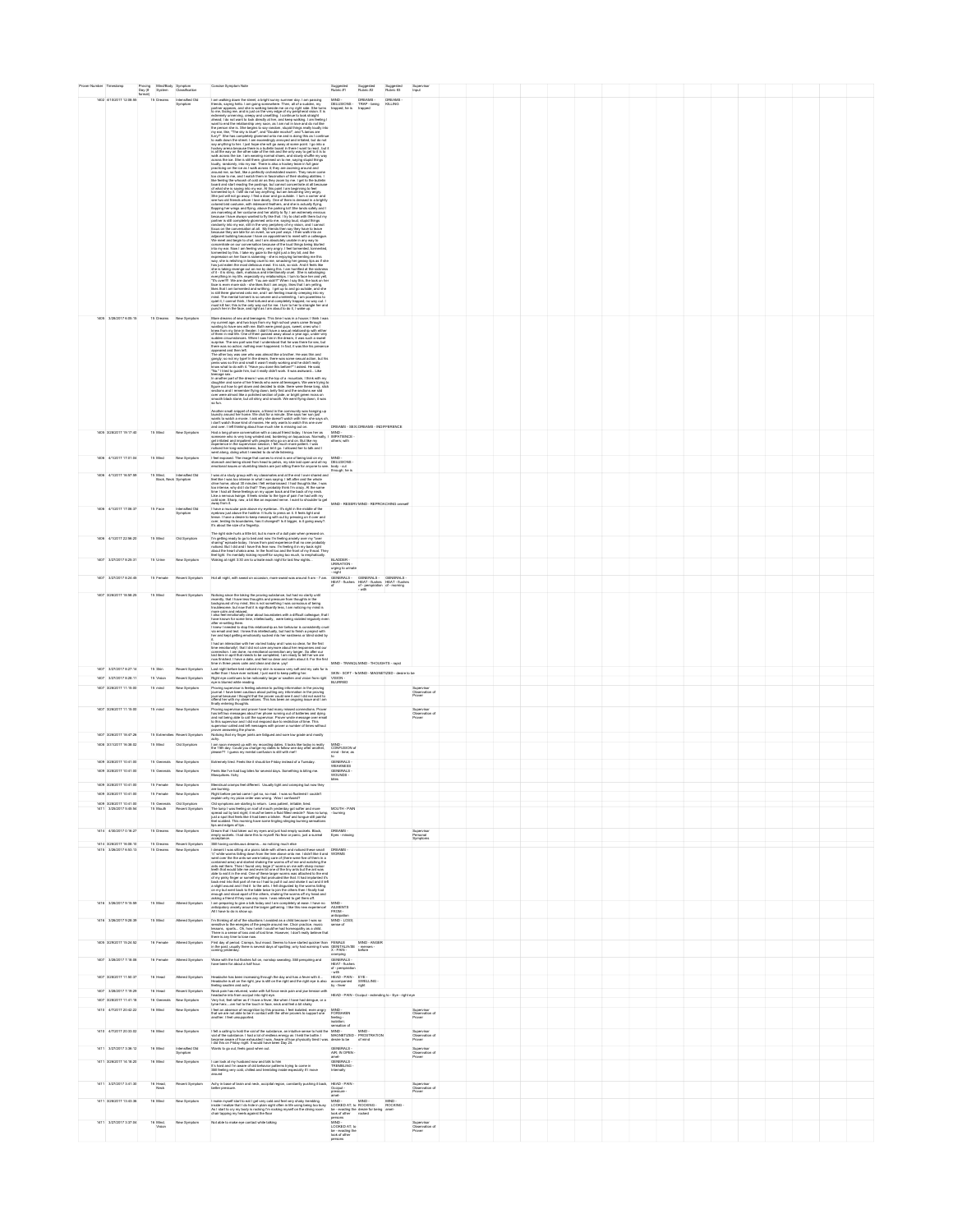| Prover Number Timestamp |                                                   | Proving Mind/Body Symptom<br>Day (# System Classification<br>format) |                                                   | Concise Sy                                                                                                                                                                                                                                                                                                                                                                                                                                                  | Suggested<br>Rubric #1                                                                                                                                                            | Suggested Suggested<br>Rubric #2 Rubric #3 | Superviso<br>Input                 |                                        |  |  |  |  |  |  |
|-------------------------|---------------------------------------------------|----------------------------------------------------------------------|---------------------------------------------------|-------------------------------------------------------------------------------------------------------------------------------------------------------------------------------------------------------------------------------------------------------------------------------------------------------------------------------------------------------------------------------------------------------------------------------------------------------------|-----------------------------------------------------------------------------------------------------------------------------------------------------------------------------------|--------------------------------------------|------------------------------------|----------------------------------------|--|--|--|--|--|--|
|                         | 1402 4/10/2017 12:08:55                           | 15 Dreams Intensified Old<br>Symptom                                 |                                                   |                                                                                                                                                                                                                                                                                                                                                                                                                                                             |                                                                                                                                                                                   |                                            |                                    |                                        |  |  |  |  |  |  |
|                         |                                                   |                                                                      |                                                   |                                                                                                                                                                                                                                                                                                                                                                                                                                                             |                                                                                                                                                                                   |                                            |                                    |                                        |  |  |  |  |  |  |
|                         |                                                   |                                                                      |                                                   |                                                                                                                                                                                                                                                                                                                                                                                                                                                             |                                                                                                                                                                                   |                                            |                                    |                                        |  |  |  |  |  |  |
|                         |                                                   |                                                                      |                                                   |                                                                                                                                                                                                                                                                                                                                                                                                                                                             |                                                                                                                                                                                   |                                            |                                    |                                        |  |  |  |  |  |  |
|                         |                                                   |                                                                      |                                                   |                                                                                                                                                                                                                                                                                                                                                                                                                                                             |                                                                                                                                                                                   |                                            |                                    |                                        |  |  |  |  |  |  |
|                         |                                                   |                                                                      |                                                   |                                                                                                                                                                                                                                                                                                                                                                                                                                                             |                                                                                                                                                                                   |                                            |                                    |                                        |  |  |  |  |  |  |
|                         |                                                   |                                                                      |                                                   |                                                                                                                                                                                                                                                                                                                                                                                                                                                             |                                                                                                                                                                                   |                                            |                                    |                                        |  |  |  |  |  |  |
|                         |                                                   |                                                                      |                                                   |                                                                                                                                                                                                                                                                                                                                                                                                                                                             |                                                                                                                                                                                   |                                            |                                    |                                        |  |  |  |  |  |  |
|                         |                                                   |                                                                      |                                                   |                                                                                                                                                                                                                                                                                                                                                                                                                                                             |                                                                                                                                                                                   |                                            |                                    |                                        |  |  |  |  |  |  |
|                         |                                                   |                                                                      |                                                   |                                                                                                                                                                                                                                                                                                                                                                                                                                                             |                                                                                                                                                                                   |                                            |                                    |                                        |  |  |  |  |  |  |
|                         |                                                   |                                                                      |                                                   |                                                                                                                                                                                                                                                                                                                                                                                                                                                             |                                                                                                                                                                                   |                                            |                                    |                                        |  |  |  |  |  |  |
|                         |                                                   |                                                                      |                                                   |                                                                                                                                                                                                                                                                                                                                                                                                                                                             |                                                                                                                                                                                   |                                            |                                    |                                        |  |  |  |  |  |  |
|                         |                                                   |                                                                      |                                                   |                                                                                                                                                                                                                                                                                                                                                                                                                                                             |                                                                                                                                                                                   |                                            |                                    |                                        |  |  |  |  |  |  |
|                         |                                                   |                                                                      |                                                   |                                                                                                                                                                                                                                                                                                                                                                                                                                                             |                                                                                                                                                                                   |                                            |                                    |                                        |  |  |  |  |  |  |
|                         |                                                   |                                                                      |                                                   |                                                                                                                                                                                                                                                                                                                                                                                                                                                             |                                                                                                                                                                                   |                                            |                                    |                                        |  |  |  |  |  |  |
|                         |                                                   |                                                                      |                                                   |                                                                                                                                                                                                                                                                                                                                                                                                                                                             |                                                                                                                                                                                   |                                            |                                    |                                        |  |  |  |  |  |  |
|                         |                                                   |                                                                      |                                                   |                                                                                                                                                                                                                                                                                                                                                                                                                                                             |                                                                                                                                                                                   |                                            |                                    |                                        |  |  |  |  |  |  |
|                         |                                                   |                                                                      |                                                   |                                                                                                                                                                                                                                                                                                                                                                                                                                                             |                                                                                                                                                                                   |                                            |                                    |                                        |  |  |  |  |  |  |
|                         |                                                   |                                                                      |                                                   |                                                                                                                                                                                                                                                                                                                                                                                                                                                             |                                                                                                                                                                                   |                                            |                                    |                                        |  |  |  |  |  |  |
|                         |                                                   |                                                                      |                                                   | $\label{eq:2} \begin{split} \frac{1}{\left\  \left( \frac{1}{\sqrt{2}} \right)^{2} \left( \frac{1}{\sqrt{2}} \right)^{2} \left( \frac{1}{\sqrt{2}} \right)^{2} \left( \frac{1}{\sqrt{2}} \right)^{2} \left( \frac{1}{\sqrt{2}} \right)^{2} \left( \frac{1}{\sqrt{2}} \right)^{2} \left( \frac{1}{\sqrt{2}} \right)^{2} \left( \frac{1}{\sqrt{2}} \right)^{2} \left( \frac{1}{\sqrt{2}} \right)^{2} \left( \frac{1}{\sqrt{2}} \right)^{2} \left( \frac{1}{\$ |                                                                                                                                                                                   |                                            |                                    |                                        |  |  |  |  |  |  |
|                         | 3/28/2017 6:05:15                                 | 15 Dreams New Sympton                                                |                                                   |                                                                                                                                                                                                                                                                                                                                                                                                                                                             |                                                                                                                                                                                   |                                            |                                    |                                        |  |  |  |  |  |  |
|                         |                                                   |                                                                      |                                                   | More dreams of sex and beenagers. This time I was in a house; I think I was in a house; I think I was also with my field more interesting that the state of the state of the state of the state of the state of the state of                                                                                                                                                                                                                                |                                                                                                                                                                                   |                                            |                                    |                                        |  |  |  |  |  |  |
|                         |                                                   |                                                                      |                                                   |                                                                                                                                                                                                                                                                                                                                                                                                                                                             |                                                                                                                                                                                   |                                            |                                    |                                        |  |  |  |  |  |  |
|                         |                                                   |                                                                      |                                                   |                                                                                                                                                                                                                                                                                                                                                                                                                                                             |                                                                                                                                                                                   |                                            |                                    |                                        |  |  |  |  |  |  |
|                         |                                                   |                                                                      |                                                   | sudden cruceration<br>can be interest When I saler term in the cheatin, it was loos the second<br>suspense To associate that the second matrix of the second state<br>properties. The second control of the second supported in the se                                                                                                                                                                                                                      |                                                                                                                                                                                   |                                            |                                    |                                        |  |  |  |  |  |  |
|                         |                                                   |                                                                      |                                                   | "No." I tried to guide him, but it really didn't work. It was awkward Like                                                                                                                                                                                                                                                                                                                                                                                  |                                                                                                                                                                                   |                                            |                                    |                                        |  |  |  |  |  |  |
|                         |                                                   |                                                                      |                                                   |                                                                                                                                                                                                                                                                                                                                                                                                                                                             |                                                                                                                                                                                   |                                            |                                    |                                        |  |  |  |  |  |  |
|                         |                                                   |                                                                      |                                                   | Names are gones as the distance of the state of the state and the state of the state of the state of the state of the state of the state of the state of the state of the state of the state of the state of the state of the                                                                                                                                                                                                                               |                                                                                                                                                                                   |                                            |                                    |                                        |  |  |  |  |  |  |
|                         |                                                   |                                                                      |                                                   |                                                                                                                                                                                                                                                                                                                                                                                                                                                             |                                                                                                                                                                                   |                                            |                                    |                                        |  |  |  |  |  |  |
|                         |                                                   |                                                                      |                                                   |                                                                                                                                                                                                                                                                                                                                                                                                                                                             |                                                                                                                                                                                   |                                            |                                    |                                        |  |  |  |  |  |  |
|                         |                                                   |                                                                      |                                                   | Another small snippet of dream, a friend in the community was hanging up<br>liaundy around her home. We chat for a minute. She asys her son just<br>wards to watch a movie. I ask why also doesn't watch with hire- also says on,<br>i                                                                                                                                                                                                                      |                                                                                                                                                                                   | DREAMS - SEXLOREAMS - INDIFFERENCE         |                                    |                                        |  |  |  |  |  |  |
|                         | 1405 3/28/2017 19:17:40                           | 15 Mind                                                              | New Symptom                                       |                                                                                                                                                                                                                                                                                                                                                                                                                                                             |                                                                                                                                                                                   |                                            |                                    |                                        |  |  |  |  |  |  |
|                         |                                                   |                                                                      |                                                   | also over the transverse conversation with a causal finited below. The main of the state of the state of the state of the state of the state of the state of the state of the state of the state of the state of the state of                                                                                                                                                                                                                               |                                                                                                                                                                                   |                                            |                                    |                                        |  |  |  |  |  |  |
|                         | 1406 4/1/2017 17:01:04                            | 15 Mind                                                              | New Symptom                                       |                                                                                                                                                                                                                                                                                                                                                                                                                                                             |                                                                                                                                                                                   |                                            |                                    |                                        |  |  |  |  |  |  |
|                         |                                                   |                                                                      |                                                   | were average using the image that consists must be mixed to their plaid on my MIND -<br>I storiach and Deing siliced from heats to paints is one of being laid on my MIND -<br>istoriach and Deing siliced from heats to paints, my                                                                                                                                                                                                                         |                                                                                                                                                                                   |                                            |                                    |                                        |  |  |  |  |  |  |
|                         | 1406 4/1/2017 16:57:59                            | 15 Mind, Intensified Old<br>Back, Neck Symptom                       |                                                   |                                                                                                                                                                                                                                                                                                                                                                                                                                                             |                                                                                                                                                                                   |                                            |                                    |                                        |  |  |  |  |  |  |
|                         |                                                   |                                                                      |                                                   | I was at a study group with my class<br>amates and at the end I over shared and level feed that the two to the<br>sea of the line of the controllation of the line sample). In<br>the factor of the sea of the sea of the study of the                                                                                                                                                                                                                      |                                                                                                                                                                                   |                                            |                                    |                                        |  |  |  |  |  |  |
|                         |                                                   |                                                                      |                                                   | away from it.                                                                                                                                                                                                                                                                                                                                                                                                                                               |                                                                                                                                                                                   | MIND - RESERV MIND - REPROACHING oneself   |                                    |                                        |  |  |  |  |  |  |
|                         | 1406 4/1/2017 17:06:37                            | 15 Face                                                              | <b>Intersified Old</b><br>Symptom                 | away from it.<br>It have a muscular pain above my eyebrow. It's right in the middle of the eyebrow just above it mainline. I<br>lambe a mass of the basic massive process of the least of the lead in the lamber.<br>It have a detaine                                                                                                                                                                                                                      |                                                                                                                                                                                   |                                            |                                    |                                        |  |  |  |  |  |  |
|                         |                                                   |                                                                      |                                                   |                                                                                                                                                                                                                                                                                                                                                                                                                                                             |                                                                                                                                                                                   |                                            |                                    |                                        |  |  |  |  |  |  |
|                         |                                                   |                                                                      |                                                   | The right side hurts a little bit, but is more of a dull pain when pressed on.                                                                                                                                                                                                                                                                                                                                                                              |                                                                                                                                                                                   |                                            |                                    |                                        |  |  |  |  |  |  |
|                         | 1406 4/1/2017 22:58:20                            | 15 Mind                                                              | Old Symptom                                       |                                                                                                                                                                                                                                                                                                                                                                                                                                                             |                                                                                                                                                                                   |                                            |                                    |                                        |  |  |  |  |  |  |
|                         |                                                   |                                                                      |                                                   | This region associated to get the last of the control of the state parameter of the particle parameter of the control of the state of the control of the control of the control of the control of the control of the control                                                                                                                                                                                                                                |                                                                                                                                                                                   |                                            |                                    |                                        |  |  |  |  |  |  |
|                         | 1407 3/27/2017 8:25:31                            | 15 Urine New Symptom                                                 |                                                   | Waking at night 3:30 am to urinate each night for last few nights                                                                                                                                                                                                                                                                                                                                                                                           | BLADDER -<br>URINATION                                                                                                                                                            |                                            |                                    |                                        |  |  |  |  |  |  |
|                         | 1407 3/27/2017 8:24:45                            |                                                                      |                                                   |                                                                                                                                                                                                                                                                                                                                                                                                                                                             | urging to urinate                                                                                                                                                                 |                                            |                                    |                                        |  |  |  |  |  |  |
|                         |                                                   |                                                                      |                                                   | 15 Female Recent Symptom Hot all right, with sweat on occasion, more sweat was around 5 am - 7 am CENERALS - COERRANGS - COERRANGS - Thursday 1994 C.<br>- Market St. F. Australian St. T. Australian St. T. Australian St. T. Au                                                                                                                                                                                                                           |                                                                                                                                                                                   |                                            |                                    |                                        |  |  |  |  |  |  |
|                         | 1407 3/26/2017 18:58:25                           | 15 Mind                                                              |                                                   | Flucture Symptom Medicing since the integral party purishers, but first on Cashy and the state of the proposed in the model of the proposed in the state of the proposed in the state of the proposed of the proposed in the                                                                                                                                                                                                                                |                                                                                                                                                                                   |                                            |                                    |                                        |  |  |  |  |  |  |
|                         |                                                   |                                                                      |                                                   |                                                                                                                                                                                                                                                                                                                                                                                                                                                             |                                                                                                                                                                                   |                                            |                                    |                                        |  |  |  |  |  |  |
|                         |                                                   |                                                                      |                                                   |                                                                                                                                                                                                                                                                                                                                                                                                                                                             |                                                                                                                                                                                   |                                            |                                    |                                        |  |  |  |  |  |  |
|                         |                                                   |                                                                      |                                                   | amer re-secong mem.<br>I knew I meetind to stop this relationship as her behavior is consistently cruel<br>via email and text. I knew this intellectually, but had to finish a project with<br>her and kept getting emotionally sucked                                                                                                                                                                                                                      |                                                                                                                                                                                   |                                            |                                    |                                        |  |  |  |  |  |  |
|                         |                                                   |                                                                      |                                                   |                                                                                                                                                                                                                                                                                                                                                                                                                                                             |                                                                                                                                                                                   |                                            |                                    |                                        |  |  |  |  |  |  |
|                         |                                                   |                                                                      |                                                   |                                                                                                                                                                                                                                                                                                                                                                                                                                                             |                                                                                                                                                                                   |                                            |                                    |                                        |  |  |  |  |  |  |
|                         |                                                   |                                                                      |                                                   |                                                                                                                                                                                                                                                                                                                                                                                                                                                             |                                                                                                                                                                                   |                                            |                                    |                                        |  |  |  |  |  |  |
|                         | 1407 3/27/2017 8:27:14                            | 15 Skin                                                              | Recent Symptom                                    | It, and an interaction with the last that pay and the same of the first state. The main of the same interaction of the same of the same of the same of the same of the same of the same of the same of the same of the same o                                                                                                                                                                                                                               |                                                                                                                                                                                   |                                            |                                    |                                        |  |  |  |  |  |  |
|                         | 1407 3/27/2017 8:28:11<br>1407 3/26/2017 11:15:00 | 15 mind                                                              | 15 Vision Recent Symptom<br>New Symptom           |                                                                                                                                                                                                                                                                                                                                                                                                                                                             |                                                                                                                                                                                   |                                            |                                    |                                        |  |  |  |  |  |  |
|                         |                                                   |                                                                      |                                                   | when us supervisor is feeling adverse to putting information in the proving<br>pourmal. I have been cautious about putting any information in the proving<br>pourmal because I thought that the prover could see it and I did not wa                                                                                                                                                                                                                        |                                                                                                                                                                                   |                                            |                                    |                                        |  |  |  |  |  |  |
|                         | 1407 3/26/2017 11:15:00                           | 15 mind New Symptom                                                  |                                                   | inally entering thoughts.                                                                                                                                                                                                                                                                                                                                                                                                                                   |                                                                                                                                                                                   |                                            |                                    |                                        |  |  |  |  |  |  |
|                         |                                                   |                                                                      |                                                   | Proving supervisor and prover have had many missed connections. Prover has left two measuges about her phone running out of batteries and dying and infinite and distinguish to call the supervisor. Though a batteries and dy                                                                                                                                                                                                                              |                                                                                                                                                                                   |                                            |                                    | Observation of                         |  |  |  |  |  |  |
|                         |                                                   |                                                                      |                                                   | supervisor called and left messages with prover a number of times without<br>prover ansy<br>ering the phone                                                                                                                                                                                                                                                                                                                                                 |                                                                                                                                                                                   |                                            |                                    |                                        |  |  |  |  |  |  |
|                         | 1407 3/26/2017 18:47:26                           |                                                                      | 15 Extremities Recent Symptom                     | Noticing that my finger joints are fatigued and sore low grade and mostly                                                                                                                                                                                                                                                                                                                                                                                   |                                                                                                                                                                                   |                                            |                                    |                                        |  |  |  |  |  |  |
|                         | 1408 3/31/2017 16:38:02                           | 15 Mind Old Symptom                                                  |                                                   | achy.<br>I am soon messed up with my recording dates. It looks like today is really MIND -<br>the 15th day, Could you change my dates to follow one day after another, CONFUSION of<br>please?? I guess my mental confusion is still wi                                                                                                                                                                                                                     |                                                                                                                                                                                   |                                            |                                    |                                        |  |  |  |  |  |  |
|                         | 1409 3/28/2017 10:41:00                           | 15 Generals New Symptom                                              |                                                   | Extremely tired. Feels like it should be Friday instead of a Tuesday.                                                                                                                                                                                                                                                                                                                                                                                       | GENERALS -<br>WEAKNESS                                                                                                                                                            |                                            |                                    |                                        |  |  |  |  |  |  |
|                         | 1409 3/28/2017 10:41:00                           | 15 Generals New Symptom                                              |                                                   | Feels like I've had bug bites for several days. Something is biting me.<br>Mosquitoes. Itchy                                                                                                                                                                                                                                                                                                                                                                | GENERALS<br>WOUNDS                                                                                                                                                                |                                            |                                    |                                        |  |  |  |  |  |  |
|                         | 0.41.00                                           | 15 Female                                                            |                                                   |                                                                                                                                                                                                                                                                                                                                                                                                                                                             |                                                                                                                                                                                   |                                            |                                    |                                        |  |  |  |  |  |  |
|                         | 1409 3/28/2017 10:41:00                           | 15 Female New Symptom                                                |                                                   | nemarum cremps neu consener. Lousely sgrit and coamping our now the<br>Regin below garied cares I got so, so mud. I was so flustered I couldn't<br>Regin below garied cares I got so, so mud. I was so flustered?<br>Old symptoms are s                                                                                                                                                                                                                     |                                                                                                                                                                                   |                                            |                                    |                                        |  |  |  |  |  |  |
|                         | 1409 3/28/2017 10:41:00<br>1411 3/25/2017 5:45:54 | 15 Generals Old Symptom<br>15 Mouth                                  | Recent Symptom                                    |                                                                                                                                                                                                                                                                                                                                                                                                                                                             | MOUTH - PAIN                                                                                                                                                                      |                                            |                                    |                                        |  |  |  |  |  |  |
|                         |                                                   |                                                                      |                                                   | The lump I was feeling on roof of mouth yesterday got softer and more<br>special dust by last right; it must/ve been a fluid filled vesiciar? Now no lump, - burning<br>just a spot that feels like it had been a blister. Roof and                                                                                                                                                                                                                         |                                                                                                                                                                                   |                                            |                                    |                                        |  |  |  |  |  |  |
|                         | 1414 4/30/2017 0:16:27                            | 15 Dreams New Symptom                                                |                                                   | lips and edges of lips                                                                                                                                                                                                                                                                                                                                                                                                                                      |                                                                                                                                                                                   |                                            |                                    |                                        |  |  |  |  |  |  |
|                         |                                                   |                                                                      |                                                   | Dream that I had taken out my eyes and just had empty sockets. Black, DREAMS - empty sockets. I had done this to myself. No fear or panic, just a sumaal Eyes - miss                                                                                                                                                                                                                                                                                        |                                                                                                                                                                                   |                                            | Supervisor<br>Personal<br>Symptoms |                                        |  |  |  |  |  |  |
|                         | 1414 3/26/2017 16:08:10<br>1415 3/26/2017 6:53:13 |                                                                      | 15 Dreams Recent Symptom<br>15 Dreams New Symptom | Still having continuous dreams no noticing much else<br>Software contents as examined a stronger multiplier and contents are also the stronger of the stronger of the stronger of the stronger of the stronger of the stronger of the stronger of the stronger of the stronger of the                                                                                                                                                                       |                                                                                                                                                                                   |                                            |                                    |                                        |  |  |  |  |  |  |
|                         |                                                   |                                                                      |                                                   |                                                                                                                                                                                                                                                                                                                                                                                                                                                             |                                                                                                                                                                                   |                                            |                                    |                                        |  |  |  |  |  |  |
|                         |                                                   |                                                                      |                                                   |                                                                                                                                                                                                                                                                                                                                                                                                                                                             |                                                                                                                                                                                   |                                            |                                    |                                        |  |  |  |  |  |  |
|                         |                                                   |                                                                      |                                                   |                                                                                                                                                                                                                                                                                                                                                                                                                                                             |                                                                                                                                                                                   |                                            |                                    |                                        |  |  |  |  |  |  |
|                         |                                                   |                                                                      |                                                   |                                                                                                                                                                                                                                                                                                                                                                                                                                                             |                                                                                                                                                                                   |                                            |                                    |                                        |  |  |  |  |  |  |
|                         | 1416 3/26/2017 9:15:59                            | 15 Mind                                                              | Altered Symptom                                   | SERVICE SURFACE IN THE CONTROL OF THE CONTROL CONTROL CONTROL CONTROL CONTROL CONTROL CONTROL CONTROL CONTROL CONTROL CONTROL CONTROL CONTROL CONTROL CONTROL CONTROL CONTROL CONTROL CONTROL CONTROL CONTROL CONTROL CONTROL                                                                                                                                                                                                                               |                                                                                                                                                                                   |                                            |                                    |                                        |  |  |  |  |  |  |
|                         |                                                   |                                                                      |                                                   |                                                                                                                                                                                                                                                                                                                                                                                                                                                             |                                                                                                                                                                                   |                                            |                                    |                                        |  |  |  |  |  |  |
|                         | 1416 3/26/2017 9:28:39                            | 15 Mind                                                              | Altered Symptom                                   | I'm thinking of all of the situations I avoided as a child because I was so<br>seative to the energies of the people around me. Choir practice, music<br>leasens, aports On, how I wish I could've had homeopathy as a child.<br>The                                                                                                                                                                                                                        | MND-LOSS                                                                                                                                                                          |                                            |                                    |                                        |  |  |  |  |  |  |
|                         |                                                   |                                                                      |                                                   |                                                                                                                                                                                                                                                                                                                                                                                                                                                             |                                                                                                                                                                                   |                                            |                                    |                                        |  |  |  |  |  |  |
|                         |                                                   |                                                                      |                                                   |                                                                                                                                                                                                                                                                                                                                                                                                                                                             |                                                                                                                                                                                   |                                            |                                    |                                        |  |  |  |  |  |  |
|                         | 1405 3/29/2017 15:24:52                           |                                                                      | 16 Female Altered Symptom                         |                                                                                                                                                                                                                                                                                                                                                                                                                                                             |                                                                                                                                                                                   |                                            |                                    |                                        |  |  |  |  |  |  |
|                         | 1407 3/28/2017 7:18:08                            | 16 Female                                                            | Altered Symptom                                   | First day of period. Crampa, foul mood. Seems to have atented quicker than FEMALE. MIND-ANGER<br>In the past cramply there is several days of spotting; only had warming it was CENITALIA/SE - memiss -<br>Coming years day.                                                                                                                                                                                                                                |                                                                                                                                                                                   |                                            |                                    |                                        |  |  |  |  |  |  |
|                         |                                                   |                                                                      |                                                   | Woke with the hot flashes full on, nonstop sweating. Still perspiring and have been for about a half hour.                                                                                                                                                                                                                                                                                                                                                  | GENERALS<br>of - perspiration<br>- with                                                                                                                                           |                                            |                                    |                                        |  |  |  |  |  |  |
|                         | 1407 3/28/2017 11:50:37                           | 16 Head                                                              | Altered Symptom                                   |                                                                                                                                                                                                                                                                                                                                                                                                                                                             |                                                                                                                                                                                   |                                            |                                    |                                        |  |  |  |  |  |  |
|                         | 1407 3/28/2017 7:19:29                            | 16 Head                                                              | Recent Symptom                                    |                                                                                                                                                                                                                                                                                                                                                                                                                                                             |                                                                                                                                                                                   |                                            |                                    |                                        |  |  |  |  |  |  |
|                         | 1407 3/28/2017 11:41:18                           |                                                                      | 16 Generals New Symptom                           |                                                                                                                                                                                                                                                                                                                                                                                                                                                             |                                                                                                                                                                                   |                                            |                                    |                                        |  |  |  |  |  |  |
|                         | 1410 4/7/2017 20:42:22                            | 16 Mind                                                              | New Symptom                                       | Very hot, feel rather as if I have a fever, like when I have had dengue, or a lyme herx am hot to the touch in face, neck and feel a bit shaky                                                                                                                                                                                                                                                                                                              |                                                                                                                                                                                   |                                            |                                    |                                        |  |  |  |  |  |  |
|                         |                                                   |                                                                      |                                                   | Very hot, then refine we so  the booth in face, muck and feet a bit snuery<br>I have an exceeding the state of recognition by the price section and the state and the state and the fluctual<br>I that we are not able to be in c                                                                                                                                                                                                                           | sensation of                                                                                                                                                                      |                                            |                                    | Supervisor<br>Observation of<br>Prover |  |  |  |  |  |  |
|                         | 1410 4/7/2017 20:33:02                            | 16 Mind                                                              | New Symptom                                       |                                                                                                                                                                                                                                                                                                                                                                                                                                                             |                                                                                                                                                                                   |                                            |                                    |                                        |  |  |  |  |  |  |
|                         | 1411 3/27/2017 3:36:12                            | 16 Mind                                                              |                                                   | 1 fait a calling to hold the vial of the substance, an imative sense to hold the MIND - MIND - Wild of the autobiance. It had also of read and any an intell the best let in MICENET ATION because on the and the substantial<br>Wants to go out, feels good when out                                                                                                                                                                                       |                                                                                                                                                                                   |                                            |                                    | Supervisor<br>Observation of<br>Prover |  |  |  |  |  |  |
|                         |                                                   |                                                                      | <b>Intersified Old</b><br>Symptom                 |                                                                                                                                                                                                                                                                                                                                                                                                                                                             | GENERALS -<br>AIR; IN OPEN -                                                                                                                                                      |                                            |                                    | Supervisor<br>Observation of<br>Prover |  |  |  |  |  |  |
|                         | 1411 3/26/2017 14:18:20                           | 16 Mind                                                              | New Symptom                                       |                                                                                                                                                                                                                                                                                                                                                                                                                                                             | GENERALS -<br>TREMBLING -<br>Internally                                                                                                                                           |                                            |                                    |                                        |  |  |  |  |  |  |
|                         |                                                   |                                                                      |                                                   | I can look at my husband now and talk to him<br>If is hard and I'm aware of old behavior patterns trying to come in<br>Still feeling very cold, chilled and trembling inside expecially if I move<br>around                                                                                                                                                                                                                                                 |                                                                                                                                                                                   |                                            |                                    |                                        |  |  |  |  |  |  |
|                         | 1411 3/27/2017 3:41:30                            | <sup>16</sup> Head,<br>Neck                                          | Recent Symptom                                    | Achy in base of brain and neck, occipital region, constantly pushing it back, HEAD - PAIN - hatter reassure                                                                                                                                                                                                                                                                                                                                                 |                                                                                                                                                                                   |                                            |                                    | Supervisor<br>Observation of<br>Prover |  |  |  |  |  |  |
|                         | 1411 3/26/2017 13:43:36                           | 16 Mind                                                              | New Symptom                                       |                                                                                                                                                                                                                                                                                                                                                                                                                                                             |                                                                                                                                                                                   | MIND -<br>ROCKING -                        |                                    |                                        |  |  |  |  |  |  |
|                         |                                                   |                                                                      |                                                   | I make myself start to eat I get very cold and feel very shaky trenthing<br>Inside I nealize that I do hide in plan sight often in life using being too busy<br>As I start to cry my body is rocking I'm rocking myself on the dinin                                                                                                                                                                                                                        |                                                                                                                                                                                   |                                            |                                    |                                        |  |  |  |  |  |  |
|                         | 1411 3/27/2017 3:37:04                            | <sup>16</sup> Mind,<br>Vision                                        | New Symptom                                       | Not able to make eye contact while talking                                                                                                                                                                                                                                                                                                                                                                                                                  | MINO - MINO -<br>LOOKED AT; to ROCKING -<br>be - evaliding the desire for being<br>look of other - rocked<br>persons<br>MND<br>LOCKED AT; to<br>be - evading the<br>look of other |                                            |                                    | Supervisor<br>Observation of<br>Prover |  |  |  |  |  |  |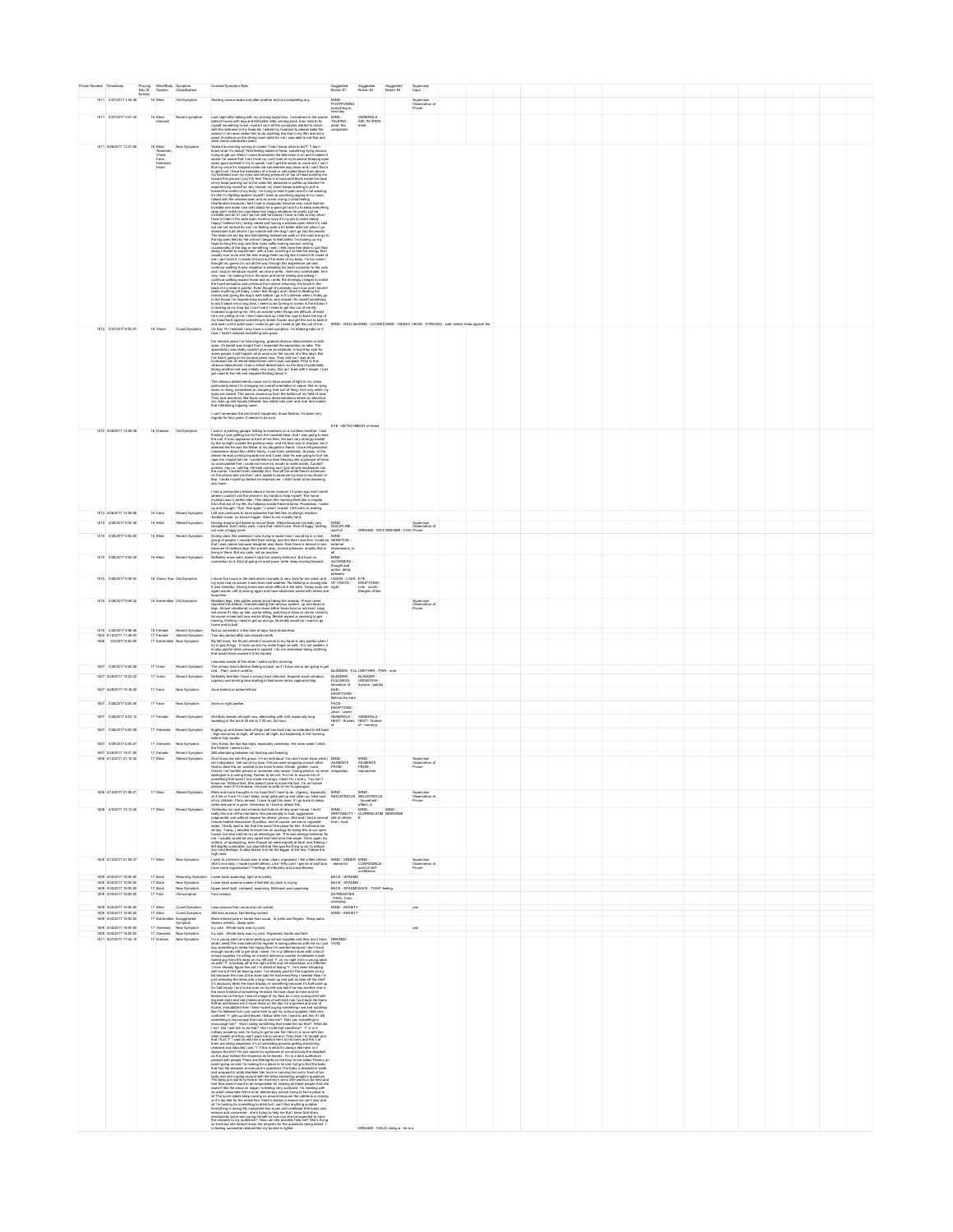| Prover Number Timestamp Proving Mind Body Symptom<br>Day of System Classification<br>format: System Classification |                                                              |                                                          | Concise Symptom Note                                                                                                                                                                                                                                                                                                                                                     |                                                         | Supposted Supposted Supposted Supervisor<br>Rubric #1 Rubric #2 Rubric #3 Input |                                        |                                                                                                |  |  |  |  |  |  |  |
|--------------------------------------------------------------------------------------------------------------------|--------------------------------------------------------------|----------------------------------------------------------|--------------------------------------------------------------------------------------------------------------------------------------------------------------------------------------------------------------------------------------------------------------------------------------------------------------------------------------------------------------------------|---------------------------------------------------------|---------------------------------------------------------------------------------|----------------------------------------|------------------------------------------------------------------------------------------------|--|--|--|--|--|--|--|
| 1411 3/27/2017 3:34:48                                                                                             |                                                              | 16 Mind Old Symptom                                      | Starting various tasks one after another and not completing any.                                                                                                                                                                                                                                                                                                         | MIND -<br>POSTPONING<br>everything to<br>mext day       |                                                                                 | Supervisor<br>Observation of<br>Prover |                                                                                                |  |  |  |  |  |  |  |
| 1411 3/27/2017 3:41:34                                                                                             |                                                              |                                                          |                                                                                                                                                                                                                                                                                                                                                                          |                                                         | GENERALS -<br>AIR: IN OPEN                                                      |                                        |                                                                                                |  |  |  |  |  |  |  |
|                                                                                                                    |                                                              |                                                          | 16 Model<br>Maceri symptom — Lastingi frankryke filozof (mytopicski polem (mytopicski princeznik a Model)<br>Maceri Samuel (mytopicski polem (mytopicski polem (mytopicski polem (mytopicski)<br>mytopicski polem (mytopicski polem                                                                                                                                      |                                                         |                                                                                 |                                        |                                                                                                |  |  |  |  |  |  |  |
|                                                                                                                    |                                                              |                                                          |                                                                                                                                                                                                                                                                                                                                                                          |                                                         |                                                                                 |                                        |                                                                                                |  |  |  |  |  |  |  |
| 1411 3/26/2017 13:27:06                                                                                            |                                                              | New Symptom                                              |                                                                                                                                                                                                                                                                                                                                                                          |                                                         |                                                                                 |                                        |                                                                                                |  |  |  |  |  |  |  |
|                                                                                                                    | 16 Mind,<br>Abdomen,<br>Chest,<br>Face,<br>Generals,<br>Head |                                                          |                                                                                                                                                                                                                                                                                                                                                                          |                                                         |                                                                                 |                                        |                                                                                                |  |  |  |  |  |  |  |
|                                                                                                                    |                                                              |                                                          |                                                                                                                                                                                                                                                                                                                                                                          |                                                         |                                                                                 |                                        |                                                                                                |  |  |  |  |  |  |  |
|                                                                                                                    |                                                              |                                                          |                                                                                                                                                                                                                                                                                                                                                                          |                                                         |                                                                                 |                                        |                                                                                                |  |  |  |  |  |  |  |
|                                                                                                                    |                                                              |                                                          |                                                                                                                                                                                                                                                                                                                                                                          |                                                         |                                                                                 |                                        |                                                                                                |  |  |  |  |  |  |  |
|                                                                                                                    |                                                              |                                                          |                                                                                                                                                                                                                                                                                                                                                                          |                                                         |                                                                                 |                                        |                                                                                                |  |  |  |  |  |  |  |
|                                                                                                                    |                                                              |                                                          |                                                                                                                                                                                                                                                                                                                                                                          |                                                         |                                                                                 |                                        |                                                                                                |  |  |  |  |  |  |  |
|                                                                                                                    |                                                              |                                                          |                                                                                                                                                                                                                                                                                                                                                                          |                                                         |                                                                                 |                                        |                                                                                                |  |  |  |  |  |  |  |
|                                                                                                                    |                                                              |                                                          |                                                                                                                                                                                                                                                                                                                                                                          |                                                         |                                                                                 |                                        |                                                                                                |  |  |  |  |  |  |  |
|                                                                                                                    |                                                              |                                                          |                                                                                                                                                                                                                                                                                                                                                                          |                                                         |                                                                                 |                                        |                                                                                                |  |  |  |  |  |  |  |
|                                                                                                                    |                                                              |                                                          | thought ok, guess I'm not all the way through this experience yet and<br>continue walking A new neighbor is wheeling his trash container to the curb<br>and I stop to introduce myself, we chat a while, I feel very corriortable, h                                                                                                                                     |                                                         |                                                                                 |                                        |                                                                                                |  |  |  |  |  |  |  |
|                                                                                                                    |                                                              |                                                          |                                                                                                                                                                                                                                                                                                                                                                          |                                                         |                                                                                 |                                        |                                                                                                |  |  |  |  |  |  |  |
|                                                                                                                    |                                                              |                                                          |                                                                                                                                                                                                                                                                                                                                                                          |                                                         |                                                                                 |                                        |                                                                                                |  |  |  |  |  |  |  |
|                                                                                                                    |                                                              |                                                          |                                                                                                                                                                                                                                                                                                                                                                          |                                                         |                                                                                 |                                        |                                                                                                |  |  |  |  |  |  |  |
|                                                                                                                    |                                                              |                                                          | and II also to freedom a model, we disk a select that we consider the selection of the selection of the selection of the selection of the selection of the selection of the selection of the selection of the selection of th                                                                                                                                            |                                                         |                                                                                 |                                        |                                                                                                |  |  |  |  |  |  |  |
| 1412 3/27/2017 6:03:07                                                                                             |                                                              | 16 Vision Cured Symptom                                  |                                                                                                                                                                                                                                                                                                                                                                          |                                                         |                                                                                 |                                        | MIND - WILD fee MIND - LOOKED MIND - HIDING - HEAD - STRIKING - wall; strikes head against the |  |  |  |  |  |  |  |
|                                                                                                                    |                                                              |                                                          | On day 16 I realized I may have a cured symptom. I'm keeping tabs on it now. I hadn't realized something was gone.                                                                                                                                                                                                                                                       |                                                         |                                                                                 |                                        |                                                                                                |  |  |  |  |  |  |  |
|                                                                                                                    |                                                              |                                                          | For several years I've had croping, gradual virtuosa delebratearia in both pointing). In each again conditation and the case of the case of the second intervals and the second section and the second section and the second                                                                                                                                            |                                                         |                                                                                 |                                        |                                                                                                |  |  |  |  |  |  |  |
|                                                                                                                    |                                                              |                                                          |                                                                                                                                                                                                                                                                                                                                                                          |                                                         |                                                                                 |                                        |                                                                                                |  |  |  |  |  |  |  |
|                                                                                                                    |                                                              |                                                          |                                                                                                                                                                                                                                                                                                                                                                          |                                                         |                                                                                 |                                        |                                                                                                |  |  |  |  |  |  |  |
|                                                                                                                    |                                                              |                                                          |                                                                                                                                                                                                                                                                                                                                                                          |                                                         |                                                                                 |                                        |                                                                                                |  |  |  |  |  |  |  |
|                                                                                                                    |                                                              |                                                          | The virtuous detachments cause me to have waves of light in my vision, particularly when Tm changing my oweral determination in space, like on lying products down in the product of the product of the product of the produc                                                                                                                                            |                                                         |                                                                                 |                                        |                                                                                                |  |  |  |  |  |  |  |
|                                                                                                                    |                                                              |                                                          | that interesting zapping noise.                                                                                                                                                                                                                                                                                                                                          |                                                         |                                                                                 |                                        |                                                                                                |  |  |  |  |  |  |  |
|                                                                                                                    |                                                              |                                                          | I can't remember the last time it happened, those flashes. It's been very regular for four years. It seems to be over.                                                                                                                                                                                                                                                   | EYE - DETACHMENT of retina                              |                                                                                 |                                        |                                                                                                |  |  |  |  |  |  |  |
| 1412 3/26/2017 12:49:36                                                                                            |                                                              | 16 Dreams Old Symptom                                    | ) was in a painting paragon, salining to survey<br>constant and model is used as $\sim$ 10 mm and approximately<br>state that the results in the set of the first share wave variety<br>depends on the set of the set of the set of the                                                                                                                                  |                                                         |                                                                                 |                                        |                                                                                                |  |  |  |  |  |  |  |
|                                                                                                                    |                                                              |                                                          |                                                                                                                                                                                                                                                                                                                                                                          |                                                         |                                                                                 |                                        |                                                                                                |  |  |  |  |  |  |  |
|                                                                                                                    |                                                              |                                                          |                                                                                                                                                                                                                                                                                                                                                                          |                                                         |                                                                                 |                                        |                                                                                                |  |  |  |  |  |  |  |
|                                                                                                                    |                                                              |                                                          |                                                                                                                                                                                                                                                                                                                                                                          |                                                         |                                                                                 |                                        |                                                                                                |  |  |  |  |  |  |  |
|                                                                                                                    |                                                              |                                                          |                                                                                                                                                                                                                                                                                                                                                                          |                                                         |                                                                                 |                                        |                                                                                                |  |  |  |  |  |  |  |
|                                                                                                                    |                                                              |                                                          |                                                                                                                                                                                                                                                                                                                                                                          |                                                         |                                                                                 |                                        |                                                                                                |  |  |  |  |  |  |  |
|                                                                                                                    |                                                              |                                                          | I had a premoritory dream about a home invasion 14 years ago next month where I couldn't use that the phone in my hands to help myself. The home invariant is more in the stress of the stress of the stress of the stress of                                                                                                                                            |                                                         |                                                                                 |                                        |                                                                                                |  |  |  |  |  |  |  |
| 1412 3/26/2017 14:09:56<br>1415 3/28/2017 9:43:48                                                                  | 16 Face<br>16 Mind                                           | Recent Symptom<br>Altered Symptom                        | Left eye continues to have episodes that feel like an allergic reaction.<br>Sudden orset, no known trigger. Want to rub it really hard.<br>Left are control to be taxed eigenst that the state are non-particular and the state of the state of the state of the state of the state of the state of the state of the state of the state of the state of the state of the |                                                         |                                                                                 |                                        |                                                                                                |  |  |  |  |  |  |  |
|                                                                                                                    |                                                              |                                                          |                                                                                                                                                                                                                                                                                                                                                                          |                                                         | Supervisor<br>DREAMS - WATI DREAMS - FOG Prover                                 |                                        |                                                                                                |  |  |  |  |  |  |  |
| 1415 3/28/2017 9:54:20                                                                                             | 16 Mind                                                      | Recent Symptom                                           |                                                                                                                                                                                                                                                                                                                                                                          |                                                         |                                                                                 |                                        |                                                                                                |  |  |  |  |  |  |  |
| 1415 3/28/2017 9:55:29                                                                                             | 16 Mind                                                      | Recent Symptom                                           |                                                                                                                                                                                                                                                                                                                                                                          |                                                         |                                                                                 |                                        |                                                                                                |  |  |  |  |  |  |  |
|                                                                                                                    |                                                              |                                                          |                                                                                                                                                                                                                                                                                                                                                                          |                                                         |                                                                                 |                                        |                                                                                                |  |  |  |  |  |  |  |
| 1415 3/28/2017 9:39:02                                                                                             |                                                              | 16 Vision, Eye Old Symptom                               |                                                                                                                                                                                                                                                                                                                                                                          |                                                         |                                                                                 |                                        |                                                                                                |  |  |  |  |  |  |  |
|                                                                                                                    |                                                              |                                                          | I drove five hours in the dark which normally is very hard for me vision and VISION - LOSS (EYE).<br>my great had no last also as a security and the state of the state particles and the state of the state of the<br>it was sheade                                                                                                                                     |                                                         |                                                                                 |                                        |                                                                                                |  |  |  |  |  |  |  |
| 1415 3/28/2017 9:49:32                                                                                             |                                                              | 16 Extremities Old Symptom                               |                                                                                                                                                                                                                                                                                                                                                                          |                                                         |                                                                                 |                                        |                                                                                                |  |  |  |  |  |  |  |
|                                                                                                                    |                                                              |                                                          | Draphrens.<br>Readings histopathen worse since taking the nemety. Prover never reported this below. Overally<br>represented in the below Committed Higgs may be a let below in the legal<br>stage. Almost vibrational, to calm down eit                                                                                                                                  |                                                         |                                                                                 | Observation of<br>Prover               |                                                                                                |  |  |  |  |  |  |  |
| 1415 3/28/2017 9:56:48                                                                                             |                                                              | 16 Female Recent Symptom                                 | Not so consistent, a few time of days have leukonhea                                                                                                                                                                                                                                                                                                                     |                                                         |                                                                                 |                                        |                                                                                                |  |  |  |  |  |  |  |
| 1404 4/10/2017 11:45:03<br>1406 4/3/2017 8:52:00                                                                   |                                                              | 17 Fernale Altered Symptom<br>17 Extremities New Symptom |                                                                                                                                                                                                                                                                                                                                                                          |                                                         |                                                                                 |                                        |                                                                                                |  |  |  |  |  |  |  |
|                                                                                                                    |                                                              |                                                          | Ned So Collenaurs, a way aren' of target were revenues<br>Two-day pariod after one missed month.<br>Two day pariod after one missed month.<br>Try to grip things. It husts up into my inductinger as well. It is not swothen, it<br>is als                                                                                                                               |                                                         |                                                                                 |                                        |                                                                                                |  |  |  |  |  |  |  |
|                                                                                                                    |                                                              |                                                          |                                                                                                                                                                                                                                                                                                                                                                          |                                                         |                                                                                 |                                        |                                                                                                |  |  |  |  |  |  |  |
| 1407 3/20/2017 8:04:29<br>1407 3/29/2017 19:23:22                                                                  | 17 Urine                                                     | 17 Urine Recent Symptom<br>Recent Symptom                | : I became aware of this when I woke up this morning.<br>The convey pact photoshop leads, as if I have one of an going to get<br>Cadratoly lead like I have a unitary best infection, frequent small unitarion. BLADDER - BLADDER -<br>                                                                                                                                  |                                                         |                                                                                 |                                        |                                                                                                |  |  |  |  |  |  |  |
| 1407 3/29/2017 19:18:42                                                                                            |                                                              |                                                          | 17 Face New Symptom Acne behind or below left ear                                                                                                                                                                                                                                                                                                                        | EAR -<br>ERUPTIONS -                                    |                                                                                 |                                        |                                                                                                |  |  |  |  |  |  |  |
| 1407 3/20/2017 8:00:28                                                                                             |                                                              |                                                          | 17 Face New Symptom Acne on right lawfine                                                                                                                                                                                                                                                                                                                                | <b>Behind the ears</b>                                  |                                                                                 |                                        |                                                                                                |  |  |  |  |  |  |  |
|                                                                                                                    |                                                              |                                                          |                                                                                                                                                                                                                                                                                                                                                                          | FACE -<br>ERUPTIONS -<br>Jawa - Lower                   |                                                                                 |                                        |                                                                                                |  |  |  |  |  |  |  |
| 1407 3/29/2017 8:03:10                                                                                             |                                                              |                                                          | 17 Fernale Recent Symptom Hot flash sweats all night now, alternating with chili, especially long sweating in the am 6:30 am to 7:30 am, full hour.                                                                                                                                                                                                                      | GENERALS - GENERALS -<br>HEAT - fusives HEAT - fusives  |                                                                                 |                                        |                                                                                                |  |  |  |  |  |  |  |
| 1407 3/20/2017 8:02:09                                                                                             |                                                              | 17 Generals Recent Symptom                               | tingling up and down back of legs and low back has no extended to full back<br>. legs and arms at right, off and on all right, but expecially in the morning<br>before fully awake                                                                                                                                                                                       |                                                         |                                                                                 |                                        |                                                                                                |  |  |  |  |  |  |  |
| 1407 3/29/2017 8:05:27                                                                                             |                                                              | 17 Generals New Symptom                                  | Very thirsty the last few days, especially yesterday, the more water I drink, the thirstier I seem to he                                                                                                                                                                                                                                                                 |                                                         |                                                                                 |                                        |                                                                                                |  |  |  |  |  |  |  |
| 1407 3/29/2017 19:21:00<br>1408 4/12/2017 21:10:43                                                                 | 17 Mind                                                      | 17 Female Recent Symptom<br>Altered Symptom              | Still alternating between hot flushing and freezing.                                                                                                                                                                                                                                                                                                                     |                                                         |                                                                                 | Supervisor<br>Observation of<br>Prover |                                                                                                |  |  |  |  |  |  |  |
|                                                                                                                    |                                                              |                                                          | Don't tump me into the group. Tm an individual. <sup>Y</sup> ou don't even know what 1 MIND-001 thrighten. Cell out of my face. Felt we were singing at each other 178 - ATLMENTS that be countered in the main term of the main term in                                                                                                                                 |                                                         | MND -<br>AILMENTS<br>FROM -<br>reproaches                                       |                                        |                                                                                                |  |  |  |  |  |  |  |
|                                                                                                                    |                                                              |                                                          | something that wasn't true made me angry. Claim fm x and y. You don't<br>know me. Without fact. She doesn't care to know the fact. I'm an honest<br>person, even if I'm evasive. Unusual to write to her to apologize.                                                                                                                                                   |                                                         |                                                                                 |                                        |                                                                                                |  |  |  |  |  |  |  |
| 1408 4/12/2017 21:06:21                                                                                            |                                                              | 17 Mind Altered Symptom                                  | person, even if fm. evaluation. Untursal for which their be apologize.<br>More and more thoughts in my head that I have to do. Urgency, especially MIND:<br>at 4 am or 5 am. If I can't bleep, omgl gotte get up and clean up, tak                                                                                                                                       |                                                         |                                                                                 | Supervisor<br>Observation of<br>Prover |                                                                                                |  |  |  |  |  |  |  |
| 1408 4/3/2017 10:13:45                                                                                             | 17 Mind                                                      | Recent Symptom                                           |                                                                                                                                                                                                                                                                                                                                                                          |                                                         |                                                                                 |                                        |                                                                                                |  |  |  |  |  |  |  |
|                                                                                                                    |                                                              |                                                          | wake and panne is gone. Artstesse of Thire is allows that space house, 1 don't MINO.<br>The state of the state of the state of the state of the state of the state of the state of the state of the st<br>The state of the state of                                                                                                                                      |                                                         |                                                                                 |                                        |                                                                                                |  |  |  |  |  |  |  |
|                                                                                                                    |                                                              |                                                          |                                                                                                                                                                                                                                                                                                                                                                          |                                                         |                                                                                 |                                        |                                                                                                |  |  |  |  |  |  |  |
|                                                                                                                    |                                                              |                                                          | remata healad discussion of politics, and of course, we are on opposite<br>assigns. I finally said to but that this wasn't the place for this. It continues in<br>all the state of the state of the matching in the state of the st                                                                                                                                      |                                                         |                                                                                 |                                        |                                                                                                |  |  |  |  |  |  |  |
| 1408 4/12/2017 21:09:37                                                                                            | 17 Mind                                                      | New Symptom                                              | high road.                                                                                                                                                                                                                                                                                                                                                               |                                                         |                                                                                 |                                        |                                                                                                |  |  |  |  |  |  |  |
|                                                                                                                    |                                                              |                                                          | I went to a friend's house who is neat, clean, organized. I felt a little inferior. MIND - ORDER MIND -<br>She's rice largy, I made myself inferior. Like "Why can't I get rid of stuff and - desire for CONFIRM have some organi                                                                                                                                        |                                                         | CONFIDENCE -<br>want of self<br>confidence                                      | Observation of                         |                                                                                                |  |  |  |  |  |  |  |
| 1409 3/30/2017 18:00:00<br>1409 3/30/2017 18:00:00<br>1400 3/30/2017 18:00:00                                      | 17 Back<br>17 Back                                           | New Symptom<br>New Symptom                               | Returning Symptom Lower back spasming, tight and crinkly<br>Lower back spasms makes it feel like my back is crying.                                                                                                                                                                                                                                                      | BACK - SPASMS<br><b>RACK - RIPARRING</b>                |                                                                                 |                                        |                                                                                                |  |  |  |  |  |  |  |
| 1409 3/30/2017 18:00:00                                                                                            | 17 Back<br>17 Feet                                           | Old symptom                                              | Upper back tight, cramped, spasming. Mid-back was spass<br>ming.<br>Foot cramps                                                                                                                                                                                                                                                                                          | EXTREMITIES                                             | BACK - SPASMEBACK - TIGHT feeling                                               |                                        |                                                                                                |  |  |  |  |  |  |  |
| 1409 3/30/2017 18:00:00                                                                                            | 17 Mind                                                      | Cured Symptom                                            | Less anxious than usual and not rushed                                                                                                                                                                                                                                                                                                                                   | - PAIN - Feet -<br>reamning<br>samping<br>MND - ANXIETY |                                                                                 | yes                                    |                                                                                                |  |  |  |  |  |  |  |
| 1409 3/30/2017 18:00:00<br>1409 3/30/2017 18:00:00                                                                 | 17 Mind                                                      | Cured Symptom<br>17 Extremities Exaggerated<br>Symptom   | Still less anxious. Not feeling rushed.<br>More intense pain in hands then usual. In joints and fingers. Deep pains.<br>Seems arthritic. Deep ache.                                                                                                                                                                                                                      | MIND - ANXIETY                                          |                                                                                 |                                        |                                                                                                |  |  |  |  |  |  |  |
| 00.051 11050201 0041<br>1409 3/30/2017 18:00:00                                                                    | 17 Generals                                                  | 17 Generals New Symptom<br>17 Generals New Symptom       | lcy cold. Whole body was icy cold.<br>lcy cold. Whole body was icy cold. Especially hands and feet.                                                                                                                                                                                                                                                                      |                                                         |                                                                                 | yes                                    |                                                                                                |  |  |  |  |  |  |  |
| 1411 3/27/2017 17:43:15                                                                                            |                                                              | 17 Dreams New Symptom                                    |                                                                                                                                                                                                                                                                                                                                                                          |                                                         |                                                                                 |                                        |                                                                                                |  |  |  |  |  |  |  |
|                                                                                                                    |                                                              |                                                          |                                                                                                                                                                                                                                                                                                                                                                          |                                                         |                                                                                 |                                        |                                                                                                |  |  |  |  |  |  |  |
|                                                                                                                    |                                                              |                                                          |                                                                                                                                                                                                                                                                                                                                                                          |                                                         |                                                                                 |                                        |                                                                                                |  |  |  |  |  |  |  |
|                                                                                                                    |                                                              |                                                          |                                                                                                                                                                                                                                                                                                                                                                          |                                                         |                                                                                 |                                        |                                                                                                |  |  |  |  |  |  |  |
|                                                                                                                    |                                                              |                                                          |                                                                                                                                                                                                                                                                                                                                                                          |                                                         |                                                                                 |                                        |                                                                                                |  |  |  |  |  |  |  |
|                                                                                                                    |                                                              |                                                          | by the state of the state of the state of the state of the state of the state of the state of the state of the state of the state of the state of the state of the state of the state of the state of the state of the state                                                                                                                                             |                                                         |                                                                                 |                                        |                                                                                                |  |  |  |  |  |  |  |
|                                                                                                                    |                                                              |                                                          |                                                                                                                                                                                                                                                                                                                                                                          |                                                         |                                                                                 |                                        |                                                                                                |  |  |  |  |  |  |  |
|                                                                                                                    |                                                              |                                                          |                                                                                                                                                                                                                                                                                                                                                                          |                                                         |                                                                                 |                                        |                                                                                                |  |  |  |  |  |  |  |
|                                                                                                                    |                                                              |                                                          |                                                                                                                                                                                                                                                                                                                                                                          |                                                         |                                                                                 |                                        |                                                                                                |  |  |  |  |  |  |  |
|                                                                                                                    |                                                              |                                                          |                                                                                                                                                                                                                                                                                                                                                                          |                                                         |                                                                                 |                                        |                                                                                                |  |  |  |  |  |  |  |
|                                                                                                                    |                                                              |                                                          | always like this? He just raises his eyebrows at me and locks the deadbott<br>on the door behind the inspector as he leaves Tm in a dark auditorium<br>packed with people There are little lights on the floor in the aisities There                                                                                                                                     |                                                         |                                                                                 |                                        |                                                                                                |  |  |  |  |  |  |  |
|                                                                                                                    |                                                              |                                                          |                                                                                                                                                                                                                                                                                                                                                                          |                                                         |                                                                                 |                                        |                                                                                                |  |  |  |  |  |  |  |
|                                                                                                                    |                                                              |                                                          |                                                                                                                                                                                                                                                                                                                                                                          |                                                         |                                                                                 |                                        |                                                                                                |  |  |  |  |  |  |  |
|                                                                                                                    |                                                              |                                                          | event geoing on and it missioning for a phase between the stated prior by the first basis, and an appear on the stated particle of the stated particle of the stated particle of the stated particle of the state of the stat                                                                                                                                            |                                                         |                                                                                 |                                        |                                                                                                |  |  |  |  |  |  |  |
|                                                                                                                    |                                                              |                                                          | all Tre looking for something to detect but it can then stry<br>three parameters of the system of the system of the system of the<br>system of the system of the system of the system of the system of<br>the system of contained - th                                                                                                                                   |                                                         |                                                                                 |                                        |                                                                                                |  |  |  |  |  |  |  |
|                                                                                                                    |                                                              |                                                          |                                                                                                                                                                                                                                                                                                                                                                          |                                                         | REAMS - CHILD: be                                                               |                                        |                                                                                                |  |  |  |  |  |  |  |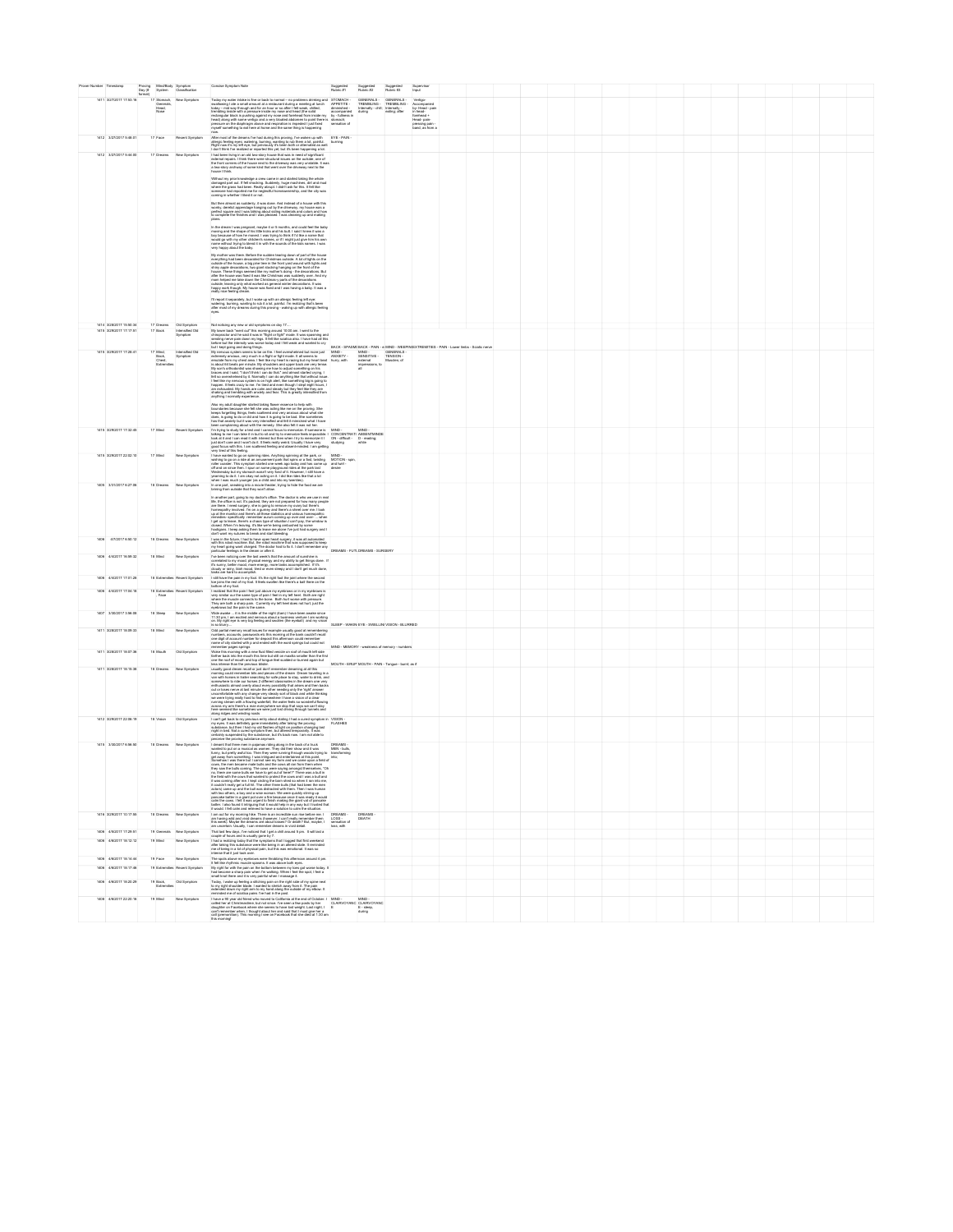| Prover Number Timestamp                            |                                                                                                                    | Proving Mind/Body Symptom<br>Day (# System Classification<br>format) | Concise Symptom Note                                                                                                                                                                                                                               | Suggested<br>Rubric #1                                    | Suggested<br>Rubric #2                                                                                    | Suggested<br>Rubric #3 | Supervisor<br>Input                                                            |  |  |  |  |  |  |  |  |
|----------------------------------------------------|--------------------------------------------------------------------------------------------------------------------|----------------------------------------------------------------------|----------------------------------------------------------------------------------------------------------------------------------------------------------------------------------------------------------------------------------------------------|-----------------------------------------------------------|-----------------------------------------------------------------------------------------------------------|------------------------|--------------------------------------------------------------------------------|--|--|--|--|--|--|--|--|
| 1411 3/27/2017 17:53:16                            |                                                                                                                    | 17 Stomach, New Symptom                                              | Today my water inteles is first or back to normal – no problems drinking and $SU(MCc)$ +seatening) and a streak encode of the seated material problem is the streak of the streak of the streak of the streak of the streak of t                   |                                                           |                                                                                                           |                        |                                                                                |  |  |  |  |  |  |  |  |
|                                                    | Generals,<br>Head,<br>Nose                                                                                         |                                                                      |                                                                                                                                                                                                                                                    | APPETITE<br>diminished<br>accompanied<br>by - fullness in | GENERALS GENERALS -<br>TREMBLING - TREMBLING -<br>Internaty - chil; Internaty -<br>during - eating, after |                        | Vertigo<br>Accompanied<br>by-Head - pain<br>in head<br>forehead +<br>Mond anis |  |  |  |  |  |  |  |  |
|                                                    |                                                                                                                    |                                                                      |                                                                                                                                                                                                                                                    |                                                           |                                                                                                           |                        | Head-pai                                                                       |  |  |  |  |  |  |  |  |
|                                                    |                                                                                                                    |                                                                      |                                                                                                                                                                                                                                                    |                                                           |                                                                                                           |                        | pressing pain -<br>band, as from a                                             |  |  |  |  |  |  |  |  |
| 1412 3/27/2017 5:48:01                             |                                                                                                                    | 17 Face Recent Symptom                                               | After most of the dreams I've had during this proving. I've woken up with $EYE - PANN - EVE - PANN - algorithm$ (allegic feeling eyes: watering, borning , warming on rub them a tot, paintiful explanation of the state of the state of the state |                                                           |                                                                                                           |                        |                                                                                |  |  |  |  |  |  |  |  |
| 1412 3/27/2017 5:44:00                             |                                                                                                                    | 17 Dreams New Symptom                                                |                                                                                                                                                                                                                                                    |                                                           |                                                                                                           |                        |                                                                                |  |  |  |  |  |  |  |  |
|                                                    |                                                                                                                    |                                                                      | I had been living in an old hoo-story house that was in need of significant exchamal regains. It think there were approach the force of the channel of the channel of the channel of the channel of the channel of the channel                     |                                                           |                                                                                                           |                        |                                                                                |  |  |  |  |  |  |  |  |
|                                                    |                                                                                                                    |                                                                      |                                                                                                                                                                                                                                                    |                                                           |                                                                                                           |                        |                                                                                |  |  |  |  |  |  |  |  |
|                                                    |                                                                                                                    |                                                                      | Without my prior knowledge a crew came in and started taking the whole<br>damaged part out. If felt shocking. Suddenly, huge machines, dirt and mud<br>where the grass had been. Really abrupt. I didn't ask for this. It felt like<br>            |                                                           |                                                                                                           |                        |                                                                                |  |  |  |  |  |  |  |  |
|                                                    |                                                                                                                    |                                                                      | coming in whether I liked it or not.                                                                                                                                                                                                               |                                                           |                                                                                                           |                        |                                                                                |  |  |  |  |  |  |  |  |
|                                                    |                                                                                                                    |                                                                      |                                                                                                                                                                                                                                                    |                                                           |                                                                                                           |                        |                                                                                |  |  |  |  |  |  |  |  |
|                                                    |                                                                                                                    |                                                                      | But then almost as sudderly, it was done. And instead of a house with this worldy, deraild appendige hanging out by the distribution parts a line paint of the paint of the paint of the paint of the paint of the paint of th                     |                                                           |                                                                                                           |                        |                                                                                |  |  |  |  |  |  |  |  |
|                                                    |                                                                                                                    |                                                                      |                                                                                                                                                                                                                                                    |                                                           |                                                                                                           |                        |                                                                                |  |  |  |  |  |  |  |  |
|                                                    |                                                                                                                    |                                                                      | In the dreams I weak pregnant, maybe 4 or 5 months, and could feel the baby moving and the absence of his little ideals and it is but. I said I know it was a boy because of how he moved. I was bying to think if it like a                       |                                                           |                                                                                                           |                        |                                                                                |  |  |  |  |  |  |  |  |
|                                                    |                                                                                                                    |                                                                      |                                                                                                                                                                                                                                                    |                                                           |                                                                                                           |                        |                                                                                |  |  |  |  |  |  |  |  |
|                                                    |                                                                                                                    |                                                                      |                                                                                                                                                                                                                                                    |                                                           |                                                                                                           |                        |                                                                                |  |  |  |  |  |  |  |  |
|                                                    |                                                                                                                    |                                                                      | My resolve main Peace Burbon Dia and<br>sign burbon Dia and Sales and Sales and Sales and Sales and Sales and Sales<br>(see Figure 2). The state of the November Dia and Sales and Sales and Sales and Sales and Sales and Sales an                |                                                           |                                                                                                           |                        |                                                                                |  |  |  |  |  |  |  |  |
|                                                    |                                                                                                                    |                                                                      |                                                                                                                                                                                                                                                    |                                                           |                                                                                                           |                        |                                                                                |  |  |  |  |  |  |  |  |
|                                                    |                                                                                                                    |                                                                      |                                                                                                                                                                                                                                                    |                                                           |                                                                                                           |                        |                                                                                |  |  |  |  |  |  |  |  |
|                                                    |                                                                                                                    |                                                                      |                                                                                                                                                                                                                                                    |                                                           |                                                                                                           |                        |                                                                                |  |  |  |  |  |  |  |  |
|                                                    |                                                                                                                    |                                                                      | I'll report it separately, but I woke up with an allergic feeling left eye:<br>watering, burning, wanting to rub it a lot, painful. I'm realizing that's been<br>after most of my dreams during this proving - waking up with allerg               |                                                           |                                                                                                           |                        |                                                                                |  |  |  |  |  |  |  |  |
|                                                    |                                                                                                                    |                                                                      |                                                                                                                                                                                                                                                    |                                                           |                                                                                                           |                        |                                                                                |  |  |  |  |  |  |  |  |
| 1414 3/28/2017 15:50:34<br>1415 3/29/2017 17:17:51 |                                                                                                                    | 17 Dreams Old Symptom<br>17 Back Intersified Old<br>Symptom          | Not noticing any new or old symptoms on day 17.                                                                                                                                                                                                    |                                                           |                                                                                                           |                        |                                                                                |  |  |  |  |  |  |  |  |
|                                                    |                                                                                                                    |                                                                      | Nis Matologie Prime on symptom and y transport<br>- September and has also the first of the first of the Least State<br>- Chapters and has also the first of the first of the space of the first of the first of the first of the f                |                                                           |                                                                                                           |                        |                                                                                |  |  |  |  |  |  |  |  |
|                                                    |                                                                                                                    |                                                                      |                                                                                                                                                                                                                                                    |                                                           |                                                                                                           |                        |                                                                                |  |  |  |  |  |  |  |  |
| 1415 3/29/2017 17:28:41                            | $\begin{tabular}{c} 17 \text{Mind}, & \text{theresified} \\ Back, & \text{Symptom} \\ Estrarišes \\ \end{tabular}$ | rsified Old                                                          | ind integrating and allows the gauge than the property of the control of the space of the space of the space of the space of the space of the space of the space of the space of the space of the space of the space of the s                      |                                                           | MND-<br>SENSITIVE - TENSION -                                                                             | Muscles; of            |                                                                                |  |  |  |  |  |  |  |  |
|                                                    |                                                                                                                    |                                                                      |                                                                                                                                                                                                                                                    |                                                           | external<br>impressions, to<br>all                                                                        |                        |                                                                                |  |  |  |  |  |  |  |  |
|                                                    |                                                                                                                    |                                                                      |                                                                                                                                                                                                                                                    |                                                           |                                                                                                           |                        |                                                                                |  |  |  |  |  |  |  |  |
|                                                    |                                                                                                                    |                                                                      |                                                                                                                                                                                                                                                    |                                                           |                                                                                                           |                        |                                                                                |  |  |  |  |  |  |  |  |
|                                                    |                                                                                                                    |                                                                      |                                                                                                                                                                                                                                                    |                                                           |                                                                                                           |                        |                                                                                |  |  |  |  |  |  |  |  |
|                                                    |                                                                                                                    |                                                                      |                                                                                                                                                                                                                                                    |                                                           |                                                                                                           |                        |                                                                                |  |  |  |  |  |  |  |  |
|                                                    |                                                                                                                    |                                                                      | Also my adult design<br>ter started taking forever essence to help with boundaries because the<br>full three conservations of the film term of the proving. She looked in<br>proving through the province of any other started and one             |                                                           |                                                                                                           |                        |                                                                                |  |  |  |  |  |  |  |  |
| 1415 3/29/2017 17:32:45                            | 17 Mind                                                                                                            | Recent Symptom                                                       |                                                                                                                                                                                                                                                    |                                                           |                                                                                                           |                        |                                                                                |  |  |  |  |  |  |  |  |
|                                                    |                                                                                                                    |                                                                      | Tra hypng to study for a basis and Cannot Ecosis to membran it accreases a difference in the state of the state and control the state of the state of the state of the state of the state of the state of the state of the st                      |                                                           |                                                                                                           |                        |                                                                                |  |  |  |  |  |  |  |  |
| 1415 3/29/2017 22:02:10                            |                                                                                                                    | 17 Mind New Symptom                                                  |                                                                                                                                                                                                                                                    |                                                           |                                                                                                           |                        |                                                                                |  |  |  |  |  |  |  |  |
|                                                    |                                                                                                                    |                                                                      |                                                                                                                                                                                                                                                    |                                                           |                                                                                                           |                        |                                                                                |  |  |  |  |  |  |  |  |
|                                                    |                                                                                                                    |                                                                      | very tree of the isomorphy energy detail. Another generalize at the spacet, we can be a smaller than the spacetime of the system of the system of the system of the system of the system of the system of the system of the s                      |                                                           |                                                                                                           |                        |                                                                                |  |  |  |  |  |  |  |  |
| 1405 3/31/2017 6:27:06                             |                                                                                                                    | 18 Dreams New Symptom                                                | In one part, sneaking into a movie theater, trying to hide the food we are<br>brining from outside that they won't allow.                                                                                                                          |                                                           |                                                                                                           |                        |                                                                                |  |  |  |  |  |  |  |  |
|                                                    |                                                                                                                    |                                                                      |                                                                                                                                                                                                                                                    |                                                           |                                                                                                           |                        |                                                                                |  |  |  |  |  |  |  |  |
|                                                    |                                                                                                                    |                                                                      | In another grads, given to respect the effects of the control and the state in the control of the state of the state of the spectrum of company in the state of the state of the state of the state of the state of the state                      |                                                           |                                                                                                           |                        |                                                                                |  |  |  |  |  |  |  |  |
|                                                    |                                                                                                                    |                                                                      |                                                                                                                                                                                                                                                    |                                                           |                                                                                                           |                        |                                                                                |  |  |  |  |  |  |  |  |
|                                                    |                                                                                                                    |                                                                      |                                                                                                                                                                                                                                                    |                                                           |                                                                                                           |                        |                                                                                |  |  |  |  |  |  |  |  |
| 1406 4/7/2017 6:50:12                              |                                                                                                                    | 18 Dreams New Symptom                                                |                                                                                                                                                                                                                                                    |                                                           |                                                                                                           |                        |                                                                                |  |  |  |  |  |  |  |  |
|                                                    |                                                                                                                    |                                                                      | I was in the future, I had to have open heart surgery, it was all automated<br>with this action machine. But, the robot machine final was supposed to keep<br>my heart going want changed. The doctor had to fix it. I don't remembe               |                                                           |                                                                                                           |                        |                                                                                |  |  |  |  |  |  |  |  |
| 1406 4/4/2017 16:59:32                             |                                                                                                                    | 18 Mind New Symptom                                                  | presences remempe 11 this chrome means of all the amount of sunshine is<br>(considered to my mood, physical energy and my ability to get through done. If<br>considered to my mood, physical energy, more tasks accomplished. If it'               |                                                           |                                                                                                           |                        |                                                                                |  |  |  |  |  |  |  |  |
| 1406 4/4/2017 17:01:28                             |                                                                                                                    | 18 Extremities Recent Symptom                                        |                                                                                                                                                                                                                                                    |                                                           |                                                                                                           |                        |                                                                                |  |  |  |  |  |  |  |  |
|                                                    |                                                                                                                    |                                                                      | state that the transformation of the first pipe of the particular and the second is also that the second that the second the particular of the second that the second the second that the second that the second that the seco                     |                                                           |                                                                                                           |                        |                                                                                |  |  |  |  |  |  |  |  |
| 1406 4/4/2017 17:04:18                             |                                                                                                                    | 18 Extremities Recent Symptom<br>Face                                |                                                                                                                                                                                                                                                    |                                                           |                                                                                                           |                        |                                                                                |  |  |  |  |  |  |  |  |
|                                                    |                                                                                                                    |                                                                      |                                                                                                                                                                                                                                                    |                                                           |                                                                                                           |                        |                                                                                |  |  |  |  |  |  |  |  |
| 1407 3/30/2017 3:56:08                             |                                                                                                                    | 18 Sleep New Symptom                                                 | Vytkovanska, "Ry Pilin andráu of ite olejt (44m) i have been meske since<br>111.30 pm, i am excludi and nervica about a businese vestire i am verking<br>18.10 by nghi eye is very big feeling and section (the eyeball) and my visi               |                                                           |                                                                                                           |                        |                                                                                |  |  |  |  |  |  |  |  |
| 1411 3/28/2017 18:09:33                            |                                                                                                                    | 18 Mind New Symptom                                                  |                                                                                                                                                                                                                                                    |                                                           |                                                                                                           |                        |                                                                                |  |  |  |  |  |  |  |  |
|                                                    |                                                                                                                    |                                                                      | In so oursy-<br>Cost partial memory secall issues for example usually good at remembering<br>numbers, accounts, passwords else this moment g at the birex couldn't recall<br>one digit of account number for disposit this affai                   |                                                           |                                                                                                           |                        |                                                                                |  |  |  |  |  |  |  |  |
| 1411 3/28/2017 18:07:36                            |                                                                                                                    | 18 Mouth Old Symptom                                                 |                                                                                                                                                                                                                                                    | MIND - MEMORY - weakness of memory - numbers              |                                                                                                           |                        |                                                                                |  |  |  |  |  |  |  |  |
|                                                    |                                                                                                                    |                                                                      | recrease payses approximate and the filled vasicle on roof of mouth left side.<br>Section the mouth that most lists in the station media smaller than the first<br>case the roof of mouth that line but still on media smaller than                | MOUTH - ERUP MOUTH - PAIN - Tongue - burnt; as if         |                                                                                                           |                        |                                                                                |  |  |  |  |  |  |  |  |
| 1411 3/28/2017 18:15:38                            |                                                                                                                    | 18 Dreams New Symptom                                                |                                                                                                                                                                                                                                                    |                                                           |                                                                                                           |                        |                                                                                |  |  |  |  |  |  |  |  |
|                                                    |                                                                                                                    |                                                                      |                                                                                                                                                                                                                                                    |                                                           |                                                                                                           |                        |                                                                                |  |  |  |  |  |  |  |  |
|                                                    |                                                                                                                    |                                                                      | on the first of first<br>the first density of the state of the state of the state of the state<br>of the state of the state of the state of the state of the state of<br>$\eta$ and the state of the state of the state of the state<br>of         |                                                           |                                                                                                           |                        |                                                                                |  |  |  |  |  |  |  |  |
|                                                    |                                                                                                                    |                                                                      |                                                                                                                                                                                                                                                    |                                                           |                                                                                                           |                        |                                                                                |  |  |  |  |  |  |  |  |
| 1412 3/29/2017 22:06:19                            |                                                                                                                    | 18 Vision Old Symptom                                                |                                                                                                                                                                                                                                                    |                                                           |                                                                                                           |                        |                                                                                |  |  |  |  |  |  |  |  |
|                                                    |                                                                                                                    |                                                                      |                                                                                                                                                                                                                                                    |                                                           |                                                                                                           |                        |                                                                                |  |  |  |  |  |  |  |  |
|                                                    |                                                                                                                    |                                                                      |                                                                                                                                                                                                                                                    |                                                           |                                                                                                           |                        |                                                                                |  |  |  |  |  |  |  |  |
| 1415 3/30/2017 6:56:50                             |                                                                                                                    | 18 Dreams New Sympton                                                |                                                                                                                                                                                                                                                    |                                                           |                                                                                                           |                        |                                                                                |  |  |  |  |  |  |  |  |
|                                                    |                                                                                                                    |                                                                      |                                                                                                                                                                                                                                                    |                                                           |                                                                                                           |                        |                                                                                |  |  |  |  |  |  |  |  |
|                                                    |                                                                                                                    |                                                                      | cows, tre men cecame make buits and the cows all ran from them when<br>they save the buils coming. The cows were saying amorgat thermelives, "Chi<br>Inc, there are some buits we have to get out of here!?" There was a bull in<br>the            |                                                           |                                                                                                           |                        |                                                                                |  |  |  |  |  |  |  |  |
|                                                    |                                                                                                                    |                                                                      | ing after me. I kept circling the barn shed so when it                                                                                                                                                                                             |                                                           |                                                                                                           |                        |                                                                                |  |  |  |  |  |  |  |  |
|                                                    |                                                                                                                    |                                                                      |                                                                                                                                                                                                                                                    |                                                           |                                                                                                           |                        |                                                                                |  |  |  |  |  |  |  |  |
|                                                    |                                                                                                                    |                                                                      | It was contributed by the Mark Theorem and the Mark Schwart and the first mean contact reality of the Mark Theorem and the Mark Theorem and the Mark Theorem and the Mark Theorem and the Mark Theorem and the Mark Theorem an                     |                                                           |                                                                                                           |                        |                                                                                |  |  |  |  |  |  |  |  |
| 1416 3/29/2017 10:17:55                            |                                                                                                                    | 18 Dreams New Symptom                                                |                                                                                                                                                                                                                                                    |                                                           | DREAMS -<br>DEATH                                                                                         |                        |                                                                                |  |  |  |  |  |  |  |  |
|                                                    |                                                                                                                    |                                                                      | I am out for my morning hike. There is an incredible sun rise before me. I DREAMS - am having wild and vivid dreams (however, I can't really remember them<br>In have all the search of the dreams are about losses? Or death? B                   |                                                           |                                                                                                           |                        |                                                                                |  |  |  |  |  |  |  |  |
| 1406 4/5/2017 17:29:51                             |                                                                                                                    | 19 Generals New Symptom<br>19 Mind New Symptom                       | That last few days, I've noticed that I get a chill around 5 pm. It will last a<br>couple of hours and is usually gone by 7.                                                                                                                       |                                                           |                                                                                                           |                        |                                                                                |  |  |  |  |  |  |  |  |
| 1406 48/2017 18:12:12                              |                                                                                                                    |                                                                      | I had a realizing today that the symptoms that I logged that first weekend after taking this substance were like being in an allened state. It reminded me of being in a lot of physical pain, but this was emotional. It was                      |                                                           |                                                                                                           |                        |                                                                                |  |  |  |  |  |  |  |  |
| 1406 4/8/2017 18:14:44                             |                                                                                                                    | 19 Face New Symptom                                                  | The spots above my eyebrows were throbbing this afternoon around 4 pm.<br>It felt like rhythmic muscle spasms. It was above both eyes.                                                                                                             |                                                           |                                                                                                           |                        |                                                                                |  |  |  |  |  |  |  |  |
| 1406 4/6/2017 18:17:46                             |                                                                                                                    | 19 Extremities Recent Symptom                                        | My right for with the pain on the bottom between my toes got worse today. It<br>had become a sharp pain when I'm walking. When I feel the spot, I feel a<br>small knot there and it is very painful when I massage it.                             |                                                           |                                                                                                           |                        |                                                                                |  |  |  |  |  |  |  |  |
| 1406 4/6/2017 18:20:29                             |                                                                                                                    | 19 Back, Old Symptom<br>Extremities                                  |                                                                                                                                                                                                                                                    |                                                           |                                                                                                           |                        |                                                                                |  |  |  |  |  |  |  |  |
|                                                    |                                                                                                                    |                                                                      |                                                                                                                                                                                                                                                    |                                                           |                                                                                                           |                        |                                                                                |  |  |  |  |  |  |  |  |
| 1408 4/6/2017 22:20:16                             |                                                                                                                    | 19 Mind New Symptom                                                  |                                                                                                                                                                                                                                                    |                                                           |                                                                                                           |                        |                                                                                |  |  |  |  |  |  |  |  |
|                                                    |                                                                                                                    |                                                                      | and any the search of the properties when the management of the species and the search of the search of the search of the search of the search of the search of the search of the search of the search of the search of the s                      |                                                           |                                                                                                           |                        |                                                                                |  |  |  |  |  |  |  |  |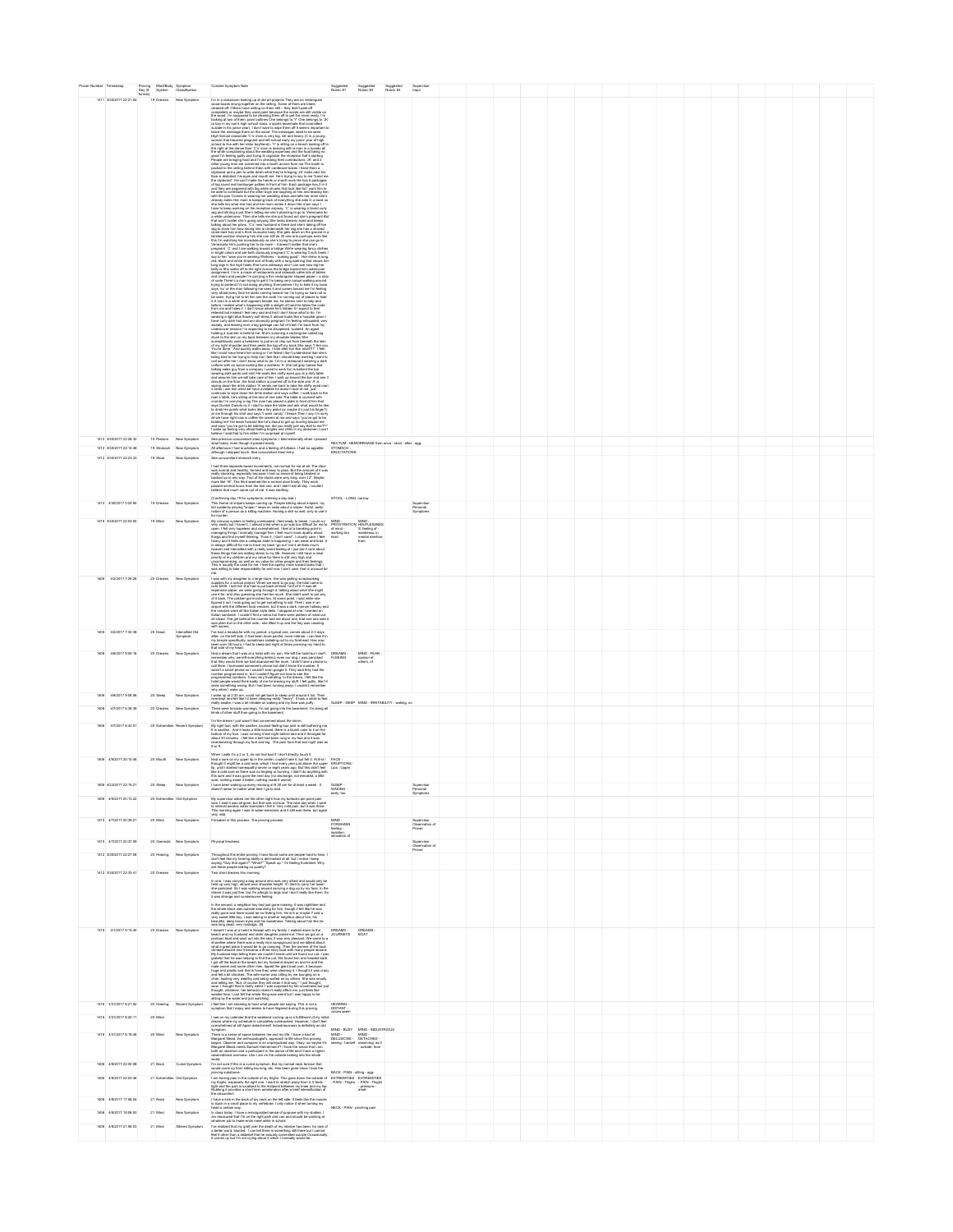|                                                                                                  |         |                                   | Prover Number Timestern Proving Mind/Body Symptom Concise Symptom Note<br>System Cassification Classification Classification                                                                                                                                                                                                                                                                                                              |                             | Supposted Supposted Supposted Supervisor<br>Rubric #1 Rubric #2 Rubric #3 Input |                                        |  |  |  |  |  |  |  |  |
|--------------------------------------------------------------------------------------------------|---------|-----------------------------------|-------------------------------------------------------------------------------------------------------------------------------------------------------------------------------------------------------------------------------------------------------------------------------------------------------------------------------------------------------------------------------------------------------------------------------------------|-----------------------------|---------------------------------------------------------------------------------|----------------------------------------|--|--|--|--|--|--|--|--|
| 1411 3/30/2017 22:21:54                                                                          |         | 19 Dreams New Symptom             |                                                                                                                                                                                                                                                                                                                                                                                                                                           |                             |                                                                                 |                                        |  |  |  |  |  |  |  |  |
|                                                                                                  |         |                                   |                                                                                                                                                                                                                                                                                                                                                                                                                                           |                             |                                                                                 |                                        |  |  |  |  |  |  |  |  |
|                                                                                                  |         |                                   |                                                                                                                                                                                                                                                                                                                                                                                                                                           |                             |                                                                                 |                                        |  |  |  |  |  |  |  |  |
|                                                                                                  |         |                                   |                                                                                                                                                                                                                                                                                                                                                                                                                                           |                             |                                                                                 |                                        |  |  |  |  |  |  |  |  |
|                                                                                                  |         |                                   |                                                                                                                                                                                                                                                                                                                                                                                                                                           |                             |                                                                                 |                                        |  |  |  |  |  |  |  |  |
|                                                                                                  |         |                                   |                                                                                                                                                                                                                                                                                                                                                                                                                                           |                             |                                                                                 |                                        |  |  |  |  |  |  |  |  |
|                                                                                                  |         |                                   |                                                                                                                                                                                                                                                                                                                                                                                                                                           |                             |                                                                                 |                                        |  |  |  |  |  |  |  |  |
|                                                                                                  |         |                                   |                                                                                                                                                                                                                                                                                                                                                                                                                                           |                             |                                                                                 |                                        |  |  |  |  |  |  |  |  |
|                                                                                                  |         |                                   |                                                                                                                                                                                                                                                                                                                                                                                                                                           |                             |                                                                                 |                                        |  |  |  |  |  |  |  |  |
|                                                                                                  |         |                                   |                                                                                                                                                                                                                                                                                                                                                                                                                                           |                             |                                                                                 |                                        |  |  |  |  |  |  |  |  |
|                                                                                                  |         |                                   |                                                                                                                                                                                                                                                                                                                                                                                                                                           |                             |                                                                                 |                                        |  |  |  |  |  |  |  |  |
|                                                                                                  |         |                                   |                                                                                                                                                                                                                                                                                                                                                                                                                                           |                             |                                                                                 |                                        |  |  |  |  |  |  |  |  |
|                                                                                                  |         |                                   |                                                                                                                                                                                                                                                                                                                                                                                                                                           |                             |                                                                                 |                                        |  |  |  |  |  |  |  |  |
|                                                                                                  |         |                                   |                                                                                                                                                                                                                                                                                                                                                                                                                                           |                             |                                                                                 |                                        |  |  |  |  |  |  |  |  |
|                                                                                                  |         |                                   |                                                                                                                                                                                                                                                                                                                                                                                                                                           |                             |                                                                                 |                                        |  |  |  |  |  |  |  |  |
|                                                                                                  |         |                                   |                                                                                                                                                                                                                                                                                                                                                                                                                                           |                             |                                                                                 |                                        |  |  |  |  |  |  |  |  |
|                                                                                                  |         |                                   |                                                                                                                                                                                                                                                                                                                                                                                                                                           |                             |                                                                                 |                                        |  |  |  |  |  |  |  |  |
|                                                                                                  |         |                                   |                                                                                                                                                                                                                                                                                                                                                                                                                                           |                             |                                                                                 |                                        |  |  |  |  |  |  |  |  |
|                                                                                                  |         |                                   |                                                                                                                                                                                                                                                                                                                                                                                                                                           |                             |                                                                                 |                                        |  |  |  |  |  |  |  |  |
|                                                                                                  |         |                                   |                                                                                                                                                                                                                                                                                                                                                                                                                                           |                             |                                                                                 |                                        |  |  |  |  |  |  |  |  |
|                                                                                                  |         |                                   |                                                                                                                                                                                                                                                                                                                                                                                                                                           |                             |                                                                                 |                                        |  |  |  |  |  |  |  |  |
|                                                                                                  |         |                                   |                                                                                                                                                                                                                                                                                                                                                                                                                                           |                             |                                                                                 |                                        |  |  |  |  |  |  |  |  |
|                                                                                                  |         |                                   |                                                                                                                                                                                                                                                                                                                                                                                                                                           |                             |                                                                                 |                                        |  |  |  |  |  |  |  |  |
|                                                                                                  |         |                                   |                                                                                                                                                                                                                                                                                                                                                                                                                                           |                             |                                                                                 |                                        |  |  |  |  |  |  |  |  |
|                                                                                                  |         |                                   |                                                                                                                                                                                                                                                                                                                                                                                                                                           |                             |                                                                                 |                                        |  |  |  |  |  |  |  |  |
|                                                                                                  |         |                                   |                                                                                                                                                                                                                                                                                                                                                                                                                                           |                             |                                                                                 |                                        |  |  |  |  |  |  |  |  |
|                                                                                                  |         |                                   | denotes the first, but have the interaction is parallel of the but since set $X$ is a small of the since the state of the since of the since of the since of the since of the since of the since of the since of the since of                                                                                                                                                                                                             |                             |                                                                                 |                                        |  |  |  |  |  |  |  |  |
| 1412 3/30/2017 22:28:32 19 Rectum New Symptom<br>1412 3/30/2017 22:14:48 19 Stornach New Symptom |         |                                   | See previous concomitent stool symptoms; I blied externally when I passed<br>stool today, even though it passed easily. [86] and a stock of RECTUM - HEMORRHAGE from anus - stool - after - agg-                                                                                                                                                                                                                                          |                             |                                                                                 |                                        |  |  |  |  |  |  |  |  |
| 1412 3/30/2017 22:23:33 19 Stool New Symptom                                                     |         |                                   | All aftermoon I had enuctations and a feeling of fullness. I had no appetite STOMACH -<br>All afterceph I skipped lunch. See concomitant stool entry. ERUCTATIONS<br>See concomitant stomach entry.                                                                                                                                                                                                                                       |                             |                                                                                 |                                        |  |  |  |  |  |  |  |  |
|                                                                                                  |         |                                   |                                                                                                                                                                                                                                                                                                                                                                                                                                           |                             |                                                                                 |                                        |  |  |  |  |  |  |  |  |
|                                                                                                  |         |                                   | I had three separate boost movements, not normal for me at all. The stock was normal and heality, formed and easily to pass. But the amount of it was could really procedure provided by the procedure of the state of the ba                                                                                                                                                                                                             |                             |                                                                                 |                                        |  |  |  |  |  |  |  |  |
|                                                                                                  |         |                                   | passed several nours not www.www.com.com<br>believe that much came out of me. It was starting.<br>(Confirming day 19 for symptoms; entering a day late.)                                                                                                                                                                                                                                                                                  | STOOL - LONG, narrow        |                                                                                 |                                        |  |  |  |  |  |  |  |  |
| 1414 4/30/2017 0:20:50                                                                           |         | 19 Dreams New Symptom             | This theme of snipers keeps coming up. People talking about snipers, my<br>kid sudderly playing "sniper," news on radio about a sniper. Awful, awful<br>notion of a person as a killing machine. Honing a skill so well, only to use                                                                                                                                                                                                      |                             |                                                                                 | Supervisor<br>Personal<br>Symptoms     |  |  |  |  |  |  |  |  |
| 1415 5/90/2017 22:53:00                                                                          |         | 19 Mind New Symptom               | for manifest the definition of the property in the latter $\mathcal{A}_k$ . However, we can consider the contract of the contract of the contract of the contract of the contract of the contract of the contract of the contract of                                                                                                                                                                                                      |                             |                                                                                 |                                        |  |  |  |  |  |  |  |  |
|                                                                                                  |         |                                   |                                                                                                                                                                                                                                                                                                                                                                                                                                           |                             |                                                                                 |                                        |  |  |  |  |  |  |  |  |
|                                                                                                  |         |                                   |                                                                                                                                                                                                                                                                                                                                                                                                                                           |                             |                                                                                 |                                        |  |  |  |  |  |  |  |  |
|                                                                                                  |         |                                   |                                                                                                                                                                                                                                                                                                                                                                                                                                           |                             |                                                                                 |                                        |  |  |  |  |  |  |  |  |
| 1405 4/2/2017 7:29:28                                                                            |         | 20 Dreams New Symptom             |                                                                                                                                                                                                                                                                                                                                                                                                                                           |                             |                                                                                 |                                        |  |  |  |  |  |  |  |  |
|                                                                                                  |         |                                   | The main five place of the large state, also was not applied accordinated to the control of the state of the state of the state of the state of the state of the state of the state of the state of the state of the state of                                                                                                                                                                                                             |                             |                                                                                 |                                        |  |  |  |  |  |  |  |  |
|                                                                                                  |         |                                   |                                                                                                                                                                                                                                                                                                                                                                                                                                           |                             |                                                                                 |                                        |  |  |  |  |  |  |  |  |
|                                                                                                  |         |                                   |                                                                                                                                                                                                                                                                                                                                                                                                                                           |                             |                                                                                 |                                        |  |  |  |  |  |  |  |  |
|                                                                                                  |         |                                   |                                                                                                                                                                                                                                                                                                                                                                                                                                           |                             |                                                                                 |                                        |  |  |  |  |  |  |  |  |
| 1405 4/2/2017 7:30:38                                                                            | 20 Head | <b>Intersified Old</b><br>Symptom | was worms.<br>The had a headache with my period- a typical one, comes about 2-3 days<br>after- on the latt side. It had been more painful, more intense. I can feat it in<br>my temple specifically, sometimes radiating out to my fore                                                                                                                                                                                                   |                             |                                                                                 |                                        |  |  |  |  |  |  |  |  |
| 1406 4/8/2017 9:05:16                                                                            |         | 20 Dreams New Symptom             | hat side of my head.                                                                                                                                                                                                                                                                                                                                                                                                                      |                             | MND - FEAR                                                                      |                                        |  |  |  |  |  |  |  |  |
|                                                                                                  |         |                                   | $\label{thm:main} \begin{minipage}[t]{0.9\textwidth} \begin{minipage}[t]{0.9\textwidth} \begin{itemize} \textbf{Hid} & \textbf{a} & \textbf{b} & \textbf{c} & \textbf{c} & \textbf{b} & \textbf{c} & \textbf{b} & \textbf{c} \\ \textbf{b1} & \textbf{a} & \textbf{b} & \textbf{c} & \textbf{b} & \textbf{b} & \textbf{c} & \textbf{b} & \textbf{c} & \textbf{b} & \textbf{c} \\ \textbf{b2} & \textbf{b3} & \textbf{c4} & \textbf{b4} &$ |                             | opinion of<br>others, of                                                        |                                        |  |  |  |  |  |  |  |  |
|                                                                                                  |         |                                   |                                                                                                                                                                                                                                                                                                                                                                                                                                           |                             |                                                                                 |                                        |  |  |  |  |  |  |  |  |
|                                                                                                  |         |                                   | call them. I homewood someoned photon but distributes the number. If we<br>assist a small photon so I couldn't lever google it. They seld they had the<br>member programmed in, but I couldn't figure out thew is due the<br>programme                                                                                                                                                                                                    |                             |                                                                                 |                                        |  |  |  |  |  |  |  |  |
| 1406 4/8/2017 9:08:06                                                                            |         | 20 Sleep New Symptom              | way www.unive.org/<br>overlangt and fat like it beam steeping nearly "haray". It took a white to feel<br>overlangt and let like it beam steeping nearly "haray". It took a white to feel<br>nearly awake, I was a bit initiatie on waki                                                                                                                                                                                                   |                             |                                                                                 |                                        |  |  |  |  |  |  |  |  |
| 1406 4/7/2017 6:38:39                                                                            |         | 20 Dreams New Symptom             | These waves to must a unconsumer our management of the basement. I'm doing all<br>These wave tornado warnings, I'm not going into the basement. I'm doing all<br>kinds of other stuff then going to the basement.<br>I'm the dream I just wasn't that concerned about the storn                                                                                                                                                           |                             |                                                                                 |                                        |  |  |  |  |  |  |  |  |
| 1406 4/7/2017 6:42:51                                                                            |         | 20 Extremities Recent Symptom     |                                                                                                                                                                                                                                                                                                                                                                                                                                           |                             |                                                                                 |                                        |  |  |  |  |  |  |  |  |
|                                                                                                  |         |                                   | In the technical plus means that the books of the plus plus in the bottlenge measurement of my detection of the plus of the plus of the books of the books of the property of the state and the state of the state of the sta                                                                                                                                                                                                             |                             |                                                                                 |                                        |  |  |  |  |  |  |  |  |
| 1408 4/5/2017 20:10:48                                                                           |         | 20 Mouth New Symptom              | When I walk it's a 2 or 3, do not that bad if I don't directly touch it.                                                                                                                                                                                                                                                                                                                                                                  |                             |                                                                                 |                                        |  |  |  |  |  |  |  |  |
|                                                                                                  |         |                                   | , where $m = m \times \omega$ , so not true to an architecture weak to control the state of the state of the state of the state of the state of the state of the state of the state of the state of the state of the state of the state of                                                                                                                                                                                                |                             |                                                                                 |                                        |  |  |  |  |  |  |  |  |
| 1408 4/23/2017 22:15:21                                                                          |         | 20 Sleep New Symptom              | I have been waking up every morning at 6:30 am for at least a week. It<br>doesn't seem to matter what time I go to bed.                                                                                                                                                                                                                                                                                                                   |                             |                                                                                 |                                        |  |  |  |  |  |  |  |  |
| 1408 45/2017 20:13:22                                                                            |         | 20 Extremities Old Symptom        |                                                                                                                                                                                                                                                                                                                                                                                                                                           | SLEEP:                      |                                                                                 | Supervisor<br>Personal                 |  |  |  |  |  |  |  |  |
|                                                                                                  |         |                                   | My supervisor asked me the other night how my buttocks pin-point pain<br>was . I asked meas all gone, but that was not true. The next day when I went<br>to interval aerobic walker exercises I felt it. Very mid pain, but it was t                                                                                                                                                                                                      |                             |                                                                                 |                                        |  |  |  |  |  |  |  |  |
| 1410 4/7/2017 20:39:21                                                                           | 20 Mind | New Symptom                       | very mild.<br>Forsaken in this process. The proving process.                                                                                                                                                                                                                                                                                                                                                                              | MND -<br>FORSAKEN           |                                                                                 | Supervisor<br>Observation of<br>Prover |  |  |  |  |  |  |  |  |
|                                                                                                  |         |                                   |                                                                                                                                                                                                                                                                                                                                                                                                                                           | feeling -<br>isolation:     |                                                                                 |                                        |  |  |  |  |  |  |  |  |
| 1410 4/7/2017 20:37:09                                                                           |         | 20 Generals New Symptom           | Physical tinedness                                                                                                                                                                                                                                                                                                                                                                                                                        |                             |                                                                                 | Supervisor<br>Observation of<br>Prover |  |  |  |  |  |  |  |  |
| 1412 3/30/2017 22:27:08                                                                          |         | 20 Hearing New Symptom            | Throughout this entire proving I have found some are people hard to hear. I saying, "Say the like my hearing ability is diminished at all, but I notice I keep saying, "Say that again?" "What?" "Speak up." I'm fealing frust                                                                                                                                                                                                            |                             |                                                                                 |                                        |  |  |  |  |  |  |  |  |
| 1412 3/30/2017 22:33:41                                                                          |         | 20 Dreams New Symptom             | Two short dreams this morning.                                                                                                                                                                                                                                                                                                                                                                                                            |                             |                                                                                 |                                        |  |  |  |  |  |  |  |  |
|                                                                                                  |         |                                   | In one, I was carrying a dog around who was very afraid and would only be<br>held up very high, armost over shoulder height. If I tried to carry her lover<br>in the paricled. So I was walking around carrying a dog up by my farb                                                                                                                                                                                                       |                             |                                                                                 |                                        |  |  |  |  |  |  |  |  |
|                                                                                                  |         |                                   |                                                                                                                                                                                                                                                                                                                                                                                                                                           |                             |                                                                                 |                                        |  |  |  |  |  |  |  |  |
|                                                                                                  |         |                                   | The matrix and the transformation of the spectra control in the spectra and the spectra and the spectra and the spectra and the spectra and the spectra and the spectra and the spectra and the spectra and the spectra and t                                                                                                                                                                                                             |                             |                                                                                 |                                        |  |  |  |  |  |  |  |  |
| 1415 4/1/2017 9:13:40                                                                            |         | 20 Dreams New Sympton             |                                                                                                                                                                                                                                                                                                                                                                                                                                           |                             |                                                                                 |                                        |  |  |  |  |  |  |  |  |
|                                                                                                  |         |                                   |                                                                                                                                                                                                                                                                                                                                                                                                                                           |                             |                                                                                 |                                        |  |  |  |  |  |  |  |  |
|                                                                                                  |         |                                   |                                                                                                                                                                                                                                                                                                                                                                                                                                           |                             |                                                                                 |                                        |  |  |  |  |  |  |  |  |
|                                                                                                  |         |                                   |                                                                                                                                                                                                                                                                                                                                                                                                                                           |                             |                                                                                 |                                        |  |  |  |  |  |  |  |  |
|                                                                                                  |         |                                   |                                                                                                                                                                                                                                                                                                                                                                                                                                           |                             |                                                                                 |                                        |  |  |  |  |  |  |  |  |
|                                                                                                  |         |                                   |                                                                                                                                                                                                                                                                                                                                                                                                                                           |                             |                                                                                 |                                        |  |  |  |  |  |  |  |  |
| 1416 3/31/2017 8:21:52                                                                           |         | 20 Hearing Recent Symptom         | I feel like I am straining to hear what people are saying. This is not a symptom that I enjoy and seems to have lingered during this proving.                                                                                                                                                                                                                                                                                             | HEARING                     |                                                                                 |                                        |  |  |  |  |  |  |  |  |
| 1416 3/31/2017 8:20:11                                                                           | 20 Mind |                                   | I see on my calendar that the weekend coming up is a fulfilment of my initial dream where my schedule is completely overbooked. However, I don't feel overwhetmed at all Again detectivent I modeling as a server and symptom.                                                                                                                                                                                                            |                             |                                                                                 |                                        |  |  |  |  |  |  |  |  |
| 1416 3/31/2017 8:19:48                                                                           | 20 Mind | New Symptom                       |                                                                                                                                                                                                                                                                                                                                                                                                                                           |                             | MND - BUSY MND - INDUSTRIOUS                                                    |                                        |  |  |  |  |  |  |  |  |
|                                                                                                  |         |                                   | Sympanis, a series of space between me and my file, I have a lotd of $M(0)$ - $M(0)$ - $M(0)$ - $M(0)$ - $M(0)$ - $M(0)$ - $M(0)$ - $M(0)$ - $M(0)$ - $M(0)$ - $M(0)$ - $M(0)$ - $M(0)$ - $M(0)$ - $M(0)$ - $M(0)$ - $M(0)$ -                                                                                                                                                                                                             |                             |                                                                                 |                                        |  |  |  |  |  |  |  |  |
| 1406 4/8/2017 22:00:08                                                                           |         | 21 Back Cured Symptom             |                                                                                                                                                                                                                                                                                                                                                                                                                                           |                             |                                                                                 |                                        |  |  |  |  |  |  |  |  |
| 1406 4/8/2017 22:03:46                                                                           |         | 21 Extremities Old Symptom        | I'm not sure if this is a cured symptom. But my normal neck tension that would come up from sitting too long, etc. Has been gone since I took the proving substance.                                                                                                                                                                                                                                                                      | BACK - PAIN - siting - agg- |                                                                                 |                                        |  |  |  |  |  |  |  |  |
|                                                                                                  |         |                                   | I am having pain in the outside of my thighe. This goes down the outside of $EX(REMITES)$ EXTREMITIES (EXTREMITES) they discuss that the state of the state of the state of the state of the state of the state of the state of                                                                                                                                                                                                           |                             |                                                                                 |                                        |  |  |  |  |  |  |  |  |
| 1406 4/8/2017 17:58:04                                                                           |         | 21 Neck New Symptom               | I have a kink in the back of my neck on the left side. It feels like the muscle<br>is stuck in a small place to my veridities. I only notice it when turning my<br>head a certain way.                                                                                                                                                                                                                                                    |                             |                                                                                 |                                        |  |  |  |  |  |  |  |  |
| 1406 4/8/2017 18:06:53                                                                           | 21 Mind | New Symptom                       | news a cerean way.<br>In class today. I have a reinvigorated sense of purpose with my studies. I<br>am reassured that I'm on the right path and can and should be working at<br>whatever job to make ends meet while in school.                                                                                                                                                                                                           |                             |                                                                                 |                                        |  |  |  |  |  |  |  |  |
| 1406 4/8/2017 21:58:03                                                                           | 21 Mind | Altered Symptom                   | -<br>I've realized that my grief over the death of my relative has been, for lack of<br>a better word, blunted. I can tell there is something still there but I cannot<br>feel it other than a disbelief that he actually committed sui                                                                                                                                                                                                   |                             |                                                                                 |                                        |  |  |  |  |  |  |  |  |
|                                                                                                  |         |                                   | it comes up but I'm not crying about it which I normally would be.                                                                                                                                                                                                                                                                                                                                                                        |                             |                                                                                 |                                        |  |  |  |  |  |  |  |  |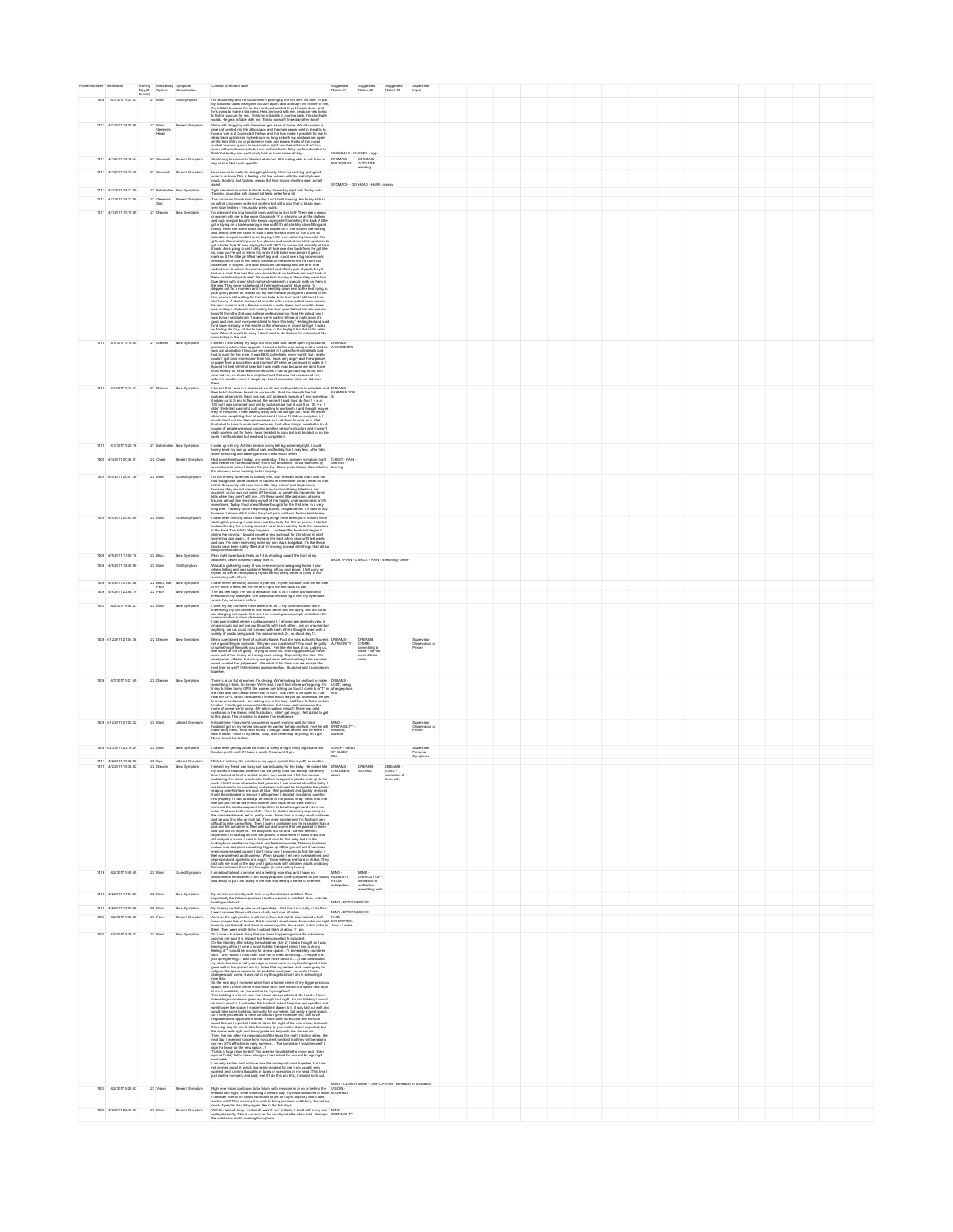|                                                  |          |                                                     | $\begin{tabular}{llll} \textbf{Prover Number} & \textbf{Trinestamp} & \textbf{Porting} & \textbf{MethodBody} & \textbf{Sympton} & \textbf{Concise Symptom Note} \\ & \textbf{Day 18} & \textbf{Day 29} & \textbf{Classification} & \textbf{Concise Symptom Note} \\ \end{tabular}$ |                          | Supposted Supposted Supposted Supervisor<br>Rubric #1 Rubric #2 Rubric #3 Input |                                  |                                        |  |  |  |  |  |  |
|--------------------------------------------------|----------|-----------------------------------------------------|------------------------------------------------------------------------------------------------------------------------------------------------------------------------------------------------------------------------------------------------------------------------------------|--------------------------|---------------------------------------------------------------------------------|----------------------------------|----------------------------------------|--|--|--|--|--|--|
| 1408 4/7/2017 9:37:03                            |          | 21 Mind Old Symptom                                 |                                                                                                                                                                                                                                                                                    |                          |                                                                                 |                                  |                                        |  |  |  |  |  |  |
|                                                  |          |                                                     | I'm vacuuming and the vacuum isn't picking up the dit well. It's after 10 pm.<br>The mitalist because firm as the dard just well-ded by set the pick done, and<br>$\pi$ has going to make a time of the dard just well-ded by<br>set th                                            |                          |                                                                                 |                                  |                                        |  |  |  |  |  |  |
| 1411 4/1/2017 18:25:58                           |          | 21 Mind, Recent Symptom<br>Generals, Recent Symptom | words. He gels initials with ma. This is normall it need and<br>the discussed a NW with a subset gas issue at home. We discovered a<br>$\mu$ pp in the value of the first space and the main search with the additional state of the                                               |                          |                                                                                 |                                  |                                        |  |  |  |  |  |  |
|                                                  |          |                                                     |                                                                                                                                                                                                                                                                                    |                          |                                                                                 |                                  |                                        |  |  |  |  |  |  |
|                                                  |          |                                                     |                                                                                                                                                                                                                                                                                    |                          |                                                                                 |                                  |                                        |  |  |  |  |  |  |
| 1411 4/1/2017 18:12:44 21 Stomach Recent Symptom |          |                                                     | Continuing to encounter bloated abdomen after eating Able to eat twice a STOMACH - STOMACH day at best Not much appetite                                                                                                                                                           | GENERALS - GASSES - agg- |                                                                                 |                                  |                                        |  |  |  |  |  |  |
| 1411 4/1/2017 18:15:45                           |          | 21 Stomach Recent Symptom                           | Liver seems to really be struggling Usually I feel my best big spring and<br>worst in autumn This is feeling a bit like autumn with the inability to eat<br>much, bloating, hot flashes, greasy flat hair, strong smelling easy armp                                               |                          |                                                                                 |                                  |                                        |  |  |  |  |  |  |
|                                                  |          |                                                     |                                                                                                                                                                                                                                                                                    |                          | STOMACH - DIS HEAD - HAIR - greasy                                              |                                  |                                        |  |  |  |  |  |  |
| 1411 4/1/2017 18:11:00<br>1411 4/1/2017 18:17:55 |          | 21 Extremities New Symptom                          | Tight clenched musicles buttooks today Yesterday right only Today both<br>Tapping, pounding with closed fist feels better for a bit                                                                                                                                                |                          |                                                                                 |                                  |                                        |  |  |  |  |  |  |
|                                                  |          | 21 Generals, Recent Symptom<br>Skin                 | The cut on my thumb from Tuesday 3 or 14 still healing. Am finally able to go with it uncovered while not working but still a spot that is totally raw - very slow healing - I'm usually prefty quick.                                                                             |                          |                                                                                 |                                  |                                        |  |  |  |  |  |  |
| 1411 4/1/2017 19:19:09                           |          | 21 Dreams New Symptom                               |                                                                                                                                                                                                                                                                                    |                          |                                                                                 |                                  |                                        |  |  |  |  |  |  |
|                                                  |          |                                                     |                                                                                                                                                                                                                                                                                    |                          |                                                                                 |                                  |                                        |  |  |  |  |  |  |
|                                                  |          |                                                     |                                                                                                                                                                                                                                                                                    |                          |                                                                                 |                                  |                                        |  |  |  |  |  |  |
|                                                  |          |                                                     |                                                                                                                                                                                                                                                                                    |                          |                                                                                 |                                  |                                        |  |  |  |  |  |  |
|                                                  |          |                                                     |                                                                                                                                                                                                                                                                                    |                          |                                                                                 |                                  |                                        |  |  |  |  |  |  |
|                                                  |          |                                                     |                                                                                                                                                                                                                                                                                    |                          |                                                                                 |                                  |                                        |  |  |  |  |  |  |
|                                                  |          |                                                     |                                                                                                                                                                                                                                                                                    |                          |                                                                                 |                                  |                                        |  |  |  |  |  |  |
|                                                  |          |                                                     |                                                                                                                                                                                                                                                                                    |                          |                                                                                 |                                  |                                        |  |  |  |  |  |  |
|                                                  |          |                                                     |                                                                                                                                                                                                                                                                                    |                          |                                                                                 |                                  |                                        |  |  |  |  |  |  |
|                                                  |          |                                                     |                                                                                                                                                                                                                                                                                    |                          |                                                                                 |                                  |                                        |  |  |  |  |  |  |
|                                                  |          |                                                     |                                                                                                                                                                                                                                                                                    |                          |                                                                                 |                                  |                                        |  |  |  |  |  |  |
| 1415 4/1/2017 9:18:05                            |          | 21 Dreams New Sympton                               | mean bidding the the side and for a such and cases are constrained in the<br>distribution of the side of the side of the side of the side of the<br>side of the side of the side of the side of the side of the side of the<br>side of                                             |                          |                                                                                 |                                  |                                        |  |  |  |  |  |  |
|                                                  |          |                                                     |                                                                                                                                                                                                                                                                                    |                          |                                                                                 |                                  |                                        |  |  |  |  |  |  |
|                                                  |          |                                                     |                                                                                                                                                                                                                                                                                    |                          |                                                                                 |                                  |                                        |  |  |  |  |  |  |
|                                                  |          |                                                     |                                                                                                                                                                                                                                                                                    |                          |                                                                                 |                                  |                                        |  |  |  |  |  |  |
| 1415 4/1/2017 9:17:41                            |          | 21 Dreams New Symptom                               |                                                                                                                                                                                                                                                                                    |                          |                                                                                 |                                  |                                        |  |  |  |  |  |  |
|                                                  |          |                                                     |                                                                                                                                                                                                                                                                                    |                          |                                                                                 |                                  |                                        |  |  |  |  |  |  |
|                                                  |          |                                                     |                                                                                                                                                                                                                                                                                    |                          |                                                                                 |                                  |                                        |  |  |  |  |  |  |
|                                                  |          |                                                     |                                                                                                                                                                                                                                                                                    |                          |                                                                                 |                                  |                                        |  |  |  |  |  |  |
| 1415 4/1/2017 9:20:16                            |          | 21 Extremities New Symptom                          |                                                                                                                                                                                                                                                                                    |                          |                                                                                 |                                  |                                        |  |  |  |  |  |  |
|                                                  |          |                                                     | $\mathbb{I}$ bested up with my field up absolute for my perfile that a finite point of the state of the state of the state of the state of the state of the state of the state of the state of the state of the state of the stat                                                  |                          |                                                                                 |                                  |                                        |  |  |  |  |  |  |
| 1405 4/4/2017 20:38:31                           | 22 Chest | Recent Symptom                                      |                                                                                                                                                                                                                                                                                    |                          |                                                                                 |                                  |                                        |  |  |  |  |  |  |
| 1405 4/4/2017 20:41:30                           |          | 22 Mind Cured Symptom                               |                                                                                                                                                                                                                                                                                    |                          |                                                                                 |                                  |                                        |  |  |  |  |  |  |
|                                                  |          |                                                     | the admitsuration for a state of the state of the state of the state of the state of the state of the state of the state of the state of the state of the state of the state of the state of the state of the state of the st                                                      |                          |                                                                                 |                                  |                                        |  |  |  |  |  |  |
|                                                  |          |                                                     |                                                                                                                                                                                                                                                                                    |                          |                                                                                 |                                  |                                        |  |  |  |  |  |  |
|                                                  |          |                                                     |                                                                                                                                                                                                                                                                                    |                          |                                                                                 |                                  |                                        |  |  |  |  |  |  |
| 1405 4/4/2017 20:43:44                           | 22 Mind  | Cured Symptom                                       | There been thinking about how many things have been put in motion since<br>starting this proving 1 have been wanting to do Tai (25) for years I started a<br>state and class the day the proving started. I have been wanting to                                                   |                          |                                                                                 |                                  |                                        |  |  |  |  |  |  |
|                                                  |          |                                                     |                                                                                                                                                                                                                                                                                    |                          |                                                                                 |                                  |                                        |  |  |  |  |  |  |
|                                                  |          |                                                     | during the proving $15$ boundary mayal is near waivensal for Christmas to attest and solve selected particle series and the selection of the selection of the selection of the selection of the selection of the selection of                                                      |                          |                                                                                 |                                  |                                        |  |  |  |  |  |  |
| 1406 4/9/2017 11:00:18                           |          | 22 Back New Symptom                                 | Pain, right lower back, feels as if it is shooting toward the front of my abdomen, desire to stretch away from it.                                                                                                                                                                 |                          | BACK - PAIN - LiBACK - PAIN - stretching - amel                                 |                                  |                                        |  |  |  |  |  |  |
| 1406 4/9/2017 18:45:59                           | 22 Mind  | Old Symptom                                         | Wiss at a gathering today. It was over everyone was going home. I saw others taking and was suddenly feeling left out and alone. I felt sony for myself as weddenly feeling left out and alone. I felt sony for myself as wedd                                                     |                          |                                                                                 |                                  |                                        |  |  |  |  |  |  |
| 1406 4/9/2017 21:53:58                           |          | 22 Back, Ear, New Symptom<br>Face                   |                                                                                                                                                                                                                                                                                    |                          |                                                                                 |                                  |                                        |  |  |  |  |  |  |
| 1406 49/2017 22:58:14                            | 22 Face  | New Symptom                                         | Connection was consisted and contact the same of the set of the last side.<br>If they note to find the the more is right. My our frame set in the last side<br>The last for days Tve had a sensation that is as if I have two additi                                               |                          |                                                                                 |                                  |                                        |  |  |  |  |  |  |
| 1407 4/2/2017 8:08:23                            |          | 22 Mind New Symptom                                 | where they were to better.<br>They are consistent and the effect of the state of the state of the state of<br>the state of the state of the state of the state of the state of the<br>interacting the state control to the state of                                                |                          |                                                                                 |                                  |                                        |  |  |  |  |  |  |
|                                                  |          |                                                     |                                                                                                                                                                                                                                                                                    |                          |                                                                                 |                                  |                                        |  |  |  |  |  |  |
|                                                  |          |                                                     |                                                                                                                                                                                                                                                                                    |                          |                                                                                 |                                  |                                        |  |  |  |  |  |  |
| 1408 4/12/2017 21:04:38                          |          | 22 Dreams New Symptom                               |                                                                                                                                                                                                                                                                                    |                          |                                                                                 |                                  | Supervisor<br>Observation of<br>Prover |  |  |  |  |  |  |
|                                                  |          |                                                     |                                                                                                                                                                                                                                                                                    |                          | committing a<br>crime - he has<br>committed a                                   |                                  |                                        |  |  |  |  |  |  |
|                                                  |          |                                                     | varies of some being case on the control of the state of the SMS (Special CMS). CMS-AMS - Definitions are controlled to the controlled of the state of the state of the state of the state of the state of the state of the s                                                      |                          |                                                                                 |                                  |                                        |  |  |  |  |  |  |
| 1408 4/7/2017 9:21:49                            |          | 22 Dreams New Symptom                               |                                                                                                                                                                                                                                                                                    |                          |                                                                                 |                                  |                                        |  |  |  |  |  |  |
|                                                  |          |                                                     | There is a called of some to moving Wive techniq for eaching the model of the CDSMS . Control to the property of the control of the control of the control of the control of the control of the control of the control of the                                                      |                          |                                                                                 |                                  |                                        |  |  |  |  |  |  |
|                                                  |          |                                                     |                                                                                                                                                                                                                                                                                    |                          |                                                                                 |                                  |                                        |  |  |  |  |  |  |
|                                                  |          |                                                     |                                                                                                                                                                                                                                                                                    |                          |                                                                                 |                                  |                                        |  |  |  |  |  |  |
| 1408 4/12/2017 21:02:32                          |          | 22 Mind Altered Symptom                             | Initiatie line Friday right, vacuuming, waan't working well. So tied,<br>Instaland gat on my newes because the warded to help me fact. Feed he will IRRITAEILITY -<br>Inside a big meas, short with words. It Bought I was decent, b                                               |                          |                                                                                 |                                  | Observation of<br>Prover               |  |  |  |  |  |  |
|                                                  |          |                                                     |                                                                                                                                                                                                                                                                                    |                          |                                                                                 |                                  |                                        |  |  |  |  |  |  |
| 1408 4/23/2017 22:16:24                          | 22 Mind  | New Symptom                                         | 1 have been getting under six hours of sleep a night many nights and still SLEEP - NEED function pretty well. If I have a crash, it's around 3 pm. (OF SLEEP -                                                                                                                     |                          |                                                                                 |                                  | Supervisor<br>Personal<br>Symptoms     |  |  |  |  |  |  |
| 1411 4/2/2017 10:32:00<br>1415 4/2/2017 19:36:02 | 22 Eye   | Altered Symptom<br>22 Dreams New Symptom            | REALLY noticing the wrinkles in my upper eyelids Seem puffy or swollen                                                                                                                                                                                                             | <b>IEE</b>               |                                                                                 |                                  |                                        |  |  |  |  |  |  |
|                                                  |          |                                                     | Newscar transformation and transport of the basic product of the DREAMS - DREAMS - CHE-MAS - DREAMS - CHE-MAS - CHE-MAS - CHE-MAS - CHE-MAS - CHE-MAS - CHE-MAS - CHE-MAS - CHE-MAS - CHE-MAS - CHE-MAS - CHE-MAS - CHE-MAS -                                                      |                          |                                                                                 | DREAMS-<br>LOSS-<br>sensation of |                                        |  |  |  |  |  |  |
|                                                  |          |                                                     |                                                                                                                                                                                                                                                                                    |                          |                                                                                 |                                  |                                        |  |  |  |  |  |  |
|                                                  |          |                                                     |                                                                                                                                                                                                                                                                                    |                          |                                                                                 |                                  |                                        |  |  |  |  |  |  |
|                                                  |          |                                                     |                                                                                                                                                                                                                                                                                    |                          |                                                                                 |                                  |                                        |  |  |  |  |  |  |
|                                                  |          |                                                     |                                                                                                                                                                                                                                                                                    |                          |                                                                                 |                                  |                                        |  |  |  |  |  |  |
|                                                  |          |                                                     |                                                                                                                                                                                                                                                                                    |                          |                                                                                 |                                  |                                        |  |  |  |  |  |  |
|                                                  |          |                                                     |                                                                                                                                                                                                                                                                                    |                          |                                                                                 |                                  |                                        |  |  |  |  |  |  |
|                                                  |          |                                                     |                                                                                                                                                                                                                                                                                    |                          |                                                                                 |                                  |                                        |  |  |  |  |  |  |
| 1416 4/2/2017 9:49:45                            | 22 Mind  | Cured Symptom                                       |                                                                                                                                                                                                                                                                                    |                          |                                                                                 |                                  |                                        |  |  |  |  |  |  |
|                                                  |          |                                                     |                                                                                                                                                                                                                                                                                    |                          | MND -<br>UNIFICATION -<br>sensation of<br>unification -                         |                                  |                                        |  |  |  |  |  |  |
| 1416 4/2/2017 11:04:23                           | 22 Mind  | New Symptom                                         | My service went really well. I am very thenkful and satisfied. More<br>importantly the fellowship where I led the service is satisfied. Now, onto the<br>healing workshop!                                                                                                         |                          | verything; wit                                                                  |                                  |                                        |  |  |  |  |  |  |
| 1416 4/2/2017 13:59:02 22 Mind                   |          | New Symptom                                         |                                                                                                                                                                                                                                                                                    | MND - POSITIVENESS       |                                                                                 |                                  |                                        |  |  |  |  |  |  |
| 1407 4/2/2017 8:30:39 23 Face                    |          | Recent Symptom                                      | This<br>interval and providing also went splendidy, I feel that I am really in the flow.<br>I lead to meet the providing with real the star providing the flow of the star of the star<br>I may be a started to the started providing                                              |                          |                                                                                 |                                  |                                        |  |  |  |  |  |  |
| 1407 4/2/2017 8:26:23                            |          | 23 Mind New Symptom                                 |                                                                                                                                                                                                                                                                                    |                          |                                                                                 |                                  |                                        |  |  |  |  |  |  |
|                                                  |          |                                                     |                                                                                                                                                                                                                                                                                    |                          |                                                                                 |                                  |                                        |  |  |  |  |  |  |
|                                                  |          |                                                     | then . They was made yield $p_0$ in Lottice Herin All also at 1 pm.<br>. So :1 have a business thange that has been happening sizes the autobance procedure of the statement of the statement of the statement of the statement                                                    |                          |                                                                                 |                                  |                                        |  |  |  |  |  |  |
|                                                  |          |                                                     |                                                                                                                                                                                                                                                                                    |                          |                                                                                 |                                  |                                        |  |  |  |  |  |  |
|                                                  |          |                                                     |                                                                                                                                                                                                                                                                                    |                          |                                                                                 |                                  |                                        |  |  |  |  |  |  |
|                                                  |          |                                                     | now also. Solo metallicity, in ecclesive dia lated from in former nenter of my bigger previous. We see that the second of the second of the second of the second of the second of the second of the second of the second of t                                                      |                          |                                                                                 |                                  |                                        |  |  |  |  |  |  |
|                                                  |          |                                                     |                                                                                                                                                                                                                                                                                    |                          |                                                                                 |                                  |                                        |  |  |  |  |  |  |
|                                                  |          |                                                     |                                                                                                                                                                                                                                                                                    |                          |                                                                                 |                                  |                                        |  |  |  |  |  |  |
|                                                  |          |                                                     |                                                                                                                                                                                                                                                                                    |                          |                                                                                 |                                  |                                        |  |  |  |  |  |  |
|                                                  |          |                                                     |                                                                                                                                                                                                                                                                                    |                          |                                                                                 |                                  |                                        |  |  |  |  |  |  |
|                                                  |          |                                                     | invalidaties and in the state model for the model particles and the state leader and interactional control of the state of the state of the state of the state of the state of the state of the state of the state of the sta                                                      |                          |                                                                                 |                                  |                                        |  |  |  |  |  |  |
|                                                  |          |                                                     |                                                                                                                                                                                                                                                                                    |                          |                                                                                 |                                  |                                        |  |  |  |  |  |  |
|                                                  |          |                                                     | worried, and running thoughts or tapes or scenarios in my head. This time I<br>just ran the numbers and said, well if I do this and this, it should work out.                                                                                                                      |                          |                                                                                 |                                  |                                        |  |  |  |  |  |  |
| 1407 4/2/2017 8:28:47                            |          | 23 Vision Recent Symptom                            |                                                                                                                                                                                                                                                                                    |                          | MND - CLAIRVCMND - UNIFICATION - sensation of unification                       |                                  |                                        |  |  |  |  |  |  |
|                                                  |          |                                                     |                                                                                                                                                                                                                                                                                    |                          |                                                                                 |                                  |                                        |  |  |  |  |  |  |
| 1408 4/8/2017 22:43:37 23 Mind Recent Symptom    |          |                                                     | Right eye vision continues to be blurry with presence in or on or behind the<br>system and the state of the state of the state of the state of the state of the<br>system blurry of the state of the state of the state of the sta                                                 |                          |                                                                                 |                                  |                                        |  |  |  |  |  |  |
|                                                  |          |                                                     |                                                                                                                                                                                                                                                                                    |                          |                                                                                 |                                  |                                        |  |  |  |  |  |  |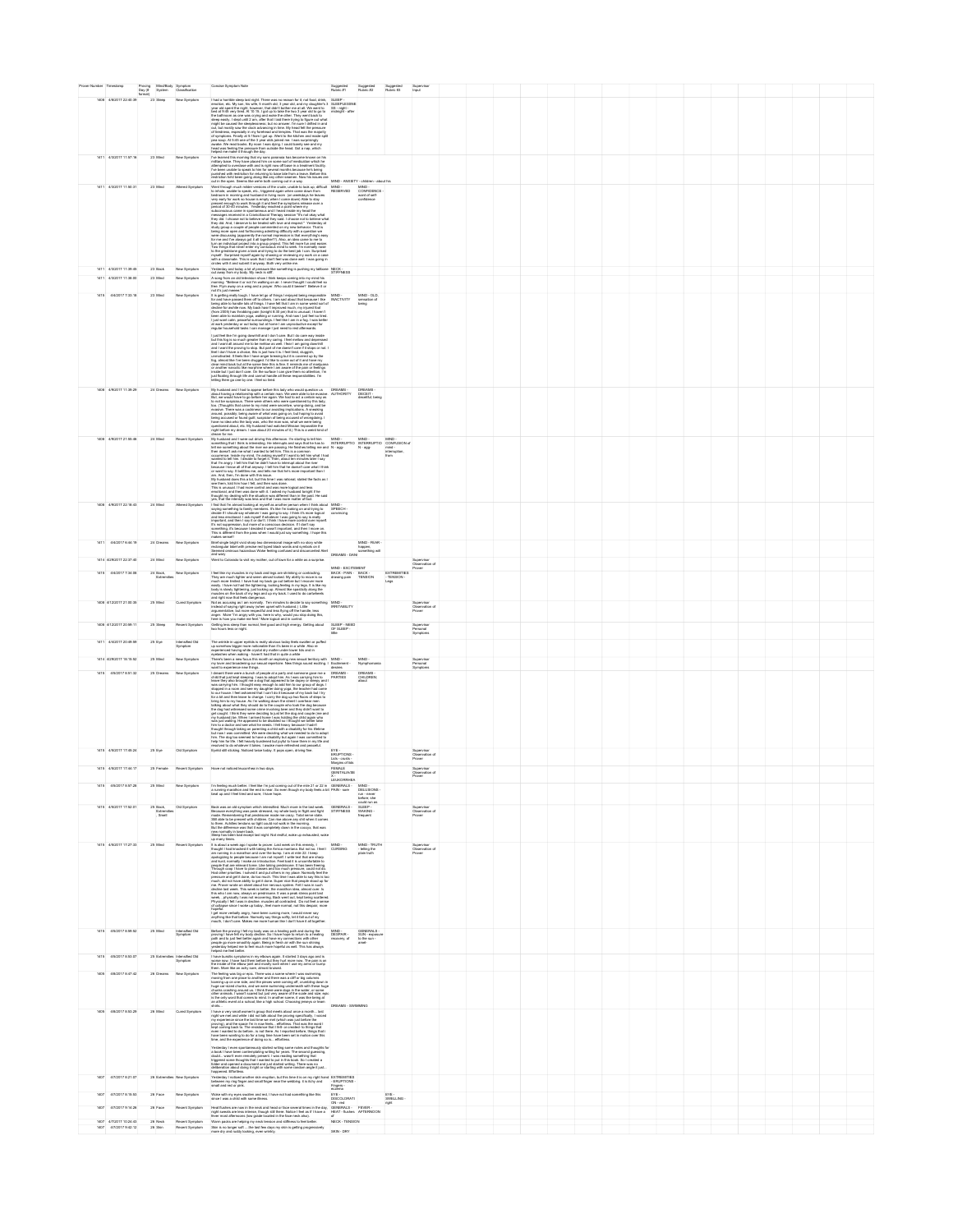| Prover Number Timestamp Proving Mind/Body Symptom<br>Classification<br>System Date: System |                            |                                                                                                                          | Concise Symptom Note                                                                                                                                                                                                                                                                                                                                                                                                                                                                                                 |                                                            |                                              | Supposted Supposted Supposted Supervisor<br>Rubric #1 Rubric #2 Rubric #3 Input |                                         |  |  |  |  |  |  |
|--------------------------------------------------------------------------------------------|----------------------------|--------------------------------------------------------------------------------------------------------------------------|----------------------------------------------------------------------------------------------------------------------------------------------------------------------------------------------------------------------------------------------------------------------------------------------------------------------------------------------------------------------------------------------------------------------------------------------------------------------------------------------------------------------|------------------------------------------------------------|----------------------------------------------|---------------------------------------------------------------------------------|-----------------------------------------|--|--|--|--|--|--|
| 1408 4/8/2017 22:40:39                                                                     |                            | 23 Sleep New Symptom                                                                                                     |                                                                                                                                                                                                                                                                                                                                                                                                                                                                                                                      |                                                            |                                              |                                                                                 |                                         |  |  |  |  |  |  |
|                                                                                            |                            |                                                                                                                          |                                                                                                                                                                                                                                                                                                                                                                                                                                                                                                                      |                                                            |                                              |                                                                                 |                                         |  |  |  |  |  |  |
|                                                                                            |                            |                                                                                                                          |                                                                                                                                                                                                                                                                                                                                                                                                                                                                                                                      |                                                            |                                              |                                                                                 |                                         |  |  |  |  |  |  |
|                                                                                            |                            |                                                                                                                          | . Institute the trace of the right from solid to mass the $\tilde{R}_1$ can be defined as the solid point of the solid point of the solid point of the solid point of the solid point of the solid point of the solid point of th                                                                                                                                                                                                                                                                                    |                                                            |                                              |                                                                                 |                                         |  |  |  |  |  |  |
| 1411 4/3/2017 11:57:16                                                                     |                            | 23 Mind New Symptom                                                                                                      |                                                                                                                                                                                                                                                                                                                                                                                                                                                                                                                      |                                                            |                                              |                                                                                 |                                         |  |  |  |  |  |  |
|                                                                                            |                            |                                                                                                                          | Negato may make a menong that may also passeo passeois it has become known on this military base. They have platead forest according to the material of the second state and property and the second state of the second stat                                                                                                                                                                                                                                                                                        |                                                            |                                              |                                                                                 |                                         |  |  |  |  |  |  |
| 1411 4/3/2017 11:50:31 23 Mind Altered Symptom                                             |                            |                                                                                                                          |                                                                                                                                                                                                                                                                                                                                                                                                                                                                                                                      |                                                            | MND - ANXIETY - children - about his         |                                                                                 |                                         |  |  |  |  |  |  |
|                                                                                            |                            |                                                                                                                          |                                                                                                                                                                                                                                                                                                                                                                                                                                                                                                                      |                                                            |                                              |                                                                                 |                                         |  |  |  |  |  |  |
|                                                                                            |                            |                                                                                                                          |                                                                                                                                                                                                                                                                                                                                                                                                                                                                                                                      |                                                            |                                              |                                                                                 |                                         |  |  |  |  |  |  |
|                                                                                            |                            |                                                                                                                          |                                                                                                                                                                                                                                                                                                                                                                                                                                                                                                                      |                                                            |                                              |                                                                                 |                                         |  |  |  |  |  |  |
|                                                                                            |                            |                                                                                                                          |                                                                                                                                                                                                                                                                                                                                                                                                                                                                                                                      |                                                            |                                              |                                                                                 |                                         |  |  |  |  |  |  |
|                                                                                            |                            |                                                                                                                          |                                                                                                                                                                                                                                                                                                                                                                                                                                                                                                                      |                                                            |                                              |                                                                                 |                                         |  |  |  |  |  |  |
| 1411 4/3/2017 11:39:45 23 Back New Symptom                                                 |                            |                                                                                                                          | Yesterday and today a lot of pressure like something is pushing my tailbone $NECK$ out away from my body. My neck is stiff. $SDFFNESS$                                                                                                                                                                                                                                                                                                                                                                               |                                                            |                                              |                                                                                 |                                         |  |  |  |  |  |  |
| 1411 4/3/2017 11:38:00                                                                     |                            | 23 Mind New Symptom                                                                                                      | erry from any story, my rests is sent.<br>A story from an old blevistion show 1 think keeps coming into my mind his<br>moming "Believe it is not fin walking on als. I never thought I could feel so<br>free. Plyin away on a wing and                                                                                                                                                                                                                                                                               |                                                            |                                              |                                                                                 |                                         |  |  |  |  |  |  |
| 1415 4/4/2017 7:33:18                                                                      | 23 Mind New Symptom        |                                                                                                                          |                                                                                                                                                                                                                                                                                                                                                                                                                                                                                                                      |                                                            |                                              |                                                                                 |                                         |  |  |  |  |  |  |
|                                                                                            |                            |                                                                                                                          | red If $\gamma$ jatt minimals. The same integral distinguished and propositions in AMCs and the same in the same in the same in the same in the same in the same in the same in the same in the same in the same in the same in t                                                                                                                                                                                                                                                                                    |                                                            | senset<br>being                              |                                                                                 |                                         |  |  |  |  |  |  |
|                                                                                            |                            |                                                                                                                          |                                                                                                                                                                                                                                                                                                                                                                                                                                                                                                                      |                                                            |                                              |                                                                                 |                                         |  |  |  |  |  |  |
|                                                                                            |                            |                                                                                                                          |                                                                                                                                                                                                                                                                                                                                                                                                                                                                                                                      |                                                            |                                              |                                                                                 |                                         |  |  |  |  |  |  |
|                                                                                            |                            |                                                                                                                          | I just feel like it my<br>only go contributed identicate. But I do care way inside that the state<br>of the regular terms of specifical conditions and dependent of the<br>specific state and set of the procedure interm of the speci                                                                                                                                                                                                                                                                               |                                                            |                                              |                                                                                 |                                         |  |  |  |  |  |  |
|                                                                                            |                            |                                                                                                                          |                                                                                                                                                                                                                                                                                                                                                                                                                                                                                                                      |                                                            |                                              |                                                                                 |                                         |  |  |  |  |  |  |
|                                                                                            |                            |                                                                                                                          | or another narcotic like morphine where I am aware of the pain or feelings<br>in another narcotic like morphine where I am aware of the pain or feelings<br>is install but I just don't care . On the surface I can give them no att                                                                                                                                                                                                                                                                                 |                                                            |                                              |                                                                                 |                                         |  |  |  |  |  |  |
| 1408 49/2017 11:39:29                                                                      |                            | 24 Dreams New Symptom                                                                                                    | $\mathcal{U}_0$ , the first state of the fit agents where the<br>angle of the state of the fit and the state of the state of the state<br>in the state of the state of the state of the state of the state<br>$\mathcal{U}_0$ and $\mathcal{U}_0$ and $\$                                                                                                                                                                                                                                                            |                                                            | DREAMS -<br>DECEIT -<br>deceitul; being      |                                                                                 |                                         |  |  |  |  |  |  |
|                                                                                            |                            |                                                                                                                          |                                                                                                                                                                                                                                                                                                                                                                                                                                                                                                                      |                                                            |                                              |                                                                                 |                                         |  |  |  |  |  |  |
|                                                                                            |                            |                                                                                                                          |                                                                                                                                                                                                                                                                                                                                                                                                                                                                                                                      |                                                            |                                              |                                                                                 |                                         |  |  |  |  |  |  |
| 1408 4/9/2017 21:55:46                                                                     |                            | 24 Mind Recent Symptom                                                                                                   |                                                                                                                                                                                                                                                                                                                                                                                                                                                                                                                      |                                                            |                                              |                                                                                 |                                         |  |  |  |  |  |  |
|                                                                                            |                            |                                                                                                                          | $\label{eq:2} \begin{minipage}[t]{0.9\textwidth} \begin{minipage}[t]{0.9\textwidth} \begin{itemize} \textbf{0.9\textwidth} \begin{itemize} \textbf{0.9\textwidth} \begin{itemize} \textbf{0.9\textwidth} \begin{itemize} \textbf{0.9\textwidth} \begin{itemize} \textbf{0.9\textwidth} \begin{itemize} \textbf{0.9\textwidth} \begin{itemize} \textbf{0.9\textwidth} \begin{itemize} \textbf{0.9\textwidth} \begin{itemize} \textbf{0.9\textwidth} \begin{itemize} \textbf{0.9\textwidth} \begin{itemize} \textbf{0$ |                                                            |                                              |                                                                                 |                                         |  |  |  |  |  |  |
|                                                                                            |                            |                                                                                                                          |                                                                                                                                                                                                                                                                                                                                                                                                                                                                                                                      |                                                            |                                              |                                                                                 |                                         |  |  |  |  |  |  |
|                                                                                            |                            |                                                                                                                          |                                                                                                                                                                                                                                                                                                                                                                                                                                                                                                                      |                                                            |                                              |                                                                                 |                                         |  |  |  |  |  |  |
|                                                                                            |                            |                                                                                                                          | ny manamo cona tran a los, can mos trem i veza escritor, suavo tre inseriores poses para la constantino del provincia del constantino del constantino del constantino del constantino del constantino del constantino del cons                                                                                                                                                                                                                                                                                       |                                                            |                                              |                                                                                 |                                         |  |  |  |  |  |  |
| FART CCT00001 8041                                                                         |                            | 24 Mind Altered Symptom                                                                                                  |                                                                                                                                                                                                                                                                                                                                                                                                                                                                                                                      | SPEECH                                                     |                                              |                                                                                 |                                         |  |  |  |  |  |  |
|                                                                                            |                            |                                                                                                                          | yies, the first referred was looking at myself is about more multiple and that is the state of the first about a state of the state of the state of the state of the state of the state of the state of the state of the stat                                                                                                                                                                                                                                                                                        |                                                            |                                              |                                                                                 |                                         |  |  |  |  |  |  |
|                                                                                            |                            |                                                                                                                          | <b>Teame</b> esten                                                                                                                                                                                                                                                                                                                                                                                                                                                                                                   |                                                            |                                              |                                                                                 |                                         |  |  |  |  |  |  |
| 1411 4/4/2017 6:44:19                                                                      |                            | 24 Dreams New Symptom                                                                                                    | Brief single bright trivid sharp two dimensional image with no story while<br>rectangular isbel with precise red typed black words and symbols on it<br>Seanned ominous hazardous Woke feeling confused and symbols on it<br>and wary                                                                                                                                                                                                                                                                                | DREAMS - DANC                                              | MND - FEAR<br>happer<br>something will       |                                                                                 |                                         |  |  |  |  |  |  |
| 1414 4/29/2017 22:37:40                                                                    |                            | 24 Mind New Symptom                                                                                                      | Went to Colorado to visit my mother, out of town for a while as a surprise.                                                                                                                                                                                                                                                                                                                                                                                                                                          | MND - EXCITEMENT                                           |                                              |                                                                                 |                                         |  |  |  |  |  |  |
| 1415 4/4/2017 7:34:08                                                                      |                            | 24 Back, New Symptom<br>Extremities                                                                                      | , we are more than the state of the state of the state of the state of the state of the state of the state of the state of the state of the state of the state of the state of the state of the state of the state of the sta                                                                                                                                                                                                                                                                                        |                                                            |                                              | EXTREMITIES<br>- TENSION -<br>Legs                                              |                                         |  |  |  |  |  |  |
|                                                                                            |                            |                                                                                                                          |                                                                                                                                                                                                                                                                                                                                                                                                                                                                                                                      |                                                            |                                              |                                                                                 |                                         |  |  |  |  |  |  |
| 1408 4/12/2017 21:00:35                                                                    |                            | 25 Mind Cured Symptom                                                                                                    |                                                                                                                                                                                                                                                                                                                                                                                                                                                                                                                      |                                                            |                                              |                                                                                 | Observation of<br>Prover                |  |  |  |  |  |  |
| 1408 4/12/2017 20:59:11                                                                    |                            | 25 Sleep Recent Symptom                                                                                                  |                                                                                                                                                                                                                                                                                                                                                                                                                                                                                                                      |                                                            |                                              |                                                                                 |                                         |  |  |  |  |  |  |
|                                                                                            |                            |                                                                                                                          | Cetting less sleep than normal, feel good and high energy. Cetting about SLEEP - NEED two hours less or night.                                                                                                                                                                                                                                                                                                                                                                                                       |                                                            |                                              |                                                                                 | Superviso<br>Personal<br>Symptoms       |  |  |  |  |  |  |
| 1411 4/4/2017 20:49:59                                                                     | 25 Eye                     | Intensified Old<br>Symptom                                                                                               | The surface in upper eyesite in eachly chosen for<br>the same of the surface state of the symptom of the same of the same<br>$\mu$ as the state of the symptom of the symptom of the<br>state of the symptom of the symptom of the symp                                                                                                                                                                                                                                                                              |                                                            |                                              |                                                                                 |                                         |  |  |  |  |  |  |
| 1414 4/29/2017 18:15:52                                                                    | 25 Mind New Symptom        |                                                                                                                          |                                                                                                                                                                                                                                                                                                                                                                                                                                                                                                                      |                                                            | MND -<br>Nymphomania                         |                                                                                 | Supervisor<br>Personal<br>Symptoms      |  |  |  |  |  |  |
| 1415 4/5/2017 8:51:32                                                                      |                            | 25 Dreams New Symptom                                                                                                    | where the experiment mass from the property and someone gave must a CHIERAM control of the mass of the state of property and an added and the state of the state of the state of the state of the state of the state of the s                                                                                                                                                                                                                                                                                        |                                                            | DREAMS<br>CHILDREN:                          |                                                                                 |                                         |  |  |  |  |  |  |
|                                                                                            |                            |                                                                                                                          |                                                                                                                                                                                                                                                                                                                                                                                                                                                                                                                      |                                                            |                                              |                                                                                 |                                         |  |  |  |  |  |  |
|                                                                                            |                            |                                                                                                                          |                                                                                                                                                                                                                                                                                                                                                                                                                                                                                                                      |                                                            |                                              |                                                                                 |                                         |  |  |  |  |  |  |
|                                                                                            |                            |                                                                                                                          | United go that when there yielded to be Fin complete who look the story going based and the state of the state of the state of the state of the state of the state of the state of the state of the state of the state of the                                                                                                                                                                                                                                                                                        |                                                            |                                              |                                                                                 |                                         |  |  |  |  |  |  |
|                                                                                            |                            |                                                                                                                          |                                                                                                                                                                                                                                                                                                                                                                                                                                                                                                                      |                                                            |                                              |                                                                                 |                                         |  |  |  |  |  |  |
| 1415 4/5/2017 17:45:24                                                                     | 25 Eye                     | Old Symptom                                                                                                              | Eyeld still sticking. Noticed twice today. It pops open, driving fine.                                                                                                                                                                                                                                                                                                                                                                                                                                               |                                                            |                                              |                                                                                 |                                         |  |  |  |  |  |  |
|                                                                                            |                            |                                                                                                                          |                                                                                                                                                                                                                                                                                                                                                                                                                                                                                                                      | EYE .<br>ERUPTIONS -<br>Lida - crusts -<br>Margins of lids |                                              |                                                                                 |                                         |  |  |  |  |  |  |
| 1415 4/5/2017 17:44:17                                                                     |                            |                                                                                                                          | 25 Female Recent Symptom Have not noticed leuconthea in two days.                                                                                                                                                                                                                                                                                                                                                                                                                                                    | FEMALE<br>GENITALIA/SE<br><b>FLIKORRHFA</b>                |                                              |                                                                                 |                                         |  |  |  |  |  |  |
| 1415 4/5/2017 8:57:28                                                                      |                            | 25 Mind New Symptom                                                                                                      | Tm feeling much better. I feel like Tm just coming out of the mile 21 or 22 in CENERALS - MIND -<br>a running marathon and the end is near. So even though my body feels a bit PAIN - sore DELUSIONS<br>best up and I feel tired and sore, I have hope                                                                                                                                                                                                                                                               |                                                            |                                              |                                                                                 |                                         |  |  |  |  |  |  |
| 1415 45/2017 17:52:01                                                                      |                            | $\begin{array}{ll} \textbf{25 Back}, & \textbf{Out Symptom} \\ \textbf{Experiments} & \\ \textbf{, Small} & \end{array}$ |                                                                                                                                                                                                                                                                                                                                                                                                                                                                                                                      |                                                            | run - never<br>before; she<br>could run as   |                                                                                 |                                         |  |  |  |  |  |  |
|                                                                                            |                            |                                                                                                                          | Back was an old symptom which interacted. Much more in the last week.<br>$\begin{array}{l} \texttt{Case 1: } \\ \texttt{model.} \end{array}$ CDP/EDALS - $\begin{array}{l} \texttt{Case 2: } \\ \texttt{model.} \end{array}$ CDP/EDALS - $\begin{array}{l} \texttt{model.} \end{array}$ CDP/EDALS - $\begin{array}{l} \texttt{model.} \end{array}$ CDP/ED                                                                                                                                                            |                                                            | SLEEP<br>WAKING<br>frequent                  |                                                                                 | Supervisor<br>Observation of<br>Presser |  |  |  |  |  |  |
|                                                                                            |                            |                                                                                                                          | Sleep has been bad except last night. Not restful, wake up exhausted, woke                                                                                                                                                                                                                                                                                                                                                                                                                                           |                                                            |                                              |                                                                                 |                                         |  |  |  |  |  |  |
| 1415 45/2017 17:27:33                                                                      |                            | 25 Mind Recent Symptom                                                                                                   | up many times.                                                                                                                                                                                                                                                                                                                                                                                                                                                                                                       |                                                            | MND - TRUTH<br>- telling the<br>plain truth  |                                                                                 | Supervisor<br>Observation of            |  |  |  |  |  |  |
|                                                                                            |                            |                                                                                                                          |                                                                                                                                                                                                                                                                                                                                                                                                                                                                                                                      |                                                            |                                              |                                                                                 |                                         |  |  |  |  |  |  |
|                                                                                            |                            |                                                                                                                          |                                                                                                                                                                                                                                                                                                                                                                                                                                                                                                                      |                                                            |                                              |                                                                                 |                                         |  |  |  |  |  |  |
|                                                                                            |                            |                                                                                                                          |                                                                                                                                                                                                                                                                                                                                                                                                                                                                                                                      |                                                            |                                              |                                                                                 |                                         |  |  |  |  |  |  |
|                                                                                            |                            |                                                                                                                          |                                                                                                                                                                                                                                                                                                                                                                                                                                                                                                                      |                                                            |                                              |                                                                                 |                                         |  |  |  |  |  |  |
|                                                                                            |                            |                                                                                                                          |                                                                                                                                                                                                                                                                                                                                                                                                                                                                                                                      |                                                            |                                              |                                                                                 |                                         |  |  |  |  |  |  |
| 1415 4/5/2017 8:59:52                                                                      | 25 Mind                    | Intersified Old<br>Symptom                                                                                               | Ballora the proving I felt my body was on a healing path and during the MND - proving 1 teen felt my body decline. So I fixed with the a healing - DESPART proving the path and to put feel better again and have my connectio                                                                                                                                                                                                                                                                                       |                                                            | GENERALS -<br>SUN - exposure<br>to the sun - |                                                                                 |                                         |  |  |  |  |  |  |
|                                                                                            |                            |                                                                                                                          |                                                                                                                                                                                                                                                                                                                                                                                                                                                                                                                      |                                                            |                                              |                                                                                 |                                         |  |  |  |  |  |  |
| 1415 4/5/2017 8:53:07                                                                      |                            | 25 Extremities Intensified Old<br>Symptom                                                                                | The control is appropriate in my effocus again. It started 3 days ago and is<br>I have bursits symptoms in my effocus but they hurt more now. The pain is on<br>the inside of the elbow high sed modify screw when I use my arms or                                                                                                                                                                                                                                                                                  |                                                            |                                              |                                                                                 |                                         |  |  |  |  |  |  |
| 1405 4/8/2017 8:47:42                                                                      |                            | 26 Dreams New Symptom                                                                                                    |                                                                                                                                                                                                                                                                                                                                                                                                                                                                                                                      |                                                            |                                              |                                                                                 |                                         |  |  |  |  |  |  |
|                                                                                            |                            |                                                                                                                          | Fram . Moreov like as a drivy see, allows with respect to work such that the second the first respect to the second particle in the second particle in the second particle in the second particle in the second particle in t                                                                                                                                                                                                                                                                                        |                                                            |                                              |                                                                                 |                                         |  |  |  |  |  |  |
|                                                                                            |                            |                                                                                                                          | shirts.                                                                                                                                                                                                                                                                                                                                                                                                                                                                                                              | DREAMS - SWIMMING                                          |                                              |                                                                                 |                                         |  |  |  |  |  |  |
| 1405 48/2017 8:53:29                                                                       |                            | 26 Mind Cured Symptom                                                                                                    | 1 have a very small women's group that meets about once a month last<br>might we melt and while il of not talk about the proving spice/fisally, I voiced<br>my experience since the last time we met (which was just before the<br>p                                                                                                                                                                                                                                                                                 |                                                            |                                              |                                                                                 |                                         |  |  |  |  |  |  |
|                                                                                            |                            |                                                                                                                          | even I wanted to do before. is not there. As I reported before, things that                                                                                                                                                                                                                                                                                                                                                                                                                                          |                                                            |                                              |                                                                                 |                                         |  |  |  |  |  |  |
|                                                                                            |                            |                                                                                                                          | have been wanting to do for a long time have been set in motion over this<br>time, and the experience of doing so is effortess.<br>Yesterday I even spontaneously started writing some notes and thoughts for                                                                                                                                                                                                                                                                                                        |                                                            |                                              |                                                                                 |                                         |  |  |  |  |  |  |
|                                                                                            |                            |                                                                                                                          | <b>Visibilitary</b> (i.e. one approximation y distribution structure and the couples of distribution of the control of the control of the control of the control of the control of the control of the control of the control of th                                                                                                                                                                                                                                                                                   |                                                            |                                              |                                                                                 |                                         |  |  |  |  |  |  |
| 1407 4/7/2017 8:21:07                                                                      | 26 Extremities New Symptom |                                                                                                                          |                                                                                                                                                                                                                                                                                                                                                                                                                                                                                                                      |                                                            |                                              |                                                                                 |                                         |  |  |  |  |  |  |
| 1407 4/7/2017 8:15:53                                                                      |                            | 26 Face New Symptom                                                                                                      |                                                                                                                                                                                                                                                                                                                                                                                                                                                                                                                      | Fingers -<br>eczema                                        |                                              |                                                                                 |                                         |  |  |  |  |  |  |
| 1407 4/7/2017 9:14:26                                                                      | 26 Face                    | Recent Symptom                                                                                                           | Woke with my eyes swollen and red, I have not had something like this since I was a child with some illness.                                                                                                                                                                                                                                                                                                                                                                                                         | EYE -<br>DISCOLORATI<br>ON - red                           |                                              | EYE -<br>SWELLING -<br>right                                                    |                                         |  |  |  |  |  |  |
| 1407 47/2017 10:24:43                                                                      | 26 Neck                    | Recent Symptom                                                                                                           | Heat flushes are now in the neck and head or face several times in the day, CCENERALS . FEVER - region and are less interest, though still there. Now all infinite air lifetimes are the lifetimes and flux and flux and the m                                                                                                                                                                                                                                                                                       |                                                            |                                              |                                                                                 |                                         |  |  |  |  |  |  |
| 1407 4/7/2017 9:42:12                                                                      | 26 Skin                    |                                                                                                                          | Recent Symptom Skin is no longer soft  the last few days my skin is getting progressively more dry and ruddy looking, even wrinkly.                                                                                                                                                                                                                                                                                                                                                                                  | SKIN - DRY                                                 |                                              |                                                                                 |                                         |  |  |  |  |  |  |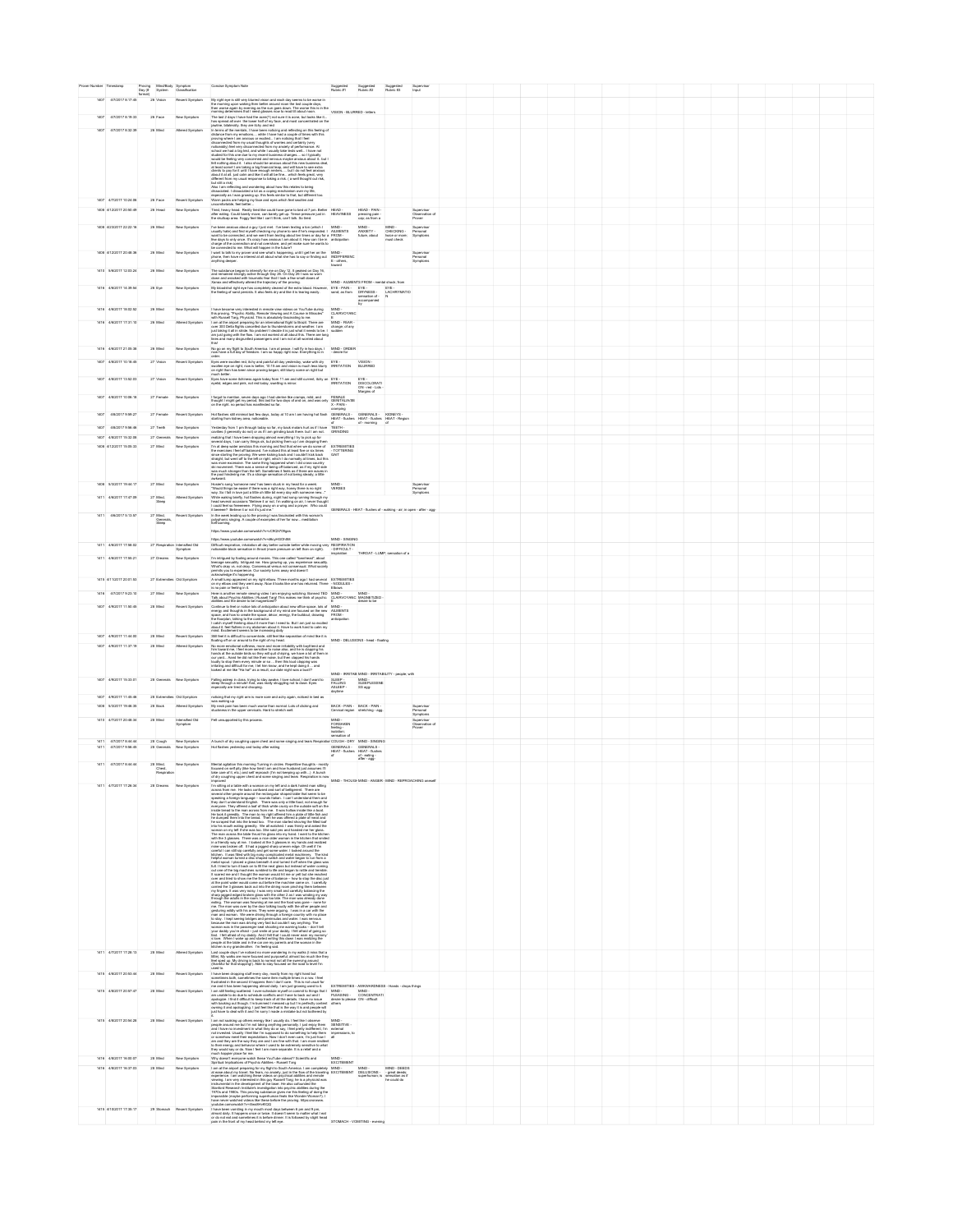| $\begin{tabular}{ll} Prover Number & Theastamp & Proof of & MindBody & Symptom \\ & Day (0 & System & Classification \\ & format) & \\ \end{tabular}$ |                            |                                                                                                                                                                                                 | Concise Symptom Note                                                                                                                                                                                                                                                                                                                                                                                                                                                                                                  |                                                                    | Supposted Supposted Supposted Supervisor<br>Rubric #1 Rubric #2 Rubric #3 Input |              |                                        |  |  |  |  |  |  |
|-------------------------------------------------------------------------------------------------------------------------------------------------------|----------------------------|-------------------------------------------------------------------------------------------------------------------------------------------------------------------------------------------------|-----------------------------------------------------------------------------------------------------------------------------------------------------------------------------------------------------------------------------------------------------------------------------------------------------------------------------------------------------------------------------------------------------------------------------------------------------------------------------------------------------------------------|--------------------------------------------------------------------|---------------------------------------------------------------------------------|--------------|----------------------------------------|--|--|--|--|--|--|
| 1407 4/7/2017 8:17:45 26 Vision Recent Symptom                                                                                                        |                            |                                                                                                                                                                                                 |                                                                                                                                                                                                                                                                                                                                                                                                                                                                                                                       |                                                                    |                                                                                 |              |                                        |  |  |  |  |  |  |
|                                                                                                                                                       |                            |                                                                                                                                                                                                 | My right eye is still very blurred vision and each day seems to be worse in<br>the moming upon waising then bette arcurd moon the last coople slays,<br>then worse again by evening as the sun goes down. The worse this is in the<br>m                                                                                                                                                                                                                                                                               |                                                                    |                                                                                 |              |                                        |  |  |  |  |  |  |
| 1407 4/7/2017 8:19:33 26 Face New Symptom                                                                                                             |                            |                                                                                                                                                                                                 |                                                                                                                                                                                                                                                                                                                                                                                                                                                                                                                       |                                                                    |                                                                                 |              |                                        |  |  |  |  |  |  |
| 1407 4/7/2017 8:32:39                                                                                                                                 |                            | 26 Mind Altered Symptom                                                                                                                                                                         | $\begin{split} &\frac{1}{\left( \mathcal{N}_{\text{eff}}\right) } \sum_{\substack{p_{1} \in \mathcal{N}_{\text{eff}} \\ p_{2} \in \mathcal{N}_{\text{eff}}} \\ p_{2} \in \mathcal{N}_{\text{eff}} \left( \mathcal{N}_{\text{eff}} \right) \left( \mathcal{N}_{\text{eff}} \right) \left( \mathcal{N}_{\text{eff}} \right) \left( \mathcal{N}_{\text{eff}} \right) \left( \mathcal{N}_{\text{eff}} \right) \left( \mathcal{N}_{\text{eff}} \right) \left( \mathcal{N}_{\text{eff}} \right) \left( \mathcal{N}_{\text{$ |                                                                    |                                                                                 |              |                                        |  |  |  |  |  |  |
|                                                                                                                                                       |                            |                                                                                                                                                                                                 |                                                                                                                                                                                                                                                                                                                                                                                                                                                                                                                       |                                                                    |                                                                                 |              |                                        |  |  |  |  |  |  |
|                                                                                                                                                       |                            |                                                                                                                                                                                                 |                                                                                                                                                                                                                                                                                                                                                                                                                                                                                                                       |                                                                    |                                                                                 |              |                                        |  |  |  |  |  |  |
|                                                                                                                                                       |                            |                                                                                                                                                                                                 |                                                                                                                                                                                                                                                                                                                                                                                                                                                                                                                       |                                                                    |                                                                                 |              |                                        |  |  |  |  |  |  |
|                                                                                                                                                       |                            |                                                                                                                                                                                                 |                                                                                                                                                                                                                                                                                                                                                                                                                                                                                                                       |                                                                    |                                                                                 |              |                                        |  |  |  |  |  |  |
|                                                                                                                                                       |                            |                                                                                                                                                                                                 |                                                                                                                                                                                                                                                                                                                                                                                                                                                                                                                       |                                                                    |                                                                                 |              |                                        |  |  |  |  |  |  |
| 1407 4/7/2017 10:24:06                                                                                                                                | 26 Face                    | Recent Symptom                                                                                                                                                                                  | offment from my usual response to taking a mik. (a well thought ou<br>but still a mik)<br>Also Lam influcting and worshing about frow this related to being<br>dissociated. I dissociated a lot as a coping mechanism cover my life,<br>di                                                                                                                                                                                                                                                                            |                                                                    |                                                                                 |              |                                        |  |  |  |  |  |  |
| 1408 4/12/2017 20:50:49                                                                                                                               | 26 Head New Symptom        |                                                                                                                                                                                                 |                                                                                                                                                                                                                                                                                                                                                                                                                                                                                                                       |                                                                    |                                                                                 |              |                                        |  |  |  |  |  |  |
|                                                                                                                                                       |                            |                                                                                                                                                                                                 | uncontrol many head. Really fired like could have gone to bed at 7 pm. Better HEAD - Theory head, Really fired like could have get up. Teme pressure just in HEAVINESS<br>after eating. Could barely move, can barely get up. Tem                                                                                                                                                                                                                                                                                     |                                                                    | HEAD - PAIN -<br>pressing pain -<br>cap; as from a                              |              | Supervisor<br>Observation of<br>Prover |  |  |  |  |  |  |
| 1408 4/23/2017 22:22:16                                                                                                                               |                            | 26 Mind New Symptom                                                                                                                                                                             | The been anxious about a gay 1 just mat. The been facting a ton (which $1$ = ARMC) was to be converted, and us were first material and the same of the product of the converted and use were first material for the second fo                                                                                                                                                                                                                                                                                         |                                                                    | MIND -<br>ANXIETY - CHECKING -<br>future, about - twice or more;<br>must check  |              | Supervisor<br>Personal<br>Symptoms     |  |  |  |  |  |  |
|                                                                                                                                                       |                            |                                                                                                                                                                                                 |                                                                                                                                                                                                                                                                                                                                                                                                                                                                                                                       |                                                                    |                                                                                 |              |                                        |  |  |  |  |  |  |
| 1408 4/12/2017 20:48:36                                                                                                                               | 26 Mind                    | New Symptom                                                                                                                                                                                     |                                                                                                                                                                                                                                                                                                                                                                                                                                                                                                                       |                                                                    |                                                                                 |              |                                        |  |  |  |  |  |  |
|                                                                                                                                                       |                            |                                                                                                                                                                                                 | I want to talk to my prover and see what's happening, until I get her on the $MND$ - MIND-ERENC phone, then have no interest at all about what she has to say or finding out $MDPERENC$ anything deeper.                                                                                                                                                                                                                                                                                                              |                                                                    |                                                                                 |              | Supervisor<br>Personal<br>Sumstans     |  |  |  |  |  |  |
| 1410 5/6/2017 12:03:24                                                                                                                                | 26 Mind                    | New Symptom                                                                                                                                                                                     |                                                                                                                                                                                                                                                                                                                                                                                                                                                                                                                       |                                                                    |                                                                                 |              |                                        |  |  |  |  |  |  |
| 1416 4/6/2017 14:39:54                                                                                                                                | 26 Eye                     | New Symptom                                                                                                                                                                                     | Search density and the particular to the particle $\frac{1}{2}$ is particle to $\frac{1}{2}$ where the state of the particle of the particle of the state of the state of the state of the state of the state of the state of the sta                                                                                                                                                                                                                                                                                 |                                                                    |                                                                                 |              |                                        |  |  |  |  |  |  |
|                                                                                                                                                       |                            |                                                                                                                                                                                                 |                                                                                                                                                                                                                                                                                                                                                                                                                                                                                                                       |                                                                    |                                                                                 |              |                                        |  |  |  |  |  |  |
| 1416 4/6/2017 18:02:52                                                                                                                                |                            | 26 Mind New Symptom                                                                                                                                                                             |                                                                                                                                                                                                                                                                                                                                                                                                                                                                                                                       |                                                                    |                                                                                 |              |                                        |  |  |  |  |  |  |
| 1416 4/8/2017 17:31:10                                                                                                                                | 26 Mind                    | Altered Symptom                                                                                                                                                                                 | I have become very interested in remote view videos on YouTube during MIND - MIND - (the proving "Playdic Ability, Remote Viewing and A Course in Minichief C LAIRVOYANC<br>this proving "Playdic Ability, Remote Viewing and A C                                                                                                                                                                                                                                                                                     |                                                                    |                                                                                 |              |                                        |  |  |  |  |  |  |
|                                                                                                                                                       |                            |                                                                                                                                                                                                 | www.numer.org/~~phone.t min is attention of the matter of the same in the later of the later of the same in the same of the same of the same of the same of the same of the same of the same of the same of the same of the sa                                                                                                                                                                                                                                                                                        |                                                                    |                                                                                 |              |                                        |  |  |  |  |  |  |
|                                                                                                                                                       |                            |                                                                                                                                                                                                 |                                                                                                                                                                                                                                                                                                                                                                                                                                                                                                                       |                                                                    |                                                                                 |              |                                        |  |  |  |  |  |  |
| 1416 4/8/2017 21:05:38                                                                                                                                |                            | 26 Mind New Symptom                                                                                                                                                                             | No go on my flight to South America. I am at peace. I will fly in two days. I MIND - ORDER now have a full day of freedom. I am so happy right now. Everything is in - desire for                                                                                                                                                                                                                                                                                                                                     |                                                                    |                                                                                 |              |                                        |  |  |  |  |  |  |
| 1407 4/8/2017 10:18:45                                                                                                                                | 27 Vision                  | Recent Symptom                                                                                                                                                                                  |                                                                                                                                                                                                                                                                                                                                                                                                                                                                                                                       |                                                                    |                                                                                 |              |                                        |  |  |  |  |  |  |
|                                                                                                                                                       |                            |                                                                                                                                                                                                 | unuer.<br>Eyes were swollen red, itchy and painful all day yesterday, woke with dry EYE - VISION -<br>swollen eye on right, now is better, 10:15 am and vision is much less blurry IRRITATION BLURRED<br>on right them has been since p                                                                                                                                                                                                                                                                               |                                                                    |                                                                                 |              |                                        |  |  |  |  |  |  |
| 1407 4/8/2017 13:52:03                                                                                                                                |                            | 27 Vision Recent Symptom                                                                                                                                                                        | much belier.<br>Eyes have some itchiness again today from 11 am and still current, itchy on EYE - The DECOLORATION DISCOLORATION<br>eyelid, edges and pink, not ned today, swelling is minor. The SINTATION DRICOLORATION DRICOLORAT                                                                                                                                                                                                                                                                                  |                                                                    |                                                                                 |              |                                        |  |  |  |  |  |  |
| 1407 4/8/2017 10:06:18                                                                                                                                |                            | 27 Female New Symptom                                                                                                                                                                           |                                                                                                                                                                                                                                                                                                                                                                                                                                                                                                                       |                                                                    |                                                                                 |              |                                        |  |  |  |  |  |  |
|                                                                                                                                                       |                            |                                                                                                                                                                                                 | I forgot to mention, seven days ago I had uterine like cramps, mild, and<br>thought I might get my period, this last for two days of and on, and was only GENITALIA/SE<br>on the right, no period has manifested so far.<br>carrieng ca                                                                                                                                                                                                                                                                               |                                                                    |                                                                                 |              |                                        |  |  |  |  |  |  |
| 1407 4/8/2017 9:50:27                                                                                                                                 |                            | 27 Female Recent Symptom                                                                                                                                                                        | Hot flashes still minimal last few days, today at 10 am I am having hot flash CENERALS - CENERALS - KIDNEYS -<br>starting from kidney area, noticeable.<br>of HDAT - flashes HDAT - Region                                                                                                                                                                                                                                                                                                                            |                                                                    |                                                                                 |              |                                        |  |  |  |  |  |  |
| 1407 4/8/2017 9:56:46                                                                                                                                 |                            | 27 Teeth New Symptom                                                                                                                                                                            | Yesterday from 1 pm through today so far, my back moles hurt as if I have TEETH -<br>cavities (I generally do not) or as if I am grinding back there. but I am not. GRINDING                                                                                                                                                                                                                                                                                                                                          |                                                                    |                                                                                 |              |                                        |  |  |  |  |  |  |
| 1407 4/8/2017 15:32:08                                                                                                                                |                            | 27 Generals New Symptom<br>27 Mind New Symptom                                                                                                                                                  | realizing that I have been dropping almost everything I try to pick up for<br>several days, I can carry things ok, but picking them up I am dropping them                                                                                                                                                                                                                                                                                                                                                             |                                                                    |                                                                                 |              |                                        |  |  |  |  |  |  |
| 1408 4/12/2017 15:05:33                                                                                                                               |                            |                                                                                                                                                                                                 | interms transp. Cast that they imply a consistent and the state and solutions of the consistent and the state of the state and the constraints of the constraints of the constraints of the constraints of the constraints of                                                                                                                                                                                                                                                                                         |                                                                    |                                                                                 |              |                                        |  |  |  |  |  |  |
|                                                                                                                                                       |                            |                                                                                                                                                                                                 |                                                                                                                                                                                                                                                                                                                                                                                                                                                                                                                       |                                                                    |                                                                                 |              |                                        |  |  |  |  |  |  |
|                                                                                                                                                       |                            |                                                                                                                                                                                                 |                                                                                                                                                                                                                                                                                                                                                                                                                                                                                                                       |                                                                    |                                                                                 |              |                                        |  |  |  |  |  |  |
| 1408 5/3/2017 19:44:17                                                                                                                                |                            | 27 Mind New Symptom                                                                                                                                                                             | $\begin{tabular}{ll} \textbf{Hosiar's aorg 'isomecne new' has been stuck in my hand for a weak:}\\ \textbf{``Woult things be easier if there was a right way, theory there is no right.}\\ \textbf{way. So I fail in low just a little in little bit every day with a common new\\ \end{tabular}.$                                                                                                                                                                                                                    |                                                                    |                                                                                 |              | Superviso<br>Personal<br>Symptoms      |  |  |  |  |  |  |
| 1411 4/6/2017 17:47:09                                                                                                                                | 27 Mind,<br>Sleep          | Altered Symptom                                                                                                                                                                                 |                                                                                                                                                                                                                                                                                                                                                                                                                                                                                                                       |                                                                    |                                                                                 |              |                                        |  |  |  |  |  |  |
|                                                                                                                                                       |                            |                                                                                                                                                                                                 |                                                                                                                                                                                                                                                                                                                                                                                                                                                                                                                       | GENERALS - HEAT - fushes of - walking - air; in open - after - agg |                                                                                 |              |                                        |  |  |  |  |  |  |
| 1411 46/2017 5:13:57                                                                                                                                  |                            | $\begin{tabular}{l} 27~\text{Mind}, & \text{Racart Sympton} \\ \text{Generals}, & \\ \text{Sleep} & \end{tabular}$                                                                              | way contrain the hyper at most out matter on the property and the most extended to the value of the property of the most control of the control of the control of the control of the control of the control of the control of                                                                                                                                                                                                                                                                                         |                                                                    |                                                                                 |              |                                        |  |  |  |  |  |  |
|                                                                                                                                                       |                            |                                                                                                                                                                                                 | https://www.youtube.comonwatch?v=vCSQh709gas                                                                                                                                                                                                                                                                                                                                                                                                                                                                          |                                                                    |                                                                                 |              |                                        |  |  |  |  |  |  |
| 1411 4/8/2017 17:58:02                                                                                                                                |                            | 27 Respiration Intersified Old<br>Symptom                                                                                                                                                       | https://www.youtube.comonwatch?v=d6cyHGOht58<br>Difficult respiration, inhalation all day better outside better while moving very RESPIRATION<br>noticeable block sensation in throat (more pressure on left then on right). . DIFFICULT - THROAT - LUMP; sensation of a                                                                                                                                                                                                                                              | MND - SINGING                                                      |                                                                                 |              |                                        |  |  |  |  |  |  |
| 1411 48/2017 17:55:21                                                                                                                                 |                            | 27 Dreams New Symptom                                                                                                                                                                           |                                                                                                                                                                                                                                                                                                                                                                                                                                                                                                                       |                                                                    |                                                                                 |              |                                        |  |  |  |  |  |  |
|                                                                                                                                                       |                            |                                                                                                                                                                                                 | I'm intrigued by fooling around movies. This one called "bowthead", about teaming a sexuality, Intrigued me. How growing up, you experiments sexuality, White and White and White and White and White and White and White and                                                                                                                                                                                                                                                                                         |                                                                    |                                                                                 |              |                                        |  |  |  |  |  |  |
| 1415 4/11/2017 20:01:53                                                                                                                               | 27 Extremities Old Symptom |                                                                                                                                                                                                 |                                                                                                                                                                                                                                                                                                                                                                                                                                                                                                                       |                                                                    |                                                                                 |              |                                        |  |  |  |  |  |  |
| 1416 4/7/2017 9:23:10                                                                                                                                 |                            | 27 Mind New Symptom                                                                                                                                                                             | A small lump appeared on my right elbow. Three months ago I had several EXTREMITIES on my elbow and they wert away. Now it looks like one has returned. There I NODULES - to pain or feeling in it.                                                                                                                                                                                                                                                                                                                   |                                                                    |                                                                                 |              |                                        |  |  |  |  |  |  |
|                                                                                                                                                       |                            |                                                                                                                                                                                                 | is to push or feature in the case of the case of the projection and the particular control of the case of the case of the case of the case of the case of the case of the case of the case of the case of the case of the cas                                                                                                                                                                                                                                                                                         |                                                                    |                                                                                 |              |                                        |  |  |  |  |  |  |
| 1407 4/9/2017 11:50:45                                                                                                                                |                            | 28 Mind Recent Symptom                                                                                                                                                                          |                                                                                                                                                                                                                                                                                                                                                                                                                                                                                                                       |                                                                    |                                                                                 |              |                                        |  |  |  |  |  |  |
|                                                                                                                                                       |                            |                                                                                                                                                                                                 |                                                                                                                                                                                                                                                                                                                                                                                                                                                                                                                       |                                                                    |                                                                                 |              |                                        |  |  |  |  |  |  |
| 1407 4/9/2017 11:44:00                                                                                                                                |                            | 28 Mind Recent Symptom                                                                                                                                                                          | Still feel it is difficult to concentrate, still feel like separation of mind like it is<br>floating off on or around to the right of my head.                                                                                                                                                                                                                                                                                                                                                                        | MND - DELUSIONS - head - foating                                   |                                                                                 |              |                                        |  |  |  |  |  |  |
| 1407 4/9/2017 11:37:19                                                                                                                                | 28 Mind                    | Altered Sympton                                                                                                                                                                                 |                                                                                                                                                                                                                                                                                                                                                                                                                                                                                                                       |                                                                    |                                                                                 |              |                                        |  |  |  |  |  |  |
|                                                                                                                                                       |                            |                                                                                                                                                                                                 | massing on on or answers to two maps can be masses.<br>This more emotional software, more and more initiability with boyfriend and<br>hands at the cutation is few of the solution of the control of the initiative<br>function of the                                                                                                                                                                                                                                                                                |                                                                    |                                                                                 |              |                                        |  |  |  |  |  |  |
|                                                                                                                                                       |                            |                                                                                                                                                                                                 |                                                                                                                                                                                                                                                                                                                                                                                                                                                                                                                       |                                                                    | MIND - IRRITABIMIND - IRRITABILITY - people; with                               |              |                                        |  |  |  |  |  |  |
| 1407 4/9/2017 15:33:01                                                                                                                                |                            | 28 Generals New Symptom                                                                                                                                                                         | Falling askeep in class, trying to stay awake, I love school, I don't want to<br>sleep through a minute! And, was really struggling not to dose. Eyes<br>especially are tired and drooping.                                                                                                                                                                                                                                                                                                                           | SLEEP<br>FALLING<br>ASLEEP                                         | MND<br>SLEEPLESSNE<br>SS agg-                                                   |              |                                        |  |  |  |  |  |  |
| 1407 4/9/2017 11:45:46                                                                                                                                | 28 Extremities Old Symptom |                                                                                                                                                                                                 | noticing that my right arm is more sore and achy again, noticed in bed as<br>was waking up                                                                                                                                                                                                                                                                                                                                                                                                                            |                                                                    |                                                                                 |              |                                        |  |  |  |  |  |  |
| 1408 5/3/2017 19:46:35                                                                                                                                |                            | 28 Back Altered Symptom                                                                                                                                                                         | My neck pain has been much worse than normal. Lots of clicking and<br>stuckness in the upper cervicals. Hard to stretch well.                                                                                                                                                                                                                                                                                                                                                                                         |                                                                    | BACK - PAIN - BACK - PAIN -<br>Cervical region stretching - agg.                |              | Supervisor<br>Personal<br>Symptoms     |  |  |  |  |  |  |
| 1410 4/7/2017 20:48:34                                                                                                                                |                            | 28 Mind Intensified Old<br>Symptom                                                                                                                                                              | Felt unsupported by this process.                                                                                                                                                                                                                                                                                                                                                                                                                                                                                     | MIND<br>FORSAKEN                                                   |                                                                                 |              | Supervisor<br>Observation              |  |  |  |  |  |  |
|                                                                                                                                                       |                            |                                                                                                                                                                                                 |                                                                                                                                                                                                                                                                                                                                                                                                                                                                                                                       | feating -<br>isolation;<br>sensation of                            |                                                                                 |              |                                        |  |  |  |  |  |  |
| 1411 4/7/2017 8:44:44<br>1411 4/7/2017 9:56:45                                                                                                        |                            | 28 Cough New Symptom<br>28 Generals New Symptom                                                                                                                                                 |                                                                                                                                                                                                                                                                                                                                                                                                                                                                                                                       |                                                                    |                                                                                 |              |                                        |  |  |  |  |  |  |
|                                                                                                                                                       |                            |                                                                                                                                                                                                 | A bunch of dry coughing upper chest and some aircing and team Respirator COUGH - DRY - MND - SINGING - GENERALS<br>Hot flashes yesterday and today after easing $\overline{GCDCD}$<br>HEAT - flashes $\overline{HEMT}$ - flashes $\overline{HEMT}$ - deal                                                                                                                                                                                                                                                             |                                                                    |                                                                                 |              |                                        |  |  |  |  |  |  |
| 1411 4/7/2017 8:44:44                                                                                                                                 |                            | $\begin{tabular}{l} 28\; Mind, \end{tabular} \begin{tabular}{l} New Symptom \\ \hline \end{tabular} \end{tabular} \begin{tabular}{l} \textbf{New Symptom} \\ \textbf{Regular} \\ \end{tabular}$ | Mental agitation this morning Turning in circles Repetitive thoughts - mostly<br>focused on self ply (like how fired I am and how husband just assumes ITI<br>take care of it, etc.) and self reproach (I'm not keeping up with)                                                                                                                                                                                                                                                                                      |                                                                    |                                                                                 |              |                                        |  |  |  |  |  |  |
|                                                                                                                                                       |                            |                                                                                                                                                                                                 |                                                                                                                                                                                                                                                                                                                                                                                                                                                                                                                       |                                                                    | <b>BID THOUSANDORO AND</b>                                                      |              |                                        |  |  |  |  |  |  |
| 1411 4/7/2017 17:26:34 28 Dreams New Symptom                                                                                                          |                            |                                                                                                                                                                                                 | I'm sitting at a table with a woman on my left and a dark haired man sitting<br>across from me. He looks confused and sort of belligerent. There are                                                                                                                                                                                                                                                                                                                                                                  |                                                                    |                                                                                 |              |                                        |  |  |  |  |  |  |
|                                                                                                                                                       |                            |                                                                                                                                                                                                 |                                                                                                                                                                                                                                                                                                                                                                                                                                                                                                                       |                                                                    |                                                                                 |              |                                        |  |  |  |  |  |  |
|                                                                                                                                                       |                            |                                                                                                                                                                                                 | iacous from ma. He looks confused and sold of beligented. There are seen solved in the section of the rectangular shapes failed that seem to be speaking a foreign largosing a four-through a foreign largosing a countries t                                                                                                                                                                                                                                                                                         |                                                                    |                                                                                 |              |                                        |  |  |  |  |  |  |
|                                                                                                                                                       |                            |                                                                                                                                                                                                 | he scraped that into the bread too. The man started shoving the filled loat                                                                                                                                                                                                                                                                                                                                                                                                                                           |                                                                    |                                                                                 |              |                                        |  |  |  |  |  |  |
|                                                                                                                                                       |                            |                                                                                                                                                                                                 | The main field in the field of the state of the field of the state of the state of the state of the state of the state of the state of the state of the state of the state of the state of the state of the state of the stat                                                                                                                                                                                                                                                                                         |                                                                    |                                                                                 |              |                                        |  |  |  |  |  |  |
|                                                                                                                                                       |                            |                                                                                                                                                                                                 |                                                                                                                                                                                                                                                                                                                                                                                                                                                                                                                       |                                                                    |                                                                                 |              |                                        |  |  |  |  |  |  |
|                                                                                                                                                       |                            |                                                                                                                                                                                                 |                                                                                                                                                                                                                                                                                                                                                                                                                                                                                                                       |                                                                    |                                                                                 |              |                                        |  |  |  |  |  |  |
|                                                                                                                                                       |                            |                                                                                                                                                                                                 |                                                                                                                                                                                                                                                                                                                                                                                                                                                                                                                       |                                                                    |                                                                                 |              |                                        |  |  |  |  |  |  |
|                                                                                                                                                       |                            |                                                                                                                                                                                                 |                                                                                                                                                                                                                                                                                                                                                                                                                                                                                                                       |                                                                    |                                                                                 |              |                                        |  |  |  |  |  |  |
|                                                                                                                                                       |                            |                                                                                                                                                                                                 |                                                                                                                                                                                                                                                                                                                                                                                                                                                                                                                       |                                                                    |                                                                                 |              |                                        |  |  |  |  |  |  |
|                                                                                                                                                       |                            |                                                                                                                                                                                                 |                                                                                                                                                                                                                                                                                                                                                                                                                                                                                                                       |                                                                    |                                                                                 |              |                                        |  |  |  |  |  |  |
|                                                                                                                                                       |                            |                                                                                                                                                                                                 |                                                                                                                                                                                                                                                                                                                                                                                                                                                                                                                       |                                                                    |                                                                                 |              |                                        |  |  |  |  |  |  |
|                                                                                                                                                       |                            |                                                                                                                                                                                                 | wewever war ment was aniverg very ses cut cource it say anything. The<br>woman was in the passenger seat shooting me warning looks – don't tell<br>your dieddy you're alraid – just smile at your daddy. I felt afraid of going so<br>f                                                                                                                                                                                                                                                                               |                                                                    |                                                                                 |              |                                        |  |  |  |  |  |  |
|                                                                                                                                                       |                            |                                                                                                                                                                                                 | www. I was attack or my causey. And I hill third I could never earn my momentum to the mail of the property of the pack of the property people after the control people aft the table and in the car are my parents and the wo                                                                                                                                                                                                                                                                                        |                                                                    |                                                                                 |              |                                        |  |  |  |  |  |  |
| 1411 4/7/2017 17:28:13                                                                                                                                | 28 Mind                    | Altered Symptom                                                                                                                                                                                 |                                                                                                                                                                                                                                                                                                                                                                                                                                                                                                                       |                                                                    |                                                                                 |              |                                        |  |  |  |  |  |  |
|                                                                                                                                                       |                            |                                                                                                                                                                                                 | Last couple days I've noticed no more wandering in my walks (I miss that a little). My walks are more focused and purposeful, almost her final they think the product of final state of the state of the state of the state of                                                                                                                                                                                                                                                                                        |                                                                    |                                                                                 |              |                                        |  |  |  |  |  |  |
| 1415 4/8/2017 20:53:44                                                                                                                                | 28 Mind                    | Recent Symptom                                                                                                                                                                                  | ed to<br>I have been dropping stuff every day, mostly from my right hand but                                                                                                                                                                                                                                                                                                                                                                                                                                          |                                                                    |                                                                                 |              |                                        |  |  |  |  |  |  |
|                                                                                                                                                       |                            |                                                                                                                                                                                                 |                                                                                                                                                                                                                                                                                                                                                                                                                                                                                                                       | EXTREMITIES - AWKWARDNESS - Hands - drops things                   |                                                                                 |              |                                        |  |  |  |  |  |  |
| 1415 4/8/2017 20:57:47 28 Mind Recent Symptom                                                                                                         |                            |                                                                                                                                                                                                 |                                                                                                                                                                                                                                                                                                                                                                                                                                                                                                                       |                                                                    |                                                                                 |              |                                        |  |  |  |  |  |  |
|                                                                                                                                                       |                            |                                                                                                                                                                                                 |                                                                                                                                                                                                                                                                                                                                                                                                                                                                                                                       |                                                                    |                                                                                 |              |                                        |  |  |  |  |  |  |
| 1415 4/8/2017 20:54:28                                                                                                                                | 28 Mind                    | Recent Symptom                                                                                                                                                                                  |                                                                                                                                                                                                                                                                                                                                                                                                                                                                                                                       |                                                                    |                                                                                 |              |                                        |  |  |  |  |  |  |
|                                                                                                                                                       |                            |                                                                                                                                                                                                 |                                                                                                                                                                                                                                                                                                                                                                                                                                                                                                                       | ons, to                                                            |                                                                                 |              |                                        |  |  |  |  |  |  |
|                                                                                                                                                       |                            |                                                                                                                                                                                                 | am and they are the way they are and I am fine with that. I am more relative to their energy and behavior where I used to be extremely sensitive to their energy and behavior where I used to be extremely sensitive to thus I                                                                                                                                                                                                                                                                                        |                                                                    |                                                                                 |              |                                        |  |  |  |  |  |  |
| 1416 4/8/2017 16:00:07 28 Mind New Symptom                                                                                                            |                            |                                                                                                                                                                                                 | Why doesn't everyone watch these YouTube videosl? Scientific and<br>Spiritual Implications of Paychic Abilities - Russell Targ                                                                                                                                                                                                                                                                                                                                                                                        | MND-<br>EXCITEMENT                                                 |                                                                                 |              |                                        |  |  |  |  |  |  |
| 1416 4/8/2017 16:37:03 28 Mind New Symptom                                                                                                            |                            |                                                                                                                                                                                                 | Spirally required and property March 2008. For the spiral property of the state of the spiral property for the field to the field of the spiral property of the spiral property of the spiral property of the spiral property                                                                                                                                                                                                                                                                                         |                                                                    |                                                                                 | MIND - DEEDS |                                        |  |  |  |  |  |  |
|                                                                                                                                                       |                            |                                                                                                                                                                                                 |                                                                                                                                                                                                                                                                                                                                                                                                                                                                                                                       |                                                                    |                                                                                 |              |                                        |  |  |  |  |  |  |
|                                                                                                                                                       |                            |                                                                                                                                                                                                 |                                                                                                                                                                                                                                                                                                                                                                                                                                                                                                                       |                                                                    |                                                                                 |              |                                        |  |  |  |  |  |  |
|                                                                                                                                                       |                            |                                                                                                                                                                                                 | ODDN-Häzwl4-v11dswhomco.adubuo                                                                                                                                                                                                                                                                                                                                                                                                                                                                                        |                                                                    |                                                                                 |              |                                        |  |  |  |  |  |  |
| 1415 4/10/2017 17:35:17 29 Stomach Recent Symptom                                                                                                     |                            |                                                                                                                                                                                                 | yoursex commensurary-w-waverness.<br>I there been vanishing in my mouth most days between 6 pm and 9 pm,<br>almost daily. It happens once or twice. It doesn't loeen to matter what I eat.<br>  or do not est and sometimes it is befor                                                                                                                                                                                                                                                                               |                                                                    |                                                                                 |              |                                        |  |  |  |  |  |  |
|                                                                                                                                                       |                            |                                                                                                                                                                                                 |                                                                                                                                                                                                                                                                                                                                                                                                                                                                                                                       |                                                                    |                                                                                 |              |                                        |  |  |  |  |  |  |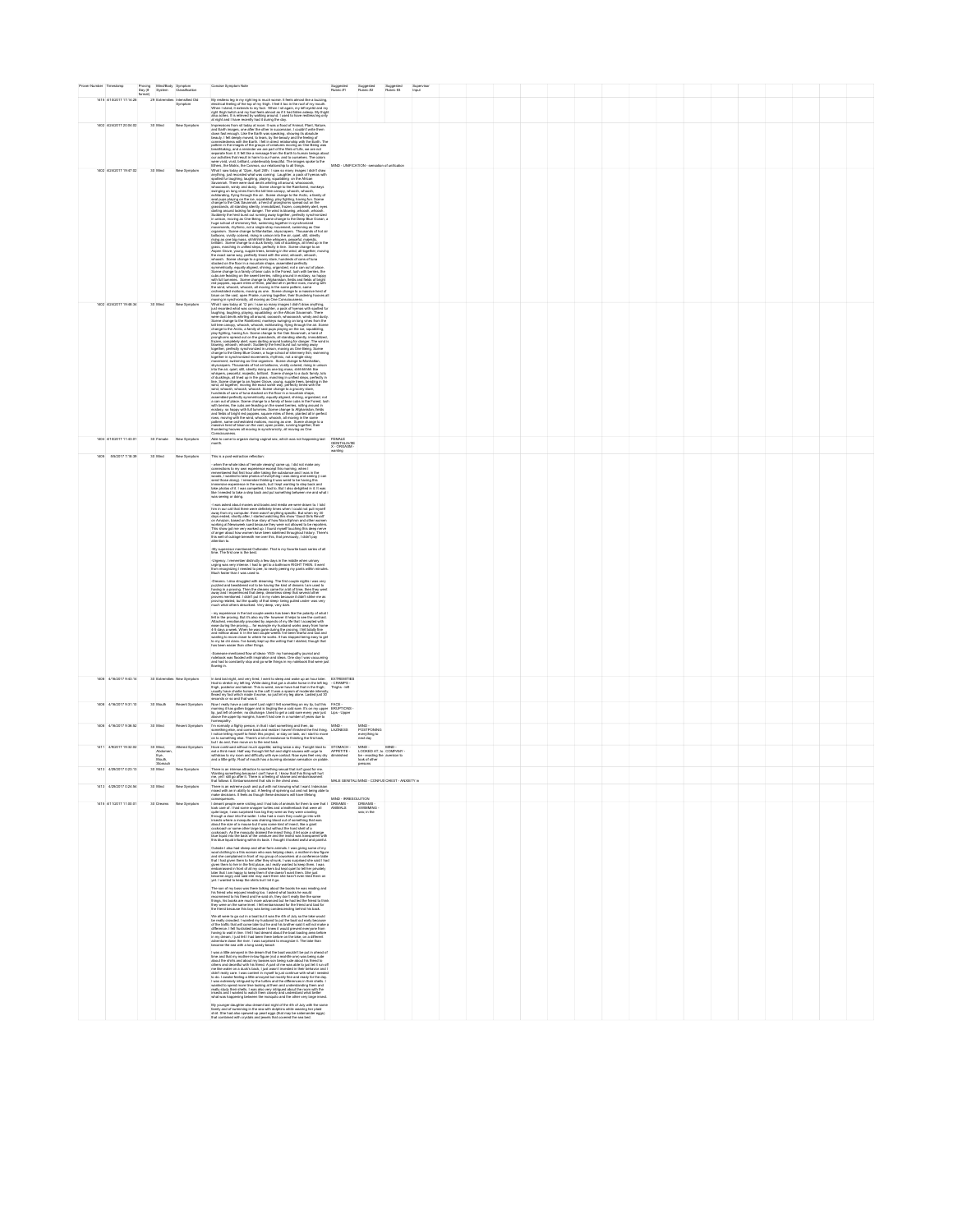| $\begin{tabular}{ll} Prover Number & Theustamp & Proof of & MindBody & Symptom \\ & Day (8 & System & Classification \\ & format) & \\ \end{tabular}$ |                                        |                                           | Concise Symptom Note                                                                                                                                                                                                                                                                                                                                                                                                                                                                                                                                     | Supgested Supgested Supgested Superviso<br>Rubric #1 Rubric #2 Rubric #3 Input |                                                                                  |  |  |  |  |  |  |  |  |  |
|-------------------------------------------------------------------------------------------------------------------------------------------------------|----------------------------------------|-------------------------------------------|----------------------------------------------------------------------------------------------------------------------------------------------------------------------------------------------------------------------------------------------------------------------------------------------------------------------------------------------------------------------------------------------------------------------------------------------------------------------------------------------------------------------------------------------------------|--------------------------------------------------------------------------------|----------------------------------------------------------------------------------|--|--|--|--|--|--|--|--|--|
| 1415 4/10/2017 17:14:28                                                                                                                               |                                        | 29 Extremities Intensified Old<br>Symptom | My readings larg in my right larg is much worse. It feels almost like a buxzing, when I stand, if each is the stand in the post. When I standard right, my left eyed and my four right right right in the stand in the post i                                                                                                                                                                                                                                                                                                                            |                                                                                |                                                                                  |  |  |  |  |  |  |  |  |  |
| 1402 4/24/2017 20:04:02 30 Mind New Symptom                                                                                                           |                                        |                                           |                                                                                                                                                                                                                                                                                                                                                                                                                                                                                                                                                          |                                                                                |                                                                                  |  |  |  |  |  |  |  |  |  |
|                                                                                                                                                       |                                        |                                           | at Francisco and the term of the United States (Section 2) and the United States and the United States (Section 2) and the United States (Section 2) and the United States (Section 2) and the United States (Section 2) and                                                                                                                                                                                                                                                                                                                             |                                                                                |                                                                                  |  |  |  |  |  |  |  |  |  |
|                                                                                                                                                       |                                        |                                           |                                                                                                                                                                                                                                                                                                                                                                                                                                                                                                                                                          |                                                                                |                                                                                  |  |  |  |  |  |  |  |  |  |
| 1402 4/24/2017 19:47:02 30 Mind                                                                                                                       |                                        | New Symptom                               |                                                                                                                                                                                                                                                                                                                                                                                                                                                                                                                                                          | MND - UNIFICATION - sensation of unification                                   |                                                                                  |  |  |  |  |  |  |  |  |  |
|                                                                                                                                                       |                                        |                                           |                                                                                                                                                                                                                                                                                                                                                                                                                                                                                                                                                          |                                                                                |                                                                                  |  |  |  |  |  |  |  |  |  |
|                                                                                                                                                       |                                        |                                           |                                                                                                                                                                                                                                                                                                                                                                                                                                                                                                                                                          |                                                                                |                                                                                  |  |  |  |  |  |  |  |  |  |
|                                                                                                                                                       |                                        |                                           |                                                                                                                                                                                                                                                                                                                                                                                                                                                                                                                                                          |                                                                                |                                                                                  |  |  |  |  |  |  |  |  |  |
|                                                                                                                                                       |                                        |                                           |                                                                                                                                                                                                                                                                                                                                                                                                                                                                                                                                                          |                                                                                |                                                                                  |  |  |  |  |  |  |  |  |  |
|                                                                                                                                                       |                                        |                                           |                                                                                                                                                                                                                                                                                                                                                                                                                                                                                                                                                          |                                                                                |                                                                                  |  |  |  |  |  |  |  |  |  |
|                                                                                                                                                       |                                        |                                           |                                                                                                                                                                                                                                                                                                                                                                                                                                                                                                                                                          |                                                                                |                                                                                  |  |  |  |  |  |  |  |  |  |
|                                                                                                                                                       |                                        |                                           | stabilited on the foot in a mountain whose, assumed<br>both of a case of places asymmetrically, equally allowed, a<br>throng, organized, red a case of of places, organized control of<br>$\sim$ and the space of the second both case o                                                                                                                                                                                                                                                                                                                 |                                                                                |                                                                                  |  |  |  |  |  |  |  |  |  |
|                                                                                                                                                       |                                        |                                           |                                                                                                                                                                                                                                                                                                                                                                                                                                                                                                                                                          |                                                                                |                                                                                  |  |  |  |  |  |  |  |  |  |
| 1402 4/24/2017 19:48:34                                                                                                                               | 30 Mind                                | New Symptom                               |                                                                                                                                                                                                                                                                                                                                                                                                                                                                                                                                                          |                                                                                |                                                                                  |  |  |  |  |  |  |  |  |  |
|                                                                                                                                                       |                                        |                                           |                                                                                                                                                                                                                                                                                                                                                                                                                                                                                                                                                          |                                                                                |                                                                                  |  |  |  |  |  |  |  |  |  |
|                                                                                                                                                       |                                        |                                           |                                                                                                                                                                                                                                                                                                                                                                                                                                                                                                                                                          |                                                                                |                                                                                  |  |  |  |  |  |  |  |  |  |
|                                                                                                                                                       |                                        |                                           |                                                                                                                                                                                                                                                                                                                                                                                                                                                                                                                                                          |                                                                                |                                                                                  |  |  |  |  |  |  |  |  |  |
|                                                                                                                                                       |                                        |                                           |                                                                                                                                                                                                                                                                                                                                                                                                                                                                                                                                                          |                                                                                |                                                                                  |  |  |  |  |  |  |  |  |  |
|                                                                                                                                                       |                                        |                                           |                                                                                                                                                                                                                                                                                                                                                                                                                                                                                                                                                          |                                                                                |                                                                                  |  |  |  |  |  |  |  |  |  |
|                                                                                                                                                       |                                        |                                           |                                                                                                                                                                                                                                                                                                                                                                                                                                                                                                                                                          |                                                                                |                                                                                  |  |  |  |  |  |  |  |  |  |
|                                                                                                                                                       |                                        |                                           |                                                                                                                                                                                                                                                                                                                                                                                                                                                                                                                                                          |                                                                                |                                                                                  |  |  |  |  |  |  |  |  |  |
|                                                                                                                                                       |                                        |                                           | hence the number of the first state of the state of the state of the state of the state of the state of the state of the state of the state of the state of the state of the state of the state of the state of the state of                                                                                                                                                                                                                                                                                                                             |                                                                                |                                                                                  |  |  |  |  |  |  |  |  |  |
| 1404 4/10/2017 11:43:01                                                                                                                               |                                        | 30 Female New Symptom                     | Able to come to orgasm during vaginal sex, which was not happening last FEMALE<br>month. GENITALIA/SE                                                                                                                                                                                                                                                                                                                                                                                                                                                    | X-ORGASM-                                                                      |                                                                                  |  |  |  |  |  |  |  |  |  |
| 1405 5/5/2017 7:18:39 30 Mind New Symptom                                                                                                             |                                        |                                           | This is a post-extraction reflection:                                                                                                                                                                                                                                                                                                                                                                                                                                                                                                                    |                                                                                |                                                                                  |  |  |  |  |  |  |  |  |  |
|                                                                                                                                                       |                                        |                                           | -when the whole idea of "wantel viewing" came up, 1 did not make any constructed in factorization of the state and the state of the state of the state of the state of the state of the state of the state of the state of th                                                                                                                                                                                                                                                                                                                            |                                                                                |                                                                                  |  |  |  |  |  |  |  |  |  |
|                                                                                                                                                       |                                        |                                           |                                                                                                                                                                                                                                                                                                                                                                                                                                                                                                                                                          |                                                                                |                                                                                  |  |  |  |  |  |  |  |  |  |
|                                                                                                                                                       |                                        |                                           | $\begin{minipage}[t]{0.9\textwidth} \begin{itemize} & \text{1\textwidth} \begin{itemize} & \text{1\textwidth} \begin{itemize} & \text{1\textwidth} \begin{itemize} & \text{1\textwidth} \begin{itemize} & \text{1\textwidth} \begin{itemize} & \text{1\textwidth} \begin{itemize} & \text{1\textwidth} \begin{itemize} & \text{1\textwidth} \begin{itemize} & \text{1\textwidth} \begin{itemize} & \text{1\textwidth} \begin{itemize} & \text{1\textwidth} \begin{itemize} & \text{1\textwidth} \end{itemize} \end{itemize} \end{itemize} \end{itemize}$ |                                                                                |                                                                                  |  |  |  |  |  |  |  |  |  |
|                                                                                                                                                       |                                        |                                           |                                                                                                                                                                                                                                                                                                                                                                                                                                                                                                                                                          |                                                                                |                                                                                  |  |  |  |  |  |  |  |  |  |
|                                                                                                                                                       |                                        |                                           |                                                                                                                                                                                                                                                                                                                                                                                                                                                                                                                                                          |                                                                                |                                                                                  |  |  |  |  |  |  |  |  |  |
|                                                                                                                                                       |                                        |                                           | -My supervisor mentioned Outlander. That is my favorite book series of all<br>time. The first one is the best.                                                                                                                                                                                                                                                                                                                                                                                                                                           |                                                                                |                                                                                  |  |  |  |  |  |  |  |  |  |
|                                                                                                                                                       |                                        |                                           | -Llegency. I nemember distinctly a few days in the middle when uninery<br>urging was very intense. I had to get to a bathroom RIGHT THEN. It went<br>from recognizing I needed to pee, to nearly peeing my pants within minute<br>Much                                                                                                                                                                                                                                                                                                                   |                                                                                |                                                                                  |  |  |  |  |  |  |  |  |  |
|                                                                                                                                                       |                                        |                                           |                                                                                                                                                                                                                                                                                                                                                                                                                                                                                                                                                          |                                                                                |                                                                                  |  |  |  |  |  |  |  |  |  |
|                                                                                                                                                       |                                        |                                           | -Dreams. I also shruggled with chearming. The first couple rights i we<br>a very puzzled and beweldened not to be inverted that will be the<br>mini-line state to the state of the state of the state of the state<br>inverse state in                                                                                                                                                                                                                                                                                                                   |                                                                                |                                                                                  |  |  |  |  |  |  |  |  |  |
|                                                                                                                                                       |                                        |                                           |                                                                                                                                                                                                                                                                                                                                                                                                                                                                                                                                                          |                                                                                |                                                                                  |  |  |  |  |  |  |  |  |  |
|                                                                                                                                                       |                                        |                                           |                                                                                                                                                                                                                                                                                                                                                                                                                                                                                                                                                          |                                                                                |                                                                                  |  |  |  |  |  |  |  |  |  |
|                                                                                                                                                       |                                        |                                           | . Iny arguments in this last couple weeks has been like the pointing of what<br>I Alliance, increasingly provided by assessed of my like that is accepted with<br>$\mathcal{N}$ and the couple of the pointing provided with<br>the same du                                                                                                                                                                                                                                                                                                              |                                                                                |                                                                                  |  |  |  |  |  |  |  |  |  |
|                                                                                                                                                       |                                        |                                           | -Someone mentioned flow of ideas-YES- my homeopathy journal and<br>notebook was flooded with inspiration and ideas. One day I was vacuuming<br>and had to constantly stop and go write things in my notebook that were just<br>flowing                                                                                                                                                                                                                                                                                                                   |                                                                                |                                                                                  |  |  |  |  |  |  |  |  |  |
| 1408 4/16/2017 9:43:14                                                                                                                                |                                        | 30 Extremities New Symptom                |                                                                                                                                                                                                                                                                                                                                                                                                                                                                                                                                                          |                                                                                |                                                                                  |  |  |  |  |  |  |  |  |  |
|                                                                                                                                                       |                                        |                                           | In bad last night, and very fired, I went to skeep and woke up an hour later. $E\times TREMITES$<br>Had to stream the symbiolize comp that got a charter house in the set tap $-$ CRAMPS.<br>If they positive and lateral. This is went, ne                                                                                                                                                                                                                                                                                                              |                                                                                |                                                                                  |  |  |  |  |  |  |  |  |  |
| 1408 4/16/2017 9:31:10                                                                                                                                |                                        | 30 Mouth Recent Symptom                   | aconda or so and that was it.<br>ancoura com un un memorie la carriera del final something on my lip, but this FACE -<br>Thomas parallel than gotten the parallel streging like a cold acce. We can ny upper ERUPTIONS -<br>Il p, just left of center, no discharge.                                                                                                                                                                                                                                                                                     |                                                                                |                                                                                  |  |  |  |  |  |  |  |  |  |
| 1408 4/16/2017 9:36:52                                                                                                                                |                                        | 30 Mind Recent Symptom                    |                                                                                                                                                                                                                                                                                                                                                                                                                                                                                                                                                          |                                                                                |                                                                                  |  |  |  |  |  |  |  |  |  |
|                                                                                                                                                       |                                        |                                           | hore experiency. The phonon is that I start screeding and then, do MINO - sampling else, in All the phonon back and realize it is expected in the family a fighty period to the family in the family in the family in the fami                                                                                                                                                                                                                                                                                                                           |                                                                                | MND<br>POSTPONING<br>everything to<br>next day                                   |  |  |  |  |  |  |  |  |  |
| 1411 49/2017 19:32:02                                                                                                                                 | 30 Mind,<br>Abdomen,<br>Eye,<br>Mouth, | Altered Symptom                           | Use to the mean weak to the unit mean sease.<br>Have continued without much appelles eating twice a day. Tonight their the STOMACH -<br>with a third meal. Half way through felt full and slight neases with urge to APPETITE -<br>with                                                                                                                                                                                                                                                                                                                  |                                                                                | MIND -<br>LOOKED AT; to COMPANY<br>be - evading the averaion to<br>look of other |  |  |  |  |  |  |  |  |  |
| 1413 4/20/2017 0:23:13                                                                                                                                |                                        | 30 Mind New Symptom                       | There is an intense attraction to something sexual that isn't good for me.<br>Wanting something because I can't have it. I know that this thing will hurt<br>me, yet I sill go after it. There is a feeling of shame and embarrassme                                                                                                                                                                                                                                                                                                                     |                                                                                |                                                                                  |  |  |  |  |  |  |  |  |  |
| 1413 4/20/2017 0:24:54                                                                                                                                |                                        | 30 Mind New Symptom                       | There is an extreme measures were must use when well.<br>There is an extreme push and pull with nowing what I want. Indecision<br>mixed with an in ability to act. A feeling of spinning out and not being able to<br>make decisions. I<br>o able to                                                                                                                                                                                                                                                                                                     |                                                                                | MALE GENITAL LMIND - CONFLIS CHEST - ANXIETY in                                  |  |  |  |  |  |  |  |  |  |
| 1415 4/11/2017 11:00:01                                                                                                                               |                                        | 30 Dreams New Symptom                     | sequences                                                                                                                                                                                                                                                                                                                                                                                                                                                                                                                                                | MIND - IRRESOLUTION                                                            | DREAMS -<br>SWMMING<br>sea; in the                                               |  |  |  |  |  |  |  |  |  |
|                                                                                                                                                       |                                        |                                           | consequences<br>of the state property of the state of anticials for Parents for RMS . DREAMS .<br>In case of the state property were verified to the state of the state of<br>the state of the state of the state of the state of the                                                                                                                                                                                                                                                                                                                    |                                                                                |                                                                                  |  |  |  |  |  |  |  |  |  |
|                                                                                                                                                       |                                        |                                           |                                                                                                                                                                                                                                                                                                                                                                                                                                                                                                                                                          |                                                                                |                                                                                  |  |  |  |  |  |  |  |  |  |
|                                                                                                                                                       |                                        |                                           | Outside I also had sheep and other farm animals. I was giving some of my                                                                                                                                                                                                                                                                                                                                                                                                                                                                                 |                                                                                |                                                                                  |  |  |  |  |  |  |  |  |  |
|                                                                                                                                                       |                                        |                                           | Cutable i islao habi shekap and dhen larm annisals. I was gong porme of my<br>cool defining to a this woman who was helping cleans, a mediter-in-law figure<br>and the larm of the sum of the sum of the sum of the state of the<br>st                                                                                                                                                                                                                                                                                                                   |                                                                                |                                                                                  |  |  |  |  |  |  |  |  |  |
|                                                                                                                                                       |                                        |                                           | became angry and said she may want them she hasn't even tried them on<br>yet. I wanted to keep the shirts but I let it go.                                                                                                                                                                                                                                                                                                                                                                                                                               |                                                                                |                                                                                  |  |  |  |  |  |  |  |  |  |
|                                                                                                                                                       |                                        |                                           | The son of my boss was there taking about the looks he was reading and<br>recommends by his fear of the same of the first product match of the<br>recommends by his fear and the first and the first product many like the<br>stand of                                                                                                                                                                                                                                                                                                                   |                                                                                |                                                                                  |  |  |  |  |  |  |  |  |  |
|                                                                                                                                                       |                                        |                                           |                                                                                                                                                                                                                                                                                                                                                                                                                                                                                                                                                          |                                                                                |                                                                                  |  |  |  |  |  |  |  |  |  |
|                                                                                                                                                       |                                        |                                           | We all were to go out in a boat but it was the 4th of July so the lake would be taken when the the contact my headent to put he color out and testing of difference. I feel from the contact of the contact of the contact of                                                                                                                                                                                                                                                                                                                            |                                                                                |                                                                                  |  |  |  |  |  |  |  |  |  |
|                                                                                                                                                       |                                        |                                           |                                                                                                                                                                                                                                                                                                                                                                                                                                                                                                                                                          |                                                                                |                                                                                  |  |  |  |  |  |  |  |  |  |
|                                                                                                                                                       |                                        |                                           | Constants on the model in the chain that the boost wouldn't be put in absorbed to the model of the size of the chain that the boost wouldn't be put in absorbed in the chain was absorbed to the chain of the chain of the ch                                                                                                                                                                                                                                                                                                                            |                                                                                |                                                                                  |  |  |  |  |  |  |  |  |  |
|                                                                                                                                                       |                                        |                                           |                                                                                                                                                                                                                                                                                                                                                                                                                                                                                                                                                          |                                                                                |                                                                                  |  |  |  |  |  |  |  |  |  |
|                                                                                                                                                       |                                        |                                           |                                                                                                                                                                                                                                                                                                                                                                                                                                                                                                                                                          |                                                                                |                                                                                  |  |  |  |  |  |  |  |  |  |
|                                                                                                                                                       |                                        |                                           | My younger daughter also dreamt last night of the 4th of July with the same<br>family and of swimming in the sea with dolphina while wearing her plaid<br>shirt. She had also spewed up pearl eggs (that may be salarrander eggs)<br>th                                                                                                                                                                                                                                                                                                                  |                                                                                |                                                                                  |  |  |  |  |  |  |  |  |  |
|                                                                                                                                                       |                                        |                                           |                                                                                                                                                                                                                                                                                                                                                                                                                                                                                                                                                          |                                                                                |                                                                                  |  |  |  |  |  |  |  |  |  |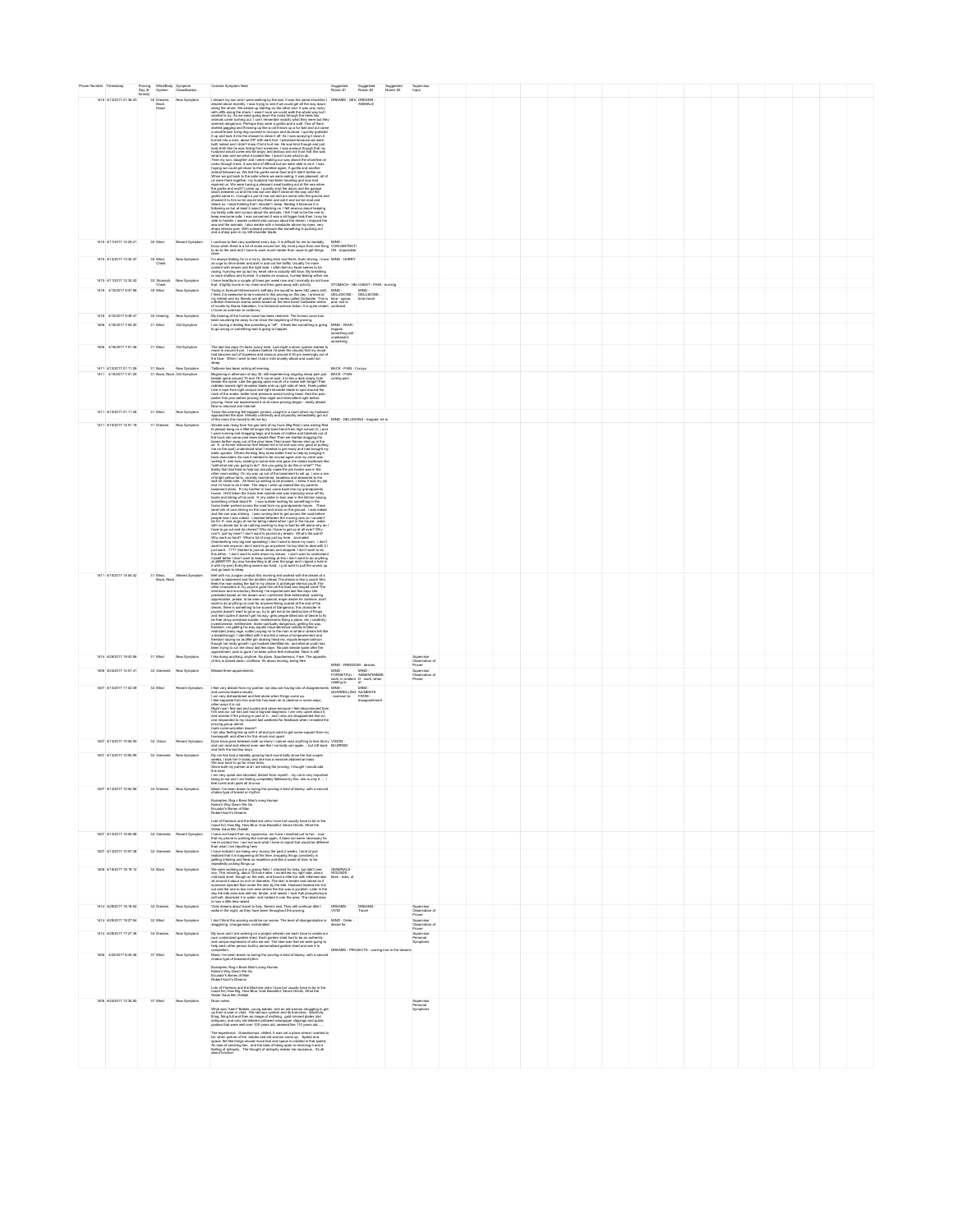|                                                              |  |                                        | $\begin{tabular}{ll} \textbf{Prover Navrebar} & \textbf{Transtaren} & \textbf{Proving} & \textbf{MinRedBody} & \textbf{Sympton} & \textbf{Concise Symptom Nota} \\ & \textbf{Day} & \textbf{Symad} & \textbf{Classification} \\ & \textbf{Formad} & \textbf{Simad} \end{tabular}$ |                                                         | Suggested Suggested Suggested Supervisor<br>Rubric #1 Rubric #2 Rubric #3 Input |                                        |  |  |  |  |  |  |  |  |
|--------------------------------------------------------------|--|----------------------------------------|-----------------------------------------------------------------------------------------------------------------------------------------------------------------------------------------------------------------------------------------------------------------------------------|---------------------------------------------------------|---------------------------------------------------------------------------------|----------------------------------------|--|--|--|--|--|--|--|--|
| 1415 4/13/2017 21:36:23 30 Dreams, New Symptom<br>Back, Head |  |                                        | I denote my and and some section by the sets. It was a function of the field of the sets and the sets and the sets and the sets and the sets and the sets and the sets are considered by the sets and the sets are considered                                                     |                                                         |                                                                                 |                                        |  |  |  |  |  |  |  |  |
|                                                              |  |                                        |                                                                                                                                                                                                                                                                                   |                                                         |                                                                                 |                                        |  |  |  |  |  |  |  |  |
|                                                              |  |                                        |                                                                                                                                                                                                                                                                                   |                                                         |                                                                                 |                                        |  |  |  |  |  |  |  |  |
|                                                              |  |                                        |                                                                                                                                                                                                                                                                                   |                                                         |                                                                                 |                                        |  |  |  |  |  |  |  |  |
|                                                              |  |                                        |                                                                                                                                                                                                                                                                                   |                                                         |                                                                                 |                                        |  |  |  |  |  |  |  |  |
|                                                              |  |                                        |                                                                                                                                                                                                                                                                                   |                                                         |                                                                                 |                                        |  |  |  |  |  |  |  |  |
|                                                              |  |                                        |                                                                                                                                                                                                                                                                                   |                                                         |                                                                                 |                                        |  |  |  |  |  |  |  |  |
|                                                              |  |                                        |                                                                                                                                                                                                                                                                                   |                                                         |                                                                                 |                                        |  |  |  |  |  |  |  |  |
|                                                              |  |                                        |                                                                                                                                                                                                                                                                                   |                                                         |                                                                                 |                                        |  |  |  |  |  |  |  |  |
|                                                              |  |                                        |                                                                                                                                                                                                                                                                                   |                                                         |                                                                                 |                                        |  |  |  |  |  |  |  |  |
|                                                              |  |                                        |                                                                                                                                                                                                                                                                                   |                                                         |                                                                                 |                                        |  |  |  |  |  |  |  |  |
|                                                              |  |                                        |                                                                                                                                                                                                                                                                                   |                                                         |                                                                                 |                                        |  |  |  |  |  |  |  |  |
|                                                              |  |                                        |                                                                                                                                                                                                                                                                                   |                                                         |                                                                                 |                                        |  |  |  |  |  |  |  |  |
|                                                              |  |                                        |                                                                                                                                                                                                                                                                                   |                                                         |                                                                                 |                                        |  |  |  |  |  |  |  |  |
| 1415 4/11/2017 12:29:21                                      |  | 30 Mind Recent Symptom                 |                                                                                                                                                                                                                                                                                   |                                                         |                                                                                 |                                        |  |  |  |  |  |  |  |  |
|                                                              |  |                                        | I continue to feel very scattered every day. It is difficult for me to mentally MIND.<br>focus when there is a list of noise around me. My mind jumps from cree thing CONCENTRATI<br>to do to the next and I have to work much harde                                              |                                                         |                                                                                 |                                        |  |  |  |  |  |  |  |  |
| 1415 4/12/2017 13:32:47                                      |  | 30 Mind, New Symptom                   |                                                                                                                                                                                                                                                                                   |                                                         |                                                                                 |                                        |  |  |  |  |  |  |  |  |
|                                                              |  |                                        | done.<br>The always feeling The In a hunry, claring have and there. Even driving, I have MMD - HURRY<br>an urge to drive faste and dark is and out the traffic. Usually The more<br>content with slower and the right lane. I often fee                                           |                                                         |                                                                                 |                                        |  |  |  |  |  |  |  |  |
| 1415 4/11/2017 12:30:42                                      |  | 30 Stomach, New Symptom<br>Chest       | I have heartburn a couple of times per week now and I normally do not have<br>that. It lightly burns in my chest and then goes away with activity. STOMACH - HE/CHEST - PAIN - burning                                                                                            |                                                         |                                                                                 |                                        |  |  |  |  |  |  |  |  |
| 1416 4/10/2017 9:47:56                                       |  | 30 Mind New Symptom                    | that Rightly borns in my cheat and then goes away with activity. STOMACH - HE/CHEST - PAD<br>Today is Samual Halmemann's birthday (he would/we been 262 years of the CHEST - MINO - The CHEST CHEST - PAD - The control in this                                                   |                                                         |                                                                                 |                                        |  |  |  |  |  |  |  |  |
|                                                              |  |                                        |                                                                                                                                                                                                                                                                                   |                                                         |                                                                                 |                                        |  |  |  |  |  |  |  |  |
| 1416 4/10/2017 9:49:37                                       |  | 30 Hearing New Symptom                 | (I have an ar<br>sion to violence)                                                                                                                                                                                                                                                |                                                         |                                                                                 |                                        |  |  |  |  |  |  |  |  |
| 1406 4/18/2017 7:54:20                                       |  | 31 Mind Old Symptom                    | My hearing of the human voice has been restored. The human voice has<br>been sounding far away to me since the buginning of the proving.<br>I am having a feeling like something is "off". It feels like something is going MIND - F                                              |                                                         |                                                                                 |                                        |  |  |  |  |  |  |  |  |
|                                                              |  |                                        |                                                                                                                                                                                                                                                                                   | happen,<br>something will -<br>urpleasant;<br>something |                                                                                 |                                        |  |  |  |  |  |  |  |  |
| 1406 4/18/2017 7:51:46 31 Mind Old Symptom                   |  |                                        |                                                                                                                                                                                                                                                                                   |                                                         |                                                                                 |                                        |  |  |  |  |  |  |  |  |
|                                                              |  |                                        | The last two days it's been surry here. Last night a storm system started to<br>move in around 8 pm. I noticed (bafore 1'd seen the douds) that my mood<br>had become sort of hopeless and arolous around 8:30 pm seemingly out of<br>t                                           |                                                         |                                                                                 |                                        |  |  |  |  |  |  |  |  |
| 1411 4/10/2017 21:11:26                                      |  | 31 Back New Symptom                    | Taibone has been aching all evening                                                                                                                                                                                                                                               | BACK - PAIN - Coccyx                                    |                                                                                 |                                        |  |  |  |  |  |  |  |  |
| 1411 4/10/2017 7:51:25                                       |  | 31 Back, Neck Old Symptom              | in a<br>space with a statement of the statement of the space of the statement<br>of the statement of the statement of the statement of the statement of<br>the statement of the statement of the statement of the statement of<br>the sta                                         |                                                         |                                                                                 |                                        |  |  |  |  |  |  |  |  |
|                                                              |  |                                        |                                                                                                                                                                                                                                                                                   |                                                         |                                                                                 |                                        |  |  |  |  |  |  |  |  |
|                                                              |  |                                        |                                                                                                                                                                                                                                                                                   |                                                         |                                                                                 |                                        |  |  |  |  |  |  |  |  |
| 1411 4/10/2017 21:11:26 31 Mind New Symptom                  |  |                                        |                                                                                                                                                                                                                                                                                   |                                                         |                                                                                 |                                        |  |  |  |  |  |  |  |  |
|                                                              |  |                                        | Twice this evening felt trapped, pinned, caught in a room when my husband<br>approached the door Verbally unfriendly and physically innnediately got out<br>of the room (he moved to let me by)                                                                                   |                                                         |                                                                                 |                                        |  |  |  |  |  |  |  |  |
| 1411 4/10/2017 14:51:19                                      |  | 31 Dreams New Symptom                  | of the room (be moved to let me lay<br>a later $d$ my root, (Big Point) was assingly<br>fixed by the state of the state of the state of the state<br>of the state of the state of the state of the state of the state of<br>$d$ measureme                                         |                                                         |                                                                                 |                                        |  |  |  |  |  |  |  |  |
|                                                              |  |                                        |                                                                                                                                                                                                                                                                                   |                                                         |                                                                                 |                                        |  |  |  |  |  |  |  |  |
|                                                              |  |                                        |                                                                                                                                                                                                                                                                                   |                                                         |                                                                                 |                                        |  |  |  |  |  |  |  |  |
|                                                              |  |                                        |                                                                                                                                                                                                                                                                                   |                                                         |                                                                                 |                                        |  |  |  |  |  |  |  |  |
|                                                              |  |                                        |                                                                                                                                                                                                                                                                                   |                                                         |                                                                                 |                                        |  |  |  |  |  |  |  |  |
|                                                              |  |                                        |                                                                                                                                                                                                                                                                                   |                                                         |                                                                                 |                                        |  |  |  |  |  |  |  |  |
|                                                              |  |                                        |                                                                                                                                                                                                                                                                                   |                                                         |                                                                                 |                                        |  |  |  |  |  |  |  |  |
|                                                              |  |                                        |                                                                                                                                                                                                                                                                                   |                                                         |                                                                                 |                                        |  |  |  |  |  |  |  |  |
|                                                              |  |                                        |                                                                                                                                                                                                                                                                                   |                                                         |                                                                                 |                                        |  |  |  |  |  |  |  |  |
|                                                              |  |                                        |                                                                                                                                                                                                                                                                                   |                                                         |                                                                                 |                                        |  |  |  |  |  |  |  |  |
|                                                              |  |                                        |                                                                                                                                                                                                                                                                                   |                                                         |                                                                                 |                                        |  |  |  |  |  |  |  |  |
|                                                              |  |                                        |                                                                                                                                                                                                                                                                                   |                                                         |                                                                                 |                                        |  |  |  |  |  |  |  |  |
|                                                              |  |                                        |                                                                                                                                                                                                                                                                                   |                                                         |                                                                                 |                                        |  |  |  |  |  |  |  |  |
|                                                              |  |                                        |                                                                                                                                                                                                                                                                                   |                                                         |                                                                                 |                                        |  |  |  |  |  |  |  |  |
| 1411 4/10/2017 14:54:42                                      |  | 31 Mind, Altered Symptom<br>Back, Neck |                                                                                                                                                                                                                                                                                   |                                                         |                                                                                 |                                        |  |  |  |  |  |  |  |  |
|                                                              |  |                                        |                                                                                                                                                                                                                                                                                   |                                                         |                                                                                 |                                        |  |  |  |  |  |  |  |  |
|                                                              |  |                                        |                                                                                                                                                                                                                                                                                   |                                                         |                                                                                 |                                        |  |  |  |  |  |  |  |  |
|                                                              |  |                                        |                                                                                                                                                                                                                                                                                   |                                                         |                                                                                 |                                        |  |  |  |  |  |  |  |  |
|                                                              |  |                                        |                                                                                                                                                                                                                                                                                   |                                                         |                                                                                 |                                        |  |  |  |  |  |  |  |  |
|                                                              |  |                                        |                                                                                                                                                                                                                                                                                   |                                                         |                                                                                 |                                        |  |  |  |  |  |  |  |  |
|                                                              |  |                                        |                                                                                                                                                                                                                                                                                   |                                                         |                                                                                 |                                        |  |  |  |  |  |  |  |  |
|                                                              |  |                                        | a weaken staying no as little get shaking head etc. equals temper tantrum<br>though not really growth I got shaking head etc. equals temper tantrum<br>baen trying to run the show last few days "No pain beside spine after th<br>baen                                           |                                                         |                                                                                 |                                        |  |  |  |  |  |  |  |  |
| 1414 4/29/2017 19:43:56                                      |  | 31 Mind New Symptom                    | I like doing anything, anytime. No plans. Spontaneous. Free. The opposite of this is locked down, confined. It's about moving, being free.                                                                                                                                        | MND - FREEDOM - desires                                 |                                                                                 | <b>Observation of</b><br>Prover        |  |  |  |  |  |  |  |  |
| 1406 4/24/2017 12:51:31                                      |  | 32 Generals New Symptom                | Missed three appointments.<br>YORCETYL - ARSENTMINDE<br>YORCETYL - ARSENTMINDE<br>YORCETYL - ARSENTMINDE<br>Yorket was discussed from my partner, we also are having total of disapreements MINO - 1980.<br>and communication tesses.<br>a                                        |                                                         |                                                                                 | Supervisor<br>Observation of           |  |  |  |  |  |  |  |  |
| 1407 4/13/2017 11:02:49                                      |  | 32 Mind Recent Symptom                 |                                                                                                                                                                                                                                                                                   |                                                         |                                                                                 |                                        |  |  |  |  |  |  |  |  |
|                                                              |  |                                        |                                                                                                                                                                                                                                                                                   | - aversion to                                           | FROM-                                                                           |                                        |  |  |  |  |  |  |  |  |
|                                                              |  |                                        | and communication issues.<br>If any example a finite state in the state when things come up,<br>I have very dishested more than also been oft to colour on norma ways,<br>$\sim$ finite separation from more than also been oft to colou                                          |                                                         |                                                                                 |                                        |  |  |  |  |  |  |  |  |
|                                                              |  |                                        |                                                                                                                                                                                                                                                                                   |                                                         |                                                                                 |                                        |  |  |  |  |  |  |  |  |
|                                                              |  |                                        |                                                                                                                                                                                                                                                                                   |                                                         |                                                                                 |                                        |  |  |  |  |  |  |  |  |
|                                                              |  |                                        | proving group across.<br>more connectication issues?<br>I am also feeling fed up with it all and just want to get some support from my<br>homeopath and others for this shock and upset.                                                                                          |                                                         |                                                                                 |                                        |  |  |  |  |  |  |  |  |
| 1407 4/13/2017 10:54:05                                      |  | 32 Vision Recent Symptom               | Eyes have gone between both so blurry I cannot read anything to less blurry VISION - and can read and almost even see like I normally can again but still back BLURRED<br>and forth the last few days.                                                                            |                                                         |                                                                                 |                                        |  |  |  |  |  |  |  |  |
| 1407 4/13/2017 10:50:59 32 Generals New Symptom              |  |                                        | My cat has had a steadily growing hard round belly since the last couple weeks, I took her in today and she has a massive abdominal mass.                                                                                                                                         |                                                         |                                                                                 |                                        |  |  |  |  |  |  |  |  |
|                                                              |  |                                        | We now have to go for more tests.<br>Since both my partner and I are taking the proving, I thought I would add                                                                                                                                                                    |                                                         |                                                                                 |                                        |  |  |  |  |  |  |  |  |
|                                                              |  |                                        | this here<br>I are very upset and shocked, distant from myself my cat is very importan<br>being to me and I am fealing completely flattened by this. she is only 5  I<br>feal numb and upset all at once.                                                                         |                                                         |                                                                                 |                                        |  |  |  |  |  |  |  |  |
| 1407 4/13/2017 10:52:58 32 Dreams New Symptom                |  |                                        | Music I've been drawn to during the proving is kind of bluesy, with a second chakra type of breast or rhythm.                                                                                                                                                                     |                                                         |                                                                                 |                                        |  |  |  |  |  |  |  |  |
|                                                              |  |                                        | Examples: Rag n Bone Man's song Human<br>Kaleo's Way Down We Go<br>Ecuador's Bones of Man                                                                                                                                                                                         |                                                         |                                                                                 |                                        |  |  |  |  |  |  |  |  |
|                                                              |  |                                        | Robert Koch's Dre                                                                                                                                                                                                                                                                 |                                                         |                                                                                 |                                        |  |  |  |  |  |  |  |  |
|                                                              |  |                                        | Lots of Florence and the Machine (who I love but usually have to be in the<br>mood for) How Big, How Blue, How Beautiful; Seven Devis, What the<br>Water Gave Me, Dellah                                                                                                          |                                                         |                                                                                 |                                        |  |  |  |  |  |  |  |  |
| 1407 4/13/2017 10:55:58                                      |  | 32 Generals Recent Symptom             | Filter was the main of the main properties and the main of the main of the main of the main of the main of the main of the main of the main of the main of the main of the main of the main of the main of the main of the mai                                                    |                                                         |                                                                                 |                                        |  |  |  |  |  |  |  |  |
|                                                              |  |                                        |                                                                                                                                                                                                                                                                                   |                                                         |                                                                                 |                                        |  |  |  |  |  |  |  |  |
| 1407 4/13/2017 10:57:38                                      |  | 32 Generals New Symptom                | I have noticed I am being very clumsy the past 2 weeks, I kind of just<br>realized that it is happening all the time, dropping things constantly is<br>getting initialing and feels so repetitive and like a waste of time, to be<br>re                                           |                                                         |                                                                                 |                                        |  |  |  |  |  |  |  |  |
| 1408 4/18/2017 18:19:12 32 Back New Symptom                  |  |                                        |                                                                                                                                                                                                                                                                                   |                                                         |                                                                                 |                                        |  |  |  |  |  |  |  |  |
|                                                              |  |                                        | reparation procedure property and the chiral control of the state of distribution of the state and the control of the state of the state of the state of the state of the state of the state of the state of the state of the                                                     |                                                         |                                                                                 |                                        |  |  |  |  |  |  |  |  |
|                                                              |  |                                        |                                                                                                                                                                                                                                                                                   |                                                         |                                                                                 |                                        |  |  |  |  |  |  |  |  |
|                                                              |  |                                        | is now a little less raised.                                                                                                                                                                                                                                                      |                                                         |                                                                                 |                                        |  |  |  |  |  |  |  |  |
| 1414 4/29/2017 18:18:54 32 Dreams New Symptom                |  |                                        | Vivid dreams about travel to Italy. Seems real. They still continue after I DREAMS - DREAMS - wake in the night, as they have been throughout the proving. VMD Travel                                                                                                             |                                                         |                                                                                 | Supervisor<br>Observation of<br>Prover |  |  |  |  |  |  |  |  |
| 1414 4/29/2017 19:27:54 32 Mind New Symptom                  |  |                                        | I don't think this proving could be run worse. The level of disorganization is MIND - Order - steggering. Unorganized, mishandled.<br>$\blacksquare$                                                                                                                              |                                                         |                                                                                 | Supervisor<br>Observation of<br>Prover |  |  |  |  |  |  |  |  |
| 1414 4/29/2017 17:27:36                                      |  | 34 Dreams New Symptom                  |                                                                                                                                                                                                                                                                                   |                                                         |                                                                                 | Superviso<br>Personal                  |  |  |  |  |  |  |  |  |
|                                                              |  |                                        | My fover and I are working on a project wherein we each have to create our<br>own customized garden shed. Each garden shed had to be an authentic<br>and unique expression of who we are. The idea was that we were going to<br>help ea                                           |                                                         |                                                                                 |                                        |  |  |  |  |  |  |  |  |
| 1406 4/24/2017 6:44:46 37 Mind New Symptom                   |  |                                        | Music Twe bean drawn to during the proving is kind of bluesy, with a second<br>Chakks hype of breastering the proving is kind of bluesy, with a second<br>chakks hype of breasteringthm.                                                                                          |                                                         |                                                                                 |                                        |  |  |  |  |  |  |  |  |
|                                                              |  |                                        | Examples: Rag n Bone Man's song Human<br>Kaleo's Way Down We Go                                                                                                                                                                                                                   |                                                         |                                                                                 |                                        |  |  |  |  |  |  |  |  |
|                                                              |  |                                        | Ecuador's Bones of Man<br>Robert Koch's Dreams                                                                                                                                                                                                                                    |                                                         |                                                                                 |                                        |  |  |  |  |  |  |  |  |
|                                                              |  |                                        | Lots of Florence and the Machine (who I love but usually have to be in the<br>mood for) How Big, How Blue, How Beautiful; Seven Devils, What the<br>Water Gave Me, Dellah                                                                                                         |                                                         |                                                                                 |                                        |  |  |  |  |  |  |  |  |
| 1406 4/24/2017 12:30:50 37 Mind New Symptom                  |  |                                        |                                                                                                                                                                                                                                                                                   |                                                         |                                                                                 |                                        |  |  |  |  |  |  |  |  |
|                                                              |  |                                        |                                                                                                                                                                                                                                                                                   |                                                         |                                                                                 | Personal<br>Symptoms                   |  |  |  |  |  |  |  |  |
|                                                              |  |                                        | What was "seen" Babies, young babies, and an old woman struggling to get<br>up from a seat or chair. the nervous system and to branches. electricity<br>firing, firing full and then an image of misfiring. gold rimmed plakes (old                                               |                                                         |                                                                                 |                                        |  |  |  |  |  |  |  |  |
|                                                              |  |                                        |                                                                                                                                                                                                                                                                                   |                                                         |                                                                                 |                                        |  |  |  |  |  |  |  |  |
|                                                              |  |                                        | The experience: Cooseburgos, chilled, It was not a place where I werded to be seen, Mr in the Brigs about from the detailed to be a child in the seed of the speed of the speed of the speed of the speed of the speed of the                                                     |                                                         |                                                                                 |                                        |  |  |  |  |  |  |  |  |
|                                                              |  |                                        |                                                                                                                                                                                                                                                                                   |                                                         |                                                                                 |                                        |  |  |  |  |  |  |  |  |
|                                                              |  |                                        |                                                                                                                                                                                                                                                                                   |                                                         |                                                                                 |                                        |  |  |  |  |  |  |  |  |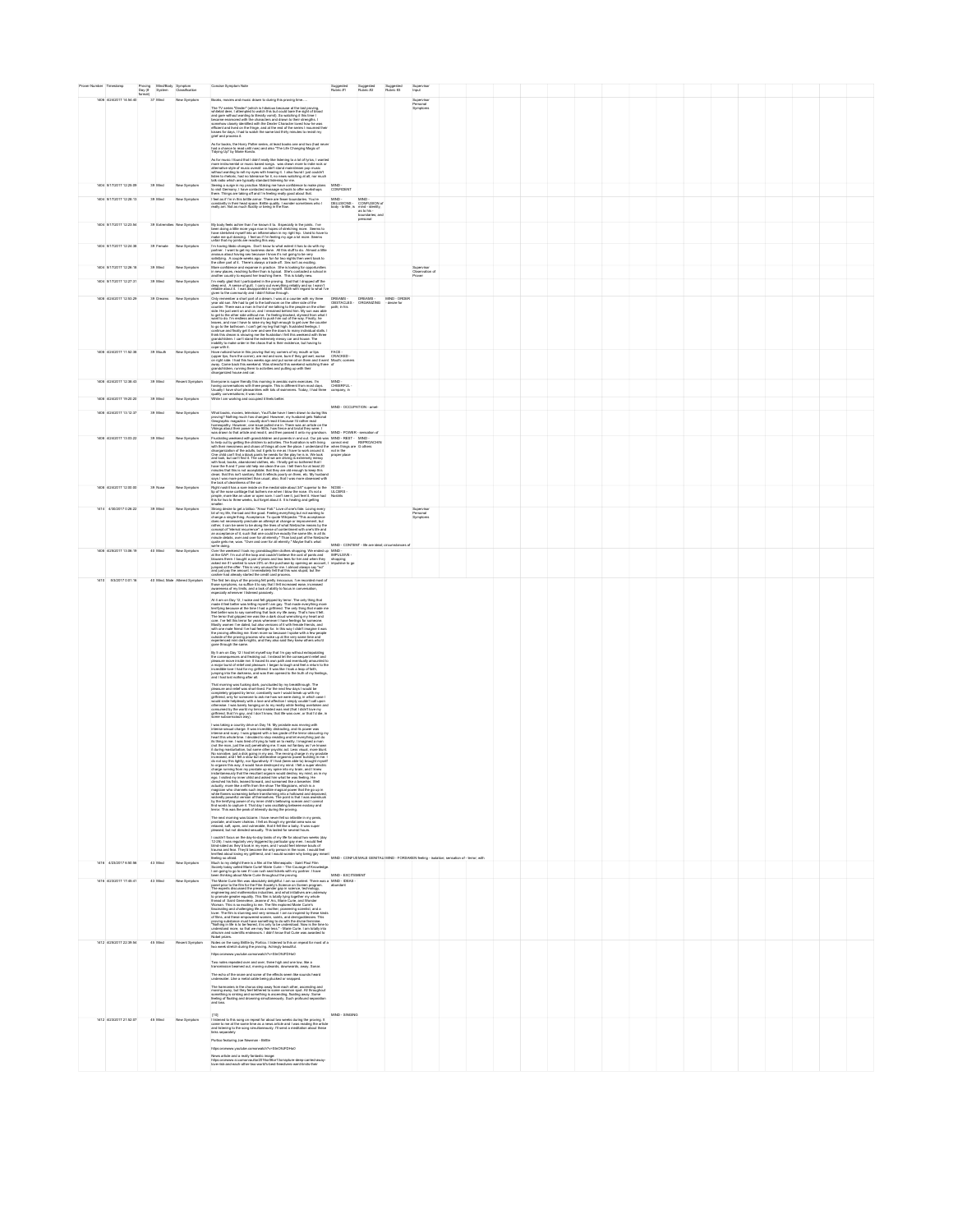| Prover Number Timestamp - Proving MindBody Symptom<br>Day (# System Classification |                                                     |         |                                            | Concise Symptom Note                                                                                                                                                                                                                                                                                                                                                                                                                                                            |                          | Suggested Suggested Suggested Supervisor                      |                                    |                                                                                              |  |  |  |  |  |  |
|------------------------------------------------------------------------------------|-----------------------------------------------------|---------|--------------------------------------------|---------------------------------------------------------------------------------------------------------------------------------------------------------------------------------------------------------------------------------------------------------------------------------------------------------------------------------------------------------------------------------------------------------------------------------------------------------------------------------|--------------------------|---------------------------------------------------------------|------------------------------------|----------------------------------------------------------------------------------------------|--|--|--|--|--|--|
|                                                                                    | 1406 4/24/2017 14:54:40                             |         | 37 Mind New Symptom                        | Books, movies and music drawn to during this proving time<br>The TV series "Deoter" (which is hilericus because at the last proving, which<br>and four, I stempted to watch this bottle series that is a<br>significated from the same of power and control and the same of power<br>which varies a                                                                                                                                                                             |                          |                                                               | Personal                           |                                                                                              |  |  |  |  |  |  |
|                                                                                    |                                                     |         |                                            | grief and process it.<br>As for books, the Harry Potter series, at least books one and two (had never<br>had a chance to read until now) and also "The Life Changing Magic of<br>Tidying Up" by Marie Kondo.                                                                                                                                                                                                                                                                    |                          |                                                               |                                    |                                                                                              |  |  |  |  |  |  |
|                                                                                    |                                                     |         |                                            | As for music I found that I didn't really like listening to a lot of lyrics, I wanted mono instance<br>and the mosic based ongs. Was distinct more to indirect<br>or alternative style of music overall couldn't stand maintainsim                                                                                                                                                                                                                                              |                          |                                                               |                                    |                                                                                              |  |  |  |  |  |  |
|                                                                                    | 1404 5/17/2017 12:25:09<br>1404 5/17/2017 12:28:13  | 39 Mind | New Symptom<br>39 Mind New Symptom         | Usin natio when we hypotely skinster laterate the rese.<br>Severage a surge in my practice. Making me have confidence to make plane. AIRO-<br>Severage a surge in my practice. Making me have confidence to make plane. The<br>He w                                                                                                                                                                                                                                             |                          |                                                               |                                    |                                                                                              |  |  |  |  |  |  |
|                                                                                    | 1404 5/17/2017 12:23:54                             |         | 39 Extremities New Symptom                 |                                                                                                                                                                                                                                                                                                                                                                                                                                                                                 |                          | mino - ioens.y.<br>as to his -<br>boundaries; and<br>personal |                                    |                                                                                              |  |  |  |  |  |  |
|                                                                                    | 1404 5/17/2017 12:24:38                             |         | 39 Female New Symptom                      | My body feels achier than I've known it to. Especially in the joints. I've like the control base of the more yogs mov in hopes of share than the same to have a the same to have a the same of the same of the same of the sam                                                                                                                                                                                                                                                  |                          |                                                               |                                    |                                                                                              |  |  |  |  |  |  |
|                                                                                    | 1404 5/17/2017 12:26:18                             |         | 39 Mind New Symptom                        | I'm having libido changes. Don't know to what extent it has to do with my partner. I want to get my business done. All this studies are an analysis of a little strategy are because I know it's not going to be very ansider<br>More confidence and expanse in practice. She is tooking for opportunities<br>in new places, reaching further than is typical. She's contacted a school in<br>another country to expand her teaching there. This is totally new.                |                          |                                                               | Supervisor<br>Observation of       |                                                                                              |  |  |  |  |  |  |
|                                                                                    | 1404 5/17/2017 12:27:31                             |         | 39 Mind New Symptom                        | I'm neally glad that I participated in the proving. Sad that I dropped off the deep end. A sense of gullt. I carry out everything relative relative relative relative relative relative relative relative relative relative re<br>ind to what I've                                                                                                                                                                                                                              |                          |                                                               |                                    |                                                                                              |  |  |  |  |  |  |
|                                                                                    | 1408 4/24/2017 12:53:29 39 Dreams New Symptom       |         |                                            | given to be a summary and followed the particular party of the control of the control of the control of the control of the control of the control of the control of the control of the control of the control of the control                                                                                                                                                                                                                                                    |                          |                                                               |                                    |                                                                                              |  |  |  |  |  |  |
|                                                                                    | 1408 4/24/2017 11:52:38                             |         | 39 Mouth New Symptom                       | cope with it.<br>copy with the proving Ball my comen of my mouth or lips<br>$\mu$ is the contact below that the province of the contact of the contact of the contact of the contact of the contact of the contact of the contact and the contact                                                                                                                                                                                                                               |                          |                                                               |                                    |                                                                                              |  |  |  |  |  |  |
|                                                                                    | 1408 4/24/2017 12:38:43                             |         | 39 Mind Recent Symptom                     | Everyone is super friendly this moming in aerobic swim exercises. Fm MND -<br>having convensations with three people. This is different from most days. CHEERFUL -<br>Usually thave short pleasenthies with lots of swimmers. Today,                                                                                                                                                                                                                                            |                          |                                                               |                                    |                                                                                              |  |  |  |  |  |  |
|                                                                                    | 1408 4/24/2017 19:20:20<br>1408 4/24/2017 13:12:37  |         | 39 Mind New Symptom<br>39 Mind New Symptom | While I am working and occupied it feels better.                                                                                                                                                                                                                                                                                                                                                                                                                                | MND - OCCUPATION - amel- |                                                               |                                    |                                                                                              |  |  |  |  |  |  |
|                                                                                    | 1408 4/24/2017 13:03:22 39 Mind New Symptom         |         |                                            | What books, movies, television, YouTube have I been drawn to during the<br>proving? Noting much has charged. However, my haddend gets National<br>Records? Noting much has charged. However, my haddend gets National<br>Noting about t                                                                                                                                                                                                                                         |                          |                                                               |                                    |                                                                                              |  |  |  |  |  |  |
|                                                                                    |                                                     |         |                                            | was for the Paris Definite Marine and the following the projection of the Conditions of the Conditions of the Conditions of the Conditions of the Conditions of the Conditions of the Conditions of the Conditions of the Con                                                                                                                                                                                                                                                   |                          |                                                               |                                    |                                                                                              |  |  |  |  |  |  |
|                                                                                    | 1408 4/24/2017 12:00:00                             | 39 Nose | New Symptom                                | .<br>Right noshil has a sore inside on the medial side about 3/4" superior to the NOSE -<br>tip of the nose cartilage that bothers me when I blow the nose. It's not a<br>pimple, more like an ulcer or open sone. I can't see it, just feel it. Have had Nostrits<br>this for two to three weeks, but forget about it. It is healing and getting                                                                                                                               |                          |                                                               |                                    |                                                                                              |  |  |  |  |  |  |
|                                                                                    | 1414 4/30/2017 0:26:22                              | 39 Mind | New Symptom                                | control of the state of the state of the state of the state of the state of the state of the state of the state of the state of the state of the state of the state of the state of the state of the state of the state of th                                                                                                                                                                                                                                                   |                          |                                                               | Superviso<br>Personal<br>Sumntness |                                                                                              |  |  |  |  |  |  |
|                                                                                    | 1408 4/25/2017 13:06:19 40 Mind New Symptom         |         |                                            |                                                                                                                                                                                                                                                                                                                                                                                                                                                                                 |                          | MIND - CONTENT - life are ideal: circumstances of             |                                    |                                                                                              |  |  |  |  |  |  |
|                                                                                    | 1410 5/3/2017 0:01:16 40 Mind, Male Altered Symptom |         |                                            | The first ten days of the proving felt pretty innocuous. I've recorded most of<br>those symptoms, so suffice it to say that I felt increased ease, increased<br>awareness of my limits, and a lack of ability to focus in conversati                                                                                                                                                                                                                                            |                          |                                                               |                                    |                                                                                              |  |  |  |  |  |  |
|                                                                                    |                                                     |         |                                            | A 4 aim on Casy 12, I wake and fall gigged by farms. The only thing that we can be a first that the control of the state in the control of the state of the state of the state of the state of the state of the state of the<br>gone through the same                                                                                                                                                                                                                           |                          |                                                               |                                    |                                                                                              |  |  |  |  |  |  |
|                                                                                    |                                                     |         |                                            | By 5 am on Day 12 I had let repeelf say that I'm gay without extrapolating the consequences and freeking out. I insteal let the consequent relation price principle and a major plane and an amount plane and an amount plane<br>jumping into the darkness, and was then opened to the truth of my feelings, and I had lost nothing after all.                                                                                                                                  |                          |                                                               |                                    |                                                                                              |  |  |  |  |  |  |
|                                                                                    |                                                     |         |                                            | That merring was fucking dark, punctualsed by my breakthrough. The pleasure and related was absolved by the parameter of the start particle of the start parameter of the start particle of the start particle of the start p<br>girlfriend. that I'm gay, and I don't know. that life was over, or that I'd die, in                                                                                                                                                            |                          |                                                               |                                    |                                                                                              |  |  |  |  |  |  |
|                                                                                    |                                                     |         |                                            | (with a<br>blood scale of the control of the projection and therefore the control of<br>the control of the control of the control of the control of the control<br>of the control of the control of the control of the control of<br>$\mathcal$                                                                                                                                                                                                                                 |                          |                                                               |                                    |                                                                                              |  |  |  |  |  |  |
|                                                                                    |                                                     |         |                                            |                                                                                                                                                                                                                                                                                                                                                                                                                                                                                 |                          |                                                               |                                    |                                                                                              |  |  |  |  |  |  |
|                                                                                    |                                                     |         |                                            | Centries the finish, searched forward, and accessed and access<br>the a beautiful, record that a reffin from the above The Magnissim, which is a<br>magnism relation to channels auch metapolical magnism relations that the gradie                                                                                                                                                                                                                                             |                          |                                                               |                                    |                                                                                              |  |  |  |  |  |  |
|                                                                                    |                                                     |         |                                            | The next moming was bizame. I have never felt so infantile in my penis,<br>prostate, and lower chakses. I felt as though my genital area was so<br>niliceed, soft, open, and vulnerable, that it felt like a baby. It was super<br>plea<br>I couldn't focus on the day-to-day tasks of my life for about two weeks (day<br>12-26). I was regularly very triggered by particular gay men. I would feel<br>bind-sided as they'd look in my eyes, and I would feel intense boots o |                          |                                                               |                                    |                                                                                              |  |  |  |  |  |  |
|                                                                                    | 1416 4/23/2017 6:50:56                              | 43 Mind | New Symptom                                | biarita oa gnilaal<br>newsy as also<br>an interval of the state of the Minneapolia - Saint Paul Film<br>Society boday called Maini Curiel Marie Corie - The Counge of Knowled<br>I am going to go to see if I can rush seat Solets with my partner. I have<br>be<br>wledge.                                                                                                                                                                                                     | MIND - EXCITEMENT        |                                                               |                                    | MIND - CONFUS MALE GENITALI MIND - FORSAKEN feeling - isolation: sensation of - terror: with |  |  |  |  |  |  |
|                                                                                    | 1416 4/23/2017 17:45:41                             | 43 Mind | New Symptom                                |                                                                                                                                                                                                                                                                                                                                                                                                                                                                                 |                          |                                                               |                                    |                                                                                              |  |  |  |  |  |  |
|                                                                                    |                                                     |         |                                            | Lass Theodore South Marco Contribute and possible procedure and Marco Controllers. In the case of the term and state of the procedure and the controllers are the controllers. The case of the controllers are the controller<br>Nobel prizes                                                                                                                                                                                                                                   |                          |                                                               |                                    |                                                                                              |  |  |  |  |  |  |
|                                                                                    | 1412 4/25/2017 22:39:54                             | 45 Mind | Recent Symptom                             | Notes on the song Brittle by Portico. I listened to this on repeat for most of a<br>two week stretch during the proving. Achingly beautiful.<br>https:cronwww.youtube.comonwatch?v=StnCGJFDHoC<br>Two notes repeated over and over, three high and one low, like a<br>transmission beamed out, moving outwards, downwards, away. Sonar.                                                                                                                                         |                          |                                                               |                                    |                                                                                              |  |  |  |  |  |  |
|                                                                                    |                                                     |         |                                            | The echo of the snare and some of the effects seem like sounds heard<br>derwater. Like a metal cable being plucked or snapped<br>The harmonies in the chorus step away from each other, ascending and moving away, but throughout a some contention point of the same content of the state of the state of the state of the state of the state of the state of                                                                                                                  |                          |                                                               |                                    |                                                                                              |  |  |  |  |  |  |
|                                                                                    | 1412 4/23/2017 21:52:07                             | 45 Mind | New Symptom                                | [10]<br>1777<br>I listened to this song on repeat for about two weeks during the proving. It<br>came to me at the same time as a news article and I was reading the article<br>and isleaming to the song simultaneously. IT send a mediation ab                                                                                                                                                                                                                                 | MIND - SINGING           |                                                               |                                    |                                                                                              |  |  |  |  |  |  |
|                                                                                    |                                                     |         |                                            | Portico featuring Joe Newman - Brittle<br>https:cronww.youtube.comprwatch?v=StnO9JFDHo0<br>News article and a really fantastic image:<br>https:cronwww.si.comorvaultor2016or06or13omapture-deep-carried-away-<br>love-risk-and-each-other-two-world's-best-freedivers-went-limits-their                                                                                                                                                                                         |                          |                                                               |                                    |                                                                                              |  |  |  |  |  |  |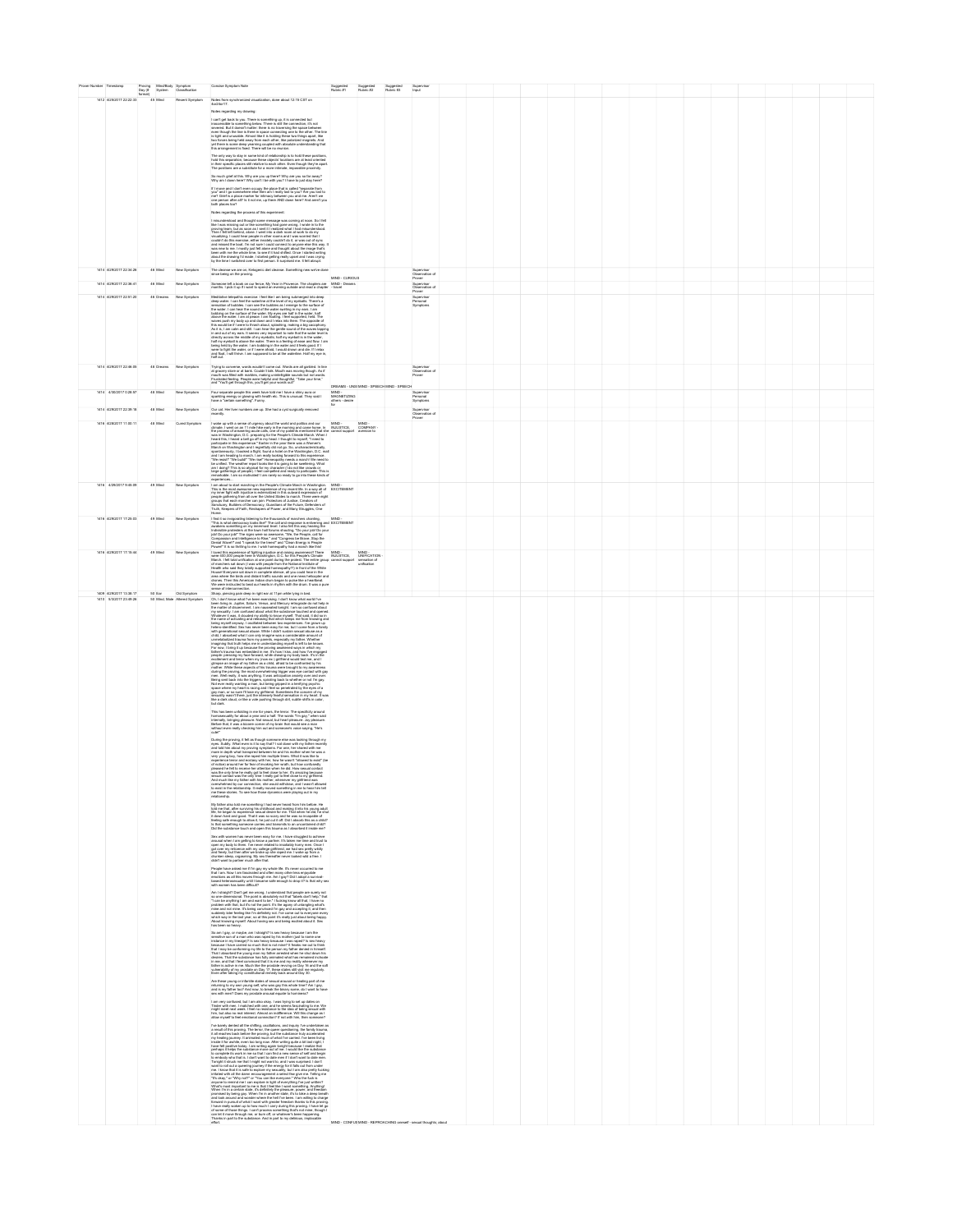|                                                   |         | $\begin{tabular}{ll} ProveNormbar & Tinsstamp & Proving & MindBody & Sympton \\ & Day (\# & System & Classification \\ format) & \end{tabular}$ | Concise Symptom Note                                                                                                                                                                                                                                                                                               |                                                 | Supposted Supposted Supposted Supported<br>Rubric #1 Rubric #2 Rubric #3 Input |                                                                  |  |  |  |  |  |  |  |  |
|---------------------------------------------------|---------|-------------------------------------------------------------------------------------------------------------------------------------------------|--------------------------------------------------------------------------------------------------------------------------------------------------------------------------------------------------------------------------------------------------------------------------------------------------------------------|-------------------------------------------------|--------------------------------------------------------------------------------|------------------------------------------------------------------|--|--|--|--|--|--|--|--|
| 1412 4/25/2017 22:22:33                           |         |                                                                                                                                                 | 45 Mind Recent Symptom Notes from synchronized visualization, done about 12:15 CST on 4or24or17.                                                                                                                                                                                                                   |                                                 |                                                                                |                                                                  |  |  |  |  |  |  |  |  |
|                                                   |         |                                                                                                                                                 | Notes regarding my draw<br>ing                                                                                                                                                                                                                                                                                     |                                                 |                                                                                |                                                                  |  |  |  |  |  |  |  |  |
|                                                   |         |                                                                                                                                                 |                                                                                                                                                                                                                                                                                                                    |                                                 |                                                                                |                                                                  |  |  |  |  |  |  |  |  |
|                                                   |         |                                                                                                                                                 | Learn't get back to you. There is a<br>constanting up, it is connected by the constant of the state of the<br>state of the distort matter. There is no beauting the space botten,<br>in the constant of the distort of the first in th                                                                             |                                                 |                                                                                |                                                                  |  |  |  |  |  |  |  |  |
|                                                   |         |                                                                                                                                                 |                                                                                                                                                                                                                                                                                                                    |                                                 |                                                                                |                                                                  |  |  |  |  |  |  |  |  |
|                                                   |         |                                                                                                                                                 |                                                                                                                                                                                                                                                                                                                    |                                                 |                                                                                |                                                                  |  |  |  |  |  |  |  |  |
|                                                   |         |                                                                                                                                                 | The only way to stay in some kind of relationship is to hold these positions,<br>hold this separation, because these objects' locations are at least oriented<br>in their specific places still relative to each other. Even though                                                                                |                                                 |                                                                                |                                                                  |  |  |  |  |  |  |  |  |
|                                                   |         |                                                                                                                                                 |                                                                                                                                                                                                                                                                                                                    |                                                 |                                                                                |                                                                  |  |  |  |  |  |  |  |  |
|                                                   |         |                                                                                                                                                 | So much grief at this. Why are you up there? Why are you so far away?<br>Why am I down here? Why can't I be with you? I have to just stay here?                                                                                                                                                                    |                                                 |                                                                                |                                                                  |  |  |  |  |  |  |  |  |
|                                                   |         |                                                                                                                                                 | If I move and I don't even occupy the place that is called "separate from<br>you" and I go somewhere else then sim I really bot to you? Are you loot to<br>mu? Crist is a place marker for internacy between you and me. Aren't we<br>o                                                                            |                                                 |                                                                                |                                                                  |  |  |  |  |  |  |  |  |
|                                                   |         |                                                                                                                                                 |                                                                                                                                                                                                                                                                                                                    |                                                 |                                                                                |                                                                  |  |  |  |  |  |  |  |  |
|                                                   |         |                                                                                                                                                 | Notes regarding the process of this experiment:                                                                                                                                                                                                                                                                    |                                                 |                                                                                |                                                                  |  |  |  |  |  |  |  |  |
|                                                   |         |                                                                                                                                                 | I also understand and of the physicial scenes meaning as weak control of the field procedure and control of the procedure of the scenes of the scenes of the scenes of the scenes of the scenes of the scenes of the scenes o                                                                                      |                                                 |                                                                                |                                                                  |  |  |  |  |  |  |  |  |
|                                                   |         |                                                                                                                                                 |                                                                                                                                                                                                                                                                                                                    |                                                 |                                                                                |                                                                  |  |  |  |  |  |  |  |  |
|                                                   |         |                                                                                                                                                 |                                                                                                                                                                                                                                                                                                                    |                                                 |                                                                                |                                                                  |  |  |  |  |  |  |  |  |
|                                                   |         |                                                                                                                                                 | about the drawing I'd made, I started getting really upset and I was crying<br>by the time I switched over to first person. It surprised me. It felt abrupt.                                                                                                                                                       |                                                 |                                                                                |                                                                  |  |  |  |  |  |  |  |  |
| 1414 4/29/2017 22:34:26                           | 46 Mind | New Symptom                                                                                                                                     | The cleanse we are on, Ketogenic diet clearse. Something new we've done since being on the proving.                                                                                                                                                                                                                |                                                 |                                                                                | Supervisor<br>Observation of<br>Prover                           |  |  |  |  |  |  |  |  |
| 1414 4/29/2017 22:36:41                           |         | 46 Mind New Symptom                                                                                                                             | Someone left a book on our fence, My Year in Provence. The chapters are MIND - Dreams                                                                                                                                                                                                                              | MND - CURIOUS                                   |                                                                                |                                                                  |  |  |  |  |  |  |  |  |
|                                                   |         | 46 Dreams New Symptom                                                                                                                           |                                                                                                                                                                                                                                                                                                                    |                                                 |                                                                                | Supervisor<br>Observation of<br>Prover                           |  |  |  |  |  |  |  |  |
| 1414 4/29/2017 22:51:20                           |         |                                                                                                                                                 | Note<br>that the spacetic spacetic line that $\mu$ is<br>then a nonegative from the spacetime of the spacetime of the spacetime of<br>the spacetime of the spacetime of the spacetime of the spacetime of<br>the spacetime of the spacetim                                                                         |                                                 |                                                                                | Supervisor<br>Personal                                           |  |  |  |  |  |  |  |  |
|                                                   |         |                                                                                                                                                 |                                                                                                                                                                                                                                                                                                                    |                                                 |                                                                                |                                                                  |  |  |  |  |  |  |  |  |
|                                                   |         |                                                                                                                                                 |                                                                                                                                                                                                                                                                                                                    |                                                 |                                                                                |                                                                  |  |  |  |  |  |  |  |  |
|                                                   |         |                                                                                                                                                 |                                                                                                                                                                                                                                                                                                                    |                                                 |                                                                                |                                                                  |  |  |  |  |  |  |  |  |
|                                                   |         |                                                                                                                                                 |                                                                                                                                                                                                                                                                                                                    |                                                 |                                                                                |                                                                  |  |  |  |  |  |  |  |  |
|                                                   |         |                                                                                                                                                 |                                                                                                                                                                                                                                                                                                                    |                                                 |                                                                                |                                                                  |  |  |  |  |  |  |  |  |
| 1414 4/29/2017 22:46:05                           |         | 48 Dreams New Symptom                                                                                                                           |                                                                                                                                                                                                                                                                                                                    |                                                 |                                                                                | Supervisor<br>Observation of<br>Preser                           |  |  |  |  |  |  |  |  |
|                                                   |         |                                                                                                                                                 | Trying to converse, words wouldn't come out. Words are all gathled: In line<br>all grocery slows or at bank Couldn't talk. Mouth was moving though As if<br>most was filted with mathlea, making unintelligible scurris but not word                                                                               |                                                 |                                                                                |                                                                  |  |  |  |  |  |  |  |  |
| 1414 4/30/2017 0:28:57                            | 48 Mind | New Symptom                                                                                                                                     |                                                                                                                                                                                                                                                                                                                    |                                                 | DREAMS - UNSLMIND - SPEECH MIND - SPEECH                                       |                                                                  |  |  |  |  |  |  |  |  |
|                                                   |         |                                                                                                                                                 | Four separate people this week have told me I have a shiny aura or sparking energy or glowing with health etc. This is unusual. They said I have a "certain something". Furny.                                                                                                                                     | MIND -<br>MAGNETIZING<br>others - desire<br>for |                                                                                | Supervisor<br>Personal<br>Symptoms                               |  |  |  |  |  |  |  |  |
| 1414 4/29/2017 22:39:18   48 Mind   New Symptom   |         |                                                                                                                                                 | Our cat. Her liver numbers are up. She had a cyst surgically removed<br>recently.                                                                                                                                                                                                                                  |                                                 |                                                                                | Supervisor<br>Observation of                                     |  |  |  |  |  |  |  |  |
| 1416 4/28/2017 11:00:11                           |         | 48 Mind Cured Symptom                                                                                                                           |                                                                                                                                                                                                                                                                                                                    |                                                 |                                                                                |                                                                  |  |  |  |  |  |  |  |  |
|                                                   |         |                                                                                                                                                 |                                                                                                                                                                                                                                                                                                                    |                                                 |                                                                                |                                                                  |  |  |  |  |  |  |  |  |
|                                                   |         |                                                                                                                                                 |                                                                                                                                                                                                                                                                                                                    |                                                 |                                                                                |                                                                  |  |  |  |  |  |  |  |  |
|                                                   |         |                                                                                                                                                 |                                                                                                                                                                                                                                                                                                                    |                                                 |                                                                                |                                                                  |  |  |  |  |  |  |  |  |
|                                                   |         |                                                                                                                                                 |                                                                                                                                                                                                                                                                                                                    |                                                 |                                                                                |                                                                  |  |  |  |  |  |  |  |  |
|                                                   |         |                                                                                                                                                 |                                                                                                                                                                                                                                                                                                                    |                                                 |                                                                                |                                                                  |  |  |  |  |  |  |  |  |
| 1416 4/29/2017 9:45:09                            | 49 Mind | New Symptom                                                                                                                                     | I am about to start marching in the People's Climate March in Washington. MIND -<br>This is the most awescme new experience of my recent life. In a way all of EXCITEMENT                                                                                                                                          |                                                 |                                                                                |                                                                  |  |  |  |  |  |  |  |  |
|                                                   |         |                                                                                                                                                 | That is the mass associate here experiences of my recent mass in a step and the mass and propriate the state interest of the state of the pression of propriate signal and matcher can just Power and the state mass of the s                                                                                      |                                                 |                                                                                |                                                                  |  |  |  |  |  |  |  |  |
|                                                   |         |                                                                                                                                                 |                                                                                                                                                                                                                                                                                                                    |                                                 |                                                                                |                                                                  |  |  |  |  |  |  |  |  |
| 1416 4/29/2017 17:25:03                           | 49 Mind | New Symptom                                                                                                                                     |                                                                                                                                                                                                                                                                                                                    |                                                 |                                                                                |                                                                  |  |  |  |  |  |  |  |  |
|                                                   |         |                                                                                                                                                 |                                                                                                                                                                                                                                                                                                                    |                                                 |                                                                                |                                                                  |  |  |  |  |  |  |  |  |
|                                                   |         |                                                                                                                                                 | Hence it as invegending labeling to the floorated of matches chesting.<br>$\frac{1}{2}$ the labeling channels are the state of matches of the film of the labeling channels in the state of<br>$\frac{1}{2}$ in the labeling control of t                                                                          |                                                 |                                                                                |                                                                  |  |  |  |  |  |  |  |  |
| 1416 4/29/2017 17:15:44                           | 49 Mind | New Symptom                                                                                                                                     |                                                                                                                                                                                                                                                                                                                    |                                                 |                                                                                |                                                                  |  |  |  |  |  |  |  |  |
|                                                   |         |                                                                                                                                                 | I lowed this experience of fighting injustice and raising awarenessit There MIND: MND - MAND - Were 400,000 percept inter in Washington, D.C. for this People's Climate in Washington D.C. INTERCATION Merced in the material                                                                                      |                                                 |                                                                                |                                                                  |  |  |  |  |  |  |  |  |
|                                                   |         |                                                                                                                                                 |                                                                                                                                                                                                                                                                                                                    |                                                 |                                                                                |                                                                  |  |  |  |  |  |  |  |  |
|                                                   |         |                                                                                                                                                 | Phone III contras and down in complete site<br>nos, all you could hear in the linear whole linear particular the country of the<br>state of the country of the country of the country of the country of<br>the country of the country o                                                                            |                                                 |                                                                                |                                                                  |  |  |  |  |  |  |  |  |
| 1409 4/29/2017 13:38:17<br>1410 5/3/2017 23:49:26 | 50 Ear  | Old Symptom<br>50 Mind, Male Altered Symptom                                                                                                    | Sharp, piercing pain deep in right ear at 11pm while lying in bed.                                                                                                                                                                                                                                                 |                                                 |                                                                                |                                                                  |  |  |  |  |  |  |  |  |
|                                                   |         |                                                                                                                                                 |                                                                                                                                                                                                                                                                                                                    |                                                 |                                                                                |                                                                  |  |  |  |  |  |  |  |  |
|                                                   |         |                                                                                                                                                 |                                                                                                                                                                                                                                                                                                                    |                                                 |                                                                                |                                                                  |  |  |  |  |  |  |  |  |
|                                                   |         |                                                                                                                                                 |                                                                                                                                                                                                                                                                                                                    |                                                 |                                                                                |                                                                  |  |  |  |  |  |  |  |  |
|                                                   |         |                                                                                                                                                 |                                                                                                                                                                                                                                                                                                                    |                                                 |                                                                                |                                                                  |  |  |  |  |  |  |  |  |
|                                                   |         |                                                                                                                                                 |                                                                                                                                                                                                                                                                                                                    |                                                 |                                                                                |                                                                  |  |  |  |  |  |  |  |  |
|                                                   |         |                                                                                                                                                 |                                                                                                                                                                                                                                                                                                                    |                                                 |                                                                                |                                                                  |  |  |  |  |  |  |  |  |
|                                                   |         |                                                                                                                                                 |                                                                                                                                                                                                                                                                                                                    |                                                 |                                                                                |                                                                  |  |  |  |  |  |  |  |  |
|                                                   |         |                                                                                                                                                 |                                                                                                                                                                                                                                                                                                                    |                                                 |                                                                                |                                                                  |  |  |  |  |  |  |  |  |
|                                                   |         |                                                                                                                                                 |                                                                                                                                                                                                                                                                                                                    |                                                 |                                                                                |                                                                  |  |  |  |  |  |  |  |  |
|                                                   |         |                                                                                                                                                 |                                                                                                                                                                                                                                                                                                                    |                                                 |                                                                                |                                                                  |  |  |  |  |  |  |  |  |
|                                                   |         |                                                                                                                                                 | This has been unfolding in me for years, the terms. The specificity around homeoscalify for about a "year and a half. The words Thropsys", "when said little materials of the state said process of the state and the material                                                                                     |                                                 |                                                                                |                                                                  |  |  |  |  |  |  |  |  |
|                                                   |         |                                                                                                                                                 |                                                                                                                                                                                                                                                                                                                    |                                                 |                                                                                |                                                                  |  |  |  |  |  |  |  |  |
|                                                   |         |                                                                                                                                                 | Control The process of Rein and Procedure and Reinfords and Reinfords (Reinfords and Reinfords and Reinfords and Reinfords and Reinfords and Reinfords and Reinfords (Reinfords and Reinfords and Reinfords and Reinfords and                                                                                      |                                                 |                                                                                |                                                                  |  |  |  |  |  |  |  |  |
|                                                   |         |                                                                                                                                                 |                                                                                                                                                                                                                                                                                                                    |                                                 |                                                                                |                                                                  |  |  |  |  |  |  |  |  |
|                                                   |         |                                                                                                                                                 |                                                                                                                                                                                                                                                                                                                    |                                                 |                                                                                |                                                                  |  |  |  |  |  |  |  |  |
|                                                   |         |                                                                                                                                                 |                                                                                                                                                                                                                                                                                                                    |                                                 |                                                                                |                                                                  |  |  |  |  |  |  |  |  |
|                                                   |         |                                                                                                                                                 | overwhelmed by our connection, she would withdraw, and I wasn't allowed<br>to exist in the relationship. It really moved something in me to hear him tell<br>me these stories. To see how those dynamics were playing out in my                                                                                    |                                                 |                                                                                |                                                                  |  |  |  |  |  |  |  |  |
|                                                   |         |                                                                                                                                                 | ionship                                                                                                                                                                                                                                                                                                            |                                                 |                                                                                |                                                                  |  |  |  |  |  |  |  |  |
|                                                   |         |                                                                                                                                                 | My father also both me accruiting 1 had never heard from him bafoes. He<br>is field me that, after accritering the childrend and making it from his young adult<br>$166$ , he began to experience second desire for me. That when he                                                                               |                                                 |                                                                                |                                                                  |  |  |  |  |  |  |  |  |
|                                                   |         |                                                                                                                                                 |                                                                                                                                                                                                                                                                                                                    |                                                 |                                                                                |                                                                  |  |  |  |  |  |  |  |  |
|                                                   |         |                                                                                                                                                 |                                                                                                                                                                                                                                                                                                                    |                                                 |                                                                                |                                                                  |  |  |  |  |  |  |  |  |
|                                                   |         |                                                                                                                                                 |                                                                                                                                                                                                                                                                                                                    |                                                 |                                                                                |                                                                  |  |  |  |  |  |  |  |  |
|                                                   |         |                                                                                                                                                 | Sion with women has never been easy for me. I have atruggled to achieve a<br>could when I am getting to hnow a parket. If this<br>learn my brow is given and front to consider the open into the open and<br>point of point and front                                                                              |                                                 |                                                                                |                                                                  |  |  |  |  |  |  |  |  |
|                                                   |         |                                                                                                                                                 |                                                                                                                                                                                                                                                                                                                    |                                                 |                                                                                |                                                                  |  |  |  |  |  |  |  |  |
|                                                   |         |                                                                                                                                                 | People have asked me if I'm gay my whole life. It's never occurred to me<br>that I am. Now I am fascinated and often many other less enjoyable<br>emotions as all this moves through me. Am I gay? Did I adopt a survival-<br>based helerosexuality until I became sale enough to drop it? Is that why sex<br>with |                                                 |                                                                                |                                                                  |  |  |  |  |  |  |  |  |
|                                                   |         |                                                                                                                                                 |                                                                                                                                                                                                                                                                                                                    |                                                 |                                                                                |                                                                  |  |  |  |  |  |  |  |  |
|                                                   |         |                                                                                                                                                 |                                                                                                                                                                                                                                                                                                                    |                                                 |                                                                                |                                                                  |  |  |  |  |  |  |  |  |
|                                                   |         |                                                                                                                                                 |                                                                                                                                                                                                                                                                                                                    |                                                 |                                                                                |                                                                  |  |  |  |  |  |  |  |  |
|                                                   |         |                                                                                                                                                 | Arm interigent? Don't get me verong. I unciderateed that people are surely red in the property of the state of the first section of the state base of the state performance problem in the state of the point. If it has also                                                                                      |                                                 |                                                                                |                                                                  |  |  |  |  |  |  |  |  |
|                                                   |         |                                                                                                                                                 | So am I gay, or maybe, am I straight? Is sex heavy because I am the<br>sensitive son of a man who was raped by his mother (just to name or                                                                                                                                                                         |                                                 |                                                                                |                                                                  |  |  |  |  |  |  |  |  |
|                                                   |         |                                                                                                                                                 |                                                                                                                                                                                                                                                                                                                    |                                                 |                                                                                |                                                                  |  |  |  |  |  |  |  |  |
|                                                   |         |                                                                                                                                                 |                                                                                                                                                                                                                                                                                                                    |                                                 |                                                                                |                                                                  |  |  |  |  |  |  |  |  |
|                                                   |         |                                                                                                                                                 |                                                                                                                                                                                                                                                                                                                    |                                                 |                                                                                |                                                                  |  |  |  |  |  |  |  |  |
|                                                   |         |                                                                                                                                                 | So and 1 gay, or majorithm, and 1000<br>gay for the Water May Mexican Lam The Hamiltonian Lam Theorem (1992)<br>$\sim$ 1000 km matrix of the Hamiltonian Carolina (1993)<br>$\sim$ 1000 km matrix of the Hamiltonian Carolina (1993)<br>$\sim$                                                                     |                                                 |                                                                                |                                                                  |  |  |  |  |  |  |  |  |
|                                                   |         |                                                                                                                                                 | Are these young or infantile states of sexual accuse in healing part of me<br>retunning to my own young self, who wea gay this whole time? Am I gay, may and is my father for a land<br>and is my father too? And now, to break the                                                                                |                                                 |                                                                                |                                                                  |  |  |  |  |  |  |  |  |
|                                                   |         |                                                                                                                                                 |                                                                                                                                                                                                                                                                                                                    |                                                 |                                                                                |                                                                  |  |  |  |  |  |  |  |  |
|                                                   |         |                                                                                                                                                 | I am very confused, but I am also okay. I was trying to set up dates on<br>Timber with men. I matched with one, and he seems fascinating to me. We<br>might meet mod week. I feel no resistance to the idea of being sexual with<br>him                                                                            |                                                 |                                                                                |                                                                  |  |  |  |  |  |  |  |  |
|                                                   |         |                                                                                                                                                 |                                                                                                                                                                                                                                                                                                                    |                                                 |                                                                                |                                                                  |  |  |  |  |  |  |  |  |
|                                                   |         |                                                                                                                                                 |                                                                                                                                                                                                                                                                                                                    |                                                 |                                                                                |                                                                  |  |  |  |  |  |  |  |  |
|                                                   |         |                                                                                                                                                 |                                                                                                                                                                                                                                                                                                                    |                                                 |                                                                                |                                                                  |  |  |  |  |  |  |  |  |
|                                                   |         |                                                                                                                                                 |                                                                                                                                                                                                                                                                                                                    |                                                 |                                                                                |                                                                  |  |  |  |  |  |  |  |  |
|                                                   |         |                                                                                                                                                 |                                                                                                                                                                                                                                                                                                                    |                                                 |                                                                                |                                                                  |  |  |  |  |  |  |  |  |
|                                                   |         |                                                                                                                                                 |                                                                                                                                                                                                                                                                                                                    |                                                 |                                                                                |                                                                  |  |  |  |  |  |  |  |  |
|                                                   |         |                                                                                                                                                 |                                                                                                                                                                                                                                                                                                                    |                                                 |                                                                                |                                                                  |  |  |  |  |  |  |  |  |
|                                                   |         |                                                                                                                                                 |                                                                                                                                                                                                                                                                                                                    |                                                 |                                                                                |                                                                  |  |  |  |  |  |  |  |  |
|                                                   |         |                                                                                                                                                 |                                                                                                                                                                                                                                                                                                                    |                                                 |                                                                                |                                                                  |  |  |  |  |  |  |  |  |
|                                                   |         |                                                                                                                                                 |                                                                                                                                                                                                                                                                                                                    |                                                 |                                                                                | MIND - CONFUSMIND - REPROACHING oneself - sexual thoughts; about |  |  |  |  |  |  |  |  |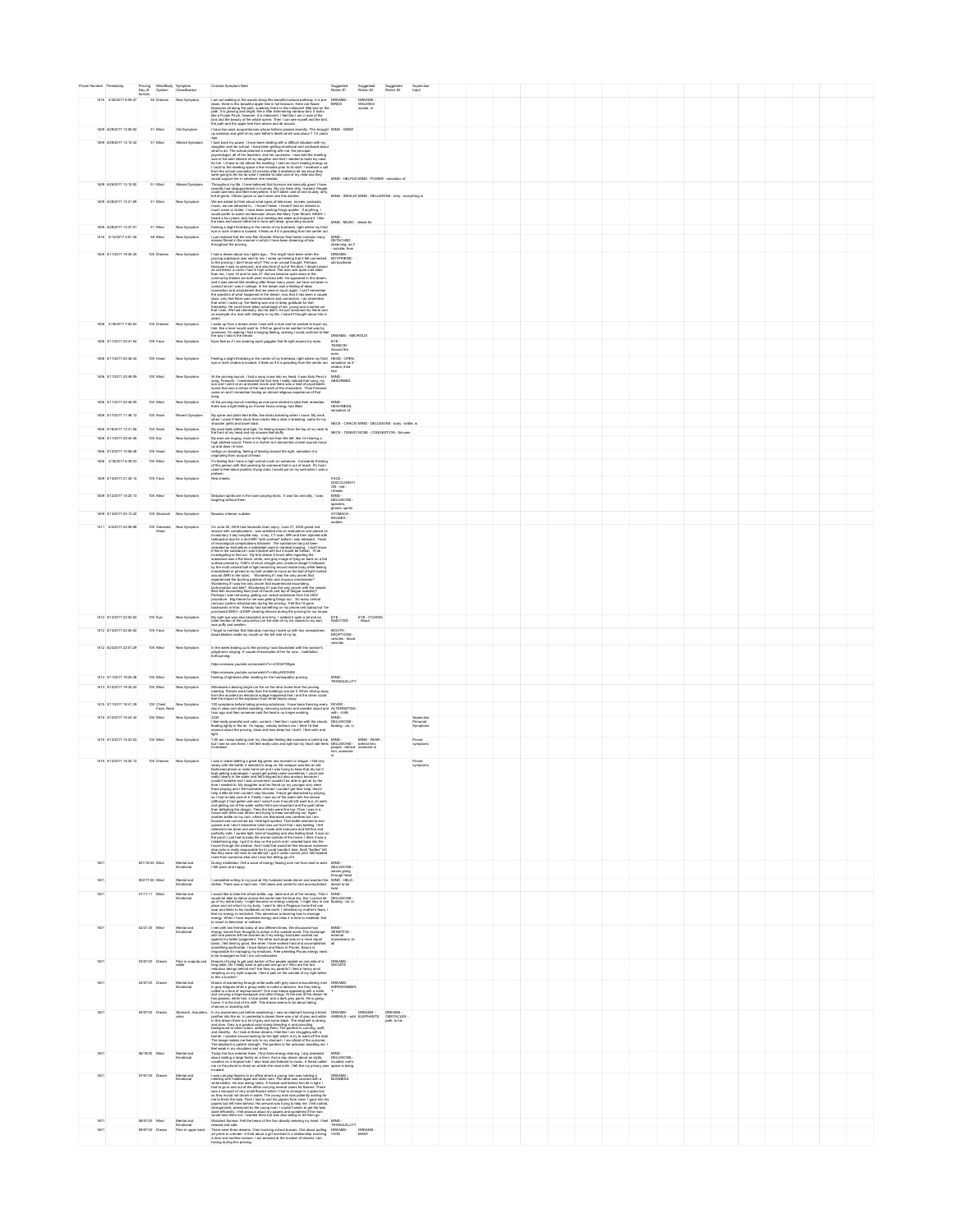|      | Prover Number Timestamp Proving MindBody Symptom<br>Day (# System Classification<br>format) |                                        |          |                                      | Concise Symptom Note                                                                                                                                                                                                                                                                                                                                                            | Supposted<br>Rubric #1                                |                          | Suggested Suggested Superv<br>Rubric #2 Rubric #3 Input |                      |  |  |  |  |  |  |  |
|------|---------------------------------------------------------------------------------------------|----------------------------------------|----------|--------------------------------------|---------------------------------------------------------------------------------------------------------------------------------------------------------------------------------------------------------------------------------------------------------------------------------------------------------------------------------------------------------------------------------|-------------------------------------------------------|--------------------------|---------------------------------------------------------|----------------------|--|--|--|--|--|--|--|
|      | 1416 4/30/2017 6:05:47                                                                      |                                        |          | 50 Dreams New Symptom                | I am out walking in the woods along this beautiful natural pathway, it is pre- DREAMS -                                                                                                                                                                                                                                                                                         |                                                       | DREAMS -<br>WALKING      |                                                         |                      |  |  |  |  |  |  |  |
|      |                                                                                             |                                        |          |                                      | $\epsilon$ are out wavelength of the space of the space of the space of the space of the space of the space of the space of the space of the space of the space of the space of the space of the space of the space of the space of                                                                                                                                             |                                                       |                          |                                                         |                      |  |  |  |  |  |  |  |
|      |                                                                                             |                                        |          |                                      |                                                                                                                                                                                                                                                                                                                                                                                 |                                                       |                          |                                                         |                      |  |  |  |  |  |  |  |
|      | 1409 4/29/2017 13:08:52                                                                     |                                        |          | 51 Mind Old Symptom                  | um peer ans ult appe tree tram above and al áltitude.<br>I have two work acquaintences whose fathers passed recently. This brought. MIND - GRIEF<br>up saidness and grief of my own father's cleath which was about 7 1/2 years                                                                                                                                                 |                                                       |                          |                                                         |                      |  |  |  |  |  |  |  |
|      | 1409 4/29/2017 13:14:32 51 Mind Altered Symptom                                             |                                        |          |                                      | algo. Installation of powers. I have been consisting with a difficult attraction with range of the state of the state powers in the state of the state of the state of the state powers of the state of the state of the stat                                                                                                                                                   |                                                       |                          |                                                         |                      |  |  |  |  |  |  |  |
|      |                                                                                             |                                        |          |                                      |                                                                                                                                                                                                                                                                                                                                                                                 |                                                       |                          |                                                         |                      |  |  |  |  |  |  |  |
|      |                                                                                             |                                        |          |                                      |                                                                                                                                                                                                                                                                                                                                                                                 |                                                       |                          |                                                         |                      |  |  |  |  |  |  |  |
|      |                                                                                             |                                        |          |                                      |                                                                                                                                                                                                                                                                                                                                                                                 |                                                       |                          |                                                         |                      |  |  |  |  |  |  |  |
|      | 1409 4/29/2017 13:10:00                                                                     |                                        | 51 Mind  | Altered Symptom                      | uscale supplied that in the interest of the means are basically good. These includes the control of the control of the control of the control of the control of the control of the control of the control of the control of t                                                                                                                                                   | MND - HELPLE(MND - POWER - sensation of               |                          |                                                         |                      |  |  |  |  |  |  |  |
|      |                                                                                             |                                        |          |                                      |                                                                                                                                                                                                                                                                                                                                                                                 | MND - IDEALIS MND - DELUSIONS - dirty - everything is |                          |                                                         |                      |  |  |  |  |  |  |  |
|      | 1409 4/29/2017 13:21:59                                                                     |                                        | 51 Mind  | New Symptom                          |                                                                                                                                                                                                                                                                                                                                                                                 |                                                       |                          |                                                         |                      |  |  |  |  |  |  |  |
|      |                                                                                             |                                        |          |                                      |                                                                                                                                                                                                                                                                                                                                                                                 |                                                       |                          |                                                         |                      |  |  |  |  |  |  |  |
|      | 1409 4/29/2017 13:37:01                                                                     |                                        | 51 Mind  | New Symptom                          |                                                                                                                                                                                                                                                                                                                                                                                 | MIND - MUSIC - desire for                             |                          |                                                         |                      |  |  |  |  |  |  |  |
|      | 1416 5/13/2017 5:51:35                                                                      |                                        | 58 Mind  | New Symptom                          | I just realized that the new film Wonder Woman final trailer contains many MIND - somes filmed in the memor in which I have been dreaming of late DETACHED                                                                                                                                                                                                                      |                                                       |                          |                                                         |                      |  |  |  |  |  |  |  |
|      |                                                                                             |                                        |          |                                      | throughout the proving.                                                                                                                                                                                                                                                                                                                                                         | observing; as if<br>- outside; from                   |                          |                                                         |                      |  |  |  |  |  |  |  |
|      | 1405 3/11/2017 18:35:30 100 Dreams New Symptom                                              |                                        |          |                                      | $\mu$ and $\mu$ is a stationary of the field $\mu$ . Then the field of the field of the stationary of the stationary of the stationary of the stationary of the stationary of the stationary of the stationary of the stationary                                                                                                                                                | DREAMS -<br>BOYFRIEND                                 |                          |                                                         |                      |  |  |  |  |  |  |  |
|      |                                                                                             |                                        |          |                                      |                                                                                                                                                                                                                                                                                                                                                                                 |                                                       |                          |                                                         |                      |  |  |  |  |  |  |  |
|      |                                                                                             |                                        |          |                                      |                                                                                                                                                                                                                                                                                                                                                                                 |                                                       |                          |                                                         |                      |  |  |  |  |  |  |  |
|      |                                                                                             |                                        |          |                                      |                                                                                                                                                                                                                                                                                                                                                                                 |                                                       |                          |                                                         |                      |  |  |  |  |  |  |  |
|      |                                                                                             |                                        |          |                                      |                                                                                                                                                                                                                                                                                                                                                                                 |                                                       |                          |                                                         |                      |  |  |  |  |  |  |  |
|      |                                                                                             |                                        |          |                                      |                                                                                                                                                                                                                                                                                                                                                                                 |                                                       |                          |                                                         |                      |  |  |  |  |  |  |  |
|      |                                                                                             |                                        |          |                                      |                                                                                                                                                                                                                                                                                                                                                                                 |                                                       |                          |                                                         |                      |  |  |  |  |  |  |  |
|      | 1406 3/18/2017 7:54:53                                                                      |                                        |          | 100 Dreams New Symptom               | Finally, then a dream when I was with a man and he wanted to touch my<br>Thair, tike a lower would want to. It felt so good to be wented in that way by<br>someone. On waking I had a longing feeling, wishing I could continue to f                                                                                                                                            |                                                       |                          |                                                         |                      |  |  |  |  |  |  |  |
|      | 1406 3/11/2017 20:41:54                                                                     |                                        | 100 Face | New Symptom                          | Eyes feel as if I am wearing swim goggles that ft right around my eyes.                                                                                                                                                                                                                                                                                                         | DREAMS - AMOROUS                                      |                          |                                                         |                      |  |  |  |  |  |  |  |
|      |                                                                                             |                                        |          |                                      |                                                                                                                                                                                                                                                                                                                                                                                 | EYE -<br>TENSION -<br>Around the                      |                          |                                                         |                      |  |  |  |  |  |  |  |
|      | 1406 3/11/2017 20:38:44                                                                     |                                        | 100 Head | New Symptom                          |                                                                                                                                                                                                                                                                                                                                                                                 |                                                       |                          |                                                         |                      |  |  |  |  |  |  |  |
|      |                                                                                             |                                        |          |                                      | Feeling a slight throbbing in the center of my forehead, right where my third $\left \frac{1}{100}\right\rangle$ - CPEN, eye or sixth chalos is located. It feels as if it is pulsating from the center out. I sensation as if - chalos as if i                                                                                                                                 |                                                       |                          |                                                         |                      |  |  |  |  |  |  |  |
|      | 1406 3/11/2017 20:49:09                                                                     | 100 Mind                               |          | New Symptom                          | At the proving launch, I had a song come into my head, it was Kety Perry's MIND -<br>song, Firework. I remembered the first time I really noticed that song, my ABSORBED                                                                                                                                                                                                        |                                                       |                          |                                                         |                      |  |  |  |  |  |  |  |
|      |                                                                                             |                                        |          |                                      | song, Frework. I remembered the first time I really noticed that song, my<br>son and I were at an animated movie and there was a kind of psychedelic<br>soene that was a climax of the hard work of the characters. Then Fivwork<br>cam                                                                                                                                         |                                                       |                          |                                                         |                      |  |  |  |  |  |  |  |
|      | 1406 3/11/2017 20:46:05                                                                     | 100 Mind                               |          | New Symptom                          |                                                                                                                                                                                                                                                                                                                                                                                 |                                                       |                          |                                                         |                      |  |  |  |  |  |  |  |
|      | 1406 3/17/2017 11:46:13 100 Neck                                                            |                                        |          | Recent Symptom                       |                                                                                                                                                                                                                                                                                                                                                                                 |                                                       |                          |                                                         |                      |  |  |  |  |  |  |  |
|      |                                                                                             |                                        |          |                                      | while comes and plates feel britis, like atlots breaking when I move. My neck<br>When I cruck, if feels stuck then cracks like a stick is breaking, same for my<br>NECK - CRACKIMIND - DELUSIONS - body - britis, is                                                                                                                                                            |                                                       |                          |                                                         |                      |  |  |  |  |  |  |  |
|      | 1406 3/16/2017 13:31:06                                                                     | 100 Neck                               |          | New Symptom                          | My neck feels britis and light, I'm feeling tension from the top of my neck to<br>The front of my head and my sinuses feel stuffy.<br>The front of my head and my sinuses feel stuffy.                                                                                                                                                                                          |                                                       |                          |                                                         |                      |  |  |  |  |  |  |  |
|      | 1406 3/11/2017 20:44:48                                                                     | 100 Ear                                |          | New Symptom                          |                                                                                                                                                                                                                                                                                                                                                                                 |                                                       |                          |                                                         |                      |  |  |  |  |  |  |  |
|      | 1406 3/12/2017 10:56:48                                                                     | 100 Head                               |          | New Symptom                          | the force of my head and siny since<br>as few allows the state. The state of the state of the state of the<br>state of the state of the state of the state of the state of the<br>state of the state of the state of the state of the                                                                                                                                           |                                                       |                          |                                                         |                      |  |  |  |  |  |  |  |
|      | 1406 3/16/2017 6:39:23                                                                      | 100 Mind                               |          | New Symptom                          |                                                                                                                                                                                                                                                                                                                                                                                 |                                                       |                          |                                                         |                      |  |  |  |  |  |  |  |
|      |                                                                                             |                                        |          |                                      | Red cheeks                                                                                                                                                                                                                                                                                                                                                                      | FACE-                                                 |                          |                                                         |                      |  |  |  |  |  |  |  |
|      | 1409 3/13/2017 21:35:14 100 Face New Symptom                                                |                                        |          |                                      |                                                                                                                                                                                                                                                                                                                                                                                 | DISCOLORATI<br>ON - red -<br>Cheeks                   |                          |                                                         |                      |  |  |  |  |  |  |  |
|      | 1409 3/12/2017 15:20:13 100 Mind                                                            |                                        |          | New Symptom                          | Dekation spirits are in the room playing tricks. It was fun and sily. I was laughing without them.                                                                                                                                                                                                                                                                              | MIND -<br>DELUSIONS -                                 |                          |                                                         |                      |  |  |  |  |  |  |  |
|      |                                                                                             |                                        |          |                                      |                                                                                                                                                                                                                                                                                                                                                                                 | specters,<br>ghosts, spirits                          |                          |                                                         |                      |  |  |  |  |  |  |  |
|      | 1409 3/13/2017 20:13:20 100 Stomach New Symptom                                             |                                        |          |                                      | Narrios interior scritters                                                                                                                                                                                                                                                                                                                                                      | STOMACH-<br>NAUSEA-                                   |                          |                                                         |                      |  |  |  |  |  |  |  |
|      | 1411 5/4/2017 22:08:56                                                                      |                                        |          | 100 Generals, New Symptom            | On June 25, 2005 had traumatic brain injury, June 27, 2005 grand mal                                                                                                                                                                                                                                                                                                            |                                                       |                          |                                                         |                      |  |  |  |  |  |  |  |
|      |                                                                                             |                                        |          |                                      | On xune 20, 2000 med textures contributed from a z/2, 2000 great that control control of the control of the state of the state of the control of the control of the control of the control of the control of the control of t                                                                                                                                                   |                                                       |                          |                                                         |                      |  |  |  |  |  |  |  |
|      |                                                                                             |                                        |          |                                      |                                                                                                                                                                                                                                                                                                                                                                                 |                                                       |                          |                                                         |                      |  |  |  |  |  |  |  |
|      |                                                                                             |                                        |          |                                      |                                                                                                                                                                                                                                                                                                                                                                                 |                                                       |                          |                                                         |                      |  |  |  |  |  |  |  |
|      |                                                                                             |                                        |          |                                      |                                                                                                                                                                                                                                                                                                                                                                                 |                                                       |                          |                                                         |                      |  |  |  |  |  |  |  |
|      |                                                                                             |                                        |          |                                      |                                                                                                                                                                                                                                                                                                                                                                                 |                                                       |                          |                                                         |                      |  |  |  |  |  |  |  |
|      |                                                                                             |                                        |          |                                      |                                                                                                                                                                                                                                                                                                                                                                                 |                                                       |                          |                                                         |                      |  |  |  |  |  |  |  |
|      |                                                                                             |                                        |          |                                      |                                                                                                                                                                                                                                                                                                                                                                                 |                                                       |                          |                                                         |                      |  |  |  |  |  |  |  |
|      |                                                                                             |                                        |          |                                      |                                                                                                                                                                                                                                                                                                                                                                                 |                                                       |                          |                                                         |                      |  |  |  |  |  |  |  |
|      | 1412 3/13/2017 22:54:52 100 Eye                                                             |                                        |          | New Symptom                          |                                                                                                                                                                                                                                                                                                                                                                                 |                                                       | EYE - ITCHING<br>- About |                                                         |                      |  |  |  |  |  |  |  |
|      | 1412 3/13/2017 22:54:52 100 Face                                                            |                                        |          | New Symptom                          | The shape are the four case of the following state and the results of the state of the state of the state of the state of the state of the state of the state of the state of the state of the state of the state of the stat<br>I forgot to mention that Saturday morning I woke up with two unexplained MOUTH -<br>blood blisters inside my mouth on the left side of my lip. |                                                       |                          |                                                         |                      |  |  |  |  |  |  |  |
|      |                                                                                             |                                        |          |                                      |                                                                                                                                                                                                                                                                                                                                                                                 | ERUPTIONS<br>vesicles - blood<br>vesicles             |                          |                                                         |                      |  |  |  |  |  |  |  |
|      | 1412 4/23/2017 22:01:29                                                                     |                                        | 100 Mind | New Symptom                          | In the week leading up to the proving I was fiscinated with this woman's<br>polyphonic singing. A couple of exemples of her for now meditation<br>forthcoming.                                                                                                                                                                                                                  |                                                       |                          |                                                         |                      |  |  |  |  |  |  |  |
|      |                                                                                             |                                        |          |                                      | https:cronww.youtube.comprwatch?v=vC9Qh709gas                                                                                                                                                                                                                                                                                                                                   |                                                       |                          |                                                         |                      |  |  |  |  |  |  |  |
|      |                                                                                             |                                        |          |                                      | Mitps:pronwww.youtube.comprwatch?v=d6cvHGON58                                                                                                                                                                                                                                                                                                                                   |                                                       |                          |                                                         |                      |  |  |  |  |  |  |  |
|      | 1413 3/11/2017 19:25:36   100 Mind   New Symptom<br>1413 3/12/2017 19:30:24                 |                                        |          |                                      | Feeling of lightness after meeting for the homeopathic proving.                                                                                                                                                                                                                                                                                                                 | MND.<br><b>TRANQUILLITY</b>                           |                          |                                                         |                      |  |  |  |  |  |  |  |
|      |                                                                                             | 100 Mind                               |          | New Symptom                          | Witnessed a blazing bright car fire on the drive horne from the proving<br>meeting. Flames were taller than the buildings around it. When driving away<br>from the accident an electrical outage heppened that I and the driver coul                                                                                                                                            |                                                       |                          |                                                         |                      |  |  |  |  |  |  |  |
|      | 1415 3/11/2017 18:41:39                                                                     |                                        |          | 100 Chest, New Symptom<br>Face, Neck | Teach as means of the exploration from three blocks associates more the<br>according energy respectively. The exploration of the state of the state<br>of the state of the state of the state and the state of the state and<br>$\sim 80$                                                                                                                                       |                                                       |                          |                                                         |                      |  |  |  |  |  |  |  |
|      | 1415 3/12/2017 15:24:34                                                                     |                                        |          | 100 Mind New Symptom                 |                                                                                                                                                                                                                                                                                                                                                                                 |                                                       |                          |                                                         |                      |  |  |  |  |  |  |  |
|      |                                                                                             |                                        |          |                                      |                                                                                                                                                                                                                                                                                                                                                                                 |                                                       |                          |                                                         | Personal<br>Symptoms |  |  |  |  |  |  |  |
|      | 1415 3/12/2017 15:23:03  100 Mind   New Symptom                                             |                                        |          |                                      |                                                                                                                                                                                                                                                                                                                                                                                 |                                                       |                          |                                                         | Prover               |  |  |  |  |  |  |  |
|      |                                                                                             |                                        |          |                                      | light.<br>T30 am I keep looking over my shoulder feeling like someone is behind me MIND - MIND - FEAR-<br>but I see no one there. I still feel really calm and light but my heart rate feels DELUSIONS - behind him;<br>Increased. pop                                                                                                                                          |                                                       |                          |                                                         | symptoms             |  |  |  |  |  |  |  |
|      | 1415 3/12/2017 15:20:12 100 Dreams New Symptom                                              |                                        |          |                                      |                                                                                                                                                                                                                                                                                                                                                                                 |                                                       |                          |                                                         |                      |  |  |  |  |  |  |  |
|      |                                                                                             |                                        |          |                                      | I was in water battling a great big green sea monster or dragon. I falt very<br>weaky with the battle, it seemed to drag on. My weapon was like an old<br>fashioned phone or radio hand set and I was trying to keep that dry but it                                                                                                                                            |                                                       |                          |                                                         | Prover<br>symptoms   |  |  |  |  |  |  |  |
|      |                                                                                             |                                        |          |                                      |                                                                                                                                                                                                                                                                                                                                                                                 |                                                       |                          |                                                         |                      |  |  |  |  |  |  |  |
|      |                                                                                             |                                        |          |                                      |                                                                                                                                                                                                                                                                                                                                                                                 |                                                       |                          |                                                         |                      |  |  |  |  |  |  |  |
|      |                                                                                             |                                        |          |                                      |                                                                                                                                                                                                                                                                                                                                                                                 |                                                       |                          |                                                         |                      |  |  |  |  |  |  |  |
|      |                                                                                             |                                        |          |                                      | control and the following the control and the state in the control behavior. In the control and the control of the control and the control of the control of the control of the control of the control of the control of the                                                                                                                                                    |                                                       |                          |                                                         |                      |  |  |  |  |  |  |  |
|      |                                                                                             |                                        |          |                                      |                                                                                                                                                                                                                                                                                                                                                                                 |                                                       |                          |                                                         |                      |  |  |  |  |  |  |  |
|      |                                                                                             |                                        |          |                                      |                                                                                                                                                                                                                                                                                                                                                                                 |                                                       |                          |                                                         |                      |  |  |  |  |  |  |  |
|      |                                                                                             |                                        |          |                                      |                                                                                                                                                                                                                                                                                                                                                                                 |                                                       |                          |                                                         |                      |  |  |  |  |  |  |  |
|      |                                                                                             |                                        |          |                                      | ow porch i para mas o xeep one ammen console of the more in terms in versa.<br>In mislectualing dog, I get it to stay on the porch and I crawled back into the<br>boson through the window. And I said that would be fire because s                                                                                                                                             |                                                       |                          |                                                         |                      |  |  |  |  |  |  |  |
| 1401 |                                                                                             | 001/18:00 Mind                         |          | Mental and<br>Emotional              | During meditation I felt a wave of energy flowing over me from east to west. MIND -<br>I felt warm and happy.                                                                                                                                                                                                                                                                   |                                                       |                          |                                                         |                      |  |  |  |  |  |  |  |
|      |                                                                                             |                                        |          |                                      |                                                                                                                                                                                                                                                                                                                                                                                 | wawas going                                           |                          |                                                         |                      |  |  |  |  |  |  |  |
| 1401 |                                                                                             | 002/17:00 Mind                         |          | Mental and<br>Emotional              | I completed writing in my journal. My husband made dinner and washed the MIND - HELD -<br>dishes. There was a hard rain. I felt clean and cared for and accomplished. desire to be                                                                                                                                                                                              | desir<br>held                                         |                          |                                                         |                      |  |  |  |  |  |  |  |
| 1401 |                                                                                             | 01/11:11 Mind                          |          | Mental and<br>Emotional              |                                                                                                                                                                                                                                                                                                                                                                                 |                                                       |                          |                                                         |                      |  |  |  |  |  |  |  |
|      |                                                                                             |                                        |          |                                      |                                                                                                                                                                                                                                                                                                                                                                                 |                                                       |                          |                                                         |                      |  |  |  |  |  |  |  |
|      |                                                                                             |                                        |          |                                      | I would like to take the whole bottle, cap, label and all of the remedy. Then 1 MRO could be able blanch at the UELLISO/NS-<br>would be able to the could be expected as a proper state of the UELLISO/NS-<br>and not return to my                                                                                                                                              |                                                       |                          |                                                         |                      |  |  |  |  |  |  |  |
| 1401 |                                                                                             | 02/21:30 Mind                          |          | Mental and<br>Freedomal              |                                                                                                                                                                                                                                                                                                                                                                                 |                                                       |                          |                                                         |                      |  |  |  |  |  |  |  |
|      |                                                                                             |                                        |          |                                      |                                                                                                                                                                                                                                                                                                                                                                                 |                                                       |                          |                                                         |                      |  |  |  |  |  |  |  |
|      |                                                                                             |                                        |          |                                      | to read to bisionize the state and state and the state of the discussed how<br>that the two discussions of the control of the state and the state of the state of the state<br>of the state of the state of the state of the state                                                                                                                                              |                                                       |                          |                                                         |                      |  |  |  |  |  |  |  |
|      |                                                                                             |                                        |          |                                      |                                                                                                                                                                                                                                                                                                                                                                                 |                                                       |                          |                                                         |                      |  |  |  |  |  |  |  |
| 1401 |                                                                                             |                                        |          |                                      | CODTOO Dream Plain in scapula and Dreamt strep to their antronsumed.<br>Among the strep in the strep of the strep in the strep in the strep in the strep in the strep in the strep in<br>Among the control of the strep in the str                                                                                                                                              |                                                       |                          |                                                         |                      |  |  |  |  |  |  |  |
| 1401 |                                                                                             |                                        |          |                                      |                                                                                                                                                                                                                                                                                                                                                                                 |                                                       |                          |                                                         |                      |  |  |  |  |  |  |  |
|      |                                                                                             | 04/07:00 Dream Mental and<br>Emotional |          |                                      |                                                                                                                                                                                                                                                                                                                                                                                 |                                                       |                          |                                                         |                      |  |  |  |  |  |  |  |
|      |                                                                                             |                                        |          |                                      | is the a factorier) phrough white walls with gray does ancountering men. DREAMS .<br>In open fall was the a group meth to must a decision. Are they been given to the control of the control of the<br>and carrying a large backp                                                                                                                                               |                                                       |                          |                                                         |                      |  |  |  |  |  |  |  |
| 1401 |                                                                                             | 05/07:00 Dream                         |          | Stomach, shoulders                   | hances or standing still.                                                                                                                                                                                                                                                                                                                                                       |                                                       |                          |                                                         |                      |  |  |  |  |  |  |  |
|      |                                                                                             |                                        |          | arms                                 |                                                                                                                                                                                                                                                                                                                                                                                 |                                                       |                          |                                                         |                      |  |  |  |  |  |  |  |
|      |                                                                                             |                                        |          |                                      |                                                                                                                                                                                                                                                                                                                                                                                 |                                                       |                          |                                                         |                      |  |  |  |  |  |  |  |
|      |                                                                                             |                                        |          |                                      |                                                                                                                                                                                                                                                                                                                                                                                 |                                                       |                          |                                                         |                      |  |  |  |  |  |  |  |
| 1401 |                                                                                             | 08/19:00 Mind                          |          | Mental and<br>Emotional              |                                                                                                                                                                                                                                                                                                                                                                                 |                                                       |                          |                                                         |                      |  |  |  |  |  |  |  |
|      |                                                                                             |                                        |          |                                      | me on the phone to share an article she read onlin. I felt like my privacy was space is being                                                                                                                                                                                                                                                                                   |                                                       |                          |                                                         |                      |  |  |  |  |  |  |  |
| 1401 |                                                                                             | 07/07:00 Dream Mental and<br>Emotional |          |                                      |                                                                                                                                                                                                                                                                                                                                                                                 | DREAMS -<br>BUSINESS                                  |                          |                                                         |                      |  |  |  |  |  |  |  |
|      |                                                                                             |                                        |          |                                      | invasivel, curve a statistical de statistical de la contrata de la contrata de la contrata de la contrata de la contrata de la contrata de la contrata de la contrata de la contrata de la contrata de la contrata de la cont                                                                                                                                                   |                                                       |                          |                                                         |                      |  |  |  |  |  |  |  |
|      |                                                                                             |                                        |          |                                      |                                                                                                                                                                                                                                                                                                                                                                                 |                                                       |                          |                                                         |                      |  |  |  |  |  |  |  |
|      |                                                                                             |                                        |          |                                      |                                                                                                                                                                                                                                                                                                                                                                                 |                                                       |                          |                                                         |                      |  |  |  |  |  |  |  |
| 1401 |                                                                                             | 08/07:00 Mind                          |          | Mental and<br>Emotional              | -<br>Watched Sunrise. Felt the beam of the Sun directly entering my heart. I feel MIND -<br>TRANQUILLITY                                                                                                                                                                                                                                                                        |                                                       |                          |                                                         |                      |  |  |  |  |  |  |  |
| 1401 |                                                                                             | 09/07:00 Dream                         |          | Pain in upper back                   |                                                                                                                                                                                                                                                                                                                                                                                 |                                                       | DREAMS                   |                                                         |                      |  |  |  |  |  |  |  |
|      |                                                                                             |                                        |          |                                      | "These were three dreams. One involving school busess. One about putting DREAMS -<br>art prints in a binder. A third about a girl involved in a relationship involving VWID<br>a must and another women. I am amazed at the number o                                                                                                                                            |                                                       |                          |                                                         |                      |  |  |  |  |  |  |  |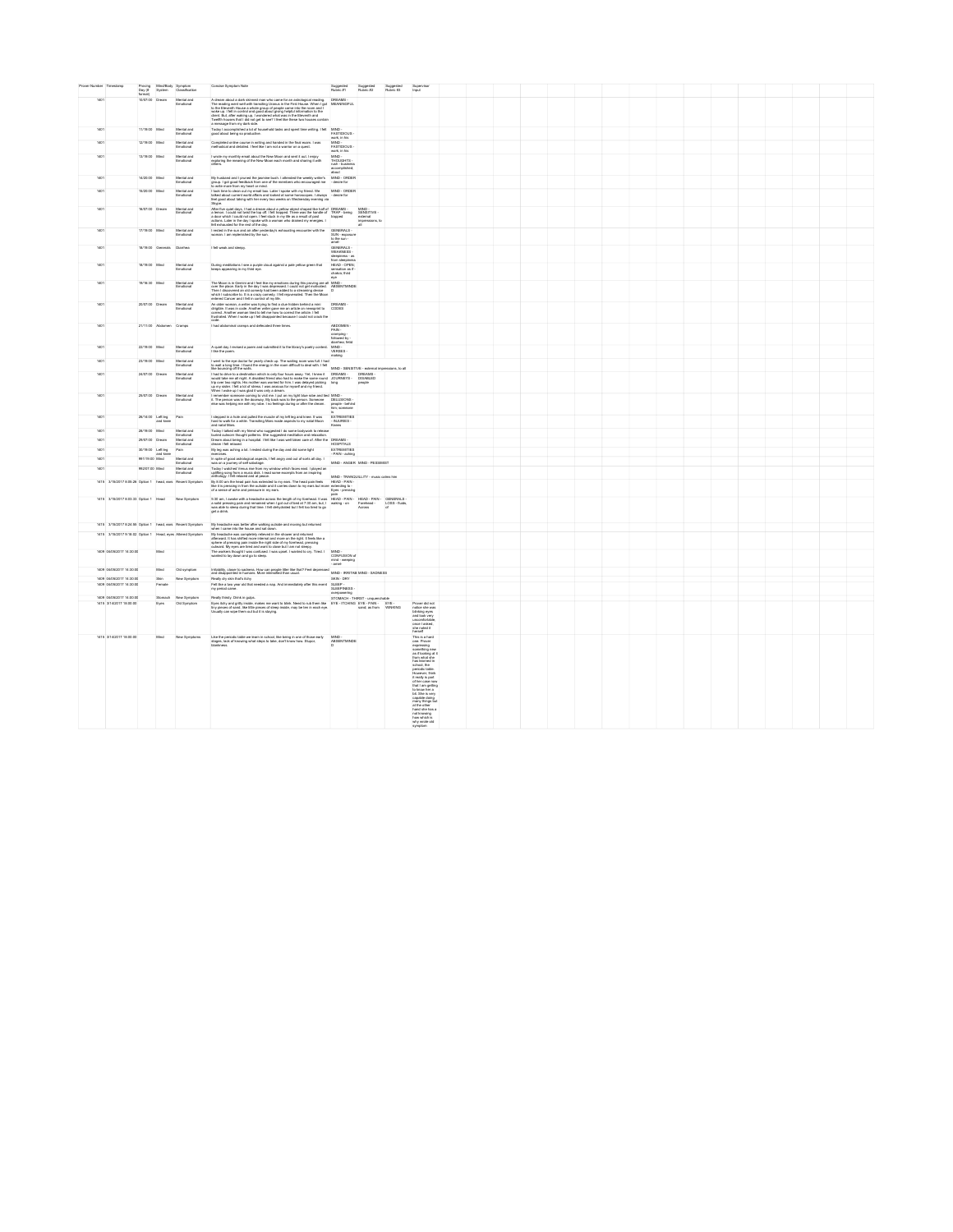|      | Prover Number Timestamp                                    |                |                               | Proving Mind/Body Symptom<br>Day (# System Classification format) | Concise Symptom Note                                                                                                                                                                                                                                              |                                                                     | Suggested Suggested Suggested Supervisor<br>Rubric #1 Rubric #2 Rubric #3 Input |            |                                                                                                                                                                                                                                                                                                                                                                                                                                    |  |  |  |  |  |  |  |  |
|------|------------------------------------------------------------|----------------|-------------------------------|-------------------------------------------------------------------|-------------------------------------------------------------------------------------------------------------------------------------------------------------------------------------------------------------------------------------------------------------------|---------------------------------------------------------------------|---------------------------------------------------------------------------------|------------|------------------------------------------------------------------------------------------------------------------------------------------------------------------------------------------------------------------------------------------------------------------------------------------------------------------------------------------------------------------------------------------------------------------------------------|--|--|--|--|--|--|--|--|
|      | tatt                                                       |                | 10/07:00 Dream                | Mental and<br>Freedomal                                           | A dream about a dark skinned men who came for an astrological reading. The reading vest well to the standing Disrusting Branch in the Frast House ii (the Tage of the Disrusting Disrusting the line of the line of the line                                      | DREAMS.<br>MEANINGELL                                               |                                                                                 |            |                                                                                                                                                                                                                                                                                                                                                                                                                                    |  |  |  |  |  |  |  |  |
| 1401 |                                                            | 11/19:00 Mind  |                               | Mental and<br>Emotional                                           | Today I accomplished a lot of household tasks and spent time writing. I felt MIND - good about being so productive.<br>good about being so productive.                                                                                                            |                                                                     |                                                                                 |            |                                                                                                                                                                                                                                                                                                                                                                                                                                    |  |  |  |  |  |  |  |  |
|      | 1401                                                       | 12/19:00 Mind  |                               | Mental and<br>Emotional                                           | Completed online course in writing and handed in the final exam. I was methodical and detailed. I feel like I am not a warrior on a quest.                                                                                                                        | MIND-<br>FASTIDIOUS-<br>work; in his                                |                                                                                 |            |                                                                                                                                                                                                                                                                                                                                                                                                                                    |  |  |  |  |  |  |  |  |
| 1401 |                                                            | 13/19:00 Mind  |                               | Mental and<br>Emotional                                           | I wrote my monthly email about the New Moon and sent it out. I enjoy<br>exploring the meaning of the New Moon each month and sharing it with<br>return                                                                                                            | MND.<br>THOUGHTS-<br>rush - busines<br>accomplished<br>about        |                                                                                 |            |                                                                                                                                                                                                                                                                                                                                                                                                                                    |  |  |  |  |  |  |  |  |
| 1401 |                                                            | 14/20:00 Mind  |                               | Mental and<br>Emotional                                           | My husband and I pruned the jasmine bush. I attended the weekly writer's MIND - ORDER group. I got good feedback from one of the members who encouraged me - desire for to write to write the members who encouraged me - desi                                    |                                                                     |                                                                                 |            |                                                                                                                                                                                                                                                                                                                                                                                                                                    |  |  |  |  |  |  |  |  |
|      | 1401                                                       | 15/20:00 Mind  |                               | Mental and<br>Exercises                                           |                                                                                                                                                                                                                                                                   |                                                                     |                                                                                 |            |                                                                                                                                                                                                                                                                                                                                                                                                                                    |  |  |  |  |  |  |  |  |
| 1401 |                                                            | 16/07:00 Dream |                               | Mental and<br>Exertimed                                           |                                                                                                                                                                                                                                                                   |                                                                     |                                                                                 |            |                                                                                                                                                                                                                                                                                                                                                                                                                                    |  |  |  |  |  |  |  |  |
|      |                                                            |                |                               |                                                                   | Shipper Counter that a chiese the party of the state of the field of the SAMS - MIND - Advertised by the state of the state of the state of the state of the state of the state of the state of the state of the state of the                                     |                                                                     |                                                                                 |            |                                                                                                                                                                                                                                                                                                                                                                                                                                    |  |  |  |  |  |  |  |  |
| 1401 |                                                            | 17/19:00 Mind  |                               | Mental and<br>Emotional                                           | I rested in the sun and air after yestenday's exhausting encounter with the CENERALS - woman. I am replemished by the sun.                                                                                                                                        | SUN - exposure<br>SUN - exposure<br>to the sun -<br>arrel-          |                                                                                 |            |                                                                                                                                                                                                                                                                                                                                                                                                                                    |  |  |  |  |  |  |  |  |
|      | 1401                                                       |                | 18/19:00 Generals Diambea     |                                                                   | I felt weak and sleepy.                                                                                                                                                                                                                                           | ame-<br>GENERALS -<br>WEAKNESS - aleginess - ale<br>from sleepiness |                                                                                 |            |                                                                                                                                                                                                                                                                                                                                                                                                                                    |  |  |  |  |  |  |  |  |
| 1401 |                                                            | 18/19:00 Mind  |                               | Mental and<br>Emotional                                           | During meditations I see a purple cloud against a pale yellow green that<br>loseps appearing in my third eye.                                                                                                                                                     | HEAD - OPEN                                                         |                                                                                 |            |                                                                                                                                                                                                                                                                                                                                                                                                                                    |  |  |  |  |  |  |  |  |
| 1401 |                                                            | 19/16:30 Mind  |                               | Mental and<br>Emotional                                           |                                                                                                                                                                                                                                                                   | sensation as if<br>chakra; third<br>eye                             |                                                                                 |            |                                                                                                                                                                                                                                                                                                                                                                                                                                    |  |  |  |  |  |  |  |  |
|      |                                                            |                |                               |                                                                   | The Moon is in Germini and I feel like my emotions during this proving are all MIND-<br>over the place. Early in the day I was depressed. I could not get motivated. ABSENTMINDE<br>Then I discovered an old comedy had been added t                              |                                                                     |                                                                                 |            |                                                                                                                                                                                                                                                                                                                                                                                                                                    |  |  |  |  |  |  |  |  |
|      | 1401                                                       |                | 20/07:00 Dream                | Mental and<br>Emotional                                           | emeneur Carnomi amo I met m commo commy sex.<br>An oridar woman, a writer was trying to find a clue hidden behind a mini DREAMS<br>dirigible. It was in code. Another writer gave me an antidar on newspirit to CODES<br>connect. Anoth                           | DREAMS-                                                             |                                                                                 |            |                                                                                                                                                                                                                                                                                                                                                                                                                                    |  |  |  |  |  |  |  |  |
|      | 1401                                                       |                | 21/11/00 Abdomen Cramps       |                                                                   | I had abdominal cramps and defecated three times.                                                                                                                                                                                                                 | ABDOMEN-<br>PAIN-<br>cramping<br>followed by -<br>diamhea; fetid    |                                                                                 |            |                                                                                                                                                                                                                                                                                                                                                                                                                                    |  |  |  |  |  |  |  |  |
|      | 1401                                                       | 22/19:00 Mind  |                               | Mental and<br>Emotional                                           | A quiet day.) revised a poem and submitted it to the library's poetry contest. MIND -<br>I like the poem                                                                                                                                                          | VERSES -                                                            |                                                                                 |            |                                                                                                                                                                                                                                                                                                                                                                                                                                    |  |  |  |  |  |  |  |  |
|      | 1401                                                       | 23/19:00 Mind  |                               | Mental and<br>Emotional                                           | I went to the eye doctor for yearly check up. The waiting room was full. I had<br>to wat a long trens. I found the energy in the room difficult to deal with. I felt<br>like bouncing off the walls.                                                              | making                                                              |                                                                                 |            |                                                                                                                                                                                                                                                                                                                                                                                                                                    |  |  |  |  |  |  |  |  |
|      | tant                                                       | 24/07:00 Dream |                               | Mental and<br>Freedomal                                           | was coursing off the walls.<br>The latter of the state of the state of the state of the state of the state of the state of the state of the<br>would black the me at ingit A. Chainles from data beat to make the same sculpt of                                  |                                                                     |                                                                                 |            |                                                                                                                                                                                                                                                                                                                                                                                                                                    |  |  |  |  |  |  |  |  |
|      | tatt                                                       |                |                               | 25/07:00 Dream Mental and                                         | Transamber screening to visit me. I put on my light blue robe and fied MIND -<br>It The person was in the docreasy, My back was to the person. Screening CELUSIONS -<br>it The person was in the docreasy, My back was to the person                              |                                                                     |                                                                                 |            |                                                                                                                                                                                                                                                                                                                                                                                                                                    |  |  |  |  |  |  |  |  |
|      | 1401                                                       |                | 26/14:00 Leftleg Pain         |                                                                   | I stepped in a hole and pulled the muscle of my left leg and knee. It was<br>hard to walk for a while. Transiting Mars made aspects to my natal Moon                                                                                                              | <b>EXTREMITIES</b>                                                  |                                                                                 |            |                                                                                                                                                                                                                                                                                                                                                                                                                                    |  |  |  |  |  |  |  |  |
|      | 1401                                                       |                | 28/19:00 Mind                 | Mental and<br>Emotional                                           | and natal Marx<br>Today I talked with my friend who suggested I do some bodywork to release                                                                                                                                                                       | - INJURIES                                                          |                                                                                 |            |                                                                                                                                                                                                                                                                                                                                                                                                                                    |  |  |  |  |  |  |  |  |
|      | 1401                                                       | 29/07:00 Dream |                               | Mental and                                                        | Dream about being in a hospital. I falt like I was well taken care of. After the DREAMS - dream I felt relaxed. HOSPITALS                                                                                                                                         |                                                                     |                                                                                 |            |                                                                                                                                                                                                                                                                                                                                                                                                                                    |  |  |  |  |  |  |  |  |
|      | 1401                                                       |                | 30/19:00 Left leg<br>and knee | Emotional<br>Pain                                                 | My leg was aching a lot. I reated during the day and did some light<br>exercises.                                                                                                                                                                                 | <b>EXTREMITIES</b><br>- PAIN - aching                               |                                                                                 |            |                                                                                                                                                                                                                                                                                                                                                                                                                                    |  |  |  |  |  |  |  |  |
|      | 1401                                                       |                | 991/19:00 Mind                | Mental and<br>Emotional                                           | exercises.<br>In spite of good astrological aspects, I felt angry and out of sorts all day. I<br>was on a journey of self sabotage.                                                                                                                               | MND - ANGER MND - PESSIMIST                                         |                                                                                 |            |                                                                                                                                                                                                                                                                                                                                                                                                                                    |  |  |  |  |  |  |  |  |
| 1401 |                                                            | 992/07:00 Mind |                               | Mental and<br>Emotional                                           | was one puterness of the statement of the state and the state of the state of the state of the state of the state of the state of the state of the state of the state of the state of the state of the state of the state of t                                    |                                                                     |                                                                                 |            |                                                                                                                                                                                                                                                                                                                                                                                                                                    |  |  |  |  |  |  |  |  |
|      | 1415 3/15/2017 8:05:26 Option 1 head, ears Recent Symptom  |                |                               |                                                                   |                                                                                                                                                                                                                                                                   |                                                                     |                                                                                 |            |                                                                                                                                                                                                                                                                                                                                                                                                                                    |  |  |  |  |  |  |  |  |
|      |                                                            |                |                               |                                                                   |                                                                                                                                                                                                                                                                   |                                                                     |                                                                                 |            |                                                                                                                                                                                                                                                                                                                                                                                                                                    |  |  |  |  |  |  |  |  |
|      | 1415 3/15/2017 8:03:33 Option 1 Head New Symptom           |                |                               |                                                                   | 5:30 am, I awoke with a headache across the length of my forehead. It was HEAD - PAIN - HEAD - PAIN - GENERALS -<br>a solid pressing pain and remained when I got out of bed at 7:30 am, but, I waking - on Forehead - LOSS - flu<br>get a drink                  |                                                                     |                                                                                 |            |                                                                                                                                                                                                                                                                                                                                                                                                                                    |  |  |  |  |  |  |  |  |
|      | 1415 3/15/2017 8:24:55 Option 1 head, ears Recent Symptom  |                |                               |                                                                   | My headache was better after walking outside and moving but returned when I came into the house and set down.                                                                                                                                                     |                                                                     |                                                                                 |            |                                                                                                                                                                                                                                                                                                                                                                                                                                    |  |  |  |  |  |  |  |  |
|      | 1415 3/15/2017 9:18:02 Option 1 Head, eyes Altered Symptom |                |                               |                                                                   | My headache was completely relieved in the shower and returned afterward. It has shifted more internal and more on the right. It feels like a sphere of pressing pairs inside the right of the right state of pressing pairs                                      |                                                                     |                                                                                 |            |                                                                                                                                                                                                                                                                                                                                                                                                                                    |  |  |  |  |  |  |  |  |
|      | 1409 04/05/2017 14:30:00                                   |                | Mind                          |                                                                   | Une workers thought I was confused. I was upset. I wanted to cry. Tired. I MIND -<br>Wanted to lay down and go to sleep.<br>CONFUSION of mind. assembly                                                                                                           |                                                                     |                                                                                 |            |                                                                                                                                                                                                                                                                                                                                                                                                                                    |  |  |  |  |  |  |  |  |
|      | 1409 04/05/2017 14:30:00                                   |                |                               | Mind Old symptom                                                  | Imitability, closer to sadress. How can people litter like that? Feel depressed<br>and disappointed in furnance. More intensified than usual. Media MIND - IRRITABIMIND - SADNESS                                                                                 | $-200$                                                              |                                                                                 |            |                                                                                                                                                                                                                                                                                                                                                                                                                                    |  |  |  |  |  |  |  |  |
|      | 1409 0405/2017 14:30:00<br>1409 04/05/2017 14:30:00        |                | Female                        | <b>Skin</b> New Symptom                                           | Really dry skin that's linky                                                                                                                                                                                                                                      | SKIN - DRY                                                          |                                                                                 |            |                                                                                                                                                                                                                                                                                                                                                                                                                                    |  |  |  |  |  |  |  |  |
|      |                                                            |                |                               |                                                                   | reality ory sem must in hury<br>Felt like a two year old that needed a nap. And immediately after this event SLEEP -<br>my period came.                                                                                                                           |                                                                     |                                                                                 |            |                                                                                                                                                                                                                                                                                                                                                                                                                                    |  |  |  |  |  |  |  |  |
|      | 1409 04/05/2017 14:00:00<br>1415 3/14/2017 18:00:00        |                |                               | Stomach New Symptom<br>Eyes Old Symptom                           | Really thirsty. Drink in outps.<br>Newsylvany, access to the state of the state of the Steel Steel Box 1999. The Chinese Steel Steel Steel Steel Steel Steel Steel Steel Steel Steel Steel Steel Steel Steel Steel Steel Steel Steel Steel Steel Steel Steel Stee |                                                                     | STOMACH - THIRST - unquenchable                                                 | .<br>Voqea | Prover did not<br>notice she was<br>blinking eyes<br>and look very<br>uncomfortable<br>once I asked<br>she noted it<br>herself                                                                                                                                                                                                                                                                                                     |  |  |  |  |  |  |  |  |
|      | 1415 3/14/2017 18:00:00                                    |                |                               | Mind New Symptoms                                                 | Like the pariodic table we learn in school, like being in one of those early $MND$ .<br>stiges, lack of knowing what steps to take, don't know how. Stupor, $ABSENTMNDE$<br>blankness.                                                                            |                                                                     |                                                                                 |            | This is a hard<br>one. Prove<br>one. Prover<br>something new<br>something new<br>sail flooking at a<br>from what she<br>has learned in<br>school, the<br>periodic table.<br>However, think<br>it really is part<br>of her case now<br>that I am getting<br>to know her a<br>bit. She is very<br>capable doing<br>many things but<br>at the other<br>at the other<br>hand she has a<br>not knowing<br>how which is<br>why wrote old |  |  |  |  |  |  |  |  |